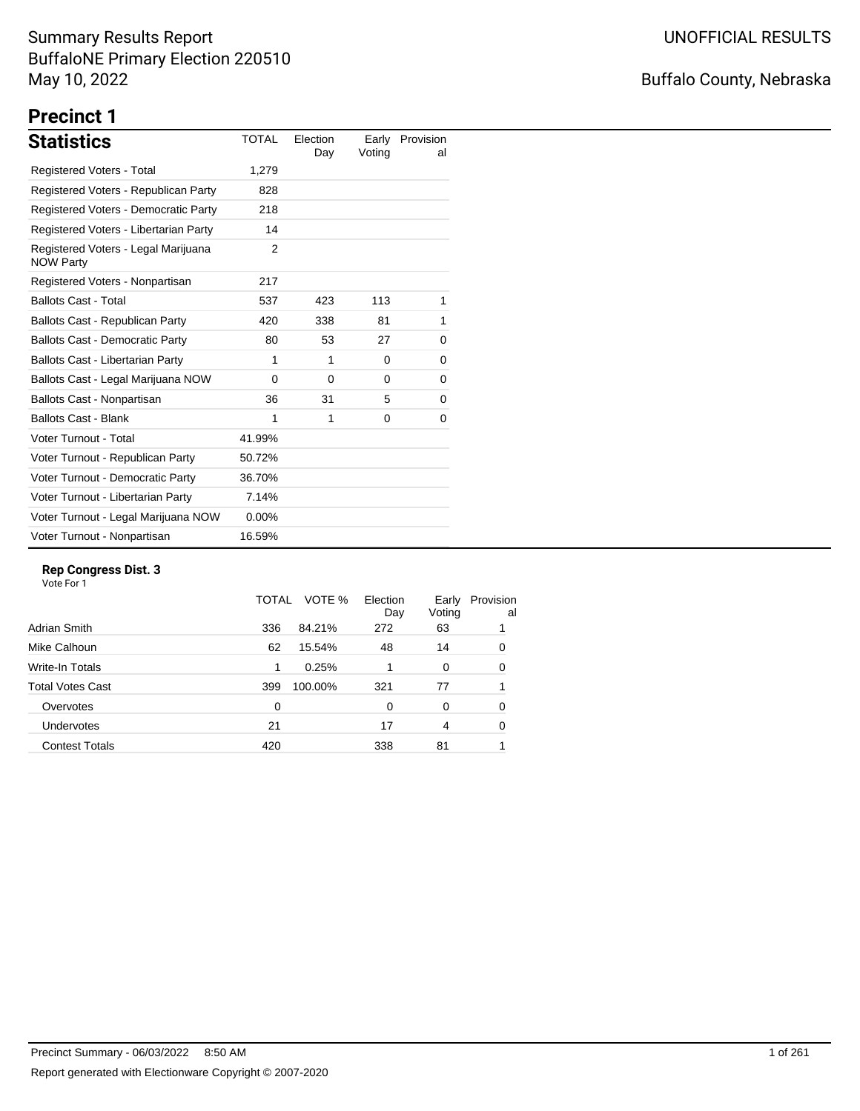# Buffalo County, Nebraska

# **Precinct 1**

| <b>Statistics</b>                                       | <b>TOTAL</b> | Election<br>Day | Voting | Early Provision<br>al |
|---------------------------------------------------------|--------------|-----------------|--------|-----------------------|
| Registered Voters - Total                               | 1,279        |                 |        |                       |
| Registered Voters - Republican Party                    | 828          |                 |        |                       |
| Registered Voters - Democratic Party                    | 218          |                 |        |                       |
| Registered Voters - Libertarian Party                   | 14           |                 |        |                       |
| Registered Voters - Legal Marijuana<br><b>NOW Party</b> | 2            |                 |        |                       |
| Registered Voters - Nonpartisan                         | 217          |                 |        |                       |
| <b>Ballots Cast - Total</b>                             | 537          | 423             | 113    | 1                     |
| Ballots Cast - Republican Party                         | 420          | 338             | 81     | 1                     |
| <b>Ballots Cast - Democratic Party</b>                  | 80           | 53              | 27     | 0                     |
| Ballots Cast - Libertarian Party                        | 1            | 1               | 0      | 0                     |
| Ballots Cast - Legal Marijuana NOW                      | $\Omega$     | $\Omega$        | 0      | 0                     |
| Ballots Cast - Nonpartisan                              | 36           | 31              | 5      | 0                     |
| <b>Ballots Cast - Blank</b>                             | 1            | 1               | 0      | 0                     |
| Voter Turnout - Total                                   | 41.99%       |                 |        |                       |
| Voter Turnout - Republican Party                        | 50.72%       |                 |        |                       |
| Voter Turnout - Democratic Party                        | 36.70%       |                 |        |                       |
| Voter Turnout - Libertarian Party                       | 7.14%        |                 |        |                       |
| Voter Turnout - Legal Marijuana NOW                     | $0.00\%$     |                 |        |                       |
| Voter Turnout - Nonpartisan                             | 16.59%       |                 |        |                       |

#### **Rep Congress Dist. 3**

|                         | TOTAL | VOTE %  | Election<br>Day | Early<br>Voting | Provision<br>al |
|-------------------------|-------|---------|-----------------|-----------------|-----------------|
| Adrian Smith            | 336   | 84.21%  | 272             | 63              |                 |
| Mike Calhoun            | 62    | 15.54%  | 48              | 14              | 0               |
| Write-In Totals         | 1     | 0.25%   |                 | 0               | 0               |
| <b>Total Votes Cast</b> | 399   | 100.00% | 321             | 77              |                 |
| Overvotes               | 0     |         | 0               | 0               | 0               |
| Undervotes              | 21    |         | 17              | 4               | 0               |
| <b>Contest Totals</b>   | 420   |         | 338             | 81              |                 |
|                         |       |         |                 |                 |                 |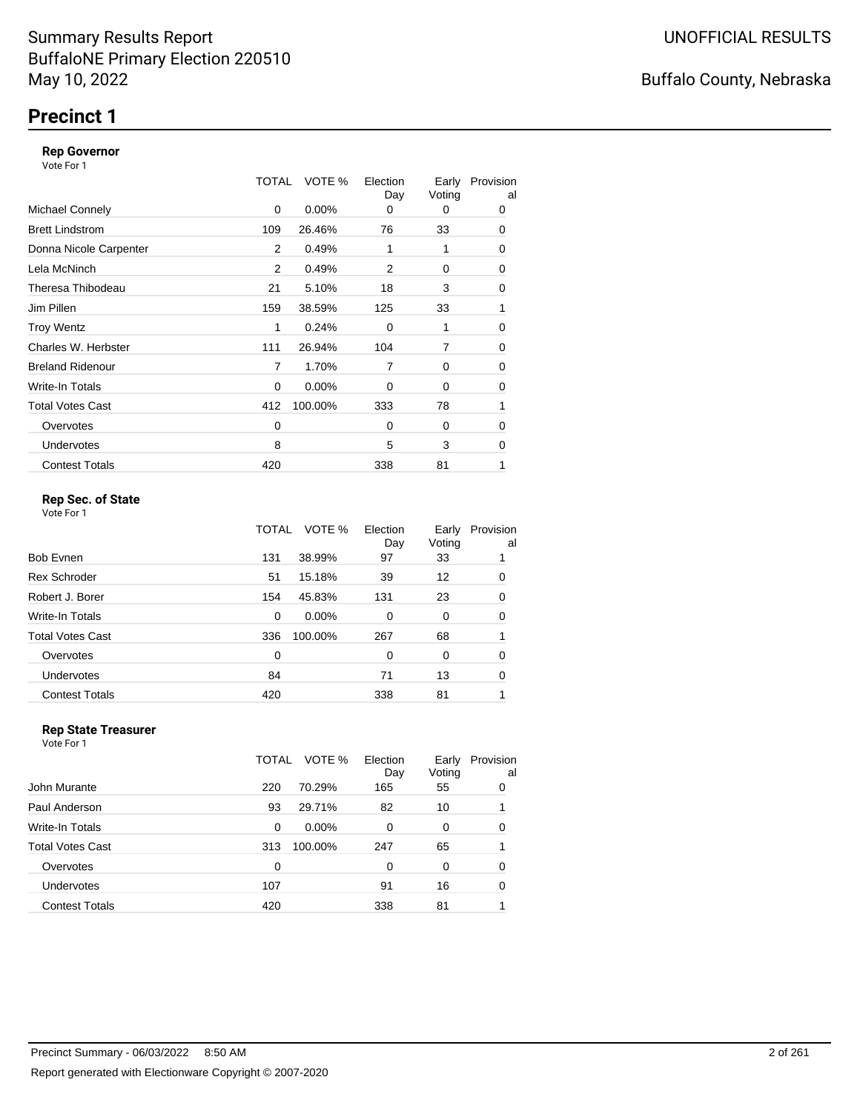### **Precinct 1**

#### **Rep Governor**

Vote For 1

|                         | <b>TOTAL</b> | VOTE %   | Election<br>Day | Early<br>Voting | Provision<br>al |
|-------------------------|--------------|----------|-----------------|-----------------|-----------------|
| <b>Michael Connely</b>  | 0            | $0.00\%$ | 0               | 0               | 0               |
| <b>Brett Lindstrom</b>  | 109          | 26.46%   | 76              | 33              | 0               |
| Donna Nicole Carpenter  | 2            | 0.49%    | 1               | 1               | 0               |
| Lela McNinch            | 2            | 0.49%    | 2               | 0               | 0               |
| Theresa Thibodeau       | 21           | 5.10%    | 18              | 3               | 0               |
| Jim Pillen              | 159          | 38.59%   | 125             | 33              | 1               |
| <b>Troy Wentz</b>       | 1            | 0.24%    | $\Omega$        | 1               | 0               |
| Charles W. Herbster     | 111          | 26.94%   | 104             | 7               | 0               |
| <b>Breland Ridenour</b> | 7            | 1.70%    | $\overline{7}$  | 0               | 0               |
| Write-In Totals         | 0            | $0.00\%$ | $\Omega$        | 0               | 0               |
| <b>Total Votes Cast</b> | 412          | 100.00%  | 333             | 78              | 1               |
| Overvotes               | 0            |          | $\Omega$        | 0               | 0               |
| <b>Undervotes</b>       | 8            |          | 5               | 3               | 0               |
| <b>Contest Totals</b>   | 420          |          | 338             | 81              | 1               |

### **Rep Sec. of State**

Vote For 1

|                       | TOTAL | VOTE %   | Election<br>Day | Early<br>Voting | Provision<br>al |
|-----------------------|-------|----------|-----------------|-----------------|-----------------|
| Bob Evnen             | 131   | 38.99%   | 97              | 33              |                 |
| Rex Schroder          | 51    | 15.18%   | 39              | 12              | 0               |
| Robert J. Borer       | 154   | 45.83%   | 131             | 23              | 0               |
| Write-In Totals       | 0     | $0.00\%$ | $\Omega$        | 0               | 0               |
| Total Votes Cast      | 336   | 100.00%  | 267             | 68              |                 |
| Overvotes             | 0     |          | $\Omega$        | 0               | 0               |
| <b>Undervotes</b>     | 84    |          | 71              | 13              | 0               |
| <b>Contest Totals</b> | 420   |          | 338             | 81              |                 |
|                       |       |          |                 |                 |                 |

#### **Rep State Treasurer** Vote For 1

|                       | TOTAL | VOTE %   | Election<br>Day | Early<br>Voting | Provision<br>al |
|-----------------------|-------|----------|-----------------|-----------------|-----------------|
| John Murante          | 220   | 70.29%   | 165             | 55              | 0               |
| Paul Anderson         | 93    | 29.71%   | 82              | 10              | 1               |
| Write-In Totals       | 0     | $0.00\%$ | $\Omega$        | 0               | $\Omega$        |
| Total Votes Cast      | 313   | 100.00%  | 247             | 65              | 1               |
| Overvotes             | 0     |          | $\Omega$        | 0               | 0               |
| <b>Undervotes</b>     | 107   |          | 91              | 16              | 0               |
| <b>Contest Totals</b> | 420   |          | 338             | 81              |                 |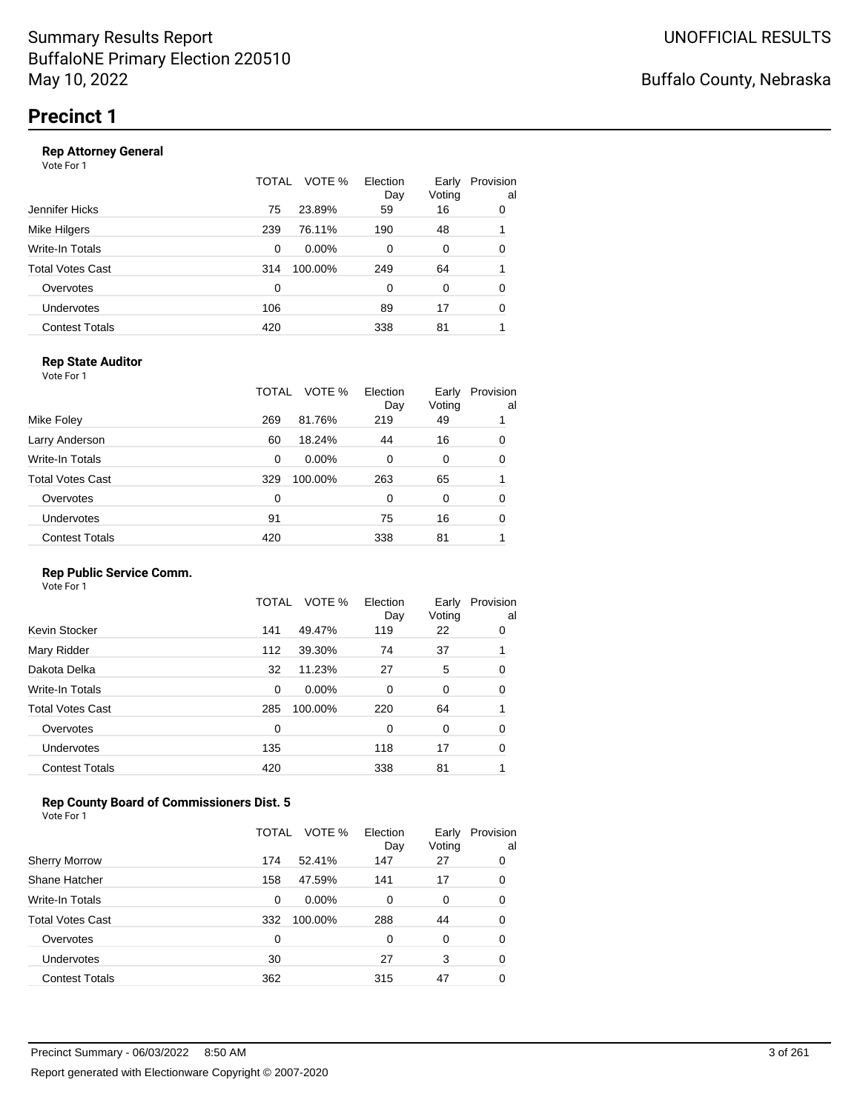#### **Rep Attorney General**

Vote For 1

|                       | TOTAL | Election<br>VOTE %<br>Day | Early<br>Voting | Provision<br>al |
|-----------------------|-------|---------------------------|-----------------|-----------------|
| Jennifer Hicks        | 75    | 23.89%<br>59              | 16              | 0               |
| Mike Hilgers          | 239   | 76.11%<br>190             | 48              | 1               |
| Write-In Totals       | 0     | $0.00\%$<br>0             | 0               | 0               |
| Total Votes Cast      | 314   | 100.00%<br>249            | 64              |                 |
| Overvotes             | 0     | $\Omega$                  | 0               | 0               |
| Undervotes            | 106   | 89                        | 17              | 0               |
| <b>Contest Totals</b> | 420   | 338                       | 81              |                 |
|                       |       |                           |                 |                 |

### **Rep State Auditor**

Vote For 1

|                         | TOTAL | VOTE %   | Election<br>Day | Early<br>Voting | Provision<br>al |
|-------------------------|-------|----------|-----------------|-----------------|-----------------|
| Mike Foley              | 269   | 81.76%   | 219             | 49              |                 |
| Larry Anderson          | 60    | 18.24%   | 44              | 16              | 0               |
| Write-In Totals         | 0     | $0.00\%$ | 0               | 0               | 0               |
| <b>Total Votes Cast</b> | 329   | 100.00%  | 263             | 65              |                 |
| Overvotes               | 0     |          | 0               | 0               | 0               |
| Undervotes              | 91    |          | 75              | 16              | 0               |
| <b>Contest Totals</b>   | 420   |          | 338             | 81              |                 |

#### **Rep Public Service Comm.**

Vote For 1

|                         | TOTAL | VOTE %   | Election<br>Day | Early<br>Voting | Provision<br>al |
|-------------------------|-------|----------|-----------------|-----------------|-----------------|
| Kevin Stocker           | 141   | 49.47%   | 119             | 22              | 0               |
| Mary Ridder             | 112   | 39.30%   | 74              | 37              |                 |
| Dakota Delka            | 32    | 11.23%   | 27              | 5               | 0               |
| Write-In Totals         | 0     | $0.00\%$ | 0               | 0               | 0               |
| <b>Total Votes Cast</b> | 285   | 100.00%  | 220             | 64              |                 |
| Overvotes               | 0     |          | 0               | 0               | 0               |
| <b>Undervotes</b>       | 135   |          | 118             | 17              | 0               |
| <b>Contest Totals</b>   | 420   |          | 338             | 81              |                 |
|                         |       |          |                 |                 |                 |

### **Rep County Board of Commissioners Dist. 5**

Vote For 1

|                       | TOTAL    | VOTE %   | Election<br>Day | Early<br>Voting | Provision<br>al |
|-----------------------|----------|----------|-----------------|-----------------|-----------------|
| <b>Sherry Morrow</b>  | 174      | 52.41%   | 147             | 27              | 0               |
| Shane Hatcher         | 158      | 47.59%   | 141             | 17              | 0               |
| Write-In Totals       | $\Omega$ | $0.00\%$ | 0               | 0               | 0               |
| Total Votes Cast      | 332      | 100.00%  | 288             | 44              | 0               |
| Overvotes             | 0        |          | 0               | 0               | 0               |
| <b>Undervotes</b>     | 30       |          | 27              | 3               | 0               |
| <b>Contest Totals</b> | 362      |          | 315             | 47              | 0               |

### Buffalo County, Nebraska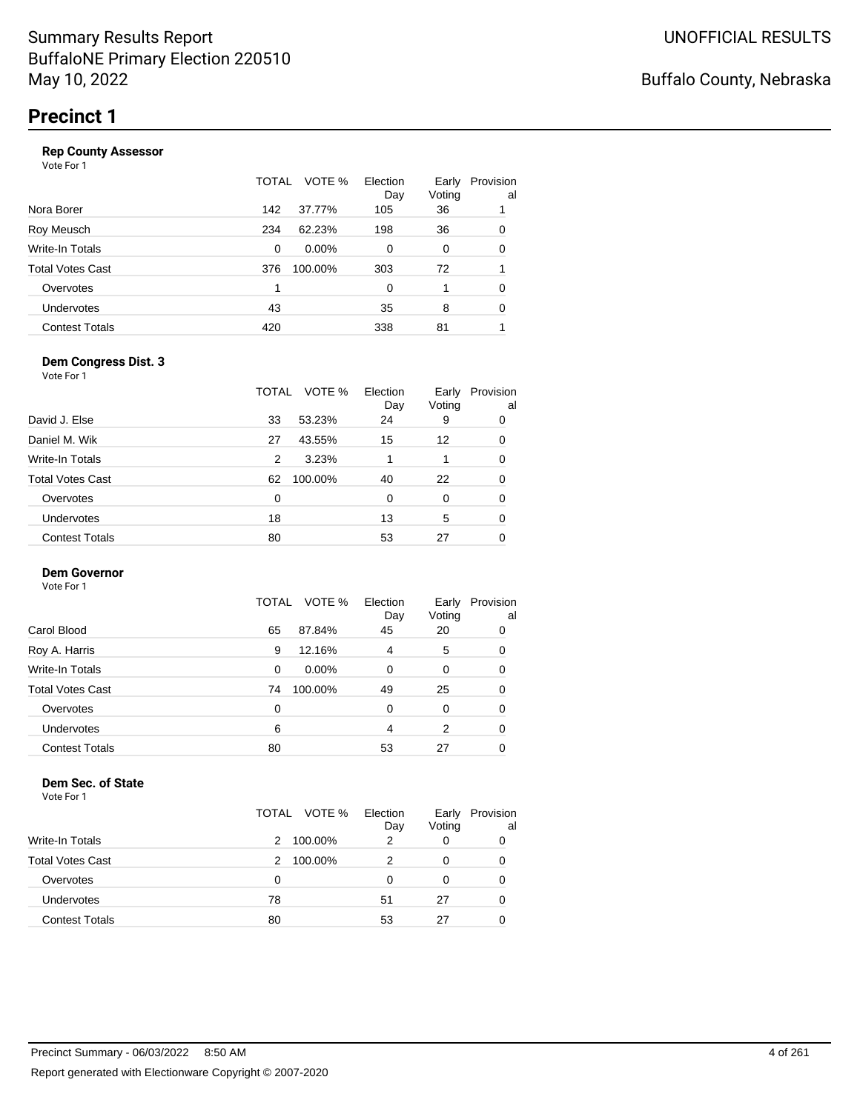#### **Rep County Assessor**

Vote For 1

|                       | TOTAL | VOTE %   | Election<br>Day | Early<br>Voting | Provision<br>al |
|-----------------------|-------|----------|-----------------|-----------------|-----------------|
| Nora Borer            | 142   | 37.77%   | 105             | 36              | 1               |
| Roy Meusch            | 234   | 62.23%   | 198             | 36              | 0               |
| Write-In Totals       | 0     | $0.00\%$ | $\Omega$        | 0               | 0               |
| Total Votes Cast      | 376   | 100.00%  | 303             | 72              |                 |
| Overvotes             | 1     |          | $\Omega$        | 1               | 0               |
| <b>Undervotes</b>     | 43    |          | 35              | 8               | 0               |
| <b>Contest Totals</b> | 420   |          | 338             | 81              |                 |
|                       |       |          |                 |                 |                 |

#### **Dem Congress Dist. 3**

Vote For 1

|                       | VOTE %<br>TOTAL | Election<br>Day | Early<br>Voting | Provision<br>al |
|-----------------------|-----------------|-----------------|-----------------|-----------------|
| David J. Else         | 33<br>53.23%    | 24              | 9               | 0               |
| Daniel M. Wik         | 43.55%<br>27    | 15              | 12              | 0               |
| Write-In Totals       | 3.23%<br>2      |                 |                 | 0               |
| Total Votes Cast      | 100.00%<br>62   | 40              | 22              | 0               |
| Overvotes             | $\Omega$        | $\Omega$        | 0               | 0               |
| <b>Undervotes</b>     | 18              | 13              | 5               | 0               |
| <b>Contest Totals</b> | 80              | 53              | 27              | 0               |
|                       |                 |                 |                 |                 |

### **Dem Governor**

Vote For 1

|                       | VOTE %<br>TOTAL | Election<br>Day | Early<br>Voting | Provision<br>al |
|-----------------------|-----------------|-----------------|-----------------|-----------------|
| Carol Blood           | 87.84%<br>65    | 45              | 20              | 0               |
| Roy A. Harris         | 12.16%<br>9     | 4               | 5               | 0               |
| Write-In Totals       | $0.00\%$<br>0   | $\Omega$        | 0               | 0               |
| Total Votes Cast      | 100.00%<br>74   | 49              | 25              | 0               |
| Overvotes             | 0               | 0               | 0               | 0               |
| <b>Undervotes</b>     | 6               | 4               | 2               | 0               |
| <b>Contest Totals</b> | 80              | 53              | 27              | 0               |

#### **Dem Sec. of State**

|                         | TOTAL VOTE % | Election<br>Day | Early<br>Voting | Provision<br>al |
|-------------------------|--------------|-----------------|-----------------|-----------------|
| <b>Write-In Totals</b>  | 100.00%<br>2 | 2               | 0               | 0               |
| <b>Total Votes Cast</b> | 100.00%<br>2 |                 |                 | 0               |
| Overvotes               | 0            | O               |                 | 0               |
| Undervotes              | 78           | 51              | 27              | 0               |
| <b>Contest Totals</b>   | 80           | 53              |                 | 0               |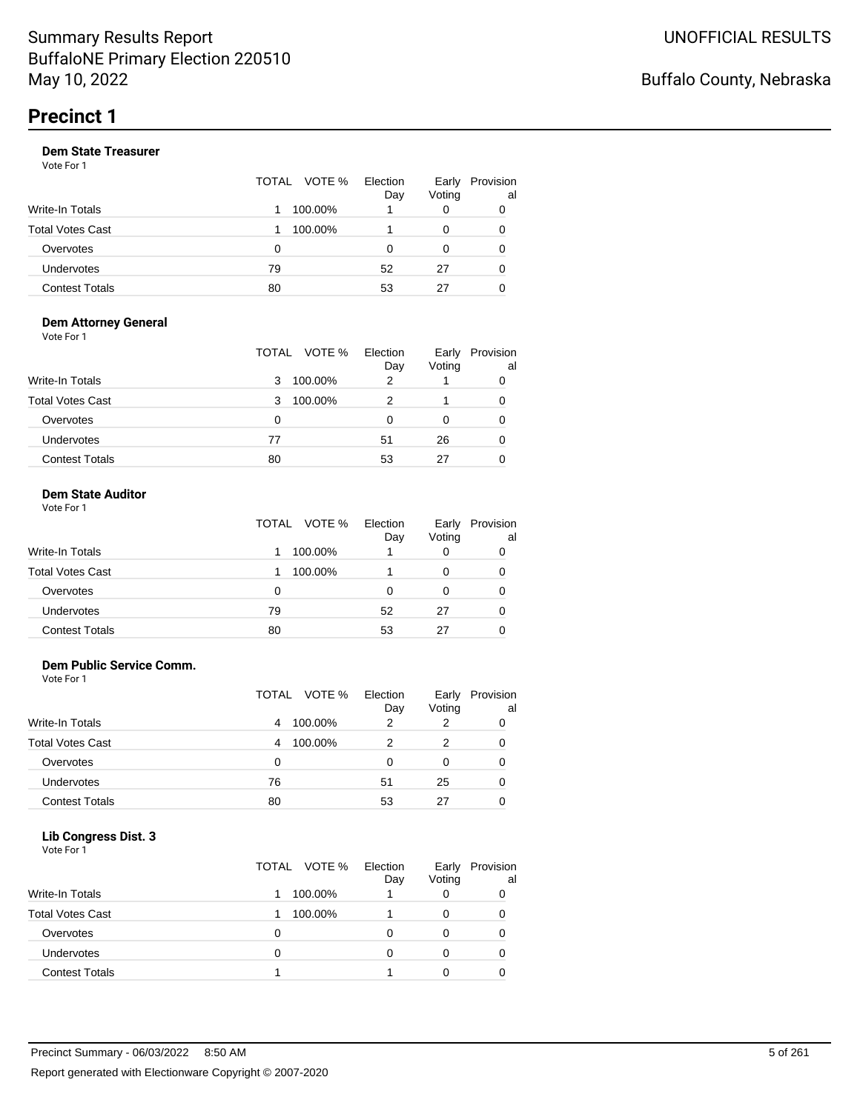#### **Dem State Treasurer**

Vote For 1

|                       |    | TOTAL VOTE % | Election<br>Day | Early<br>Voting | Provision<br>al |
|-----------------------|----|--------------|-----------------|-----------------|-----------------|
| Write-In Totals       |    | 100.00%      |                 | 0               | 0               |
| Total Votes Cast      |    | 100.00%      |                 | 0               | 0               |
| Overvotes             | O  |              |                 | 0               | 0               |
| Undervotes            | 79 |              | 52              | 27              | 0               |
| <b>Contest Totals</b> | 80 |              | 53              | 27              |                 |

#### **Dem Attorney General** Vote For 1

|                         | TOTAL VOTE % | Election<br>Day | Early<br>Voting | Provision<br>al |
|-------------------------|--------------|-----------------|-----------------|-----------------|
| <b>Write-In Totals</b>  | 100.00%<br>3 | 2               |                 | 0               |
| <b>Total Votes Cast</b> | 100.00%<br>3 |                 |                 | 0               |
| Overvotes               | 0            | 0               | O               | 0               |
| Undervotes              | 77           | 51              | 26              | 0               |
| <b>Contest Totals</b>   | 80           | 53              | 27              | 0               |

#### **Dem State Auditor**  $V_{\alpha+1}$

| VOLE FOL I              |              |                 |                 |                 |
|-------------------------|--------------|-----------------|-----------------|-----------------|
|                         | TOTAL VOTE % | Election<br>Day | Early<br>Voting | Provision<br>al |
| Write-In Totals         | 100.00%      |                 | 0               |                 |
| <b>Total Votes Cast</b> | 100.00%      |                 | 0               |                 |
| Overvotes               | 0            | 0               | 0               |                 |
| <b>Undervotes</b>       | 79           | 52              | 27              |                 |
| <b>Contest Totals</b>   | 80           | 53              | 27              |                 |

#### **Dem Public Service Comm.**

Vote For 1

|                         |    | TOTAL VOTE % | Election<br>Day | Early<br>Voting | Provision<br>al |
|-------------------------|----|--------------|-----------------|-----------------|-----------------|
| <b>Write-In Totals</b>  | 4  | 100.00%      | 2               | 2               |                 |
| <b>Total Votes Cast</b> | 4  | 100.00%      |                 | 2               | 0               |
| Overvotes               | 0  |              | O               |                 |                 |
| <b>Undervotes</b>       | 76 |              | 51              | 25              |                 |
| <b>Contest Totals</b>   | 80 |              | 53              | 27              |                 |

#### **Lib Congress Dist. 3**  $\ldots$   $\ldots$

| Vote For 1              | TOTAL VOTE % | Election<br>Day | Early<br>Voting | Provision<br>al |
|-------------------------|--------------|-----------------|-----------------|-----------------|
| Write-In Totals         | 100.00%      |                 | 0               |                 |
| <b>Total Votes Cast</b> | 100.00%      |                 | 0               | ი               |
| Overvotes               | 0            |                 | 0               |                 |
| <b>Undervotes</b>       | 0            | ი               | 0               |                 |
| <b>Contest Totals</b>   |              |                 | O               |                 |
|                         |              |                 |                 |                 |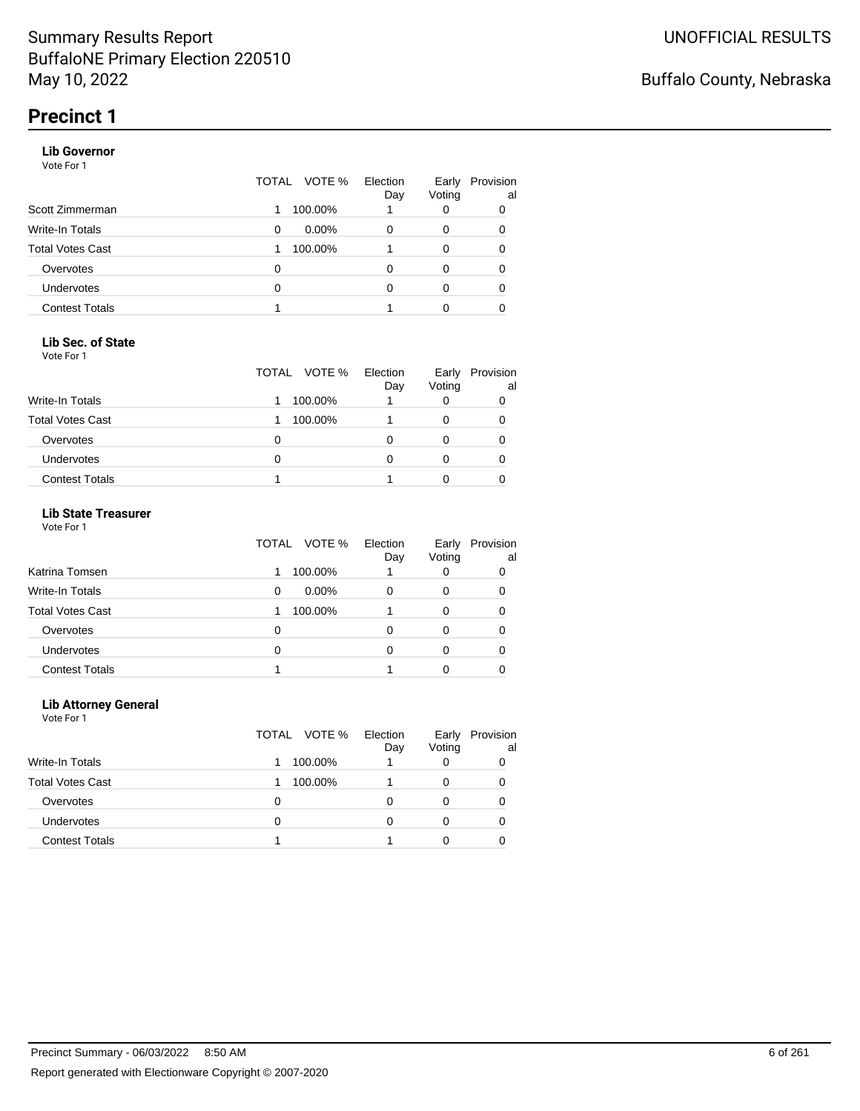#### **Lib Governor**

Vote For 1

|                       | TOTAL | VOTE %   | Election<br>Day | Early<br>Voting | Provision<br>al |
|-----------------------|-------|----------|-----------------|-----------------|-----------------|
| Scott Zimmerman       |       | 100.00%  |                 | 0               | 0               |
| Write-In Totals       | 0     | $0.00\%$ | O               | 0               | 0               |
| Total Votes Cast      |       | 100.00%  |                 | 0               |                 |
| Overvotes             | 0     |          |                 | 0               |                 |
| <b>Undervotes</b>     | 0     |          | ∩               | 0               | 0               |
| <b>Contest Totals</b> |       |          |                 | O               |                 |

#### **Lib Sec. of State**

Vote For 1

|                         | TOTAL<br>VOTE % | Election<br>Day | Early<br>Voting | Provision<br>al |
|-------------------------|-----------------|-----------------|-----------------|-----------------|
| <b>Write-In Totals</b>  | 100.00%         |                 |                 |                 |
| <b>Total Votes Cast</b> | 100.00%         |                 |                 |                 |
| Overvotes               | 0               |                 |                 |                 |
| Undervotes              | 0               |                 |                 |                 |
| <b>Contest Totals</b>   |                 |                 |                 |                 |

### **Lib State Treasurer**

Vote For 1

|                         | VOTE %<br>TOTAL | Election<br>Day | Early<br>Voting | Provision<br>al |
|-------------------------|-----------------|-----------------|-----------------|-----------------|
| Katrina Tomsen          | 100.00%         |                 | O               |                 |
| <b>Write-In Totals</b>  | $0.00\%$<br>0   | O               | Ω               | 0               |
| <b>Total Votes Cast</b> | 100.00%         |                 | 0               |                 |
| Overvotes               | 0               | 0               | 0               | 0               |
| Undervotes              | Ω               | O               |                 | 0               |
| <b>Contest Totals</b>   |                 |                 |                 |                 |

#### **Lib Attorney General**

|                         | TOTAL VOTE % | Election<br>Day | Early<br>Voting | Provision<br>al |
|-------------------------|--------------|-----------------|-----------------|-----------------|
| Write-In Totals         | 100.00%      |                 | 0               |                 |
| <b>Total Votes Cast</b> | 100.00%      |                 | 0               | 0               |
| Overvotes               | O            | Ω               | 0               | 0               |
| <b>Undervotes</b>       | Ω            | O               | 0               |                 |
| <b>Contest Totals</b>   |              |                 |                 |                 |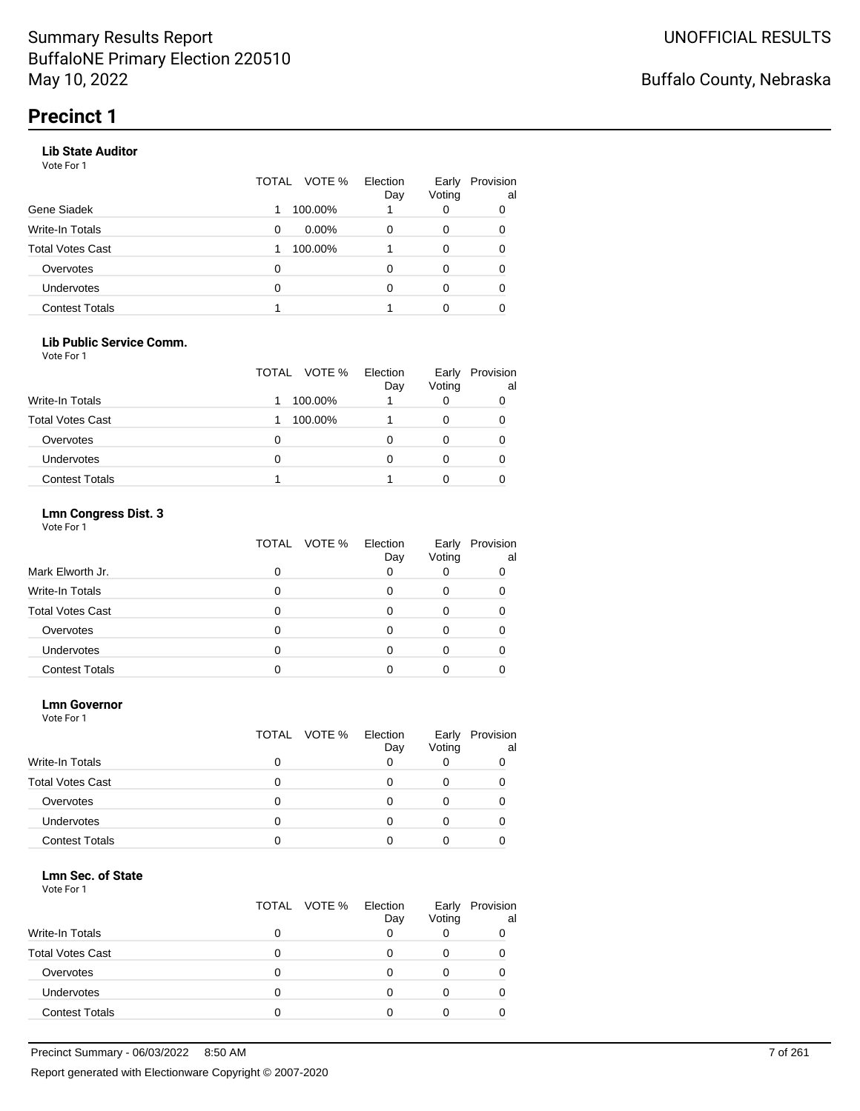#### **Lib State Auditor**

Vote For 1

|                       | TOTAL | VOTE %   | Election<br>Day | Early<br>Voting | Provision<br>al |
|-----------------------|-------|----------|-----------------|-----------------|-----------------|
| Gene Siadek           |       | 100.00%  |                 | 0               | 0               |
| Write-In Totals       | 0     | $0.00\%$ | O               | 0               | 0               |
| Total Votes Cast      |       | 100.00%  |                 | 0               | 0               |
| Overvotes             | 0     |          | O               | 0               | 0               |
| <b>Undervotes</b>     | 0     |          | O               | 0               | 0               |
| <b>Contest Totals</b> |       |          |                 | 0               |                 |

#### **Lib Public Service Comm.**

Vote For 1

|                         | TOTAL VOTE % | Election<br>Day | Early<br>Voting | Provision<br>al |
|-------------------------|--------------|-----------------|-----------------|-----------------|
| Write-In Totals         | 100.00%      |                 |                 |                 |
| <b>Total Votes Cast</b> | 100.00%      |                 |                 |                 |
| Overvotes               | 0            |                 |                 |                 |
| Undervotes              | 0            |                 |                 |                 |
| <b>Contest Totals</b>   |              |                 |                 |                 |

### **Lmn Congress Dist. 3**

Vote For 1

|                         | TOTAL<br>VOTE % | Election<br>Day | Early<br>Voting | Provision<br>al |
|-------------------------|-----------------|-----------------|-----------------|-----------------|
| Mark Elworth Jr.        |                 | 0               |                 |                 |
| Write-In Totals         |                 |                 |                 |                 |
| <b>Total Votes Cast</b> |                 |                 |                 |                 |
| Overvotes               |                 | Ω               |                 |                 |
| <b>Undervotes</b>       |                 |                 |                 |                 |
| <b>Contest Totals</b>   |                 |                 |                 |                 |

#### **Lmn Governor**

Vote For 1

|                         |   | TOTAL VOTE % | Election<br>Day | Early<br>Voting | Provision<br>al |
|-------------------------|---|--------------|-----------------|-----------------|-----------------|
| <b>Write-In Totals</b>  | O |              | O               |                 |                 |
| <b>Total Votes Cast</b> | O |              | Ω               | 0               |                 |
| Overvotes               | Ω |              |                 |                 |                 |
| <b>Undervotes</b>       | Ω |              |                 |                 |                 |
| <b>Contest Totals</b>   |   |              |                 |                 |                 |

#### **Lmn Sec. of State**

|                         |   | TOTAL VOTE % | Election<br>Day | Early<br>Voting | Provision<br>al |
|-------------------------|---|--------------|-----------------|-----------------|-----------------|
| <b>Write-In Totals</b>  |   |              |                 |                 |                 |
| <b>Total Votes Cast</b> |   |              |                 |                 |                 |
| Overvotes               |   |              |                 |                 |                 |
| Undervotes              | O |              |                 |                 |                 |
| <b>Contest Totals</b>   |   |              |                 |                 |                 |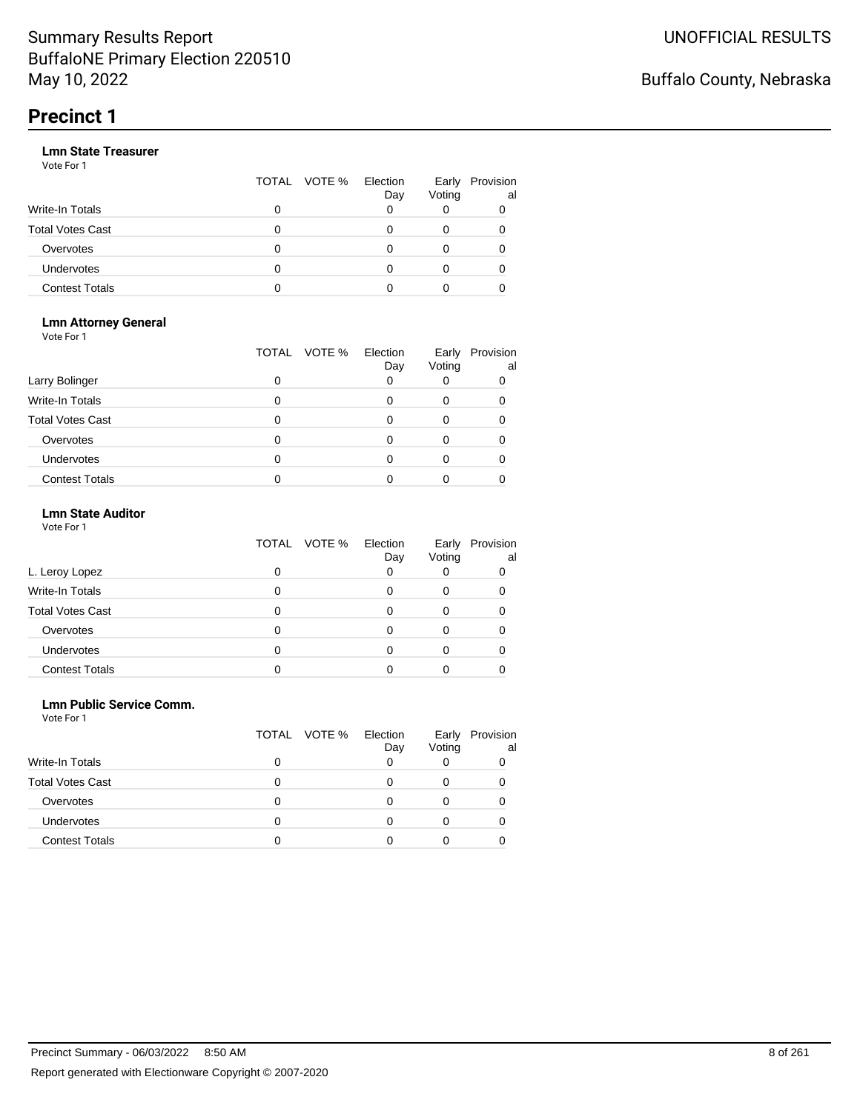|                       |   | TOTAL VOTE % | Election<br>Day | Voting | Early Provision<br>al |
|-----------------------|---|--------------|-----------------|--------|-----------------------|
| Write-In Totals       | 0 |              |                 |        |                       |
| Total Votes Cast      | 0 |              |                 |        |                       |
| Overvotes             | O |              |                 |        |                       |
| Undervotes            | 0 |              |                 |        |                       |
| <b>Contest Totals</b> | o |              |                 |        |                       |

#### **Lmn Attorney General** Vote For 1

|                         | VOTE %<br>TOTAL | Election<br>Day | Early<br>Voting | Provision<br>al |
|-------------------------|-----------------|-----------------|-----------------|-----------------|
| Larry Bolinger          | ი               |                 |                 |                 |
| Write-In Totals         |                 |                 |                 |                 |
| <b>Total Votes Cast</b> | 0               |                 |                 |                 |
| Overvotes               |                 |                 |                 |                 |
| <b>Undervotes</b>       |                 |                 |                 |                 |
| <b>Contest Totals</b>   |                 |                 |                 |                 |

### **Lmn State Auditor**

| Vote For 1 |  |  |
|------------|--|--|
|------------|--|--|

|                         | TOTAL VOTE % | Election<br>Day | Early<br>Voting | Provision<br>al |
|-------------------------|--------------|-----------------|-----------------|-----------------|
| L. Leroy Lopez          |              | 0               |                 |                 |
| Write-In Totals         |              |                 |                 |                 |
| <b>Total Votes Cast</b> |              |                 |                 |                 |
| Overvotes               |              |                 |                 |                 |
| Undervotes              |              |                 |                 |                 |
| <b>Contest Totals</b>   |              |                 |                 |                 |

#### **Lmn Public Service Comm.**

|                         |   | TOTAL VOTE % | Election<br>Day | Early<br>Voting | Provision<br>al |
|-------------------------|---|--------------|-----------------|-----------------|-----------------|
| Write-In Totals         | 0 |              |                 |                 |                 |
| <b>Total Votes Cast</b> |   |              |                 |                 |                 |
| Overvotes               | 0 |              |                 |                 |                 |
| <b>Undervotes</b>       |   |              |                 |                 |                 |
| <b>Contest Totals</b>   |   |              |                 |                 |                 |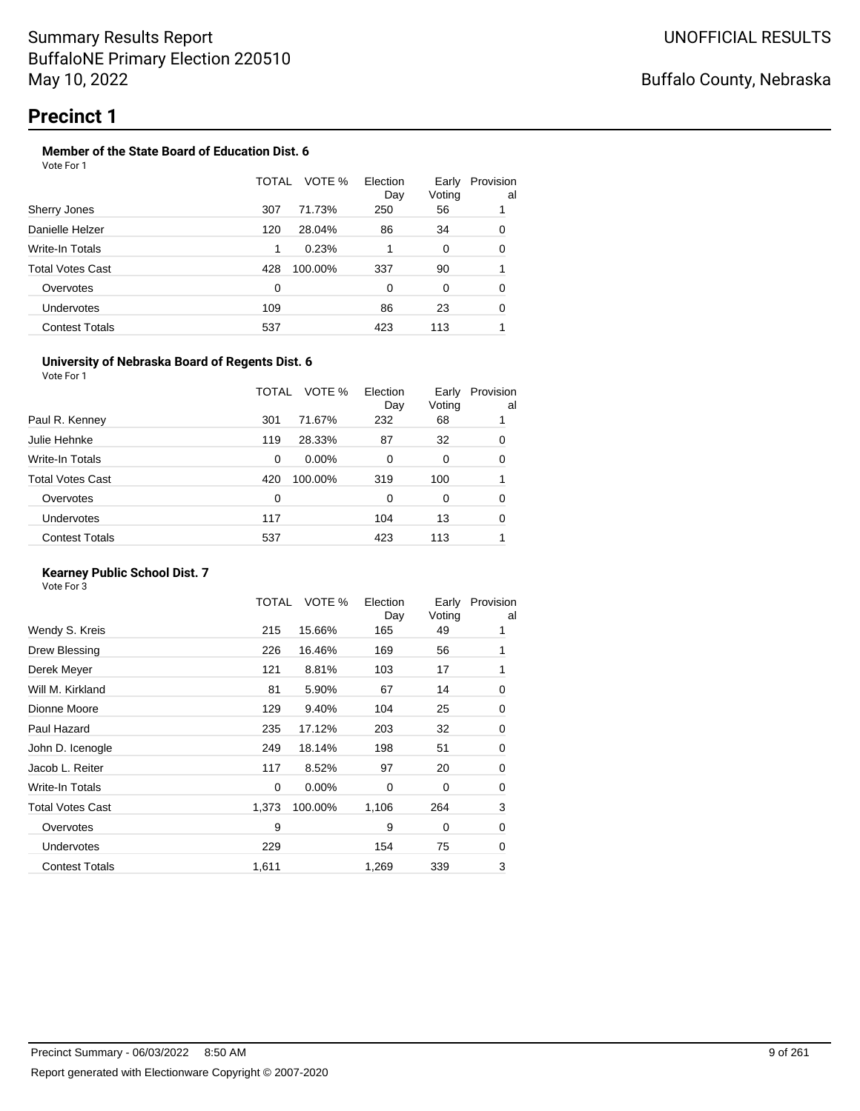#### **Member of the State Board of Education Dist. 6** Vote For 1

|                       | TOTAL | VOTE %<br>Election<br>Day | Early<br>Voting | Provision<br>al |  |
|-----------------------|-------|---------------------------|-----------------|-----------------|--|
| Sherry Jones          | 307   | 71.73%<br>250             | 56              | 1               |  |
| Danielle Helzer       | 120   | 28.04%<br>86              | 34              | 0               |  |
| Write-In Totals       | 1     | 0.23%                     | 0               | 0               |  |
| Total Votes Cast      | 428   | 100.00%<br>337            | 90              | 1               |  |
| Overvotes             | 0     | 0                         | 0               | 0               |  |
| <b>Undervotes</b>     | 109   | 86                        | 23              | 0               |  |
| <b>Contest Totals</b> | 537   | 423                       | 113             |                 |  |

#### **University of Nebraska Board of Regents Dist. 6**

Vote For 1

|                       | TOTAL | VOTE %<br>Election<br>Day | Early<br>Voting | Provision<br>al |
|-----------------------|-------|---------------------------|-----------------|-----------------|
| Paul R. Kenney        | 301   | 232<br>71.67%             | 68              |                 |
| Julie Hehnke          | 119   | 28.33%<br>87              | 32              | 0               |
| Write-In Totals       | 0     | $0.00\%$<br>0             | 0               | 0               |
| Total Votes Cast      | 420   | 100.00%<br>319            | 100             |                 |
| Overvotes             | 0     | $\Omega$                  | 0               | 0               |
| <b>Undervotes</b>     | 117   | 104                       | 13              | 0               |
| <b>Contest Totals</b> | 537   | 423                       | 113             |                 |
|                       |       |                           |                 |                 |

### **Kearney Public School Dist. 7**

|                         | TOTAL | VOTE %   | Election<br>Day | Early<br>Voting | Provision<br>al |
|-------------------------|-------|----------|-----------------|-----------------|-----------------|
| Wendy S. Kreis          | 215   | 15.66%   | 165             | 49              |                 |
| Drew Blessing           | 226   | 16.46%   | 169             | 56              | 1               |
| Derek Meyer             | 121   | 8.81%    | 103             | 17              | 1               |
| Will M. Kirkland        | 81    | 5.90%    | 67              | 14              | 0               |
| Dionne Moore            | 129   | 9.40%    | 104             | 25              | 0               |
| Paul Hazard             | 235   | 17.12%   | 203             | 32              | 0               |
| John D. Icenogle        | 249   | 18.14%   | 198             | 51              | 0               |
| Jacob L. Reiter         | 117   | 8.52%    | 97              | 20              | 0               |
| Write-In Totals         | 0     | $0.00\%$ | $\Omega$        | 0               | 0               |
| <b>Total Votes Cast</b> | 1,373 | 100.00%  | 1,106           | 264             | 3               |
| Overvotes               | 9     |          | 9               | 0               | 0               |
| <b>Undervotes</b>       | 229   |          | 154             | 75              | 0               |
| <b>Contest Totals</b>   | 1,611 |          | 1,269           | 339             | 3               |
|                         |       |          |                 |                 |                 |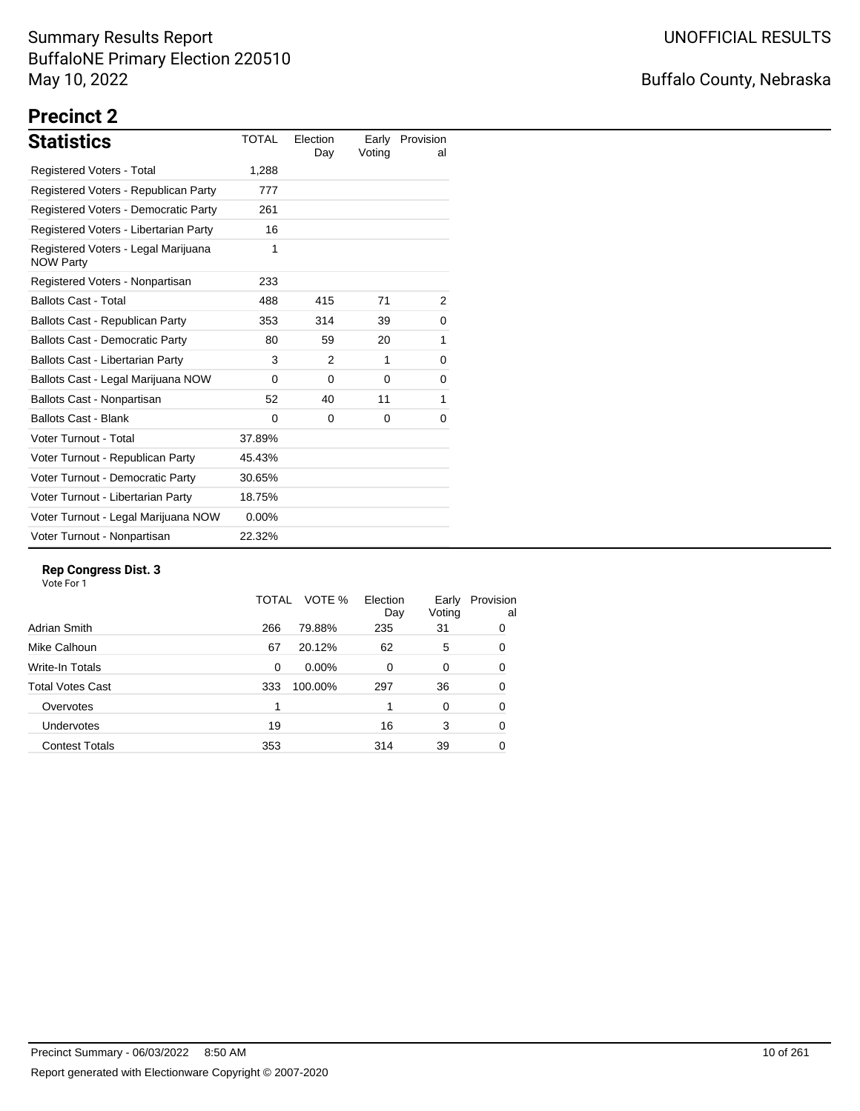# Buffalo County, Nebraska

# **Precinct 2**

| <b>Statistics</b>                                       | <b>TOTAL</b> | Election<br>Day | Early<br>Voting | Provision<br>al |
|---------------------------------------------------------|--------------|-----------------|-----------------|-----------------|
| Registered Voters - Total                               | 1,288        |                 |                 |                 |
| Registered Voters - Republican Party                    | 777          |                 |                 |                 |
| Registered Voters - Democratic Party                    | 261          |                 |                 |                 |
| Registered Voters - Libertarian Party                   | 16           |                 |                 |                 |
| Registered Voters - Legal Marijuana<br><b>NOW Party</b> | 1            |                 |                 |                 |
| Registered Voters - Nonpartisan                         | 233          |                 |                 |                 |
| <b>Ballots Cast - Total</b>                             | 488          | 415             | 71              | 2               |
| Ballots Cast - Republican Party                         | 353          | 314             | 39              | 0               |
| <b>Ballots Cast - Democratic Party</b>                  | 80           | 59              | 20              | 1               |
| Ballots Cast - Libertarian Party                        | 3            | 2               | 1               | 0               |
| Ballots Cast - Legal Marijuana NOW                      | $\Omega$     | $\Omega$        | $\Omega$        | 0               |
| Ballots Cast - Nonpartisan                              | 52           | 40              | 11              | 1               |
| <b>Ballots Cast - Blank</b>                             | $\Omega$     | 0               | 0               | 0               |
| Voter Turnout - Total                                   | 37.89%       |                 |                 |                 |
| Voter Turnout - Republican Party                        | 45.43%       |                 |                 |                 |
| Voter Turnout - Democratic Party                        | 30.65%       |                 |                 |                 |
| Voter Turnout - Libertarian Party                       | 18.75%       |                 |                 |                 |
| Voter Turnout - Legal Marijuana NOW                     | $0.00\%$     |                 |                 |                 |
| Voter Turnout - Nonpartisan                             | 22.32%       |                 |                 |                 |

#### **Rep Congress Dist. 3**

|                       | TOTAL | VOTE %   | Election<br>Day | Early<br>Voting | Provision<br>al |
|-----------------------|-------|----------|-----------------|-----------------|-----------------|
| Adrian Smith          | 266   | 79.88%   | 235             | 31              | 0               |
| Mike Calhoun          | 67    | 20.12%   | 62              | 5               | 0               |
| Write-In Totals       | 0     | $0.00\%$ | $\Omega$        | 0               | 0               |
| Total Votes Cast      | 333   | 100.00%  | 297             | 36              | 0               |
| Overvotes             |       |          |                 | 0               | 0               |
| <b>Undervotes</b>     | 19    |          | 16              | 3               | 0               |
| <b>Contest Totals</b> | 353   |          | 314             | 39              | 0               |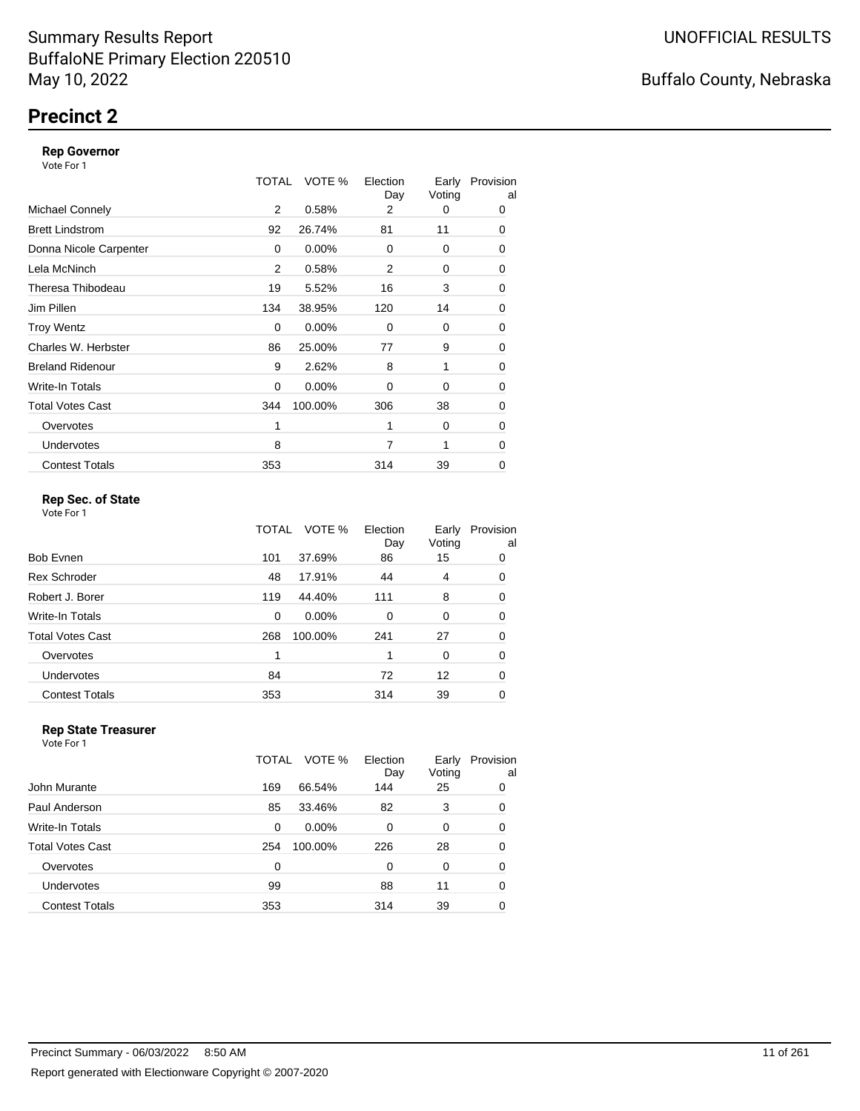# **Precinct 2**

#### **Rep Governor**

Vote For 1

|                         | TOTAL | VOTE %   | Election<br>Day | Early<br>Voting | Provision<br>al |
|-------------------------|-------|----------|-----------------|-----------------|-----------------|
| <b>Michael Connely</b>  | 2     | 0.58%    | 2               | 0               | 0               |
| <b>Brett Lindstrom</b>  | 92    | 26.74%   | 81              | 11              | 0               |
| Donna Nicole Carpenter  | 0     | $0.00\%$ | $\Omega$        | 0               | 0               |
| Lela McNinch            | 2     | 0.58%    | 2               | 0               | 0               |
| Theresa Thibodeau       | 19    | 5.52%    | 16              | 3               | 0               |
| Jim Pillen              | 134   | 38.95%   | 120             | 14              | 0               |
| <b>Troy Wentz</b>       | 0     | 0.00%    | $\Omega$        | 0               | 0               |
| Charles W. Herbster     | 86    | 25.00%   | 77              | 9               | 0               |
| <b>Breland Ridenour</b> | 9     | 2.62%    | 8               | 1               | 0               |
| Write-In Totals         | 0     | $0.00\%$ | 0               | 0               | 0               |
| <b>Total Votes Cast</b> | 344   | 100.00%  | 306             | 38              | 0               |
| Overvotes               | 1     |          | 1               | 0               | 0               |
| <b>Undervotes</b>       | 8     |          | 7               | 1               | 0               |
| <b>Contest Totals</b>   | 353   |          | 314             | 39              | 0               |

### **Rep Sec. of State**

Vote For 1

|                         | TOTAL | VOTE %  | Election<br>Day | Early<br>Voting | Provision<br>al |
|-------------------------|-------|---------|-----------------|-----------------|-----------------|
| <b>Bob Evnen</b>        | 101   | 37.69%  | 86              | 15              | 0               |
| <b>Rex Schroder</b>     | 48    | 17.91%  | 44              | 4               | 0               |
| Robert J. Borer         | 119   | 44.40%  | 111             | 8               | 0               |
| Write-In Totals         | 0     | 0.00%   | $\Omega$        | 0               | 0               |
| <b>Total Votes Cast</b> | 268   | 100.00% | 241             | 27              | 0               |
| Overvotes               | 1     |         |                 | 0               | 0               |
| Undervotes              | 84    |         | 72              | 12              | 0               |
| <b>Contest Totals</b>   | 353   |         | 314             | 39              | 0               |

#### **Rep State Treasurer** Vote For 1

|                       | TOTAL | VOTE %   | Election<br>Day | Early<br>Voting | Provision<br>al |
|-----------------------|-------|----------|-----------------|-----------------|-----------------|
| John Murante          | 169   | 66.54%   | 144             | 25              | 0               |
| Paul Anderson         | 85    | 33.46%   | 82              | 3               | 0               |
| Write-In Totals       | 0     | $0.00\%$ | 0               | 0               | 0               |
| Total Votes Cast      | 254   | 100.00%  | 226             | 28              | 0               |
| Overvotes             | 0     |          | 0               | 0               | 0               |
| <b>Undervotes</b>     | 99    |          | 88              | 11              | 0               |
| <b>Contest Totals</b> | 353   |          | 314             | 39              | 0               |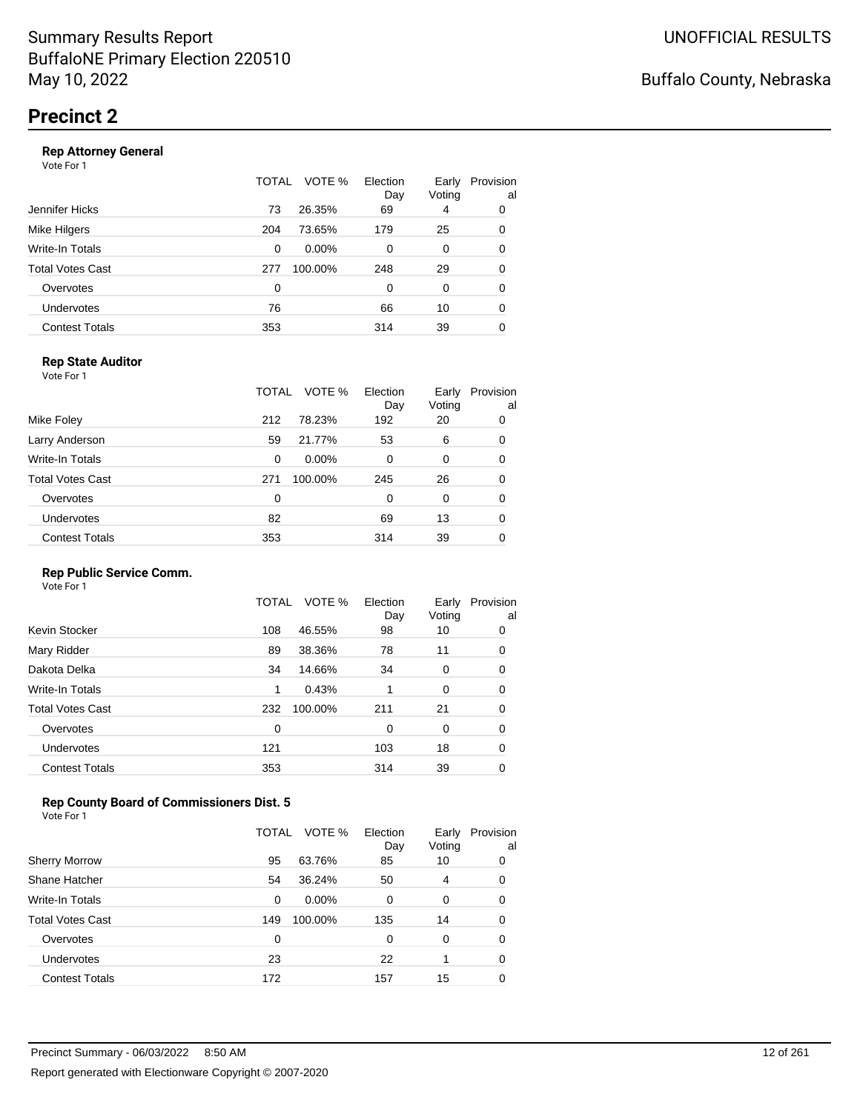#### **Rep Attorney General**

Vote For 1

|                       | VOTE %<br>TOTAL | Election<br>Day | Early<br>Voting | Provision<br>al |
|-----------------------|-----------------|-----------------|-----------------|-----------------|
| Jennifer Hicks        | 26.35%<br>73    | 69              | 4               | 0               |
| Mike Hilgers          | 73.65%<br>204   | 179             | 25              | 0               |
| Write-In Totals       | $0.00\%$<br>0   | 0               | 0               | 0               |
| Total Votes Cast      | 100.00%<br>277  | 248             | 29              | 0               |
| Overvotes             | 0               | $\Omega$        | 0               | 0               |
| <b>Undervotes</b>     | 76              | 66              | 10              | 0               |
| <b>Contest Totals</b> | 353             | 314             | 39              | 0               |
|                       |                 |                 |                 |                 |

### **Rep State Auditor**

Vote For 1

|                       | TOTAL | VOTE %   | Election<br>Day | Early<br>Voting | Provision<br>al |
|-----------------------|-------|----------|-----------------|-----------------|-----------------|
| Mike Foley            | 212   | 78.23%   | 192             | 20              | 0               |
| Larry Anderson        | 59    | 21.77%   | 53              | 6               | 0               |
| Write-In Totals       | 0     | $0.00\%$ | 0               | 0               | 0               |
| Total Votes Cast      | 271   | 100.00%  | 245             | 26              | 0               |
| Overvotes             | 0     |          | 0               | 0               | 0               |
| <b>Undervotes</b>     | 82    |          | 69              | 13              | 0               |
| <b>Contest Totals</b> | 353   |          | 314             | 39              | 0               |

#### **Rep Public Service Comm.**

Vote For 1

|                         | TOTAL | VOTE %  | Election<br>Day | Early<br>Voting | Provision<br>al |
|-------------------------|-------|---------|-----------------|-----------------|-----------------|
| Kevin Stocker           | 108   | 46.55%  | 98              | 10              | 0               |
| Mary Ridder             | 89    | 38.36%  | 78              | 11              | 0               |
| Dakota Delka            | 34    | 14.66%  | 34              | 0               | 0               |
| Write-In Totals         | 1     | 0.43%   | 1               | 0               | 0               |
| <b>Total Votes Cast</b> | 232   | 100.00% | 211             | 21              | 0               |
| Overvotes               | 0     |         | 0               | 0               | 0               |
| <b>Undervotes</b>       | 121   |         | 103             | 18              | 0               |
| <b>Contest Totals</b>   | 353   |         | 314             | 39              | 0               |
|                         |       |         |                 |                 |                 |

### **Rep County Board of Commissioners Dist. 5**

Vote For 1

|                       | TOTAL | VOTE %   | Election<br>Day | Early<br>Voting | Provision<br>al |
|-----------------------|-------|----------|-----------------|-----------------|-----------------|
| <b>Sherry Morrow</b>  | 95    | 63.76%   | 85              | 10              | 0               |
| Shane Hatcher         | 54    | 36.24%   | 50              | 4               | 0               |
| Write-In Totals       | 0     | $0.00\%$ | 0               | 0               | 0               |
| Total Votes Cast      | 149   | 100.00%  | 135             | 14              | 0               |
| Overvotes             | 0     |          | 0               | 0               | 0               |
| <b>Undervotes</b>     | 23    |          | 22              |                 | 0               |
| <b>Contest Totals</b> | 172   |          | 157             | 15              |                 |

### Buffalo County, Nebraska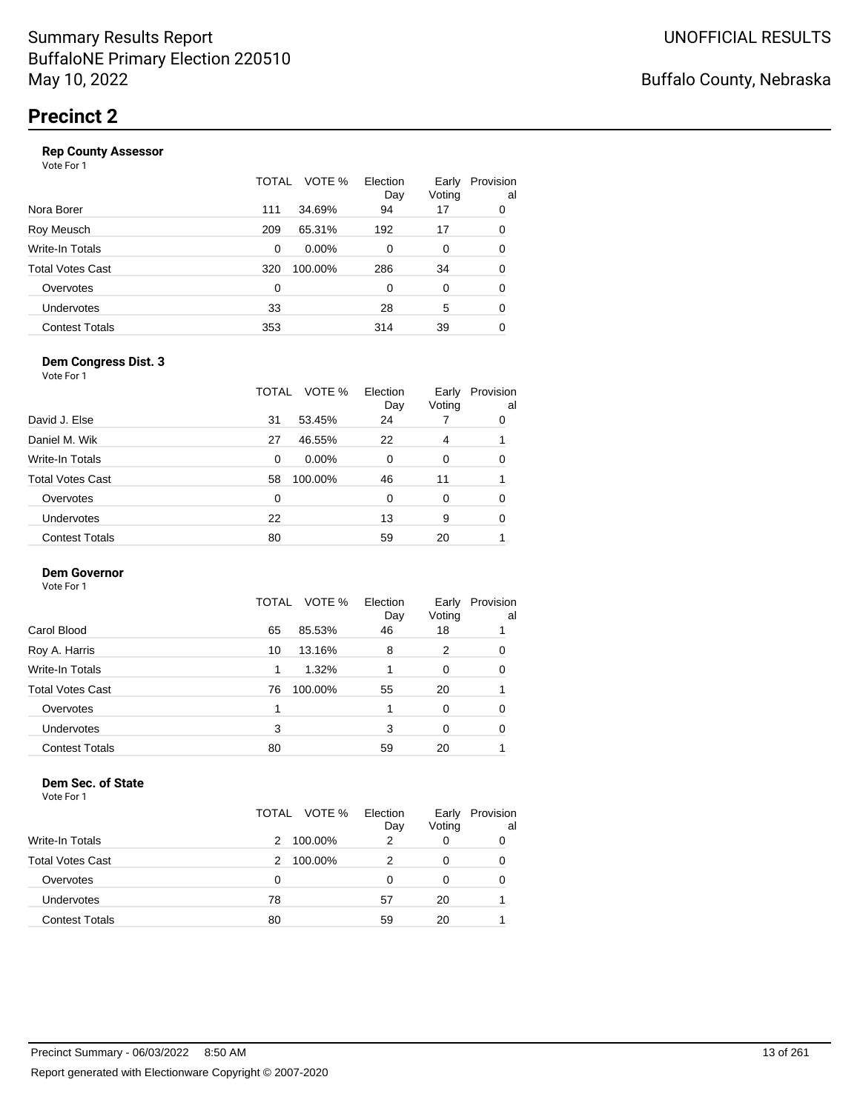|                       | TOTAL | VOTE %   | Election<br>Day | Early<br>Voting | Provision<br>al |
|-----------------------|-------|----------|-----------------|-----------------|-----------------|
| Nora Borer            | 111   | 34.69%   | 94              | 17              | 0               |
| Roy Meusch            | 209   | 65.31%   | 192             | 17              | 0               |
| Write-In Totals       | 0     | $0.00\%$ | 0               | 0               | 0               |
| Total Votes Cast      | 320   | 100.00%  | 286             | 34              | 0               |
| Overvotes             | 0     |          | 0               | 0               | 0               |
| Undervotes            | 33    |          | 28              | 5               | 0               |
| <b>Contest Totals</b> | 353   |          | 314             | 39              | 0               |
|                       |       |          |                 |                 |                 |

#### **Dem Congress Dist. 3**

Vote For 1

|                       | TOTAL         | VOTE %<br>Election<br>Day | Early<br>Voting | Provision<br>al |
|-----------------------|---------------|---------------------------|-----------------|-----------------|
| David J. Else         | 53.45%<br>31  | 24                        |                 | 0               |
| Daniel M. Wik         | 46.55%<br>27  | 22                        | 4               |                 |
| Write-In Totals       | 0             | $0.00\%$<br>0             | 0               | 0               |
| Total Votes Cast      | 100.00%<br>58 | 46                        | 11              |                 |
| Overvotes             | 0             | 0                         | 0               | 0               |
| Undervotes            | 22            | 13                        | 9               | 0               |
| <b>Contest Totals</b> | 80            | 59                        | 20              |                 |
|                       |               |                           |                 |                 |

### **Dem Governor**

Vote For 1

|                       | TOTAL VOTE %  | Election<br>Day | Early<br>Voting | Provision<br>al |
|-----------------------|---------------|-----------------|-----------------|-----------------|
| Carol Blood           | 85.53%<br>65  | 46              | 18              |                 |
| Roy A. Harris         | 13.16%<br>10  | 8               | 2               | 0               |
| Write-In Totals       | 1.32%         |                 | 0               | 0               |
| Total Votes Cast      | 100.00%<br>76 | 55              | 20              |                 |
| Overvotes             |               | 1               | 0               | 0               |
| <b>Undervotes</b>     | 3             | 3               | 0               | 0               |
| <b>Contest Totals</b> | 80            | 59              | 20              |                 |

#### **Dem Sec. of State**

|                         | TOTAL VOTE % | Election<br>Day | Early<br>Voting | Provision<br>al |
|-------------------------|--------------|-----------------|-----------------|-----------------|
| <b>Write-In Totals</b>  | 100.00%<br>2 | 2               |                 | 0               |
| <b>Total Votes Cast</b> | 100.00%<br>2 |                 |                 | 0               |
| Overvotes               | 0            | O               |                 | 0               |
| Undervotes              | 78           | 57              | 20              |                 |
| <b>Contest Totals</b>   | 80           | 59              | 20              |                 |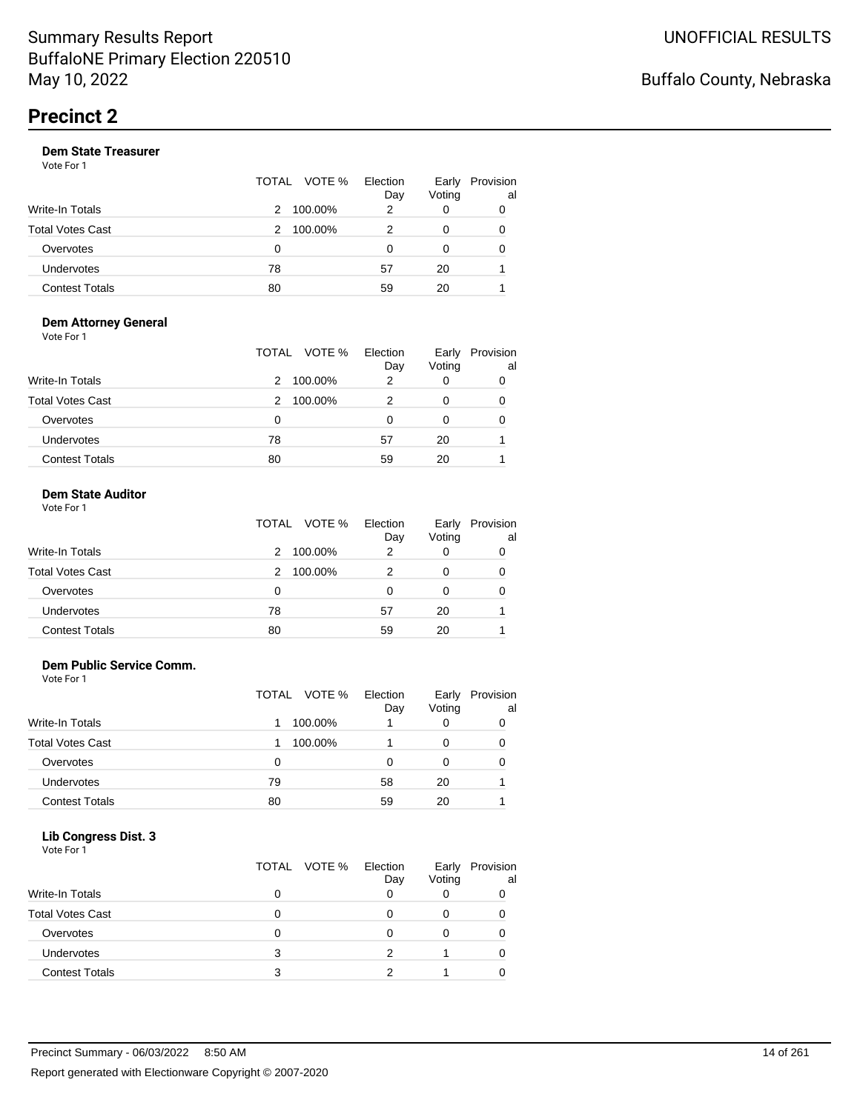|                       |    | TOTAL VOTE % | Election<br>Day | Early<br>Voting | Provision<br>al |
|-----------------------|----|--------------|-----------------|-----------------|-----------------|
| Write-In Totals       | 2  | 100.00%      | 2               |                 | 0               |
| Total Votes Cast      | 2  | 100.00%      | 2               | 0               | 0               |
| Overvotes             | 0  |              | O               | 0               | 0               |
| Undervotes            | 78 |              | 57              | 20              |                 |
| <b>Contest Totals</b> | 80 |              | 59              | 20              |                 |

#### **Dem Attorney General** Vote For 1

|                         | VOTE %<br>TOTAL | Election<br>Day | Early<br>Voting | Provision<br>al |
|-------------------------|-----------------|-----------------|-----------------|-----------------|
| <b>Write-In Totals</b>  | 100.00%<br>2    | 2               |                 |                 |
| <b>Total Votes Cast</b> | 100.00%<br>2    | 2               |                 |                 |
| Overvotes               | 0               | 0               | 0               |                 |
| Undervotes              | 78              | 57              | 20              |                 |
| <b>Contest Totals</b>   | 80              | 59              | 20              |                 |

#### **Dem State Auditor** Vote For 1

| VULE FUI I              |   | TOTAL VOTE % Election | Dav | Votina | Early Provisi |
|-------------------------|---|-----------------------|-----|--------|---------------|
| Write-In Totals         | 2 | 100.00%               |     |        |               |
| <b>Total Votes Cast</b> |   | 2 100.00%             |     |        |               |
|                         |   |                       |     |        |               |

| .                     | .  | -- | .  | . . |
|-----------------------|----|----|----|-----|
| Overvotes             |    |    |    |     |
| Undervotes            | 78 | 57 | 20 |     |
| <b>Contest Totals</b> | 80 | 59 | 20 |     |
|                       |    |    |    |     |

Early Provision

al

### **Dem Public Service Comm.**

Vote For 1

|                         |    | TOTAL VOTE % | Election<br>Day | Early<br>Voting | Provision<br>al |
|-------------------------|----|--------------|-----------------|-----------------|-----------------|
| Write-In Totals         |    | 100.00%      |                 | 0               |                 |
| <b>Total Votes Cast</b> |    | 100.00%      |                 | 0               | 0               |
| Overvotes               | 0  |              | 0               | 0               |                 |
| Undervotes              | 79 |              | 58              | 20              |                 |
| <b>Contest Totals</b>   | 80 |              | 59              | 20              |                 |

#### **Lib Congress Dist. 3** Vote For 1

| <u>vuurivii</u>         |              |          |        |           |
|-------------------------|--------------|----------|--------|-----------|
|                         | TOTAL VOTE % | Election | Early  | Provision |
|                         |              | Day      | Voting | al        |
| <b>Write-In Totals</b>  |              |          |        |           |
| <b>Total Votes Cast</b> |              |          |        |           |
| Overvotes               |              |          |        |           |
| Undervotes              | 3            | っ        |        |           |
| <b>Contest Totals</b>   |              |          |        |           |
|                         |              |          |        |           |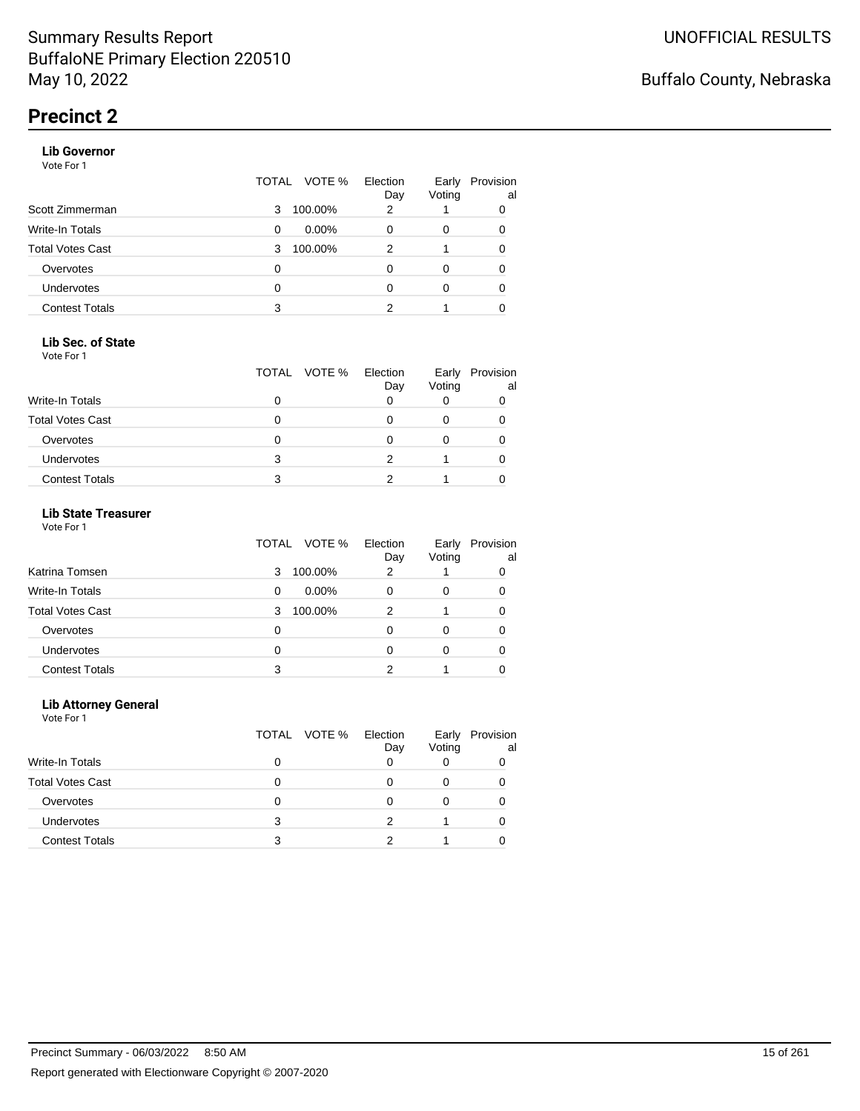#### **Lib Governor**

Vote For 1

|                       | TOTAL | VOTE %   | Election<br>Day | Early<br>Voting | Provision<br>al |
|-----------------------|-------|----------|-----------------|-----------------|-----------------|
| Scott Zimmerman       | 3     | 100.00%  | 2               |                 | 0               |
| Write-In Totals       | 0     | $0.00\%$ | 0               | 0               | 0               |
| Total Votes Cast      | 3     | 100.00%  | 2               |                 | 0               |
| Overvotes             | 0     |          | 0               | 0               | 0               |
| <b>Undervotes</b>     | 0     |          | O               | 0               | 0               |
| <b>Contest Totals</b> | 3     |          | 2               |                 | 0               |

#### **Lib Sec. of State**

Vote For 1

|                         |   | TOTAL VOTE % | Election<br>Day | Early<br>Voting | Provision<br>al |
|-------------------------|---|--------------|-----------------|-----------------|-----------------|
| Write-In Totals         |   |              |                 |                 |                 |
| <b>Total Votes Cast</b> |   |              |                 |                 |                 |
| Overvotes               |   |              |                 |                 |                 |
| <b>Undervotes</b>       | 3 |              |                 |                 |                 |
| <b>Contest Totals</b>   | 3 |              |                 |                 |                 |

### **Lib State Treasurer**

Vote For 1

|                         | VOTE %<br>TOTAL | Election<br>Day | Early<br>Voting | Provision<br>al |
|-------------------------|-----------------|-----------------|-----------------|-----------------|
| Katrina Tomsen          | 100.00%<br>3    | 2               |                 | 0               |
| <b>Write-In Totals</b>  | $0.00\%$<br>0   |                 | 0               |                 |
| <b>Total Votes Cast</b> | 100.00%<br>3    | 2               |                 | 0               |
| Overvotes               | 0               |                 |                 | 0               |
| Undervotes              | 0               |                 | 0               |                 |
| <b>Contest Totals</b>   | 3               |                 |                 |                 |

#### **Lib Attorney General**

|                         |   | TOTAL VOTE % | Election<br>Day | Early<br>Voting | Provision<br>al |
|-------------------------|---|--------------|-----------------|-----------------|-----------------|
| Write-In Totals         | 0 |              |                 |                 |                 |
| <b>Total Votes Cast</b> |   |              |                 | 0               |                 |
| Overvotes               | Ω |              | O               |                 |                 |
| <b>Undervotes</b>       | 3 |              |                 |                 |                 |
| <b>Contest Totals</b>   | з |              |                 |                 |                 |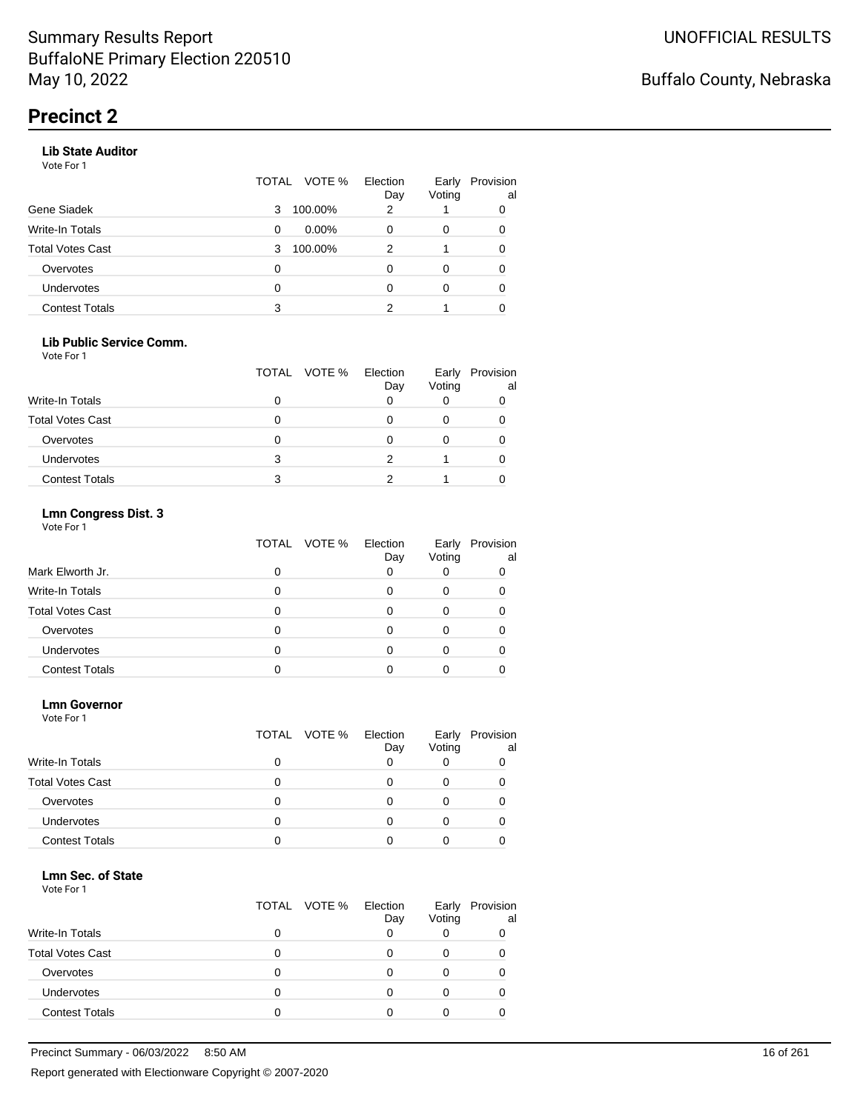#### **Lib State Auditor**

Vote For 1

|                       | VOTE %<br>TOTAL | Election<br>Day | Early<br>Voting | Provision<br>al |
|-----------------------|-----------------|-----------------|-----------------|-----------------|
| Gene Siadek           | 100.00%<br>3    | 2               |                 | 0               |
| Write-In Totals       | $0.00\%$<br>0   | O               | 0               | 0               |
| Total Votes Cast      | 100.00%<br>3    | 2               |                 |                 |
| Overvotes             | 0               |                 | 0               |                 |
| <b>Undervotes</b>     | 0               | O               | 0               | 0               |
| <b>Contest Totals</b> | 3               |                 |                 |                 |
|                       |                 |                 |                 |                 |

#### **Lib Public Service Comm.**

Vote For 1

|                         |   | TOTAL VOTE % | Election<br>Day | Early<br>Voting | Provision<br>al |
|-------------------------|---|--------------|-----------------|-----------------|-----------------|
| Write-In Totals         |   |              |                 |                 |                 |
| <b>Total Votes Cast</b> |   |              |                 |                 |                 |
| Overvotes               |   |              |                 |                 |                 |
| <b>Undervotes</b>       | 3 |              |                 |                 |                 |
| <b>Contest Totals</b>   | 3 |              |                 |                 |                 |

### **Lmn Congress Dist. 3**

Vote For 1

|                         | VOTE %<br>TOTAL | Election<br>Day | Early<br>Voting | Provision<br>al |
|-------------------------|-----------------|-----------------|-----------------|-----------------|
| Mark Elworth Jr.        | 0               |                 |                 |                 |
| Write-In Totals         |                 |                 |                 |                 |
| <b>Total Votes Cast</b> |                 |                 |                 |                 |
| Overvotes               |                 |                 |                 |                 |
| Undervotes              |                 |                 |                 |                 |
| <b>Contest Totals</b>   |                 |                 |                 |                 |

#### **Lmn Governor**

Vote For 1

|                         | TOTAL VOTE % | Election<br>Day | Early<br>Voting | Provision<br>al |
|-------------------------|--------------|-----------------|-----------------|-----------------|
| <b>Write-In Totals</b>  | 0            | Ω               | O               |                 |
| <b>Total Votes Cast</b> | 0            | $\mathbf{0}$    | 0               |                 |
| Overvotes               |              |                 |                 |                 |
| Undervotes              |              |                 |                 |                 |
| <b>Contest Totals</b>   |              |                 |                 |                 |

#### **Lmn Sec. of State**

|                         | TOTAL VOTE % Election | Day | Early<br>Voting | Provision<br>al |
|-------------------------|-----------------------|-----|-----------------|-----------------|
| <b>Write-In Totals</b>  |                       |     |                 |                 |
| <b>Total Votes Cast</b> |                       |     |                 |                 |
| Overvotes               |                       |     |                 |                 |
| <b>Undervotes</b>       |                       |     |                 |                 |
| <b>Contest Totals</b>   |                       |     |                 |                 |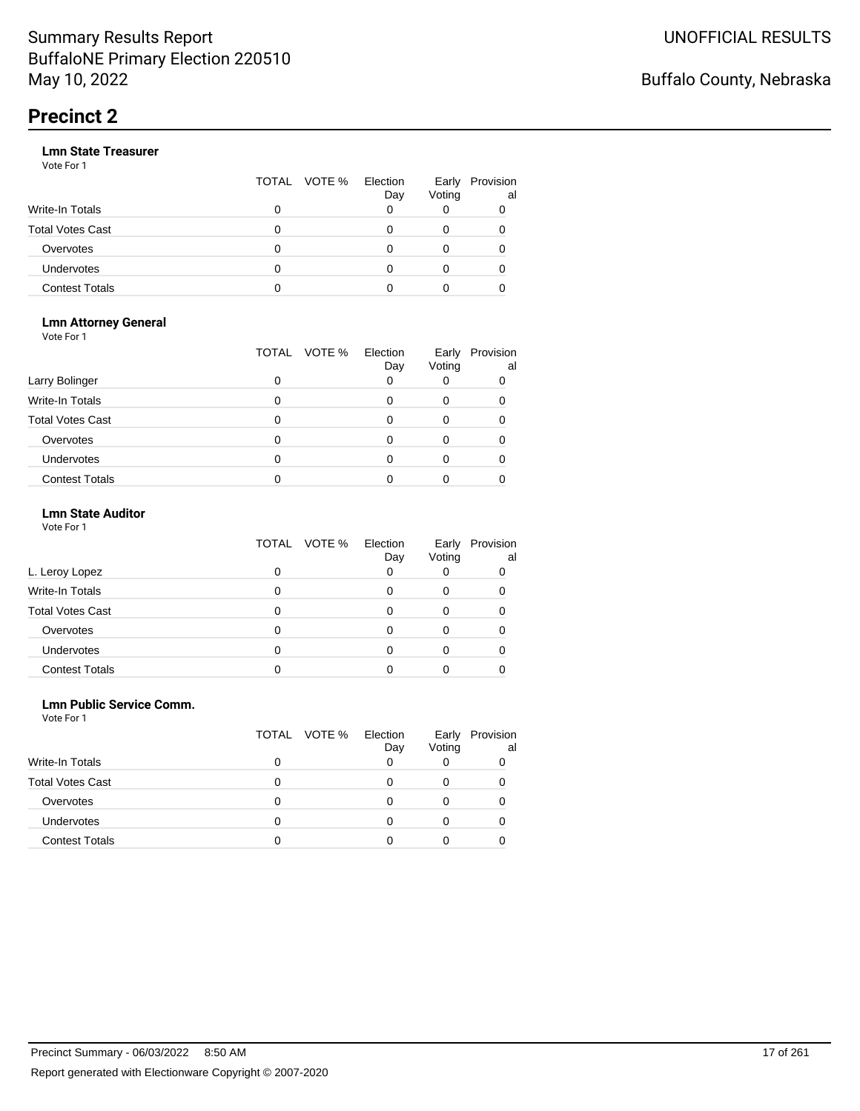|                       |   | TOTAL VOTE % | Election<br>Day | Early<br>Voting | Provision<br>al |
|-----------------------|---|--------------|-----------------|-----------------|-----------------|
| Write-In Totals       | 0 |              |                 |                 |                 |
| Total Votes Cast      | O |              |                 |                 |                 |
| Overvotes             | 0 |              |                 |                 |                 |
| Undervotes            | 0 |              |                 |                 |                 |
| <b>Contest Totals</b> |   |              |                 |                 |                 |

#### **Lmn Attorney General** Vote For 1

|                         | VOTE %<br>TOTAL | Election<br>Day | Early<br>Voting | Provision<br>al |
|-------------------------|-----------------|-----------------|-----------------|-----------------|
| Larry Bolinger          | 0               |                 |                 |                 |
| Write-In Totals         | 0               |                 |                 |                 |
| <b>Total Votes Cast</b> | 0               |                 |                 |                 |
| Overvotes               | 0               |                 |                 |                 |
| <b>Undervotes</b>       | 0               |                 |                 |                 |
| <b>Contest Totals</b>   |                 |                 |                 |                 |

### **Lmn State Auditor**

| Vote For 1 |  |  |
|------------|--|--|
|------------|--|--|

|                         | VOTE %<br>TOTAL | Election<br>Day | Early<br>Voting | Provision<br>al |
|-------------------------|-----------------|-----------------|-----------------|-----------------|
| L. Leroy Lopez          | 0               | 0               |                 |                 |
| Write-In Totals         |                 |                 | O               |                 |
| <b>Total Votes Cast</b> |                 |                 |                 |                 |
| Overvotes               |                 |                 |                 |                 |
| Undervotes              |                 |                 |                 |                 |
| <b>Contest Totals</b>   |                 |                 |                 |                 |

#### **Lmn Public Service Comm.**

| Vote For 1 |
|------------|
|------------|

|                         |   | TOTAL VOTE % | Election<br>Day | Early<br>Voting | Provision<br>al |
|-------------------------|---|--------------|-----------------|-----------------|-----------------|
| Write-In Totals         |   |              |                 |                 |                 |
| <b>Total Votes Cast</b> |   |              |                 | 0               |                 |
| Overvotes               | Ω |              | O               |                 |                 |
| <b>Undervotes</b>       |   |              |                 |                 |                 |
| <b>Contest Totals</b>   |   |              |                 |                 |                 |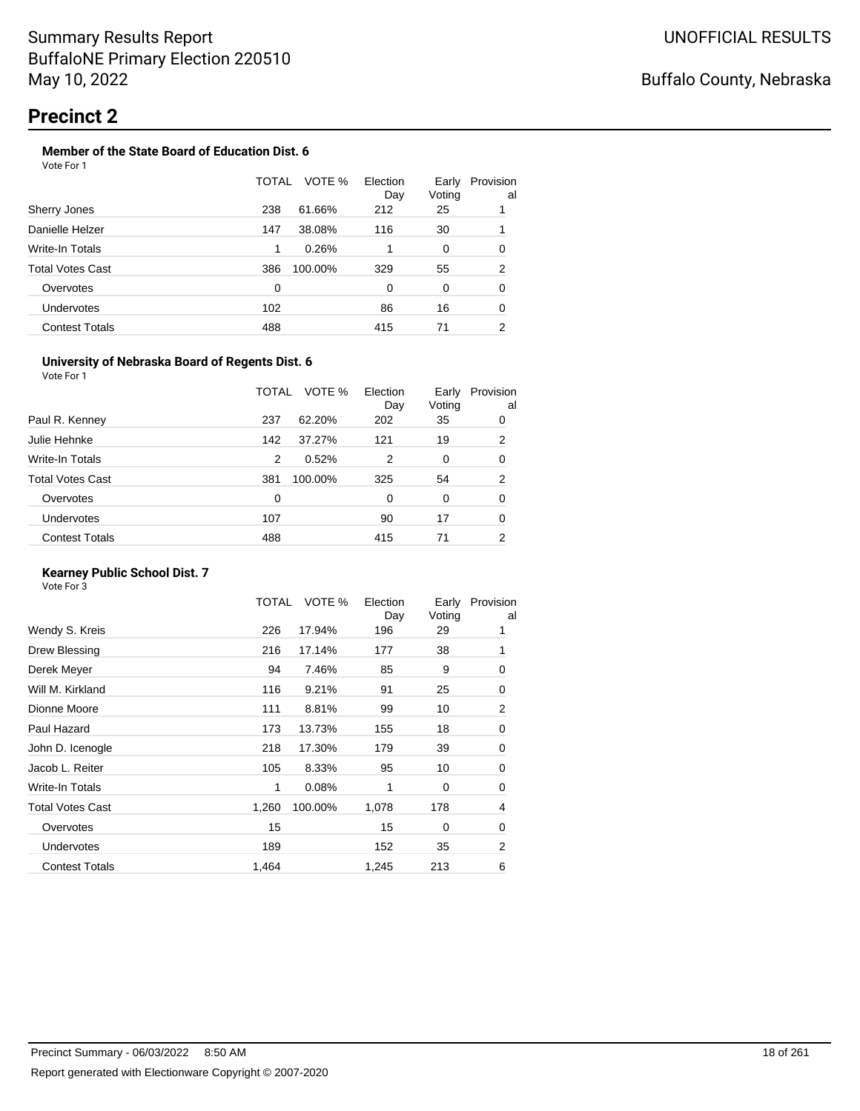#### **Member of the State Board of Education Dist. 6** Vote For 1

|                       | TOTAL | VOTE %  | Election<br>Day | Early<br>Voting | Provision<br>al |
|-----------------------|-------|---------|-----------------|-----------------|-----------------|
| Sherry Jones          | 238   | 61.66%  | 212             | 25              | 1               |
| Danielle Helzer       | 147   | 38.08%  | 116             | 30              | 1               |
| Write-In Totals       | 1     | 0.26%   |                 | 0               | 0               |
| Total Votes Cast      | 386   | 100.00% | 329             | 55              | $\overline{2}$  |
| Overvotes             | 0     |         | 0               | 0               | 0               |
| <b>Undervotes</b>     | 102   |         | 86              | 16              | 0               |
| <b>Contest Totals</b> | 488   |         | 415             | 71              | 2               |

#### **University of Nebraska Board of Regents Dist. 6**

Vote For 1

|                       | TOTAL | VOTE %  | Election<br>Day | Early<br>Voting | Provision<br>al |
|-----------------------|-------|---------|-----------------|-----------------|-----------------|
| Paul R. Kenney        | 237   | 62.20%  | 202             | 35              | 0               |
| Julie Hehnke          | 142   | 37.27%  | 121             | 19              | 2               |
| Write-In Totals       | 2     | 0.52%   | 2               | 0               | 0               |
| Total Votes Cast      | 381   | 100.00% | 325             | 54              | 2               |
| Overvotes             | 0     |         | 0               | $\Omega$        | 0               |
| <b>Undervotes</b>     | 107   |         | 90              | 17              | 0               |
| <b>Contest Totals</b> | 488   |         | 415             | 71              | 2               |
|                       |       |         |                 |                 |                 |

### **Kearney Public School Dist. 7**

|                         | TOTAL | VOTE %  | Election<br>Day | Early<br>Voting | Provision<br>al |
|-------------------------|-------|---------|-----------------|-----------------|-----------------|
| Wendy S. Kreis          | 226   | 17.94%  | 196             | 29              | 1               |
| Drew Blessing           | 216   | 17.14%  | 177             | 38              | 1               |
| Derek Meyer             | 94    | 7.46%   | 85              | 9               | 0               |
| Will M. Kirkland        | 116   | 9.21%   | 91              | 25              | 0               |
| Dionne Moore            | 111   | 8.81%   | 99              | 10              | 2               |
| Paul Hazard             | 173   | 13.73%  | 155             | 18              | 0               |
| John D. Icenogle        | 218   | 17.30%  | 179             | 39              | 0               |
| Jacob L. Reiter         | 105   | 8.33%   | 95              | 10              | 0               |
| Write-In Totals         | 1     | 0.08%   | 1               | 0               | 0               |
| <b>Total Votes Cast</b> | 1,260 | 100.00% | 1,078           | 178             | 4               |
| Overvotes               | 15    |         | 15              | 0               | 0               |
| <b>Undervotes</b>       | 189   |         | 152             | 35              | 2               |
| <b>Contest Totals</b>   | 1,464 |         | 1,245           | 213             | 6               |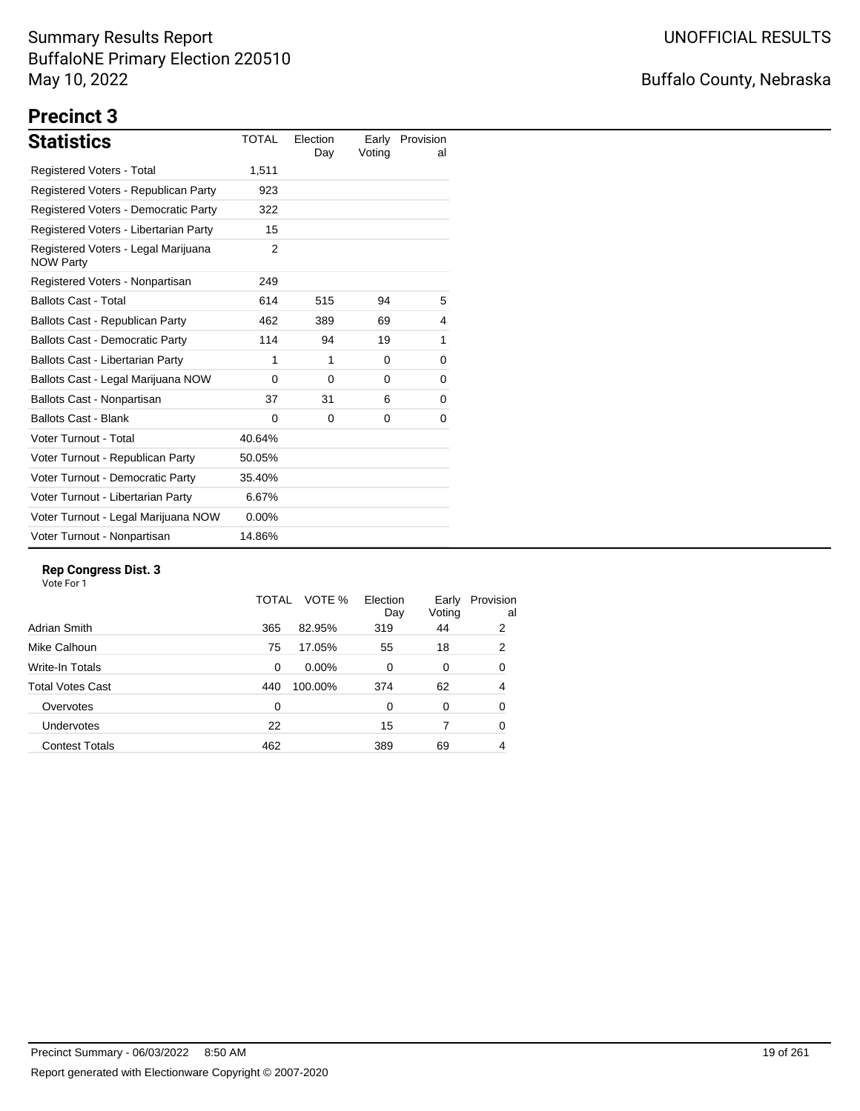# Buffalo County, Nebraska

# **Precinct 3**

| <b>Statistics</b>                                       | TOTAL    | Election<br>Day | Early<br>Voting | Provision<br>al |
|---------------------------------------------------------|----------|-----------------|-----------------|-----------------|
| Registered Voters - Total                               | 1,511    |                 |                 |                 |
| Registered Voters - Republican Party                    | 923      |                 |                 |                 |
| Registered Voters - Democratic Party                    | 322      |                 |                 |                 |
| Registered Voters - Libertarian Party                   | 15       |                 |                 |                 |
| Registered Voters - Legal Marijuana<br><b>NOW Party</b> | 2        |                 |                 |                 |
| Registered Voters - Nonpartisan                         | 249      |                 |                 |                 |
| <b>Ballots Cast - Total</b>                             | 614      | 515             | 94              | 5               |
| Ballots Cast - Republican Party                         | 462      | 389             | 69              | 4               |
| <b>Ballots Cast - Democratic Party</b>                  | 114      | 94              | 19              | 1               |
| Ballots Cast - Libertarian Party                        | 1        | 1               | 0               | 0               |
| Ballots Cast - Legal Marijuana NOW                      | 0        | $\Omega$        | 0               | 0               |
| Ballots Cast - Nonpartisan                              | 37       | 31              | 6               | 0               |
| <b>Ballots Cast - Blank</b>                             | $\Omega$ | $\Omega$        | 0               | 0               |
| Voter Turnout - Total                                   | 40.64%   |                 |                 |                 |
| Voter Turnout - Republican Party                        | 50.05%   |                 |                 |                 |
| Voter Turnout - Democratic Party                        | 35.40%   |                 |                 |                 |
| Voter Turnout - Libertarian Party                       | 6.67%    |                 |                 |                 |
| Voter Turnout - Legal Marijuana NOW                     | $0.00\%$ |                 |                 |                 |
| Voter Turnout - Nonpartisan                             | 14.86%   |                 |                 |                 |

#### **Rep Congress Dist. 3**

|                         | TOTAL | VOTE %   | Election<br>Day | Early<br>Voting | Provision<br>al |
|-------------------------|-------|----------|-----------------|-----------------|-----------------|
| Adrian Smith            | 365   | 82.95%   | 319             | 44              | 2               |
| Mike Calhoun            | 75    | 17.05%   | 55              | 18              | 2               |
| Write-In Totals         | 0     | $0.00\%$ | 0               | 0               | 0               |
| <b>Total Votes Cast</b> | 440   | 100.00%  | 374             | 62              | 4               |
| Overvotes               | 0     |          | 0               | 0               | 0               |
| Undervotes              | 22    |          | 15              | 7               | 0               |
| <b>Contest Totals</b>   | 462   |          | 389             | 69              | 4               |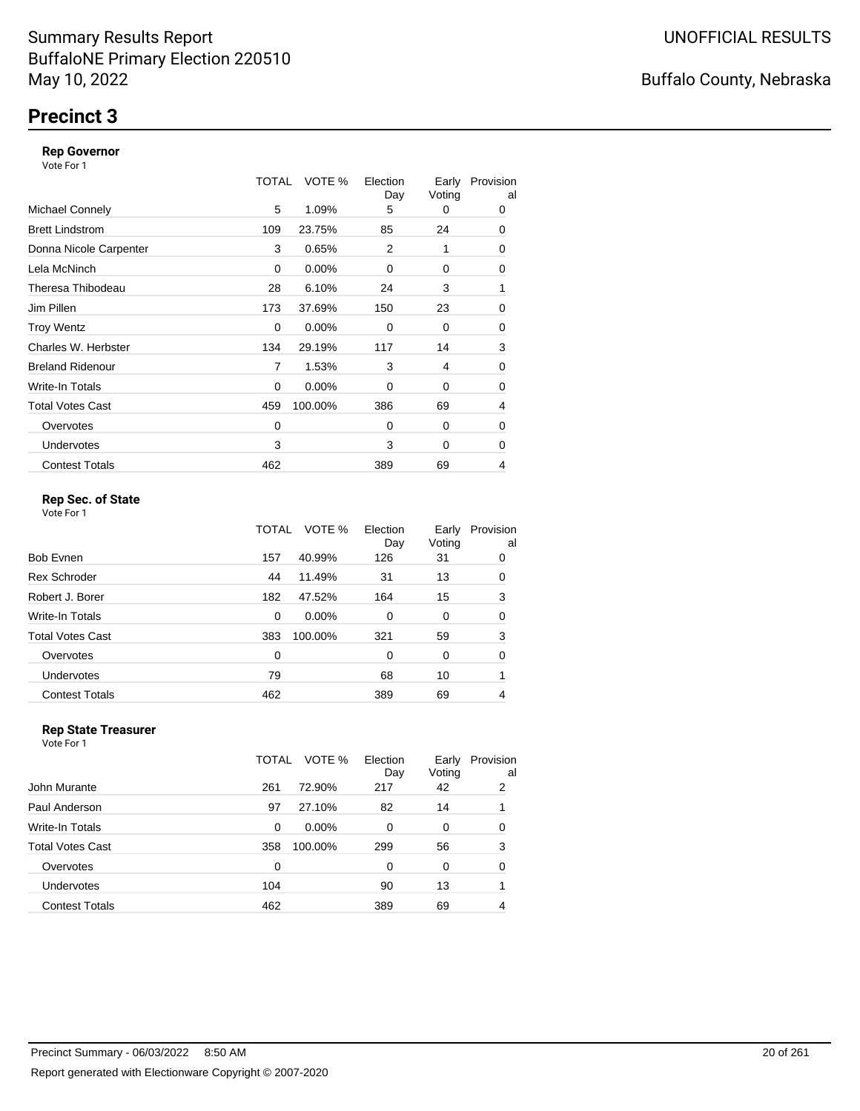# **Precinct 3**

#### **Rep Governor**

Vote For 1

|                         | TOTAL | VOTE %   | Election<br>Day | Early<br>Voting | Provision<br>al |
|-------------------------|-------|----------|-----------------|-----------------|-----------------|
| <b>Michael Connely</b>  | 5     | 1.09%    | 5               | 0               | 0               |
| <b>Brett Lindstrom</b>  | 109   | 23.75%   | 85              | 24              | 0               |
| Donna Nicole Carpenter  | 3     | 0.65%    | 2               | 1               | 0               |
| Lela McNinch            | 0     | $0.00\%$ | 0               | 0               | 0               |
| Theresa Thibodeau       | 28    | 6.10%    | 24              | 3               | 1               |
| Jim Pillen              | 173   | 37.69%   | 150             | 23              | 0               |
| <b>Troy Wentz</b>       | 0     | 0.00%    | $\Omega$        | 0               | 0               |
| Charles W. Herbster     | 134   | 29.19%   | 117             | 14              | 3               |
| <b>Breland Ridenour</b> | 7     | 1.53%    | 3               | 4               | 0               |
| Write-In Totals         | 0     | $0.00\%$ | 0               | 0               | 0               |
| <b>Total Votes Cast</b> | 459   | 100.00%  | 386             | 69              | 4               |
| Overvotes               | 0     |          | $\Omega$        | 0               | 0               |
| <b>Undervotes</b>       | 3     |          | 3               | 0               | 0               |
| <b>Contest Totals</b>   | 462   |          | 389             | 69              | 4               |

### **Rep Sec. of State**

Vote For 1

|                       | TOTAL | VOTE %   | Election<br>Day | Early<br>Voting | Provision<br>al |
|-----------------------|-------|----------|-----------------|-----------------|-----------------|
| Bob Evnen             | 157   | 40.99%   | 126             | 31              | 0               |
| <b>Rex Schroder</b>   | 44    | 11.49%   | 31              | 13              | 0               |
| Robert J. Borer       | 182   | 47.52%   | 164             | 15              | 3               |
| Write-In Totals       | 0     | $0.00\%$ | $\Omega$        | 0               | 0               |
| Total Votes Cast      | 383   | 100.00%  | 321             | 59              | 3               |
| Overvotes             | 0     |          | $\Omega$        | 0               | 0               |
| Undervotes            | 79    |          | 68              | 10              | 1               |
| <b>Contest Totals</b> | 462   |          | 389             | 69              | 4               |

#### **Rep State Treasurer** Vote For 1

|                       | TOTAL    | VOTE %   | Election<br>Day | Early<br>Voting | Provision<br>al |
|-----------------------|----------|----------|-----------------|-----------------|-----------------|
| John Murante          | 261      | 72.90%   | 217             | 42              | 2               |
| Paul Anderson         | 97       | 27.10%   | 82              | 14              |                 |
| Write-In Totals       | $\Omega$ | $0.00\%$ | 0               | 0               | 0               |
| Total Votes Cast      | 358      | 100.00%  | 299             | 56              | 3               |
| Overvotes             | 0        |          | $\Omega$        | 0               | 0               |
| <b>Undervotes</b>     | 104      |          | 90              | 13              |                 |
| <b>Contest Totals</b> | 462      |          | 389             | 69              |                 |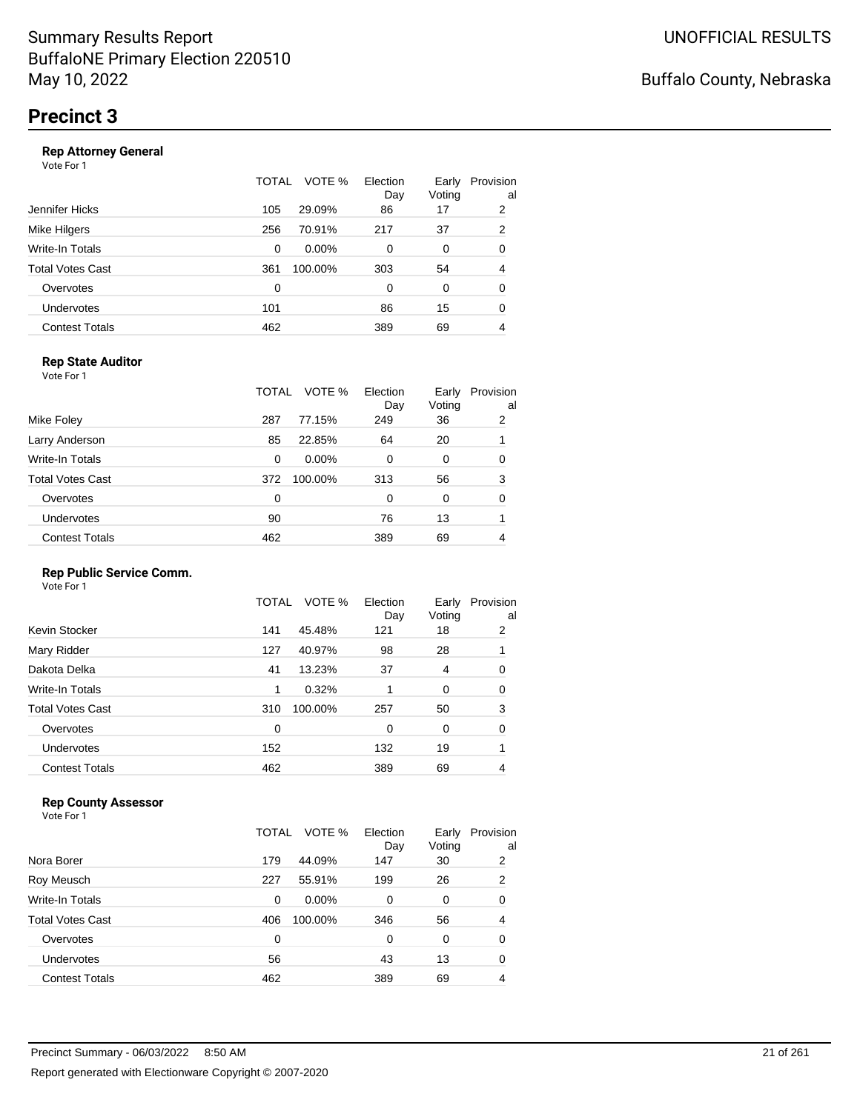|                       | TOTAL | VOTE %<br>Election | Early<br>Voting<br>Day | Provision<br>al |
|-----------------------|-------|--------------------|------------------------|-----------------|
| Jennifer Hicks        | 105   | 29.09%             | 86<br>17               | 2               |
| Mike Hilgers          | 256   | 70.91%<br>217      | 37                     | 2               |
| Write-In Totals       | 0     | $0.00\%$           | 0<br>0                 | 0               |
| Total Votes Cast      | 361   | 100.00%<br>303     | 54                     | 4               |
| Overvotes             | 0     |                    | 0<br>0                 | 0               |
| Undervotes            | 101   |                    | 86<br>15               | 0               |
| <b>Contest Totals</b> | 462   | 389                | 69                     | 4               |
|                       |       |                    |                        |                 |

### **Rep State Auditor**

Vote For 1

|                         | TOTAL | VOTE %   | Election<br>Day | Early<br>Voting | Provision<br>al |
|-------------------------|-------|----------|-----------------|-----------------|-----------------|
| Mike Foley              | 287   | 77.15%   | 249             | 36              | 2               |
| Larry Anderson          | 85    | 22.85%   | 64              | 20              |                 |
| Write-In Totals         | 0     | $0.00\%$ | 0               | 0               | 0               |
| <b>Total Votes Cast</b> | 372   | 100.00%  | 313             | 56              | 3               |
| Overvotes               | 0     |          | 0               | 0               | 0               |
| Undervotes              | 90    |          | 76              | 13              |                 |
| <b>Contest Totals</b>   | 462   |          | 389             | 69              |                 |

#### **Rep Public Service Comm.**

Vote For 1

|                         | TOTAL | VOTE %  | Election<br>Day | Early<br>Voting | Provision<br>al |
|-------------------------|-------|---------|-----------------|-----------------|-----------------|
| Kevin Stocker           | 141   | 45.48%  | 121             | 18              | 2               |
| Mary Ridder             | 127   | 40.97%  | 98              | 28              | 1               |
| Dakota Delka            | 41    | 13.23%  | 37              | 4               | 0               |
| Write-In Totals         | 1     | 0.32%   |                 | 0               | 0               |
| <b>Total Votes Cast</b> | 310   | 100.00% | 257             | 50              | 3               |
| Overvotes               | 0     |         | 0               | 0               | 0               |
| Undervotes              | 152   |         | 132             | 19              |                 |
| <b>Contest Totals</b>   | 462   |         | 389             | 69              | 4               |
|                         |       |         |                 |                 |                 |

### **Rep County Assessor**

Vote For 1

|                       | TOTAL | VOTE %   | Election<br>Day | Early<br>Voting | Provision<br>al |
|-----------------------|-------|----------|-----------------|-----------------|-----------------|
| Nora Borer            | 179   | 44.09%   | 147             | 30              | 2               |
| Roy Meusch            | 227   | 55.91%   | 199             | 26              | 2               |
| Write-In Totals       | 0     | $0.00\%$ | 0               | 0               | 0               |
| Total Votes Cast      | 406   | 100.00%  | 346             | 56              | 4               |
| Overvotes             | 0     |          | 0               | $\Omega$        | 0               |
| Undervotes            | 56    |          | 43              | 13              | 0               |
| <b>Contest Totals</b> | 462   |          | 389             | 69              | 4               |

Buffalo County, Nebraska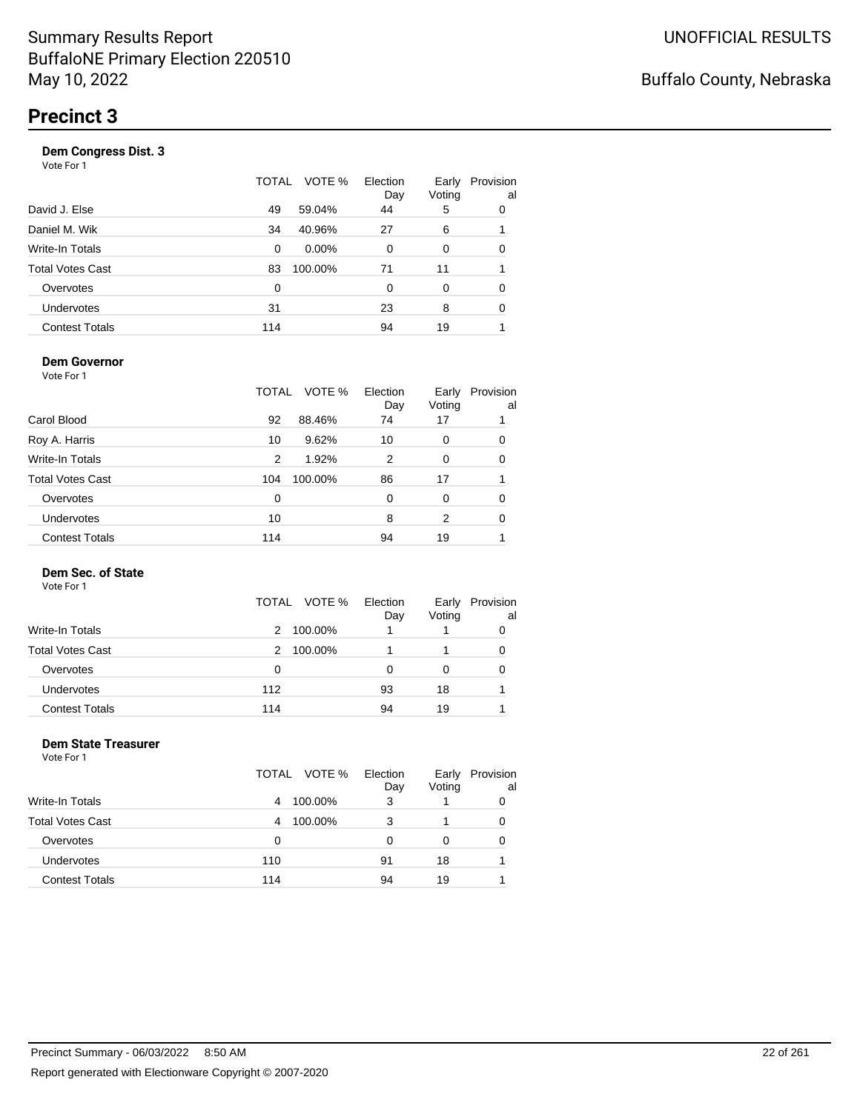| Vote For 1            |       |          |                 |                 |                 |
|-----------------------|-------|----------|-----------------|-----------------|-----------------|
|                       | TOTAL | VOTE %   | Election<br>Day | Early<br>Voting | Provision<br>al |
| David J. Else         | 49    | 59.04%   | 44              | 5               | 0               |
| Daniel M. Wik         | 34    | 40.96%   | 27              | 6               |                 |
| Write-In Totals       | 0     | $0.00\%$ | $\Omega$        | 0               | 0               |
| Total Votes Cast      | 83    | 100.00%  | 71              | 11              |                 |
| Overvotes             | 0     |          | 0               | $\Omega$        | 0               |
| <b>Undervotes</b>     | 31    |          | 23              | 8               | 0               |
| <b>Contest Totals</b> | 114   |          | 94              | 19              |                 |
|                       |       |          |                 |                 |                 |

#### **Dem Governor**

Vote For 1

|                         | TOTAL | VOTE %  | Election<br>Day | Early<br>Voting | Provision<br>al |
|-------------------------|-------|---------|-----------------|-----------------|-----------------|
| Carol Blood             | 92    | 88.46%  | 74              | 17              |                 |
| Roy A. Harris           | 10    | 9.62%   | 10              | 0               | 0               |
| Write-In Totals         | 2     | 1.92%   | 2               | 0               | 0               |
| <b>Total Votes Cast</b> | 104   | 100.00% | 86              | 17              |                 |
| Overvotes               | 0     |         | $\Omega$        | O               | 0               |
| Undervotes              | 10    |         | 8               | 2               | 0               |
| <b>Contest Totals</b>   | 114   |         | 94              | 19              |                 |

#### **Dem Sec. of State**

Vote For 1

|                         | VOTE %<br>TOTAL | Election<br>Day | Early<br>Voting | Provision<br>al |
|-------------------------|-----------------|-----------------|-----------------|-----------------|
| Write-In Totals         | 100.00%<br>2    |                 |                 |                 |
| <b>Total Votes Cast</b> | 100.00%<br>2    |                 |                 |                 |
| Overvotes               | 0               | O               |                 |                 |
| Undervotes              | 112             | 93              | 18              |                 |
| <b>Contest Totals</b>   | 114             | 94              | 19              |                 |

#### **Dem State Treasurer** Vote For 1

|                         | TOTAL VOTE % | Election<br>Day | Early<br>Voting | Provision<br>al |
|-------------------------|--------------|-----------------|-----------------|-----------------|
| <b>Write-In Totals</b>  | 100.00%<br>4 | 3               |                 | 0               |
| <b>Total Votes Cast</b> | 100.00%<br>4 | 3               |                 | 0               |
| Overvotes               | 0            | 0               | 0               | 0               |
| <b>Undervotes</b>       | 110          | 91              | 18              |                 |
| <b>Contest Totals</b>   | 114          | 94              | 19              |                 |
|                         |              |                 |                 |                 |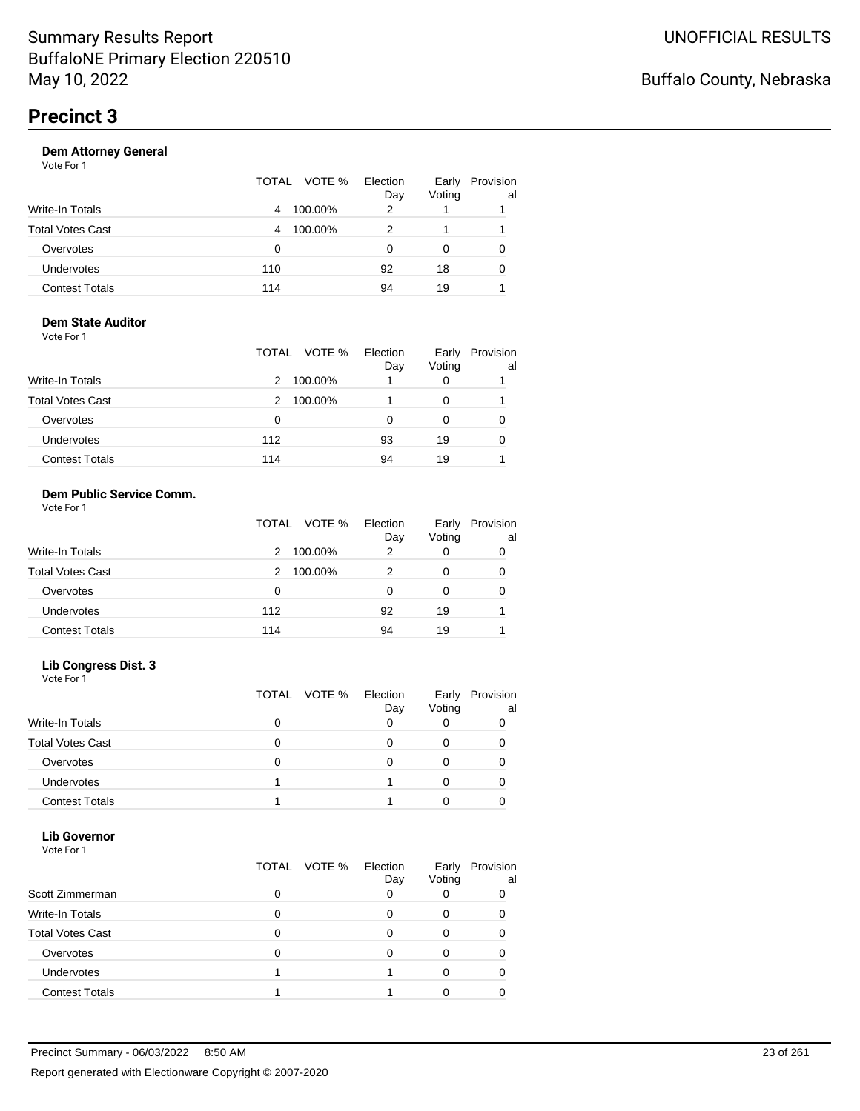|                       | TOTAL VOTE % | Election<br>Day | Early<br>Voting | Provision<br>al |
|-----------------------|--------------|-----------------|-----------------|-----------------|
| Write-In Totals       | 100.00%<br>4 | 2               |                 |                 |
| Total Votes Cast      | 100.00%<br>4 | 2               |                 |                 |
| Overvotes             | 0            | Ω               | O               |                 |
| Undervotes            | 110          | 92              | 18              | 0               |
| <b>Contest Totals</b> | 114          | 94              | 19              |                 |
|                       |              |                 |                 |                 |

#### **Dem State Auditor** Vote For 1

|                         | TOTAL VOTE % | Election<br>Day | Early<br>Voting | Provision<br>al |
|-------------------------|--------------|-----------------|-----------------|-----------------|
| <b>Write-In Totals</b>  | 100.00%<br>2 |                 |                 |                 |
| <b>Total Votes Cast</b> | 100.00%<br>2 |                 |                 |                 |
| Overvotes               | 0            | O               |                 |                 |
| <b>Undervotes</b>       | 112          | 93              | 19              |                 |
| <b>Contest Totals</b>   | 114          | 94              | 19              |                 |

#### **Dem Public Service Comm.** Vote For 1

|                         | TOTAL VOTE % | Election<br>Day | Early<br>Voting | Provision<br>al |
|-------------------------|--------------|-----------------|-----------------|-----------------|
| <b>Write-In Totals</b>  | 100.00%<br>2 | 2               | 0               | 0               |
| <b>Total Votes Cast</b> | 100.00%<br>2 | 2               | 0               | 0               |
| Overvotes               | 0            | 0               | 0               | 0               |
| Undervotes              | 112          | 92              | 19              |                 |
| <b>Contest Totals</b>   | 114          | 94              | 19              |                 |

### **Lib Congress Dist. 3**

Vote For 1

|                         | TOTAL VOTE % | Election<br>Day | Early<br>Voting | Provision<br>al |
|-------------------------|--------------|-----------------|-----------------|-----------------|
| <b>Write-In Totals</b>  |              |                 |                 |                 |
| <b>Total Votes Cast</b> |              |                 |                 |                 |
| Overvotes               |              |                 |                 |                 |
| <b>Undervotes</b>       |              |                 |                 |                 |
| <b>Contest Totals</b>   |              |                 |                 |                 |

#### **Lib Governor** Vote For 1

| 1 J J J J J J           |                 |                 |                 |                 |
|-------------------------|-----------------|-----------------|-----------------|-----------------|
|                         | VOTE %<br>TOTAL | Election<br>Day | Early<br>Voting | Provision<br>al |
| Scott Zimmerman         | ი               |                 |                 |                 |
| Write-In Totals         | 0               |                 |                 |                 |
| <b>Total Votes Cast</b> | O               |                 |                 |                 |
| Overvotes               | O               |                 |                 |                 |
| <b>Undervotes</b>       |                 |                 |                 |                 |
| <b>Contest Totals</b>   |                 |                 |                 |                 |
|                         |                 |                 |                 |                 |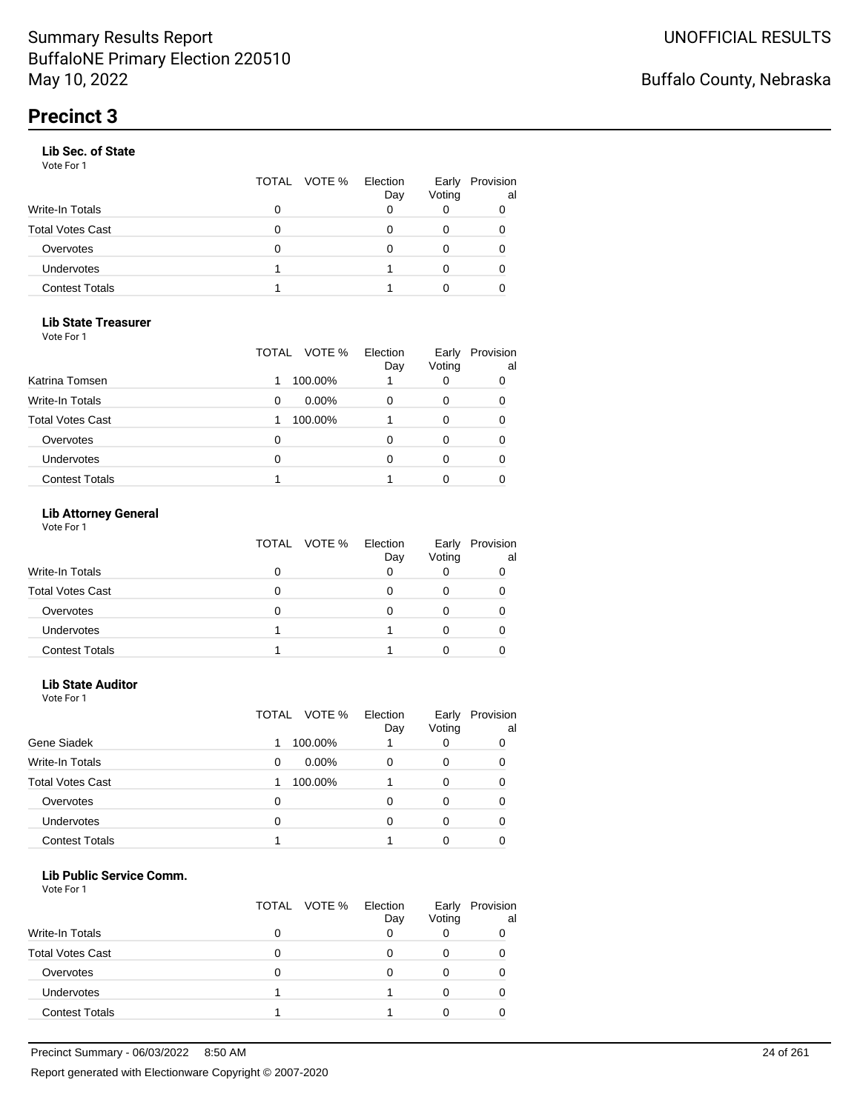#### **Lib Sec. of State**

Vote For 1

|                       |   | TOTAL VOTE % | Election<br>Day | Early<br>Voting | Provision<br>al |
|-----------------------|---|--------------|-----------------|-----------------|-----------------|
| Write-In Totals       |   |              |                 |                 |                 |
| Total Votes Cast      | 0 |              |                 |                 |                 |
| Overvotes             | O |              |                 |                 |                 |
| Undervotes            |   |              |                 |                 | 0               |
| <b>Contest Totals</b> |   |              |                 |                 |                 |
|                       |   |              |                 |                 |                 |

#### **Lib State Treasurer**

Vote For 1

|                         | VOTE %<br>TOTAL | Election<br>Day | Early<br>Voting | Provision<br>al |
|-------------------------|-----------------|-----------------|-----------------|-----------------|
| Katrina Tomsen          | 100.00%         |                 | 0               | 0               |
| <b>Write-In Totals</b>  | $0.00\%$<br>0   |                 | 0               | 0               |
| <b>Total Votes Cast</b> | 100.00%         |                 | O               | 0               |
| Overvotes               | O               |                 | Ω               | O               |
| Undervotes              | 0               |                 |                 |                 |
| <b>Contest Totals</b>   |                 |                 |                 |                 |

### **Lib Attorney General**

Vote For 1

|                         | TOTAL VOTE % | Election<br>Day | Early<br>Voting | Provision<br>al |
|-------------------------|--------------|-----------------|-----------------|-----------------|
| Write-In Totals         | 0            |                 |                 |                 |
| <b>Total Votes Cast</b> | 0            |                 |                 |                 |
| Overvotes               | 0            |                 |                 |                 |
| <b>Undervotes</b>       |              |                 |                 |                 |
| <b>Contest Totals</b>   |              |                 |                 |                 |

#### **Lib State Auditor**

Vote For 1

|                         | VOTE %<br>TOTAL | Election<br>Day | Early<br>Voting | Provision<br>al |
|-------------------------|-----------------|-----------------|-----------------|-----------------|
| Gene Siadek             | 100.00%         |                 |                 |                 |
| <b>Write-In Totals</b>  | $0.00\%$<br>0   | 0               | 0               | O               |
| <b>Total Votes Cast</b> | 100.00%         |                 | 0               |                 |
| Overvotes               | 0               | ი               | O               |                 |
| <b>Undervotes</b>       | 0               | 0               |                 |                 |
| <b>Contest Totals</b>   |                 |                 |                 |                 |

#### **Lib Public Service Comm.**

|                         | TOTAL VOTE % | Election<br>Day | Early<br>Voting | Provision<br>al |
|-------------------------|--------------|-----------------|-----------------|-----------------|
| <b>Write-In Totals</b>  |              |                 |                 |                 |
| <b>Total Votes Cast</b> |              |                 |                 |                 |
| Overvotes               |              |                 |                 |                 |
| <b>Undervotes</b>       |              |                 |                 |                 |
| <b>Contest Totals</b>   |              |                 |                 |                 |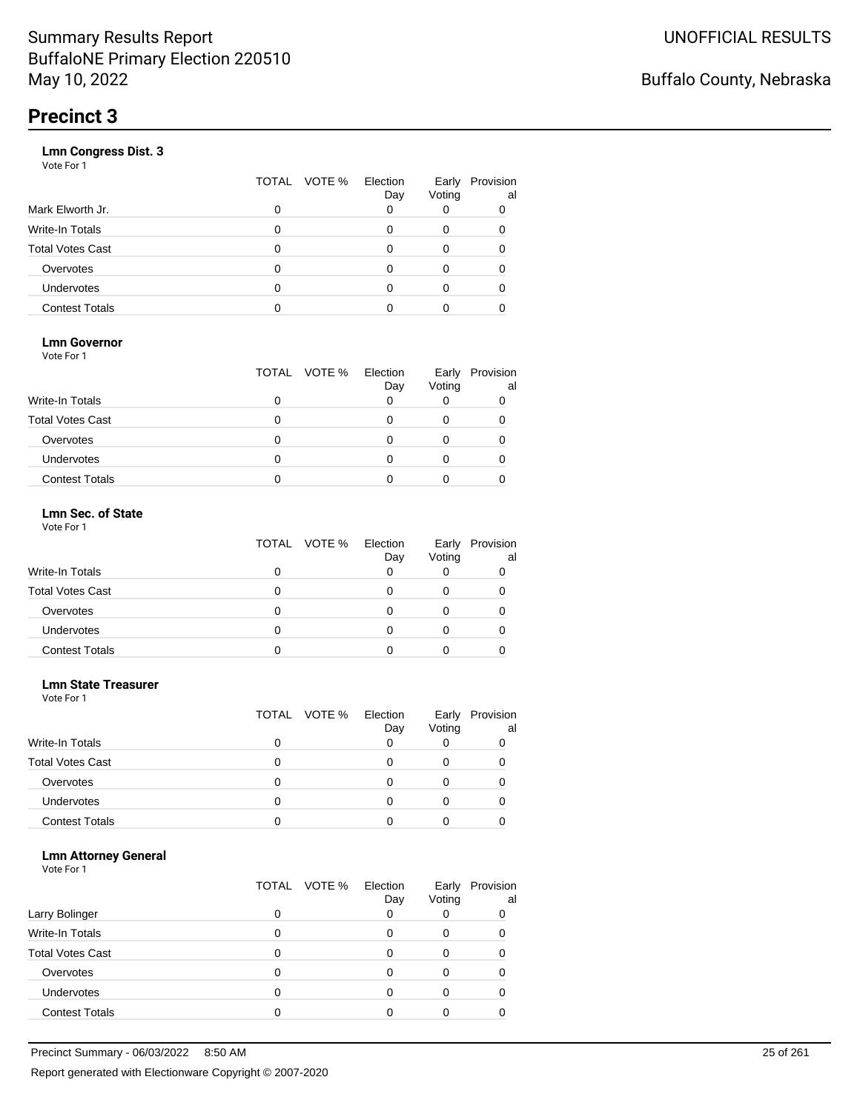|                       | VOTE %<br>TOTAL | Election<br>Day | Early<br>Voting | Provision<br>al |
|-----------------------|-----------------|-----------------|-----------------|-----------------|
| Mark Elworth Jr.      | 0               |                 |                 | 0               |
| Write-In Totals       | O               |                 | 0               | 0               |
| Total Votes Cast      | O               |                 | 0               |                 |
| Overvotes             | 0               |                 | 0               |                 |
| <b>Undervotes</b>     | O               |                 | Ω               |                 |
| <b>Contest Totals</b> |                 |                 |                 |                 |
|                       |                 |                 |                 |                 |

### **Lmn Governor**

Vote For 1

|                         | TOTAL VOTE % Election | Day | Early<br>Voting | Provision<br>al |
|-------------------------|-----------------------|-----|-----------------|-----------------|
| <b>Write-In Totals</b>  |                       |     |                 |                 |
| <b>Total Votes Cast</b> |                       |     |                 |                 |
| Overvotes               |                       |     |                 |                 |
| <b>Undervotes</b>       |                       |     |                 |                 |
| <b>Contest Totals</b>   |                       |     |                 |                 |

#### **Lmn Sec. of State** Vote For 1

|                         | TOTAL VOTE % | Election<br>Day | Early<br>Voting | Provision<br>al |
|-------------------------|--------------|-----------------|-----------------|-----------------|
| Write-In Totals         |              |                 |                 |                 |
| <b>Total Votes Cast</b> | Ω            |                 |                 |                 |
| Overvotes               | 0            |                 |                 |                 |
| <b>Undervotes</b>       | 0            | Ω               |                 |                 |
| <b>Contest Totals</b>   |              |                 |                 |                 |

#### **Lmn State Treasurer**

Vote For 1

|                         |   | TOTAL VOTE % | Election<br>Day | Early<br>Voting | Provision<br>al |
|-------------------------|---|--------------|-----------------|-----------------|-----------------|
| <b>Write-In Totals</b>  |   |              |                 |                 |                 |
| <b>Total Votes Cast</b> | O |              |                 |                 |                 |
| Overvotes               | 0 |              | Ω               | O               |                 |
| Undervotes              | O |              |                 |                 |                 |
| <b>Contest Totals</b>   |   |              |                 |                 |                 |

#### **Lmn Attorney General**

|                         |   | TOTAL VOTE % | Election<br>Day | Early<br>Voting | Provision<br>al |
|-------------------------|---|--------------|-----------------|-----------------|-----------------|
| Larry Bolinger          |   |              |                 |                 | 0               |
| Write-In Totals         |   |              |                 | O               |                 |
| <b>Total Votes Cast</b> |   |              |                 |                 |                 |
| Overvotes               |   |              |                 |                 |                 |
| <b>Undervotes</b>       | 0 |              |                 |                 |                 |
| <b>Contest Totals</b>   |   |              |                 |                 |                 |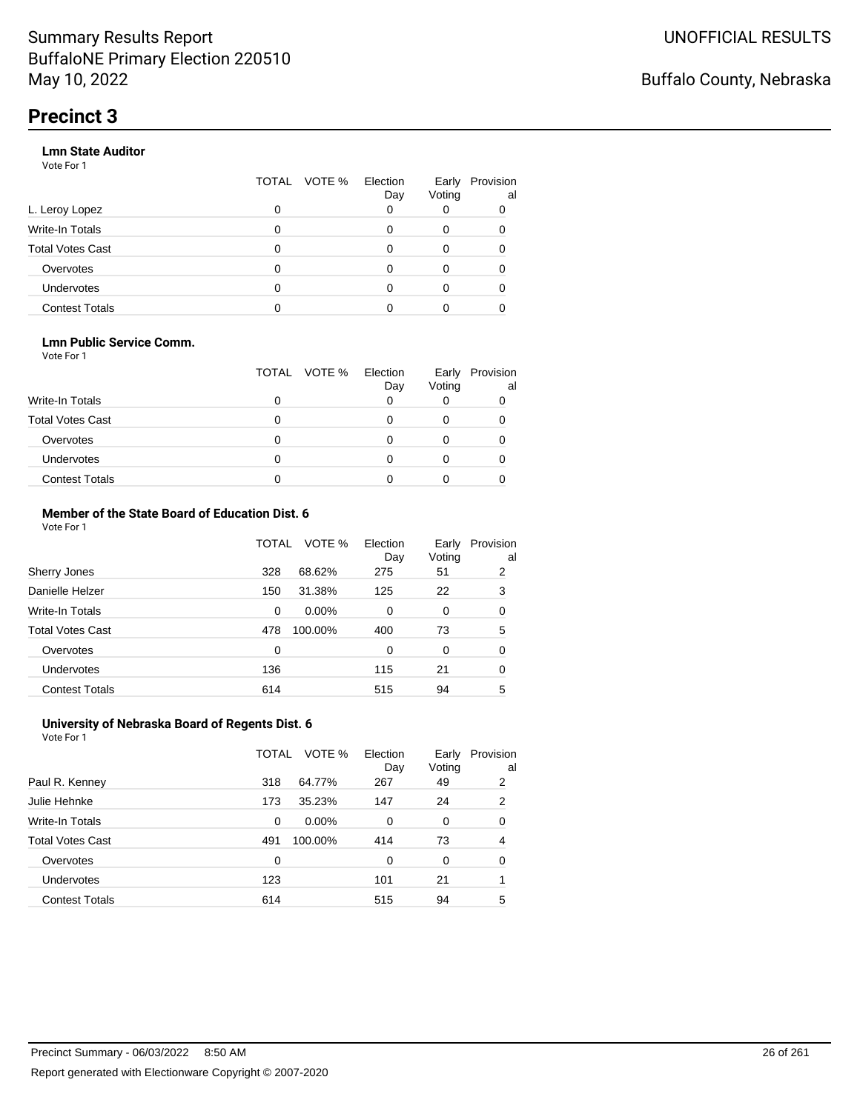#### **Lmn State Auditor**

Vote For 1

|                         | TOTAL | VOTE % Election | Day | Early<br>Voting | Provision<br>al |
|-------------------------|-------|-----------------|-----|-----------------|-----------------|
| L. Leroy Lopez          | 0     |                 |     |                 |                 |
| Write-In Totals         | 0     |                 |     | 0               |                 |
| <b>Total Votes Cast</b> | 0     |                 |     | 0               |                 |
| Overvotes               | 0     |                 |     | 0               |                 |
| <b>Undervotes</b>       | 0     |                 |     | 0               |                 |
| <b>Contest Totals</b>   |       |                 |     |                 |                 |

#### **Lmn Public Service Comm.**

Vote For 1

|                         |   | TOTAL VOTE % | Election<br>Day | Early<br>Voting | Provision<br>al |
|-------------------------|---|--------------|-----------------|-----------------|-----------------|
| <b>Write-In Totals</b>  |   |              |                 |                 |                 |
| <b>Total Votes Cast</b> |   |              |                 |                 |                 |
| Overvotes               |   |              |                 |                 |                 |
| <b>Undervotes</b>       | 0 |              |                 |                 |                 |
| <b>Contest Totals</b>   |   |              |                 |                 |                 |

#### **Member of the State Board of Education Dist. 6** Vote For 1

|                         | TOTAL | VOTE %   | Election<br>Day | Early<br>Voting | Provision<br>al |
|-------------------------|-------|----------|-----------------|-----------------|-----------------|
| Sherry Jones            | 328   | 68.62%   | 275             | 51              | 2               |
| Danielle Helzer         | 150   | 31.38%   | 125             | 22              | 3               |
| <b>Write-In Totals</b>  | 0     | $0.00\%$ | $\Omega$        | 0               | 0               |
| <b>Total Votes Cast</b> | 478   | 100.00%  | 400             | 73              | 5               |
| Overvotes               | 0     |          | $\Omega$        | $\Omega$        | 0               |
| <b>Undervotes</b>       | 136   |          | 115             | 21              | 0               |
| <b>Contest Totals</b>   | 614   |          | 515             | 94              | 5               |

#### **University of Nebraska Board of Regents Dist. 6** Vote For 1

|                         | TOTAL | VOTE %  | Election<br>Day | Early<br>Voting | Provision<br>al |
|-------------------------|-------|---------|-----------------|-----------------|-----------------|
| Paul R. Kenney          | 318   | 64.77%  | 267             | 49              | 2               |
| Julie Hehnke            | 173   | 35.23%  | 147             | 24              | 2               |
| <b>Write-In Totals</b>  | 0     | 0.00%   | 0               | 0               | 0               |
| <b>Total Votes Cast</b> | 491   | 100.00% | 414             | 73              | 4               |
| Overvotes               | 0     |         | 0               | $\Omega$        | 0               |
| Undervotes              | 123   |         | 101             | 21              |                 |
| <b>Contest Totals</b>   | 614   |         | 515             | 94              | 5               |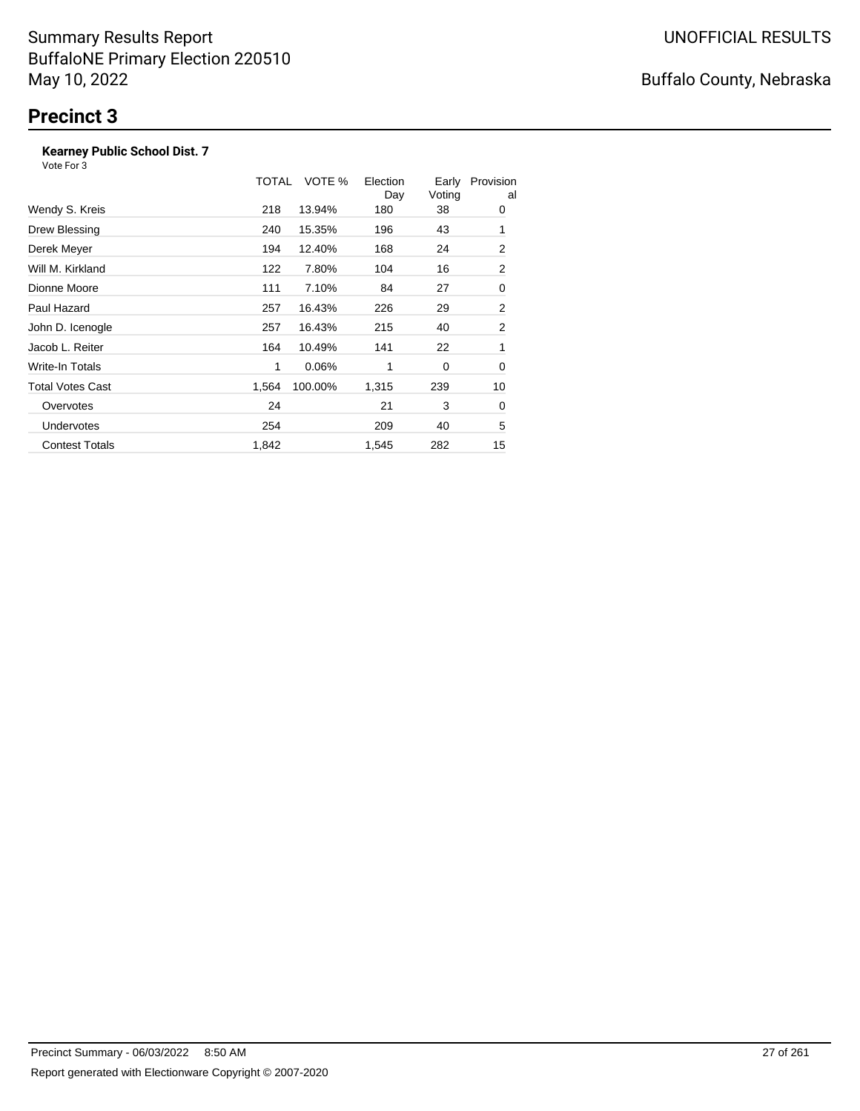### **Kearney Public School Dist. 7**

Vote For 3

|                       | TOTAL | VOTE %  | Election<br>Day | Early<br>Voting | Provision<br>al |
|-----------------------|-------|---------|-----------------|-----------------|-----------------|
| Wendy S. Kreis        | 218   | 13.94%  | 180             | 38              | 0               |
| Drew Blessing         | 240   | 15.35%  | 196             | 43              | 1               |
| Derek Meyer           | 194   | 12.40%  | 168             | 24              | 2               |
| Will M. Kirkland      | 122   | 7.80%   | 104             | 16              | 2               |
| Dionne Moore          | 111   | 7.10%   | 84              | 27              | 0               |
| Paul Hazard           | 257   | 16.43%  | 226             | 29              | 2               |
| John D. Icenogle      | 257   | 16.43%  | 215             | 40              | 2               |
| Jacob L. Reiter       | 164   | 10.49%  | 141             | 22              | 1               |
| Write-In Totals       | 1     | 0.06%   | 1               | 0               | 0               |
| Total Votes Cast      | 1,564 | 100.00% | 1,315           | 239             | 10              |
| Overvotes             | 24    |         | 21              | 3               | 0               |
| <b>Undervotes</b>     | 254   |         | 209             | 40              | 5               |
| <b>Contest Totals</b> | 1,842 |         | 1,545           | 282             | 15              |

# Buffalo County, Nebraska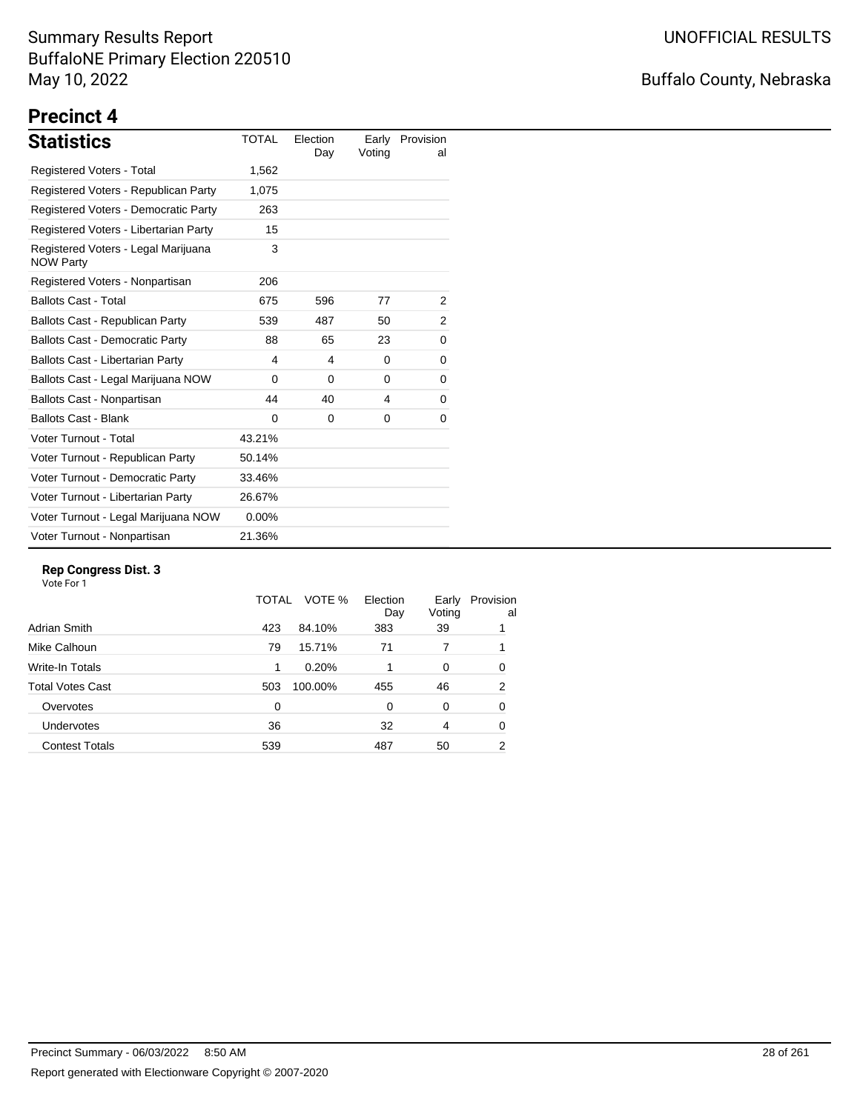# Buffalo County, Nebraska

# **Precinct 4**

| <b>Statistics</b>                                       | <b>TOTAL</b> | Election<br>Day | Early<br>Voting | Provision<br>al |
|---------------------------------------------------------|--------------|-----------------|-----------------|-----------------|
| Registered Voters - Total                               | 1,562        |                 |                 |                 |
| Registered Voters - Republican Party                    | 1,075        |                 |                 |                 |
| Registered Voters - Democratic Party                    | 263          |                 |                 |                 |
| Registered Voters - Libertarian Party                   | 15           |                 |                 |                 |
| Registered Voters - Legal Marijuana<br><b>NOW Party</b> | 3            |                 |                 |                 |
| Registered Voters - Nonpartisan                         | 206          |                 |                 |                 |
| <b>Ballots Cast - Total</b>                             | 675          | 596             | 77              | 2               |
| Ballots Cast - Republican Party                         | 539          | 487             | 50              | 2               |
| <b>Ballots Cast - Democratic Party</b>                  | 88           | 65              | 23              | 0               |
| Ballots Cast - Libertarian Party                        | 4            | 4               | 0               | 0               |
| Ballots Cast - Legal Marijuana NOW                      | 0            | $\Omega$        | $\Omega$        | 0               |
| Ballots Cast - Nonpartisan                              | 44           | 40              | 4               | 0               |
| <b>Ballots Cast - Blank</b>                             | 0            | 0               | 0               | 0               |
| Voter Turnout - Total                                   | 43.21%       |                 |                 |                 |
| Voter Turnout - Republican Party                        | 50.14%       |                 |                 |                 |
| Voter Turnout - Democratic Party                        | 33.46%       |                 |                 |                 |
| Voter Turnout - Libertarian Party                       | 26.67%       |                 |                 |                 |
| Voter Turnout - Legal Marijuana NOW                     | $0.00\%$     |                 |                 |                 |
| Voter Turnout - Nonpartisan                             | 21.36%       |                 |                 |                 |

#### **Rep Congress Dist. 3**

|                       | TOTAL    | VOTE %  | Election<br>Day | Early<br>Voting | Provision<br>al |
|-----------------------|----------|---------|-----------------|-----------------|-----------------|
| Adrian Smith          | 423      | 84.10%  | 383             | 39              |                 |
| Mike Calhoun          | 79       | 15.71%  | 71              |                 |                 |
| Write-In Totals       | 1        | 0.20%   |                 | $\Omega$        | 0               |
| Total Votes Cast      | 503      | 100.00% | 455             | 46              | 2               |
| Overvotes             | $\Omega$ |         | $\Omega$        | $\Omega$        | 0               |
| <b>Undervotes</b>     | 36       |         | 32              | 4               | 0               |
| <b>Contest Totals</b> | 539      |         | 487             | 50              | 2               |
|                       |          |         |                 |                 |                 |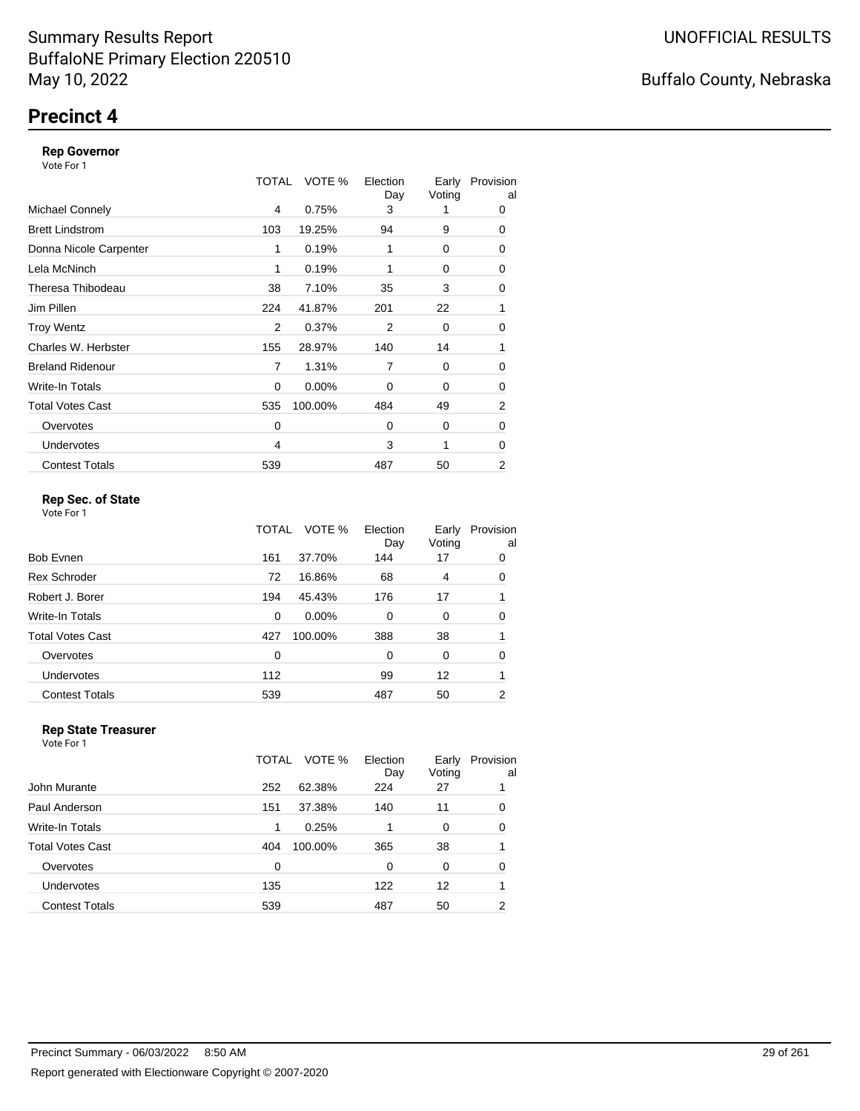### **Precinct 4**

#### **Rep Governor**

Vote For 1

|                         | TOTAL | VOTE %   | Election<br>Day | Early<br>Voting | Provision<br>al |
|-------------------------|-------|----------|-----------------|-----------------|-----------------|
| <b>Michael Connely</b>  | 4     | 0.75%    | 3               |                 | 0               |
| <b>Brett Lindstrom</b>  | 103   | 19.25%   | 94              | 9               | 0               |
| Donna Nicole Carpenter  | 1     | 0.19%    | 1               | 0               | 0               |
| Lela McNinch            | 1     | 0.19%    | 1               | 0               | 0               |
| Theresa Thibodeau       | 38    | 7.10%    | 35              | 3               | 0               |
| Jim Pillen              | 224   | 41.87%   | 201             | 22              | 1               |
| <b>Troy Wentz</b>       | 2     | 0.37%    | 2               | 0               | 0               |
| Charles W. Herbster     | 155   | 28.97%   | 140             | 14              | 1               |
| <b>Breland Ridenour</b> | 7     | 1.31%    | $\overline{7}$  | 0               | 0               |
| Write-In Totals         | 0     | $0.00\%$ | $\Omega$        | 0               | 0               |
| <b>Total Votes Cast</b> | 535   | 100.00%  | 484             | 49              | 2               |
| Overvotes               | 0     |          | $\Omega$        | 0               | 0               |
| <b>Undervotes</b>       | 4     |          | 3               | 1               | 0               |
| <b>Contest Totals</b>   | 539   |          | 487             | 50              | 2               |

### **Rep Sec. of State**

Vote For 1

|                       | TOTAL | VOTE %   | Election<br>Day | Early<br>Voting | Provision<br>al |
|-----------------------|-------|----------|-----------------|-----------------|-----------------|
| Bob Evnen             | 161   | 37.70%   | 144             | 17              | 0               |
| <b>Rex Schroder</b>   | 72    | 16.86%   | 68              | 4               | 0               |
| Robert J. Borer       | 194   | 45.43%   | 176             | 17              |                 |
| Write-In Totals       | 0     | $0.00\%$ | $\Omega$        | 0               | 0               |
| Total Votes Cast      | 427   | 100.00%  | 388             | 38              |                 |
| Overvotes             | 0     |          | $\Omega$        | 0               | 0               |
| <b>Undervotes</b>     | 112   |          | 99              | 12              | 1               |
| <b>Contest Totals</b> | 539   |          | 487             | 50              | 2               |

#### **Rep State Treasurer** Vote For 1

|                         | TOTAL | VOTE %  | Election<br>Day | Early<br>Voting | Provision<br>al |
|-------------------------|-------|---------|-----------------|-----------------|-----------------|
| John Murante            | 252   | 62.38%  | 224             | 27              |                 |
| Paul Anderson           | 151   | 37.38%  | 140             | 11              | 0               |
| Write-In Totals         | 1     | 0.25%   |                 | 0               | 0               |
| <b>Total Votes Cast</b> | 404   | 100.00% | 365             | 38              |                 |
| Overvotes               | 0     |         | 0               | 0               | 0               |
| <b>Undervotes</b>       | 135   |         | 122             | 12              |                 |
| <b>Contest Totals</b>   | 539   |         | 487             | 50              | 2               |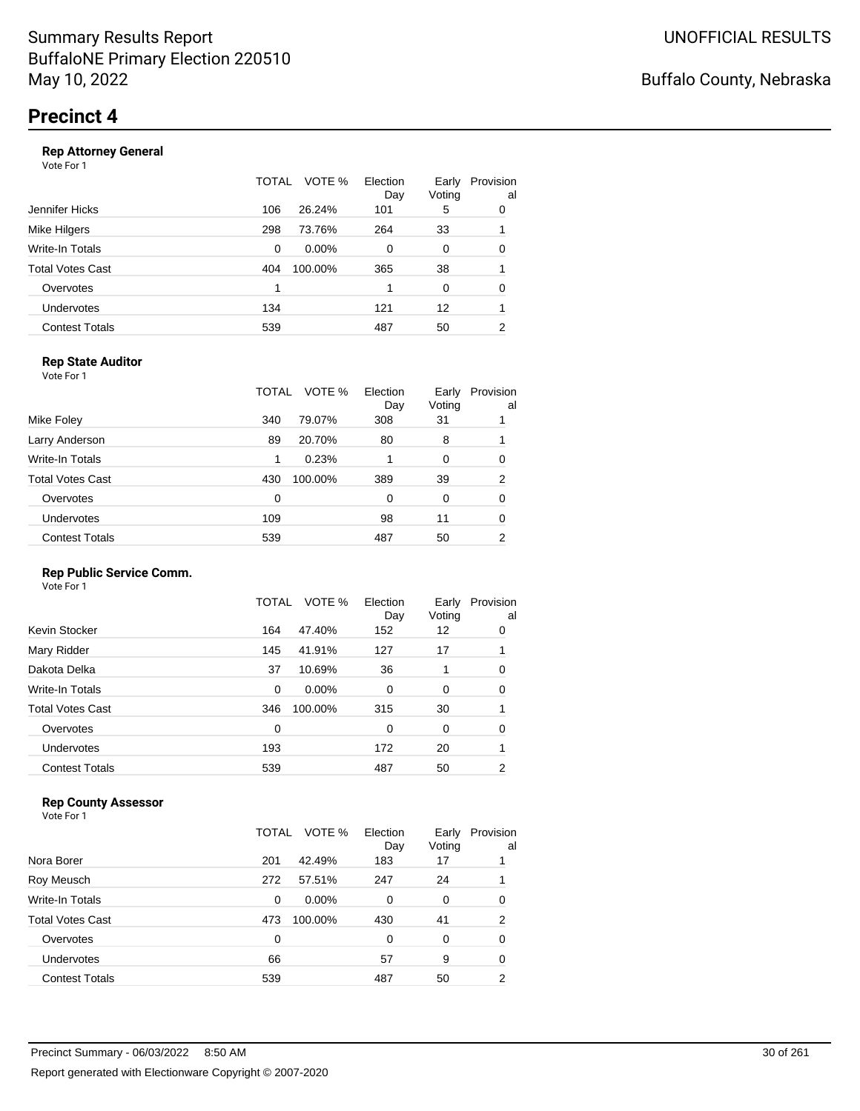#### **Rep Attorney General**

Vote For 1

|                       | TOTAL | VOTE %<br>Election<br>Day | Early<br>Voting | Provision<br>al |
|-----------------------|-------|---------------------------|-----------------|-----------------|
| Jennifer Hicks        | 106   | 26.24%<br>101             | 5               | 0               |
| Mike Hilgers          | 298   | 73.76%<br>264             | 33              |                 |
| Write-In Totals       | 0     | $0.00\%$<br>$\Omega$      | 0               | 0               |
| Total Votes Cast      | 404   | 100.00%<br>365            | 38              |                 |
| Overvotes             | 1     |                           | 0               | 0               |
| <b>Undervotes</b>     | 134   | 121                       | 12              |                 |
| <b>Contest Totals</b> | 539   | 487                       | 50              | 2               |
|                       |       |                           |                 |                 |

### **Rep State Auditor**

Vote For 1

|                       | TOTAL | VOTE %  | Election<br>Day | Early<br>Voting | Provision<br>al |
|-----------------------|-------|---------|-----------------|-----------------|-----------------|
| Mike Foley            | 340   | 79.07%  | 308             | 31              |                 |
| Larry Anderson        | 89    | 20.70%  | 80              | 8               |                 |
| Write-In Totals       | 1     | 0.23%   |                 | 0               | 0               |
| Total Votes Cast      | 430   | 100.00% | 389             | 39              | 2               |
| Overvotes             | 0     |         | 0               | 0               | 0               |
| <b>Undervotes</b>     | 109   |         | 98              | 11              | 0               |
| <b>Contest Totals</b> | 539   |         | 487             | 50              | 2               |

#### **Rep Public Service Comm.**

Vote For 1

|                       | TOTAL | VOTE %   | Election<br>Day | Early<br>Voting | Provision<br>al |
|-----------------------|-------|----------|-----------------|-----------------|-----------------|
| Kevin Stocker         | 164   | 47.40%   | 152             | 12              | 0               |
| Mary Ridder           | 145   | 41.91%   | 127             | 17              |                 |
| Dakota Delka          | 37    | 10.69%   | 36              | 1               | 0               |
| Write-In Totals       | 0     | $0.00\%$ | 0               | 0               | 0               |
| Total Votes Cast      | 346   | 100.00%  | 315             | 30              |                 |
| Overvotes             | 0     |          | $\Omega$        | 0               | 0               |
| <b>Undervotes</b>     | 193   |          | 172             | 20              |                 |
| <b>Contest Totals</b> | 539   |          | 487             | 50              | 2               |
|                       |       |          |                 |                 |                 |

#### **Rep County Assessor**

|                       | TOTAL    | VOTE %   | Election<br>Day | Early<br>Voting | Provision<br>al |
|-----------------------|----------|----------|-----------------|-----------------|-----------------|
| Nora Borer            | 201      | 42.49%   | 183             | 17              |                 |
| Roy Meusch            | 272      | 57.51%   | 247             | 24              |                 |
| Write-In Totals       | 0        | $0.00\%$ | 0               | 0               | 0               |
| Total Votes Cast      | 473      | 100.00%  | 430             | 41              | $\overline{2}$  |
| Overvotes             | $\Omega$ |          | $\Omega$        | $\Omega$        | 0               |
| <b>Undervotes</b>     | 66       |          | 57              | 9               | 0               |
| <b>Contest Totals</b> | 539      |          | 487             | 50              | 2               |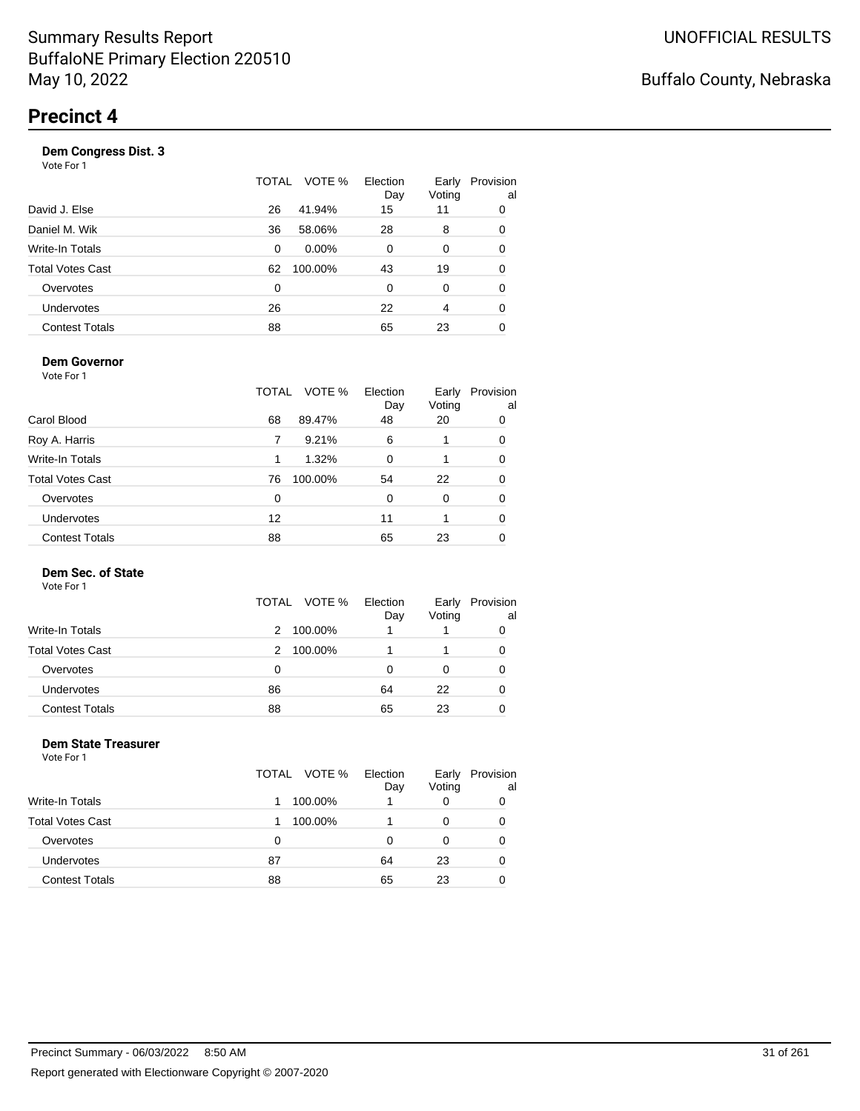|                       | TOTAL | VOTE %<br>Election<br>Day | Early<br>Voting | Provision<br>al |
|-----------------------|-------|---------------------------|-----------------|-----------------|
| David J. Else         | 26    | 41.94%<br>15              | 11              | 0               |
| Daniel M. Wik         | 36    | 58.06%<br>28              | 8               | 0               |
| Write-In Totals       | 0     | $0.00\%$<br>$\Omega$      | 0               | 0               |
| Total Votes Cast      | 62    | 100.00%<br>43             | 19              | 0               |
| Overvotes             | 0     | $\Omega$                  | 0               | 0               |
| <b>Undervotes</b>     | 26    | 22                        | 4               | 0               |
| <b>Contest Totals</b> | 88    | 65                        | 23              |                 |
|                       |       |                           |                 |                 |

#### **Dem Governor**

Vote For 1

|                         | TOTAL | VOTE %  | Election<br>Day | Early<br>Voting | Provision<br>al |
|-------------------------|-------|---------|-----------------|-----------------|-----------------|
| Carol Blood             | 68    | 89.47%  | 48              | 20              | 0               |
| Roy A. Harris           | 7     | 9.21%   | 6               |                 | 0               |
| Write-In Totals         | 1     | 1.32%   | 0               |                 | 0               |
| <b>Total Votes Cast</b> | 76    | 100.00% | 54              | 22              | 0               |
| Overvotes               | 0     |         | 0               | 0               | 0               |
| <b>Undervotes</b>       | 12    |         | 11              |                 | 0               |
| <b>Contest Totals</b>   | 88    |         | 65              | 23              |                 |

#### **Dem Sec. of State**

Vote For 1

|                         | TOTAL<br>VOTE % | Election<br>Day | Early<br>Voting | Provision<br>al |
|-------------------------|-----------------|-----------------|-----------------|-----------------|
| Write-In Totals         | 100.00%<br>2    |                 |                 |                 |
| <b>Total Votes Cast</b> | 100.00%<br>2    |                 |                 |                 |
| Overvotes               | 0               | Ω               |                 |                 |
| Undervotes              | 86              | 64              | 22              | O               |
| <b>Contest Totals</b>   | 88              | 65              | 23              |                 |

#### **Dem State Treasurer** Vote For 1

|                         | TOTAL VOTE % | Election<br>Day | Early<br>Voting | Provision<br>al |
|-------------------------|--------------|-----------------|-----------------|-----------------|
| Write-In Totals         | 100.00%      |                 | 0               | 0               |
| <b>Total Votes Cast</b> | 100.00%      |                 | 0               | 0               |
| Overvotes               | 0            | 0               | 0               | 0               |
| Undervotes              | 87           | 64              | 23              | 0               |
| <b>Contest Totals</b>   | 88           | 65              | 23              |                 |
|                         |              |                 |                 |                 |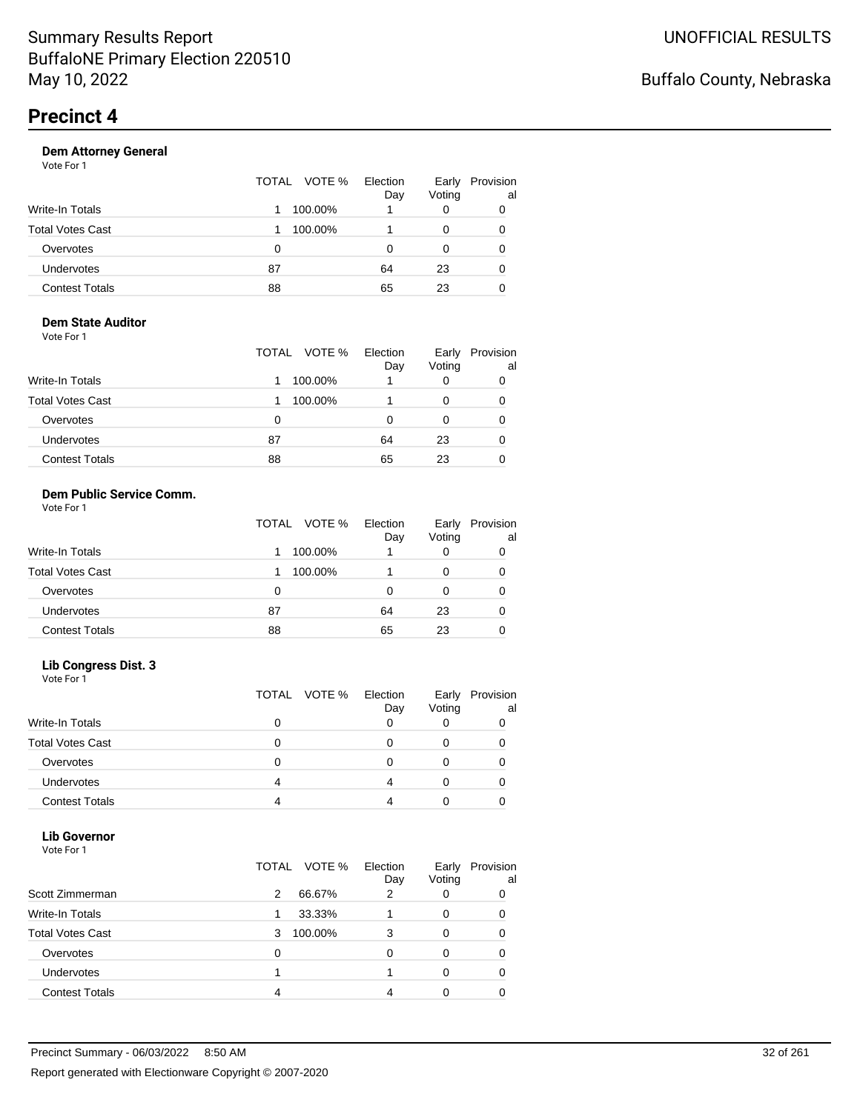| Vote For 1            |                 |                 |                 |                 |
|-----------------------|-----------------|-----------------|-----------------|-----------------|
|                       | VOTE %<br>TOTAL | Election<br>Day | Early<br>Voting | Provision<br>al |
| Write-In Totals       | 100.00%<br>1    |                 | 0               | 0               |
| Total Votes Cast      | 100.00%         |                 | 0               | 0               |
| Overvotes             | 0               | 0               | 0               | 0               |
| Undervotes            | 87              | 64              | 23              | 0               |
| <b>Contest Totals</b> | 88              | 65              | 23              | 0               |
|                       |                 |                 |                 |                 |

#### **Dem State Auditor** Vote For 1

|                         | TOTAL VOTE % | Election<br>Day | Early<br>Voting | Provision<br>al |
|-------------------------|--------------|-----------------|-----------------|-----------------|
| <b>Write-In Totals</b>  | 100.00%      |                 | 0               | 0               |
| <b>Total Votes Cast</b> | 100.00%      |                 | 0               | 0               |
| Overvotes               | 0            | 0               | 0               | 0               |
| Undervotes              | 87           | 64              | 23              | 0               |
| <b>Contest Totals</b>   | 88           | 65              | 23              | 0               |

#### **Dem Public Service Comm.** Vote For 1

|                         | TOTAL VOTE % | Election<br>Day | Early<br>Voting | Provision<br>al |
|-------------------------|--------------|-----------------|-----------------|-----------------|
| <b>Write-In Totals</b>  | 100.00%      |                 | 0               | 0               |
| <b>Total Votes Cast</b> | 100.00%      |                 | 0               | 0               |
| Overvotes               | 0            | 0               | 0               | 0               |
| Undervotes              | 87           | 64              | 23              | 0               |
| <b>Contest Totals</b>   | 88           | 65              | 23              | 0               |

#### **Lib Congress Dist. 3**

Vote For 1

|                         | TOTAL VOTE % | Election<br>Day | Early<br>Voting | Provision<br>al |
|-------------------------|--------------|-----------------|-----------------|-----------------|
| <b>Write-In Totals</b>  |              |                 |                 |                 |
| <b>Total Votes Cast</b> |              |                 |                 |                 |
| Overvotes               |              |                 |                 |                 |
| <b>Undervotes</b>       |              |                 |                 |                 |
| <b>Contest Totals</b>   |              |                 |                 |                 |

### **Lib Governor**

| Vote For 1              |                 |                 |                 |                 |
|-------------------------|-----------------|-----------------|-----------------|-----------------|
|                         | VOTE %<br>TOTAL | Election<br>Day | Early<br>Voting | Provision<br>al |
| Scott Zimmerman         | 66.67%<br>2     | 2               | 0               | 0               |
| Write-In Totals         | 33.33%<br>1     |                 | 0               | 0               |
| <b>Total Votes Cast</b> | 100.00%<br>3    | 3               | 0               | 0               |
| Overvotes               | 0               | O               | 0               | 0               |
| Undervotes              |                 |                 | 0               | 0               |
| <b>Contest Totals</b>   | 4               |                 | 0               |                 |
|                         |                 |                 |                 |                 |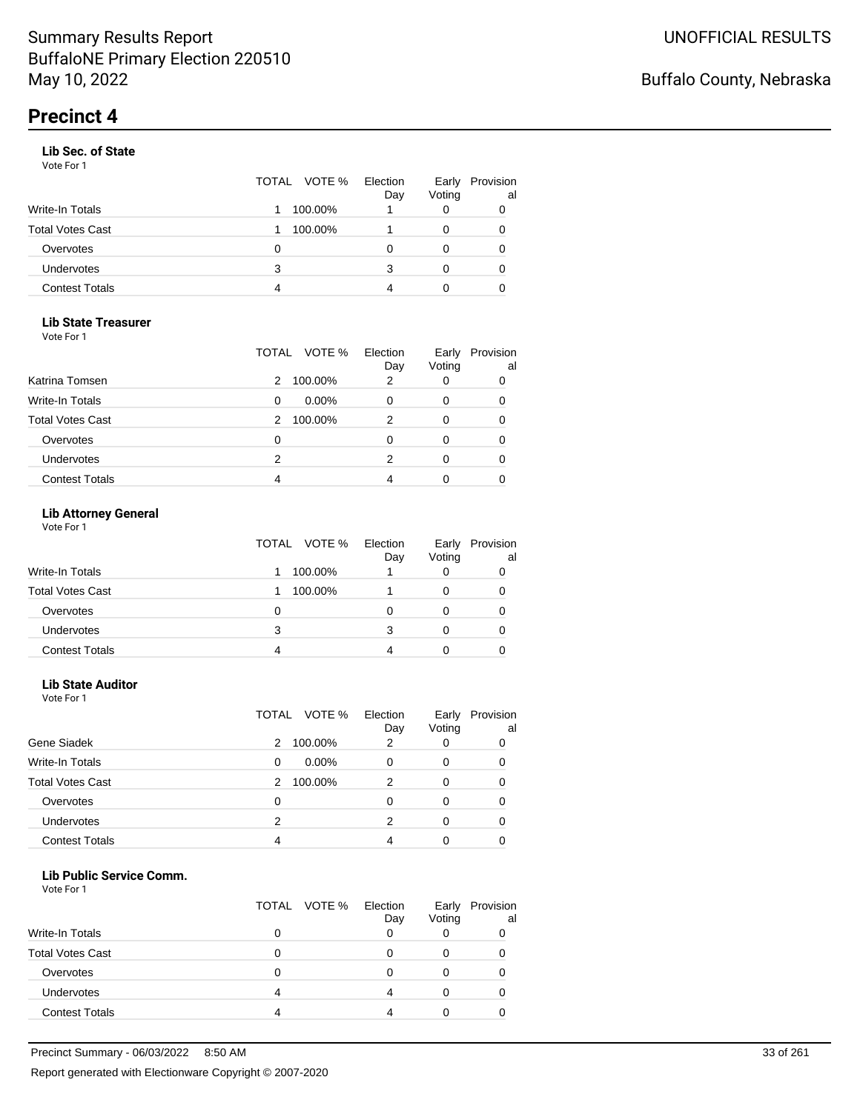#### **Lib Sec. of State**

Vote For 1

|                       |   | TOTAL VOTE % | Election<br>Day | Early<br>Voting | Provision<br>al |
|-----------------------|---|--------------|-----------------|-----------------|-----------------|
| Write-In Totals       |   | 100.00%      |                 | O               | 0               |
| Total Votes Cast      |   | 100.00%      |                 |                 | 0               |
| Overvotes             | Ω |              |                 |                 |                 |
| Undervotes            | 3 |              | 3               | 0               | 0               |
| <b>Contest Totals</b> | 4 |              |                 |                 |                 |

#### **Lib State Treasurer**

Vote For 1

|                         | TOTAL | VOTE %   | Election<br>Day | Early<br>Voting | Provision<br>al |
|-------------------------|-------|----------|-----------------|-----------------|-----------------|
| Katrina Tomsen          | 2     | 100.00%  | 2               | O               | 0               |
| Write-In Totals         | 0     | $0.00\%$ |                 | 0               | 0               |
| <b>Total Votes Cast</b> | 2     | 100.00%  | 2               | 0               | 0               |
| Overvotes               | 0     |          |                 | Ω               | 0               |
| Undervotes              | 2     |          | 2               | 0               | 0               |
| <b>Contest Totals</b>   |       |          |                 |                 |                 |

### **Lib Attorney General**

Vote For 1

|                         | TOTAL VOTE % | Election<br>Day | Early<br>Voting | Provision<br>al |
|-------------------------|--------------|-----------------|-----------------|-----------------|
| <b>Write-In Totals</b>  | 100.00%      |                 |                 |                 |
| <b>Total Votes Cast</b> | 100.00%      |                 |                 |                 |
| Overvotes               | 0            |                 |                 |                 |
| Undervotes              | 3            |                 |                 |                 |
| <b>Contest Totals</b>   |              |                 |                 |                 |

#### **Lib State Auditor**

Vote For 1

|                         | TOTAL | VOTE %   | Election<br>Day | Early<br>Voting | Provision<br>al |
|-------------------------|-------|----------|-----------------|-----------------|-----------------|
| Gene Siadek             | 2     | 100.00%  | 2               |                 |                 |
| <b>Write-In Totals</b>  | 0     | $0.00\%$ |                 | 0               |                 |
| <b>Total Votes Cast</b> | 2     | 100.00%  | 2               | 0               |                 |
| Overvotes               | 0     |          | ი               |                 |                 |
| <b>Undervotes</b>       | 2     |          | 2               |                 |                 |
| <b>Contest Totals</b>   | 4     |          | Δ               |                 |                 |

#### **Lib Public Service Comm.**

|                         | TOTAL VOTE % | Election<br>Day | Early<br>Voting | Provision<br>al |
|-------------------------|--------------|-----------------|-----------------|-----------------|
| <b>Write-In Totals</b>  |              |                 |                 |                 |
| <b>Total Votes Cast</b> |              |                 |                 |                 |
| Overvotes               |              |                 |                 |                 |
| <b>Undervotes</b>       |              |                 |                 |                 |
| <b>Contest Totals</b>   |              |                 |                 |                 |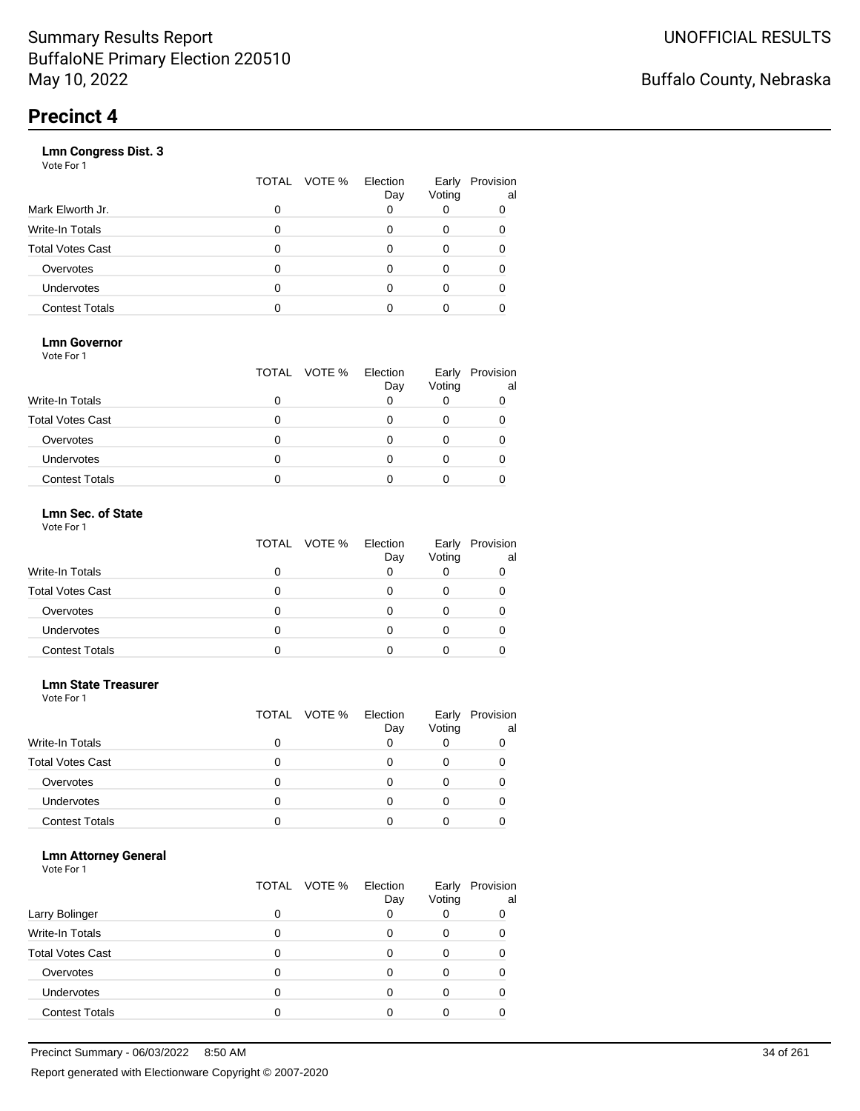### **Lmn Congress Dist. 3**

Vote For 1

|                         | TOTAL | VOTE % | Election<br>Day | Early<br>Voting | Provision<br>al |
|-------------------------|-------|--------|-----------------|-----------------|-----------------|
| Mark Elworth Jr.        |       |        | 0               |                 |                 |
| <b>Write-In Totals</b>  |       |        |                 | O               |                 |
| <b>Total Votes Cast</b> |       |        |                 |                 |                 |
| Overvotes               |       |        |                 | 0               |                 |
| <b>Undervotes</b>       |       |        | O               |                 |                 |
| <b>Contest Totals</b>   |       |        |                 |                 |                 |

### **Lmn Governor**

Vote For 1

|                         | TOTAL VOTE % | Election<br>Day | Early<br>Voting | Provision<br>al |
|-------------------------|--------------|-----------------|-----------------|-----------------|
| <b>Write-In Totals</b>  |              |                 |                 |                 |
| <b>Total Votes Cast</b> |              |                 |                 |                 |
| Overvotes               |              |                 |                 |                 |
| <b>Undervotes</b>       |              |                 |                 |                 |
| <b>Contest Totals</b>   |              |                 |                 |                 |

### **Lmn Sec. of State**

| Vote For 1 |  |  |
|------------|--|--|
|            |  |  |

|                         | TOTAL VOTE % | Election<br>Day | Early<br>Voting | Provision<br>al |
|-------------------------|--------------|-----------------|-----------------|-----------------|
| Write-In Totals         |              |                 |                 |                 |
| <b>Total Votes Cast</b> |              |                 |                 |                 |
| Overvotes               |              |                 |                 |                 |
| <b>Undervotes</b>       |              |                 |                 |                 |
| <b>Contest Totals</b>   |              |                 |                 |                 |

#### **Lmn State Treasurer**

Vote For 1

|                         |   | TOTAL VOTE % Election | Day | Early<br>Voting | Provision<br>al |
|-------------------------|---|-----------------------|-----|-----------------|-----------------|
| <b>Write-In Totals</b>  |   |                       |     |                 |                 |
| <b>Total Votes Cast</b> |   |                       |     |                 |                 |
| Overvotes               | O |                       |     |                 |                 |
| <b>Undervotes</b>       | 0 |                       |     |                 |                 |
| <b>Contest Totals</b>   |   |                       |     |                 |                 |

#### **Lmn Attorney General**

| Larry Bolinger          | 0 | TOTAL VOTE % | Election<br>Day | Early<br>Voting | Provision<br>al<br>0 |
|-------------------------|---|--------------|-----------------|-----------------|----------------------|
|                         |   |              |                 |                 |                      |
| <b>Write-In Totals</b>  | 0 |              |                 |                 |                      |
| <b>Total Votes Cast</b> | O |              |                 |                 |                      |
| Overvotes               | O |              |                 |                 |                      |
| <b>Undervotes</b>       | O |              |                 |                 |                      |
| <b>Contest Totals</b>   |   |              |                 |                 |                      |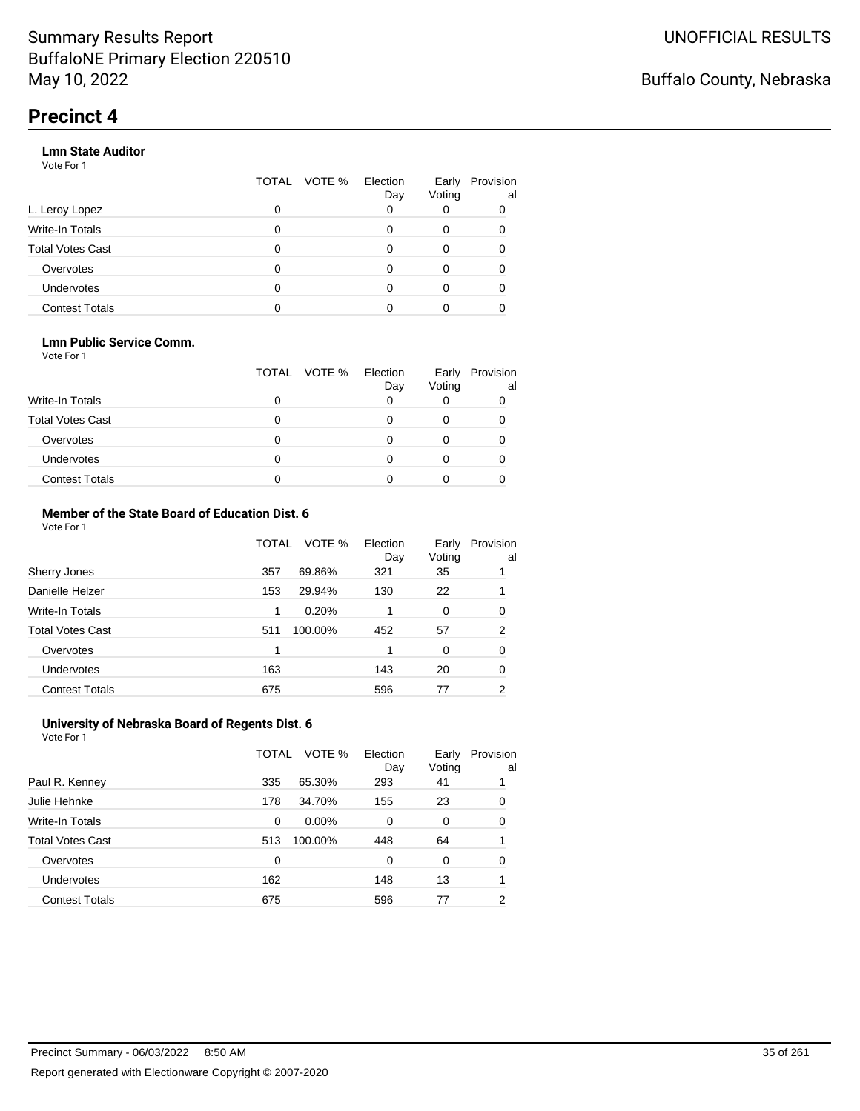#### **Lmn State Auditor**

Vote For 1

|                         | TOTAL | VOTE % Election | Day | Early<br>Voting | Provision<br>al |
|-------------------------|-------|-----------------|-----|-----------------|-----------------|
| L. Leroy Lopez          | 0     |                 |     |                 |                 |
| Write-In Totals         | 0     |                 |     | 0               |                 |
| <b>Total Votes Cast</b> | 0     |                 |     | 0               |                 |
| Overvotes               | 0     |                 |     | 0               |                 |
| <b>Undervotes</b>       | 0     |                 |     |                 |                 |
| <b>Contest Totals</b>   |       |                 |     |                 |                 |

#### **Lmn Public Service Comm.**

Vote For 1

|                         |   | TOTAL VOTE % | Election<br>Day | Early<br>Voting | Provision<br>al |
|-------------------------|---|--------------|-----------------|-----------------|-----------------|
| <b>Write-In Totals</b>  |   |              |                 |                 |                 |
| <b>Total Votes Cast</b> |   |              |                 |                 |                 |
| Overvotes               |   |              |                 |                 |                 |
| <b>Undervotes</b>       | 0 |              |                 |                 |                 |
| <b>Contest Totals</b>   |   |              |                 |                 |                 |

#### **Member of the State Board of Education Dist. 6** Vote For 1

|     | VOTE %  | Election<br>Day | Early<br>Voting | Provision<br>al |
|-----|---------|-----------------|-----------------|-----------------|
| 357 | 69.86%  | 321             | 35              |                 |
| 153 | 29.94%  | 130             | 22              |                 |
| 1   | 0.20%   |                 | $\Omega$        | 0               |
| 511 | 100.00% | 452             | 57              | 2               |
| 1   |         | 1               | $\Omega$        | 0               |
| 163 |         | 143             | 20              | 0               |
| 675 |         | 596             | 77              | 2               |
|     |         | TOTAL           |                 |                 |

#### **University of Nebraska Board of Regents Dist. 6** Vote For 1

|                         | TOTAL | VOTE %   | Election<br>Day | Early<br>Voting | Provision<br>al |
|-------------------------|-------|----------|-----------------|-----------------|-----------------|
| Paul R. Kenney          | 335   | 65.30%   | 293             | 41              |                 |
| Julie Hehnke            | 178   | 34.70%   | 155             | 23              | 0               |
| <b>Write-In Totals</b>  | 0     | $0.00\%$ | 0               | 0               | 0               |
| <b>Total Votes Cast</b> | 513   | 100.00%  | 448             | 64              |                 |
| Overvotes               | 0     |          | $\Omega$        | 0               | 0               |
| Undervotes              | 162   |          | 148             | 13              |                 |
| <b>Contest Totals</b>   | 675   |          | 596             | 77              | 2               |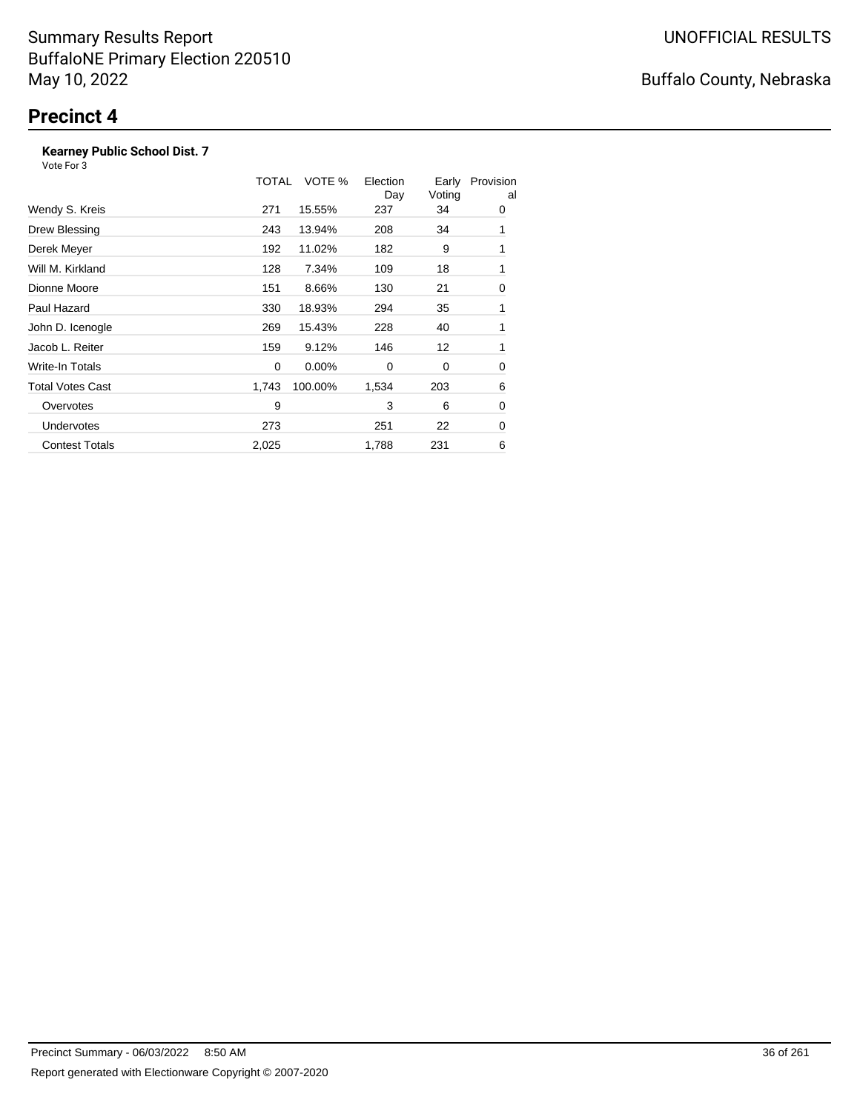### **Kearney Public School Dist. 7**

Vote For 3

|                       | TOTAL | VOTE %   | Election<br>Day | Early<br>Voting | Provision<br>al |
|-----------------------|-------|----------|-----------------|-----------------|-----------------|
| Wendy S. Kreis        | 271   | 15.55%   | 237             | 34              | 0               |
| Drew Blessing         | 243   | 13.94%   | 208             | 34              | 1               |
| Derek Meyer           | 192   | 11.02%   | 182             | 9               | 1               |
| Will M. Kirkland      | 128   | 7.34%    | 109             | 18              | 1               |
| Dionne Moore          | 151   | 8.66%    | 130             | 21              | 0               |
| Paul Hazard           | 330   | 18.93%   | 294             | 35              | 1               |
| John D. Icenogle      | 269   | 15.43%   | 228             | 40              | 1               |
| Jacob L. Reiter       | 159   | 9.12%    | 146             | 12              | 1               |
| Write-In Totals       | 0     | $0.00\%$ | 0               | 0               | 0               |
| Total Votes Cast      | 1,743 | 100.00%  | 1,534           | 203             | 6               |
| Overvotes             | 9     |          | 3               | 6               | 0               |
| <b>Undervotes</b>     | 273   |          | 251             | 22              | 0               |
| <b>Contest Totals</b> | 2,025 |          | 1,788           | 231             | 6               |

# Buffalo County, Nebraska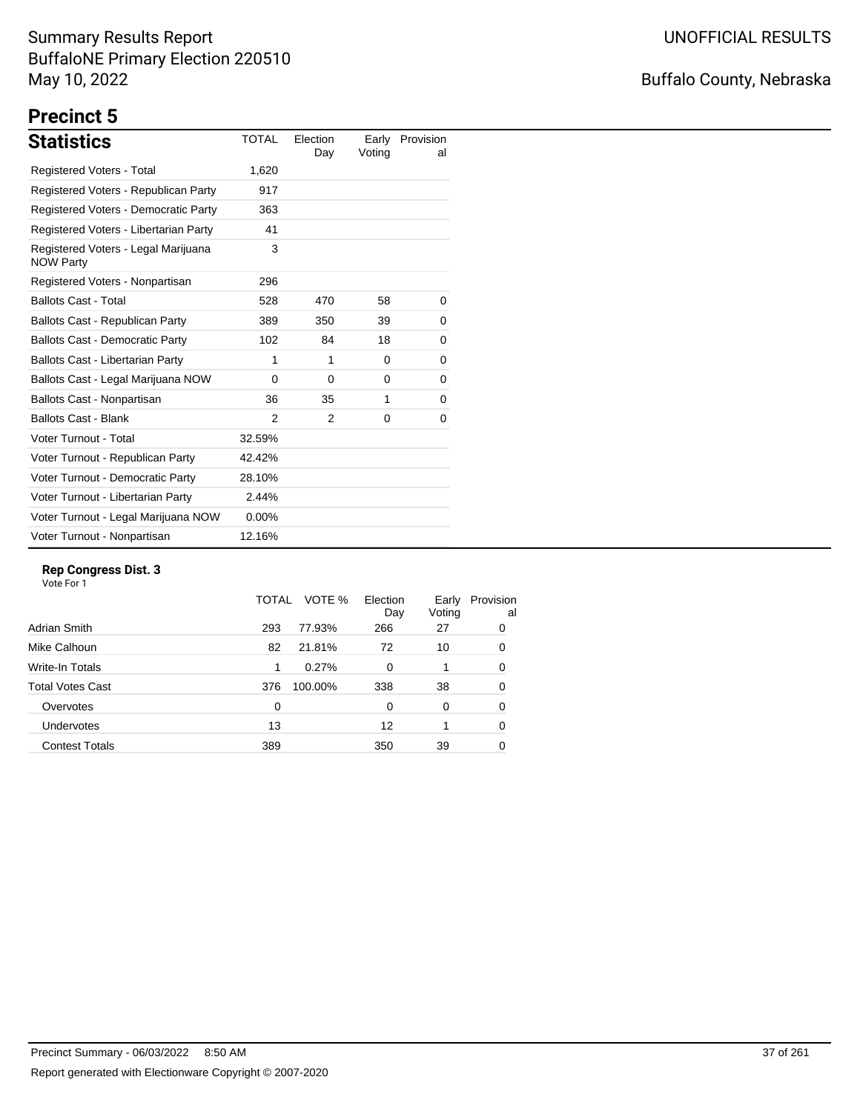## Buffalo County, Nebraska

# **Precinct 5**

| <b>Statistics</b>                                       | <b>TOTAL</b>  | Election<br>Day | Earlv<br>Voting | Provision<br>al |
|---------------------------------------------------------|---------------|-----------------|-----------------|-----------------|
| <b>Registered Voters - Total</b>                        | 1,620         |                 |                 |                 |
| Registered Voters - Republican Party                    | 917           |                 |                 |                 |
| Registered Voters - Democratic Party                    | 363           |                 |                 |                 |
| Registered Voters - Libertarian Party                   | 41            |                 |                 |                 |
| Registered Voters - Legal Marijuana<br><b>NOW Party</b> | 3             |                 |                 |                 |
| Registered Voters - Nonpartisan                         | 296           |                 |                 |                 |
| <b>Ballots Cast - Total</b>                             | 528           | 470             | 58              | 0               |
| Ballots Cast - Republican Party                         | 389           | 350             | 39              | 0               |
| <b>Ballots Cast - Democratic Party</b>                  | 102           | 84              | 18              | 0               |
| <b>Ballots Cast - Libertarian Party</b>                 | 1             | 1               | $\Omega$        | 0               |
| Ballots Cast - Legal Marijuana NOW                      | 0             | 0               | 0               | 0               |
| Ballots Cast - Nonpartisan                              | 36            | 35              | 1               | 0               |
| <b>Ballots Cast - Blank</b>                             | $\mathcal{P}$ | 2               | 0               | 0               |
| Voter Turnout - Total                                   | 32.59%        |                 |                 |                 |
| Voter Turnout - Republican Party                        | 42.42%        |                 |                 |                 |
| Voter Turnout - Democratic Party                        | 28.10%        |                 |                 |                 |
| Voter Turnout - Libertarian Party                       | 2.44%         |                 |                 |                 |
| Voter Turnout - Legal Marijuana NOW                     | $0.00\%$      |                 |                 |                 |
| Voter Turnout - Nonpartisan                             | 12.16%        |                 |                 |                 |

#### **Rep Congress Dist. 3**

|                       | TOTAL | VOTE %  | Election<br>Day | Early<br>Voting | Provision<br>al |
|-----------------------|-------|---------|-----------------|-----------------|-----------------|
| Adrian Smith          | 293   | 77.93%  | 266             | 27              | 0               |
| Mike Calhoun          | 82    | 21.81%  | 72              | 10              | 0               |
| Write-In Totals       | 1     | 0.27%   | $\Omega$        | 1               | 0               |
| Total Votes Cast      | 376   | 100.00% | 338             | 38              | 0               |
| Overvotes             | 0     |         | 0               | 0               | 0               |
| <b>Undervotes</b>     | 13    |         | 12              | 1               | 0               |
| <b>Contest Totals</b> | 389   |         | 350             | 39              | 0               |
|                       |       |         |                 |                 |                 |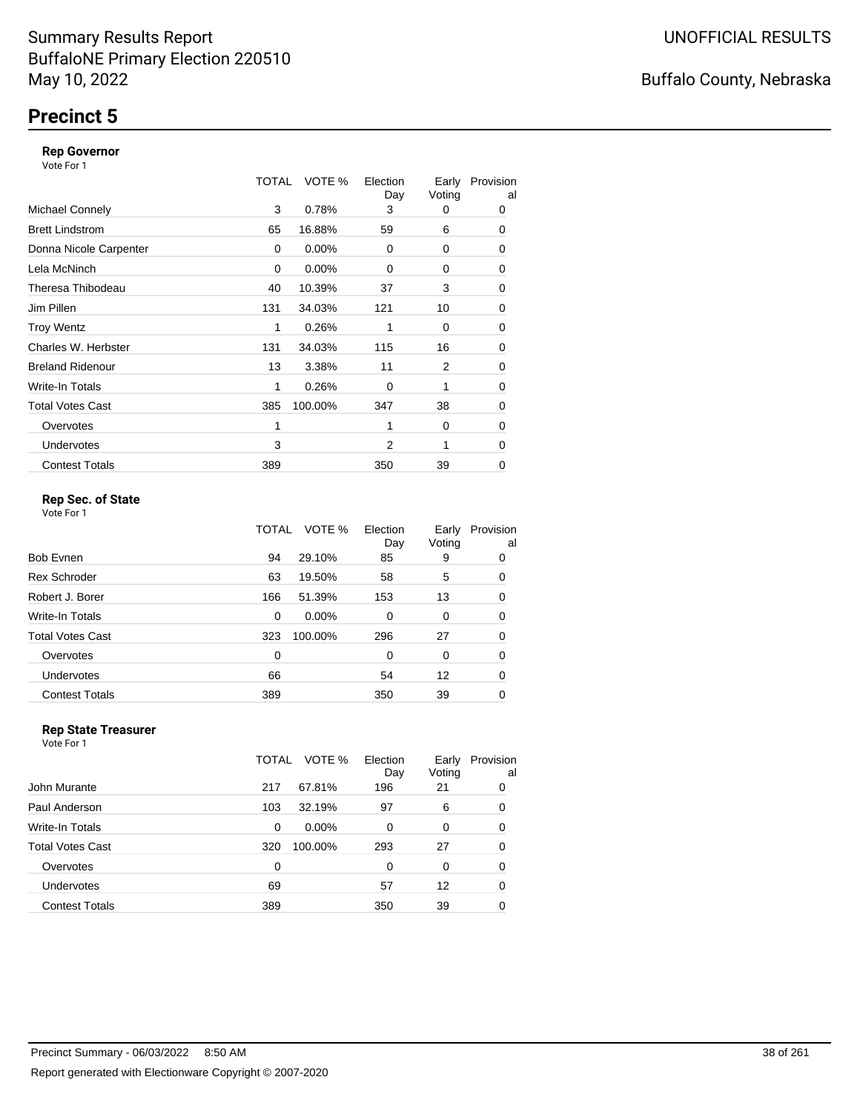## **Precinct 5**

#### **Rep Governor**

Vote For 1

|                         | TOTAL | VOTE %   | Election<br>Day | Early<br>Voting | Provision<br>al |
|-------------------------|-------|----------|-----------------|-----------------|-----------------|
| <b>Michael Connely</b>  | 3     | 0.78%    | 3               | 0               | 0               |
| <b>Brett Lindstrom</b>  | 65    | 16.88%   | 59              | 6               | 0               |
| Donna Nicole Carpenter  | 0     | 0.00%    | 0               | 0               | 0               |
| Lela McNinch            | 0     | $0.00\%$ | 0               | 0               | 0               |
| Theresa Thibodeau       | 40    | 10.39%   | 37              | 3               | 0               |
| Jim Pillen              | 131   | 34.03%   | 121             | 10              | 0               |
| <b>Troy Wentz</b>       | 1     | 0.26%    | 1               | 0               | 0               |
| Charles W. Herbster     | 131   | 34.03%   | 115             | 16              | 0               |
| <b>Breland Ridenour</b> | 13    | 3.38%    | 11              | 2               | 0               |
| Write-In Totals         | 1     | 0.26%    | $\Omega$        | 1               | 0               |
| <b>Total Votes Cast</b> | 385   | 100.00%  | 347             | 38              | 0               |
| Overvotes               | 1     |          | 1               | 0               | 0               |
| <b>Undervotes</b>       | 3     |          | 2               | 1               | 0               |
| <b>Contest Totals</b>   | 389   |          | 350             | 39              | 0               |

#### **Rep Sec. of State**

Vote For 1

|                       | TOTAL | VOTE %   | Election<br>Day | Early<br>Voting | Provision<br>al |
|-----------------------|-------|----------|-----------------|-----------------|-----------------|
| Bob Evnen             | 94    | 29.10%   | 85              | 9               | 0               |
| <b>Rex Schroder</b>   | 63    | 19.50%   | 58              | 5               | 0               |
| Robert J. Borer       | 166   | 51.39%   | 153             | 13              | 0               |
| Write-In Totals       | 0     | $0.00\%$ | $\Omega$        | 0               | 0               |
| Total Votes Cast      | 323   | 100.00%  | 296             | 27              | 0               |
| Overvotes             | 0     |          | $\Omega$        | 0               | 0               |
| Undervotes            | 66    |          | 54              | 12              | 0               |
| <b>Contest Totals</b> | 389   |          | 350             | 39              | 0               |
|                       |       |          |                 |                 |                 |

#### **Rep State Treasurer** Vote For 1

|                       | TOTAL    | VOTE %   | Election<br>Day | Early<br>Voting | Provision<br>al |
|-----------------------|----------|----------|-----------------|-----------------|-----------------|
| John Murante          | 217      | 67.81%   | 196             | 21              | 0               |
| Paul Anderson         | 103      | 32.19%   | 97              | 6               | 0               |
| Write-In Totals       | $\Omega$ | $0.00\%$ | $\Omega$        | 0               | 0               |
| Total Votes Cast      | 320      | 100.00%  | 293             | 27              | 0               |
| Overvotes             | ∩        |          | $\Omega$        | 0               | 0               |
| <b>Undervotes</b>     | 69       |          | 57              | 12              | 0               |
| <b>Contest Totals</b> | 389      |          | 350             | 39              | 0               |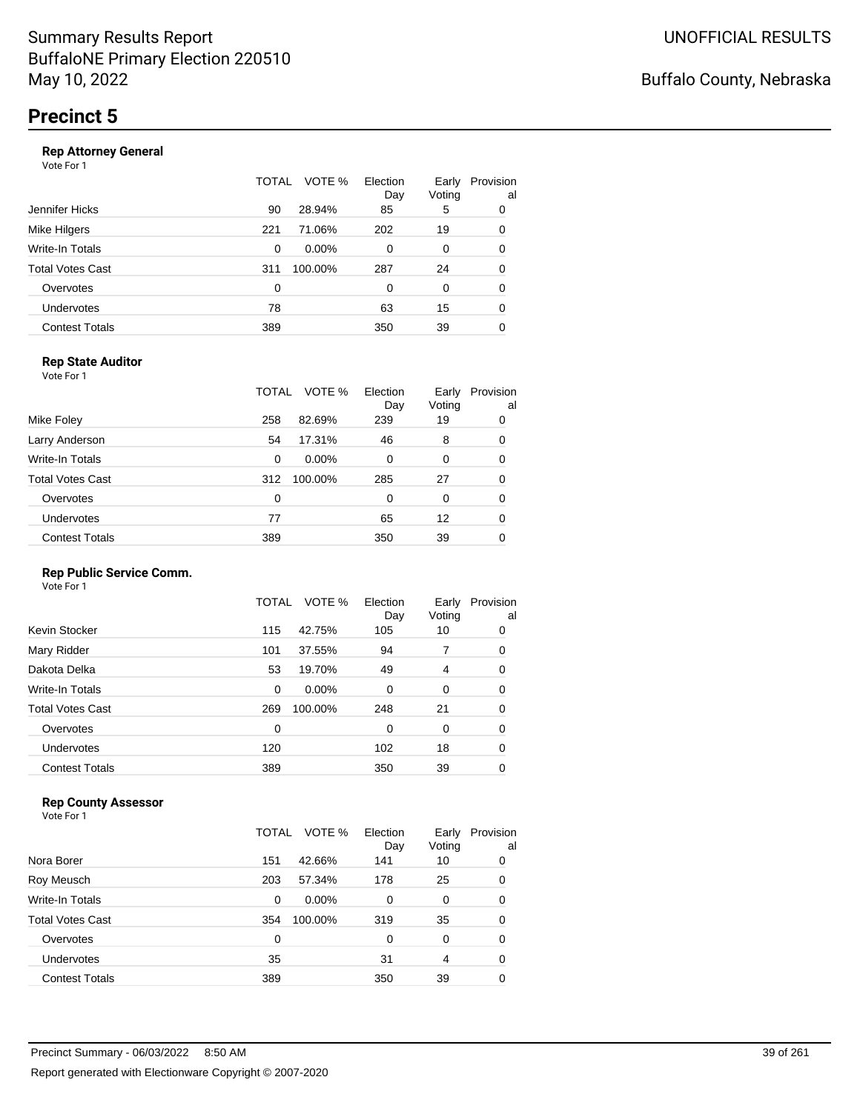#### **Rep Attorney General**

Vote For 1

|                       | TOTAL          | Election<br>VOTE %<br>Day | Early<br>Voting | Provision<br>al |
|-----------------------|----------------|---------------------------|-----------------|-----------------|
| Jennifer Hicks        | 28.94%<br>90   | 85                        | 5               | 0               |
| Mike Hilgers          | 71.06%<br>221  | 202                       | 19              | 0               |
| Write-In Totals       | $0.00\%$<br>0  | $\Omega$                  | 0               | 0               |
| Total Votes Cast      | 100.00%<br>311 | 287                       | 24              | 0               |
| Overvotes             | 0              | $\Omega$                  | 0               | 0               |
| <b>Undervotes</b>     | 78             | 63                        | 15              | 0               |
| <b>Contest Totals</b> | 389            | 350                       | 39              | 0               |
|                       |                |                           |                 |                 |

#### **Rep State Auditor**

Vote For 1

|                       | TOTAL | VOTE %   | Election<br>Day | Early<br>Voting | Provision<br>al |
|-----------------------|-------|----------|-----------------|-----------------|-----------------|
| Mike Foley            | 258   | 82.69%   | 239             | 19              | 0               |
| Larry Anderson        | 54    | 17.31%   | 46              | 8               | 0               |
| Write-In Totals       | 0     | $0.00\%$ | 0               | 0               | 0               |
| Total Votes Cast      | 312   | 100.00%  | 285             | 27              | 0               |
| Overvotes             | 0     |          | 0               | 0               | 0               |
| <b>Undervotes</b>     | 77    |          | 65              | 12              | 0               |
| <b>Contest Totals</b> | 389   |          | 350             | 39              | 0               |

#### **Rep Public Service Comm.**

Vote For 1

|                       | TOTAL | VOTE %   | Election<br>Day | Early<br>Voting | Provision<br>al |
|-----------------------|-------|----------|-----------------|-----------------|-----------------|
| Kevin Stocker         | 115   | 42.75%   | 105             | 10              | 0               |
| Mary Ridder           | 101   | 37.55%   | 94              | 7               | 0               |
| Dakota Delka          | 53    | 19.70%   | 49              | 4               | 0               |
| Write-In Totals       | 0     | $0.00\%$ | 0               | 0               | 0               |
| Total Votes Cast      | 269   | 100.00%  | 248             | 21              | 0               |
| Overvotes             | 0     |          | $\Omega$        | 0               | 0               |
| <b>Undervotes</b>     | 120   |          | 102             | 18              | 0               |
| <b>Contest Totals</b> | 389   |          | 350             | 39              | 0               |
|                       |       |          |                 |                 |                 |

#### **Rep County Assessor**

|                       | TOTAL    | VOTE %   | Election<br>Day | Early<br>Voting | Provision<br>al |
|-----------------------|----------|----------|-----------------|-----------------|-----------------|
| Nora Borer            | 151      | 42.66%   | 141             | 10              | 0               |
| Roy Meusch            | 203      | 57.34%   | 178             | 25              | 0               |
| Write-In Totals       | 0        | $0.00\%$ | 0               | 0               | 0               |
| Total Votes Cast      | 354      | 100.00%  | 319             | 35              | 0               |
| Overvotes             | $\Omega$ |          | $\Omega$        | $\Omega$        | 0               |
| <b>Undervotes</b>     | 35       |          | 31              | 4               | 0               |
| <b>Contest Totals</b> | 389      |          | 350             | 39              | 0               |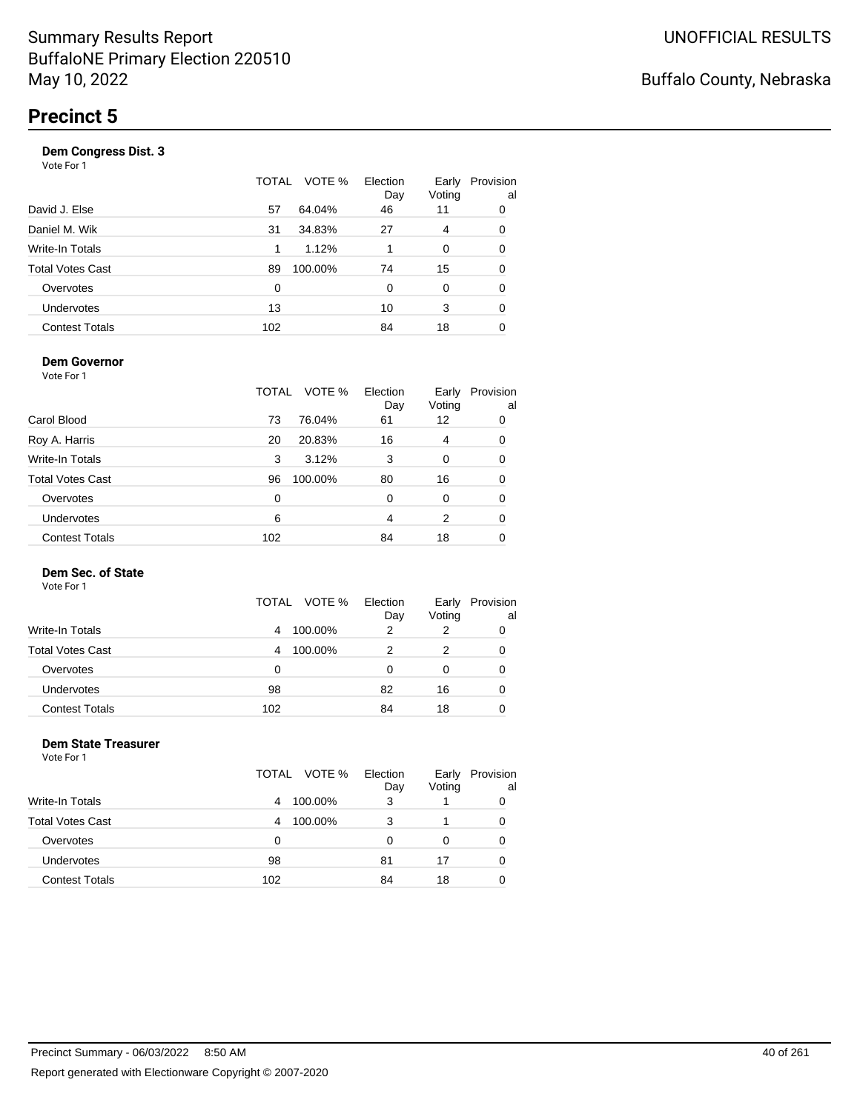| Vote For 1            |       |         |                 |                 |                 |
|-----------------------|-------|---------|-----------------|-----------------|-----------------|
|                       | TOTAL | VOTE %  | Election<br>Day | Early<br>Voting | Provision<br>al |
| David J. Else         | 57    | 64.04%  | 46              | 11              | 0               |
| Daniel M. Wik         | 31    | 34.83%  | 27              | 4               | 0               |
| Write-In Totals       | 1     | 1.12%   | 1               | 0               | 0               |
| Total Votes Cast      | 89    | 100.00% | 74              | 15              | 0               |
| Overvotes             | 0     |         | 0               | 0               | 0               |
| <b>Undervotes</b>     | 13    |         | 10              | 3               | 0               |
| <b>Contest Totals</b> | 102   |         | 84              | 18              | 0               |
|                       |       |         |                 |                 |                 |

#### **Dem Governor**

Vote For 1

|                         | TOTAL | VOTE %  | Election<br>Day | Early<br>Voting | Provision<br>al |
|-------------------------|-------|---------|-----------------|-----------------|-----------------|
| Carol Blood             | 73    | 76.04%  | 61              | 12              | 0               |
| Roy A. Harris           | 20    | 20.83%  | 16              | 4               | 0               |
| Write-In Totals         | 3     | 3.12%   | 3               | 0               | 0               |
| <b>Total Votes Cast</b> | 96    | 100.00% | 80              | 16              | 0               |
| Overvotes               | 0     |         | 0               | 0               | 0               |
| Undervotes              | 6     |         | 4               | 2               | 0               |
| <b>Contest Totals</b>   | 102   |         | 84              | 18              |                 |

#### **Dem Sec. of State**

Vote For 1

|                         | TOTAL<br>VOTE % | Election | Early  | Provision |
|-------------------------|-----------------|----------|--------|-----------|
| Write-In Totals         | 100.00%<br>4    | Day<br>2 | Voting | al        |
| <b>Total Votes Cast</b> | 100.00%<br>4    |          | 2      |           |
| Overvotes               | 0               | O        |        |           |
| Undervotes              | 98              | 82       | 16     |           |
| <b>Contest Totals</b>   | 102             | 84       | 18     |           |

#### **Dem State Treasurer** Vote For 1

|                         | TOTAL VOTE % | Election<br>Day | Early<br>Voting | Provision<br>al |
|-------------------------|--------------|-----------------|-----------------|-----------------|
| Write-In Totals         | 100.00%<br>4 | 3               |                 | 0               |
| <b>Total Votes Cast</b> | 100.00%<br>4 | 3               |                 | 0               |
| Overvotes               | 0            | 0               | 0               | 0               |
| Undervotes              | 98           | 81              | 17              | 0               |
| <b>Contest Totals</b>   | 102          | 84              | 18              |                 |
|                         |              |                 |                 |                 |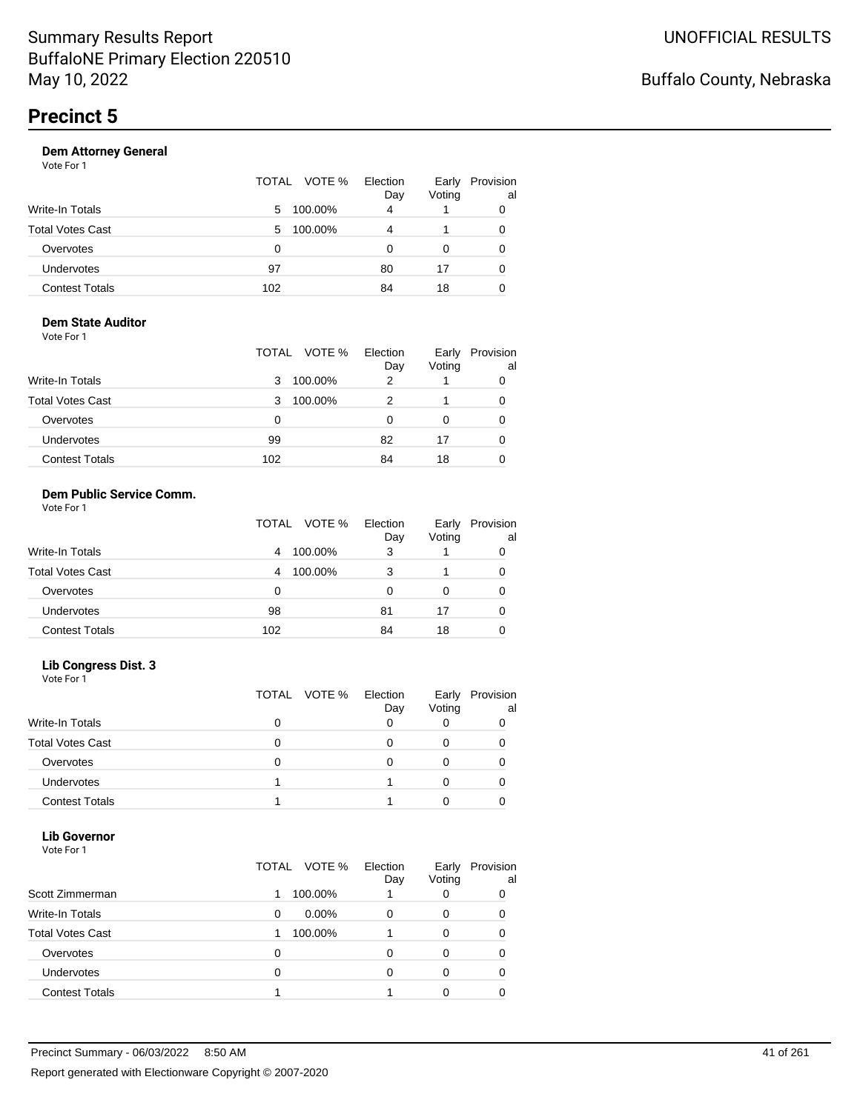| Vote For 1            |                 |                 |                 |                 |
|-----------------------|-----------------|-----------------|-----------------|-----------------|
|                       | VOTE %<br>TOTAL | Election<br>Day | Early<br>Voting | Provision<br>al |
| Write-In Totals       | 100.00%<br>5.   | 4               |                 | 0               |
| Total Votes Cast      | 100.00%<br>5    | 4               |                 | 0               |
| Overvotes             | 0               | O               | 0               | 0               |
| <b>Undervotes</b>     | 97              | 80              | 17              | 0               |
| <b>Contest Totals</b> | 102             | 84              | 18              |                 |
|                       |                 |                 |                 |                 |

#### **Dem State Auditor** Vote For 1

|                         | TOTAL VOTE % | Election<br>Day | Early<br>Voting | Provision<br>al |
|-------------------------|--------------|-----------------|-----------------|-----------------|
| <b>Write-In Totals</b>  | 100.00%<br>3 | 2               |                 |                 |
| <b>Total Votes Cast</b> | 100.00%<br>3 |                 |                 | 0               |
| Overvotes               | 0            | O               | 0               | 0               |
| <b>Undervotes</b>       | 99           | 82              | 17              | 0               |
| <b>Contest Totals</b>   | 102          | 84              | 18              |                 |

#### **Dem Public Service Comm.** Vote For 1

|                         | TOTAL VOTE % | Election<br>Day | Early<br>Voting | Provision<br>al |
|-------------------------|--------------|-----------------|-----------------|-----------------|
| <b>Write-In Totals</b>  | 100.00%<br>4 | 3               |                 |                 |
| <b>Total Votes Cast</b> | 100.00%<br>4 | 3               |                 | O               |
| Overvotes               | 0            | O               | 0               |                 |
| <b>Undervotes</b>       | 98           | 81              | 17              | O               |
| <b>Contest Totals</b>   | 102          | 84              | 18              |                 |

#### **Lib Congress Dist. 3**

Vote For 1

|                         | TOTAL VOTE % | Election<br>Day | Early<br>Voting | Provision<br>al |
|-------------------------|--------------|-----------------|-----------------|-----------------|
| <b>Write-In Totals</b>  |              |                 |                 |                 |
| <b>Total Votes Cast</b> |              |                 |                 |                 |
| Overvotes               |              |                 |                 |                 |
| <b>Undervotes</b>       |              |                 |                 |                 |
| <b>Contest Totals</b>   |              |                 |                 |                 |

#### **Lib Governor** Vote For 1

| .                       | TOTAL VOTE %  | Election | Early       | Provision |
|-------------------------|---------------|----------|-------------|-----------|
| Scott Zimmerman         | 100.00%       | Day      | Voting<br>0 | al        |
| Write-In Totals         | $0.00\%$<br>0 | 0        | 0           |           |
| <b>Total Votes Cast</b> | 100.00%       |          | 0           |           |
| Overvotes               |               | O        | 0           |           |
| <b>Undervotes</b>       |               |          | 0           |           |
| <b>Contest Totals</b>   |               |          |             |           |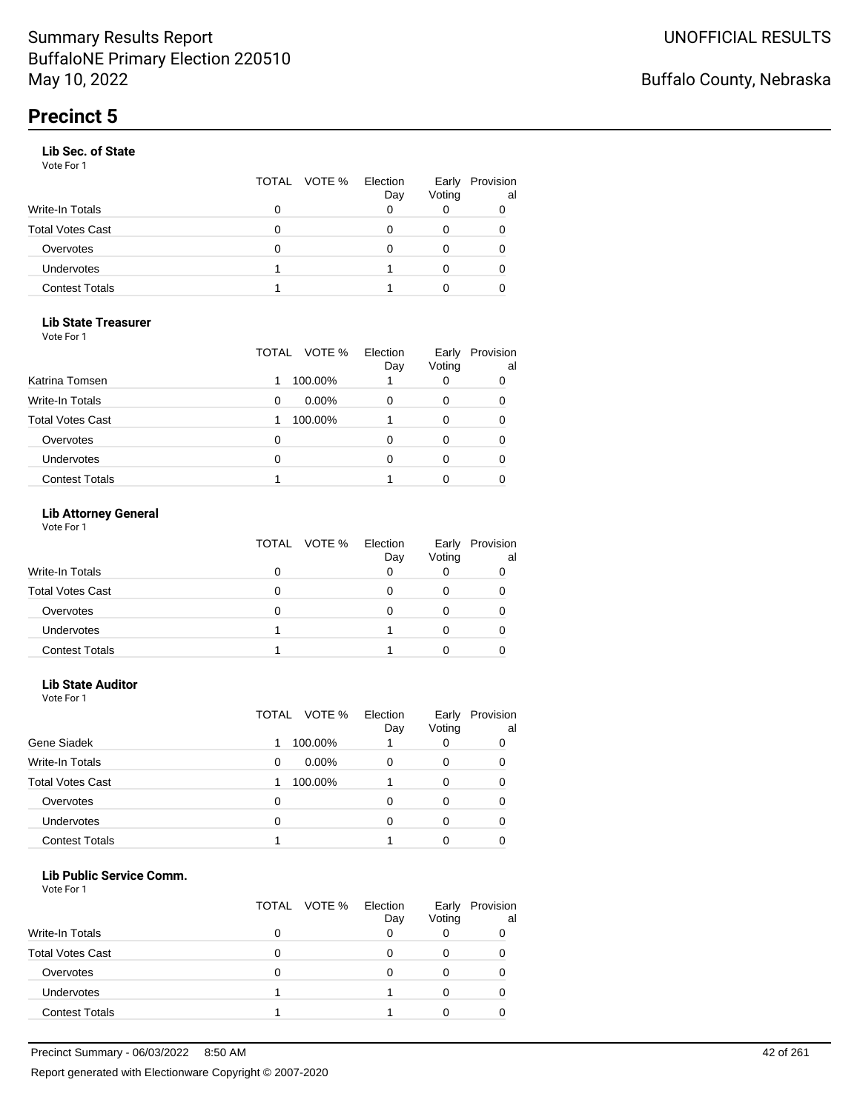#### **Lib Sec. of State**

Vote For 1

|                       |   | TOTAL VOTE % | Election<br>Day | Early<br>Voting | Provision<br>al |
|-----------------------|---|--------------|-----------------|-----------------|-----------------|
| Write-In Totals       |   |              |                 |                 |                 |
| Total Votes Cast      | 0 |              |                 |                 |                 |
| Overvotes             | O |              |                 |                 |                 |
| Undervotes            |   |              |                 |                 | 0               |
| <b>Contest Totals</b> |   |              |                 |                 |                 |
|                       |   |              |                 |                 |                 |

#### **Lib State Treasurer**

Vote For 1

|                         | VOTE %<br>TOTAL | Election<br>Day | Early<br>Voting | Provision<br>al |
|-------------------------|-----------------|-----------------|-----------------|-----------------|
| Katrina Tomsen          | 100.00%         |                 | 0               | 0               |
| <b>Write-In Totals</b>  | $0.00\%$<br>0   |                 | 0               | 0               |
| <b>Total Votes Cast</b> | 100.00%         |                 | O               | 0               |
| Overvotes               | O               |                 | Ω               | O               |
| Undervotes              | 0               |                 |                 |                 |
| <b>Contest Totals</b>   |                 |                 |                 |                 |

#### **Lib Attorney General**

Vote For 1

|                         | TOTAL VOTE % | Election<br>Day | Early<br>Voting | Provision<br>al |
|-------------------------|--------------|-----------------|-----------------|-----------------|
| <b>Write-In Totals</b>  | 0            |                 |                 |                 |
| <b>Total Votes Cast</b> | 0            |                 |                 |                 |
| Overvotes               | 0            |                 |                 |                 |
| <b>Undervotes</b>       |              |                 |                 |                 |
| <b>Contest Totals</b>   |              |                 |                 |                 |

#### **Lib State Auditor**

Vote For 1

|                         | VOTE %<br>TOTAL | Election<br>Day | Early<br>Voting | Provision<br>al |
|-------------------------|-----------------|-----------------|-----------------|-----------------|
| Gene Siadek             | 100.00%         |                 |                 |                 |
| <b>Write-In Totals</b>  | $0.00\%$<br>0   | 0               | 0               | O               |
| <b>Total Votes Cast</b> | 100.00%         |                 | 0               |                 |
| Overvotes               | 0               | ი               | O               |                 |
| <b>Undervotes</b>       | 0               | 0               |                 |                 |
| <b>Contest Totals</b>   |                 |                 |                 |                 |

#### **Lib Public Service Comm.**

|                         | TOTAL VOTE % | Election<br>Day | Early<br>Voting | Provision<br>al |
|-------------------------|--------------|-----------------|-----------------|-----------------|
| <b>Write-In Totals</b>  |              |                 |                 |                 |
| <b>Total Votes Cast</b> |              |                 |                 |                 |
| Overvotes               |              |                 |                 |                 |
| <b>Undervotes</b>       |              |                 |                 |                 |
| <b>Contest Totals</b>   |              |                 |                 |                 |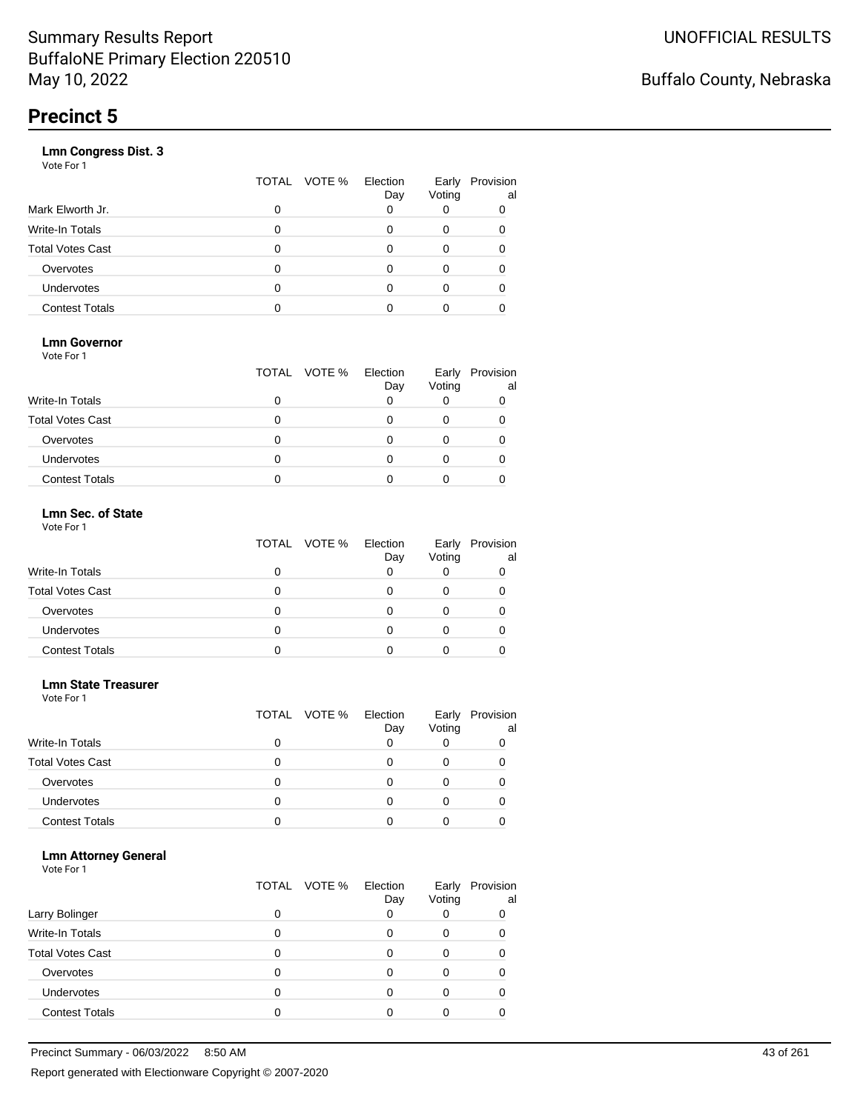|                       | VOTE %<br>TOTAL | Election<br>Day | Early<br>Voting | Provision<br>al |
|-----------------------|-----------------|-----------------|-----------------|-----------------|
| Mark Elworth Jr.      | 0               |                 |                 | 0               |
| Write-In Totals       | O               |                 | 0               | 0               |
| Total Votes Cast      | O               |                 | 0               |                 |
| Overvotes             | 0               |                 | 0               |                 |
| Undervotes            | O               |                 | Ω               |                 |
| <b>Contest Totals</b> |                 |                 |                 |                 |
|                       |                 |                 |                 |                 |

#### **Lmn Governor**

Vote For 1

|                         | TOTAL VOTE % | Election<br>Day | Early<br>Voting | Provision<br>al |
|-------------------------|--------------|-----------------|-----------------|-----------------|
| <b>Write-In Totals</b>  |              |                 |                 |                 |
| <b>Total Votes Cast</b> |              |                 |                 |                 |
| Overvotes               |              |                 |                 |                 |
| Undervotes              |              |                 |                 |                 |
| <b>Contest Totals</b>   |              |                 |                 |                 |

#### **Lmn Sec. of State** Vote For 1

|                         | TOTAL VOTE % | Election<br>Day | Early<br>Voting | Provision<br>al |
|-------------------------|--------------|-----------------|-----------------|-----------------|
| <b>Write-In Totals</b>  |              |                 |                 |                 |
| <b>Total Votes Cast</b> | n            |                 |                 |                 |
| Overvotes               | O            |                 |                 |                 |
| Undervotes              | O            |                 |                 |                 |
| <b>Contest Totals</b>   |              |                 |                 |                 |

#### **Lmn State Treasurer**

Vote For 1

|                         |   | TOTAL VOTE % | Election<br>Day | Early<br>Voting | Provision<br>al |
|-------------------------|---|--------------|-----------------|-----------------|-----------------|
| <b>Write-In Totals</b>  |   |              |                 |                 |                 |
| <b>Total Votes Cast</b> | 0 |              |                 |                 |                 |
| Overvotes               | 0 |              | Ω               |                 |                 |
| <b>Undervotes</b>       | O |              |                 |                 |                 |
| <b>Contest Totals</b>   |   |              |                 |                 |                 |

#### **Lmn Attorney General**

| Larry Bolinger          | O | TOTAL VOTE % | Election<br>Day | Early<br>Voting | Provision<br>al<br>0 |
|-------------------------|---|--------------|-----------------|-----------------|----------------------|
|                         |   |              |                 |                 |                      |
| <b>Write-In Totals</b>  | 0 |              |                 | Ω               |                      |
| <b>Total Votes Cast</b> |   |              |                 |                 |                      |
| Overvotes               |   |              |                 |                 |                      |
| Undervotes              | 0 |              |                 | Ω               |                      |
| <b>Contest Totals</b>   |   |              |                 |                 |                      |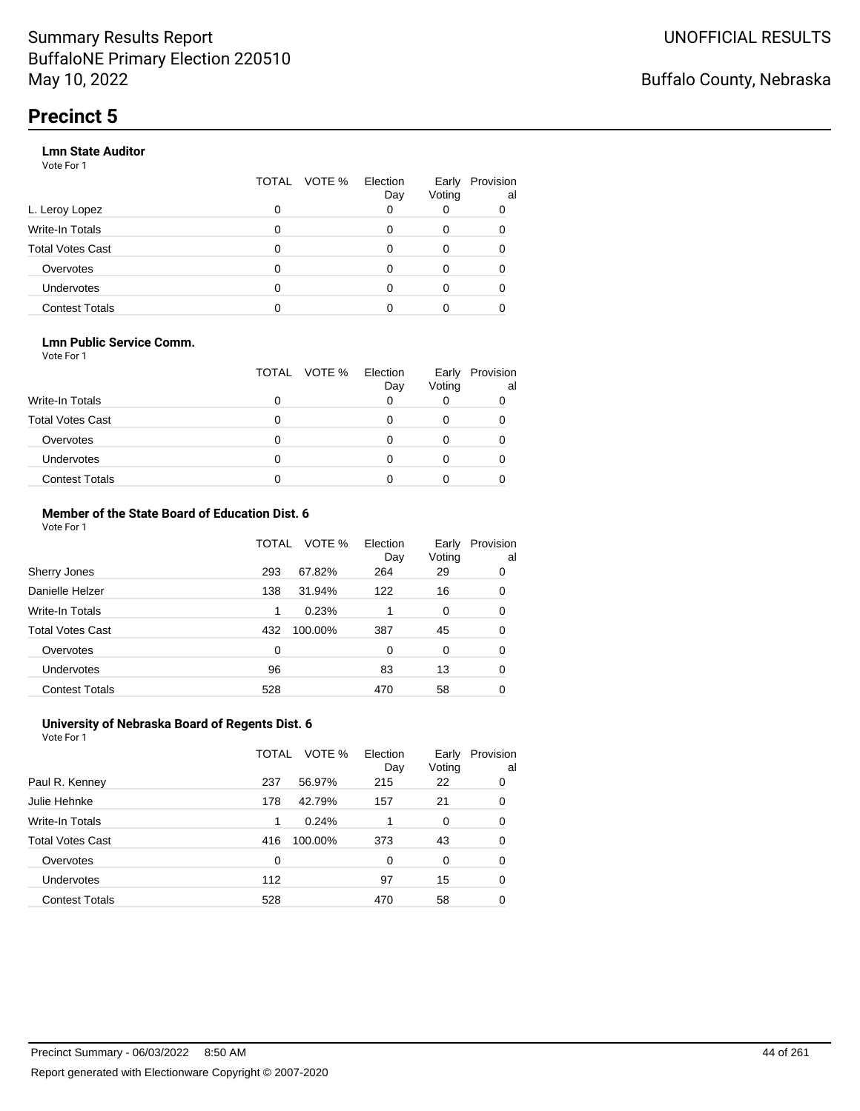#### **Lmn State Auditor**

Vote For 1

|                         | TOTAL | VOTE % Election | Day | Early<br>Voting | Provision<br>al |
|-------------------------|-------|-----------------|-----|-----------------|-----------------|
| L. Leroy Lopez          | 0     |                 |     |                 |                 |
| Write-In Totals         | 0     |                 |     | 0               |                 |
| <b>Total Votes Cast</b> | 0     |                 |     | 0               |                 |
| Overvotes               | 0     |                 |     | 0               |                 |
| Undervotes              | 0     |                 |     |                 |                 |
| <b>Contest Totals</b>   |       |                 |     |                 |                 |

#### **Lmn Public Service Comm.**

Vote For 1

|                         |   | TOTAL VOTE % | Election<br>Day | Early<br>Voting | Provision<br>al |
|-------------------------|---|--------------|-----------------|-----------------|-----------------|
| <b>Write-In Totals</b>  |   |              |                 |                 |                 |
| <b>Total Votes Cast</b> |   |              |                 |                 |                 |
| Overvotes               |   |              |                 |                 |                 |
| <b>Undervotes</b>       | 0 |              |                 |                 |                 |
| <b>Contest Totals</b>   |   |              |                 |                 |                 |

#### **Member of the State Board of Education Dist. 6** Vote For 1

|                         | TOTAL    | VOTE %  | Election<br>Day | Early<br>Voting | Provision<br>al |
|-------------------------|----------|---------|-----------------|-----------------|-----------------|
| Sherry Jones            | 293      | 67.82%  | 264             | 29              | 0               |
| Danielle Helzer         | 138      | 31.94%  | 122             | 16              | 0               |
| <b>Write-In Totals</b>  | 1        | 0.23%   |                 | $\Omega$        | 0               |
| <b>Total Votes Cast</b> | 432      | 100.00% | 387             | 45              | 0               |
| Overvotes               | $\Omega$ |         | 0               | $\Omega$        | 0               |
| <b>Undervotes</b>       | 96       |         | 83              | 13              | 0               |
| <b>Contest Totals</b>   | 528      |         | 470             | 58              | 0               |

#### **University of Nebraska Board of Regents Dist. 6** Vote For 1

|                         | TOTAL | VOTE %  | Election<br>Day | Early<br>Voting | Provision<br>al |
|-------------------------|-------|---------|-----------------|-----------------|-----------------|
| Paul R. Kenney          | 237   | 56.97%  | 215             | 22              | 0               |
| Julie Hehnke            | 178   | 42.79%  | 157             | 21              | 0               |
| <b>Write-In Totals</b>  | 1     | 0.24%   |                 | 0               | 0               |
| <b>Total Votes Cast</b> | 416   | 100.00% | 373             | 43              | 0               |
| Overvotes               | 0     |         | 0               | $\Omega$        | 0               |
| Undervotes              | 112   |         | 97              | 15              | 0               |
| <b>Contest Totals</b>   | 528   |         | 470             | 58              | 0               |
|                         |       |         |                 |                 |                 |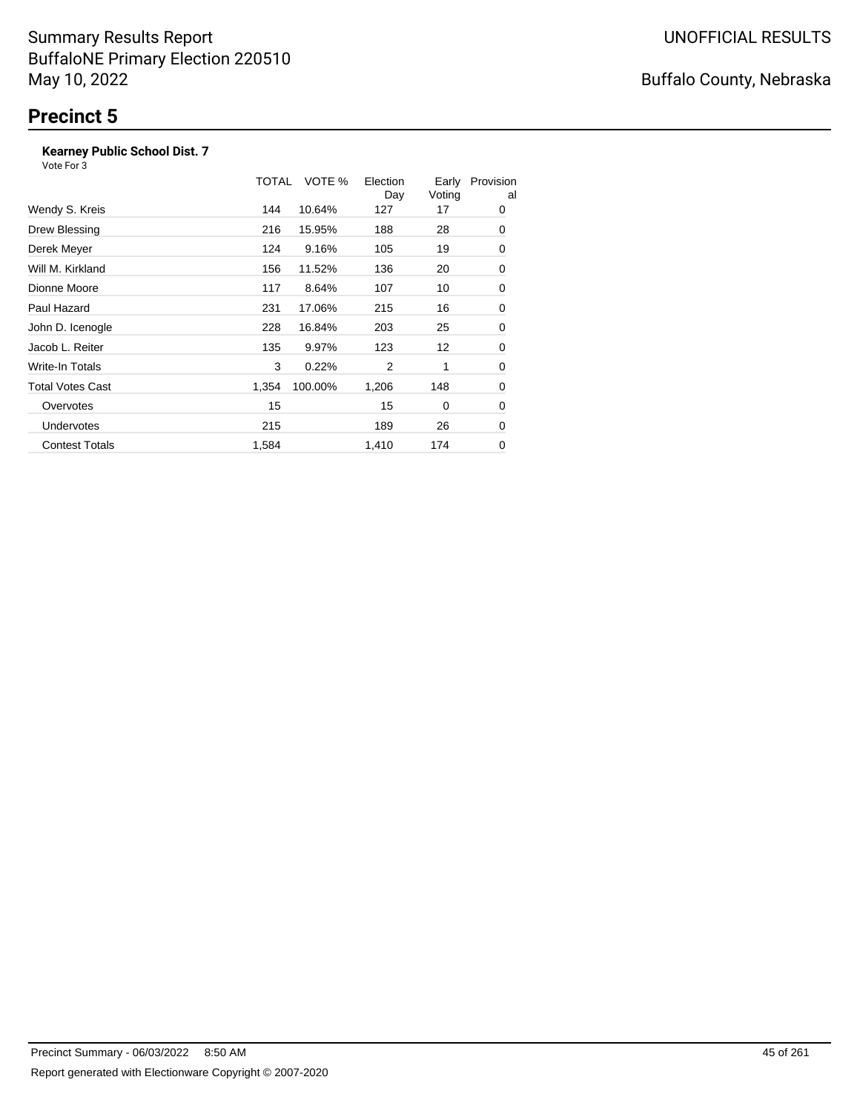#### **Kearney Public School Dist. 7**

|                         | TOTAL | VOTE %  | Election<br>Day | Early<br>Voting | Provision<br>al |
|-------------------------|-------|---------|-----------------|-----------------|-----------------|
| Wendy S. Kreis          | 144   | 10.64%  | 127             | 17              | 0               |
| Drew Blessing           | 216   | 15.95%  | 188             | 28              | 0               |
| Derek Meyer             | 124   | 9.16%   | 105             | 19              | 0               |
| Will M. Kirkland        | 156   | 11.52%  | 136             | 20              | 0               |
| Dionne Moore            | 117   | 8.64%   | 107             | 10              | 0               |
| Paul Hazard             | 231   | 17.06%  | 215             | 16              | 0               |
| John D. Icenogle        | 228   | 16.84%  | 203             | 25              | 0               |
| Jacob L. Reiter         | 135   | 9.97%   | 123             | 12              | 0               |
| Write-In Totals         | 3     | 0.22%   | 2               | 1               | 0               |
| <b>Total Votes Cast</b> | 1,354 | 100.00% | 1,206           | 148             | 0               |
| Overvotes               | 15    |         | 15              | 0               | 0               |
| <b>Undervotes</b>       | 215   |         | 189             | 26              | 0               |
| <b>Contest Totals</b>   | 1,584 |         | 1,410           | 174             | 0               |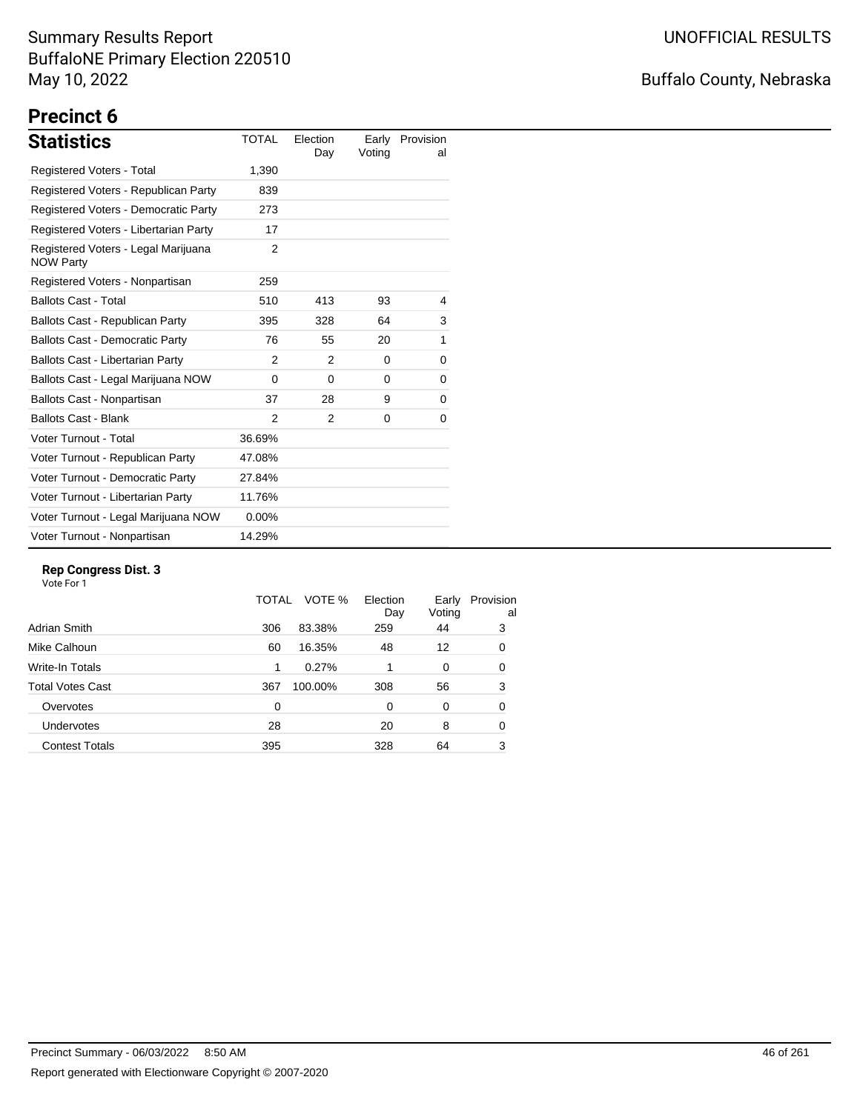## Buffalo County, Nebraska

# **Precinct 6**

| <b>Statistics</b>                                       | <b>TOTAL</b>  | Election<br>Day | Earlv<br>Voting | Provision<br>al |
|---------------------------------------------------------|---------------|-----------------|-----------------|-----------------|
| <b>Registered Voters - Total</b>                        | 1,390         |                 |                 |                 |
| Registered Voters - Republican Party                    | 839           |                 |                 |                 |
| Registered Voters - Democratic Party                    | 273           |                 |                 |                 |
| Registered Voters - Libertarian Party                   | 17            |                 |                 |                 |
| Registered Voters - Legal Marijuana<br><b>NOW Party</b> | 2             |                 |                 |                 |
| Registered Voters - Nonpartisan                         | 259           |                 |                 |                 |
| <b>Ballots Cast - Total</b>                             | 510           | 413             | 93              | 4               |
| Ballots Cast - Republican Party                         | 395           | 328             | 64              | 3               |
| <b>Ballots Cast - Democratic Party</b>                  | 76            | 55              | 20              | 1               |
| Ballots Cast - Libertarian Party                        | 2             | 2               | 0               | 0               |
| Ballots Cast - Legal Marijuana NOW                      | 0             | $\Omega$        | 0               | 0               |
| Ballots Cast - Nonpartisan                              | 37            | 28              | 9               | 0               |
| <b>Ballots Cast - Blank</b>                             | $\mathcal{P}$ | 2               | 0               | 0               |
| Voter Turnout - Total                                   | 36.69%        |                 |                 |                 |
| Voter Turnout - Republican Party                        | 47.08%        |                 |                 |                 |
| Voter Turnout - Democratic Party                        | 27.84%        |                 |                 |                 |
| Voter Turnout - Libertarian Party                       | 11.76%        |                 |                 |                 |
| Voter Turnout - Legal Marijuana NOW                     | $0.00\%$      |                 |                 |                 |
| Voter Turnout - Nonpartisan                             | 14.29%        |                 |                 |                 |

#### **Rep Congress Dist. 3**

|                         | TOTAL | VOTE %  | Election<br>Day | Early<br>Voting | Provision<br>al |
|-------------------------|-------|---------|-----------------|-----------------|-----------------|
| Adrian Smith            | 306   | 83.38%  | 259             | 44              | 3               |
| Mike Calhoun            | 60    | 16.35%  | 48              | 12              | 0               |
| Write-In Totals         | 1     | 0.27%   |                 | 0               | 0               |
| <b>Total Votes Cast</b> | 367   | 100.00% | 308             | 56              | 3               |
| Overvotes               | 0     |         | 0               | $\Omega$        | 0               |
| Undervotes              | 28    |         | 20              | 8               | 0               |
| <b>Contest Totals</b>   | 395   |         | 328             | 64              | 3               |
|                         |       |         |                 |                 |                 |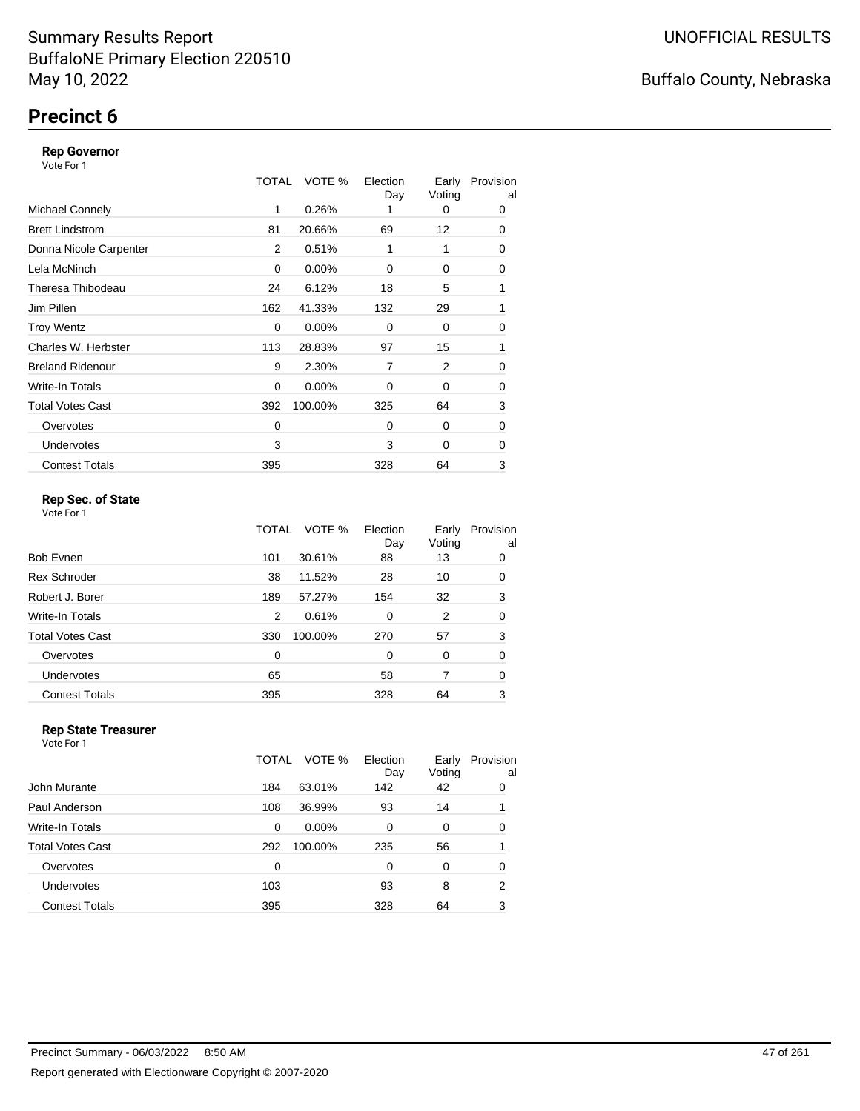## **Precinct 6**

#### **Rep Governor**

Vote For 1

|                         | TOTAL | VOTE %   | Election<br>Day | Early<br>Voting | Provision<br>al |
|-------------------------|-------|----------|-----------------|-----------------|-----------------|
| <b>Michael Connely</b>  | 1     | 0.26%    |                 | 0               | 0               |
| <b>Brett Lindstrom</b>  | 81    | 20.66%   | 69              | 12              | 0               |
| Donna Nicole Carpenter  | 2     | 0.51%    | 1               | 1               | 0               |
| Lela McNinch            | 0     | $0.00\%$ | $\Omega$        | 0               | 0               |
| Theresa Thibodeau       | 24    | 6.12%    | 18              | 5               | 1               |
| Jim Pillen              | 162   | 41.33%   | 132             | 29              | 1               |
| <b>Troy Wentz</b>       | 0     | $0.00\%$ | $\Omega$        | 0               | 0               |
| Charles W. Herbster     | 113   | 28.83%   | 97              | 15              | 1               |
| <b>Breland Ridenour</b> | 9     | 2.30%    | $\overline{7}$  | 2               | 0               |
| Write-In Totals         | 0     | $0.00\%$ | $\Omega$        | 0               | 0               |
| <b>Total Votes Cast</b> | 392   | 100.00%  | 325             | 64              | 3               |
| Overvotes               | 0     |          | $\Omega$        | $\Omega$        | 0               |
| <b>Undervotes</b>       | 3     |          | 3               | 0               | 0               |
| <b>Contest Totals</b>   | 395   |          | 328             | 64              | 3               |

#### **Rep Sec. of State**

Vote For 1

|                         | TOTAL | VOTE %  | Election<br>Day | Early<br>Voting | Provision<br>al |
|-------------------------|-------|---------|-----------------|-----------------|-----------------|
| Bob Evnen               | 101   | 30.61%  | 88              | 13              | 0               |
| <b>Rex Schroder</b>     | 38    | 11.52%  | 28              | 10              | 0               |
| Robert J. Borer         | 189   | 57.27%  | 154             | 32              | 3               |
| Write-In Totals         | 2     | 0.61%   | $\Omega$        | 2               | 0               |
| <b>Total Votes Cast</b> | 330   | 100.00% | 270             | 57              | 3               |
| Overvotes               | 0     |         | 0               | 0               | 0               |
| Undervotes              | 65    |         | 58              | 7               | 0               |
| <b>Contest Totals</b>   | 395   |         | 328             | 64              | 3               |

#### **Rep State Treasurer** Vote For 1

|                       | TOTAL | VOTE %   | Election<br>Day | Early<br>Voting | Provision<br>al |
|-----------------------|-------|----------|-----------------|-----------------|-----------------|
| John Murante          | 184   | 63.01%   | 142             | 42              | 0               |
| Paul Anderson         | 108   | 36.99%   | 93              | 14              |                 |
| Write-In Totals       | 0     | $0.00\%$ | 0               | 0               | $\Omega$        |
| Total Votes Cast      | 292   | 100.00%  | 235             | 56              |                 |
| Overvotes             | 0     |          | 0               | 0               | 0               |
| <b>Undervotes</b>     | 103   |          | 93              | 8               | 2               |
| <b>Contest Totals</b> | 395   |          | 328             | 64              | 3               |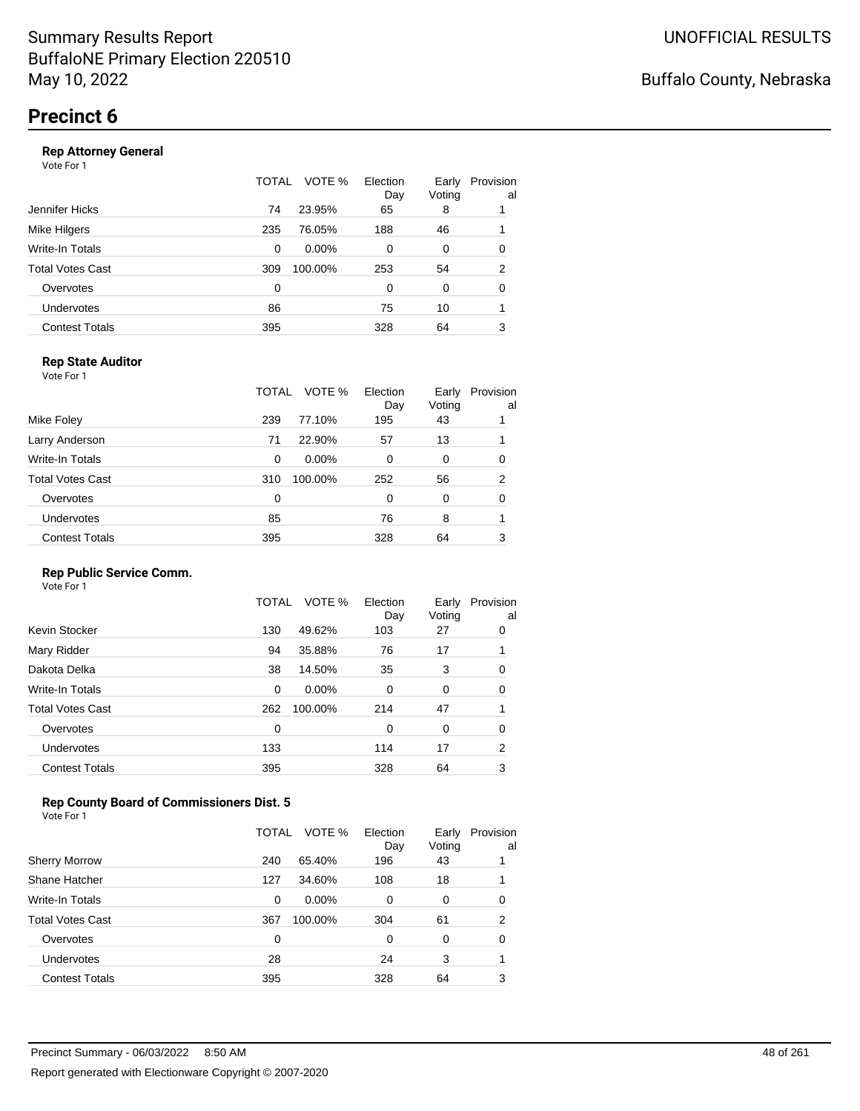#### **Rep Attorney General**

Vote For 1

|                       | TOTAL | VOTE %<br>Election<br>Day | Early<br>Voting | Provision<br>al |
|-----------------------|-------|---------------------------|-----------------|-----------------|
| Jennifer Hicks        | 74    | 23.95%<br>65              | 8               |                 |
| Mike Hilgers          | 235   | 76.05%<br>188             | 46              |                 |
| Write-In Totals       | 0     | $0.00\%$<br>0             | 0               | 0               |
| Total Votes Cast      | 309   | 100.00%<br>253            | 54              | $\overline{2}$  |
| Overvotes             | 0     | $\Omega$                  | 0               | 0               |
| Undervotes            | 86    | 75                        | 10              |                 |
| <b>Contest Totals</b> | 395   | 328                       | 64              | 3               |
|                       |       |                           |                 |                 |

#### **Rep State Auditor**

Vote For 1

|                         | TOTAL | VOTE %   | Election<br>Day | Early<br>Voting | Provision<br>al |
|-------------------------|-------|----------|-----------------|-----------------|-----------------|
| Mike Foley              | 239   | 77.10%   | 195             | 43              |                 |
| Larry Anderson          | 71    | 22.90%   | 57              | 13              |                 |
| Write-In Totals         | 0     | $0.00\%$ | 0               | 0               | 0               |
| <b>Total Votes Cast</b> | 310   | 100.00%  | 252             | 56              | 2               |
| Overvotes               | 0     |          | 0               | 0               | 0               |
| <b>Undervotes</b>       | 85    |          | 76              | 8               |                 |
| <b>Contest Totals</b>   | 395   |          | 328             | 64              | 3               |
|                         |       |          |                 |                 |                 |

#### **Rep Public Service Comm.**

Vote For 1

|                         | TOTAL | VOTE %   | Election<br>Day | Early<br>Voting | Provision<br>al |
|-------------------------|-------|----------|-----------------|-----------------|-----------------|
| Kevin Stocker           | 130   | 49.62%   | 103             | 27              | 0               |
| Mary Ridder             | 94    | 35.88%   | 76              | 17              |                 |
| Dakota Delka            | 38    | 14.50%   | 35              | 3               | 0               |
| Write-In Totals         | 0     | $0.00\%$ | 0               | 0               | 0               |
| <b>Total Votes Cast</b> | 262   | 100.00%  | 214             | 47              |                 |
| Overvotes               | 0     |          | 0               | 0               | 0               |
| <b>Undervotes</b>       | 133   |          | 114             | 17              | $\overline{2}$  |
| <b>Contest Totals</b>   | 395   |          | 328             | 64              | 3               |
|                         |       |          |                 |                 |                 |

#### **Rep County Board of Commissioners Dist. 5**

Vote For 1

|                       | TOTAL | VOTE %   | Election<br>Day | Early<br>Voting | Provision<br>al |
|-----------------------|-------|----------|-----------------|-----------------|-----------------|
| <b>Sherry Morrow</b>  | 240   | 65.40%   | 196             | 43              |                 |
| Shane Hatcher         | 127   | 34.60%   | 108             | 18              |                 |
| Write-In Totals       | 0     | $0.00\%$ | 0               | 0               | 0               |
| Total Votes Cast      | 367   | 100.00%  | 304             | 61              | 2               |
| Overvotes             | 0     |          | 0               | 0               | 0               |
| <b>Undervotes</b>     | 28    |          | 24              | 3               |                 |
| <b>Contest Totals</b> | 395   |          | 328             | 64              | 3               |

### Buffalo County, Nebraska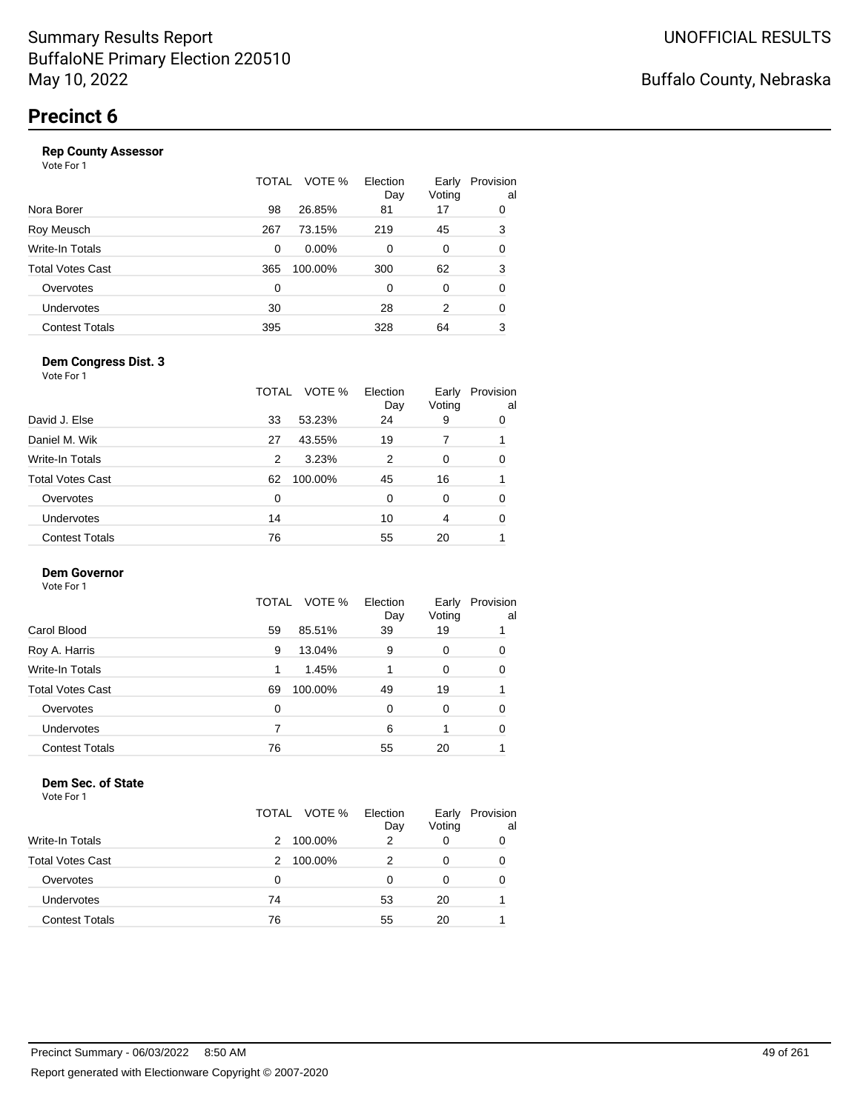|                       | TOTAL | VOTE %   | Election<br>Day | Early<br>Voting | Provision<br>al |
|-----------------------|-------|----------|-----------------|-----------------|-----------------|
| Nora Borer            | 98    | 26.85%   | 81              | 17              | 0               |
| Roy Meusch            | 267   | 73.15%   | 219             | 45              | 3               |
| Write-In Totals       | 0     | $0.00\%$ | 0               | 0               | 0               |
| Total Votes Cast      | 365   | 100.00%  | 300             | 62              | 3               |
| Overvotes             | 0     |          | 0               | $\Omega$        | 0               |
| Undervotes            | 30    |          | 28              | 2               | 0               |
| <b>Contest Totals</b> | 395   |          | 328             | 64              | 3               |
|                       |       |          |                 |                 |                 |

#### **Dem Congress Dist. 3**

Vote For 1

|                         | TOTAL | VOTE %  | Election<br>Day | Early<br>Voting | Provision<br>al |
|-------------------------|-------|---------|-----------------|-----------------|-----------------|
| David J. Else           | 33    | 53.23%  | 24              | 9               | 0               |
| Daniel M. Wik           | 27    | 43.55%  | 19              |                 |                 |
| Write-In Totals         | 2     | 3.23%   | 2               | 0               | 0               |
| <b>Total Votes Cast</b> | 62    | 100.00% | 45              | 16              |                 |
| Overvotes               | 0     |         | 0               | $\Omega$        | 0               |
| Undervotes              | 14    |         | 10              | $\overline{4}$  | 0               |
| <b>Contest Totals</b>   | 76    |         | 55              | 20              |                 |

#### **Dem Governor**

Vote For 1

|                       | VOTE %<br>TOTAL | Election<br>Day | Early<br>Voting | Provision<br>al |
|-----------------------|-----------------|-----------------|-----------------|-----------------|
| Carol Blood           | 85.51%<br>59    | 39              | 19              |                 |
| Roy A. Harris         | 13.04%<br>9     | 9               | 0               | 0               |
| Write-In Totals       | 1.45%           |                 | 0               | 0               |
| Total Votes Cast      | 100.00%<br>69   | 49              | 19              |                 |
| Overvotes             | 0               | 0               | 0               | 0               |
| <b>Undervotes</b>     |                 | 6               |                 | 0               |
| <b>Contest Totals</b> | 76              | 55              | 20              |                 |

#### **Dem Sec. of State**

|                         | TOTAL VOTE % | Election<br>Day | Early<br>Voting | Provision<br>al |
|-------------------------|--------------|-----------------|-----------------|-----------------|
| <b>Write-In Totals</b>  | 100.00%<br>2 | 2               | 0               | 0               |
| <b>Total Votes Cast</b> | 100.00%<br>2 |                 |                 | 0               |
| Overvotes               | 0            | Ω               |                 | 0               |
| Undervotes              | 74           | 53              | 20              |                 |
| <b>Contest Totals</b>   | 76           | 55              | 20              |                 |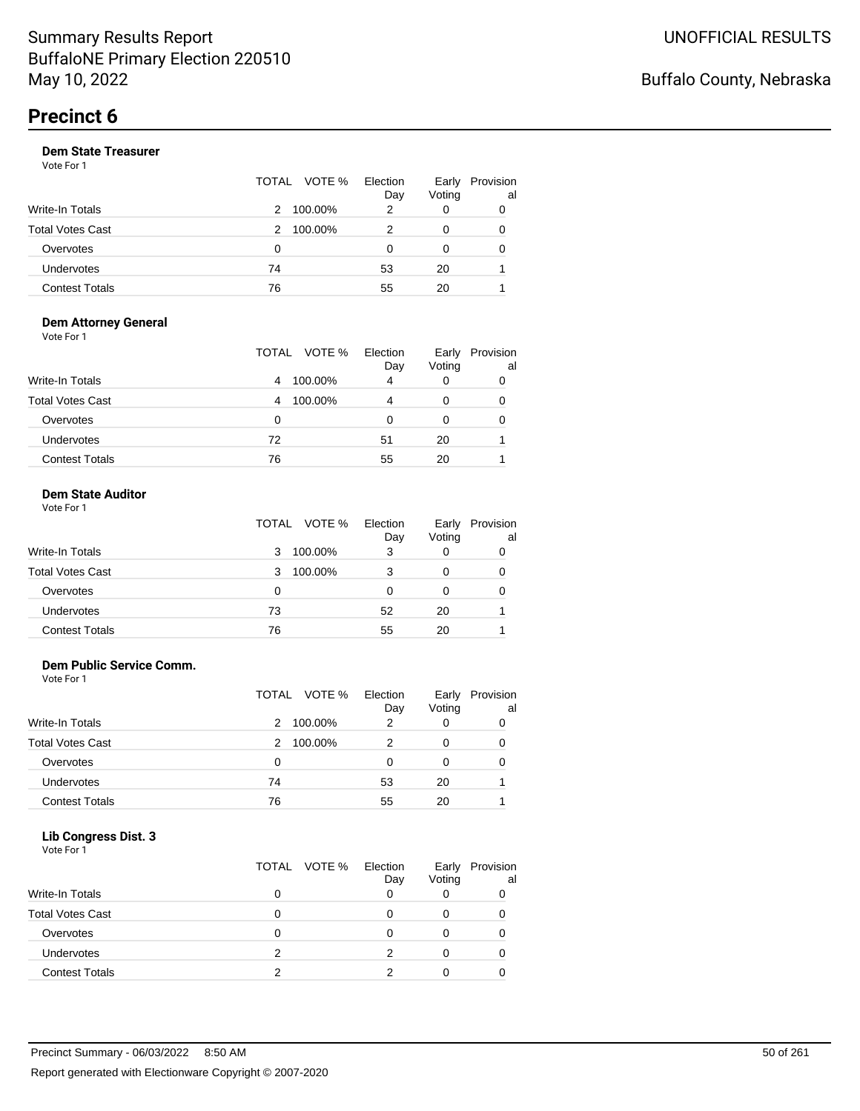#### **Dem State Treasurer**

Vote For 1

|                       |    | TOTAL VOTE % | Election<br>Day | Early<br>Voting | Provision<br>al |
|-----------------------|----|--------------|-----------------|-----------------|-----------------|
| Write-In Totals       | 2  | 100.00%      | 2               | 0               | 0               |
| Total Votes Cast      | 2  | 100.00%      |                 | 0               | 0               |
| Overvotes             | 0  |              | 0               | 0               | 0               |
| Undervotes            | 74 |              | 53              | 20              |                 |
| <b>Contest Totals</b> | 76 |              | 55              | 20              |                 |

#### **Dem Attorney General** Vote For 1

|                         | VOTE %<br>TOTAL | Election<br>Day | Early<br>Voting | Provision<br>al |
|-------------------------|-----------------|-----------------|-----------------|-----------------|
| <b>Write-In Totals</b>  | 100.00%<br>4    | 4               |                 |                 |
| <b>Total Votes Cast</b> | 100.00%<br>4    | 4               |                 |                 |
| Overvotes               | 0               | 0               | 0               |                 |
| Undervotes              | 72              | 51              | 20              |                 |
| <b>Contest Totals</b>   | 76              | 55              | 20              |                 |

#### **Dem State Auditor**

| Vote For 1 |  |  |
|------------|--|--|
|------------|--|--|

|                         | TOTAL | VOTE %  | Election<br>Day | Early<br>Voting | Provision<br>al |
|-------------------------|-------|---------|-----------------|-----------------|-----------------|
| <b>Write-In Totals</b>  | 3     | 100.00% | 3               | 0               | 0               |
| <b>Total Votes Cast</b> | 3     | 100.00% |                 | 0               | 0               |
| Overvotes               | 0     |         | O               | 0               | 0               |
| Undervotes              | 73    |         | 52              | 20              |                 |
| <b>Contest Totals</b>   | 76    |         | 55              | 20              |                 |

#### **Dem Public Service Comm.**

Vote For 1

|                         |    | TOTAL VOTE % | Election<br>Day | Early<br>Voting | Provision<br>al |
|-------------------------|----|--------------|-----------------|-----------------|-----------------|
| Write-In Totals         | 2  | 100.00%      | 2               | 0               | 0               |
| <b>Total Votes Cast</b> | 2  | 100.00%      | 2               | 0               | 0               |
| Overvotes               | 0  |              | Ω               | 0               | 0               |
| Undervotes              | 74 |              | 53              | 20              |                 |
| <b>Contest Totals</b>   | 76 |              | 55              | 20              |                 |

#### **Lib Congress Dist. 3**

| Vote For 1              | TOTAL VOTE % | Election<br>Day | Early<br>Voting | Provision<br>al |
|-------------------------|--------------|-----------------|-----------------|-----------------|
| <b>Write-In Totals</b>  | 0            |                 |                 |                 |
| <b>Total Votes Cast</b> |              |                 |                 |                 |
| Overvotes               | 0            | 0               |                 |                 |
| <b>Undervotes</b>       | っ            | 2               |                 |                 |
| <b>Contest Totals</b>   | າ            | ົ               |                 |                 |
|                         |              |                 |                 |                 |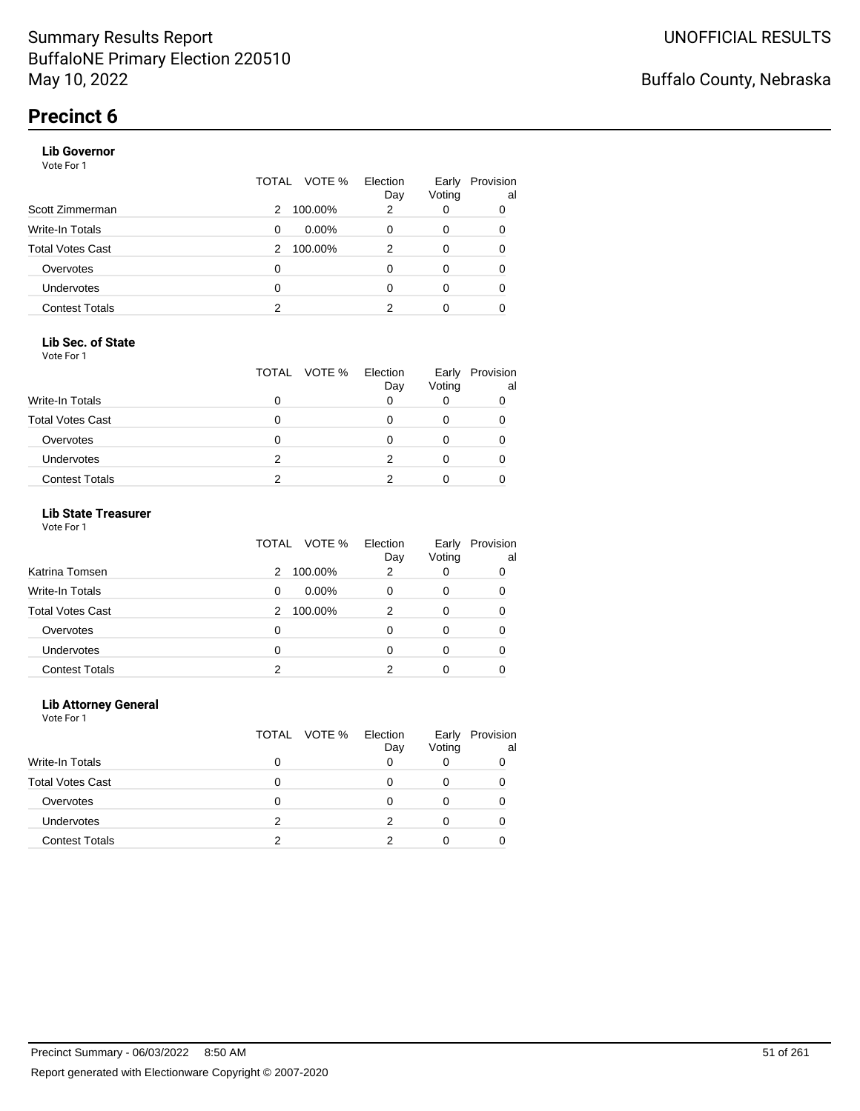#### **Lib Governor**

Vote For 1

|                       | TOTAL | VOTE %   | Election<br>Day | Early<br>Voting | Provision<br>al |
|-----------------------|-------|----------|-----------------|-----------------|-----------------|
| Scott Zimmerman       | 2     | 100.00%  | 2               | 0               | 0               |
| Write-In Totals       | 0     | $0.00\%$ | 0               | 0               | 0               |
| Total Votes Cast      | 2     | 100.00%  | 2               | 0               | 0               |
| Overvotes             | 0     |          | 0               | 0               | 0               |
| <b>Undervotes</b>     | 0     |          | 0               | 0               | 0               |
| <b>Contest Totals</b> | 2     |          | 2               | 0               |                 |

#### **Lib Sec. of State**

Vote For 1

|                         |   | TOTAL VOTE % Election | Day | Voting | Early Provision<br>al |
|-------------------------|---|-----------------------|-----|--------|-----------------------|
| <b>Write-In Totals</b>  |   |                       |     |        |                       |
| <b>Total Votes Cast</b> |   |                       |     |        |                       |
| Overvotes               |   |                       |     |        |                       |
| <b>Undervotes</b>       | 2 |                       |     |        |                       |
| <b>Contest Totals</b>   |   |                       |     |        |                       |

#### **Lib State Treasurer**

Vote For 1

|                         | VOTE %<br>TOTAL | Election<br>Day | Early<br>Voting | Provision<br>al |
|-------------------------|-----------------|-----------------|-----------------|-----------------|
| Katrina Tomsen          | 100.00%<br>2    | 2               | 0               | 0               |
| <b>Write-In Totals</b>  | $0.00\%$<br>0   | O               | 0               | 0               |
| <b>Total Votes Cast</b> | 100.00%<br>2    | 2               | 0               |                 |
| Overvotes               | 0               | 0               | $\Omega$        | 0               |
| Undervotes              | 0               | O               |                 | 0               |
| <b>Contest Totals</b>   | າ               |                 |                 |                 |

#### **Lib Attorney General**

|                         | TOTAL VOTE % | Election<br>Day | Early<br>Voting | Provision<br>al |
|-------------------------|--------------|-----------------|-----------------|-----------------|
| Write-In Totals         | 0            |                 |                 |                 |
| <b>Total Votes Cast</b> | 0            | 0               |                 |                 |
| Overvotes               | 0            | O               |                 |                 |
| <b>Undervotes</b>       | 2            |                 |                 |                 |
| <b>Contest Totals</b>   |              |                 |                 |                 |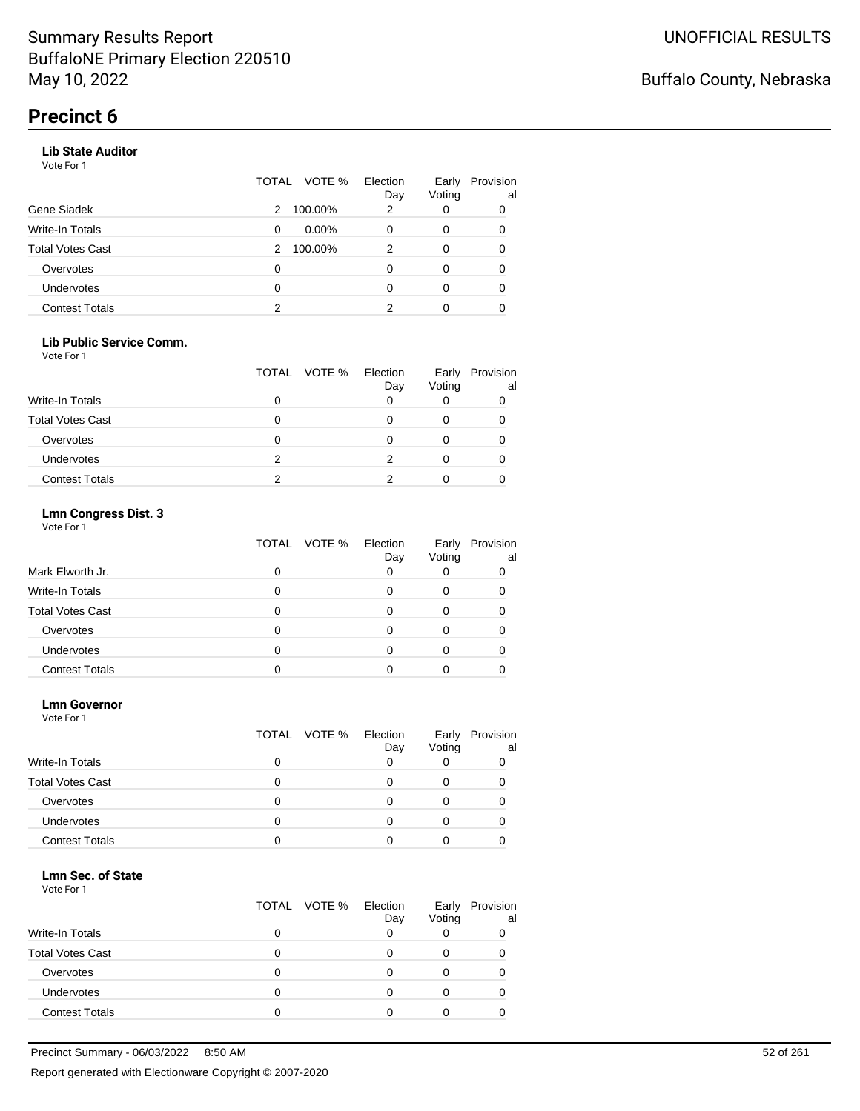#### **Lib State Auditor**

Vote For 1

|                       | TOTAL | VOTE %   | Election<br>Day | Early<br>Voting | Provision<br>al |
|-----------------------|-------|----------|-----------------|-----------------|-----------------|
| Gene Siadek           | 2     | 100.00%  | 2               | 0               | 0               |
| Write-In Totals       | 0     | $0.00\%$ | 0               | 0               | 0               |
| Total Votes Cast      | 2     | 100.00%  | 2               | 0               | 0               |
| Overvotes             | 0     |          | O               | 0               | 0               |
| <b>Undervotes</b>     | 0     |          | O               | 0               | 0               |
| <b>Contest Totals</b> | 2     |          | 2               | 0               |                 |

#### **Lib Public Service Comm.**

Vote For 1

|                         |   | TOTAL VOTE % | Election<br>Day | Voting | Early Provision<br>al |
|-------------------------|---|--------------|-----------------|--------|-----------------------|
| <b>Write-In Totals</b>  |   |              |                 |        |                       |
| <b>Total Votes Cast</b> |   |              |                 |        |                       |
| Overvotes               |   |              |                 |        |                       |
| <b>Undervotes</b>       | 2 |              |                 |        |                       |
| <b>Contest Totals</b>   |   |              |                 |        |                       |

#### **Lmn Congress Dist. 3**

Vote For 1

|                         | TOTAL VOTE % | Election<br>Day | Early<br>Voting | Provision<br>al |
|-------------------------|--------------|-----------------|-----------------|-----------------|
| Mark Elworth Jr.        |              | 0               |                 |                 |
| Write-In Totals         |              |                 |                 |                 |
| <b>Total Votes Cast</b> |              |                 |                 |                 |
| Overvotes               |              | Ω               |                 |                 |
| <b>Undervotes</b>       |              |                 |                 |                 |
| <b>Contest Totals</b>   |              |                 |                 |                 |

#### **Lmn Governor**

Vote For 1

|                         |   | TOTAL VOTE % | Election<br>Day | Early<br>Voting | Provision<br>al |
|-------------------------|---|--------------|-----------------|-----------------|-----------------|
| <b>Write-In Totals</b>  | O |              | O               |                 |                 |
| <b>Total Votes Cast</b> | O |              | Ω               | 0               |                 |
| Overvotes               | Ω |              |                 |                 |                 |
| <b>Undervotes</b>       | Ω |              |                 |                 |                 |
| <b>Contest Totals</b>   |   |              |                 |                 |                 |

#### **Lmn Sec. of State**

|                         | TOTAL VOTE % Election | Day | Early<br>Voting | Provision<br>al |
|-------------------------|-----------------------|-----|-----------------|-----------------|
| <b>Write-In Totals</b>  |                       |     |                 |                 |
| <b>Total Votes Cast</b> |                       |     |                 |                 |
| Overvotes               |                       |     |                 |                 |
| <b>Undervotes</b>       |                       |     |                 |                 |
| <b>Contest Totals</b>   |                       |     |                 |                 |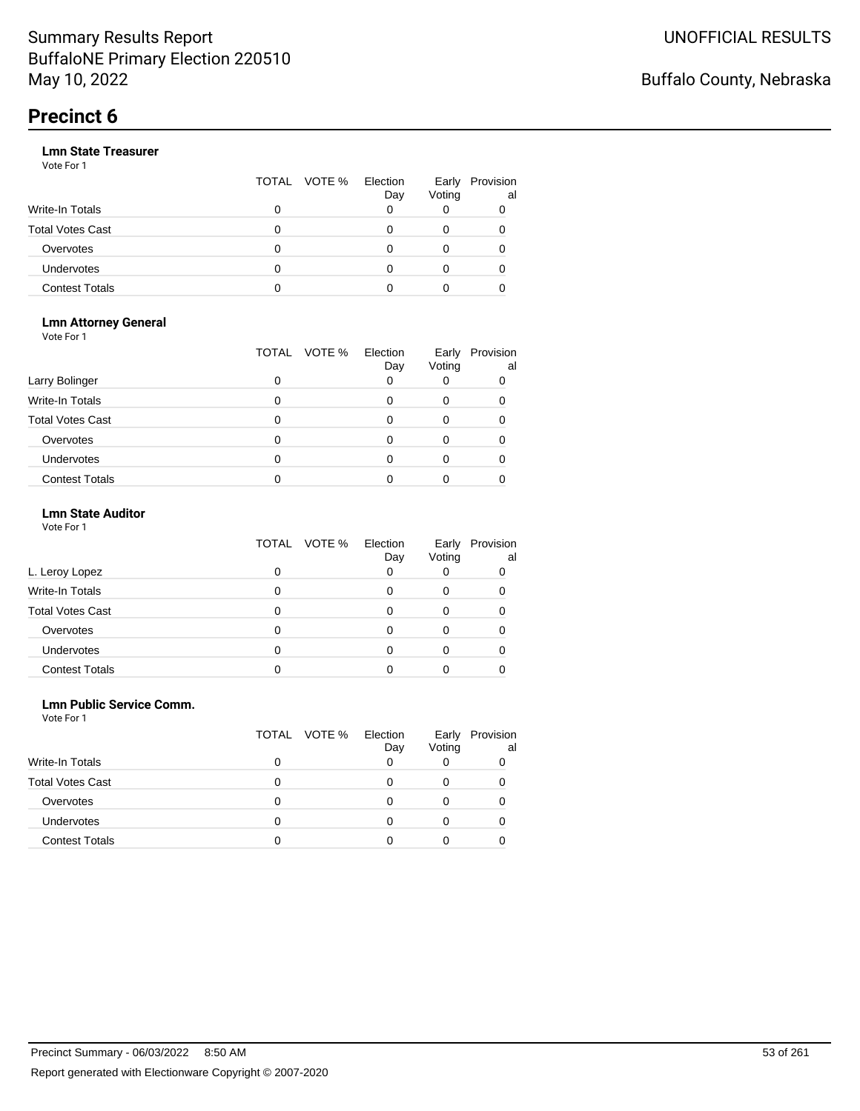|                       |   | TOTAL VOTE % | Election<br>Day | Early<br>Voting | Provision<br>al |
|-----------------------|---|--------------|-----------------|-----------------|-----------------|
| Write-In Totals       | 0 |              |                 |                 |                 |
| Total Votes Cast      | O |              |                 |                 |                 |
| Overvotes             | 0 |              |                 |                 |                 |
| Undervotes            | 0 |              |                 |                 |                 |
| <b>Contest Totals</b> | o |              |                 |                 |                 |

#### **Lmn Attorney General** Vote For 1

|                         | VOTE %<br>TOTAL | Election<br>Day | Early<br>Voting | Provision<br>al |
|-------------------------|-----------------|-----------------|-----------------|-----------------|
| Larry Bolinger          | 0               |                 |                 |                 |
| <b>Write-In Totals</b>  | O               |                 |                 |                 |
| <b>Total Votes Cast</b> | 0               |                 |                 |                 |
| Overvotes               | 0               |                 |                 |                 |
| Undervotes              | 0               |                 |                 |                 |
| <b>Contest Totals</b>   |                 |                 |                 |                 |

#### **Lmn State Auditor**

| Vote For 1 |  |  |
|------------|--|--|
|------------|--|--|

|                         | TOTAL VOTE % | Election<br>Day | Early<br>Voting | Provision<br>al |
|-------------------------|--------------|-----------------|-----------------|-----------------|
| L. Leroy Lopez          |              | 0               |                 |                 |
| <b>Write-In Totals</b>  |              |                 | 0               |                 |
| <b>Total Votes Cast</b> |              |                 |                 |                 |
| Overvotes               |              |                 |                 |                 |
| Undervotes              |              |                 |                 |                 |
| <b>Contest Totals</b>   |              |                 |                 |                 |

#### **Lmn Public Service Comm.**

|                         | TOTAL VOTE % | Election<br>Day | Early<br>Voting | Provision<br>al |
|-------------------------|--------------|-----------------|-----------------|-----------------|
| Write-In Totals         | 0            |                 |                 |                 |
| <b>Total Votes Cast</b> |              |                 |                 |                 |
| Overvotes               | 0            |                 |                 |                 |
| <b>Undervotes</b>       |              |                 |                 |                 |
| <b>Contest Totals</b>   |              |                 |                 |                 |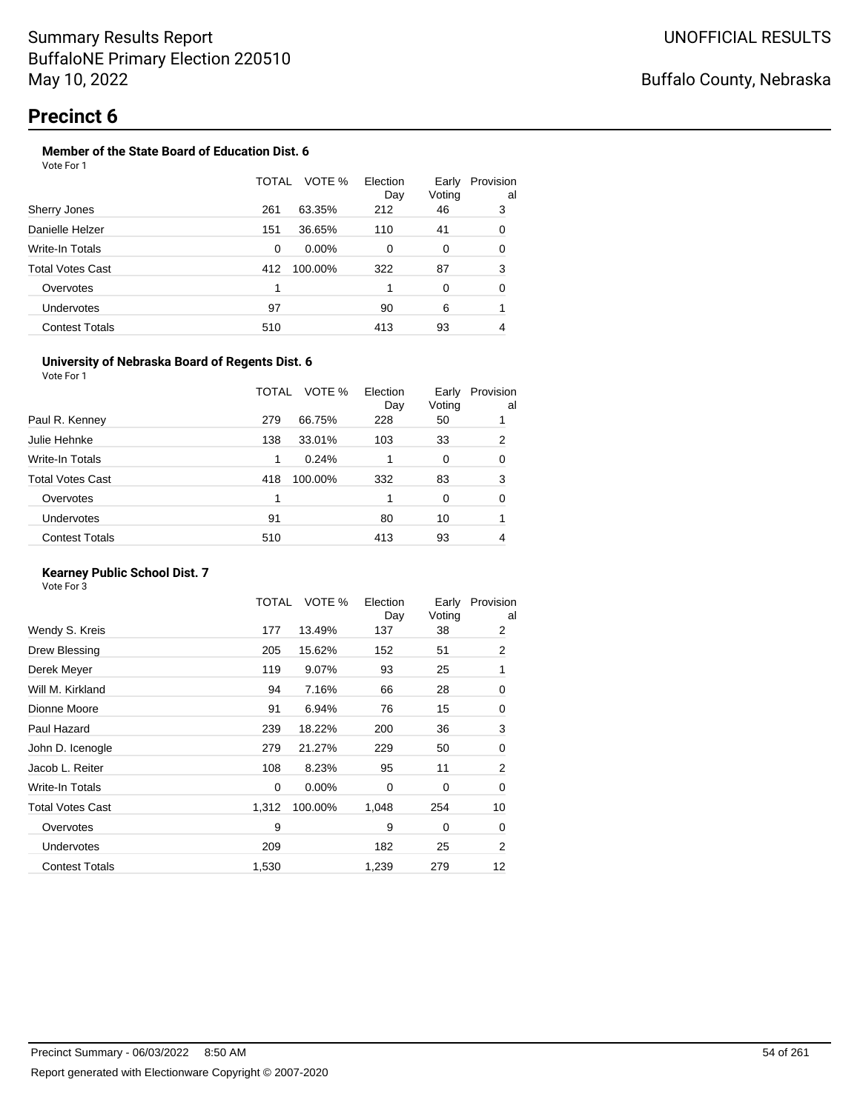#### **Member of the State Board of Education Dist. 6** Vote For 1

|                       | TOTAL | VOTE %<br>Election   | Early        | Provision |
|-----------------------|-------|----------------------|--------------|-----------|
| Sherry Jones          | 261   | Day<br>63.35%<br>212 | Voting<br>46 | al<br>3   |
| Danielle Helzer       | 151   | 36.65%<br>110        | 41           | 0         |
| Write-In Totals       | 0     | $0.00\%$<br>0        | 0            | 0         |
| Total Votes Cast      | 412   | 100.00%<br>322       | 87           | 3         |
| Overvotes             | 1     |                      | $\Omega$     | 0         |
| <b>Undervotes</b>     | 97    | 90                   | 6            |           |
| <b>Contest Totals</b> | 510   | 413                  | 93           | 4         |

#### **University of Nebraska Board of Regents Dist. 6**

| Vote For 1 |  |
|------------|--|
|            |  |

|                       | TOTAL | VOTE %  | Election<br>Day | Early<br>Voting | Provision<br>al |
|-----------------------|-------|---------|-----------------|-----------------|-----------------|
| Paul R. Kenney        | 279   | 66.75%  | 228             | 50              |                 |
| Julie Hehnke          | 138   | 33.01%  | 103             | 33              | 2               |
| Write-In Totals       | 1     | 0.24%   |                 | 0               | 0               |
| Total Votes Cast      | 418   | 100.00% | 332             | 83              | 3               |
| Overvotes             |       |         |                 | 0               | 0               |
| <b>Undervotes</b>     | 91    |         | 80              | 10              |                 |
| <b>Contest Totals</b> | 510   |         | 413             | 93              | 4               |
|                       |       |         |                 |                 |                 |

#### **Kearney Public School Dist. 7**

|                         | TOTAL | VOTE %   | Election<br>Day | Early<br>Voting | Provision<br>al |
|-------------------------|-------|----------|-----------------|-----------------|-----------------|
| Wendy S. Kreis          | 177   | 13.49%   | 137             | 38              | 2               |
| Drew Blessing           | 205   | 15.62%   | 152             | 51              | 2               |
| Derek Meyer             | 119   | 9.07%    | 93              | 25              | 1               |
| Will M. Kirkland        | 94    | 7.16%    | 66              | 28              | 0               |
| Dionne Moore            | 91    | 6.94%    | 76              | 15              | 0               |
| Paul Hazard             | 239   | 18.22%   | 200             | 36              | 3               |
| John D. Icenogle        | 279   | 21.27%   | 229             | 50              | 0               |
| Jacob L. Reiter         | 108   | 8.23%    | 95              | 11              | 2               |
| Write-In Totals         | 0     | $0.00\%$ | 0               | 0               | 0               |
| <b>Total Votes Cast</b> | 1,312 | 100.00%  | 1,048           | 254             | 10              |
| Overvotes               | 9     |          | 9               | 0               | 0               |
| <b>Undervotes</b>       | 209   |          | 182             | 25              | 2               |
| <b>Contest Totals</b>   | 1,530 |          | 1,239           | 279             | 12              |
|                         |       |          |                 |                 |                 |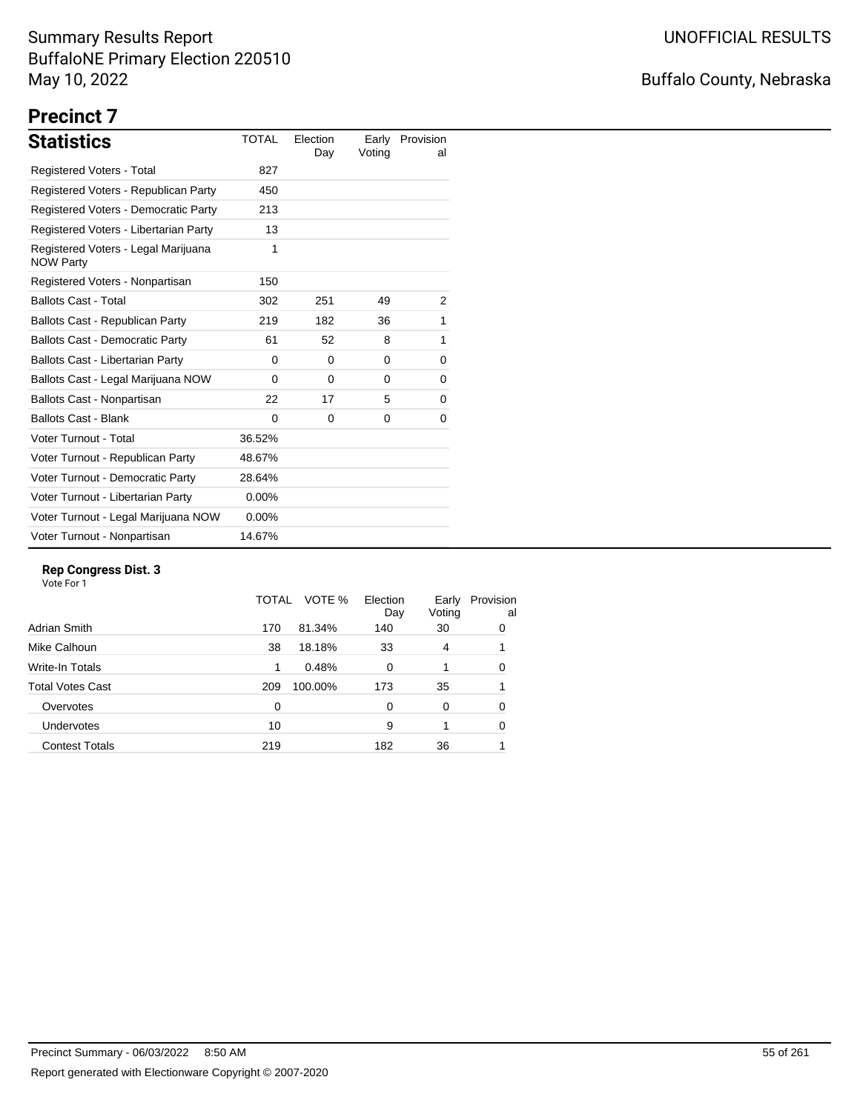## Buffalo County, Nebraska

## **Precinct 7**

| <b>Statistics</b>                                       | <b>TOTAL</b> | Election<br>Day | Early<br>Voting | Provision<br>al |
|---------------------------------------------------------|--------------|-----------------|-----------------|-----------------|
| <b>Registered Voters - Total</b>                        | 827          |                 |                 |                 |
| Registered Voters - Republican Party                    | 450          |                 |                 |                 |
| Registered Voters - Democratic Party                    | 213          |                 |                 |                 |
| Registered Voters - Libertarian Party                   | 13           |                 |                 |                 |
| Registered Voters - Legal Marijuana<br><b>NOW Party</b> | 1            |                 |                 |                 |
| Registered Voters - Nonpartisan                         | 150          |                 |                 |                 |
| <b>Ballots Cast - Total</b>                             | 302          | 251             | 49              | 2               |
| Ballots Cast - Republican Party                         | 219          | 182             | 36              | 1               |
| <b>Ballots Cast - Democratic Party</b>                  | 61           | 52              | 8               | 1               |
| Ballots Cast - Libertarian Party                        | 0            | $\Omega$        | $\Omega$        | 0               |
| Ballots Cast - Legal Marijuana NOW                      | $\Omega$     | $\Omega$        | 0               | 0               |
| Ballots Cast - Nonpartisan                              | 22           | 17              | 5               | 0               |
| <b>Ballots Cast - Blank</b>                             | $\Omega$     | $\Omega$        | $\Omega$        | 0               |
| Voter Turnout - Total                                   | 36.52%       |                 |                 |                 |
| Voter Turnout - Republican Party                        | 48.67%       |                 |                 |                 |
| Voter Turnout - Democratic Party                        | 28.64%       |                 |                 |                 |
| Voter Turnout - Libertarian Party                       | $0.00\%$     |                 |                 |                 |
| Voter Turnout - Legal Marijuana NOW                     | $0.00\%$     |                 |                 |                 |
| Voter Turnout - Nonpartisan                             | 14.67%       |                 |                 |                 |

#### **Rep Congress Dist. 3**

|                         | TOTAL | VOTE %  | Election<br>Day | Early<br>Voting | Provision<br>al |
|-------------------------|-------|---------|-----------------|-----------------|-----------------|
| Adrian Smith            | 170   | 81.34%  | 140             | 30              | 0               |
| Mike Calhoun            | 38    | 18.18%  | 33              | 4               |                 |
| Write-In Totals         | 1     | 0.48%   | 0               |                 | 0               |
| <b>Total Votes Cast</b> | 209   | 100.00% | 173             | 35              |                 |
| Overvotes               | 0     |         | 0               | 0               | 0               |
| Undervotes              | 10    |         | 9               |                 | 0               |
| <b>Contest Totals</b>   | 219   |         | 182             | 36              |                 |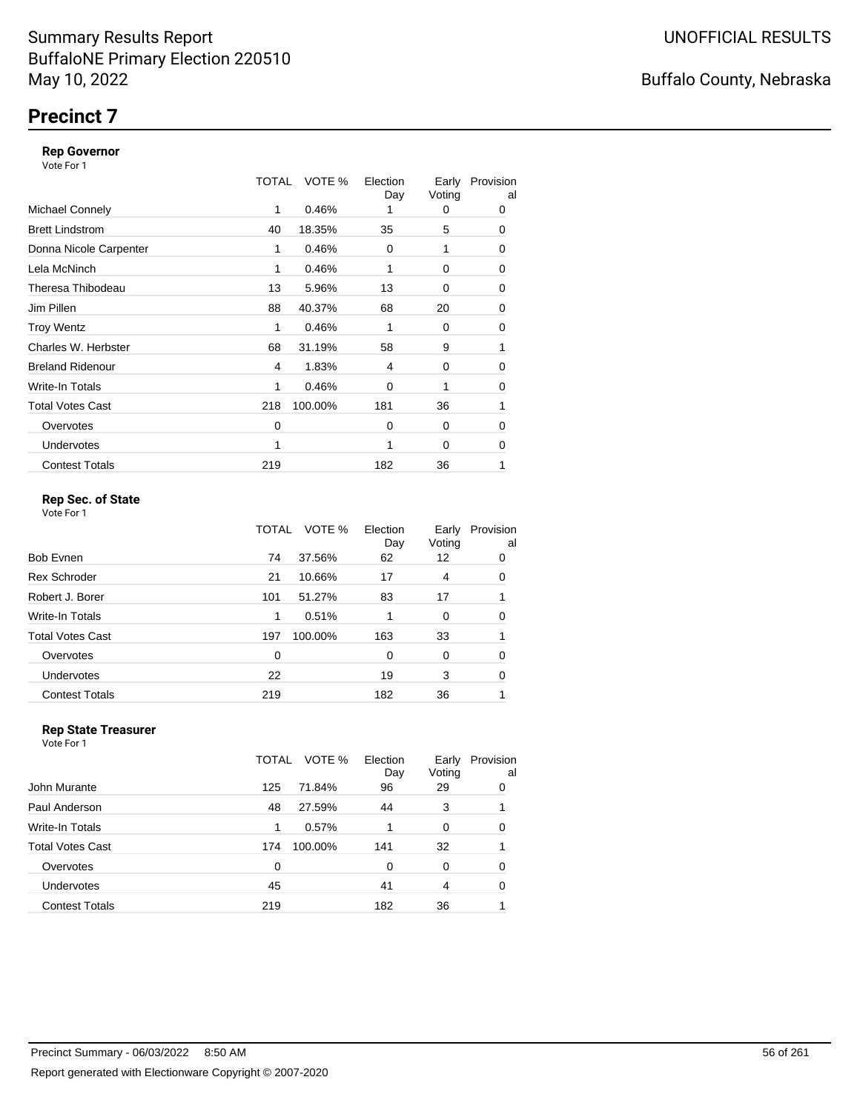## **Precinct 7**

#### **Rep Governor**

Vote For 1

|                         | TOTAL | VOTE %  | Election<br>Day | Early<br>Voting | Provision<br>al |
|-------------------------|-------|---------|-----------------|-----------------|-----------------|
| <b>Michael Connely</b>  | 1     | 0.46%   |                 | 0               | 0               |
| <b>Brett Lindstrom</b>  | 40    | 18.35%  | 35              | 5               | 0               |
| Donna Nicole Carpenter  | 1     | 0.46%   | 0               | 1               | 0               |
| Lela McNinch            | 1     | 0.46%   |                 | 0               | 0               |
| Theresa Thibodeau       | 13    | 5.96%   | 13              | 0               | 0               |
| Jim Pillen              | 88    | 40.37%  | 68              | 20              | 0               |
| <b>Troy Wentz</b>       | 1     | 0.46%   | 1               | 0               | 0               |
| Charles W. Herbster     | 68    | 31.19%  | 58              | 9               | 1               |
| <b>Breland Ridenour</b> | 4     | 1.83%   | 4               | 0               | 0               |
| Write-In Totals         | 1     | 0.46%   | $\mathbf 0$     |                 | 0               |
| <b>Total Votes Cast</b> | 218   | 100.00% | 181             | 36              | 1               |
| Overvotes               | 0     |         | $\Omega$        | 0               | 0               |
| <b>Undervotes</b>       | 1     |         | 1               | 0               | 0               |
| <b>Contest Totals</b>   | 219   |         | 182             | 36              | 1               |

#### **Rep Sec. of State**

Vote For 1

|                         | TOTAL | VOTE %  | Election<br>Day | Early<br>Voting | Provision<br>al |
|-------------------------|-------|---------|-----------------|-----------------|-----------------|
| Bob Evnen               | 74    | 37.56%  | 62              | 12              | 0               |
| <b>Rex Schroder</b>     | 21    | 10.66%  | 17              | 4               | 0               |
| Robert J. Borer         | 101   | 51.27%  | 83              | 17              |                 |
| Write-In Totals         | 1     | 0.51%   |                 | 0               | 0               |
| <b>Total Votes Cast</b> | 197   | 100.00% | 163             | 33              |                 |
| Overvotes               | 0     |         | $\Omega$        | 0               | 0               |
| Undervotes              | 22    |         | 19              | 3               | 0               |
| <b>Contest Totals</b>   | 219   |         | 182             | 36              |                 |

#### **Rep State Treasurer** Vote For 1

|                       | TOTAL | VOTE %  | Election<br>Day | Early<br>Voting | Provision<br>al |
|-----------------------|-------|---------|-----------------|-----------------|-----------------|
| John Murante          | 125   | 71.84%  | 96              | 29              | 0               |
| Paul Anderson         | 48    | 27.59%  | 44              | 3               |                 |
| Write-In Totals       | 1     | 0.57%   |                 | 0               | 0               |
| Total Votes Cast      | 174   | 100.00% | 141             | 32              |                 |
| Overvotes             | 0     |         | 0               | 0               | 0               |
| <b>Undervotes</b>     | 45    |         | 41              | 4               | 0               |
| <b>Contest Totals</b> | 219   |         | 182             | 36              |                 |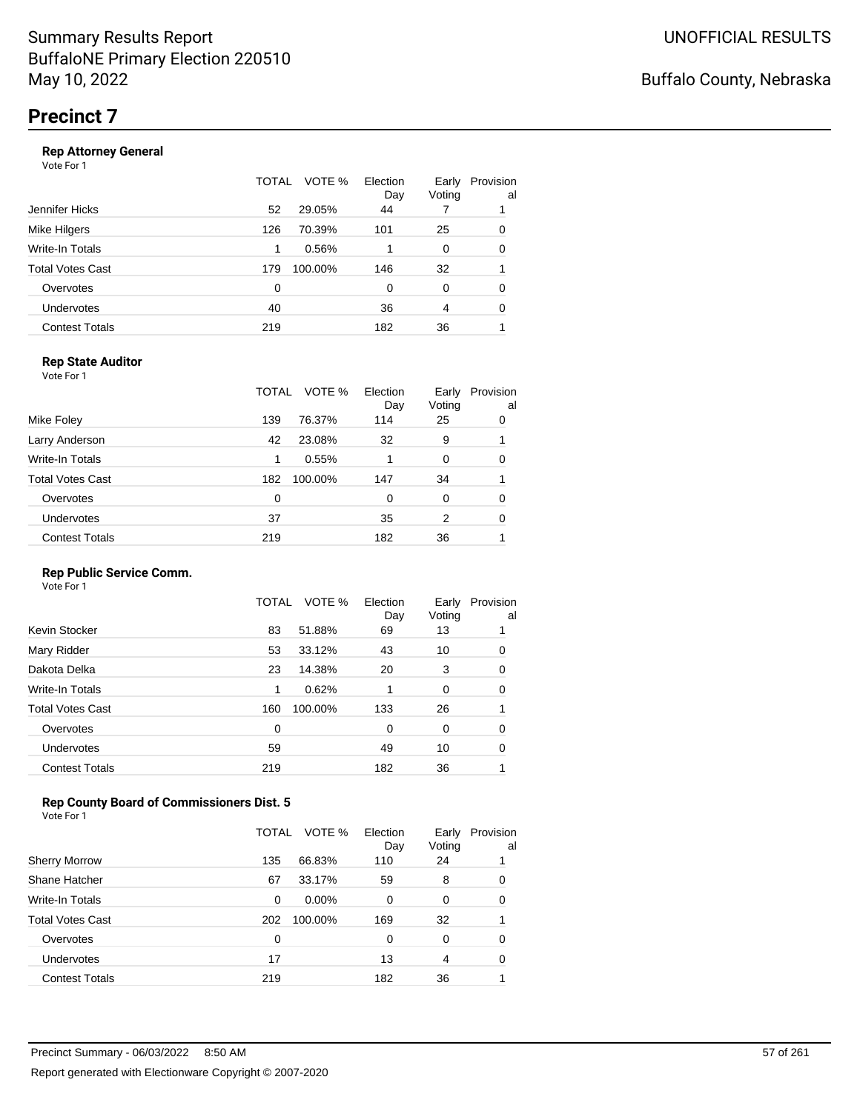#### **Rep Attorney General**

Vote For 1

|                       | TOTAL | VOTE %  | Election<br>Day | Early<br>Voting | Provision<br>al |
|-----------------------|-------|---------|-----------------|-----------------|-----------------|
| Jennifer Hicks        | 52    | 29.05%  | 44              |                 |                 |
| Mike Hilgers          | 126   | 70.39%  | 101             | 25              | 0               |
| Write-In Totals       | 1     | 0.56%   |                 | 0               | 0               |
| Total Votes Cast      | 179   | 100.00% | 146             | 32              |                 |
| Overvotes             | 0     |         | $\Omega$        | $\Omega$        | 0               |
| <b>Undervotes</b>     | 40    |         | 36              | 4               | 0               |
| <b>Contest Totals</b> | 219   |         | 182             | 36              |                 |
|                       |       |         |                 |                 |                 |

#### **Rep State Auditor**

Vote For 1

|                         | TOTAL | VOTE %  | Election<br>Day | Early<br>Voting | Provision<br>al |
|-------------------------|-------|---------|-----------------|-----------------|-----------------|
| Mike Foley              | 139   | 76.37%  | 114             | 25              | 0               |
| Larry Anderson          | 42    | 23.08%  | 32              | 9               |                 |
| Write-In Totals         | 1     | 0.55%   | 1               | $\Omega$        | 0               |
| <b>Total Votes Cast</b> | 182   | 100.00% | 147             | 34              |                 |
| Overvotes               | 0     |         | 0               | 0               | 0               |
| Undervotes              | 37    |         | 35              | 2               | 0               |
| <b>Contest Totals</b>   | 219   |         | 182             | 36              |                 |

#### **Rep Public Service Comm.**

Vote For 1

|                         | TOTAL | VOTE %  | Election<br>Day | Early<br>Voting | Provision<br>al |
|-------------------------|-------|---------|-----------------|-----------------|-----------------|
| Kevin Stocker           | 83    | 51.88%  | 69              | 13              |                 |
| Mary Ridder             | 53    | 33.12%  | 43              | 10              | 0               |
| Dakota Delka            | 23    | 14.38%  | 20              | 3               | 0               |
| Write-In Totals         | 1     | 0.62%   | 1               | 0               | 0               |
| <b>Total Votes Cast</b> | 160   | 100.00% | 133             | 26              |                 |
| Overvotes               | 0     |         | 0               | 0               | 0               |
| <b>Undervotes</b>       | 59    |         | 49              | 10              | 0               |
| <b>Contest Totals</b>   | 219   |         | 182             | 36              |                 |
|                         |       |         |                 |                 |                 |

#### **Rep County Board of Commissioners Dist. 5**

|                       | TOTAL | VOTE %   | Election<br>Day | Early<br>Voting | Provision<br>al |
|-----------------------|-------|----------|-----------------|-----------------|-----------------|
| <b>Sherry Morrow</b>  | 135   | 66.83%   | 110             | 24              |                 |
| Shane Hatcher         | 67    | 33.17%   | 59              | 8               | 0               |
| Write-In Totals       | 0     | $0.00\%$ | 0               | $\Omega$        | 0               |
| Total Votes Cast      | 202   | 100.00%  | 169             | 32              |                 |
| Overvotes             | 0     |          | 0               | 0               | 0               |
| <b>Undervotes</b>     | 17    |          | 13              | 4               | 0               |
| <b>Contest Totals</b> | 219   |          | 182             | 36              |                 |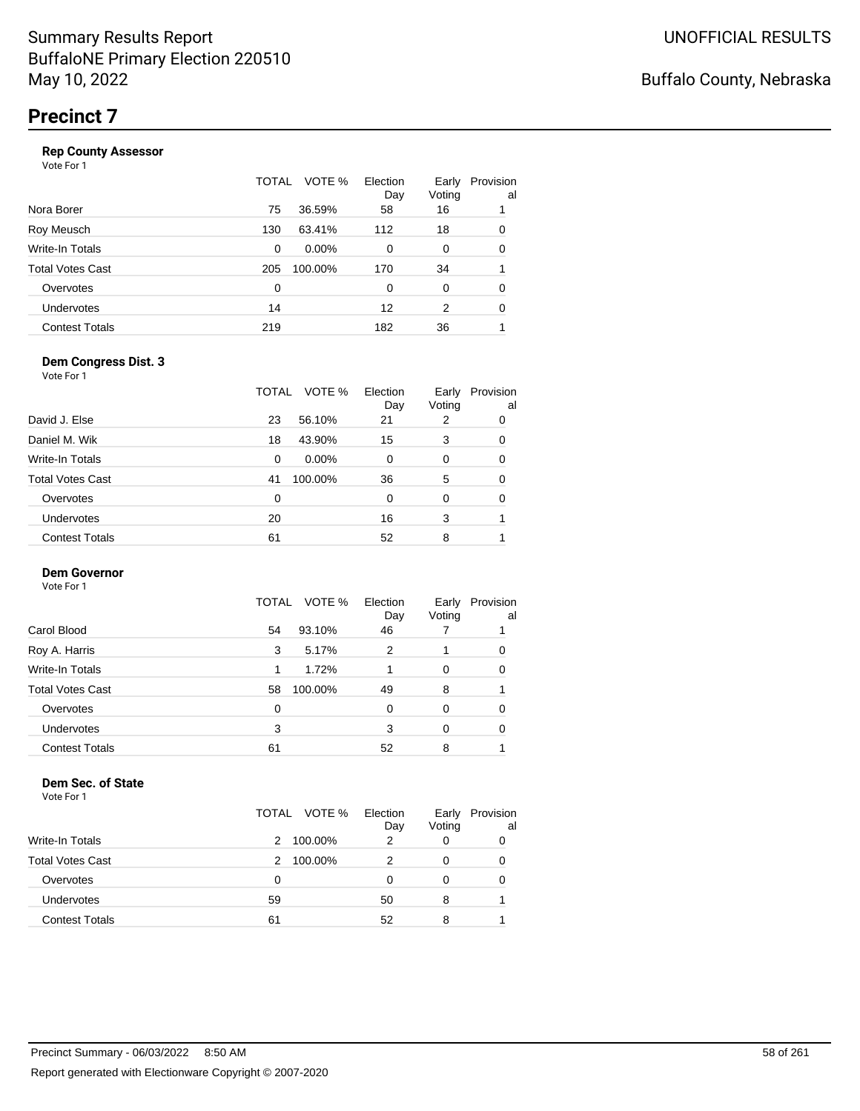|                       | TOTAL | VOTE %   | Election<br>Day | Early<br>Voting | Provision<br>al |
|-----------------------|-------|----------|-----------------|-----------------|-----------------|
| Nora Borer            | 75    | 36.59%   | 58              | 16              |                 |
| Roy Meusch            | 130   | 63.41%   | 112             | 18              | 0               |
| Write-In Totals       | 0     | $0.00\%$ | 0               | 0               | 0               |
| Total Votes Cast      | 205   | 100.00%  | 170             | 34              |                 |
| Overvotes             | 0     |          | 0               | 0               | 0               |
| Undervotes            | 14    |          | 12              | 2               | 0               |
| <b>Contest Totals</b> | 219   |          | 182             | 36              |                 |
|                       |       |          |                 |                 |                 |

#### **Dem Congress Dist. 3**

Vote For 1

|                         | TOTAL | VOTE %   | Election<br>Day | Early<br>Voting | Provision<br>al |
|-------------------------|-------|----------|-----------------|-----------------|-----------------|
| David J. Else           | 23    | 56.10%   | 21              | 2               | 0               |
| Daniel M. Wik           | 18    | 43.90%   | 15              | 3               | 0               |
| Write-In Totals         | 0     | $0.00\%$ | 0               | $\Omega$        | 0               |
| <b>Total Votes Cast</b> | 41    | 100.00%  | 36              | 5               | 0               |
| Overvotes               | 0     |          | 0               | $\Omega$        | 0               |
| Undervotes              | 20    |          | 16              | 3               |                 |
| <b>Contest Totals</b>   | 61    |          | 52              | 8               |                 |

#### **Dem Governor**

Vote For 1

|                       | VOTE %<br>TOTAL | Election<br>Day | Early<br>Voting | Provision<br>al |
|-----------------------|-----------------|-----------------|-----------------|-----------------|
| Carol Blood           | 93.10%<br>54    | 46              |                 |                 |
| Roy A. Harris         | 5.17%<br>3      | 2               |                 | 0               |
| Write-In Totals       | 1.72%           |                 | 0               | 0               |
| Total Votes Cast      | 100.00%<br>58   | 49              | 8               |                 |
| Overvotes             | 0               | 0               | 0               | 0               |
| <b>Undervotes</b>     | 3               | 3               | 0               | 0               |
| <b>Contest Totals</b> | 61              | 52              | 8               |                 |

#### **Dem Sec. of State**

|                         | TOTAL VOTE % | Election<br>Day | Early<br>Voting | Provision<br>al |
|-------------------------|--------------|-----------------|-----------------|-----------------|
| <b>Write-In Totals</b>  | 100.00%<br>2 | 2               |                 | 0               |
| <b>Total Votes Cast</b> | 100.00%<br>2 |                 |                 | 0               |
| Overvotes               | 0            |                 |                 | 0               |
| Undervotes              | 59           | 50              | 8               |                 |
| <b>Contest Totals</b>   | 61           | 52              | 8               |                 |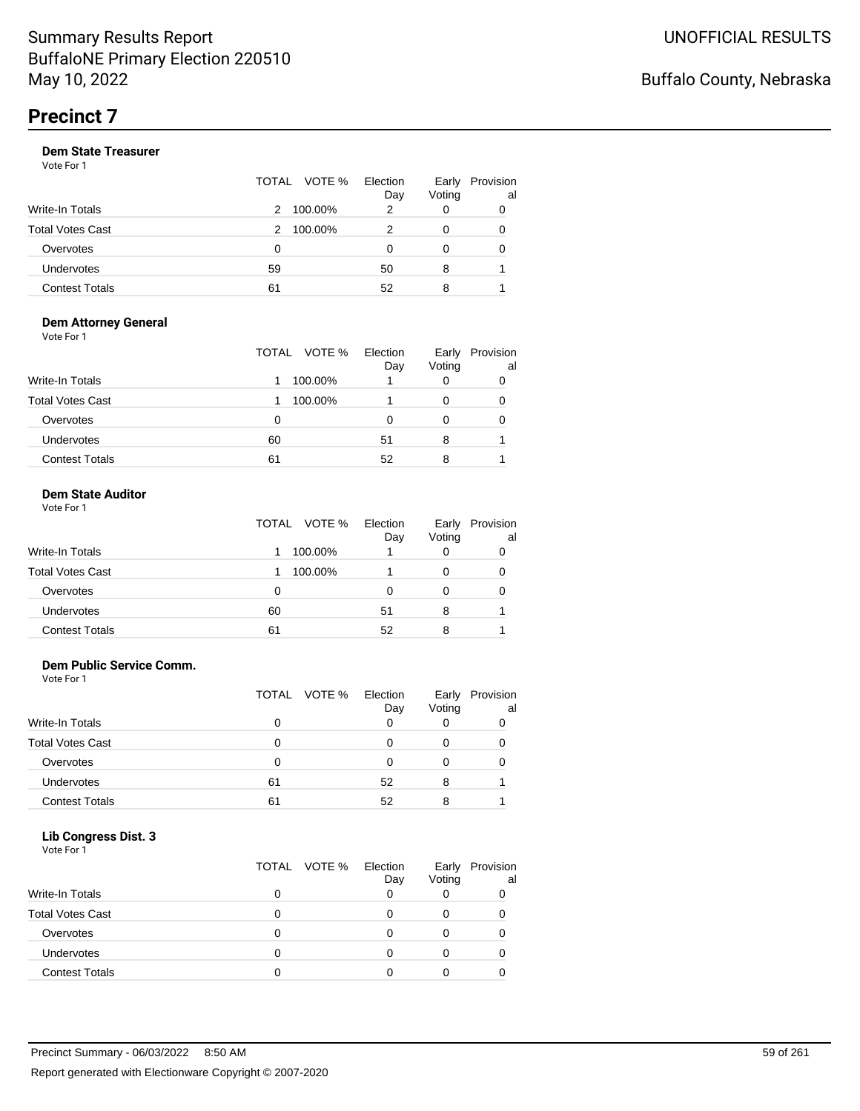Vote For 1

|                       |    | TOTAL VOTE % | Election<br>Day | Early<br>Voting | Provision<br>al |
|-----------------------|----|--------------|-----------------|-----------------|-----------------|
| Write-In Totals       | 2  | 100.00%      | 2               |                 | 0               |
| Total Votes Cast      | 2  | 100.00%      |                 |                 | 0               |
| Overvotes             | 0  |              | O               |                 | 0               |
| Undervotes            | 59 |              | 50              | 8               |                 |
| <b>Contest Totals</b> | 61 |              | 52              | 8               |                 |

#### **Dem Attorney General** Vote For 1

|                         | VOTE %<br>TOTAL | Election<br>Day | Early<br>Voting | Provision<br>al |
|-------------------------|-----------------|-----------------|-----------------|-----------------|
| <b>Write-In Totals</b>  | 100.00%         |                 | O               | 0               |
| <b>Total Votes Cast</b> | 100.00%         |                 | 0               | 0               |
| Overvotes               | 0               | 0               | 0               |                 |
| Undervotes              | 60              | 51              | 8               |                 |
| <b>Contest Totals</b>   | 61              | 52              | 8               |                 |

#### **Dem State Auditor** Vote For 1

| <b>VOLE FOI</b> I       |              |                 |                 |                 |
|-------------------------|--------------|-----------------|-----------------|-----------------|
|                         | TOTAL VOTE % | Election<br>Day | Early<br>Voting | Provision<br>al |
| <b>Write-In Totals</b>  | 100.00%      |                 | 0               |                 |
| <b>Total Votes Cast</b> | 100.00%      |                 | 0               |                 |
| Overvotes               |              |                 | 0               |                 |
| <b>Undervotes</b>       | 60           | 51              | 8               |                 |
| <b>Contest Totals</b>   | 61           | 52              | 8               |                 |

#### **Dem Public Service Comm.**

Vote For 1

|                         |    | TOTAL VOTE % | Election<br>Day | Early<br>Voting | Provision<br>al |
|-------------------------|----|--------------|-----------------|-----------------|-----------------|
| <b>Write-In Totals</b>  | 0  |              | 0               |                 |                 |
| <b>Total Votes Cast</b> | 0  |              | O               | $\mathbf{O}$    |                 |
| Overvotes               | Ω  |              | 0               | 0               |                 |
| <b>Undervotes</b>       | 61 |              | 52              | 8               |                 |
| <b>Contest Totals</b>   | 61 |              | 52              | 8               |                 |

#### **Lib Congress Dist. 3**

| .<br>___<br>Vote For 1  |              |                 |                 |                 |
|-------------------------|--------------|-----------------|-----------------|-----------------|
|                         | TOTAL VOTE % | Election<br>Day | Early<br>Voting | Provision<br>al |
| <b>Write-In Totals</b>  |              |                 |                 |                 |
| <b>Total Votes Cast</b> |              |                 |                 |                 |
| Overvotes               |              |                 |                 |                 |
| Undervotes              |              |                 |                 |                 |
| <b>Contest Totals</b>   |              |                 |                 |                 |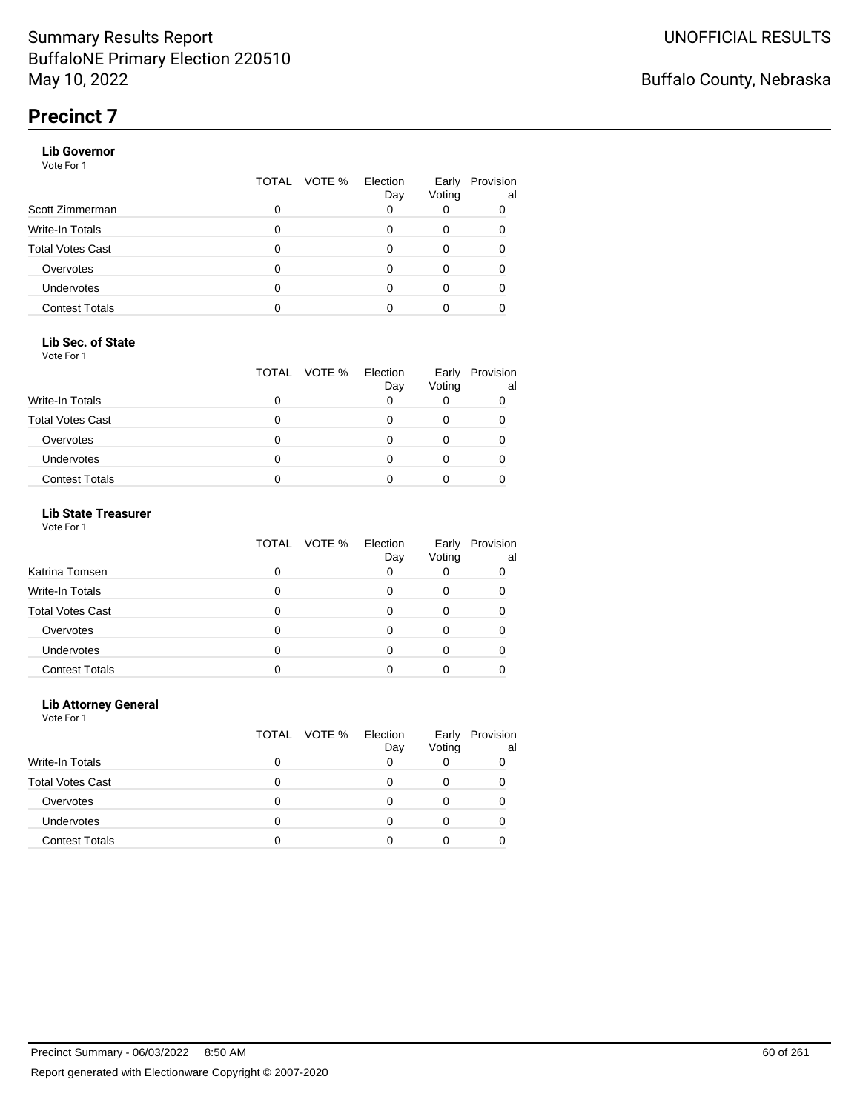#### **Lib Governor**

Vote For 1

|                         | TOTAL | VOTE % | Election<br>Day | Early<br>Voting | Provision<br>al |
|-------------------------|-------|--------|-----------------|-----------------|-----------------|
| Scott Zimmerman         | 0     |        |                 |                 |                 |
| Write-In Totals         | 0     |        |                 |                 |                 |
| <b>Total Votes Cast</b> | 0     |        |                 |                 |                 |
| Overvotes               | O     |        |                 |                 |                 |
| Undervotes              | 0     |        |                 |                 |                 |
| <b>Contest Totals</b>   |       |        |                 |                 |                 |

#### **Lib Sec. of State**

Vote For 1

|                         | TOTAL VOTE % | Election<br>Day | Early<br>Voting | Provision<br>al |
|-------------------------|--------------|-----------------|-----------------|-----------------|
| <b>Write-In Totals</b>  |              |                 |                 |                 |
| <b>Total Votes Cast</b> |              |                 |                 |                 |
| Overvotes               |              |                 |                 |                 |
| <b>Undervotes</b>       |              |                 |                 |                 |
| <b>Contest Totals</b>   |              |                 |                 |                 |

#### **Lib State Treasurer**

Vote For 1

|                         | TOTAL VOTE % | Election<br>Day | Early<br>Voting | Provision<br>al |
|-------------------------|--------------|-----------------|-----------------|-----------------|
| Katrina Tomsen          |              | 0               |                 |                 |
| Write-In Totals         |              |                 |                 |                 |
| <b>Total Votes Cast</b> |              |                 |                 |                 |
| Overvotes               |              | Ω               |                 |                 |
| Undervotes              |              |                 |                 |                 |
| <b>Contest Totals</b>   |              |                 |                 |                 |

#### **Lib Attorney General**

|                         |   | TOTAL VOTE % | Election<br>Day | Early<br>Voting | Provision<br>al |
|-------------------------|---|--------------|-----------------|-----------------|-----------------|
| Write-In Totals         | 0 |              |                 |                 |                 |
| <b>Total Votes Cast</b> |   |              |                 | 0               |                 |
| Overvotes               | Ω |              | O               |                 |                 |
| <b>Undervotes</b>       |   |              |                 |                 |                 |
| <b>Contest Totals</b>   |   |              |                 |                 |                 |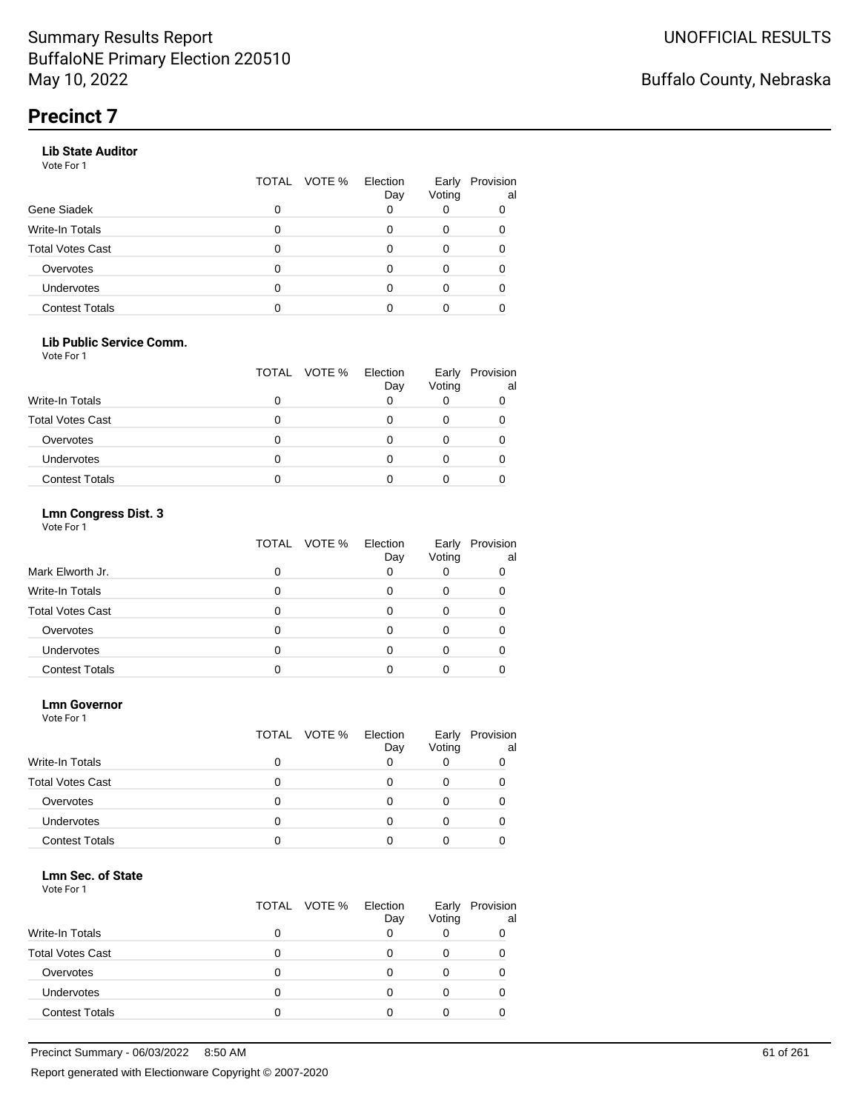#### **Lib State Auditor**

Vote For 1

|                         | TOTAL | VOTE % Election | Day | Early<br>Voting | Provision<br>al |
|-------------------------|-------|-----------------|-----|-----------------|-----------------|
| Gene Siadek             | 0     |                 |     |                 |                 |
| Write-In Totals         |       |                 |     |                 |                 |
| <b>Total Votes Cast</b> |       |                 |     |                 |                 |
| Overvotes               |       |                 |     |                 |                 |
| <b>Undervotes</b>       |       |                 |     |                 |                 |
| <b>Contest Totals</b>   |       |                 |     |                 |                 |

#### **Lib Public Service Comm.**

Vote For 1

|                         |   | TOTAL VOTE % | Election<br>Day | Early<br>Voting | Provision<br>al |
|-------------------------|---|--------------|-----------------|-----------------|-----------------|
| <b>Write-In Totals</b>  |   |              |                 |                 |                 |
| <b>Total Votes Cast</b> |   |              |                 |                 |                 |
| Overvotes               |   |              |                 |                 |                 |
| <b>Undervotes</b>       | 0 |              |                 |                 |                 |
| <b>Contest Totals</b>   |   |              |                 |                 |                 |

#### **Lmn Congress Dist. 3**

Vote For 1

|                         | TOTAL VOTE % | Election<br>Day | Early<br>Voting | Provision<br>al |
|-------------------------|--------------|-----------------|-----------------|-----------------|
| Mark Elworth Jr.        |              | 0               |                 |                 |
| Write-In Totals         |              |                 |                 |                 |
| <b>Total Votes Cast</b> |              |                 |                 |                 |
| Overvotes               |              | Ω               |                 |                 |
| <b>Undervotes</b>       |              |                 |                 |                 |
| <b>Contest Totals</b>   |              |                 |                 |                 |

#### **Lmn Governor**

Vote For 1

|                         | TOTAL VOTE % | Election<br>Day | Early<br>Voting | Provision<br>al |
|-------------------------|--------------|-----------------|-----------------|-----------------|
| <b>Write-In Totals</b>  | 0            | Ω               | O               |                 |
| <b>Total Votes Cast</b> | 0            | $\mathbf{0}$    | 0               |                 |
| Overvotes               |              |                 |                 |                 |
| Undervotes              |              |                 |                 |                 |
| <b>Contest Totals</b>   |              |                 |                 |                 |

#### **Lmn Sec. of State**

|                         | TOTAL VOTE % Election | Day | Early<br>Voting | Provision<br>al |
|-------------------------|-----------------------|-----|-----------------|-----------------|
| <b>Write-In Totals</b>  |                       |     |                 |                 |
| <b>Total Votes Cast</b> |                       |     |                 |                 |
| Overvotes               |                       |     |                 |                 |
| <b>Undervotes</b>       |                       |     |                 |                 |
| <b>Contest Totals</b>   |                       |     |                 |                 |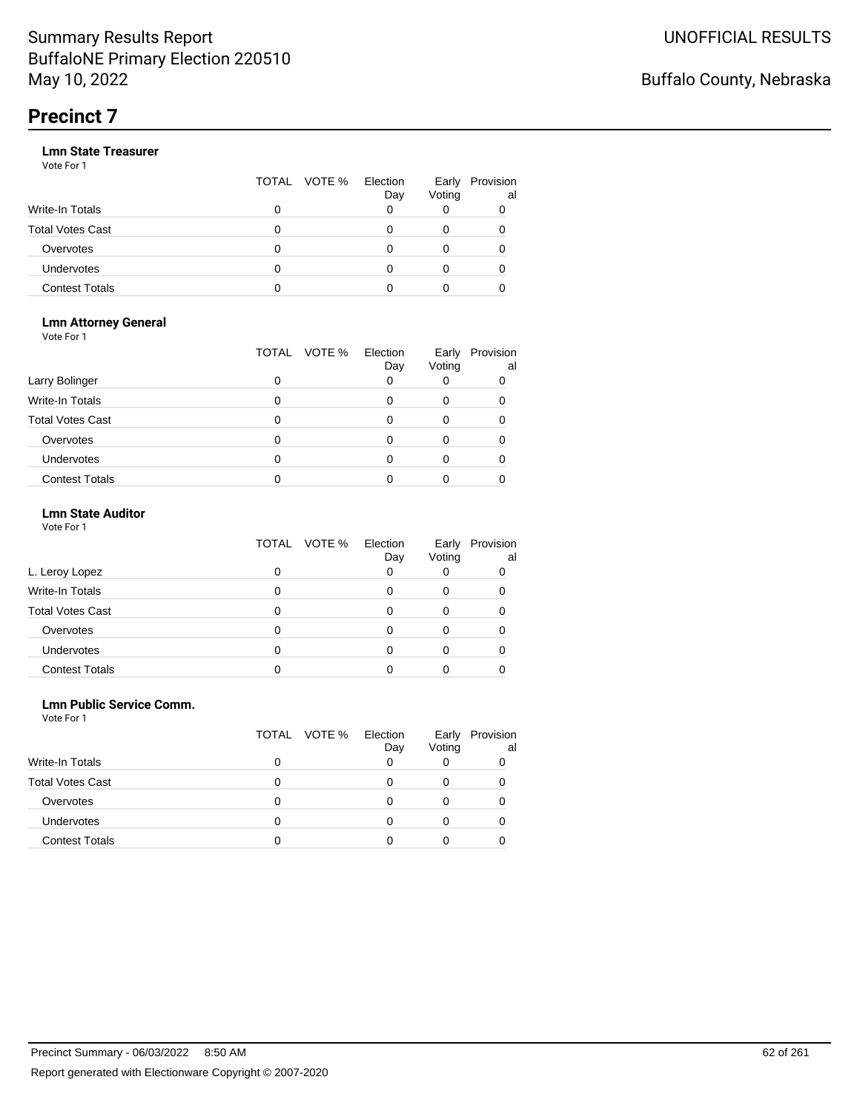|                       |   | TOTAL VOTE % | Election<br>Day | Early<br>Voting | Provision<br>al |
|-----------------------|---|--------------|-----------------|-----------------|-----------------|
| Write-In Totals       | 0 |              |                 |                 |                 |
| Total Votes Cast      | O |              |                 |                 |                 |
| Overvotes             | 0 |              |                 |                 |                 |
| Undervotes            | 0 |              |                 |                 |                 |
| <b>Contest Totals</b> | o |              |                 |                 |                 |

#### **Lmn Attorney General** Vote For 1

|                         | VOTE %<br>TOTAL | Election<br>Day | Early<br>Voting | Provision<br>al |
|-------------------------|-----------------|-----------------|-----------------|-----------------|
| Larry Bolinger          | 0               |                 |                 |                 |
| <b>Write-In Totals</b>  | O               |                 |                 |                 |
| <b>Total Votes Cast</b> | 0               |                 |                 |                 |
| Overvotes               | 0               |                 |                 |                 |
| Undervotes              | 0               |                 |                 |                 |
| <b>Contest Totals</b>   |                 |                 |                 |                 |

#### **Lmn State Auditor**

| Vote For 1 |  |  |
|------------|--|--|
|------------|--|--|

|                         | TOTAL VOTE % | Election<br>Day | Early<br>Voting | Provision<br>al |
|-------------------------|--------------|-----------------|-----------------|-----------------|
| L. Leroy Lopez          |              | 0               |                 |                 |
| <b>Write-In Totals</b>  |              |                 | 0               |                 |
| <b>Total Votes Cast</b> |              |                 |                 |                 |
| Overvotes               |              |                 |                 |                 |
| Undervotes              |              |                 |                 |                 |
| <b>Contest Totals</b>   |              |                 |                 |                 |

#### **Lmn Public Service Comm.**

| Vote For 1 |  |
|------------|--|
|------------|--|

|                         | TOTAL VOTE % | Election<br>Day | Early<br>Voting | Provision<br>al |
|-------------------------|--------------|-----------------|-----------------|-----------------|
| <b>Write-In Totals</b>  |              |                 |                 |                 |
| <b>Total Votes Cast</b> | 0            | $\mathbf{0}$    |                 |                 |
| Overvotes               | O            |                 |                 |                 |
| Undervotes              | O            |                 |                 |                 |
| <b>Contest Totals</b>   |              |                 |                 |                 |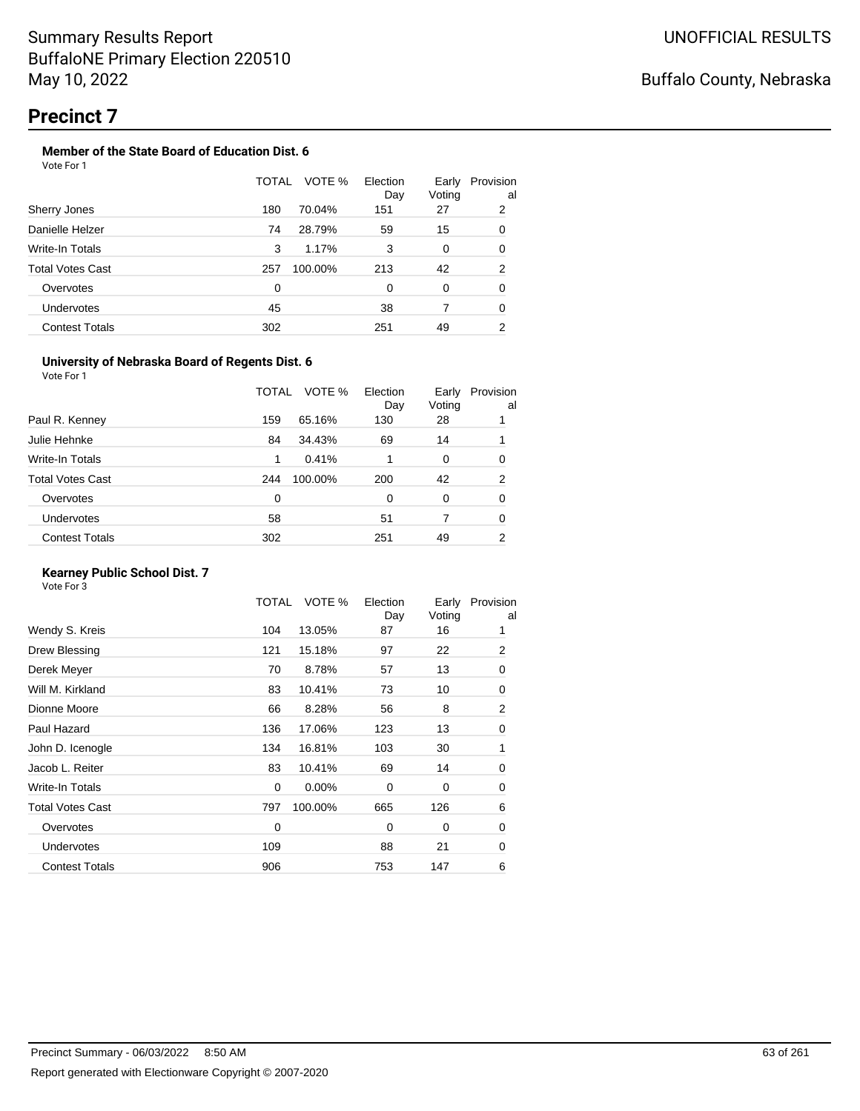#### **Member of the State Board of Education Dist. 6**

| Vote For 1 |  |  |  |
|------------|--|--|--|
|------------|--|--|--|

|                       | TOTAL | VOTE %  | Election<br>Day | Early<br>Voting | Provision<br>al |
|-----------------------|-------|---------|-----------------|-----------------|-----------------|
| Sherry Jones          | 180   | 70.04%  | 151             | 27              | 2               |
| Danielle Helzer       | 74    | 28.79%  | 59              | 15              | 0               |
| Write-In Totals       | 3     | 1.17%   | 3               | 0               | 0               |
| Total Votes Cast      | 257   | 100.00% | 213             | 42              | 2               |
| Overvotes             | 0     |         | $\Omega$        | 0               | 0               |
| <b>Undervotes</b>     | 45    |         | 38              |                 | 0               |
| <b>Contest Totals</b> | 302   |         | 251             | 49              | 2               |

#### **University of Nebraska Board of Regents Dist. 6**

Vote For 1

|                       | TOTAL | VOTE %  | Election<br>Day | Early<br>Voting | Provision<br>al |
|-----------------------|-------|---------|-----------------|-----------------|-----------------|
| Paul R. Kenney        | 159   | 65.16%  | 130             | 28              |                 |
| Julie Hehnke          | 84    | 34.43%  | 69              | 14              |                 |
| Write-In Totals       | 1     | 0.41%   |                 | 0               | 0               |
| Total Votes Cast      | 244   | 100.00% | 200             | 42              | 2               |
| Overvotes             | 0     |         | 0               | 0               | 0               |
| <b>Undervotes</b>     | 58    |         | 51              | 7               | 0               |
| <b>Contest Totals</b> | 302   |         | 251             | 49              | 2               |
|                       |       |         |                 |                 |                 |

#### **Kearney Public School Dist. 7**

|                         | TOTAL       | VOTE %  | Election<br>Day | Early<br>Voting | Provision<br>al |
|-------------------------|-------------|---------|-----------------|-----------------|-----------------|
| Wendy S. Kreis          | 104         | 13.05%  | 87              | 16              |                 |
| Drew Blessing           | 121         | 15.18%  | 97              | 22              | $\overline{2}$  |
| Derek Meyer             | 70          | 8.78%   | 57              | 13              | 0               |
| Will M. Kirkland        | 83          | 10.41%  | 73              | 10              | 0               |
| Dionne Moore            | 66          | 8.28%   | 56              | 8               | $\overline{2}$  |
| Paul Hazard             | 136         | 17.06%  | 123             | 13              | 0               |
| John D. Icenogle        | 134         | 16.81%  | 103             | 30              | 1               |
| Jacob L. Reiter         | 83          | 10.41%  | 69              | 14              | 0               |
| Write-In Totals         | $\mathbf 0$ | 0.00%   | $\Omega$        | 0               | 0               |
| <b>Total Votes Cast</b> | 797         | 100.00% | 665             | 126             | 6               |
| Overvotes               | 0           |         | 0               | 0               | 0               |
| <b>Undervotes</b>       | 109         |         | 88              | 21              | 0               |
| <b>Contest Totals</b>   | 906         |         | 753             | 147             | 6               |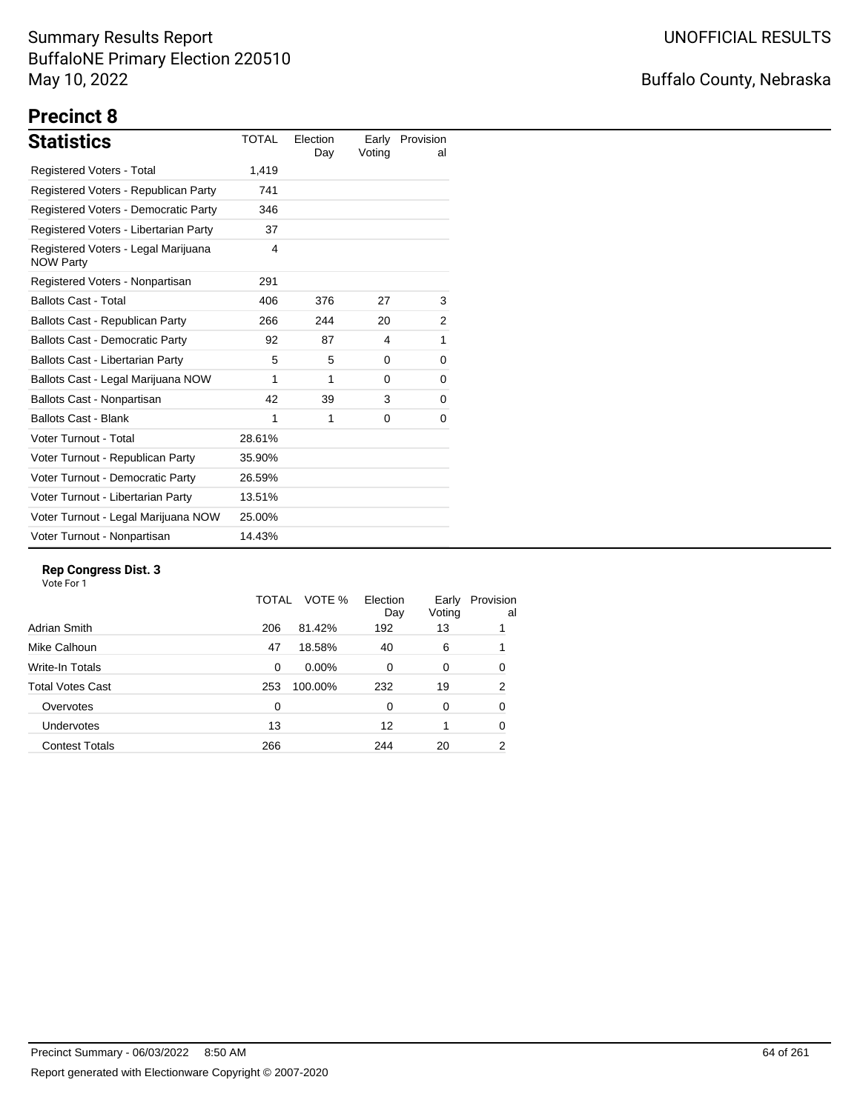## Buffalo County, Nebraska

# **Precinct 8**

| <b>Statistics</b>                                       | <b>TOTAL</b> | Election<br>Day | Voting | Early Provision<br>al |
|---------------------------------------------------------|--------------|-----------------|--------|-----------------------|
| Registered Voters - Total                               | 1,419        |                 |        |                       |
| Registered Voters - Republican Party                    | 741          |                 |        |                       |
| Registered Voters - Democratic Party                    | 346          |                 |        |                       |
| Registered Voters - Libertarian Party                   | 37           |                 |        |                       |
| Registered Voters - Legal Marijuana<br><b>NOW Party</b> | 4            |                 |        |                       |
| Registered Voters - Nonpartisan                         | 291          |                 |        |                       |
| <b>Ballots Cast - Total</b>                             | 406          | 376             | 27     | 3                     |
| Ballots Cast - Republican Party                         | 266          | 244             | 20     | 2                     |
| <b>Ballots Cast - Democratic Party</b>                  | 92           | 87              | 4      | 1                     |
| Ballots Cast - Libertarian Party                        | 5            | 5               | 0      | 0                     |
| Ballots Cast - Legal Marijuana NOW                      | 1            | 1               | 0      | 0                     |
| Ballots Cast - Nonpartisan                              | 42           | 39              | 3      | 0                     |
| <b>Ballots Cast - Blank</b>                             | 1            | 1               | 0      | 0                     |
| Voter Turnout - Total                                   | 28.61%       |                 |        |                       |
| Voter Turnout - Republican Party                        | 35.90%       |                 |        |                       |
| Voter Turnout - Democratic Party                        | 26.59%       |                 |        |                       |
| Voter Turnout - Libertarian Party                       | 13.51%       |                 |        |                       |
| Voter Turnout - Legal Marijuana NOW                     | 25.00%       |                 |        |                       |
| Voter Turnout - Nonpartisan                             | 14.43%       |                 |        |                       |

#### **Rep Congress Dist. 3**

|                       | TOTAL | VOTE %  | Election<br>Day | Early<br>Voting | Provision<br>al |
|-----------------------|-------|---------|-----------------|-----------------|-----------------|
| Adrian Smith          | 206   | 81.42%  | 192             | 13              |                 |
| Mike Calhoun          | 47    | 18.58%  | 40              | 6               |                 |
| Write-In Totals       | 0     | 0.00%   | $\Omega$        | 0               | 0               |
| Total Votes Cast      | 253   | 100.00% | 232             | 19              | 2               |
| Overvotes             | 0     |         | 0               | 0               | 0               |
| <b>Undervotes</b>     | 13    |         | 12              |                 | 0               |
| <b>Contest Totals</b> | 266   |         | 244             | 20              | 2               |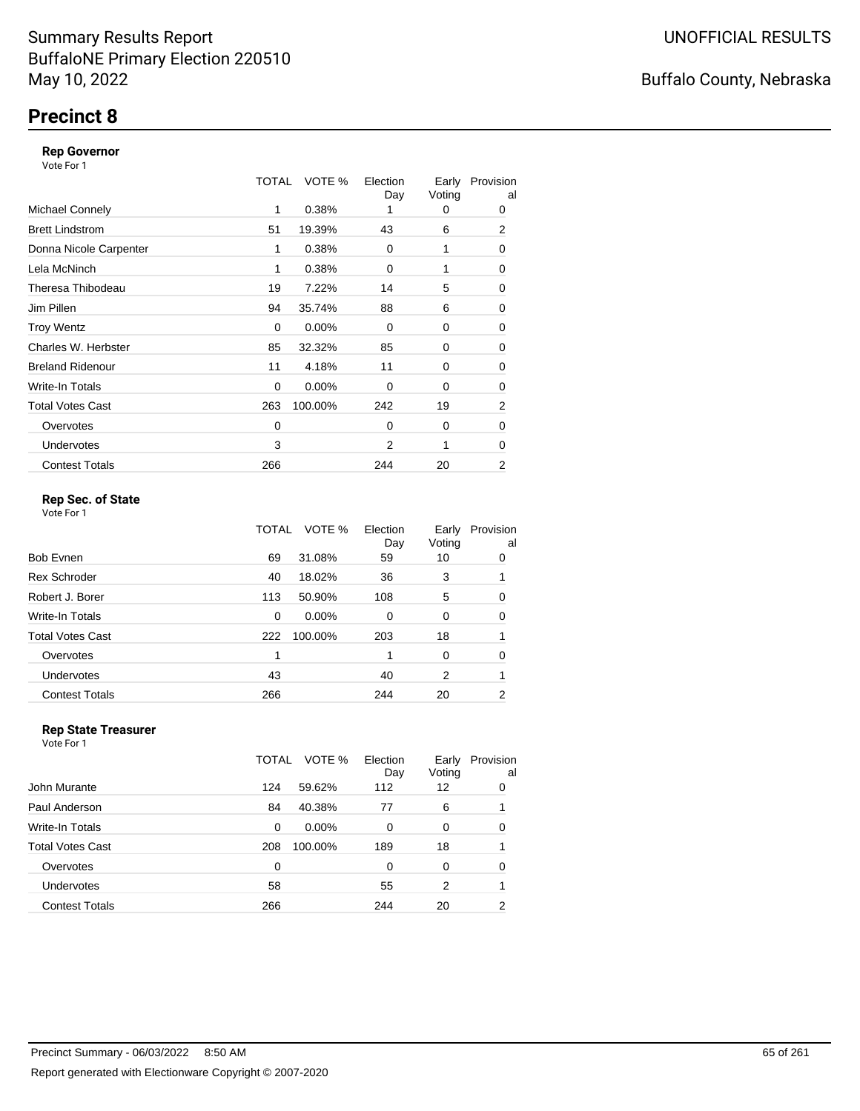## **Precinct 8**

#### **Rep Governor**

Vote For 1

|                         | TOTAL | VOTE %   | Election<br>Day | Early<br>Voting | Provision<br>al |
|-------------------------|-------|----------|-----------------|-----------------|-----------------|
| <b>Michael Connely</b>  | 1     | 0.38%    |                 | 0               | 0               |
| <b>Brett Lindstrom</b>  | 51    | 19.39%   | 43              | 6               | 2               |
| Donna Nicole Carpenter  | 1     | 0.38%    | 0               | 1               | 0               |
| Lela McNinch            | 1     | 0.38%    | 0               |                 | 0               |
| Theresa Thibodeau       | 19    | 7.22%    | 14              | 5               | 0               |
| Jim Pillen              | 94    | 35.74%   | 88              | 6               | 0               |
| <b>Troy Wentz</b>       | 0     | 0.00%    | $\Omega$        | 0               | 0               |
| Charles W. Herbster     | 85    | 32.32%   | 85              | 0               | 0               |
| <b>Breland Ridenour</b> | 11    | 4.18%    | 11              | 0               | 0               |
| Write-In Totals         | 0     | $0.00\%$ | 0               | 0               | 0               |
| <b>Total Votes Cast</b> | 263   | 100.00%  | 242             | 19              | $\overline{2}$  |
| Overvotes               | 0     |          | $\Omega$        | 0               | 0               |
| <b>Undervotes</b>       | 3     |          | 2               | 1               | 0               |
| <b>Contest Totals</b>   | 266   |          | 244             | 20              | 2               |

#### **Rep Sec. of State**

Vote For 1

|                       | TOTAL | VOTE %   | Election<br>Day | Early<br>Voting | Provision<br>al |
|-----------------------|-------|----------|-----------------|-----------------|-----------------|
| Bob Evnen             | 69    | 31.08%   | 59              | 10              | 0               |
| <b>Rex Schroder</b>   | 40    | 18.02%   | 36              | 3               |                 |
| Robert J. Borer       | 113   | 50.90%   | 108             | 5               | 0               |
| Write-In Totals       | 0     | $0.00\%$ | $\Omega$        | 0               | 0               |
| Total Votes Cast      | 222   | 100.00%  | 203             | 18              |                 |
| Overvotes             | 1     |          |                 | 0               | 0               |
| <b>Undervotes</b>     | 43    |          | 40              | 2               | 1               |
| <b>Contest Totals</b> | 266   |          | 244             | 20              | 2               |
|                       |       |          |                 |                 |                 |

#### **Rep State Treasurer** Vote For 1

|                         | TOTAL | VOTE %  | Election<br>Day | Early<br>Voting | Provision<br>al |
|-------------------------|-------|---------|-----------------|-----------------|-----------------|
| John Murante            | 124   | 59.62%  | 112             | 12              | 0               |
| Paul Anderson           | 84    | 40.38%  | 77              | 6               |                 |
| Write-In Totals         | 0     | 0.00%   | $\Omega$        | 0               | $\Omega$        |
| <b>Total Votes Cast</b> | 208   | 100.00% | 189             | 18              |                 |
| Overvotes               | 0     |         | $\Omega$        | 0               | 0               |
| Undervotes              | 58    |         | 55              | 2               |                 |
| <b>Contest Totals</b>   | 266   |         | 244             | 20              | 2               |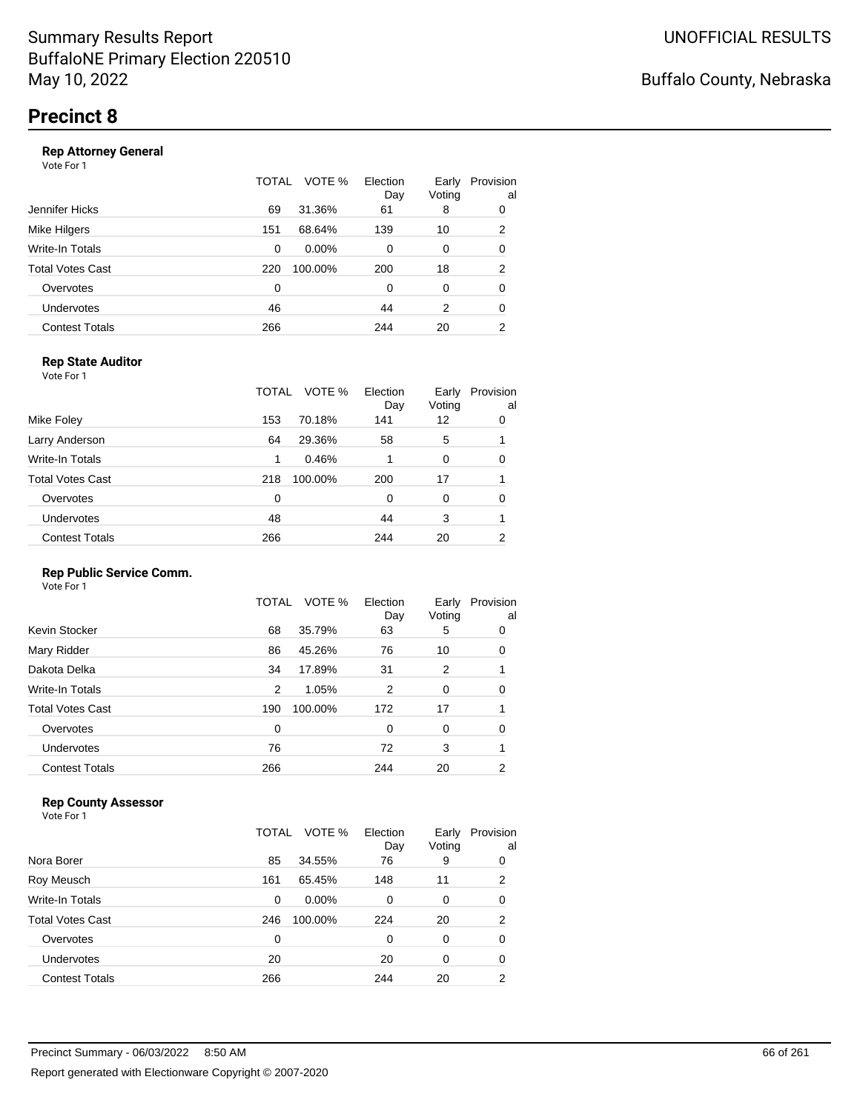#### **Rep Attorney General**

Vote For 1

|                       | TOTAL | VOTE %   | Election<br>Day | Early<br>Voting | Provision<br>al |
|-----------------------|-------|----------|-----------------|-----------------|-----------------|
| Jennifer Hicks        | 69    | 31.36%   | 61              | 8               | 0               |
| Mike Hilgers          | 151   | 68.64%   | 139             | 10              | 2               |
| Write-In Totals       | 0     | $0.00\%$ | $\Omega$        | 0               | 0               |
| Total Votes Cast      | 220   | 100.00%  | 200             | 18              | 2               |
| Overvotes             | 0     |          | $\Omega$        | 0               | 0               |
| <b>Undervotes</b>     | 46    |          | 44              | 2               | 0               |
| <b>Contest Totals</b> | 266   |          | 244             | 20              | 2               |
|                       |       |          |                 |                 |                 |

#### **Rep State Auditor**

Vote For 1

|                       | TOTAL | VOTE %  | Election<br>Day | Early<br>Voting | Provision<br>al |
|-----------------------|-------|---------|-----------------|-----------------|-----------------|
| Mike Foley            | 153   | 70.18%  | 141             | 12              | 0               |
| Larry Anderson        | 64    | 29.36%  | 58              | 5               |                 |
| Write-In Totals       | 1     | 0.46%   |                 | 0               | 0               |
| Total Votes Cast      | 218   | 100.00% | 200             | 17              |                 |
| Overvotes             | 0     |         | 0               | 0               | 0               |
| <b>Undervotes</b>     | 48    |         | 44              | 3               |                 |
| <b>Contest Totals</b> | 266   |         | 244             | 20              | 2               |
|                       |       |         |                 |                 |                 |

#### **Rep Public Service Comm.**

Vote For 1

|                         | TOTAL | VOTE %  | Election<br>Day | Early<br>Voting | Provision<br>al |
|-------------------------|-------|---------|-----------------|-----------------|-----------------|
| Kevin Stocker           | 68    | 35.79%  | 63              | 5               | 0               |
| Mary Ridder             | 86    | 45.26%  | 76              | 10              | 0               |
| Dakota Delka            | 34    | 17.89%  | 31              | 2               |                 |
| Write-In Totals         | 2     | 1.05%   | 2               | 0               | 0               |
| <b>Total Votes Cast</b> | 190   | 100.00% | 172             | 17              |                 |
| Overvotes               | 0     |         | 0               | 0               | 0               |
| Undervotes              | 76    |         | 72              | 3               |                 |
| <b>Contest Totals</b>   | 266   |         | 244             | 20              | 2               |
|                         |       |         |                 |                 |                 |

#### **Rep County Assessor**

|                       | TOTAL    | VOTE %   | Election<br>Day | Early<br>Voting | Provision<br>al |
|-----------------------|----------|----------|-----------------|-----------------|-----------------|
| Nora Borer            | 85       | 34.55%   | 76              | 9               | 0               |
| Roy Meusch            | 161      | 65.45%   | 148             | 11              | 2               |
| Write-In Totals       | 0        | $0.00\%$ | 0               | 0               | 0               |
| Total Votes Cast      | 246      | 100.00%  | 224             | 20              | $\overline{2}$  |
| Overvotes             | $\Omega$ |          | $\Omega$        | $\Omega$        | 0               |
| <b>Undervotes</b>     | 20       |          | 20              | 0               | 0               |
| <b>Contest Totals</b> | 266      |          | 244             | 20              | 2               |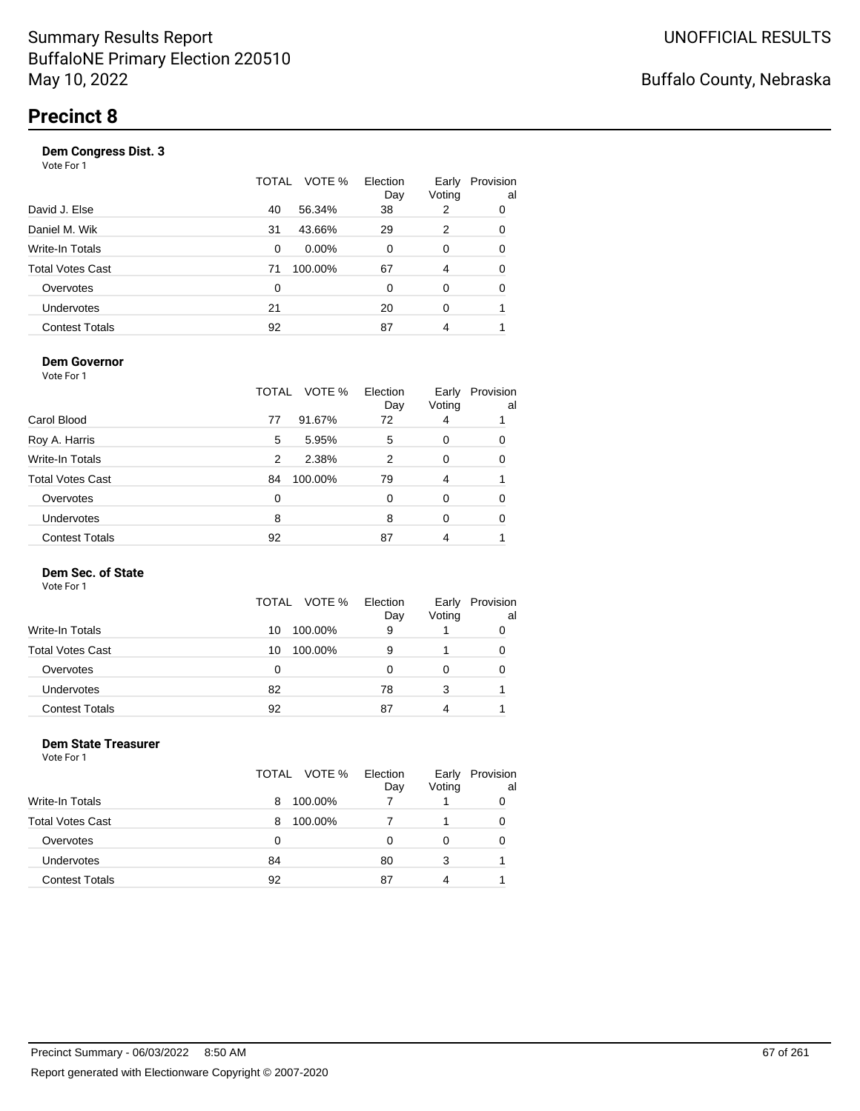| Vote For 1            |       |          |                 |                 |                 |
|-----------------------|-------|----------|-----------------|-----------------|-----------------|
|                       | TOTAL | VOTE %   | Election<br>Day | Early<br>Voting | Provision<br>al |
| David J. Else         | 40    | 56.34%   | 38              | 2               | 0               |
| Daniel M. Wik         | 31    | 43.66%   | 29              | 2               | 0               |
| Write-In Totals       | 0     | $0.00\%$ | 0               | 0               | 0               |
| Total Votes Cast      | 71    | 100.00%  | 67              | 4               | 0               |
| Overvotes             | 0     |          | 0               | 0               | 0               |
| <b>Undervotes</b>     | 21    |          | 20              | 0               |                 |
| <b>Contest Totals</b> | 92    |          | 87              | 4               |                 |
|                       |       |          |                 |                 |                 |

#### **Dem Governor**

Vote For 1

|                         | TOTAL | VOTE %  | Election<br>Day | Early<br>Voting | Provision<br>al |
|-------------------------|-------|---------|-----------------|-----------------|-----------------|
| Carol Blood             | 77    | 91.67%  | 72              | 4               |                 |
| Roy A. Harris           | 5     | 5.95%   | 5               | 0               | 0               |
| Write-In Totals         | 2     | 2.38%   | 2               | 0               | 0               |
| <b>Total Votes Cast</b> | 84    | 100.00% | 79              | 4               |                 |
| Overvotes               | 0     |         | 0               | O               | 0               |
| Undervotes              | 8     |         | 8               | 0               | 0               |
| <b>Contest Totals</b>   | 92    |         | 87              | 4               |                 |

#### **Dem Sec. of State**

Vote For 1

|                         | TOTAL VOTE %  | Election<br>Day | Early<br>Voting | Provision<br>al |
|-------------------------|---------------|-----------------|-----------------|-----------------|
| <b>Write-In Totals</b>  | 100.00%<br>10 | 9               |                 |                 |
| <b>Total Votes Cast</b> | 100.00%<br>10 | 9               |                 | 0               |
| Overvotes               | 0             |                 |                 | 0               |
| <b>Undervotes</b>       | 82            | 78              | 3               |                 |
| <b>Contest Totals</b>   | 92            | 87              |                 |                 |

#### **Dem State Treasurer** Vote For 1

|                         | TOTAL VOTE % | Election<br>Day | Early<br>Voting | Provision<br>al |
|-------------------------|--------------|-----------------|-----------------|-----------------|
| Write-In Totals         | 100.00%<br>8 |                 |                 | 0               |
| <b>Total Votes Cast</b> | 100.00%<br>8 |                 |                 | 0               |
| Overvotes               | 0            | 0               | 0               | 0               |
| Undervotes              | 84           | 80              | 3               |                 |
| <b>Contest Totals</b>   | 92           | 87              | 4               |                 |
|                         |              |                 |                 |                 |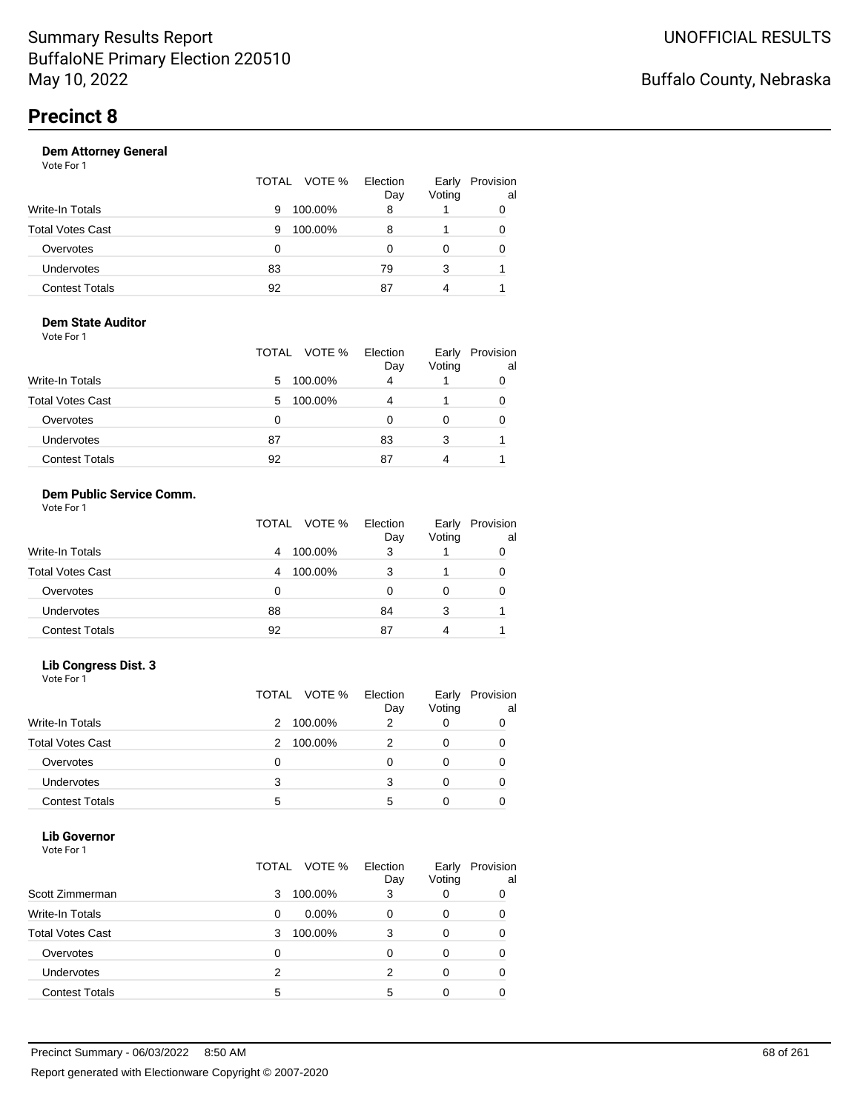| Vote For 1            |                 |                 |                 |                 |
|-----------------------|-----------------|-----------------|-----------------|-----------------|
|                       | VOTE %<br>TOTAL | Election<br>Day | Early<br>Voting | Provision<br>al |
| Write-In Totals       | 100.00%<br>9    | 8               |                 | 0               |
| Total Votes Cast      | 100.00%<br>9    | 8               |                 | 0               |
| Overvotes             | 0               | O               | $\Omega$        | 0               |
| <b>Undervotes</b>     | 83              | 79              | 3               |                 |
| <b>Contest Totals</b> | 92              | 87              | 4               |                 |
|                       |                 |                 |                 |                 |

#### **Dem State Auditor** Vote For 1

|                         | TOTAL VOTE %  | Election<br>Day | Early<br>Voting | Provision<br>al |
|-------------------------|---------------|-----------------|-----------------|-----------------|
| <b>Write-In Totals</b>  | 100.00%<br>5  | 4               |                 |                 |
| <b>Total Votes Cast</b> | 100.00%<br>5. | 4               |                 |                 |
| Overvotes               | 0             |                 |                 |                 |
| <b>Undervotes</b>       | 87            | 83              | 3               |                 |
| <b>Contest Totals</b>   | 92            | 87              |                 |                 |

#### **Dem Public Service Comm.** Vote For 1

|                         | TOTAL VOTE % | Election<br>Day | Early<br>Voting | Provision<br>al |
|-------------------------|--------------|-----------------|-----------------|-----------------|
| <b>Write-In Totals</b>  | 100.00%<br>4 | 3               |                 |                 |
| <b>Total Votes Cast</b> | 100.00%<br>4 | 3               |                 |                 |
| Overvotes               | 0            |                 |                 |                 |
| <b>Undervotes</b>       | 88           | 84              | 3               |                 |
| <b>Contest Totals</b>   | 92           | 87              | 4               |                 |

#### **Lib Congress Dist. 3**

Vote For 1

|                         |   | TOTAL VOTE % | Election<br>Day | Early<br>Voting | Provision<br>al |
|-------------------------|---|--------------|-----------------|-----------------|-----------------|
| <b>Write-In Totals</b>  | 2 | 100.00%      | 2               |                 |                 |
| <b>Total Votes Cast</b> |   | 100.00%      |                 |                 |                 |
| Overvotes               | 0 |              |                 |                 |                 |
| Undervotes              | 3 |              | з               |                 |                 |
| <b>Contest Totals</b>   | 5 |              | 5               |                 |                 |

#### **Lib Governor**

| ---------<br>Vote For 1 |               |                 |                 |                 |
|-------------------------|---------------|-----------------|-----------------|-----------------|
|                         | TOTAL VOTE %  | Election<br>Day | Early<br>Voting | Provision<br>al |
| Scott Zimmerman         | 100.00%<br>3  | 3               | 0               | 0               |
| Write-In Totals         | $0.00\%$<br>0 | 0               | 0               | 0               |
| <b>Total Votes Cast</b> | 100.00%<br>3  | 3               | 0               | 0               |
| Overvotes               | 0             | 0               | 0               | 0               |
| <b>Undervotes</b>       | 2             | 2               | 0               | 0               |
| <b>Contest Totals</b>   | 5             | 5               | 0               |                 |
|                         |               |                 |                 |                 |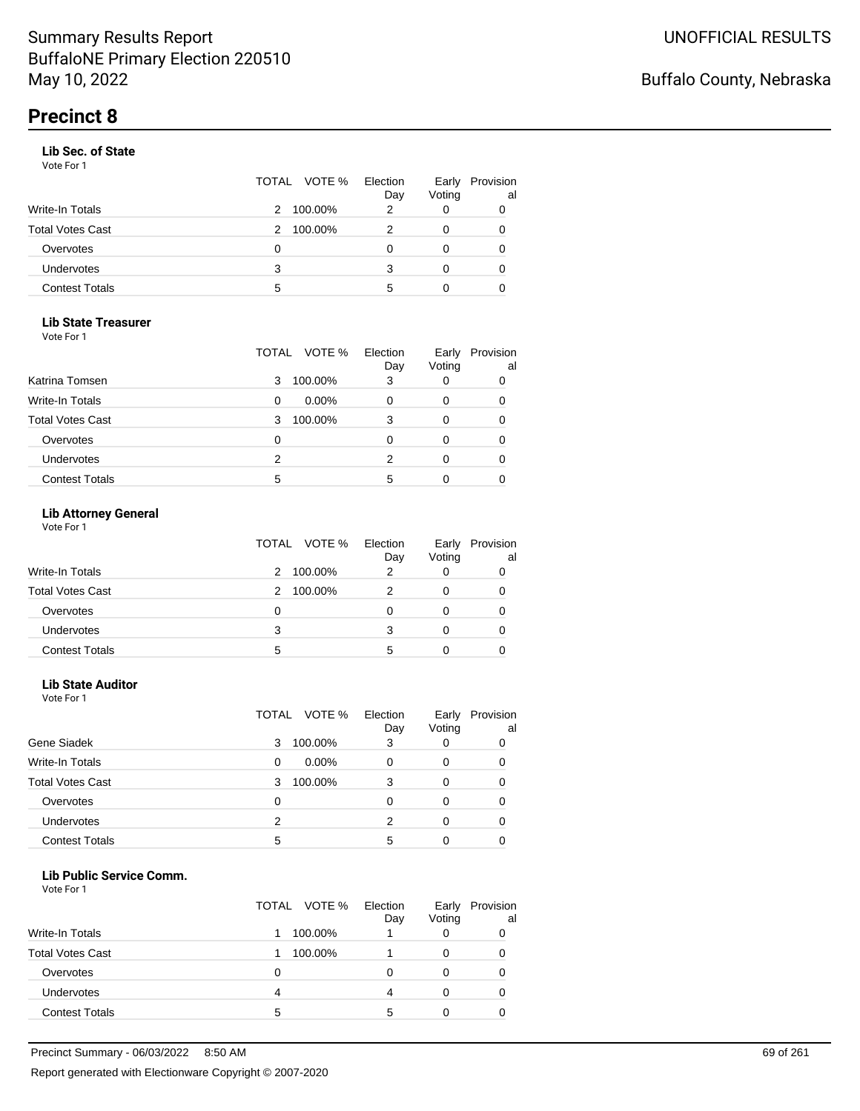#### **Lib Sec. of State**

Vote For 1

|                       |   | TOTAL VOTE % | Election<br>Day | Early<br>Voting | Provision<br>al |
|-----------------------|---|--------------|-----------------|-----------------|-----------------|
| Write-In Totals       | 2 | 100.00%      | 2               | O               | 0               |
| Total Votes Cast      | 2 | 100.00%      |                 | 0               | 0               |
| Overvotes             | Ω |              |                 | Ω               | 0               |
| Undervotes            | 3 |              | 3               | 0               | 0               |
| <b>Contest Totals</b> | 5 |              | 5               | 0               |                 |

#### **Lib State Treasurer**

Vote For 1

|                         | TOTAL | VOTE %   | Election<br>Day | Early<br>Voting | Provision<br>al |
|-------------------------|-------|----------|-----------------|-----------------|-----------------|
| Katrina Tomsen          | 3     | 100.00%  | 3               | O               | 0               |
| Write-In Totals         | 0     | $0.00\%$ |                 | 0               | 0               |
| <b>Total Votes Cast</b> | 3     | 100.00%  | 3               | 0               | 0               |
| Overvotes               | 0     |          |                 | Ω               | 0               |
| Undervotes              | 2     |          | 2               | 0               | 0               |
| <b>Contest Totals</b>   | 5     |          | 5               |                 |                 |

#### **Lib Attorney General**

Vote For 1

|                         | TOTAL VOTE % | Election<br>Day | Early<br>Voting | Provision<br>al |
|-------------------------|--------------|-----------------|-----------------|-----------------|
| <b>Write-In Totals</b>  | 100.00%<br>2 |                 |                 |                 |
| <b>Total Votes Cast</b> | 100.00%<br>2 |                 |                 | 0               |
| Overvotes               | 0            |                 |                 |                 |
| Undervotes              | 3            | 3               |                 | 0               |
| <b>Contest Totals</b>   | 5            | 5               |                 |                 |

#### **Lib State Auditor**

Vote For 1

|                         | VOTE %<br>TOTAL | Election<br>Day | Early<br>Voting | Provision<br>al |
|-------------------------|-----------------|-----------------|-----------------|-----------------|
| Gene Siadek             | 100.00%<br>3    | 3               |                 | 0               |
| <b>Write-In Totals</b>  | $0.00\%$<br>0   | 0               | 0               | 0               |
| <b>Total Votes Cast</b> | 100.00%<br>3    | 3               |                 | 0               |
| Overvotes               | 0               | 0               |                 | 0               |
| <b>Undervotes</b>       | 2               | 2               |                 | 0               |
| <b>Contest Totals</b>   | 5               | 5               |                 |                 |

#### **Lib Public Service Comm.**

|                         |   | TOTAL VOTE % | Election<br>Day | Early<br>Voting | Provision<br>al |
|-------------------------|---|--------------|-----------------|-----------------|-----------------|
| <b>Write-In Totals</b>  |   | 100.00%      |                 |                 |                 |
| <b>Total Votes Cast</b> |   | 100.00%      |                 |                 | 0               |
| Overvotes               | 0 |              |                 |                 | O               |
| <b>Undervotes</b>       | 4 |              | 4               | 0               | 0               |
| <b>Contest Totals</b>   | 5 |              | 5               |                 |                 |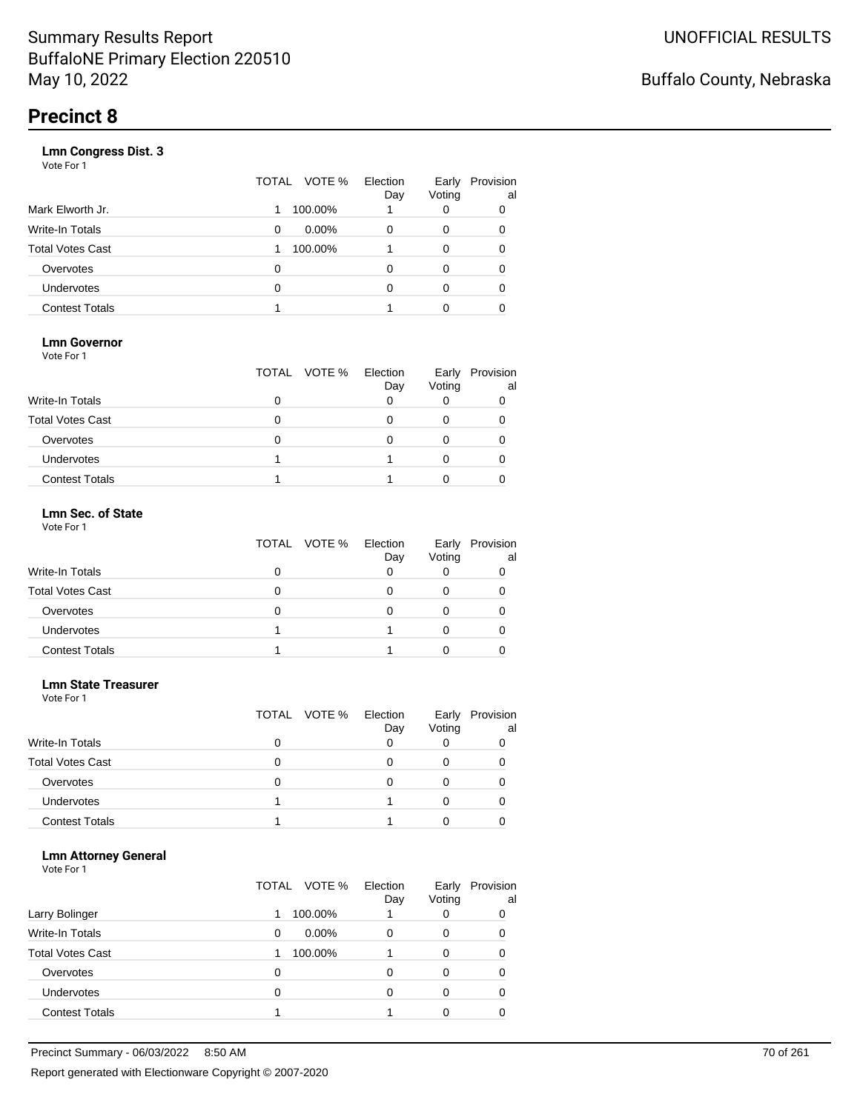|                       | TOTAL | VOTE %   | Election<br>Day | Early<br>Voting | Provision<br>al |
|-----------------------|-------|----------|-----------------|-----------------|-----------------|
| Mark Elworth Jr.      |       | 100.00%  |                 | 0               | 0               |
| Write-In Totals       | 0     | $0.00\%$ | 0               | 0               | O               |
| Total Votes Cast      |       | 100.00%  |                 | 0               | O               |
| Overvotes             | 0     |          | 0               | 0               |                 |
| <b>Undervotes</b>     | 0     |          | 0               | 0               | O               |
| <b>Contest Totals</b> |       |          |                 | 0               |                 |
|                       |       |          |                 |                 |                 |

#### **Lmn Governor**

Vote For 1

|                         | TOTAL VOTE % | Election<br>Day | Early<br>Voting | Provision<br>al |
|-------------------------|--------------|-----------------|-----------------|-----------------|
| <b>Write-In Totals</b>  |              |                 |                 |                 |
| <b>Total Votes Cast</b> |              |                 |                 |                 |
| Overvotes               |              |                 |                 |                 |
| Undervotes              |              |                 |                 |                 |
| <b>Contest Totals</b>   |              |                 |                 |                 |

#### **Lmn Sec. of State** Vote For 1

|                         | TOTAL VOTE % | Election<br>Day | Early<br>Voting | Provision<br>al |
|-------------------------|--------------|-----------------|-----------------|-----------------|
| Write-In Totals         |              |                 |                 |                 |
| <b>Total Votes Cast</b> |              |                 |                 |                 |
| Overvotes               | O            |                 |                 |                 |
| Undervotes              |              |                 |                 |                 |
| <b>Contest Totals</b>   |              |                 |                 |                 |

#### **Lmn State Treasurer**

Vote For 1

|                         |   | TOTAL VOTE % | Election<br>Day | Early<br>Voting | Provision<br>al |
|-------------------------|---|--------------|-----------------|-----------------|-----------------|
| <b>Write-In Totals</b>  |   |              |                 |                 |                 |
| <b>Total Votes Cast</b> | 0 |              |                 |                 |                 |
| Overvotes               | 0 |              | Ω               |                 |                 |
| <b>Undervotes</b>       |   |              |                 |                 |                 |
| <b>Contest Totals</b>   |   |              |                 |                 |                 |

#### **Lmn Attorney General**

|                         | TOTAL VOTE % | Election<br>Day | Early<br>Voting | Provision<br>al |
|-------------------------|--------------|-----------------|-----------------|-----------------|
| Larry Bolinger          | 1            | 100.00%         |                 | 0               |
| Write-In Totals         | 0            | $0.00\%$<br>0   | 0               | 0               |
| <b>Total Votes Cast</b> |              | 100.00%         | 0               | 0               |
| Overvotes               | 0            | 0               | 0               | 0               |
| <b>Undervotes</b>       | 0            | 0               | 0               | 0               |
| <b>Contest Totals</b>   |              |                 |                 |                 |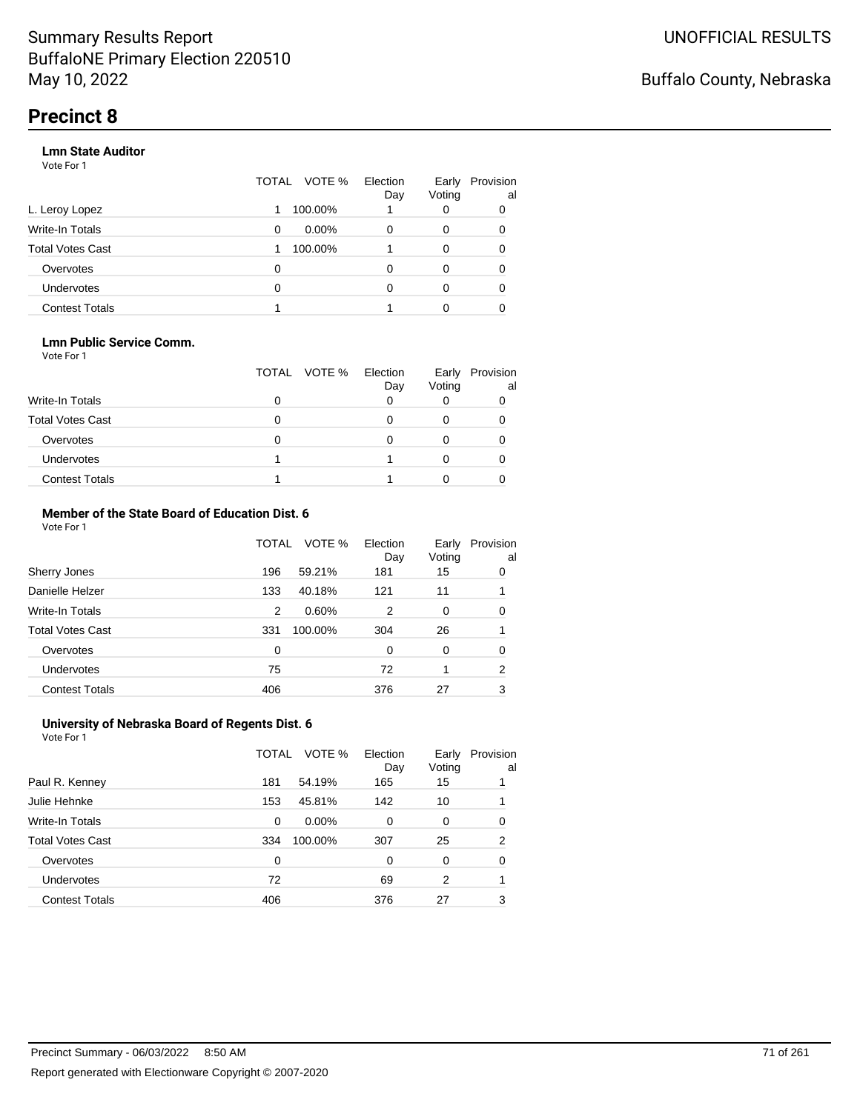#### **Lmn State Auditor**

Vote For 1

|                       | TOTAL | VOTE %   | Election<br>Day | Early<br>Voting | Provision<br>al |
|-----------------------|-------|----------|-----------------|-----------------|-----------------|
| L. Leroy Lopez        |       | 100.00%  |                 | 0               | 0               |
| Write-In Totals       | 0     | $0.00\%$ | 0               | 0               | 0               |
| Total Votes Cast      |       | 100.00%  |                 | 0               | 0               |
| Overvotes             | 0     |          | O               | 0               | 0               |
| <b>Undervotes</b>     | 0     |          | O               | 0               | $\Omega$        |
| <b>Contest Totals</b> |       |          |                 | 0               |                 |

#### **Lmn Public Service Comm.**

Vote For 1

|                         | TOTAL VOTE % | Election<br>Day | Early<br>Voting | Provision<br>al |
|-------------------------|--------------|-----------------|-----------------|-----------------|
| <b>Write-In Totals</b>  |              |                 |                 |                 |
| <b>Total Votes Cast</b> |              |                 |                 |                 |
| Overvotes               |              |                 |                 |                 |
| <b>Undervotes</b>       |              |                 |                 |                 |
| <b>Contest Totals</b>   |              |                 |                 |                 |

#### **Member of the State Board of Education Dist. 6** Vote For 1

|                         | TOTAL | VOTE %  | Election<br>Day | Early<br>Voting | Provision<br>al |
|-------------------------|-------|---------|-----------------|-----------------|-----------------|
| Sherry Jones            | 196   | 59.21%  | 181             | 15              | 0               |
| Danielle Helzer         | 133   | 40.18%  | 121             | 11              |                 |
| <b>Write-In Totals</b>  | 2     | 0.60%   | 2               | 0               | 0               |
| <b>Total Votes Cast</b> | 331   | 100.00% | 304             | 26              |                 |
| Overvotes               | 0     |         | $\Omega$        | $\Omega$        | 0               |
| <b>Undervotes</b>       | 75    |         | 72              |                 | 2               |
| <b>Contest Totals</b>   | 406   |         | 376             | 27              | 3               |

#### **University of Nebraska Board of Regents Dist. 6** Vote For 1

|                         | TOTAL | VOTE %  | Election<br>Day | Early<br>Voting | Provision<br>al |
|-------------------------|-------|---------|-----------------|-----------------|-----------------|
| Paul R. Kenney          | 181   | 54.19%  | 165             | 15              |                 |
| Julie Hehnke            | 153   | 45.81%  | 142             | 10              |                 |
| <b>Write-In Totals</b>  | 0     | 0.00%   | 0               | 0               | 0               |
| <b>Total Votes Cast</b> | 334   | 100.00% | 307             | 25              | 2               |
| Overvotes               | 0     |         | 0               | 0               | 0               |
| <b>Undervotes</b>       | 72    |         | 69              | 2               |                 |
| <b>Contest Totals</b>   | 406   |         | 376             | 27              | 3               |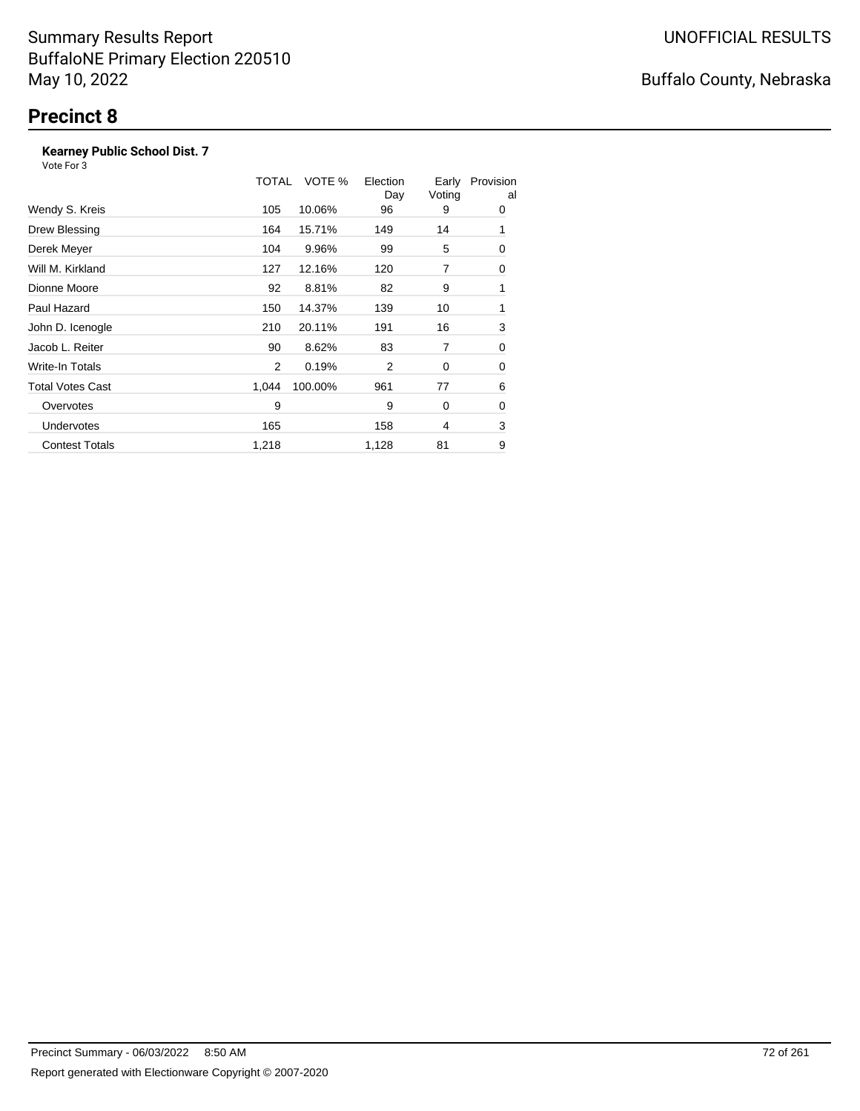#### **Kearney Public School Dist. 7**

|                         | TOTAL | VOTE %  | Election<br>Day | Early<br>Voting | Provision<br>al |
|-------------------------|-------|---------|-----------------|-----------------|-----------------|
| Wendy S. Kreis          | 105   | 10.06%  | 96              | 9               | 0               |
| Drew Blessing           | 164   | 15.71%  | 149             | 14              | 1               |
| Derek Meyer             | 104   | 9.96%   | 99              | 5               | 0               |
| Will M. Kirkland        | 127   | 12.16%  | 120             | 7               | 0               |
| Dionne Moore            | 92    | 8.81%   | 82              | 9               | 1               |
| Paul Hazard             | 150   | 14.37%  | 139             | 10              | 1               |
| John D. Icenogle        | 210   | 20.11%  | 191             | 16              | 3               |
| Jacob L. Reiter         | 90    | 8.62%   | 83              | 7               | 0               |
| Write-In Totals         | 2     | 0.19%   | 2               | 0               | 0               |
| <b>Total Votes Cast</b> | 1,044 | 100.00% | 961             | 77              | 6               |
| Overvotes               | 9     |         | 9               | 0               | 0               |
| <b>Undervotes</b>       | 165   |         | 158             | 4               | 3               |
| <b>Contest Totals</b>   | 1,218 |         | 1,128           | 81              | 9               |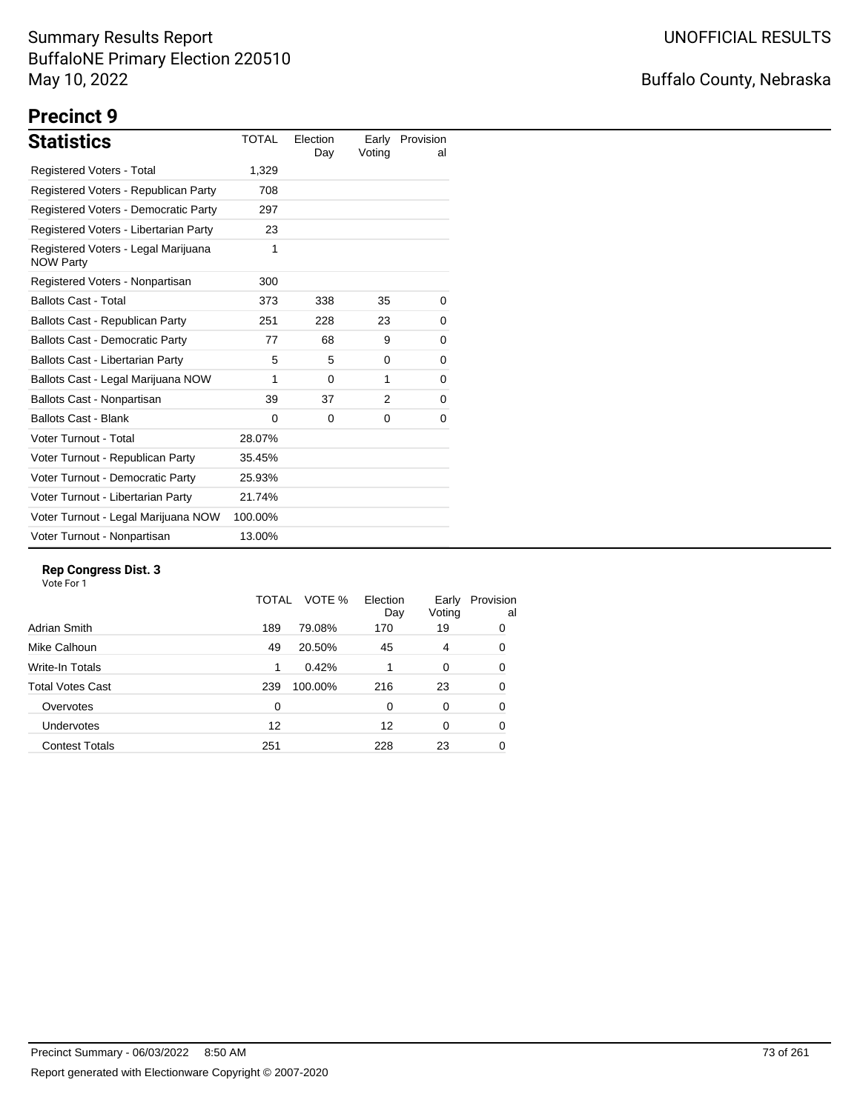# Buffalo County, Nebraska

# **Precinct 9**

| <b>Statistics</b>                                       | <b>TOTAL</b> | Election<br>Day | Earlv<br>Voting | Provision<br>al |
|---------------------------------------------------------|--------------|-----------------|-----------------|-----------------|
| <b>Registered Voters - Total</b>                        | 1,329        |                 |                 |                 |
| Registered Voters - Republican Party                    | 708          |                 |                 |                 |
| Registered Voters - Democratic Party                    | 297          |                 |                 |                 |
| Registered Voters - Libertarian Party                   | 23           |                 |                 |                 |
| Registered Voters - Legal Marijuana<br><b>NOW Party</b> | 1            |                 |                 |                 |
| Registered Voters - Nonpartisan                         | 300          |                 |                 |                 |
| <b>Ballots Cast - Total</b>                             | 373          | 338             | 35              | 0               |
| Ballots Cast - Republican Party                         | 251          | 228             | 23              | 0               |
| <b>Ballots Cast - Democratic Party</b>                  | 77           | 68              | 9               | 0               |
| Ballots Cast - Libertarian Party                        | 5            | 5               | $\Omega$        | 0               |
| Ballots Cast - Legal Marijuana NOW                      | 1            | 0               | 1               | 0               |
| Ballots Cast - Nonpartisan                              | 39           | 37              | 2               | 0               |
| <b>Ballots Cast - Blank</b>                             | 0            | 0               | 0               | 0               |
| Voter Turnout - Total                                   | 28.07%       |                 |                 |                 |
| Voter Turnout - Republican Party                        | 35.45%       |                 |                 |                 |
| Voter Turnout - Democratic Party                        | 25.93%       |                 |                 |                 |
| Voter Turnout - Libertarian Party                       | 21.74%       |                 |                 |                 |
| Voter Turnout - Legal Marijuana NOW                     | 100.00%      |                 |                 |                 |
| Voter Turnout - Nonpartisan                             | 13.00%       |                 |                 |                 |

#### **Rep Congress Dist. 3**

|                         | TOTAL | VOTE %  | Election<br>Day | Early<br>Voting | Provision<br>al |
|-------------------------|-------|---------|-----------------|-----------------|-----------------|
| Adrian Smith            | 189   | 79.08%  | 170             | 19              | 0               |
| Mike Calhoun            | 49    | 20.50%  | 45              | 4               | 0               |
| Write-In Totals         | 1     | 0.42%   |                 | 0               | 0               |
| <b>Total Votes Cast</b> | 239   | 100.00% | 216             | 23              | 0               |
| Overvotes               | 0     |         | 0               | 0               | 0               |
| <b>Undervotes</b>       | 12    |         | 12              | 0               | 0               |
| <b>Contest Totals</b>   | 251   |         | 228             | 23              | 0               |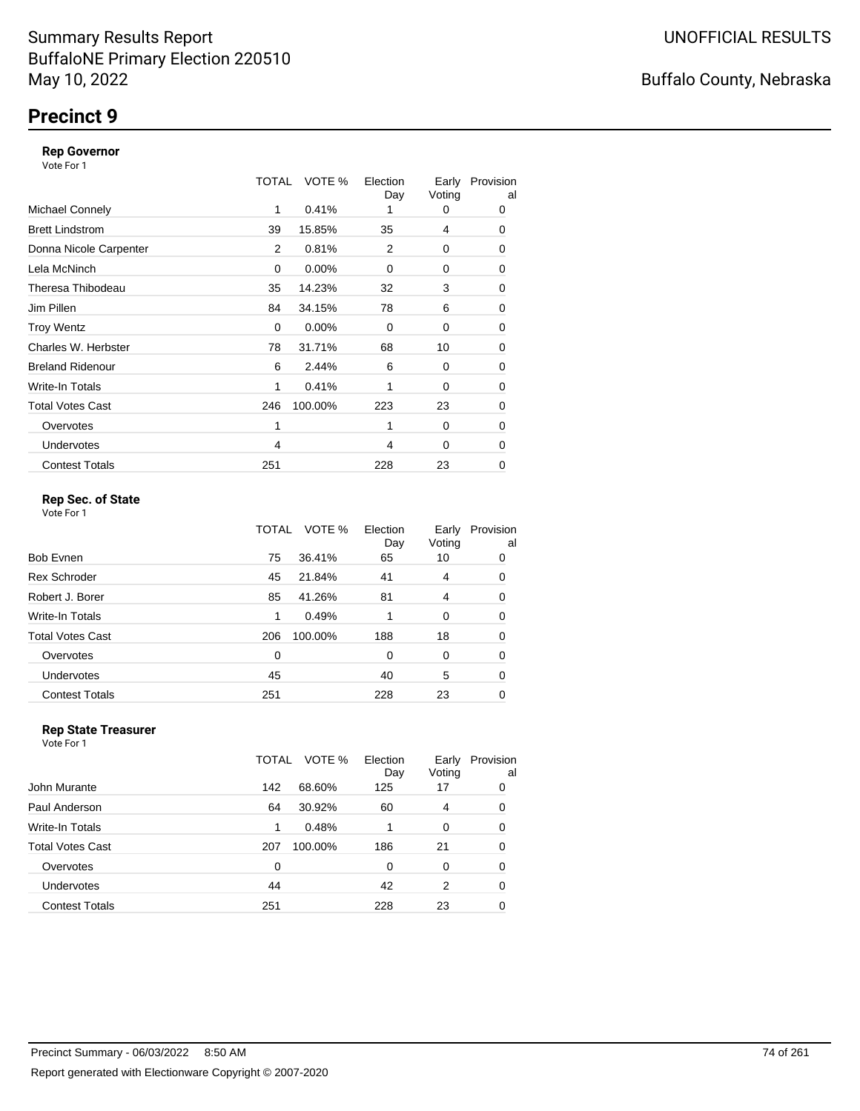### **Precinct 9**

#### **Rep Governor**

Vote For 1

|                         | TOTAL | VOTE %   | Election<br>Day | Early<br>Voting | Provision<br>al |
|-------------------------|-------|----------|-----------------|-----------------|-----------------|
| <b>Michael Connely</b>  | 1     | 0.41%    |                 | 0               | 0               |
| <b>Brett Lindstrom</b>  | 39    | 15.85%   | 35              | 4               | 0               |
| Donna Nicole Carpenter  | 2     | 0.81%    | 2               | 0               | 0               |
| Lela McNinch            | 0     | $0.00\%$ | 0               | 0               | 0               |
| Theresa Thibodeau       | 35    | 14.23%   | 32              | 3               | 0               |
| Jim Pillen              | 84    | 34.15%   | 78              | 6               | 0               |
| <b>Troy Wentz</b>       | 0     | $0.00\%$ | 0               | 0               | 0               |
| Charles W. Herbster     | 78    | 31.71%   | 68              | 10              | 0               |
| <b>Breland Ridenour</b> | 6     | 2.44%    | 6               | 0               | 0               |
| Write-In Totals         | 1     | 0.41%    | 1               | 0               | 0               |
| <b>Total Votes Cast</b> | 246   | 100.00%  | 223             | 23              | 0               |
| Overvotes               | 1     |          | 1               | 0               | 0               |
| <b>Undervotes</b>       | 4     |          | 4               | 0               | 0               |
| <b>Contest Totals</b>   | 251   |          | 228             | 23              | 0               |

### **Rep Sec. of State**

Vote For 1

|                         | TOTAL | VOTE %  | Election<br>Day | Early<br>Voting | Provision<br>al |
|-------------------------|-------|---------|-----------------|-----------------|-----------------|
| Bob Evnen               | 75    | 36.41%  | 65              | 10              | 0               |
| <b>Rex Schroder</b>     | 45    | 21.84%  | 41              | 4               | 0               |
| Robert J. Borer         | 85    | 41.26%  | 81              | 4               | 0               |
| Write-In Totals         | 1     | 0.49%   |                 | 0               | 0               |
| <b>Total Votes Cast</b> | 206   | 100.00% | 188             | 18              | 0               |
| Overvotes               | 0     |         | $\Omega$        | 0               | 0               |
| Undervotes              | 45    |         | 40              | 5               | 0               |
| <b>Contest Totals</b>   | 251   |         | 228             | 23              | 0               |

#### **Rep State Treasurer** Vote For 1

|                         | TOTAL | VOTE %  | Election<br>Day | Early<br>Voting | Provision<br>al |
|-------------------------|-------|---------|-----------------|-----------------|-----------------|
| John Murante            | 142   | 68.60%  | 125             | 17              | 0               |
| Paul Anderson           | 64    | 30.92%  | 60              | 4               | 0               |
| <b>Write-In Totals</b>  | 1     | 0.48%   |                 | $\Omega$        | 0               |
| <b>Total Votes Cast</b> | 207   | 100.00% | 186             | 21              | $\Omega$        |
| Overvotes               | 0     |         | 0               | 0               | 0               |
| Undervotes              | 44    |         | 42              | 2               | 0               |
| <b>Contest Totals</b>   | 251   |         | 228             | 23              |                 |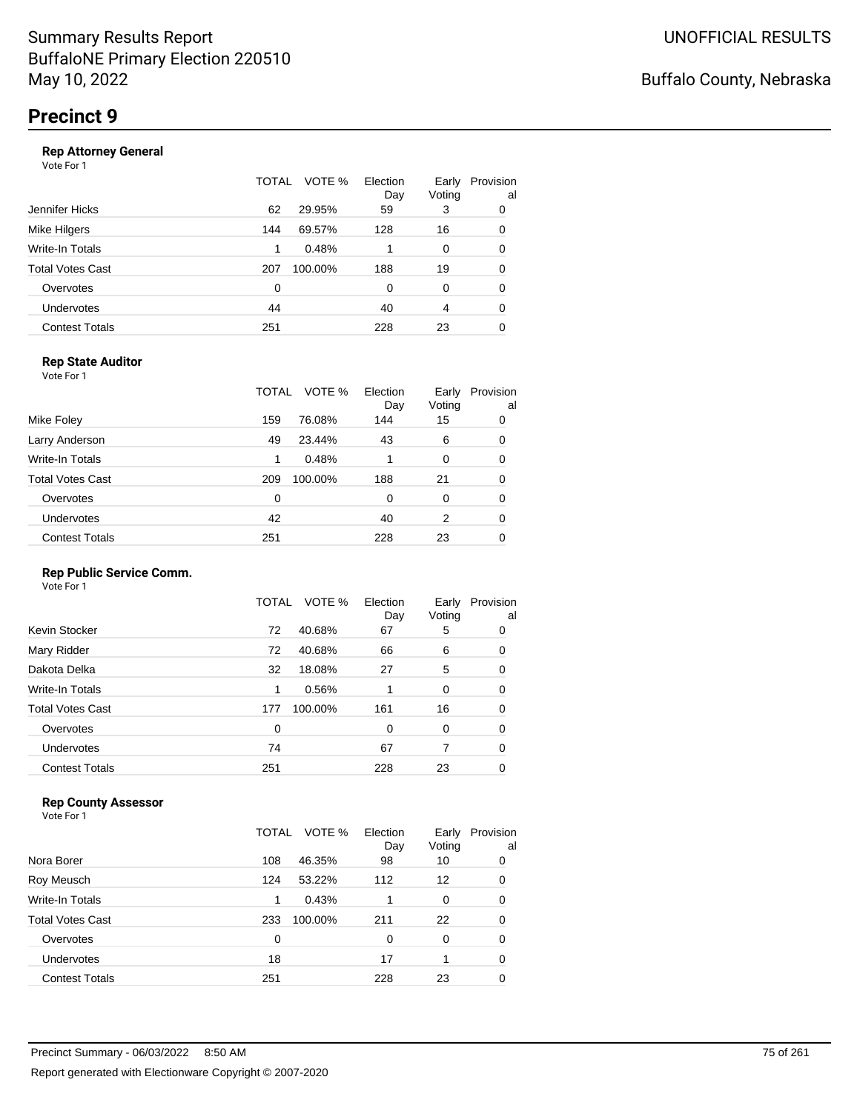#### **Rep Attorney General**

Vote For 1

|                       | VOTE %<br>TOTAL | Election<br>Day | Early<br>Voting | Provision<br>al |
|-----------------------|-----------------|-----------------|-----------------|-----------------|
| Jennifer Hicks        | 29.95%<br>62    | 59              | 3               | 0               |
| Mike Hilgers          | 144<br>69.57%   | 128             | 16              | 0               |
| Write-In Totals       | 0.48%<br>1      |                 | 0               | 0               |
| Total Votes Cast      | 100.00%<br>207  | 188             | 19              | 0               |
| Overvotes             | 0               | $\Omega$        | 0               | 0               |
| <b>Undervotes</b>     | 44              | 40              | 4               | 0               |
| <b>Contest Totals</b> | 251             | 228             | 23              | 0               |
|                       |                 |                 |                 |                 |

### **Rep State Auditor**

Vote For 1

|                       | TOTAL | VOTE %  | Election<br>Day | Early<br>Voting | Provision<br>al |
|-----------------------|-------|---------|-----------------|-----------------|-----------------|
| Mike Foley            | 159   | 76.08%  | 144             | 15              | 0               |
| Larry Anderson        | 49    | 23.44%  | 43              | 6               | 0               |
| Write-In Totals       | 1     | 0.48%   | 1               | 0               | 0               |
| Total Votes Cast      | 209   | 100.00% | 188             | 21              | 0               |
| Overvotes             | 0     |         | 0               | 0               | 0               |
| <b>Undervotes</b>     | 42    |         | 40              | 2               | 0               |
| <b>Contest Totals</b> | 251   |         | 228             | 23              | 0               |

### **Rep Public Service Comm.**

Vote For 1

|                         | TOTAL | VOTE %  | Election<br>Day | Early<br>Voting | Provision<br>al |
|-------------------------|-------|---------|-----------------|-----------------|-----------------|
| Kevin Stocker           | 72    | 40.68%  | 67              | 5               | 0               |
| Mary Ridder             | 72    | 40.68%  | 66              | 6               | 0               |
| Dakota Delka            | 32    | 18.08%  | 27              | 5               | 0               |
| Write-In Totals         | 1     | 0.56%   |                 | 0               | 0               |
| <b>Total Votes Cast</b> | 177   | 100.00% | 161             | 16              | 0               |
| Overvotes               | 0     |         | 0               | 0               | 0               |
| <b>Undervotes</b>       | 74    |         | 67              | 7               | 0               |
| <b>Contest Totals</b>   | 251   |         | 228             | 23              |                 |

### **Rep County Assessor**

|                       | TOTAL | VOTE %  | Election<br>Day | Early<br>Voting | Provision<br>al |
|-----------------------|-------|---------|-----------------|-----------------|-----------------|
| Nora Borer            | 108   | 46.35%  | 98              | 10              | 0               |
| Roy Meusch            | 124   | 53.22%  | 112             | 12              | 0               |
| Write-In Totals       | 1     | 0.43%   |                 | 0               | 0               |
| Total Votes Cast      | 233   | 100.00% | 211             | 22              | 0               |
| Overvotes             | 0     |         | 0               | 0               | 0               |
| <b>Undervotes</b>     | 18    |         | 17              |                 | 0               |
| <b>Contest Totals</b> | 251   |         | 228             | 23              | 0               |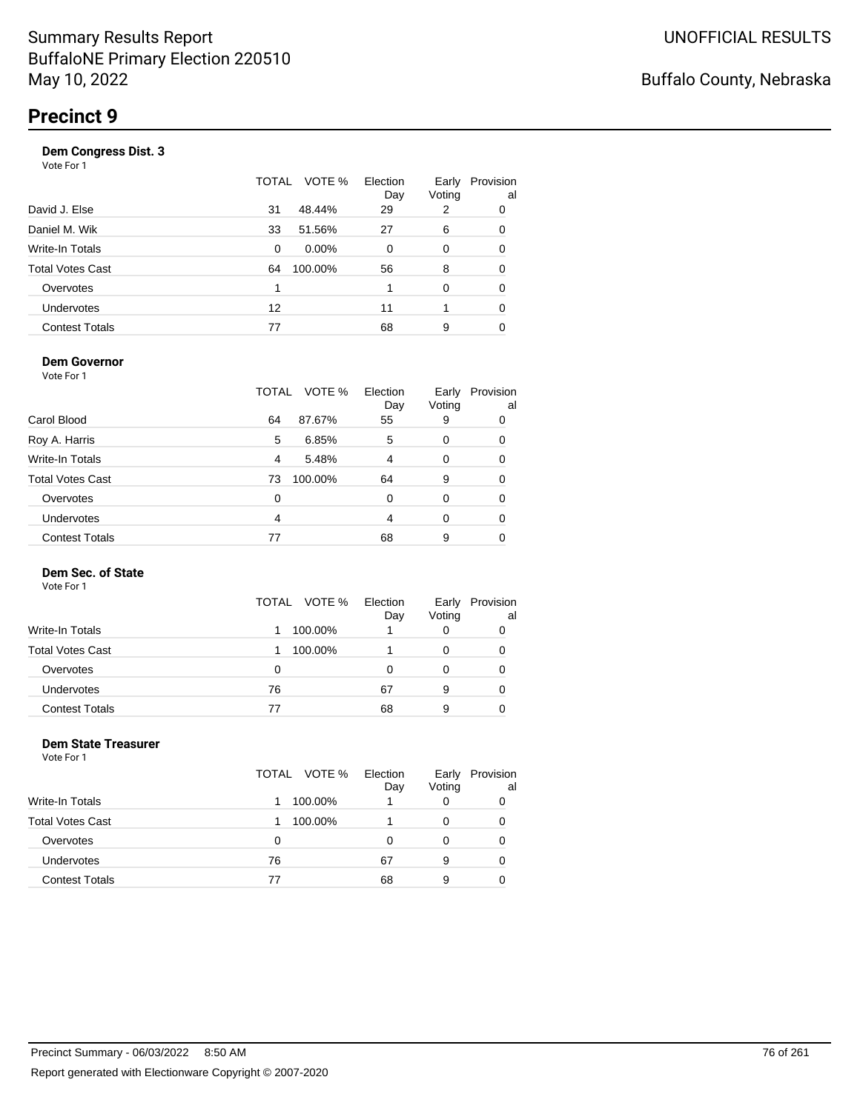#### **Dem Congress Dist. 3**

Vote For 1

|                       | TOTAL | VOTE %   | Election<br>Day | Early<br>Voting | Provision<br>al |
|-----------------------|-------|----------|-----------------|-----------------|-----------------|
| David J. Else         | 31    | 48.44%   | 29              | 2               | 0               |
| Daniel M. Wik         | 33    | 51.56%   | 27              | 6               | 0               |
| Write-In Totals       | 0     | $0.00\%$ | 0               | 0               | 0               |
| Total Votes Cast      | 64    | 100.00%  | 56              | 8               | 0               |
| Overvotes             | 1     |          |                 | $\Omega$        | 0               |
| Undervotes            | 12    |          | 11              |                 | 0               |
| <b>Contest Totals</b> | 77    |          | 68              | 9               | 0               |

#### **Dem Governor**

Vote For 1

|                         | TOTAL | VOTE %  | Election<br>Day | Early<br>Voting | Provision<br>al |
|-------------------------|-------|---------|-----------------|-----------------|-----------------|
| Carol Blood             | 64    | 87.67%  | 55              | 9               | 0               |
| Roy A. Harris           | 5     | 6.85%   | 5               | 0               | 0               |
| Write-In Totals         | 4     | 5.48%   | 4               | 0               | 0               |
| <b>Total Votes Cast</b> | 73    | 100.00% | 64              | 9               | 0               |
| Overvotes               | 0     |         | 0               | 0               | 0               |
| <b>Undervotes</b>       | 4     |         | 4               | 0               | 0               |
| <b>Contest Totals</b>   | 77    |         | 68              | 9               |                 |

### **Dem Sec. of State**

Vote For 1

|                         |    | TOTAL VOTE % | Election<br>Day | Early<br>Voting | Provision<br>al |
|-------------------------|----|--------------|-----------------|-----------------|-----------------|
| Write-In Totals         |    | 100.00%      |                 |                 |                 |
| <b>Total Votes Cast</b> |    | 100.00%      |                 |                 |                 |
| Overvotes               | 0  |              |                 |                 |                 |
| Undervotes              | 76 |              | 67              | 9               |                 |
| <b>Contest Totals</b>   | 77 |              | 68              | 9               |                 |

#### **Dem State Treasurer** Vote For 1

| .                       | TOTAL VOTE % |         | Election<br>Day | Early<br>Voting | Provision<br>al |
|-------------------------|--------------|---------|-----------------|-----------------|-----------------|
| <b>Write-In Totals</b>  |              | 100.00% |                 | 0               | 0               |
| <b>Total Votes Cast</b> |              | 100.00% |                 | 0               |                 |
| Overvotes               | 0            |         | 0               | O               |                 |
| <b>Undervotes</b>       | 76           |         | 67              | 9               |                 |
| <b>Contest Totals</b>   | 77           |         | 68              | 9               |                 |
|                         |              |         |                 |                 |                 |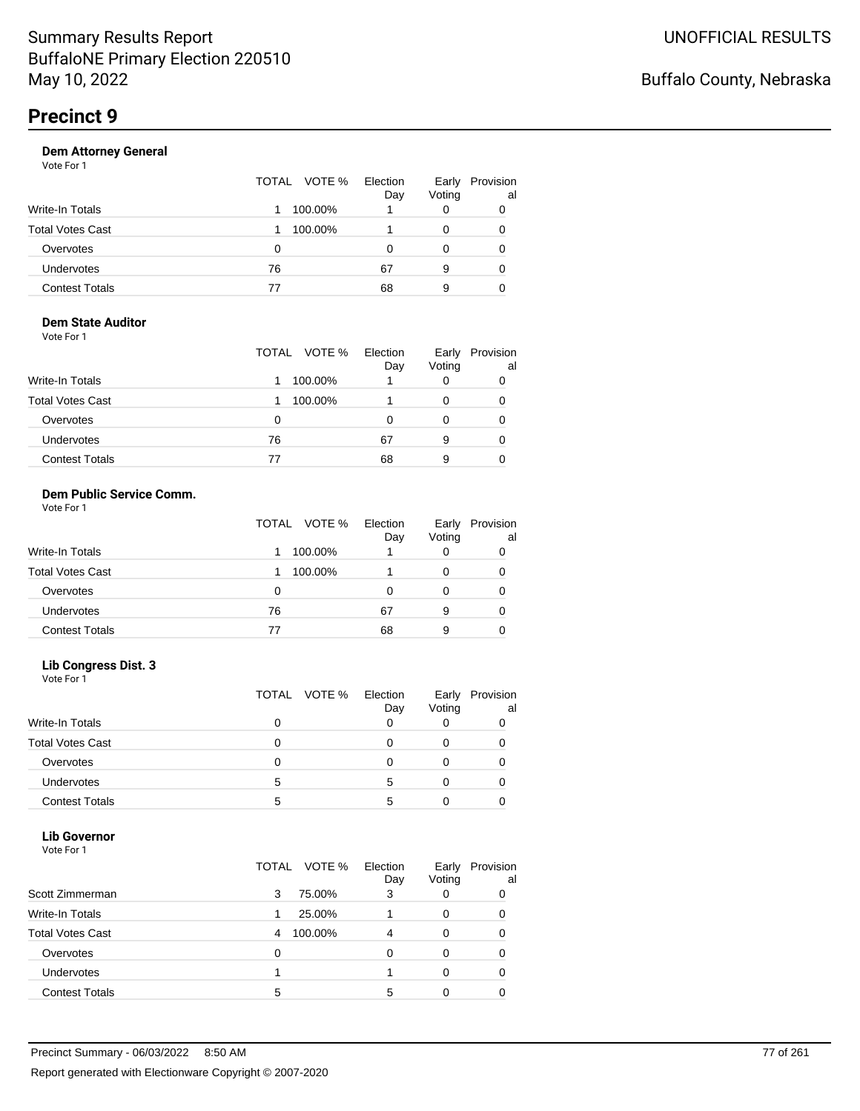| Vote For 1            |                 |                 |                 |                 |
|-----------------------|-----------------|-----------------|-----------------|-----------------|
|                       | VOTE %<br>TOTAL | Election<br>Day | Early<br>Voting | Provision<br>al |
| Write-In Totals       | 100.00%         |                 |                 | 0               |
| Total Votes Cast      | 100.00%         |                 | 0               | 0               |
| Overvotes             | 0               | O               |                 | 0               |
| <b>Undervotes</b>     | 76              | 67              | 9               | 0               |
| <b>Contest Totals</b> | 77              | 68              | 9               | 0               |
|                       |                 |                 |                 |                 |

#### **Dem State Auditor** Vote For 1

|                         | TOTAL VOTE % | Election<br>Day | Early<br>Voting | Provision<br>al |
|-------------------------|--------------|-----------------|-----------------|-----------------|
| <b>Write-In Totals</b>  | 100.00%      |                 | 0               |                 |
| <b>Total Votes Cast</b> | 100.00%      |                 | O               |                 |
| Overvotes               | 0            | Ω               | O               |                 |
| Undervotes              | 76           | 67              | 9               |                 |
| <b>Contest Totals</b>   | 77           | 68              | 9               |                 |

#### **Dem Public Service Comm.** Vote For 1

|                         | TOTAL VOTE % | Election<br>Day | Early<br>Voting | Provision<br>al |
|-------------------------|--------------|-----------------|-----------------|-----------------|
| Write-In Totals         | 100.00%      |                 | 0               |                 |
| <b>Total Votes Cast</b> | 100.00%      |                 | 0               |                 |
| Overvotes               | 0            |                 | 0               |                 |
| <b>Undervotes</b>       | 76           | 67              | 9               | 0               |
| <b>Contest Totals</b>   | 77           | 68              | 9               |                 |

#### **Lib Congress Dist. 3**

Vote For 1

|                         |   | TOTAL VOTE % | Election<br>Day | Early<br>Voting | Provision<br>al |
|-------------------------|---|--------------|-----------------|-----------------|-----------------|
| <b>Write-In Totals</b>  |   |              |                 |                 |                 |
| <b>Total Votes Cast</b> |   |              |                 |                 |                 |
| Overvotes               |   |              |                 |                 |                 |
| <b>Undervotes</b>       | 5 |              | 5               |                 |                 |
| <b>Contest Totals</b>   | 5 |              |                 |                 |                 |

### **Lib Governor**

| Vote For 1              |              |                 |                 |                 |
|-------------------------|--------------|-----------------|-----------------|-----------------|
|                         | TOTAL VOTE % | Election<br>Day | Early<br>Voting | Provision<br>al |
| Scott Zimmerman         | 3<br>75.00%  | 3               | 0               | 0               |
| Write-In Totals         | 25.00%<br>1  |                 | 0               | 0               |
| <b>Total Votes Cast</b> | 100.00%<br>4 | 4               | 0               | ი               |
| Overvotes               | 0            | $\Omega$        | 0               | 0               |
| <b>Undervotes</b>       |              |                 | 0               | 0               |
| <b>Contest Totals</b>   | 5            | 5               | 0               |                 |
|                         |              |                 |                 |                 |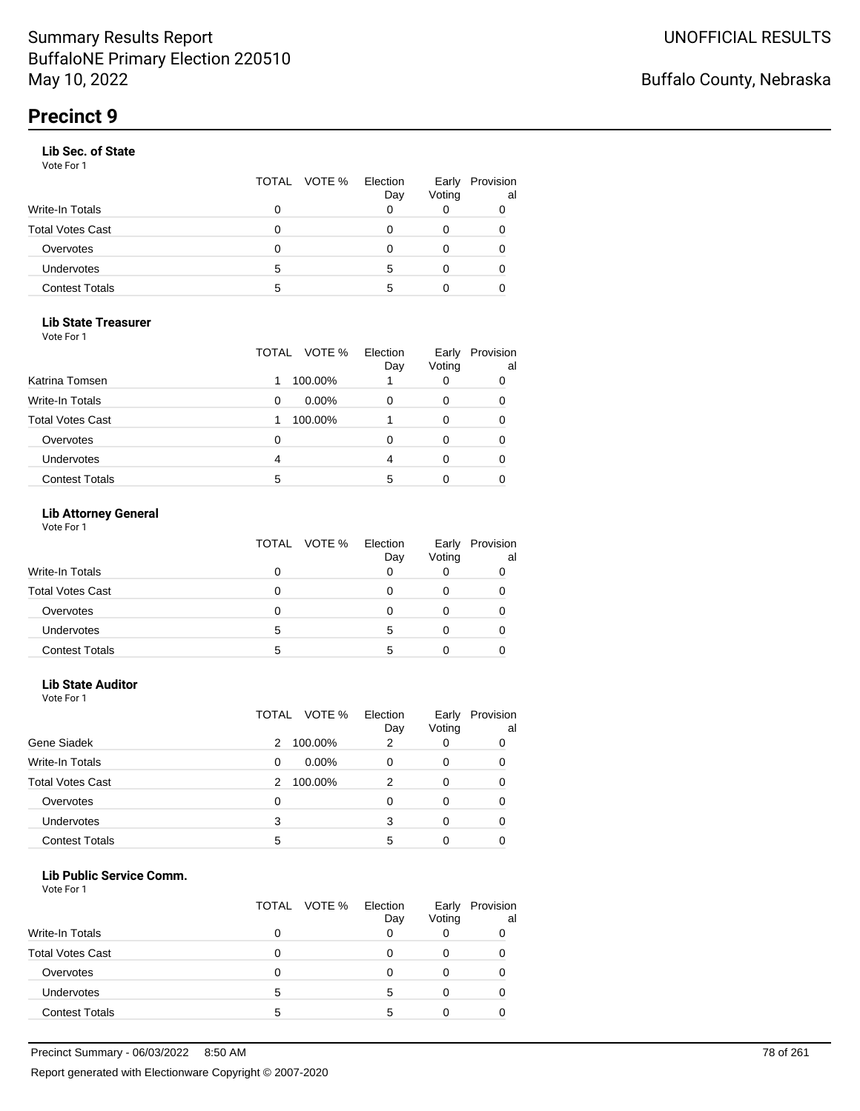#### **Lib Sec. of State**

Vote For 1

|                       |   | TOTAL VOTE % | Election<br>Day | Early<br>Voting | Provision<br>al |
|-----------------------|---|--------------|-----------------|-----------------|-----------------|
| Write-In Totals       | 0 |              |                 |                 |                 |
| Total Votes Cast      | Ω |              |                 |                 |                 |
| Overvotes             | 0 |              |                 | 0               |                 |
| <b>Undervotes</b>     | 5 |              | 5               | 0               |                 |
| <b>Contest Totals</b> | 5 |              |                 |                 |                 |

#### **Lib State Treasurer**

Vote For 1

|                         | VOTE %<br>TOTAL | Election<br>Day | Early<br>Voting | Provision<br>al |
|-------------------------|-----------------|-----------------|-----------------|-----------------|
| Katrina Tomsen          | 100.00%         |                 |                 | 0               |
| <b>Write-In Totals</b>  | $0.00\%$<br>0   | 0               |                 | 0               |
| <b>Total Votes Cast</b> | 100.00%         |                 |                 | 0               |
| Overvotes               | 0               | O               | O               |                 |
| Undervotes              | 4               | 4               |                 |                 |
| <b>Contest Totals</b>   | 5               | 5               |                 |                 |

### **Lib Attorney General**

Vote For 1

|                         | TOTAL VOTE % | Election<br>Day | Early<br>Voting | Provision<br>al |
|-------------------------|--------------|-----------------|-----------------|-----------------|
| <b>Write-In Totals</b>  | 0            |                 |                 |                 |
| <b>Total Votes Cast</b> | 0            |                 |                 |                 |
| Overvotes               | 0            |                 |                 |                 |
| <b>Undervotes</b>       | 5            | 5               |                 |                 |
| <b>Contest Totals</b>   | 5            | 5               |                 |                 |

#### **Lib State Auditor**

Vote For 1

|                         | TOTAL | VOTE %   | Election<br>Day | Early<br>Voting | Provision<br>al |
|-------------------------|-------|----------|-----------------|-----------------|-----------------|
| Gene Siadek             | 2     | 100.00%  | 2               |                 |                 |
| <b>Write-In Totals</b>  | 0     | $0.00\%$ | 0               | 0               | O               |
| <b>Total Votes Cast</b> | 2     | 100.00%  | 2               | 0               |                 |
| Overvotes               | 0     |          | ი               | 0               |                 |
| <b>Undervotes</b>       | 3     |          | 3               | 0               |                 |
| <b>Contest Totals</b>   | 5     |          | 5               |                 |                 |

#### **Lib Public Service Comm.**

|                         |   | TOTAL VOTE % | Election<br>Day | Early<br>Voting | Provision<br>al |
|-------------------------|---|--------------|-----------------|-----------------|-----------------|
| <b>Write-In Totals</b>  |   |              |                 |                 |                 |
| <b>Total Votes Cast</b> |   |              |                 |                 |                 |
| Overvotes               |   |              |                 |                 |                 |
| Undervotes              | 5 |              | 5               | Ω               |                 |
| <b>Contest Totals</b>   | 5 |              | 5               |                 |                 |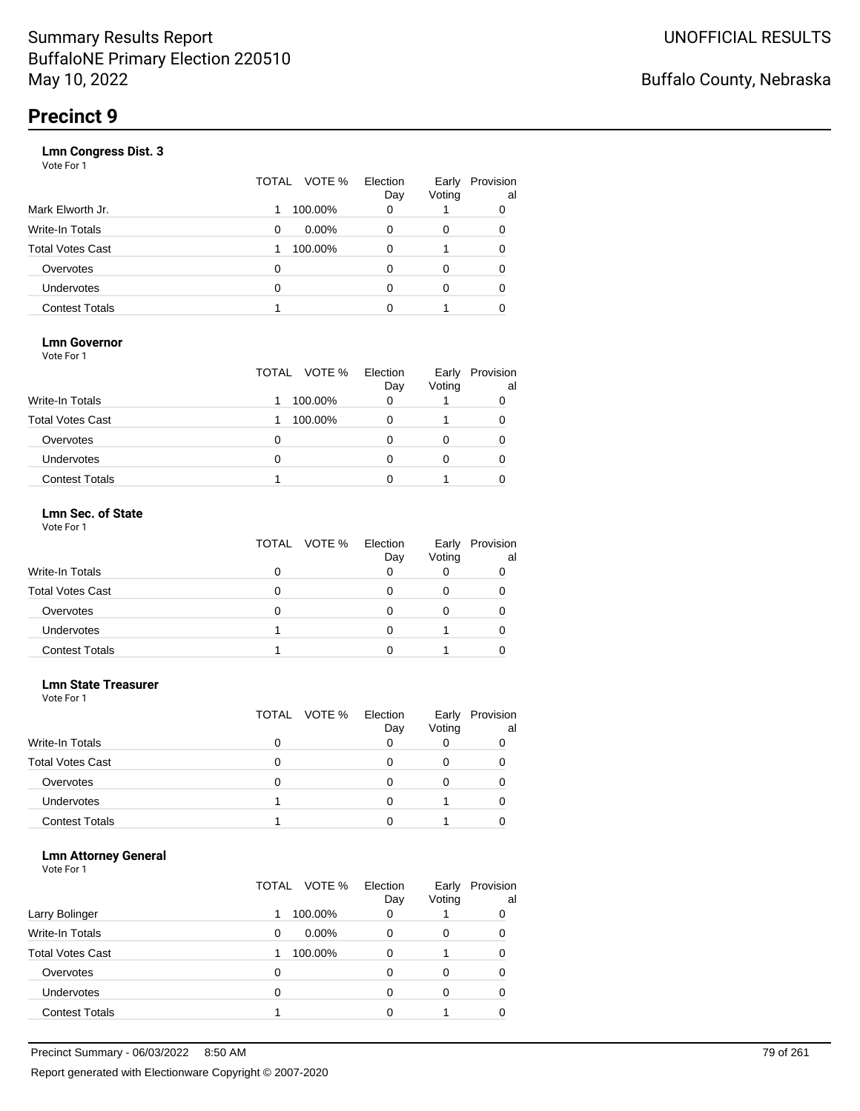|                       | VOTE %<br>TOTAL | Election<br>Day | Early<br>Voting | Provision<br>al |
|-----------------------|-----------------|-----------------|-----------------|-----------------|
| Mark Elworth Jr.      | 100.00%         | 0               |                 | 0               |
| Write-In Totals       | $0.00\%$<br>0   | 0               | 0               | 0               |
| Total Votes Cast      | 100.00%         | 0               |                 | 0               |
| Overvotes             | 0               | 0               | 0               | 0               |
| <b>Undervotes</b>     | 0               | ი               | 0               | 0               |
| <b>Contest Totals</b> |                 | ი               |                 |                 |
|                       |                 |                 |                 |                 |

### **Lmn Governor**

Vote For 1

|                         | TOTAL VOTE % | Election<br>Day | Early<br>Voting | Provision<br>al |
|-------------------------|--------------|-----------------|-----------------|-----------------|
| <b>Write-In Totals</b>  | 100.00%      | 0               |                 |                 |
| <b>Total Votes Cast</b> | 100.00%      | 0               |                 |                 |
| Overvotes               | Ω            |                 |                 |                 |
| Undervotes              | Ω            |                 | 0               |                 |
| <b>Contest Totals</b>   |              |                 |                 |                 |

#### **Lmn Sec. of State** Vote For 1

|                         | TOTAL VOTE % | Election<br>Day | Early<br>Voting | Provision<br>al |
|-------------------------|--------------|-----------------|-----------------|-----------------|
| <b>Write-In Totals</b>  |              |                 |                 |                 |
| <b>Total Votes Cast</b> | o            |                 |                 |                 |
| Overvotes               | o            |                 |                 |                 |
| Undervotes              |              |                 |                 |                 |
| <b>Contest Totals</b>   |              |                 |                 |                 |

#### **Lmn State Treasurer**

Vote For 1

|                         |   | TOTAL VOTE % | Election<br>Day | Early<br>Voting | Provision<br>al |
|-------------------------|---|--------------|-----------------|-----------------|-----------------|
| <b>Write-In Totals</b>  |   |              |                 |                 |                 |
| <b>Total Votes Cast</b> | O |              |                 |                 |                 |
| Overvotes               | O |              |                 |                 |                 |
| <b>Undervotes</b>       |   |              |                 |                 |                 |
| <b>Contest Totals</b>   |   |              |                 |                 |                 |

#### **Lmn Attorney General**

|                         | TOTAL | Election<br>VOTE %<br>Day | Early<br>Voting | Provision<br>al |
|-------------------------|-------|---------------------------|-----------------|-----------------|
| Larry Bolinger          | 1     | 100.00%<br>0              |                 | 0               |
| <b>Write-In Totals</b>  | 0     | $0.00\%$<br>0             | 0               | 0               |
| <b>Total Votes Cast</b> |       | 100.00%<br>0              |                 | 0               |
| Overvotes               | 0     | 0                         | Ω               | 0               |
| Undervotes              | 0     | 0                         | Ω               | 0               |
| <b>Contest Totals</b>   |       |                           |                 |                 |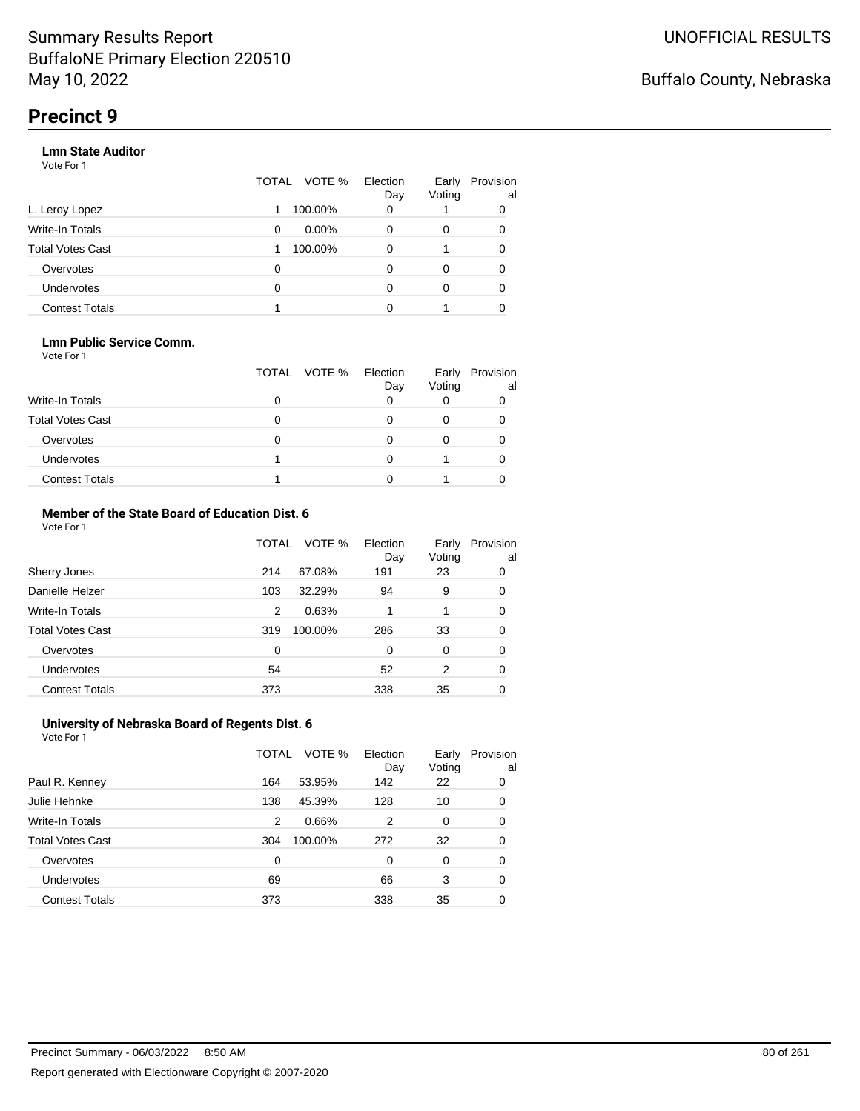#### **Lmn State Auditor**

Vote For 1

|                       | TOTAL | VOTE %   | Election<br>Day | Early<br>Voting | Provision<br>al |
|-----------------------|-------|----------|-----------------|-----------------|-----------------|
| L. Leroy Lopez        |       | 100.00%  | 0               |                 | 0               |
| Write-In Totals       | 0     | $0.00\%$ | 0               | 0               | 0               |
| Total Votes Cast      |       | 100.00%  | 0               |                 | 0               |
| Overvotes             | 0     |          | 0               | 0               | 0               |
| <b>Undervotes</b>     | 0     |          |                 | 0               | 0               |
| <b>Contest Totals</b> |       |          |                 |                 |                 |

#### **Lmn Public Service Comm.**

Vote For 1

|                         | TOTAL VOTE % | Election<br>Day | Early<br>Voting | Provision<br>al |
|-------------------------|--------------|-----------------|-----------------|-----------------|
| <b>Write-In Totals</b>  |              |                 |                 |                 |
| <b>Total Votes Cast</b> |              |                 |                 |                 |
| Overvotes               |              |                 |                 |                 |
| <b>Undervotes</b>       |              |                 |                 |                 |
| <b>Contest Totals</b>   |              |                 |                 |                 |

#### **Member of the State Board of Education Dist. 6** Vote For 1

|                         | TOTAL | VOTE %  | Election<br>Day | Early<br>Voting | Provision<br>al |
|-------------------------|-------|---------|-----------------|-----------------|-----------------|
| Sherry Jones            | 214   | 67.08%  | 191             | 23              | 0               |
| Danielle Helzer         | 103   | 32.29%  | 94              | 9               | 0               |
| <b>Write-In Totals</b>  | 2     | 0.63%   | 1               | 1               | 0               |
| <b>Total Votes Cast</b> | 319   | 100.00% | 286             | 33              | 0               |
| Overvotes               | 0     |         | $\Omega$        | $\Omega$        | 0               |
| <b>Undervotes</b>       | 54    |         | 52              | 2               | 0               |
| <b>Contest Totals</b>   | 373   |         | 338             | 35              | 0               |

#### **University of Nebraska Board of Regents Dist. 6** Vote For 1

|                         | TOTAL | VOTE %  | Election<br>Day | Early<br>Voting | Provision<br>a |
|-------------------------|-------|---------|-----------------|-----------------|----------------|
| Paul R. Kenney          | 164   | 53.95%  | 142             | 22              | 0              |
| Julie Hehnke            | 138   | 45.39%  | 128             | 10              | 0              |
| <b>Write-In Totals</b>  | 2     | 0.66%   | 2               | 0               | 0              |
| <b>Total Votes Cast</b> | 304   | 100.00% | 272             | 32              | 0              |
| Overvotes               | 0     |         | 0               | 0               | 0              |
| Undervotes              | 69    |         | 66              | 3               | 0              |
| <b>Contest Totals</b>   | 373   |         | 338             | 35              | 0              |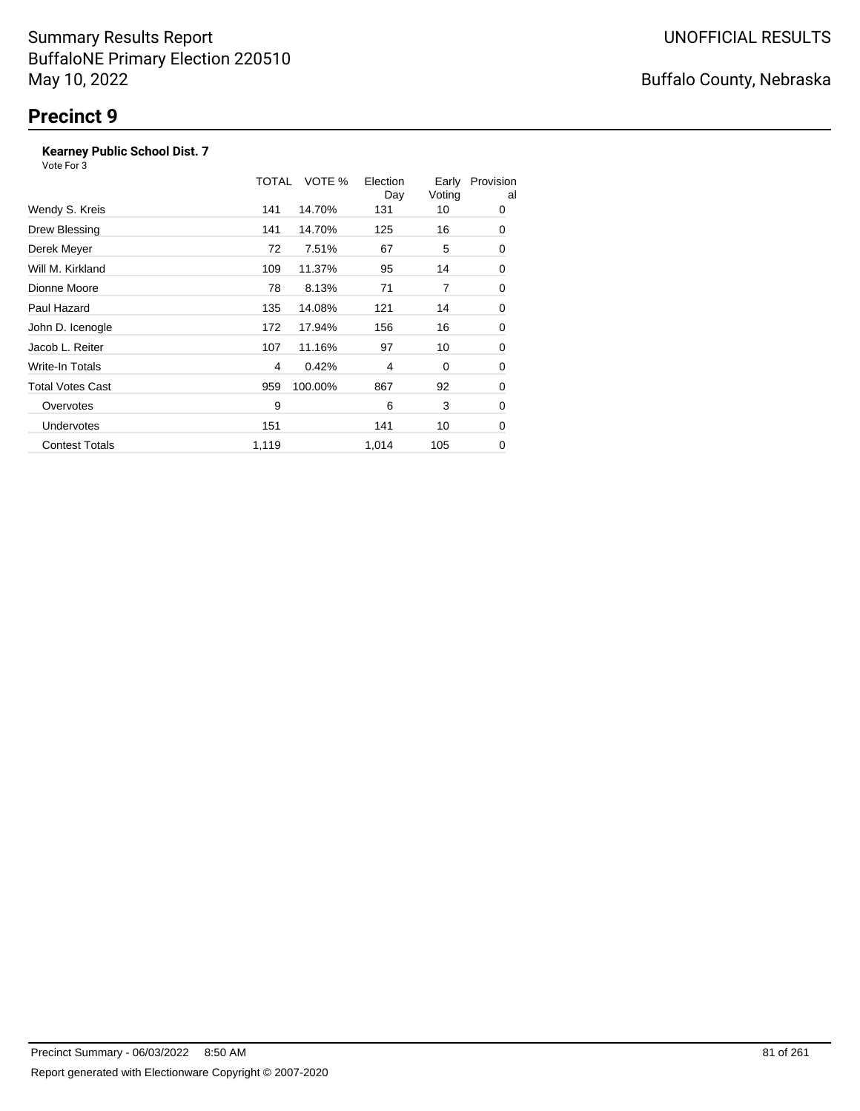### **Kearney Public School Dist. 7**

|                         | TOTAL | VOTE %  | Election<br>Day | Early<br>Voting | Provision<br>al |
|-------------------------|-------|---------|-----------------|-----------------|-----------------|
| Wendy S. Kreis          | 141   | 14.70%  | 131             | 10              | 0               |
| Drew Blessing           | 141   | 14.70%  | 125             | 16              | 0               |
| Derek Meyer             | 72    | 7.51%   | 67              | 5               | 0               |
| Will M. Kirkland        | 109   | 11.37%  | 95              | 14              | 0               |
| Dionne Moore            | 78    | 8.13%   | 71              | 7               | 0               |
| Paul Hazard             | 135   | 14.08%  | 121             | 14              | 0               |
| John D. Icenogle        | 172   | 17.94%  | 156             | 16              | 0               |
| Jacob L. Reiter         | 107   | 11.16%  | 97              | 10              | 0               |
| Write-In Totals         | 4     | 0.42%   | 4               | 0               | 0               |
| <b>Total Votes Cast</b> | 959   | 100.00% | 867             | 92              | 0               |
| Overvotes               | 9     |         | 6               | 3               | 0               |
| <b>Undervotes</b>       | 151   |         | 141             | 10              | 0               |
| <b>Contest Totals</b>   | 1,119 |         | 1,014           | 105             | 0               |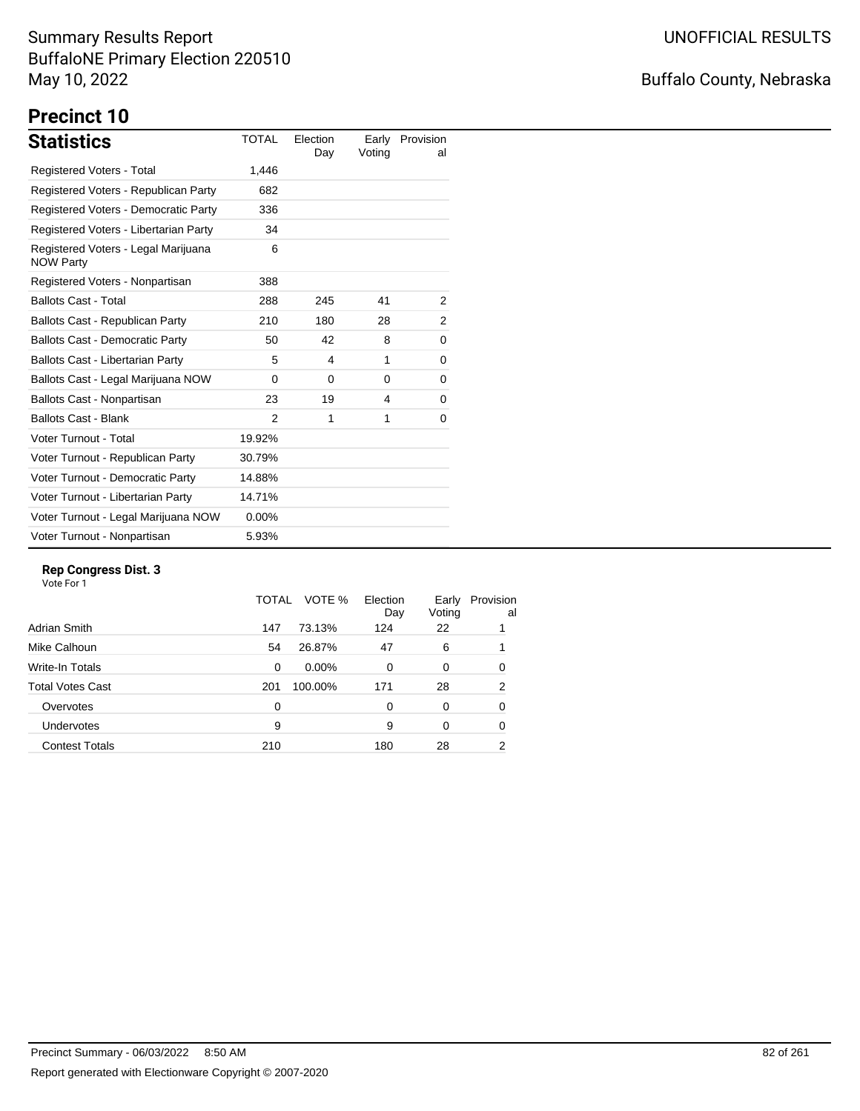# Buffalo County, Nebraska

# **Precinct 10**

| <b>Statistics</b>                                       | <b>TOTAL</b> | Election<br>Day | Early<br>Voting | Provision<br>al |
|---------------------------------------------------------|--------------|-----------------|-----------------|-----------------|
| Registered Voters - Total                               | 1,446        |                 |                 |                 |
| Registered Voters - Republican Party                    | 682          |                 |                 |                 |
| Registered Voters - Democratic Party                    | 336          |                 |                 |                 |
| Registered Voters - Libertarian Party                   | 34           |                 |                 |                 |
| Registered Voters - Legal Marijuana<br><b>NOW Party</b> | 6            |                 |                 |                 |
| Registered Voters - Nonpartisan                         | 388          |                 |                 |                 |
| <b>Ballots Cast - Total</b>                             | 288          | 245             | 41              | 2               |
| Ballots Cast - Republican Party                         | 210          | 180             | 28              | 2               |
| <b>Ballots Cast - Democratic Party</b>                  | 50           | 42              | 8               | 0               |
| <b>Ballots Cast - Libertarian Party</b>                 | 5            | 4               | 1               | 0               |
| Ballots Cast - Legal Marijuana NOW                      | $\Omega$     | $\Omega$        | $\Omega$        | 0               |
| Ballots Cast - Nonpartisan                              | 23           | 19              | 4               | 0               |
| <b>Ballots Cast - Blank</b>                             | 2            | 1               | 1               | 0               |
| Voter Turnout - Total                                   | 19.92%       |                 |                 |                 |
| Voter Turnout - Republican Party                        | 30.79%       |                 |                 |                 |
| Voter Turnout - Democratic Party                        | 14.88%       |                 |                 |                 |
| Voter Turnout - Libertarian Party                       | 14.71%       |                 |                 |                 |
| Voter Turnout - Legal Marijuana NOW                     | $0.00\%$     |                 |                 |                 |
| Voter Turnout - Nonpartisan                             | 5.93%        |                 |                 |                 |

#### **Rep Congress Dist. 3**

|                       | TOTAL    | VOTE %   | Election<br>Day | Early<br>Voting | Provision<br>al |
|-----------------------|----------|----------|-----------------|-----------------|-----------------|
| Adrian Smith          | 147      | 73.13%   | 124             | 22              |                 |
| Mike Calhoun          | 54       | 26.87%   | 47              | 6               |                 |
| Write-In Totals       | $\Omega$ | $0.00\%$ | $\Omega$        | 0               | 0               |
| Total Votes Cast      | 201      | 100.00%  | 171             | 28              | 2               |
| Overvotes             | 0        |          | $\Omega$        | 0               | 0               |
| <b>Undervotes</b>     | 9        |          | 9               | 0               | 0               |
| <b>Contest Totals</b> | 210      |          | 180             | 28              | 2               |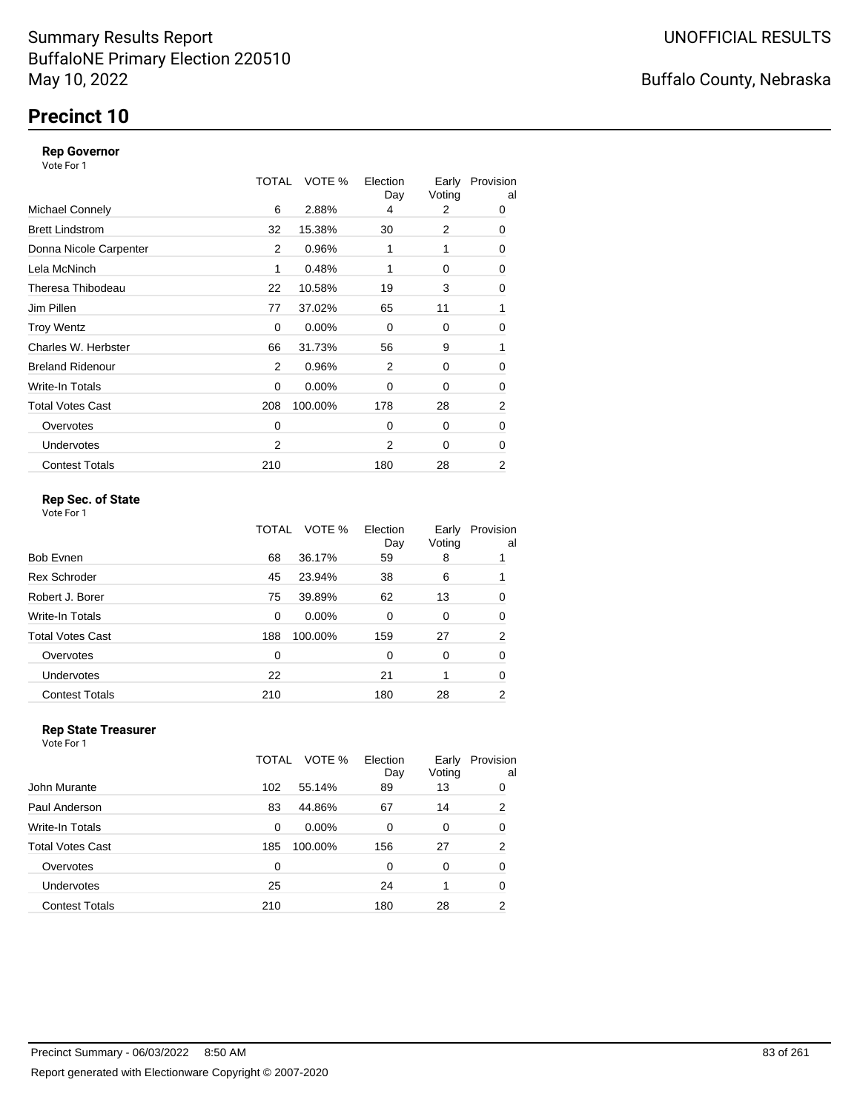# **Precinct 10**

#### **Rep Governor**

Vote For 1

|                         | TOTAL | VOTE %   | Election<br>Day | Early<br>Voting | Provision<br>al |
|-------------------------|-------|----------|-----------------|-----------------|-----------------|
| <b>Michael Connely</b>  | 6     | 2.88%    | 4               | 2               | 0               |
| <b>Brett Lindstrom</b>  | 32    | 15.38%   | 30              | 2               | 0               |
| Donna Nicole Carpenter  | 2     | 0.96%    | 1               | 1               | 0               |
| Lela McNinch            | 1     | 0.48%    |                 | 0               | 0               |
| Theresa Thibodeau       | 22    | 10.58%   | 19              | 3               | 0               |
| Jim Pillen              | 77    | 37.02%   | 65              | 11              | 1               |
| <b>Troy Wentz</b>       | 0     | 0.00%    | $\Omega$        | 0               | 0               |
| Charles W. Herbster     | 66    | 31.73%   | 56              | 9               | 1               |
| <b>Breland Ridenour</b> | 2     | 0.96%    | 2               | 0               | 0               |
| Write-In Totals         | 0     | $0.00\%$ | 0               | 0               | 0               |
| <b>Total Votes Cast</b> | 208   | 100.00%  | 178             | 28              | $\overline{2}$  |
| Overvotes               | 0     |          | $\Omega$        | 0               | 0               |
| <b>Undervotes</b>       | 2     |          | 2               | 0               | 0               |
| <b>Contest Totals</b>   | 210   |          | 180             | 28              | 2               |

### **Rep Sec. of State**

Vote For 1

|                         | TOTAL | VOTE %   | Election<br>Day | Early<br>Voting | Provision<br>al |
|-------------------------|-------|----------|-----------------|-----------------|-----------------|
| Bob Evnen               | 68    | 36.17%   | 59              | 8               |                 |
| <b>Rex Schroder</b>     | 45    | 23.94%   | 38              | 6               |                 |
| Robert J. Borer         | 75    | 39.89%   | 62              | 13              | 0               |
| Write-In Totals         | 0     | $0.00\%$ | $\Omega$        | 0               | 0               |
| <b>Total Votes Cast</b> | 188   | 100.00%  | 159             | 27              | $\overline{2}$  |
| Overvotes               | 0     |          | $\Omega$        | 0               | 0               |
| Undervotes              | 22    |          | 21              | 1               | 0               |
| <b>Contest Totals</b>   | 210   |          | 180             | 28              | 2               |

#### **Rep State Treasurer** Vote For 1

|                       | TOTAL | VOTE %   | Election<br>Day | Early<br>Voting | Provision<br>al |
|-----------------------|-------|----------|-----------------|-----------------|-----------------|
| John Murante          | 102   | 55.14%   | 89              | 13              | 0               |
| Paul Anderson         | 83    | 44.86%   | 67              | 14              | 2               |
| Write-In Totals       | 0     | $0.00\%$ | $\Omega$        | 0               | 0               |
| Total Votes Cast      | 185   | 100.00%  | 156             | 27              | 2               |
| Overvotes             | 0     |          | 0               | 0               | 0               |
| <b>Undervotes</b>     | 25    |          | 24              |                 | 0               |
| <b>Contest Totals</b> | 210   |          | 180             | 28              | 2               |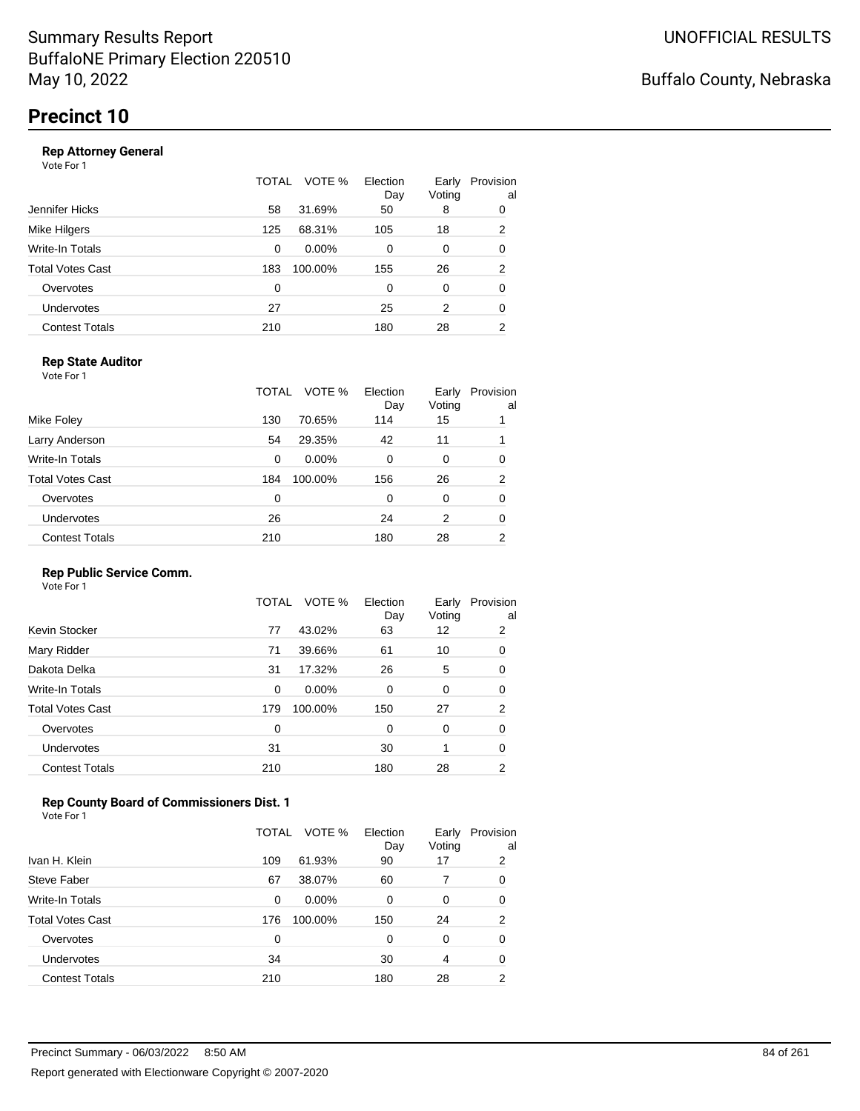#### **Rep Attorney General**

Vote For 1

|                       | TOTAL | VOTE %   | Election<br>Day | Early<br>Voting | Provision<br>al |
|-----------------------|-------|----------|-----------------|-----------------|-----------------|
| Jennifer Hicks        | 58    | 31.69%   | 50              | 8               | 0               |
| Mike Hilgers          | 125   | 68.31%   | 105             | 18              | $\overline{2}$  |
| Write-In Totals       | 0     | $0.00\%$ | 0               | 0               | 0               |
| Total Votes Cast      | 183   | 100.00%  | 155             | 26              | $\overline{2}$  |
| Overvotes             | 0     |          | $\Omega$        | 0               | 0               |
| Undervotes            | 27    |          | 25              | 2               | 0               |
| <b>Contest Totals</b> | 210   |          | 180             | 28              | 2               |

### **Rep State Auditor**

Vote For 1

|                       | TOTAL | VOTE %   | Election<br>Day | Early<br>Voting | Provision<br>al |
|-----------------------|-------|----------|-----------------|-----------------|-----------------|
| Mike Foley            | 130   | 70.65%   | 114             | 15              |                 |
| Larry Anderson        | 54    | 29.35%   | 42              | 11              |                 |
| Write-In Totals       | 0     | $0.00\%$ | 0               | 0               | 0               |
| Total Votes Cast      | 184   | 100.00%  | 156             | 26              | 2               |
| Overvotes             | 0     |          | 0               | 0               | 0               |
| <b>Undervotes</b>     | 26    |          | 24              | 2               | 0               |
| <b>Contest Totals</b> | 210   |          | 180             | 28              | 2               |

### **Rep Public Service Comm.**

Vote For 1

|                         | TOTAL | VOTE %   | Election<br>Day | Early<br>Voting | Provision<br>al |
|-------------------------|-------|----------|-----------------|-----------------|-----------------|
| Kevin Stocker           | 77    | 43.02%   | 63              | 12              | 2               |
| Mary Ridder             | 71    | 39.66%   | 61              | 10              | 0               |
| Dakota Delka            | 31    | 17.32%   | 26              | 5               | 0               |
| Write-In Totals         | 0     | $0.00\%$ | 0               | 0               | 0               |
| <b>Total Votes Cast</b> | 179   | 100.00%  | 150             | 27              | $\overline{2}$  |
| Overvotes               | 0     |          | 0               | 0               | 0               |
| <b>Undervotes</b>       | 31    |          | 30              | 1               | 0               |
| <b>Contest Totals</b>   | 210   |          | 180             | 28              | 2               |

### **Rep County Board of Commissioners Dist. 1**

Vote For 1

|                       | TOTAL | VOTE %   | Election<br>Day | Early<br>Voting | Provision<br>al |
|-----------------------|-------|----------|-----------------|-----------------|-----------------|
| Ivan H. Klein         | 109   | 61.93%   | 90              | 17              | 2               |
| Steve Faber           | 67    | 38.07%   | 60              |                 | 0               |
| Write-In Totals       | 0     | $0.00\%$ | 0               | 0               | 0               |
| Total Votes Cast      | 176   | 100.00%  | 150             | 24              | $\overline{2}$  |
| Overvotes             | 0     |          | 0               | 0               | 0               |
| Undervotes            | 34    |          | 30              | 4               | 0               |
| <b>Contest Totals</b> | 210   |          | 180             | 28              | 2               |

Buffalo County, Nebraska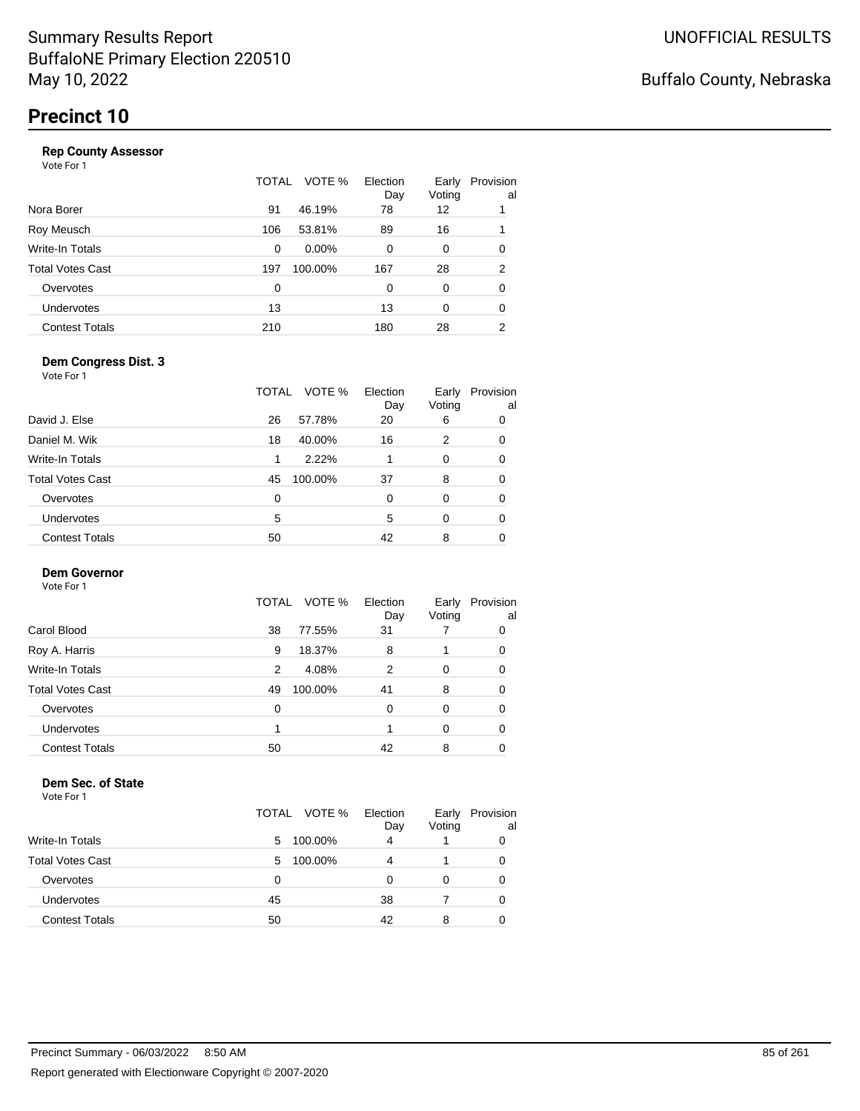|     | VOTE %   | Election<br>Day | Early<br>Voting | Provision<br>al |
|-----|----------|-----------------|-----------------|-----------------|
| 91  | 46.19%   | 78              | 12              |                 |
| 106 | 53.81%   | 89              | 16              |                 |
| 0   | $0.00\%$ | 0               | 0               | 0               |
| 197 | 100.00%  | 167             | 28              | 2               |
| 0   |          | 0               | 0               | 0               |
| 13  |          | 13              | 0               | 0               |
| 210 |          | 180             | 28              | 2               |
|     |          | TOTAL           |                 |                 |

#### **Dem Congress Dist. 3**

Vote For 1

|                         | TOTAL | VOTE %  | Election<br>Day | Early<br>Voting | Provision<br>al |
|-------------------------|-------|---------|-----------------|-----------------|-----------------|
| David J. Else           | 26    | 57.78%  | 20              | 6               | 0               |
| Daniel M. Wik           | 18    | 40.00%  | 16              | 2               | 0               |
| Write-In Totals         | 1     | 2.22%   |                 | $\Omega$        | 0               |
| <b>Total Votes Cast</b> | 45    | 100.00% | 37              | 8               | 0               |
| Overvotes               | 0     |         | 0               | $\Omega$        | 0               |
| <b>Undervotes</b>       | 5     |         | 5               | $\Omega$        | 0               |
| <b>Contest Totals</b>   | 50    |         | 42              | 8               | O               |

### **Dem Governor**

Vote For 1

|                       | VOTE %<br>TOTAL | Election<br>Day | Early<br>Voting | Provision<br>al |
|-----------------------|-----------------|-----------------|-----------------|-----------------|
| Carol Blood           | 77.55%<br>38    | 31              |                 | 0               |
| Roy A. Harris         | 18.37%<br>9     | 8               |                 | 0               |
| Write-In Totals       | 4.08%<br>2      | 2               | 0               | 0               |
| Total Votes Cast      | 100.00%<br>49   | 41              | 8               | 0               |
| Overvotes             | 0               | 0               | 0               | 0               |
| <b>Undervotes</b>     |                 |                 | 0               | 0               |
| <b>Contest Totals</b> | 50              | 42              | 8               |                 |

#### **Dem Sec. of State**

|                         | TOTAL VOTE % | Election<br>Day | Early<br>Voting | Provision<br>al |
|-------------------------|--------------|-----------------|-----------------|-----------------|
| <b>Write-In Totals</b>  | 100.00%<br>5 | 4               |                 | 0               |
| <b>Total Votes Cast</b> | 100.00%<br>5 | Δ               |                 | 0               |
| Overvotes               | 0            |                 |                 | 0               |
| Undervotes              | 45           | 38              |                 | 0               |
| <b>Contest Totals</b>   | 50           | 42              | 8               | 0               |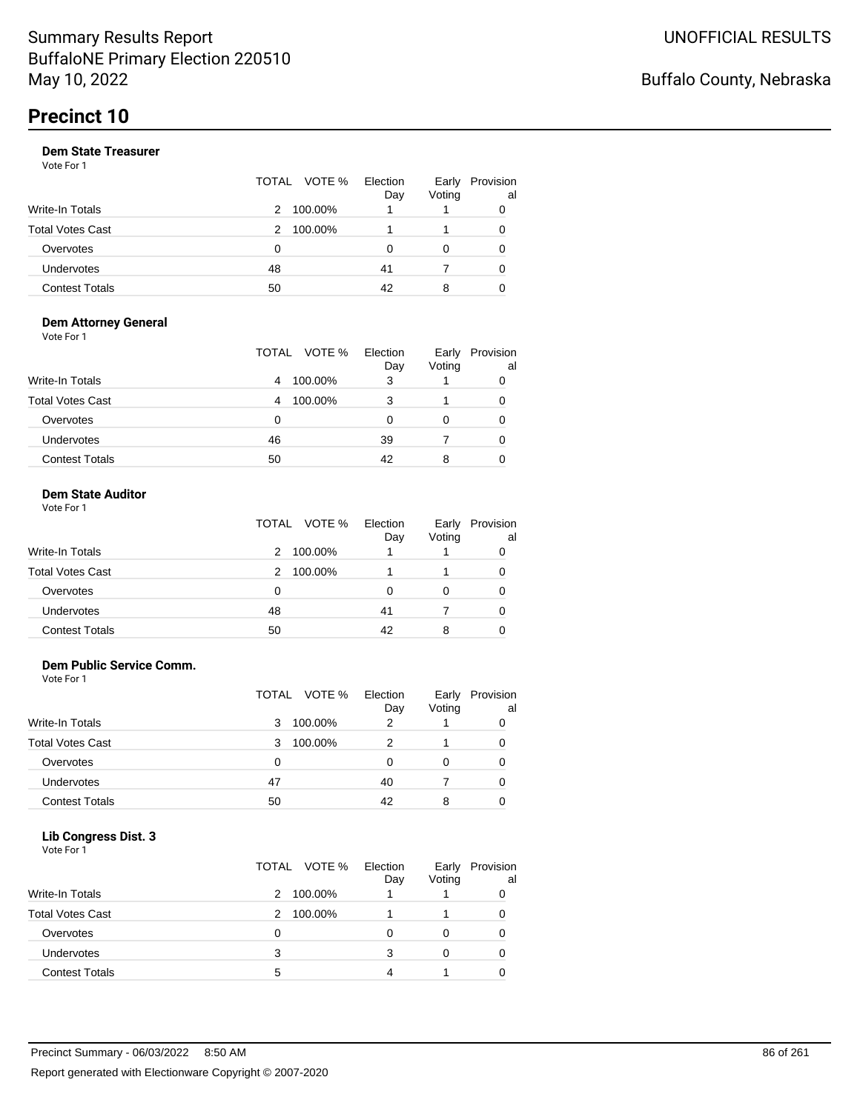|                       |    | TOTAL VOTE % | Election<br>Day | Early<br>Voting | Provision<br>al |
|-----------------------|----|--------------|-----------------|-----------------|-----------------|
| Write-In Totals       | 2  | 100.00%      |                 |                 |                 |
| Total Votes Cast      | 2  | 100.00%      |                 |                 |                 |
| Overvotes             | 0  |              | 0               |                 |                 |
| Undervotes            | 48 |              | 41              |                 | 0               |
| <b>Contest Totals</b> | 50 |              | 42              | 8               |                 |

#### **Dem Attorney General** Vote For 1

|                         | TOTAL VOTE % | Election<br>Day | Early<br>Voting | Provision<br>al |
|-------------------------|--------------|-----------------|-----------------|-----------------|
| <b>Write-In Totals</b>  | 100.00%<br>4 | 3               |                 | 0               |
| <b>Total Votes Cast</b> | 100.00%<br>4 | 3               |                 | 0               |
| Overvotes               | 0            | 0               | O               | 0               |
| Undervotes              | 46           | 39              |                 | 0               |
| <b>Contest Totals</b>   | 50           | 42              | 8               | 0               |

### **Dem State Auditor**

| Vote For 1 |  |  |
|------------|--|--|
|            |  |  |

|                         | TOTAL VOTE % Election | Day | Early<br>Voting | Provision<br>al |
|-------------------------|-----------------------|-----|-----------------|-----------------|
| <b>Write-In Totals</b>  | 100.00%<br>2          |     |                 |                 |
| <b>Total Votes Cast</b> | 100.00%<br>2          |     |                 |                 |
| Overvotes               | 0                     | O   | 0               |                 |
| <b>Undervotes</b>       | 48                    | 41  |                 |                 |
| <b>Contest Totals</b>   | 50                    | 42  | 8               |                 |

#### **Dem Public Service Comm.**

Vote For 1

|                         |    | TOTAL VOTE % | Election<br>Day | Early<br>Voting | Provision<br>al |
|-------------------------|----|--------------|-----------------|-----------------|-----------------|
| <b>Write-In Totals</b>  | 3  | 100.00%      | 2               |                 |                 |
| <b>Total Votes Cast</b> | 3  | 100.00%      |                 |                 |                 |
| Overvotes               | 0  |              | Ω               |                 |                 |
| <b>Undervotes</b>       | 47 |              | 40              |                 | 0               |
| <b>Contest Totals</b>   | 50 |              | 42              | 8               |                 |

#### **Lib Congress Dist. 3**

| .<br>- - -<br>Vote For 1 |              |                 |                 |                 |
|--------------------------|--------------|-----------------|-----------------|-----------------|
|                          | TOTAL VOTE % | Election<br>Day | Early<br>Voting | Provision<br>al |
| Write-In Totals          | 100.00%<br>2 |                 |                 | 0               |
| <b>Total Votes Cast</b>  | 100.00%<br>2 |                 |                 | 0               |
| Overvotes                | 0            | 0               | 0               | ი               |
| <b>Undervotes</b>        | 3            | 3               | 0               |                 |
| <b>Contest Totals</b>    | 5            |                 |                 |                 |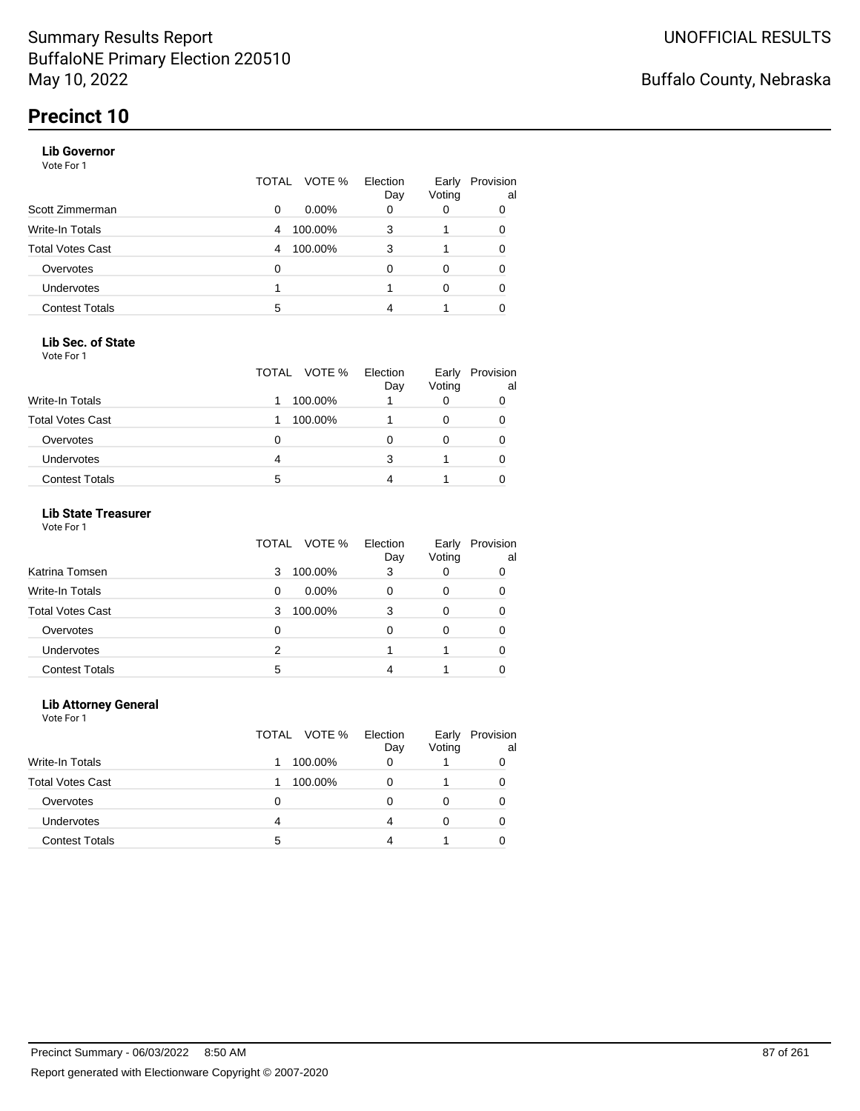#### **Lib Governor**

Vote For 1

|                       | TOTAL | VOTE %   | Election<br>Day | Early<br>Voting | Provision<br>al |
|-----------------------|-------|----------|-----------------|-----------------|-----------------|
| Scott Zimmerman       | 0     | $0.00\%$ | 0               | 0               | 0               |
| Write-In Totals       | 4     | 100.00%  | 3               |                 | 0               |
| Total Votes Cast      | 4     | 100.00%  | 3               |                 | 0               |
| Overvotes             | 0     |          | 0               | 0               | 0               |
| <b>Undervotes</b>     |       |          |                 | 0               | 0               |
| <b>Contest Totals</b> | 5     |          |                 |                 |                 |

#### **Lib Sec. of State**

Vote For 1

|                         | TOTAL VOTE % | Election<br>Day | Early<br>Voting | Provision<br>al |
|-------------------------|--------------|-----------------|-----------------|-----------------|
| Write-In Totals         | 100.00%      |                 | O               |                 |
| <b>Total Votes Cast</b> | 100.00%      |                 |                 | 0               |
| Overvotes               | 0            |                 |                 |                 |
| Undervotes              | 4            |                 |                 |                 |
| <b>Contest Totals</b>   | 5            |                 |                 |                 |

### **Lib State Treasurer**

Vote For 1

|                         | VOTE %<br>TOTAL | Election<br>Day | Early<br>Voting | Provision<br>al |
|-------------------------|-----------------|-----------------|-----------------|-----------------|
| Katrina Tomsen          | 100.00%<br>3    | 3               | O               | 0               |
| <b>Write-In Totals</b>  | $0.00\%$<br>0   | O               | 0               | 0               |
| <b>Total Votes Cast</b> | 100.00%<br>3    | 3               | 0               |                 |
| Overvotes               | 0               | 0               | 0               | 0               |
| Undervotes              | 2               |                 |                 | 0               |
| <b>Contest Totals</b>   | 5               |                 |                 |                 |

#### **Lib Attorney General**

|                         |   | TOTAL VOTE % | Election<br>Day | Early<br>Voting | Provision<br>al |
|-------------------------|---|--------------|-----------------|-----------------|-----------------|
| <b>Write-In Totals</b>  |   | 100.00%      | 0               |                 |                 |
| <b>Total Votes Cast</b> |   | 100.00%      | Ω               |                 | 0               |
| Overvotes               | 0 |              | O               |                 | 0               |
| <b>Undervotes</b>       | 4 |              | 4               | $\Omega$        | O               |
| <b>Contest Totals</b>   | 5 |              |                 |                 |                 |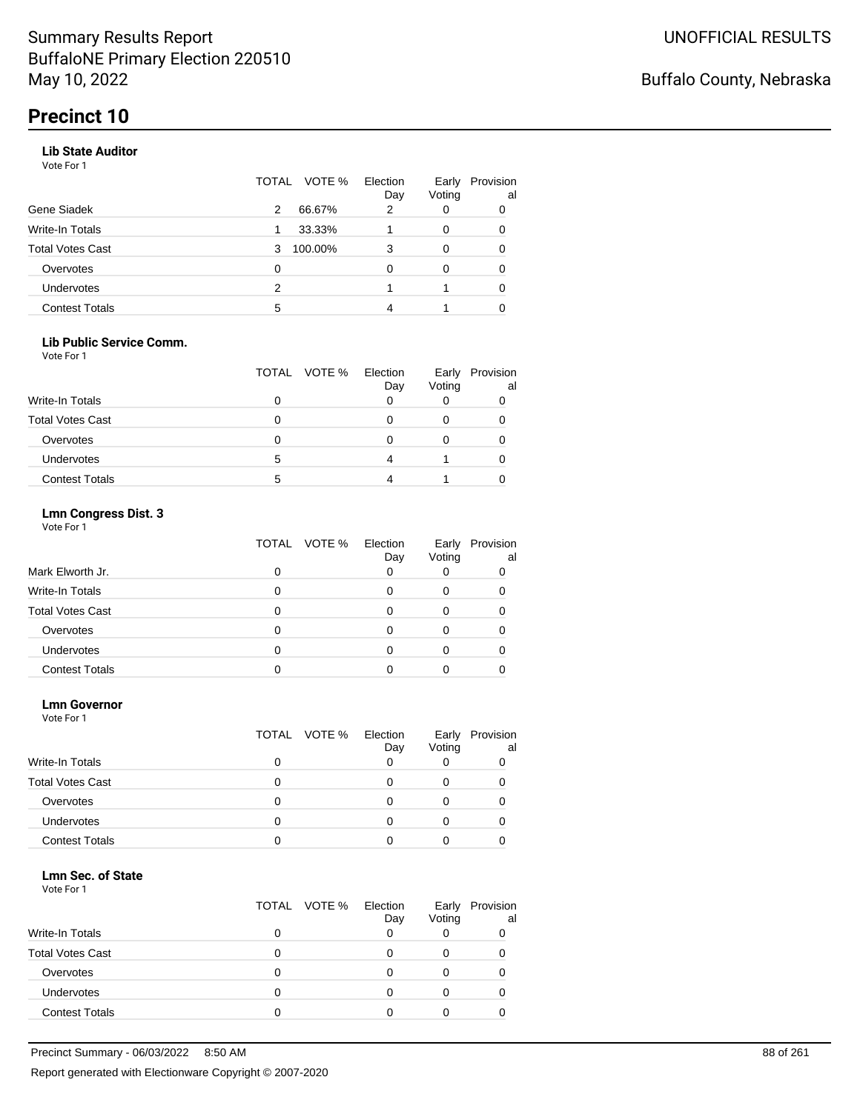#### **Lib State Auditor**

Vote For 1

|                       | VOTE %<br>TOTAL | Election<br>Day | Early<br>Voting | Provision<br>al |
|-----------------------|-----------------|-----------------|-----------------|-----------------|
| Gene Siadek           | 66.67%<br>2     | 2               | 0               | 0               |
| Write-In Totals       | 33.33%          |                 | 0               | 0               |
| Total Votes Cast      | 100.00%<br>3    | 3               | 0               |                 |
| Overvotes             | 0               | O               | 0               | 0               |
| <b>Undervotes</b>     | 2               |                 |                 | 0               |
| <b>Contest Totals</b> | 5               |                 |                 |                 |

#### **Lib Public Service Comm.**

Vote For 1

|                         |   | TOTAL VOTE % | Election<br>Day | Early<br>Voting | Provision<br>al |
|-------------------------|---|--------------|-----------------|-----------------|-----------------|
| Write-In Totals         |   |              |                 |                 |                 |
| <b>Total Votes Cast</b> |   |              |                 |                 |                 |
| Overvotes               |   |              |                 |                 |                 |
| <b>Undervotes</b>       | 5 |              |                 |                 |                 |
| <b>Contest Totals</b>   | 5 |              |                 |                 |                 |

### **Lmn Congress Dist. 3**

Vote For 1

|                         | TOTAL VOTE % | Election<br>Day | Early<br>Voting | Provision<br>al |
|-------------------------|--------------|-----------------|-----------------|-----------------|
| Mark Elworth Jr.        |              | 0               |                 |                 |
| Write-In Totals         |              |                 |                 |                 |
| <b>Total Votes Cast</b> |              |                 |                 |                 |
| Overvotes               |              | Ω               |                 |                 |
| <b>Undervotes</b>       |              |                 |                 |                 |
| <b>Contest Totals</b>   |              |                 |                 |                 |

#### **Lmn Governor**

Vote For 1

|                         | TOTAL VOTE % | Election<br>Day | Early<br>Voting | Provision<br>al |
|-------------------------|--------------|-----------------|-----------------|-----------------|
| <b>Write-In Totals</b>  | 0            | Ω               | O               |                 |
| <b>Total Votes Cast</b> | 0            | $\mathbf{0}$    | 0               |                 |
| Overvotes               |              |                 |                 |                 |
| Undervotes              |              |                 |                 |                 |
| <b>Contest Totals</b>   |              |                 |                 |                 |

#### **Lmn Sec. of State**

|                         | TOTAL VOTE % | Election<br>Day | Early<br>Voting | Provision<br>al |
|-------------------------|--------------|-----------------|-----------------|-----------------|
| Write-In Totals         |              |                 |                 |                 |
| <b>Total Votes Cast</b> |              |                 |                 |                 |
| Overvotes               |              |                 |                 |                 |
| Undervotes              |              |                 |                 |                 |
| <b>Contest Totals</b>   |              |                 |                 |                 |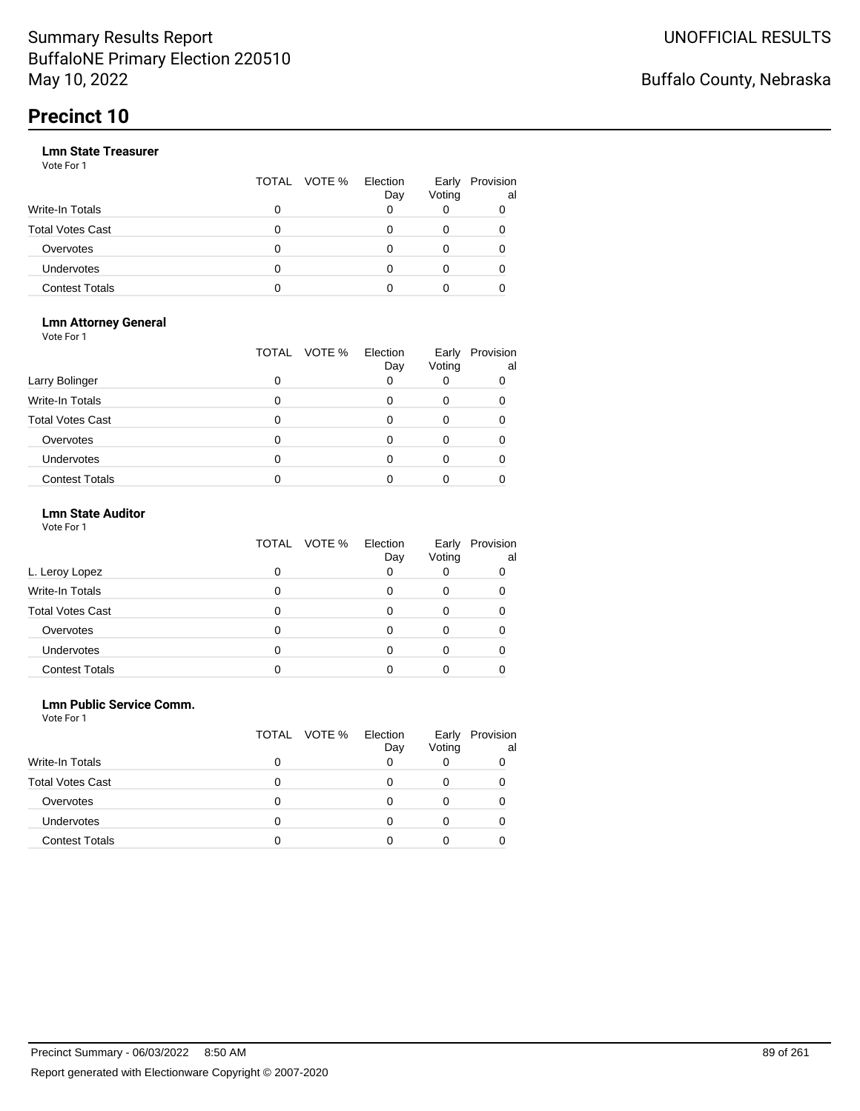|                       |   | TOTAL VOTE % | Election<br>Day | Early<br>Voting | Provision<br>al |
|-----------------------|---|--------------|-----------------|-----------------|-----------------|
| Write-In Totals       | 0 |              |                 |                 |                 |
| Total Votes Cast      | O |              |                 |                 |                 |
| Overvotes             | 0 |              |                 |                 |                 |
| Undervotes            | 0 |              |                 |                 |                 |
| <b>Contest Totals</b> | o |              |                 |                 |                 |

#### **Lmn Attorney General** Vote For 1

|                         | TOTAL | VOTE %<br>Election<br>Day | Early<br>Voting | Provision<br>al |
|-------------------------|-------|---------------------------|-----------------|-----------------|
| Larry Bolinger          | O     |                           |                 |                 |
| <b>Write-In Totals</b>  |       |                           |                 |                 |
| <b>Total Votes Cast</b> |       |                           |                 |                 |
| Overvotes               |       |                           |                 |                 |
| <b>Undervotes</b>       |       |                           |                 |                 |
| <b>Contest Totals</b>   |       |                           |                 |                 |

### **Lmn State Auditor**

| Vote For 1 |  |  |
|------------|--|--|
|------------|--|--|

|                         | TOTAL VOTE % | Election<br>Day | Early<br>Voting | Provision<br>al |
|-------------------------|--------------|-----------------|-----------------|-----------------|
| L. Leroy Lopez          |              |                 |                 | O               |
| Write-In Totals         |              |                 |                 |                 |
| <b>Total Votes Cast</b> |              |                 |                 |                 |
| Overvotes               |              |                 |                 |                 |
| Undervotes              |              |                 |                 |                 |
| <b>Contest Totals</b>   |              |                 |                 |                 |

#### **Lmn Public Service Comm.**

| Vote For 1 |  |  |
|------------|--|--|
|------------|--|--|

|                         | TOTAL VOTE % | Election<br>Day | Early<br>Voting | Provision<br>al |
|-------------------------|--------------|-----------------|-----------------|-----------------|
| <b>Write-In Totals</b>  |              |                 |                 |                 |
| <b>Total Votes Cast</b> | 0            | $\mathbf{0}$    |                 |                 |
| Overvotes               | O            |                 |                 |                 |
| Undervotes              | O            |                 |                 |                 |
| <b>Contest Totals</b>   |              |                 |                 |                 |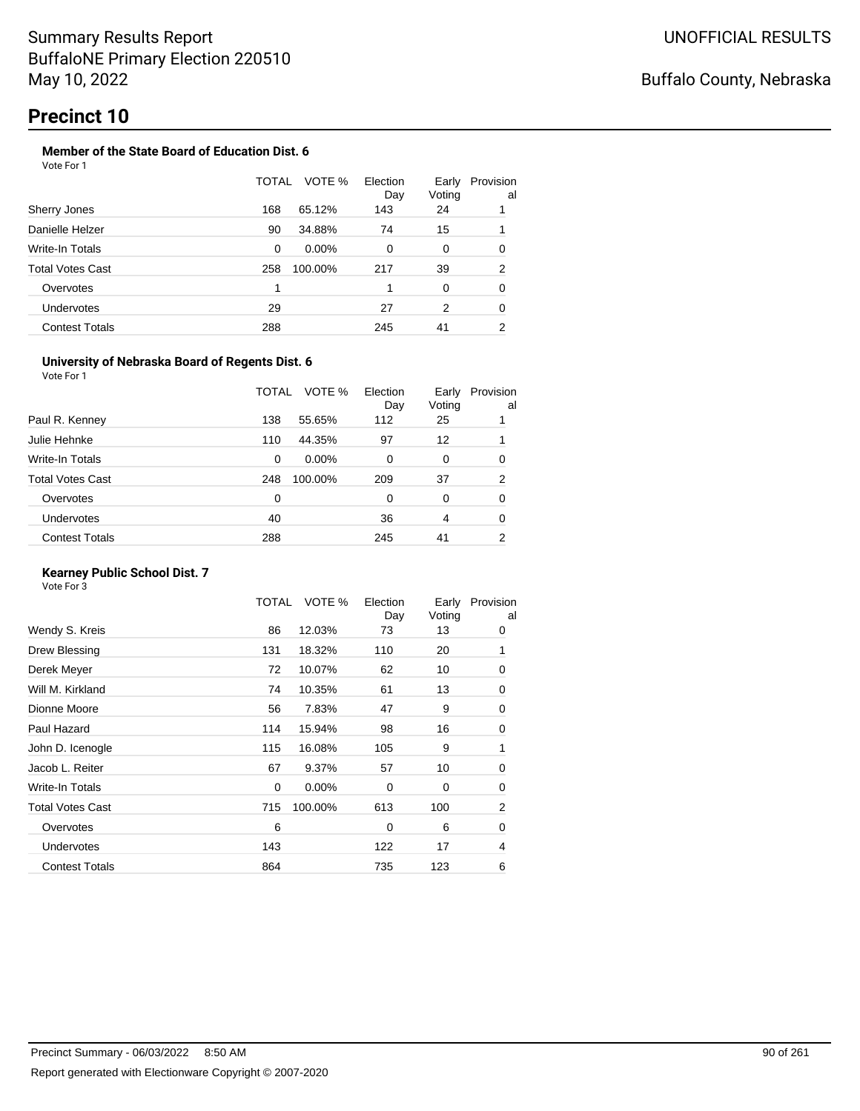#### **Member of the State Board of Education Dist. 6** Vote For 1

|                       | TOTAL | VOTE %   | Election<br>Day | Early<br>Voting | Provision<br>al |
|-----------------------|-------|----------|-----------------|-----------------|-----------------|
| Sherry Jones          | 168   | 65.12%   | 143             | 24              |                 |
| Danielle Helzer       | 90    | 34.88%   | 74              | 15              |                 |
| Write-In Totals       | 0     | $0.00\%$ | 0               | 0               | 0               |
| Total Votes Cast      | 258   | 100.00%  | 217             | 39              | 2               |
| Overvotes             | 1     |          |                 | 0               | 0               |
| <b>Undervotes</b>     | 29    |          | 27              | 2               | 0               |
| <b>Contest Totals</b> | 288   |          | 245             | 41              | 2               |

#### **University of Nebraska Board of Regents Dist. 6**

Vote For 1

|                       | TOTAL | VOTE %   | Election<br>Day | Early<br>Voting | Provision<br>al |
|-----------------------|-------|----------|-----------------|-----------------|-----------------|
| Paul R. Kenney        | 138   | 55.65%   | 112             | 25              |                 |
| Julie Hehnke          | 110   | 44.35%   | 97              | 12              |                 |
| Write-In Totals       | 0     | $0.00\%$ | 0               | 0               | 0               |
| Total Votes Cast      | 248   | 100.00%  | 209             | 37              | 2               |
| Overvotes             | 0     |          | $\Omega$        | 0               | 0               |
| <b>Undervotes</b>     | 40    |          | 36              | 4               | 0               |
| <b>Contest Totals</b> | 288   |          | 245             | 41              | 2               |
|                       |       |          |                 |                 |                 |

### **Kearney Public School Dist. 7**

|                         | TOTAL       | VOTE %   | Election<br>Day | Early<br>Voting | Provision<br>al |
|-------------------------|-------------|----------|-----------------|-----------------|-----------------|
| Wendy S. Kreis          | 86          | 12.03%   | 73              | 13              | 0               |
| Drew Blessing           | 131         | 18.32%   | 110             | 20              | 1               |
| Derek Meyer             | 72          | 10.07%   | 62              | 10              | 0               |
| Will M. Kirkland        | 74          | 10.35%   | 61              | 13              | 0               |
| Dionne Moore            | 56          | 7.83%    | 47              | 9               | 0               |
| Paul Hazard             | 114         | 15.94%   | 98              | 16              | 0               |
| John D. Icenogle        | 115         | 16.08%   | 105             | 9               | 1               |
| Jacob L. Reiter         | 67          | 9.37%    | 57              | 10              | 0               |
| Write-In Totals         | $\mathbf 0$ | $0.00\%$ | $\Omega$        | 0               | 0               |
| <b>Total Votes Cast</b> | 715         | 100.00%  | 613             | 100             | $\overline{2}$  |
| Overvotes               | 6           |          | $\Omega$        | 6               | 0               |
| <b>Undervotes</b>       | 143         |          | 122             | 17              | 4               |
| <b>Contest Totals</b>   | 864         |          | 735             | 123             | 6               |
|                         |             |          |                 |                 |                 |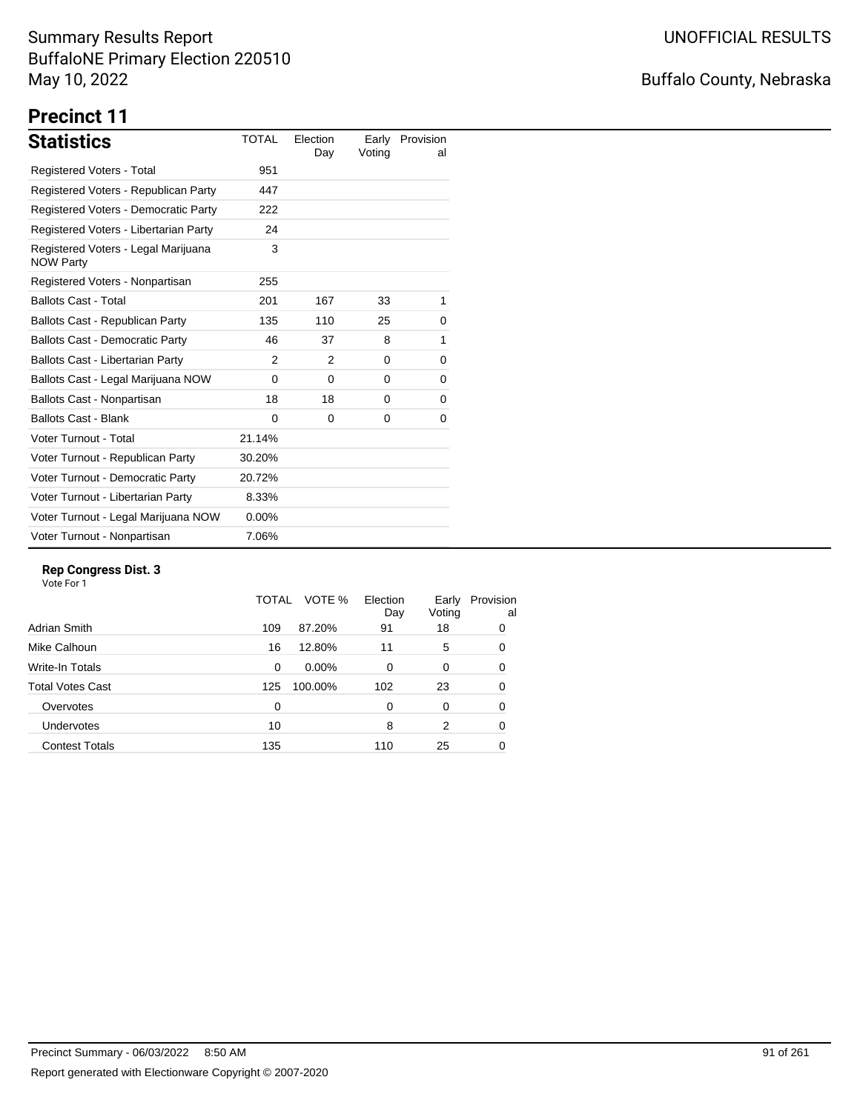# Buffalo County, Nebraska

# **Precinct 11**

| <b>Statistics</b>                                       | <b>TOTAL</b> | Election<br>Day | Early<br>Voting | Provision<br>al |
|---------------------------------------------------------|--------------|-----------------|-----------------|-----------------|
| Registered Voters - Total                               | 951          |                 |                 |                 |
| Registered Voters - Republican Party                    | 447          |                 |                 |                 |
| Registered Voters - Democratic Party                    | 222          |                 |                 |                 |
| Registered Voters - Libertarian Party                   | 24           |                 |                 |                 |
| Registered Voters - Legal Marijuana<br><b>NOW Party</b> | 3            |                 |                 |                 |
| Registered Voters - Nonpartisan                         | 255          |                 |                 |                 |
| <b>Ballots Cast - Total</b>                             | 201          | 167             | 33              | 1               |
| Ballots Cast - Republican Party                         | 135          | 110             | 25              | 0               |
| <b>Ballots Cast - Democratic Party</b>                  | 46           | 37              | 8               | 1               |
| Ballots Cast - Libertarian Party                        | 2            | 2               | 0               | 0               |
| Ballots Cast - Legal Marijuana NOW                      | $\Omega$     | $\Omega$        | $\Omega$        | 0               |
| Ballots Cast - Nonpartisan                              | 18           | 18              | 0               | 0               |
| <b>Ballots Cast - Blank</b>                             | $\Omega$     | 0               | 0               | 0               |
| Voter Turnout - Total                                   | 21.14%       |                 |                 |                 |
| Voter Turnout - Republican Party                        | 30.20%       |                 |                 |                 |
| Voter Turnout - Democratic Party                        | 20.72%       |                 |                 |                 |
| Voter Turnout - Libertarian Party                       | 8.33%        |                 |                 |                 |
| Voter Turnout - Legal Marijuana NOW                     | $0.00\%$     |                 |                 |                 |
| Voter Turnout - Nonpartisan                             | 7.06%        |                 |                 |                 |

#### **Rep Congress Dist. 3**

|                         | TOTAL | VOTE %   | Election<br>Day | Early<br>Voting | Provision<br>al |
|-------------------------|-------|----------|-----------------|-----------------|-----------------|
| Adrian Smith            | 109   | 87.20%   | 91              | 18              | 0               |
| Mike Calhoun            | 16    | 12.80%   | 11              | 5               | 0               |
| Write-In Totals         | 0     | $0.00\%$ | $\Omega$        | 0               | 0               |
| <b>Total Votes Cast</b> | 125   | 100.00%  | 102             | 23              | 0               |
| Overvotes               | 0     |          | 0               | 0               | 0               |
| Undervotes              | 10    |          | 8               | 2               | 0               |
| <b>Contest Totals</b>   | 135   |          | 110             | 25              | 0               |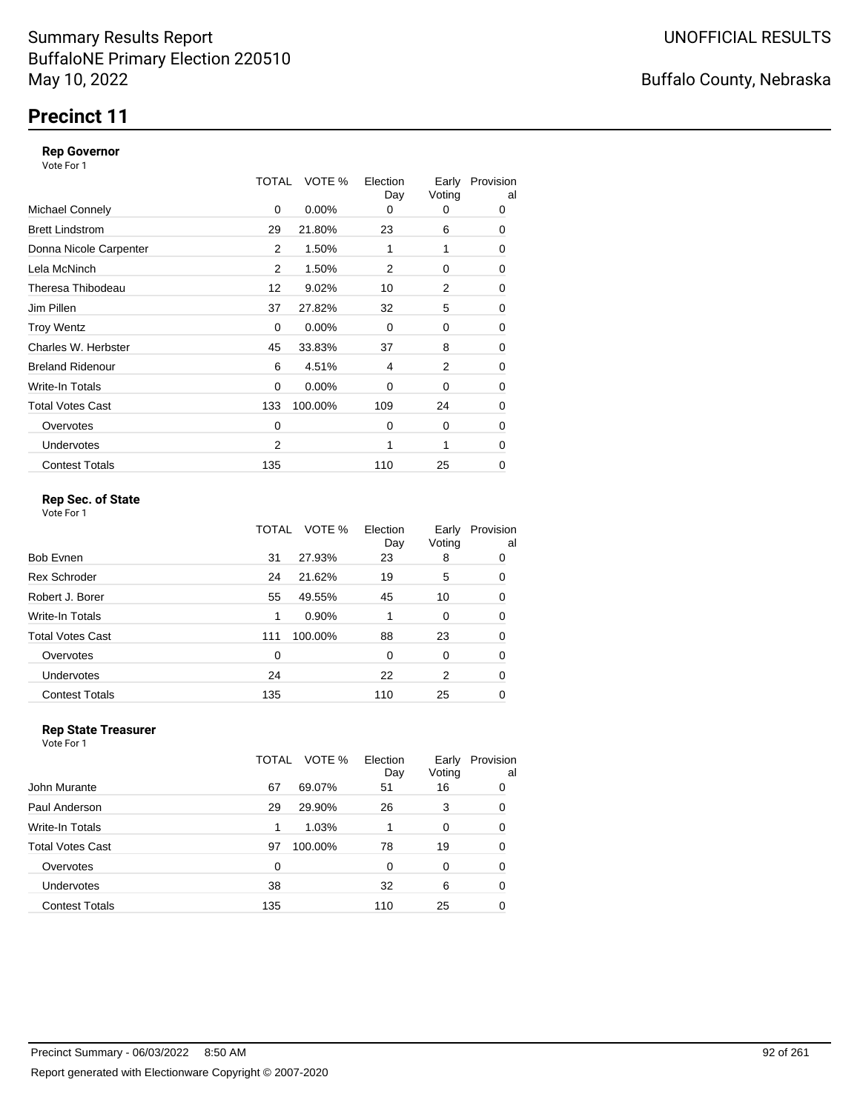### **Precinct 11**

#### **Rep Governor**

Vote For 1

|                         | TOTAL | VOTE %   | Election<br>Day | Early<br>Voting | Provision<br>al |
|-------------------------|-------|----------|-----------------|-----------------|-----------------|
| <b>Michael Connely</b>  | 0     | 0.00%    | 0               | 0               | 0               |
| <b>Brett Lindstrom</b>  | 29    | 21.80%   | 23              | 6               | 0               |
| Donna Nicole Carpenter  | 2     | 1.50%    | 1               | 1               | 0               |
| Lela McNinch            | 2     | 1.50%    | 2               | 0               | 0               |
| Theresa Thibodeau       | 12    | 9.02%    | 10              | 2               | 0               |
| Jim Pillen              | 37    | 27.82%   | 32              | 5               | 0               |
| <b>Troy Wentz</b>       | 0     | 0.00%    | $\Omega$        | 0               | 0               |
| Charles W. Herbster     | 45    | 33.83%   | 37              | 8               | 0               |
| <b>Breland Ridenour</b> | 6     | 4.51%    | 4               | 2               | 0               |
| Write-In Totals         | 0     | $0.00\%$ | $\Omega$        | 0               | 0               |
| <b>Total Votes Cast</b> | 133   | 100.00%  | 109             | 24              | 0               |
| Overvotes               | 0     |          | $\Omega$        | 0               | 0               |
| <b>Undervotes</b>       | 2     |          | 1               | 1               | 0               |
| <b>Contest Totals</b>   | 135   |          | 110             | 25              | 0               |

#### **Rep Sec. of State**

Vote For 1

|                         | TOTAL | VOTE %  | Election<br>Day | Early<br>Voting | Provision<br>al |
|-------------------------|-------|---------|-----------------|-----------------|-----------------|
| <b>Bob Evnen</b>        | 31    | 27.93%  | 23              | 8               | 0               |
| <b>Rex Schroder</b>     | 24    | 21.62%  | 19              | 5               | 0               |
| Robert J. Borer         | 55    | 49.55%  | 45              | 10              | 0               |
| Write-In Totals         | 1     | 0.90%   |                 | 0               | 0               |
| <b>Total Votes Cast</b> | 111   | 100.00% | 88              | 23              | 0               |
| Overvotes               | 0     |         | 0               | 0               | 0               |
| <b>Undervotes</b>       | 24    |         | 22              | 2               | 0               |
| <b>Contest Totals</b>   | 135   |         | 110             | 25              | 0               |

#### **Rep State Treasurer**

Vote For 1 TOTAL VOTE % Election Day Early Provision Voting al John Murante **67** 69.07% 51 16 0 Paul Anderson 29 29.90% 26 3 0 Write-In Totals **1 1.03%** 1 0 0 0 Total Votes Cast **19 100.00%** 78 19 0 Overvotes 0 0 0 0 0 Undervotes 38 32 6 0 Contest Totals **135** 110 25 0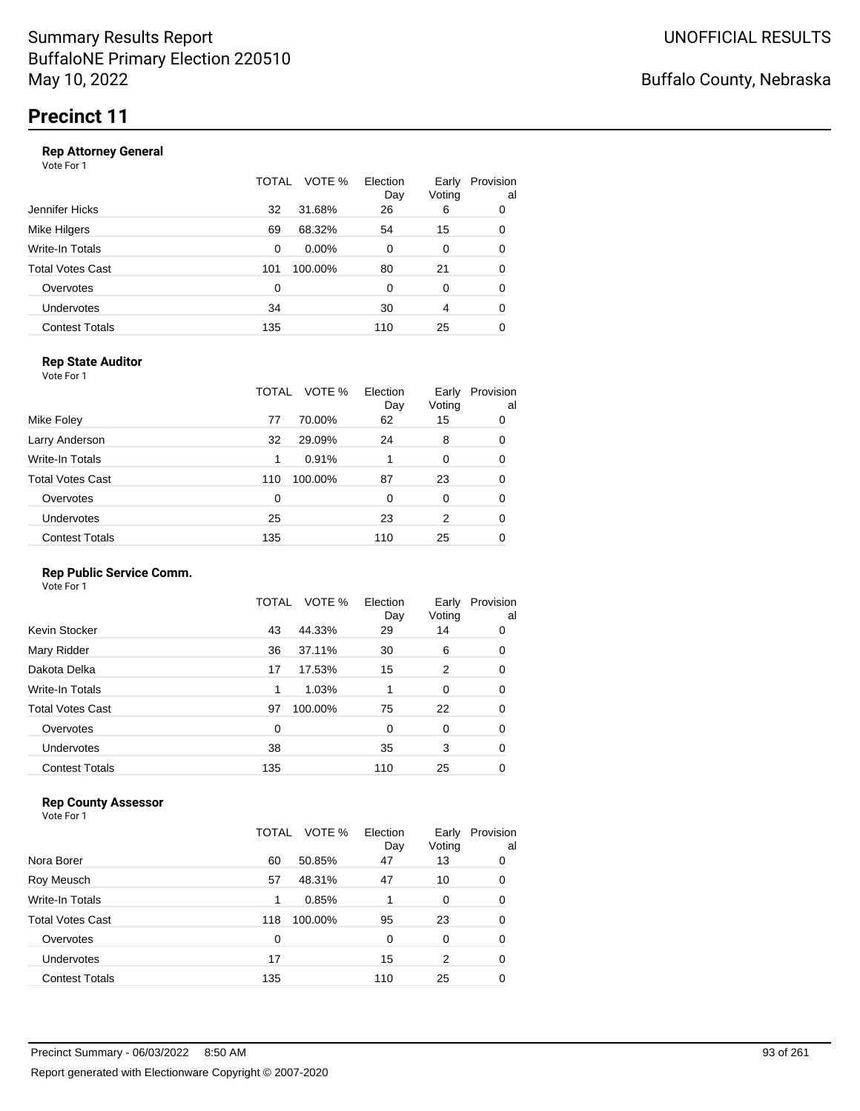#### **Rep Attorney General**

Vote For 1

|                       | TOTAL | VOTE %   | Election<br>Day | Early<br>Voting | Provision<br>al |
|-----------------------|-------|----------|-----------------|-----------------|-----------------|
| Jennifer Hicks        | 32    | 31.68%   | 26              | 6               | 0               |
| Mike Hilgers          | 69    | 68.32%   | 54              | 15              | 0               |
| Write-In Totals       | 0     | $0.00\%$ | 0               | 0               | 0               |
| Total Votes Cast      | 101   | 100.00%  | 80              | 21              | 0               |
| Overvotes             | 0     |          | $\Omega$        | 0               | 0               |
| <b>Undervotes</b>     | 34    |          | 30              | 4               | 0               |
| <b>Contest Totals</b> | 135   |          | 110             | 25              | 0               |

### **Rep State Auditor**

Vote For 1

|                         | TOTAL | VOTE %  | Election<br>Day | Early<br>Voting | Provision<br>al |
|-------------------------|-------|---------|-----------------|-----------------|-----------------|
| Mike Foley              | 77    | 70.00%  | 62              | 15              | 0               |
| Larry Anderson          | 32    | 29.09%  | 24              | 8               | 0               |
| Write-In Totals         | 1     | 0.91%   | 1               | $\Omega$        | 0               |
| <b>Total Votes Cast</b> | 110   | 100.00% | 87              | 23              | 0               |
| Overvotes               | 0     |         | 0               | 0               | 0               |
| Undervotes              | 25    |         | 23              | 2               | 0               |
| <b>Contest Totals</b>   | 135   |         | 110             | 25              | 0               |

### **Rep Public Service Comm.**

Vote For 1

| Kevin Stocker<br>44.33%<br>43<br>29<br>14<br>Mary Ridder<br>37.11%<br>6<br>36<br>30<br>Dakota Delka<br>15<br>2<br>17.53%<br>17<br>Write-In Totals<br>1.03%<br>0<br>1<br><b>Total Votes Cast</b><br>100.00%<br>75<br>22<br>97<br>Overvotes<br>0<br>0<br>0<br>Undervotes<br>38<br>3<br>35 |                       | TOTAL | VOTE % | Election<br>Day | Early<br>Voting | Provision<br>al |
|-----------------------------------------------------------------------------------------------------------------------------------------------------------------------------------------------------------------------------------------------------------------------------------------|-----------------------|-------|--------|-----------------|-----------------|-----------------|
|                                                                                                                                                                                                                                                                                         |                       |       |        |                 |                 | 0               |
|                                                                                                                                                                                                                                                                                         |                       |       |        |                 |                 | 0               |
|                                                                                                                                                                                                                                                                                         |                       |       |        |                 |                 | 0               |
|                                                                                                                                                                                                                                                                                         |                       |       |        |                 |                 | 0               |
|                                                                                                                                                                                                                                                                                         |                       |       |        |                 |                 | 0               |
|                                                                                                                                                                                                                                                                                         |                       |       |        |                 |                 | 0               |
|                                                                                                                                                                                                                                                                                         |                       |       |        |                 |                 | 0               |
|                                                                                                                                                                                                                                                                                         | <b>Contest Totals</b> | 135   |        | 110             | 25              | 0               |

### **Rep County Assessor**

|                       | TOTAL          | VOTE %<br>Election<br>Day | Early<br>Voting | Provision<br>al |
|-----------------------|----------------|---------------------------|-----------------|-----------------|
| Nora Borer            | 50.85%<br>60   | 47                        | 13              | 0               |
| Roy Meusch            | 57<br>48.31%   | 47                        | 10              | 0               |
| Write-In Totals       | 0.85%<br>1     |                           | 0               | 0               |
| Total Votes Cast      | 100.00%<br>118 | 95                        | 23              | 0               |
| Overvotes             | 0              | 0                         | $\Omega$        | 0               |
| Undervotes            | 17             | 15                        | 2               | 0               |
| <b>Contest Totals</b> | 135            | 110                       | 25              | 0               |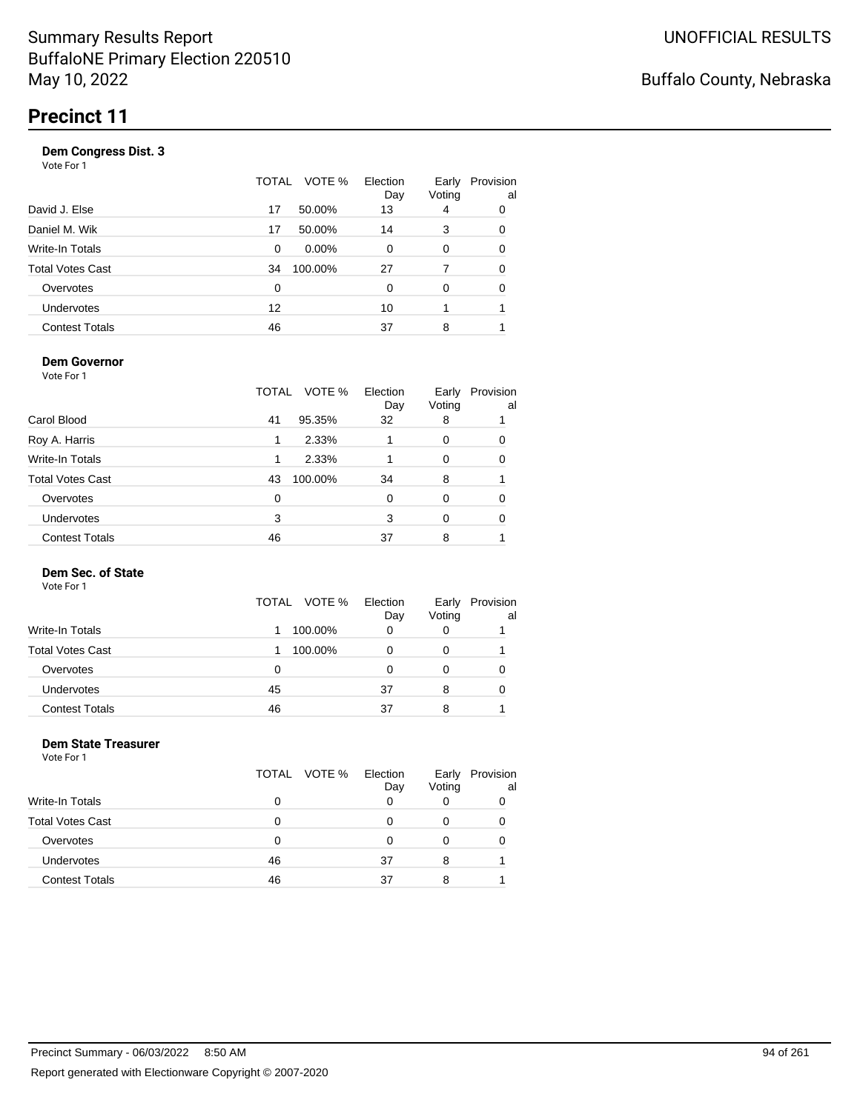| Vote For 1            |       |          |                 |                 |                 |
|-----------------------|-------|----------|-----------------|-----------------|-----------------|
|                       | TOTAL | VOTE %   | Election<br>Day | Early<br>Voting | Provision<br>al |
| David J. Else         | 17    | 50.00%   | 13              | 4               | 0               |
| Daniel M. Wik         | 17    | 50.00%   | 14              | 3               | 0               |
| Write-In Totals       | 0     | $0.00\%$ | 0               | 0               | 0               |
| Total Votes Cast      | 34    | 100.00%  | 27              | 7               | 0               |
| Overvotes             | 0     |          | 0               | 0               | 0               |
| Undervotes            | 12    |          | 10              |                 |                 |
| <b>Contest Totals</b> | 46    |          | 37              | 8               |                 |
|                       |       |          |                 |                 |                 |

#### **Dem Governor**

Vote For 1

|                         | VOTE %<br>TOTAL | Election<br>Day | Early<br>Voting | Provision<br>al |
|-------------------------|-----------------|-----------------|-----------------|-----------------|
| Carol Blood             | 95.35%<br>41    | 32              | 8               |                 |
| Roy A. Harris           | 2.33%           |                 | 0               | 0               |
| Write-In Totals         | 2.33%           |                 | 0               | 0               |
| <b>Total Votes Cast</b> | 100.00%<br>43   | 34              | 8               |                 |
| Overvotes               | 0               | $\Omega$        | 0               | 0               |
| Undervotes              | 3               | 3               | $\Omega$        | 0               |
| <b>Contest Totals</b>   | 46              | 37              | 8               |                 |

#### **Dem Sec. of State**

Vote For 1

|                         |    | TOTAL VOTE % | Election<br>Day | Early<br>Voting | Provision<br>al |
|-------------------------|----|--------------|-----------------|-----------------|-----------------|
| <b>Write-In Totals</b>  |    | 100.00%      | 0               |                 |                 |
| <b>Total Votes Cast</b> |    | 100.00%      | 0               |                 |                 |
| Overvotes               | 0  |              | Ω               |                 |                 |
| <b>Undervotes</b>       | 45 |              | 37              | 8               |                 |
| <b>Contest Totals</b>   | 46 |              | 37              | 8               |                 |

#### **Dem State Treasurer** Vote For 1

|                         |    | TOTAL VOTE % | Election<br>Day | Early<br>Voting | Provision<br>al |
|-------------------------|----|--------------|-----------------|-----------------|-----------------|
| <b>Write-In Totals</b>  | 0  |              |                 |                 |                 |
| <b>Total Votes Cast</b> | O  |              | O               |                 |                 |
| Overvotes               | 0  |              | O               |                 |                 |
| Undervotes              | 46 |              | 37              | 8               |                 |
| <b>Contest Totals</b>   | 46 |              | 37              | 8               |                 |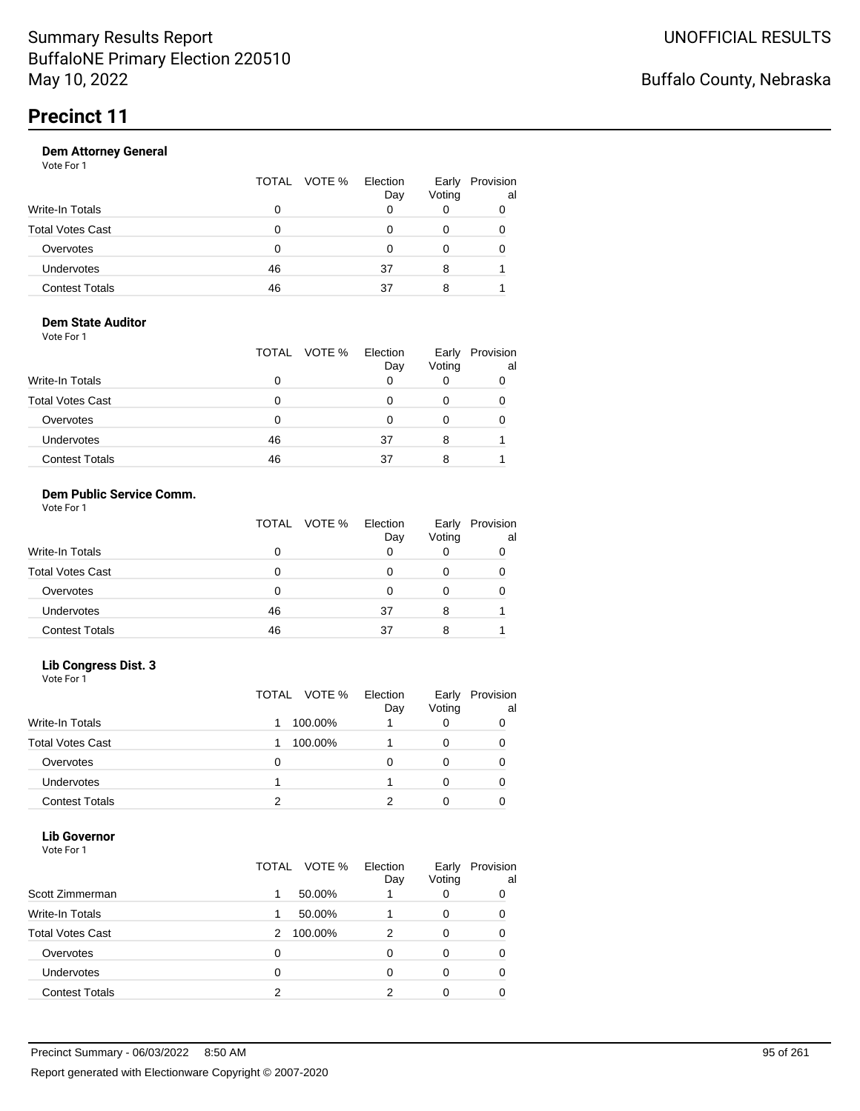|  | Dav          | Voting   | Early Provisi |
|--|--------------|----------|---------------|
|  |              |          |               |
|  |              |          |               |
|  | TOTAL VOTE % | Election |               |

| ulai vulto Udol       | u  | ັບ | v |  |
|-----------------------|----|----|---|--|
| Overvotes             |    |    |   |  |
| Undervotes            | 46 | 37 |   |  |
| <b>Contest Totals</b> | 46 | 27 |   |  |

Early Provision

al

#### **Dem State Auditor** Vote For 1

|                         |    | TOTAL VOTE % | Election<br>Day | Early<br>Voting | Provision<br>al |
|-------------------------|----|--------------|-----------------|-----------------|-----------------|
| <b>Write-In Totals</b>  |    |              |                 |                 |                 |
| <b>Total Votes Cast</b> | 0  |              |                 |                 |                 |
| Overvotes               | 0  |              |                 |                 |                 |
| Undervotes              | 46 |              | 37              | 8               |                 |
| <b>Contest Totals</b>   | 46 |              | 37              |                 |                 |

### **Dem Public Service Comm.**

| Vote For 1 |  |
|------------|--|
|            |  |

|                         |    | TOTAL VOTE % | Election<br>Day | Early<br>Voting | Provision<br>al |
|-------------------------|----|--------------|-----------------|-----------------|-----------------|
| Write-In Totals         |    |              | 0               |                 |                 |
| <b>Total Votes Cast</b> |    |              |                 |                 |                 |
| Overvotes               |    |              |                 |                 |                 |
| <b>Undervotes</b>       | 46 |              | 37              | 8               |                 |
| <b>Contest Totals</b>   | 46 |              | 37              |                 |                 |

### **Lib Congress Dist. 3**

Vote For 1

|                         |   | TOTAL VOTE % | Election<br>Day | Early<br>Voting | Provision<br>al |
|-------------------------|---|--------------|-----------------|-----------------|-----------------|
| <b>Write-In Totals</b>  |   | 100.00%      |                 |                 |                 |
| <b>Total Votes Cast</b> |   | 100.00%      |                 |                 |                 |
| Overvotes               | Ω |              |                 |                 |                 |
| Undervotes              |   |              |                 |                 |                 |
| <b>Contest Totals</b>   |   |              |                 |                 |                 |

#### **Lib Governor** Vote For 1

| <b>VOLE FOI</b> I       |                 |                 |                 |                 |
|-------------------------|-----------------|-----------------|-----------------|-----------------|
|                         | VOTE %<br>TOTAL | Election<br>Day | Early<br>Voting | Provision<br>al |
| Scott Zimmerman         | 50.00%<br>1     |                 |                 | 0               |
| <b>Write-In Totals</b>  | 50.00%          |                 | 0               | 0               |
| <b>Total Votes Cast</b> | 100.00%<br>2    | 2               | 0               | 0               |
| Overvotes               | 0               | O               |                 | 0               |
| <b>Undervotes</b>       | 0               | 0               |                 | 0               |
| <b>Contest Totals</b>   | 2               |                 |                 |                 |
|                         |                 |                 |                 |                 |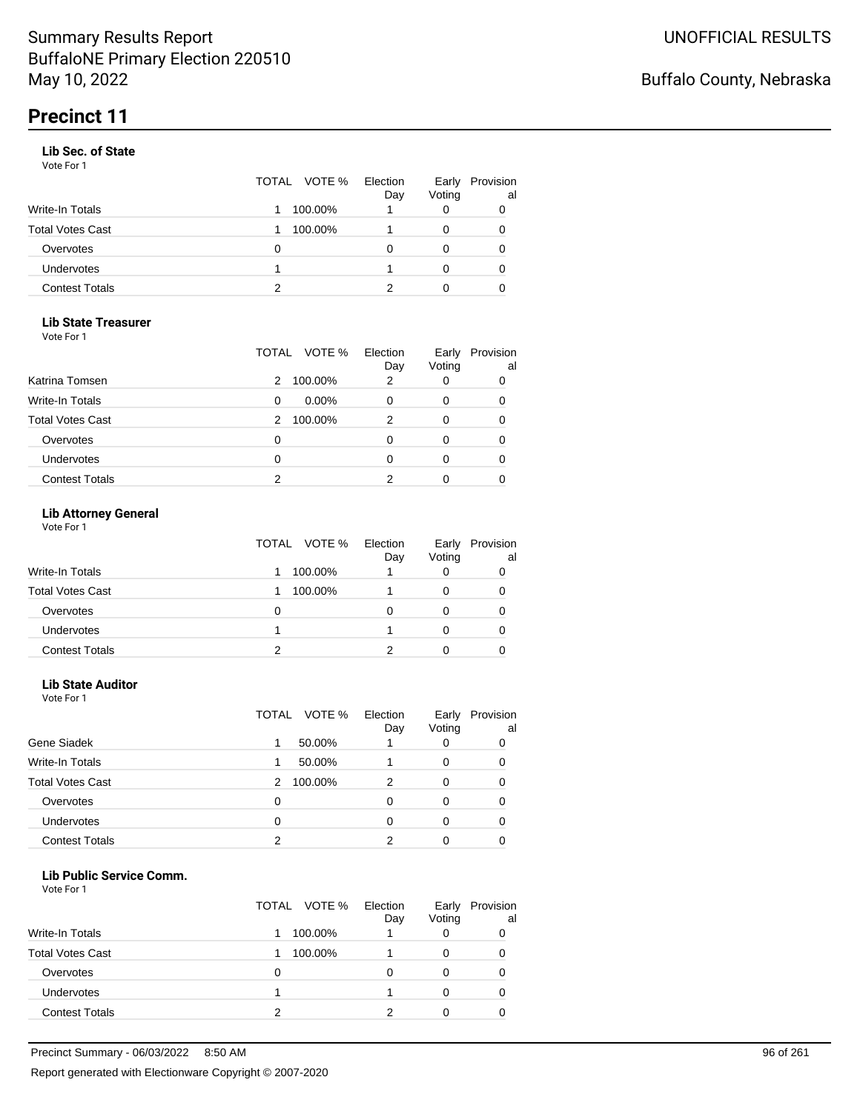#### **Lib Sec. of State**

Vote For 1

|                       |   | TOTAL VOTE % | Election<br>Day | Early<br>Voting | Provision<br>al |
|-----------------------|---|--------------|-----------------|-----------------|-----------------|
| Write-In Totals       |   | 100.00%      |                 |                 |                 |
| Total Votes Cast      |   | 100.00%      |                 |                 | 0               |
| Overvotes             | 0 |              |                 |                 | 0               |
| Undervotes            |   |              |                 |                 | 0               |
| <b>Contest Totals</b> | 2 |              |                 |                 |                 |

#### **Lib State Treasurer**

Vote For 1

|                         | TOTAL | VOTE %   | Election<br>Day | Early<br>Voting | Provision<br>al |
|-------------------------|-------|----------|-----------------|-----------------|-----------------|
| Katrina Tomsen          | 2     | 100.00%  | 2               | O               | 0               |
| Write-In Totals         | 0     | $0.00\%$ |                 | 0               | 0               |
| <b>Total Votes Cast</b> | 2     | 100.00%  | 2               | 0               | 0               |
| Overvotes               | 0     |          |                 | Ω               | 0               |
| Undervotes              | 0     |          |                 | 0               | 0               |
| <b>Contest Totals</b>   | 2     |          |                 |                 |                 |

### **Lib Attorney General**

Vote For 1

|                         | TOTAL VOTE % | Election<br>Day | Early<br>Voting | Provision<br>al |
|-------------------------|--------------|-----------------|-----------------|-----------------|
| <b>Write-In Totals</b>  | 100.00%      |                 |                 |                 |
| <b>Total Votes Cast</b> | 100.00%      |                 |                 |                 |
| Overvotes               | 0            |                 |                 |                 |
| <b>Undervotes</b>       |              |                 |                 | 0               |
| <b>Contest Totals</b>   | າ            |                 |                 |                 |

#### **Lib State Auditor**

Vote For 1

|                         | VOTE %<br>TOTAL | Election<br>Day | Early<br>Voting | Provision<br>al |
|-------------------------|-----------------|-----------------|-----------------|-----------------|
| Gene Siadek             | 50.00%<br>1     |                 |                 |                 |
| <b>Write-In Totals</b>  | 50.00%          |                 | 0               |                 |
| <b>Total Votes Cast</b> | 100.00%<br>2    | 2               | 0               |                 |
| Overvotes               | 0               | ი               |                 |                 |
| <b>Undervotes</b>       | 0               |                 |                 |                 |
| <b>Contest Totals</b>   | っ               |                 |                 |                 |

#### **Lib Public Service Comm.**

|                         | TOTAL VOTE % | Election<br>Day | Early<br>Voting | Provision<br>al |
|-------------------------|--------------|-----------------|-----------------|-----------------|
| <b>Write-In Totals</b>  | 100.00%      |                 |                 | 0               |
| <b>Total Votes Cast</b> | 100.00%      |                 |                 | 0               |
| Overvotes               | O            |                 |                 | 0               |
| Undervotes              |              |                 |                 | O               |
| <b>Contest Totals</b>   | າ            |                 |                 |                 |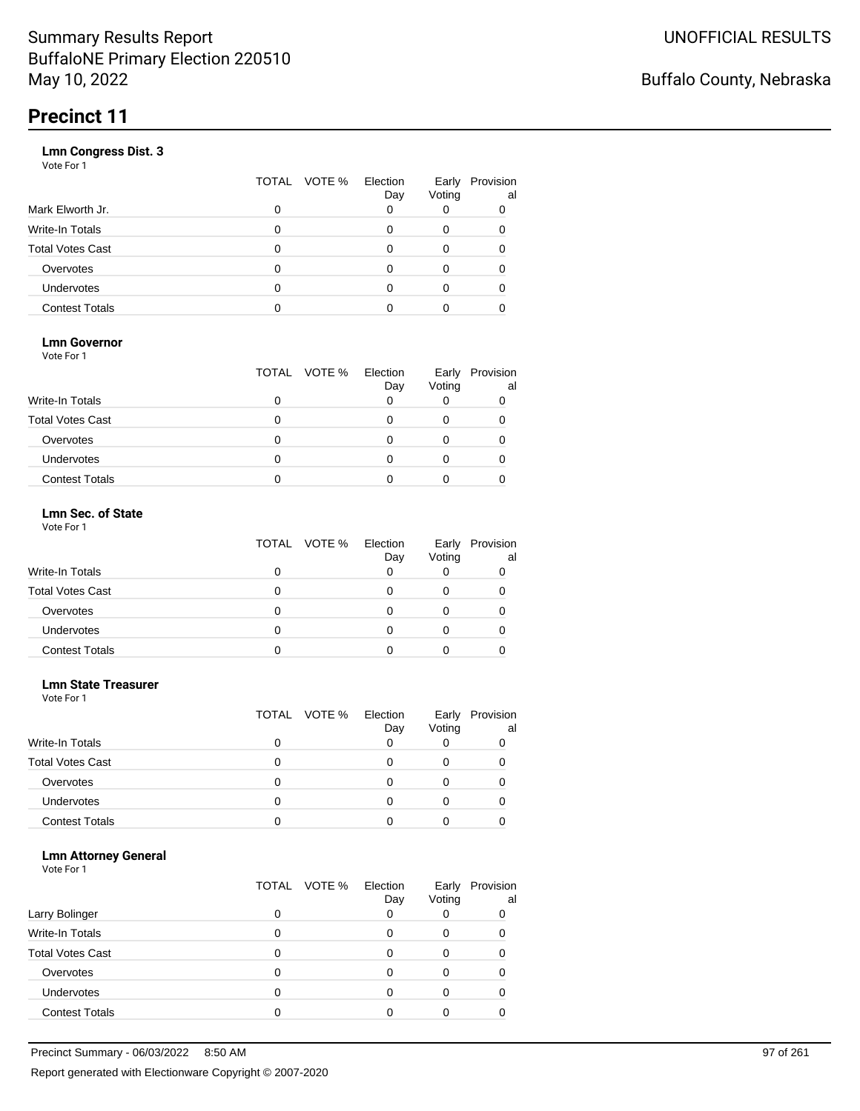|                       | VOTE %<br>TOTAL | Election<br>Day | Early<br>Voting | Provision<br>al |
|-----------------------|-----------------|-----------------|-----------------|-----------------|
| Mark Elworth Jr.      | 0               |                 |                 | 0               |
| Write-In Totals       | O               |                 | 0               | 0               |
| Total Votes Cast      | O               |                 | 0               |                 |
| Overvotes             | 0               |                 | 0               |                 |
| Undervotes            | O               |                 | Ω               |                 |
| <b>Contest Totals</b> |                 |                 |                 |                 |
|                       |                 |                 |                 |                 |

### **Lmn Governor**

Vote For 1

|                         | TOTAL VOTE % Election | Day | Early<br>Voting | Provision<br>al |
|-------------------------|-----------------------|-----|-----------------|-----------------|
| Write-In Totals         |                       |     |                 |                 |
| <b>Total Votes Cast</b> |                       |     |                 |                 |
| Overvotes               |                       |     |                 |                 |
| <b>Undervotes</b>       |                       |     |                 |                 |
| <b>Contest Totals</b>   |                       |     |                 |                 |

#### **Lmn Sec. of State** Vote For 1

|                         | TOTAL VOTE % | Election<br>Day | Early<br>Voting | Provision<br>al |
|-------------------------|--------------|-----------------|-----------------|-----------------|
| <b>Write-In Totals</b>  |              |                 |                 |                 |
| <b>Total Votes Cast</b> |              |                 |                 |                 |
| Overvotes               | 0            |                 |                 |                 |
| Undervotes              | O            |                 |                 |                 |
| <b>Contest Totals</b>   |              |                 |                 |                 |

# **Lmn State Treasurer**

| Vote For 1 |  |  |
|------------|--|--|
|------------|--|--|

|                         |   | TOTAL VOTE % Election | Day | Early<br>Voting | Provision<br>al |
|-------------------------|---|-----------------------|-----|-----------------|-----------------|
| <b>Write-In Totals</b>  | 0 |                       |     |                 |                 |
| <b>Total Votes Cast</b> | O |                       |     |                 |                 |
| Overvotes               | 0 |                       |     |                 |                 |
| <b>Undervotes</b>       | 0 |                       |     |                 |                 |
| <b>Contest Totals</b>   |   |                       |     |                 |                 |

#### **Lmn Attorney General**

| Larry Bolinger          | 0 | TOTAL VOTE % | Election<br>Day | Early<br>Voting | Provision<br>al<br>0 |
|-------------------------|---|--------------|-----------------|-----------------|----------------------|
|                         |   |              |                 |                 |                      |
| <b>Write-In Totals</b>  | 0 |              |                 |                 |                      |
| <b>Total Votes Cast</b> | O |              |                 |                 |                      |
| Overvotes               | O |              |                 |                 |                      |
| <b>Undervotes</b>       | O |              |                 |                 |                      |
| <b>Contest Totals</b>   |   |              |                 |                 |                      |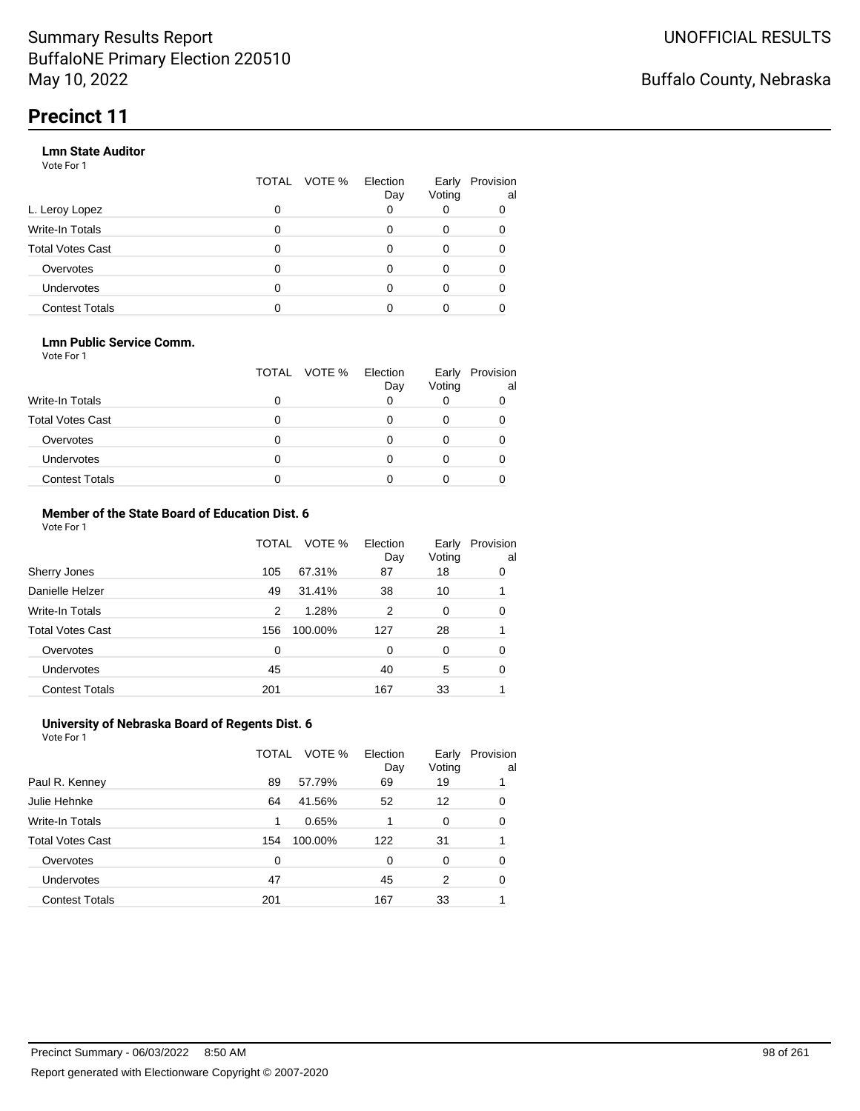#### **Lmn State Auditor**

Vote For 1

|                         | TOTAL | VOTE % Election | Day | Early<br>Voting | Provision<br>al |
|-------------------------|-------|-----------------|-----|-----------------|-----------------|
| L. Leroy Lopez          | 0     |                 |     |                 |                 |
| <b>Write-In Totals</b>  | 0     |                 |     | 0               |                 |
| <b>Total Votes Cast</b> | 0     |                 |     |                 |                 |
| Overvotes               | 0     |                 |     | 0               |                 |
| Undervotes              | 0     |                 |     |                 |                 |
| <b>Contest Totals</b>   |       |                 |     |                 |                 |

#### **Lmn Public Service Comm.**

Vote For 1

|                         |   | TOTAL VOTE % | Election<br>Day | Early<br>Voting | Provision<br>al |
|-------------------------|---|--------------|-----------------|-----------------|-----------------|
| <b>Write-In Totals</b>  |   |              |                 |                 |                 |
| <b>Total Votes Cast</b> |   |              |                 |                 |                 |
| Overvotes               |   |              |                 |                 |                 |
| <b>Undervotes</b>       | 0 |              |                 |                 |                 |
| <b>Contest Totals</b>   |   |              |                 |                 |                 |

#### **Member of the State Board of Education Dist. 6** Vote For 1

|                         | TOTAL    | VOTE %  | Election<br>Day | Early<br>Voting | Provision<br>al |
|-------------------------|----------|---------|-----------------|-----------------|-----------------|
| Sherry Jones            | 105      | 67.31%  | 87              | 18              | 0               |
| Danielle Helzer         | 49       | 31.41%  | 38              | 10              |                 |
| <b>Write-In Totals</b>  | 2        | 1.28%   | 2               | 0               | 0               |
| <b>Total Votes Cast</b> | 156      | 100.00% | 127             | 28              |                 |
| Overvotes               | $\Omega$ |         | $\Omega$        | $\Omega$        | 0               |
| <b>Undervotes</b>       | 45       |         | 40              | 5               | 0               |
| <b>Contest Totals</b>   | 201      |         | 167             | 33              |                 |

#### **University of Nebraska Board of Regents Dist. 6** Vote For 1

|                         | TOTAL | VOTE %  | Election<br>Day | Early<br>Voting | Provision<br>al |
|-------------------------|-------|---------|-----------------|-----------------|-----------------|
| Paul R. Kenney          | 89    | 57.79%  | 69              | 19              |                 |
| Julie Hehnke            | 64    | 41.56%  | 52              | 12              | 0               |
| <b>Write-In Totals</b>  | 1     | 0.65%   |                 | 0               | 0               |
| <b>Total Votes Cast</b> | 154   | 100.00% | 122             | 31              |                 |
| Overvotes               | 0     |         | 0               | $\Omega$        | 0               |
| Undervotes              | 47    |         | 45              | 2               | 0               |
| <b>Contest Totals</b>   | 201   |         | 167             | 33              |                 |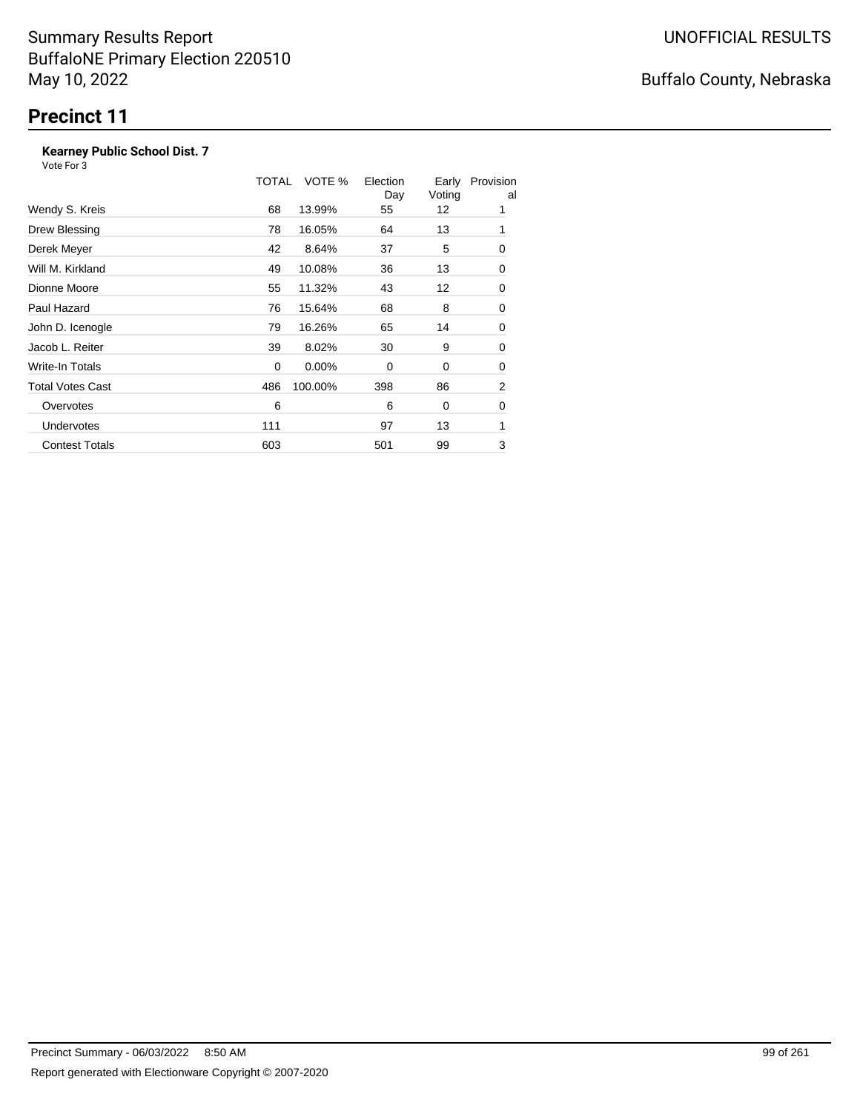### **Kearney Public School Dist. 7**

Vote For 3

|                         | TOTAL | VOTE %   | Election<br>Day | Early<br>Voting | Provision<br>al |
|-------------------------|-------|----------|-----------------|-----------------|-----------------|
| Wendy S. Kreis          | 68    | 13.99%   | 55              | 12              | 1               |
| Drew Blessing           | 78    | 16.05%   | 64              | 13              | 1               |
| Derek Meyer             | 42    | 8.64%    | 37              | 5               | 0               |
| Will M. Kirkland        | 49    | 10.08%   | 36              | 13              | 0               |
| Dionne Moore            | 55    | 11.32%   | 43              | 12              | 0               |
| Paul Hazard             | 76    | 15.64%   | 68              | 8               | 0               |
| John D. Icenogle        | 79    | 16.26%   | 65              | 14              | 0               |
| Jacob L. Reiter         | 39    | 8.02%    | 30              | 9               | 0               |
| Write-In Totals         | 0     | $0.00\%$ | 0               | 0               | 0               |
| <b>Total Votes Cast</b> | 486   | 100.00%  | 398             | 86              | 2               |
| Overvotes               | 6     |          | 6               | 0               | 0               |
| <b>Undervotes</b>       | 111   |          | 97              | 13              | 1               |
| <b>Contest Totals</b>   | 603   |          | 501             | 99              | 3               |

# Buffalo County, Nebraska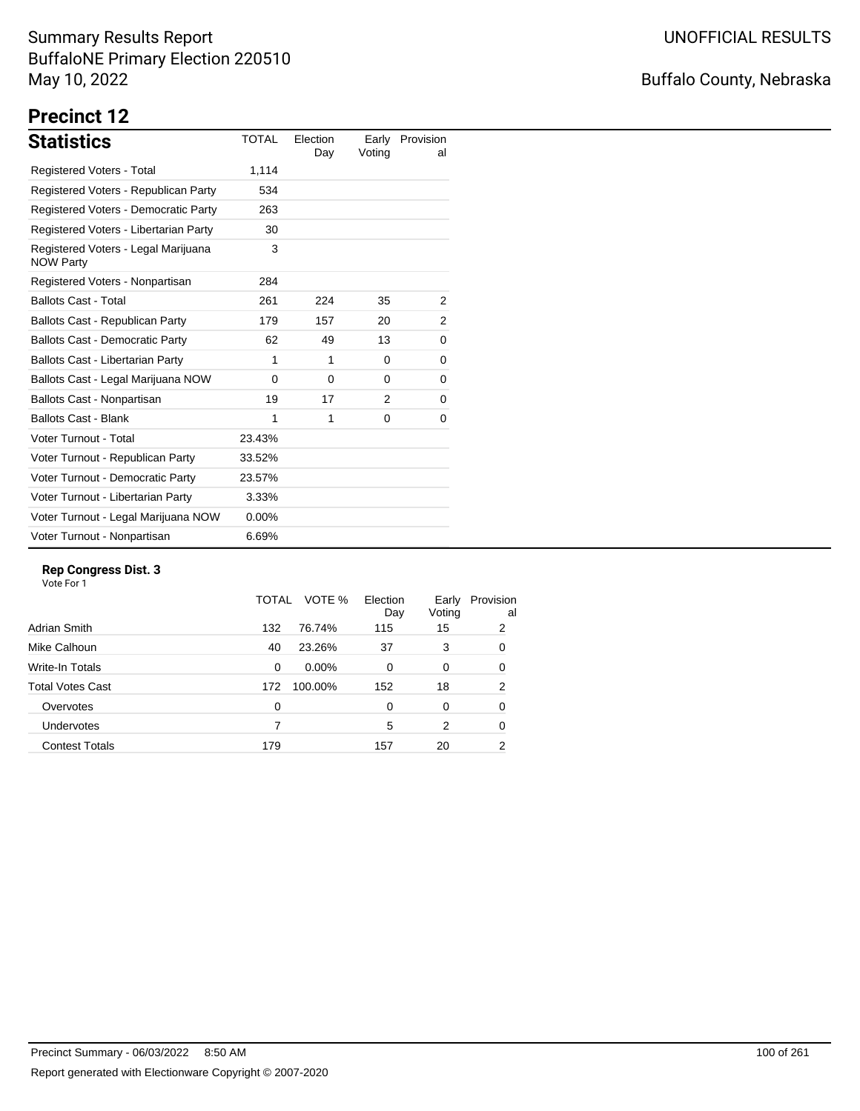# Buffalo County, Nebraska

# **Precinct 12**

| <b>Statistics</b>                                       | <b>TOTAL</b> | Election<br>Day | Early<br>Voting | Provision<br>al |
|---------------------------------------------------------|--------------|-----------------|-----------------|-----------------|
| Registered Voters - Total                               | 1,114        |                 |                 |                 |
| Registered Voters - Republican Party                    | 534          |                 |                 |                 |
| Registered Voters - Democratic Party                    | 263          |                 |                 |                 |
| Registered Voters - Libertarian Party                   | 30           |                 |                 |                 |
| Registered Voters - Legal Marijuana<br><b>NOW Party</b> | 3            |                 |                 |                 |
| Registered Voters - Nonpartisan                         | 284          |                 |                 |                 |
| <b>Ballots Cast - Total</b>                             | 261          | 224             | 35              | 2               |
| Ballots Cast - Republican Party                         | 179          | 157             | 20              | 2               |
| <b>Ballots Cast - Democratic Party</b>                  | 62           | 49              | 13              | 0               |
| <b>Ballots Cast - Libertarian Party</b>                 | 1            | 1               | 0               | 0               |
| Ballots Cast - Legal Marijuana NOW                      | $\Omega$     | $\Omega$        | $\Omega$        | 0               |
| Ballots Cast - Nonpartisan                              | 19           | 17              | 2               | 0               |
| <b>Ballots Cast - Blank</b>                             | 1            | 1               | 0               | 0               |
| Voter Turnout - Total                                   | 23.43%       |                 |                 |                 |
| Voter Turnout - Republican Party                        | 33.52%       |                 |                 |                 |
| Voter Turnout - Democratic Party                        | 23.57%       |                 |                 |                 |
| Voter Turnout - Libertarian Party                       | 3.33%        |                 |                 |                 |
| Voter Turnout - Legal Marijuana NOW                     | $0.00\%$     |                 |                 |                 |
| Voter Turnout - Nonpartisan                             | 6.69%        |                 |                 |                 |

#### **Rep Congress Dist. 3**

|                         | TOTAL | VOTE %   | Election<br>Day | Early<br>Voting | Provision<br>al |
|-------------------------|-------|----------|-----------------|-----------------|-----------------|
| Adrian Smith            | 132   | 76.74%   | 115             | 15              | 2               |
| Mike Calhoun            | 40    | 23.26%   | 37              | 3               | 0               |
| Write-In Totals         | 0     | $0.00\%$ | $\Omega$        | 0               | 0               |
| <b>Total Votes Cast</b> | 172   | 100.00%  | 152             | 18              | 2               |
| Overvotes               | 0     |          | 0               | 0               | 0               |
| Undervotes              | 7     |          | 5               | 2               | 0               |
| <b>Contest Totals</b>   | 179   |          | 157             | 20              | 2               |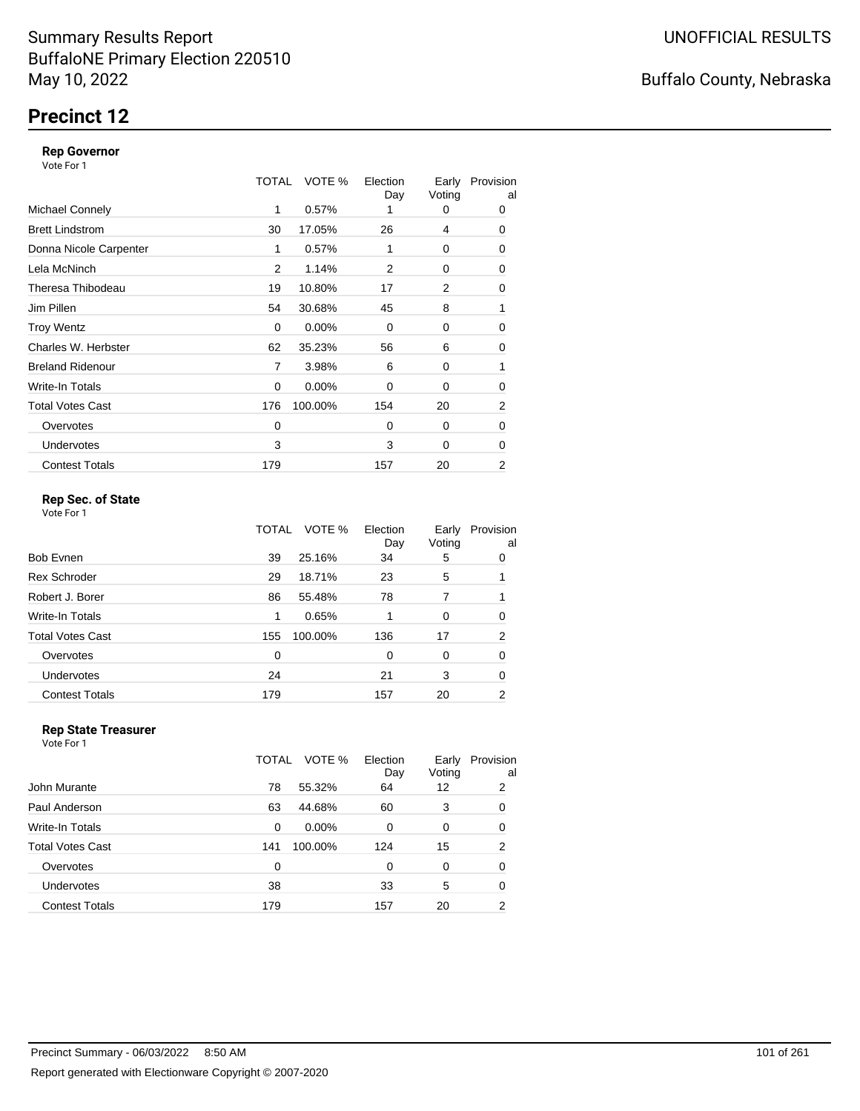### **Precinct 12**

#### **Rep Governor**

Vote For 1

|                         | TOTAL | VOTE %   | Election<br>Day | Early<br>Voting | Provision<br>al |
|-------------------------|-------|----------|-----------------|-----------------|-----------------|
| <b>Michael Connely</b>  | 1     | 0.57%    |                 | 0               | 0               |
| <b>Brett Lindstrom</b>  | 30    | 17.05%   | 26              | 4               | 0               |
| Donna Nicole Carpenter  | 1     | 0.57%    | 1               | 0               | 0               |
| Lela McNinch            | 2     | 1.14%    | 2               | 0               | 0               |
| Theresa Thibodeau       | 19    | 10.80%   | 17              | 2               | 0               |
| Jim Pillen              | 54    | 30.68%   | 45              | 8               | 1               |
| <b>Troy Wentz</b>       | 0     | $0.00\%$ | $\Omega$        | 0               | 0               |
| Charles W. Herbster     | 62    | 35.23%   | 56              | 6               | 0               |
| <b>Breland Ridenour</b> | 7     | 3.98%    | 6               | 0               | 1               |
| Write-In Totals         | 0     | $0.00\%$ | $\Omega$        | 0               | 0               |
| <b>Total Votes Cast</b> | 176   | 100.00%  | 154             | 20              | $\overline{2}$  |
| Overvotes               | 0     |          | $\Omega$        | 0               | 0               |
| <b>Undervotes</b>       | 3     |          | 3               | 0               | 0               |
| <b>Contest Totals</b>   | 179   |          | 157             | 20              | 2               |

### **Rep Sec. of State**

Vote For 1

|                         | TOTAL | VOTE %  | Election<br>Day | Early<br>Voting | Provision<br>al |
|-------------------------|-------|---------|-----------------|-----------------|-----------------|
| Bob Evnen               | 39    | 25.16%  | 34              | 5               | 0               |
| <b>Rex Schroder</b>     | 29    | 18.71%  | 23              | 5               |                 |
| Robert J. Borer         | 86    | 55.48%  | 78              | 7               |                 |
| Write-In Totals         | 1     | 0.65%   |                 | 0               | 0               |
| <b>Total Votes Cast</b> | 155   | 100.00% | 136             | 17              | 2               |
| Overvotes               | 0     |         | $\Omega$        | 0               | 0               |
| Undervotes              | 24    |         | 21              | 3               | 0               |
| <b>Contest Totals</b>   | 179   |         | 157             | 20              | 2               |

#### **Rep State Treasurer** Vote For 1

|                         | TOTAL | VOTE %   | Election<br>Day | Early<br>Voting | Provision<br>al |
|-------------------------|-------|----------|-----------------|-----------------|-----------------|
| John Murante            | 78    | 55.32%   | 64              | 12              | 2               |
| Paul Anderson           | 63    | 44.68%   | 60              | 3               | 0               |
| <b>Write-In Totals</b>  | 0     | $0.00\%$ | $\Omega$        | $\Omega$        | 0               |
| <b>Total Votes Cast</b> | 141   | 100.00%  | 124             | 15              | 2               |
| Overvotes               | 0     |          | 0               | $\Omega$        | 0               |
| Undervotes              | 38    |          | 33              | 5               | 0               |
| <b>Contest Totals</b>   | 179   |          | 157             | 20              | 2               |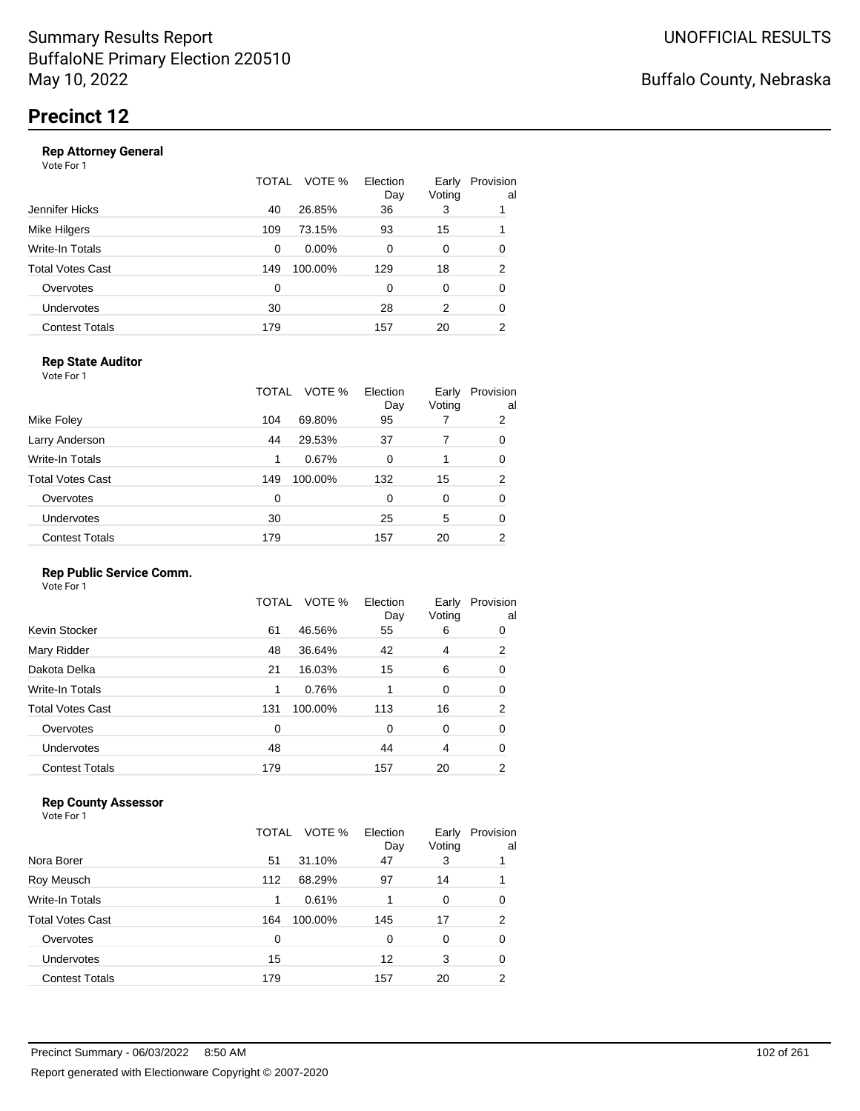|                       | TOTAL | VOTE %   | Election<br>Day | Early<br>Voting | Provision<br>al |
|-----------------------|-------|----------|-----------------|-----------------|-----------------|
| Jennifer Hicks        | 40    | 26.85%   | 36              | 3               |                 |
| Mike Hilgers          | 109   | 73.15%   | 93              | 15              |                 |
| Write-In Totals       | 0     | $0.00\%$ | 0               | 0               | 0               |
| Total Votes Cast      | 149   | 100.00%  | 129             | 18              | $\overline{2}$  |
| Overvotes             | 0     |          | 0               | 0               | 0               |
| Undervotes            | 30    |          | 28              | 2               | 0               |
| <b>Contest Totals</b> | 179   |          | 157             | 20              | 2               |
|                       |       |          |                 |                 |                 |

### **Rep State Auditor**

Vote For 1

|                         | TOTAL | VOTE %  | Election<br>Day | Early<br>Voting | Provision<br>al |
|-------------------------|-------|---------|-----------------|-----------------|-----------------|
| Mike Foley              | 104   | 69.80%  | 95              |                 | 2               |
| Larry Anderson          | 44    | 29.53%  | 37              | 7               | 0               |
| Write-In Totals         | 1     | 0.67%   | 0               |                 | 0               |
| <b>Total Votes Cast</b> | 149   | 100.00% | 132             | 15              | 2               |
| Overvotes               | 0     |         | $\Omega$        | 0               | 0               |
| <b>Undervotes</b>       | 30    |         | 25              | 5               | 0               |
| <b>Contest Totals</b>   | 179   |         | 157             | 20              | 2               |

#### **Rep Public Service Comm.**

Vote For 1

|                         | TOTAL | VOTE %  | Election<br>Day | Early<br>Voting | Provision<br>al |
|-------------------------|-------|---------|-----------------|-----------------|-----------------|
| Kevin Stocker           | 61    | 46.56%  | 55              | 6               | 0               |
| Mary Ridder             | 48    | 36.64%  | 42              | 4               | 2               |
| Dakota Delka            | 21    | 16.03%  | 15              | 6               | 0               |
| Write-In Totals         | 1     | 0.76%   |                 | 0               | 0               |
| <b>Total Votes Cast</b> | 131   | 100.00% | 113             | 16              | 2               |
| Overvotes               | 0     |         | 0               | 0               | 0               |
| Undervotes              | 48    |         | 44              | 4               | 0               |
| <b>Contest Totals</b>   | 179   |         | 157             | 20              | 2               |
|                         |       |         |                 |                 |                 |

### **Rep County Assessor**

|                       | TOTAL | VOTE %  | Election<br>Day | Early<br>Voting | Provision<br>al |
|-----------------------|-------|---------|-----------------|-----------------|-----------------|
| Nora Borer            | 51    | 31.10%  | 47              | 3               |                 |
| Roy Meusch            | 112   | 68.29%  | 97              | 14              |                 |
| Write-In Totals       | 1     | 0.61%   |                 | 0               | 0               |
| Total Votes Cast      | 164   | 100.00% | 145             | 17              | $\overline{2}$  |
| Overvotes             | 0     |         | 0               | 0               | 0               |
| Undervotes            | 15    |         | 12              | 3               | 0               |
| <b>Contest Totals</b> | 179   |         | 157             | 20              | 2               |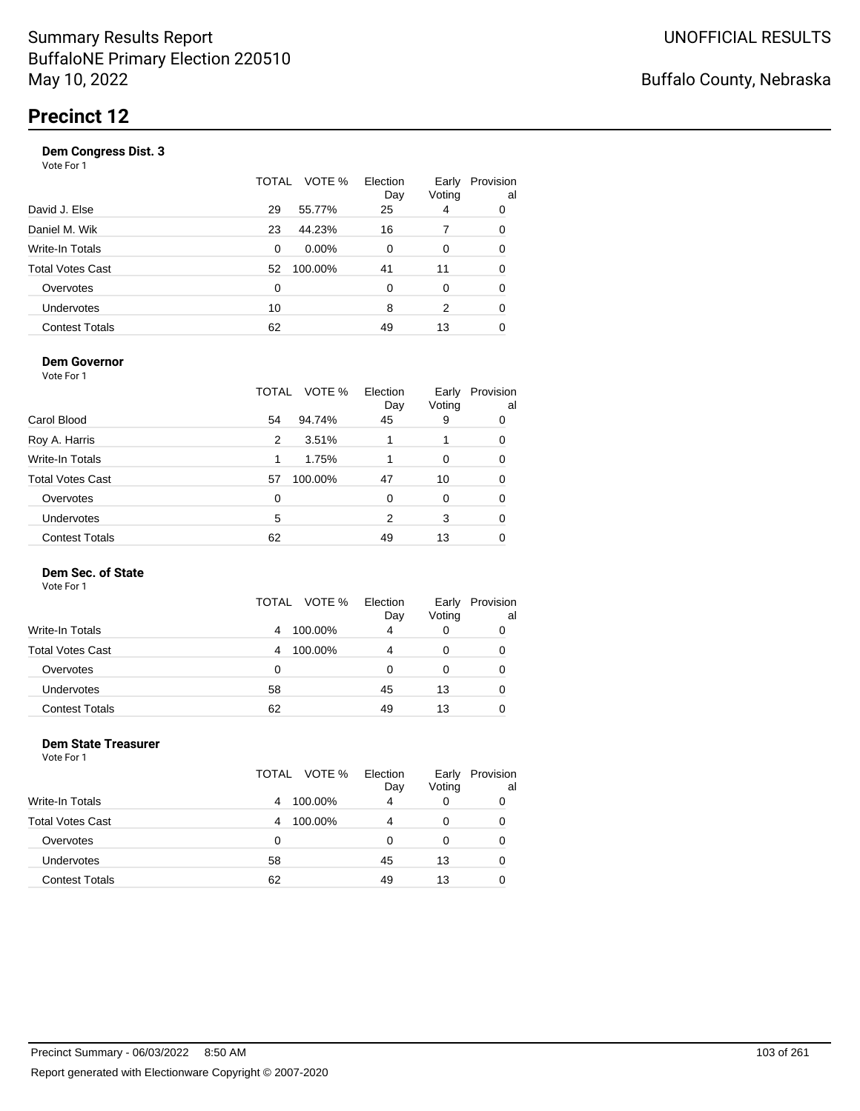|                       | TOTAL    | VOTE %   | Election<br>Day | Early<br>Voting | Provision<br>al |
|-----------------------|----------|----------|-----------------|-----------------|-----------------|
| David J. Else         | 29       | 55.77%   | 25              | 4               | 0               |
| Daniel M. Wik         | 23       | 44.23%   | 16              | 7               | 0               |
| Write-In Totals       | 0        | $0.00\%$ | 0               | 0               | 0               |
| Total Votes Cast      | 52       | 100.00%  | 41              | 11              | 0               |
| Overvotes             | $\Omega$ |          | $\Omega$        | $\Omega$        | 0               |
| <b>Undervotes</b>     | 10       |          | 8               | 2               | 0               |
| <b>Contest Totals</b> | 62       |          | 49              | 13              |                 |

#### **Dem Governor**

Vote For 1

|                         | TOTAL | VOTE %  | Election<br>Day | Early<br>Voting | Provision<br>al |
|-------------------------|-------|---------|-----------------|-----------------|-----------------|
| Carol Blood             | 54    | 94.74%  | 45              | 9               | 0               |
| Roy A. Harris           | 2     | 3.51%   | 1               |                 | 0               |
| Write-In Totals         | 1     | 1.75%   |                 | 0               | 0               |
| <b>Total Votes Cast</b> | 57    | 100.00% | 47              | 10              | 0               |
| Overvotes               | 0     |         | 0               | O               | 0               |
| Undervotes              | 5     |         | 2               | 3               | 0               |
| <b>Contest Totals</b>   | 62    |         | 49              | 13              | O               |

### **Dem Sec. of State**

Vote For 1

|                         | TOTAL<br>VOTE % | Election<br>Day | Early<br>Voting | Provision<br>al |
|-------------------------|-----------------|-----------------|-----------------|-----------------|
| Write-In Totals         | 100.00%<br>4    | 4               |                 |                 |
| <b>Total Votes Cast</b> | 100.00%<br>4    | 4               |                 |                 |
| Overvotes               | 0               | Ω               |                 |                 |
| Undervotes              | 58              | 45              | 13              |                 |
| <b>Contest Totals</b>   | 62              | 49              | 13              |                 |

#### **Dem State Treasurer** Vote For 1

|                         | TOTAL VOTE % | Election<br>Day | Early<br>Voting | Provision<br>al |
|-------------------------|--------------|-----------------|-----------------|-----------------|
| <b>Write-In Totals</b>  | 100.00%<br>4 | 4               | 0               | 0               |
| <b>Total Votes Cast</b> | 100.00%<br>4 | 4               | 0               | 0               |
| Overvotes               | 0            | 0               | 0               | 0               |
| <b>Undervotes</b>       | 58           | 45              | 13              | 0               |
| <b>Contest Totals</b>   | 62           | 49              | 13              |                 |
|                         |              |                 |                 |                 |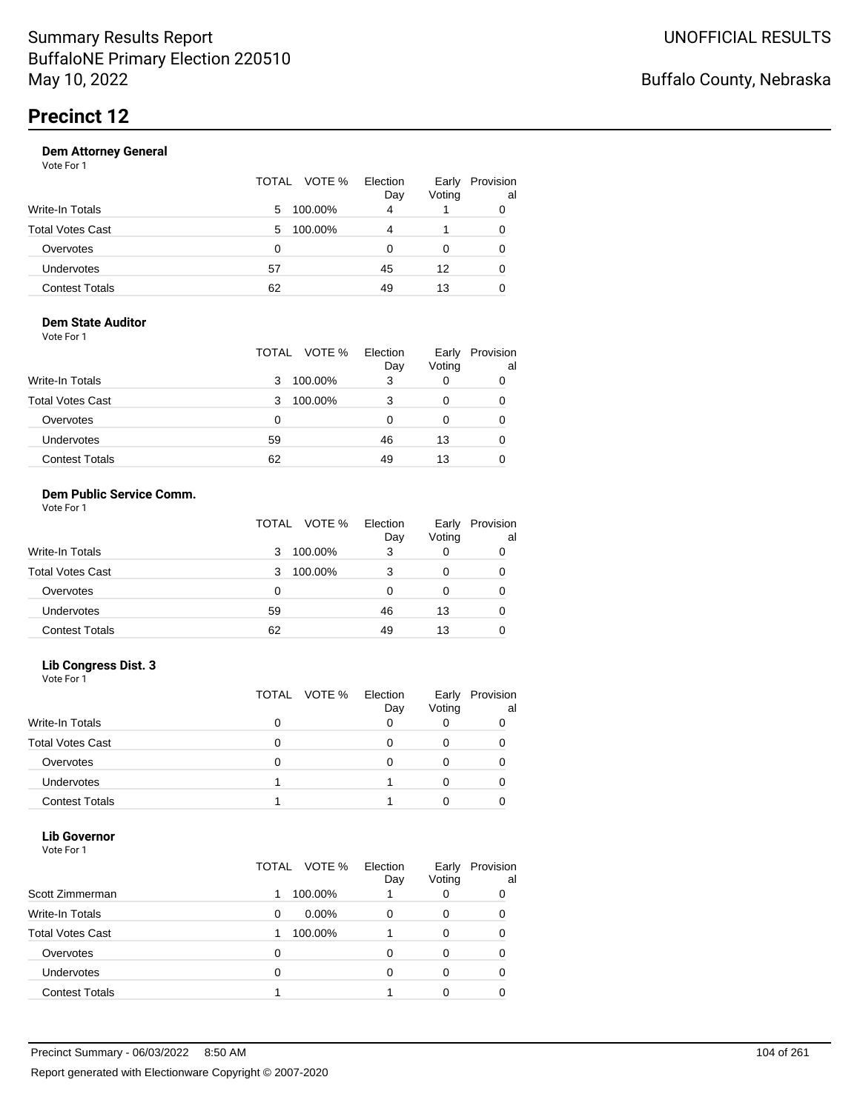|                       | TOTAL VOTE % |         | Election<br>Day | Provision<br>Early<br>Voting | al |
|-----------------------|--------------|---------|-----------------|------------------------------|----|
| Write-In Totals       | 5.           | 100.00% | 4               |                              |    |
| Total Votes Cast      | 5            | 100.00% | 4               |                              | 0  |
| Overvotes             | 0            |         | O               | 0                            |    |
| Undervotes            | 57           |         | 45              | 12                           | 0  |
| <b>Contest Totals</b> | 62           |         | 49              | 13                           |    |

#### **Dem State Auditor** Vote For 1

|                         | VOTE %<br>TOTAL | Election<br>Day | Early<br>Voting | Provision<br>al |
|-------------------------|-----------------|-----------------|-----------------|-----------------|
| <b>Write-In Totals</b>  | 100.00%<br>3    | 3               | 0               |                 |
| <b>Total Votes Cast</b> | 100.00%<br>3    | 3               | 0               |                 |
| Overvotes               | 0               | O               | O               | 0               |
| Undervotes              | 59              | 46              | 13              |                 |
| <b>Contest Totals</b>   | 62              | 49              | 13              |                 |

#### **Dem Public Service Comm.** Vote For 1

|                         | TOTAL VOTE % | Election<br>Day | Early<br>Voting | Provision<br>al |
|-------------------------|--------------|-----------------|-----------------|-----------------|
| <b>Write-In Totals</b>  | 100.00%<br>3 | 3               |                 |                 |
| <b>Total Votes Cast</b> | 100.00%<br>3 | 3               | 0               |                 |
| Overvotes               | 0            |                 | 0               |                 |
| Undervotes              | 59           | 46              | 13              |                 |
| <b>Contest Totals</b>   | 62           | 49              | 13              |                 |

### **Lib Congress Dist. 3**

Vote For 1

|                         |   | TOTAL VOTE % | Election<br>Day | Early<br>Voting | Provision<br>al |
|-------------------------|---|--------------|-----------------|-----------------|-----------------|
| <b>Write-In Totals</b>  |   |              |                 |                 |                 |
| <b>Total Votes Cast</b> |   |              |                 |                 |                 |
| Overvotes               | O |              |                 |                 |                 |
| <b>Undervotes</b>       |   |              |                 |                 |                 |
| <b>Contest Totals</b>   |   |              |                 |                 |                 |

#### **Lib Governor** Vote For 1

| VULTUII                 |       |          |                 |                 |                 |
|-------------------------|-------|----------|-----------------|-----------------|-----------------|
|                         | TOTAL | VOTE %   | Election<br>Day | Early<br>Voting | Provision<br>al |
| Scott Zimmerman         |       | 100.00%  |                 | 0               | 0               |
| <b>Write-In Totals</b>  | 0     | $0.00\%$ |                 | 0               | 0               |
| <b>Total Votes Cast</b> |       | 100.00%  |                 | 0               | 0               |
| Overvotes               | 0     |          | n               | 0               | Ω               |
| Undervotes              | 0     |          |                 |                 |                 |
| <b>Contest Totals</b>   |       |          |                 |                 |                 |
|                         |       |          |                 |                 |                 |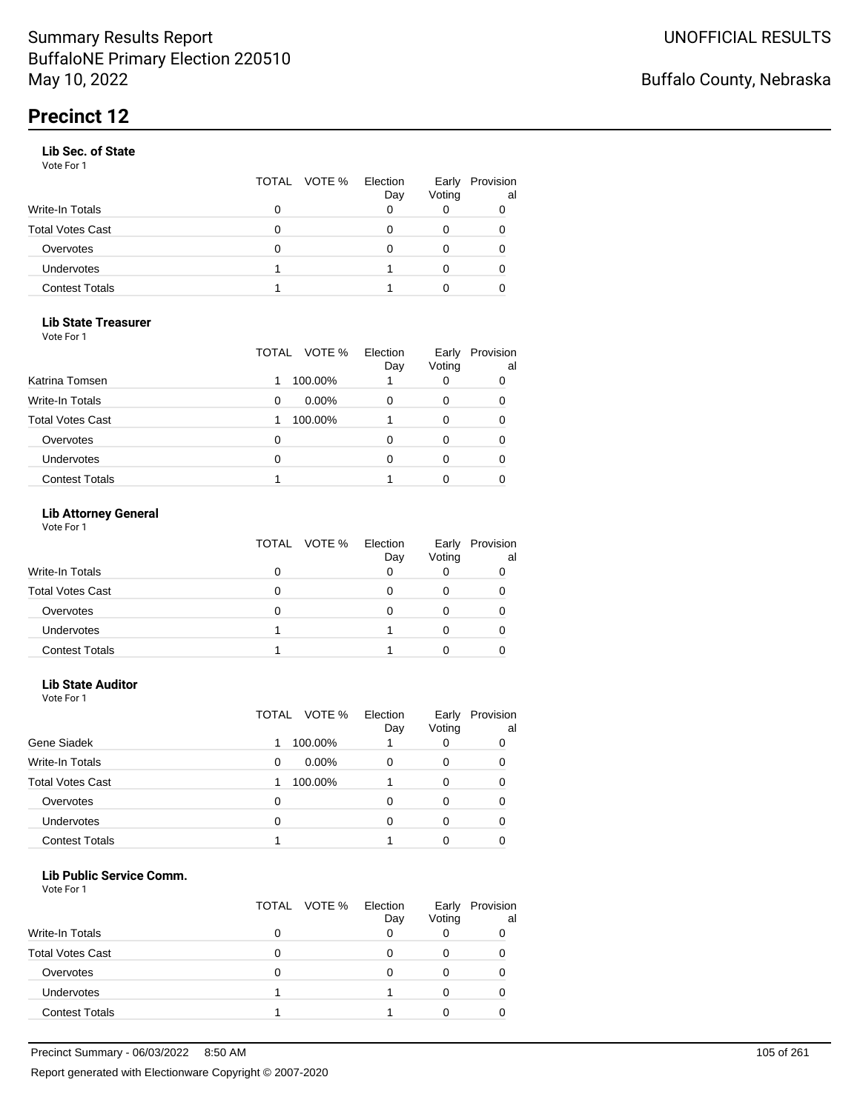#### **Lib Sec. of State**

Vote For 1

|                       |   | TOTAL VOTE % | Election<br>Day | Early<br>Voting | Provision<br>al |
|-----------------------|---|--------------|-----------------|-----------------|-----------------|
| Write-In Totals       | 0 |              |                 |                 |                 |
| Total Votes Cast      | 0 |              |                 |                 |                 |
| Overvotes             | 0 |              |                 |                 |                 |
| Undervotes            |   |              |                 | 0               |                 |
| <b>Contest Totals</b> |   |              |                 |                 |                 |

#### **Lib State Treasurer**

Vote For 1

|                         | VOTE %<br>TOTAL | Election<br>Day | Early<br>Voting | Provision<br>al |
|-------------------------|-----------------|-----------------|-----------------|-----------------|
| Katrina Tomsen          | 100.00%         |                 | 0               | 0               |
| <b>Write-In Totals</b>  | $0.00\%$<br>0   | 0               | O               | 0               |
| <b>Total Votes Cast</b> | 100.00%         |                 | O               | 0               |
| Overvotes               | Ω               |                 |                 | O               |
| Undervotes              | 0               |                 |                 |                 |
| <b>Contest Totals</b>   |                 |                 |                 |                 |

### **Lib Attorney General**

Vote For 1

|                         | TOTAL VOTE % Election | Day | Early<br>Voting | Provision<br>al |
|-------------------------|-----------------------|-----|-----------------|-----------------|
| Write-In Totals         |                       |     |                 |                 |
| <b>Total Votes Cast</b> |                       |     |                 |                 |
| Overvotes               |                       |     |                 |                 |
| <b>Undervotes</b>       |                       |     |                 |                 |
| <b>Contest Totals</b>   |                       |     |                 |                 |

#### **Lib State Auditor**

Vote For 1

|                         | VOTE %<br>TOTAL | Election<br>Day | Early<br>Voting | Provision<br>al |
|-------------------------|-----------------|-----------------|-----------------|-----------------|
| Gene Siadek             | 100.00%         |                 |                 |                 |
| <b>Write-In Totals</b>  | $0.00\%$<br>0   | 0               | 0               | O               |
| <b>Total Votes Cast</b> | 100.00%         |                 | 0               |                 |
| Overvotes               | 0               | ი               | O               |                 |
| <b>Undervotes</b>       | 0               | 0               |                 |                 |
| <b>Contest Totals</b>   |                 |                 |                 |                 |

#### **Lib Public Service Comm.**

|                         | TOTAL VOTE % | Election<br>Day | Early<br>Voting | Provision<br>al |
|-------------------------|--------------|-----------------|-----------------|-----------------|
| <b>Write-In Totals</b>  |              |                 |                 |                 |
| <b>Total Votes Cast</b> |              |                 |                 |                 |
| Overvotes               |              |                 |                 |                 |
| Undervotes              |              |                 |                 |                 |
| <b>Contest Totals</b>   |              |                 |                 |                 |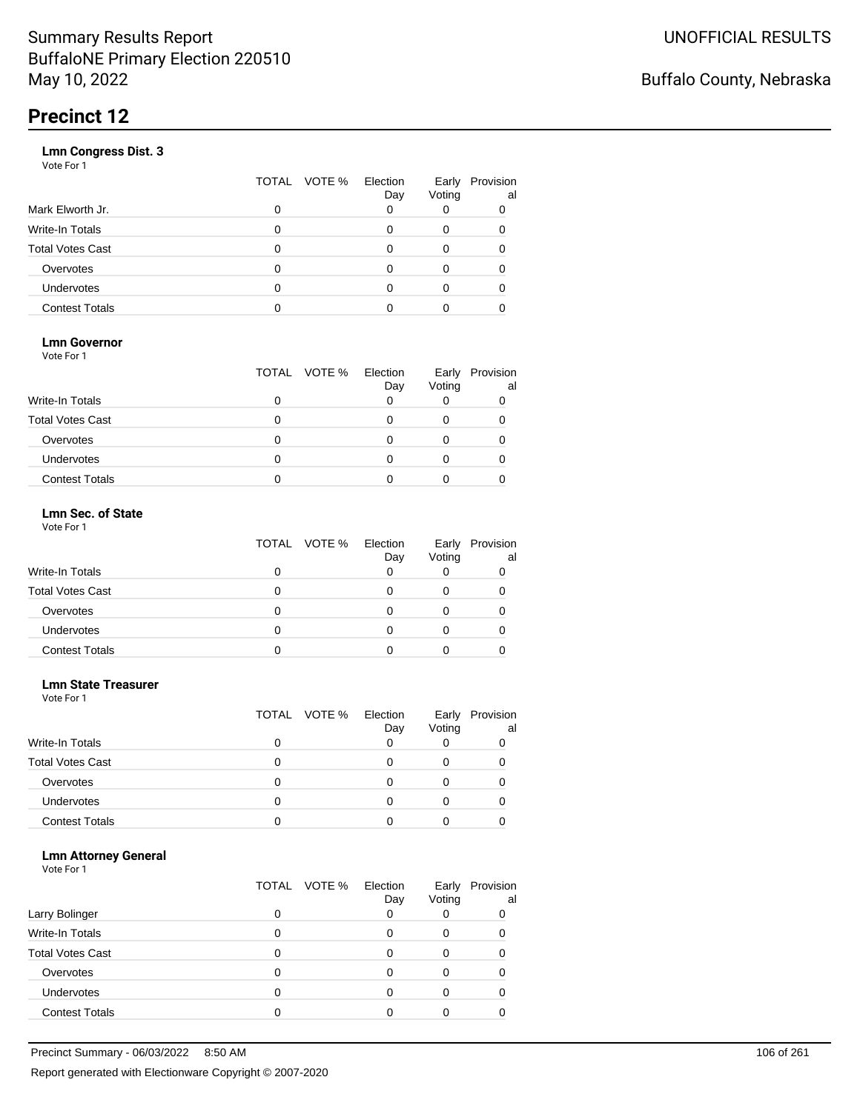|                       | VOTE %<br>TOTAL | Election<br>Day | Early<br>Voting | Provision<br>al |
|-----------------------|-----------------|-----------------|-----------------|-----------------|
| Mark Elworth Jr.      | 0               |                 |                 | 0               |
| Write-In Totals       | O               |                 | 0               | 0               |
| Total Votes Cast      | O               |                 | 0               |                 |
| Overvotes             | 0               |                 | 0               |                 |
| Undervotes            | O               |                 | Ω               |                 |
| <b>Contest Totals</b> |                 |                 |                 |                 |
|                       |                 |                 |                 |                 |

### **Lmn Governor**

Vote For 1

|                         | TOTAL VOTE % Election | Day | Early<br>Voting | Provision<br>al |
|-------------------------|-----------------------|-----|-----------------|-----------------|
| Write-In Totals         |                       |     |                 |                 |
| <b>Total Votes Cast</b> |                       |     |                 |                 |
| Overvotes               |                       |     |                 |                 |
| <b>Undervotes</b>       |                       |     |                 |                 |
| <b>Contest Totals</b>   |                       |     |                 |                 |

#### **Lmn Sec. of State** Vote For 1

|                         | TOTAL VOTE % Election | Day | Early<br>Voting | Provision<br>al |
|-------------------------|-----------------------|-----|-----------------|-----------------|
| Write-In Totals         |                       |     |                 |                 |
| <b>Total Votes Cast</b> |                       |     |                 |                 |
| Overvotes               | Ω                     |     |                 |                 |
| Undervotes              | Ω                     |     | 0               |                 |
| <b>Contest Totals</b>   |                       |     |                 |                 |

#### **Lmn State Treasurer**

Vote For 1

|                         |   | TOTAL VOTE % | Election<br>Day | Early<br>Voting | Provision<br>al |
|-------------------------|---|--------------|-----------------|-----------------|-----------------|
| <b>Write-In Totals</b>  | 0 |              |                 |                 |                 |
| <b>Total Votes Cast</b> | 0 |              |                 |                 |                 |
| Overvotes               | 0 |              |                 |                 |                 |
| <b>Undervotes</b>       | O |              |                 |                 |                 |
| <b>Contest Totals</b>   |   |              |                 |                 |                 |

#### **Lmn Attorney General**

|                         |   | TOTAL VOTE % | Election<br>Day | Early<br>Voting | Provision<br>al |
|-------------------------|---|--------------|-----------------|-----------------|-----------------|
| Larry Bolinger          |   |              |                 |                 | 0               |
| Write-In Totals         |   |              |                 | O               |                 |
| <b>Total Votes Cast</b> |   |              |                 |                 |                 |
| Overvotes               |   |              |                 |                 |                 |
| Undervotes              | 0 |              |                 |                 |                 |
| <b>Contest Totals</b>   |   |              |                 |                 |                 |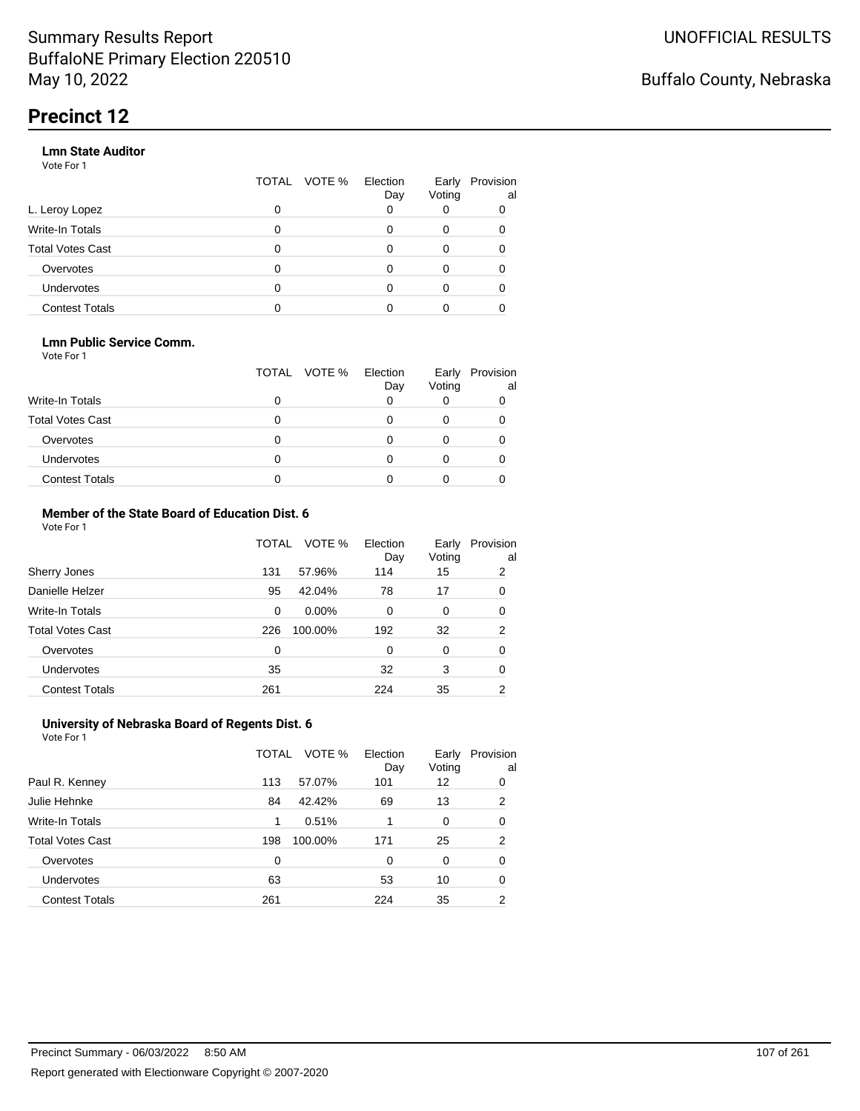#### **Lmn State Auditor**

Vote For 1

|                         | TOTAL | VOTE % Election | Day | Early<br>Voting | Provision<br>al |
|-------------------------|-------|-----------------|-----|-----------------|-----------------|
| L. Leroy Lopez          | 0     |                 |     |                 |                 |
| Write-In Totals         | 0     |                 |     | 0               |                 |
| <b>Total Votes Cast</b> | 0     |                 |     | 0               |                 |
| Overvotes               | 0     |                 |     | 0               |                 |
| Undervotes              | 0     |                 |     |                 |                 |
| <b>Contest Totals</b>   |       |                 |     |                 |                 |

#### **Lmn Public Service Comm.**

Vote For 1

|                         |   | TOTAL VOTE % | Election<br>Day | Early<br>Voting | Provision<br>al |
|-------------------------|---|--------------|-----------------|-----------------|-----------------|
| <b>Write-In Totals</b>  |   |              |                 |                 |                 |
| <b>Total Votes Cast</b> |   |              |                 |                 |                 |
| Overvotes               |   |              |                 |                 |                 |
| <b>Undervotes</b>       | 0 |              |                 |                 |                 |
| <b>Contest Totals</b>   |   |              |                 |                 |                 |

#### **Member of the State Board of Education Dist. 6** Vote For 1

|                         | TOTAL    | VOTE %   | Election<br>Day | Early<br>Voting | Provision<br>al |
|-------------------------|----------|----------|-----------------|-----------------|-----------------|
| Sherry Jones            | 131      | 57.96%   | 114             | 15              | 2               |
| Danielle Helzer         | 95       | 42.04%   | 78              | 17              | 0               |
| <b>Write-In Totals</b>  | $\Omega$ | $0.00\%$ | $\Omega$        | 0               | 0               |
| <b>Total Votes Cast</b> | 226      | 100.00%  | 192             | 32              | $\overline{2}$  |
| Overvotes               | 0        |          | $\Omega$        | $\Omega$        | 0               |
| <b>Undervotes</b>       | 35       |          | 32              | 3               | 0               |
| <b>Contest Totals</b>   | 261      |          | 224             | 35              | 2               |

#### **University of Nebraska Board of Regents Dist. 6** Vote For 1

|                         | TOTAL | VOTE %  | Election<br>Day | Early<br>Voting | Provision<br>al |
|-------------------------|-------|---------|-----------------|-----------------|-----------------|
| Paul R. Kenney          | 113   | 57.07%  | 101             | 12              | 0               |
| Julie Hehnke            | 84    | 42.42%  | 69              | 13              | 2               |
| <b>Write-In Totals</b>  | 1     | 0.51%   |                 | 0               | 0               |
| <b>Total Votes Cast</b> | 198   | 100.00% | 171             | 25              | 2               |
| Overvotes               | 0     |         | 0               | 0               | 0               |
| Undervotes              | 63    |         | 53              | 10              | 0               |
| <b>Contest Totals</b>   | 261   |         | 224             | 35              | 2               |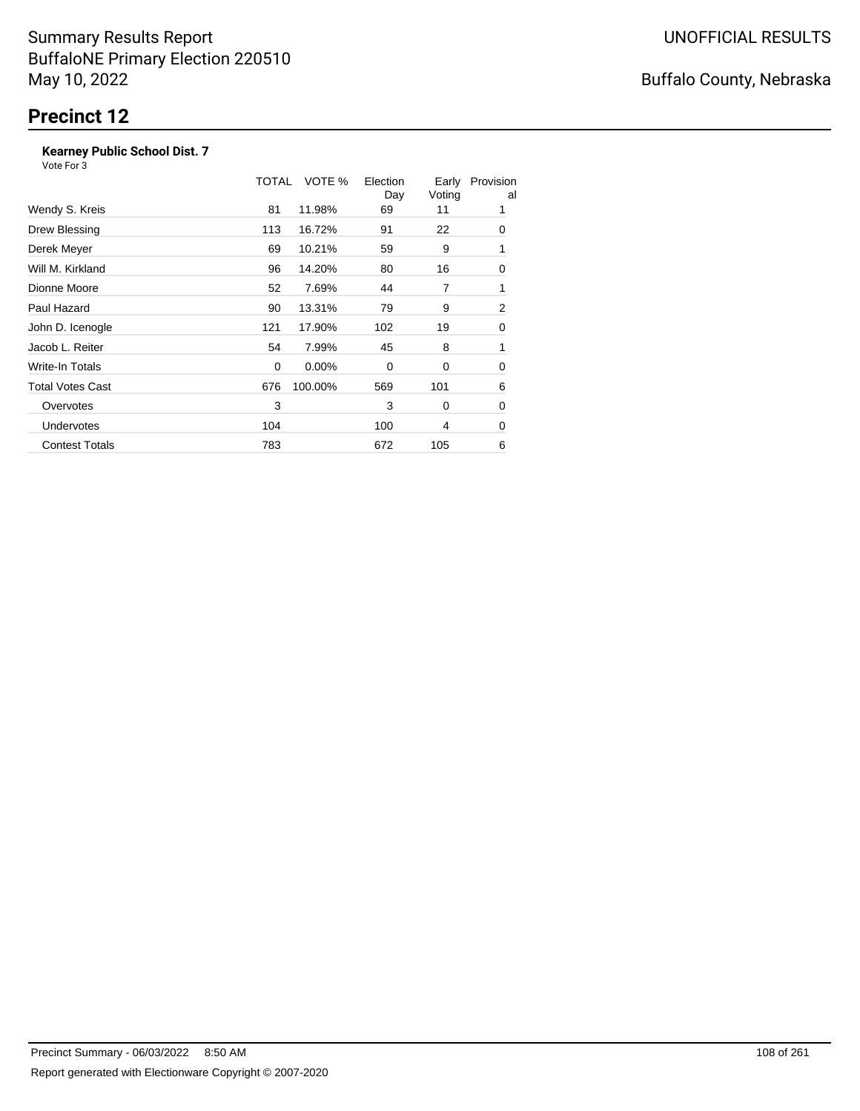### **Kearney Public School Dist. 7**

|                         | TOTAL       | VOTE %   | Election<br>Day | Early<br>Voting | Provision<br>al |
|-------------------------|-------------|----------|-----------------|-----------------|-----------------|
| Wendy S. Kreis          | 81          | 11.98%   | 69              | 11              | 1               |
| Drew Blessing           | 113         | 16.72%   | 91              | 22              | 0               |
| Derek Meyer             | 69          | 10.21%   | 59              | 9               | 1               |
| Will M. Kirkland        | 96          | 14.20%   | 80              | 16              | 0               |
| Dionne Moore            | 52          | 7.69%    | 44              | 7               | 1               |
| Paul Hazard             | 90          | 13.31%   | 79              | 9               | 2               |
| John D. Icenogle        | 121         | 17.90%   | 102             | 19              | 0               |
| Jacob L. Reiter         | 54          | 7.99%    | 45              | 8               | 1               |
| Write-In Totals         | $\mathbf 0$ | $0.00\%$ | 0               | 0               | 0               |
| <b>Total Votes Cast</b> | 676         | 100.00%  | 569             | 101             | 6               |
| Overvotes               | 3           |          | 3               | 0               | 0               |
| <b>Undervotes</b>       | 104         |          | 100             | 4               | 0               |
| <b>Contest Totals</b>   | 783         |          | 672             | 105             | 6               |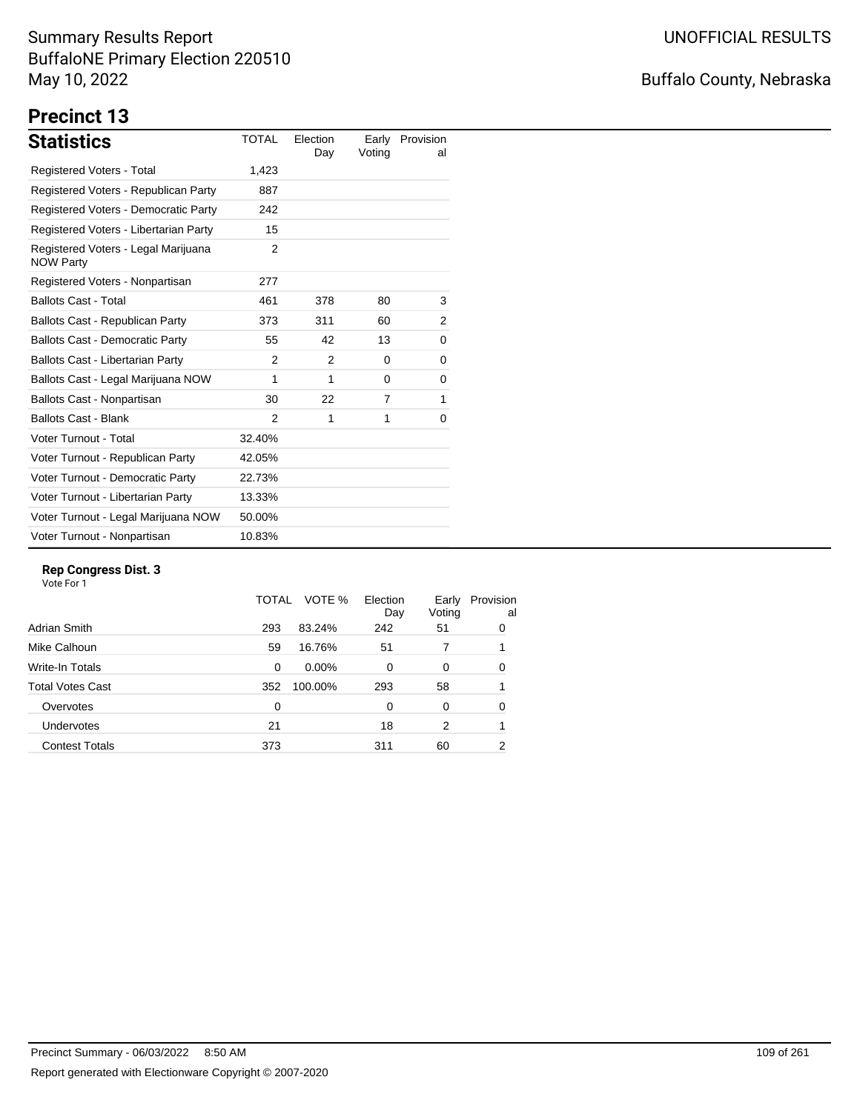# Buffalo County, Nebraska

# **Precinct 13**

| <b>Statistics</b>                                       | <b>TOTAL</b> | Election<br>Day | Early<br>Voting | Provision<br>al |
|---------------------------------------------------------|--------------|-----------------|-----------------|-----------------|
| Registered Voters - Total                               | 1,423        |                 |                 |                 |
| Registered Voters - Republican Party                    | 887          |                 |                 |                 |
| Registered Voters - Democratic Party                    | 242          |                 |                 |                 |
| Registered Voters - Libertarian Party                   | 15           |                 |                 |                 |
| Registered Voters - Legal Marijuana<br><b>NOW Party</b> | 2            |                 |                 |                 |
| Registered Voters - Nonpartisan                         | 277          |                 |                 |                 |
| <b>Ballots Cast - Total</b>                             | 461          | 378             | 80              | 3               |
| Ballots Cast - Republican Party                         | 373          | 311             | 60              | 2               |
| <b>Ballots Cast - Democratic Party</b>                  | 55           | 42              | 13              | 0               |
| <b>Ballots Cast - Libertarian Party</b>                 | 2            | 2               | 0               | 0               |
| Ballots Cast - Legal Marijuana NOW                      | 1            | 1               | $\Omega$        | 0               |
| Ballots Cast - Nonpartisan                              | 30           | 22              | 7               | 1               |
| <b>Ballots Cast - Blank</b>                             | 2            | 1               | 1               | 0               |
| Voter Turnout - Total                                   | 32.40%       |                 |                 |                 |
| Voter Turnout - Republican Party                        | 42.05%       |                 |                 |                 |
| Voter Turnout - Democratic Party                        | 22.73%       |                 |                 |                 |
| Voter Turnout - Libertarian Party                       | 13.33%       |                 |                 |                 |
| Voter Turnout - Legal Marijuana NOW                     | 50.00%       |                 |                 |                 |
| Voter Turnout - Nonpartisan                             | 10.83%       |                 |                 |                 |

### **Rep Congress Dist. 3**

|                       | TOTAL | VOTE %   | Election<br>Day | Early<br>Voting | Provision<br>al |
|-----------------------|-------|----------|-----------------|-----------------|-----------------|
| Adrian Smith          | 293   | 83.24%   | 242             | 51              | 0               |
| Mike Calhoun          | 59    | 16.76%   | 51              |                 | 1               |
| Write-In Totals       | 0     | $0.00\%$ | $\Omega$        | 0               | 0               |
| Total Votes Cast      | 352   | 100.00%  | 293             | 58              |                 |
| Overvotes             | 0     |          | $\Omega$        | 0               | 0               |
| <b>Undervotes</b>     | 21    |          | 18              | 2               |                 |
| <b>Contest Totals</b> | 373   |          | 311             | 60              | 2               |
|                       |       |          |                 |                 |                 |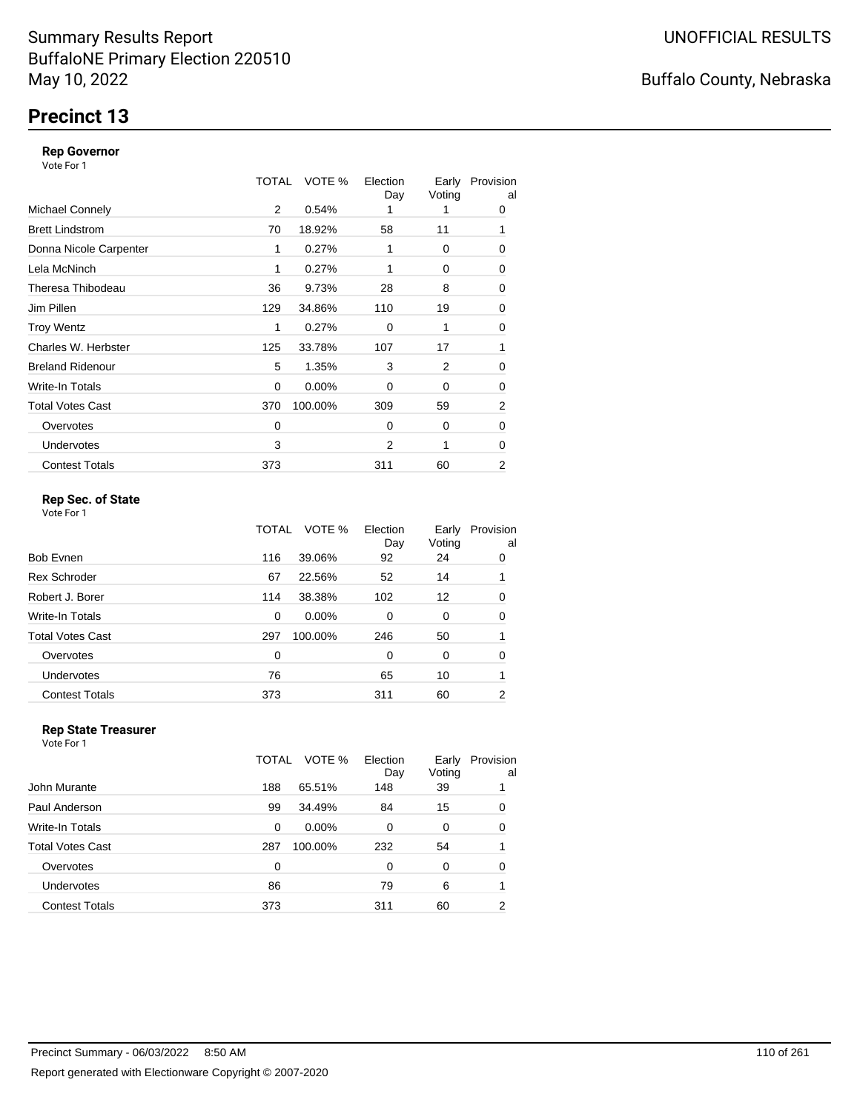# **Precinct 13**

### **Rep Governor**

Vote For 1

|                         | TOTAL | VOTE %   | Election<br>Day | Early<br>Voting | Provision<br>al |
|-------------------------|-------|----------|-----------------|-----------------|-----------------|
| <b>Michael Connely</b>  | 2     | 0.54%    |                 |                 | 0               |
| <b>Brett Lindstrom</b>  | 70    | 18.92%   | 58              | 11              | 1               |
| Donna Nicole Carpenter  | 1     | 0.27%    | 1               | 0               | 0               |
| Lela McNinch            | 1     | 0.27%    |                 | 0               | 0               |
| Theresa Thibodeau       | 36    | 9.73%    | 28              | 8               | 0               |
| Jim Pillen              | 129   | 34.86%   | 110             | 19              | 0               |
| <b>Troy Wentz</b>       | 1     | 0.27%    | $\Omega$        | 1               | 0               |
| Charles W. Herbster     | 125   | 33.78%   | 107             | 17              | 1               |
| <b>Breland Ridenour</b> | 5     | 1.35%    | 3               | 2               | 0               |
| Write-In Totals         | 0     | $0.00\%$ | $\Omega$        | 0               | 0               |
| <b>Total Votes Cast</b> | 370   | 100.00%  | 309             | 59              | $\overline{2}$  |
| Overvotes               | 0     |          | $\Omega$        | 0               | 0               |
| <b>Undervotes</b>       | 3     |          | $\overline{2}$  | 1               | 0               |
| <b>Contest Totals</b>   | 373   |          | 311             | 60              | 2               |

### **Rep Sec. of State**

Vote For 1

|                         | TOTAL | VOTE %  | Election<br>Day | Early<br>Voting | Provision<br>al |
|-------------------------|-------|---------|-----------------|-----------------|-----------------|
| Bob Evnen               | 116   | 39.06%  | 92              | 24              | 0               |
| <b>Rex Schroder</b>     | 67    | 22.56%  | 52              | 14              |                 |
| Robert J. Borer         | 114   | 38.38%  | 102             | 12              | 0               |
| Write-In Totals         | 0     | 0.00%   | $\Omega$        | 0               | 0               |
| <b>Total Votes Cast</b> | 297   | 100.00% | 246             | 50              |                 |
| Overvotes               | 0     |         | $\Omega$        | 0               | 0               |
| Undervotes              | 76    |         | 65              | 10              | 1               |
| <b>Contest Totals</b>   | 373   |         | 311             | 60              | 2               |

#### **Rep State Treasurer** Vote For 1

|                       | TOTAL | VOTE %   | Election<br>Day | Early<br>Voting | Provision<br>al |
|-----------------------|-------|----------|-----------------|-----------------|-----------------|
| John Murante          | 188   | 65.51%   | 148             | 39              |                 |
| Paul Anderson         | 99    | 34.49%   | 84              | 15              | 0               |
| Write-In Totals       | 0     | $0.00\%$ | 0               | 0               | 0               |
| Total Votes Cast      | 287   | 100.00%  | 232             | 54              |                 |
| Overvotes             | 0     |          | 0               | 0               | 0               |
| Undervotes            | 86    |          | 79              | 6               |                 |
| <b>Contest Totals</b> | 373   |          | 311             | 60              | 2               |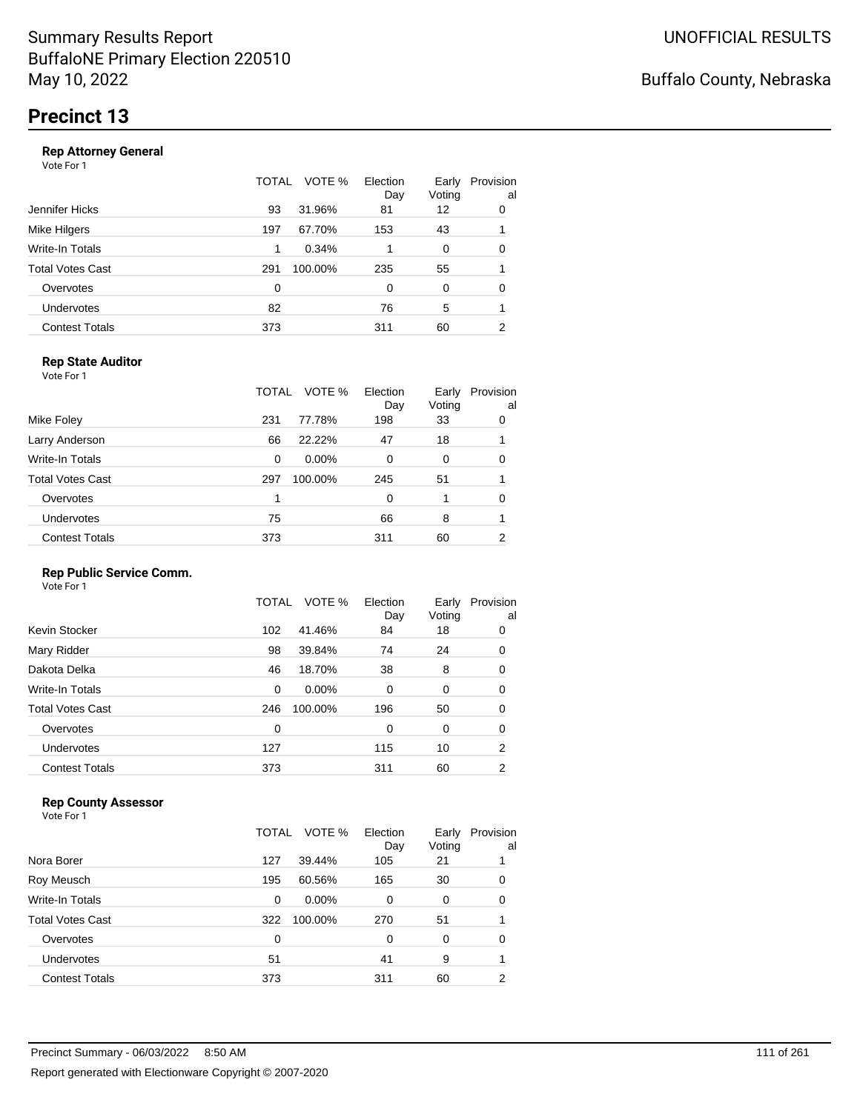|                       | TOTAL | VOTE %  | Election<br>Day | Early<br>Voting | Provision<br>al |
|-----------------------|-------|---------|-----------------|-----------------|-----------------|
| Jennifer Hicks        | 93    | 31.96%  | 81              | 12              | 0               |
| Mike Hilgers          | 197   | 67.70%  | 153             | 43              |                 |
| Write-In Totals       | 1     | 0.34%   |                 | 0               | 0               |
| Total Votes Cast      | 291   | 100.00% | 235             | 55              |                 |
| Overvotes             | 0     |         | 0               | 0               | 0               |
| Undervotes            | 82    |         | 76              | 5               |                 |
| <b>Contest Totals</b> | 373   |         | 311             | 60              | 2               |
|                       |       |         |                 |                 |                 |

### **Rep State Auditor**

Vote For 1

|                       | TOTAL | VOTE %   | Election<br>Day | Early<br>Voting | Provision<br>al |
|-----------------------|-------|----------|-----------------|-----------------|-----------------|
| Mike Foley            | 231   | 77.78%   | 198             | 33              | 0               |
| Larry Anderson        | 66    | 22.22%   | 47              | 18              |                 |
| Write-In Totals       | 0     | $0.00\%$ | 0               | 0               | 0               |
| Total Votes Cast      | 297   | 100.00%  | 245             | 51              |                 |
| Overvotes             |       |          | 0               |                 | 0               |
| <b>Undervotes</b>     | 75    |          | 66              | 8               |                 |
| <b>Contest Totals</b> | 373   |          | 311             | 60              | 2               |

### **Rep Public Service Comm.**

Vote For 1

|                         | TOTAL | VOTE %  | Election<br>Day | Early<br>Voting | Provision<br>al |
|-------------------------|-------|---------|-----------------|-----------------|-----------------|
| Kevin Stocker           | 102   | 41.46%  | 84              | 18              | 0               |
| Mary Ridder             | 98    | 39.84%  | 74              | 24              | 0               |
| Dakota Delka            | 46    | 18.70%  | 38              | 8               | 0               |
| Write-In Totals         | 0     | 0.00%   | 0               | 0               | 0               |
| <b>Total Votes Cast</b> | 246   | 100.00% | 196             | 50              | 0               |
| Overvotes               | 0     |         | 0               | 0               | 0               |
| Undervotes              | 127   |         | 115             | 10              | 2               |
| <b>Contest Totals</b>   | 373   |         | 311             | 60              | 2               |
|                         |       |         |                 |                 |                 |

### **Rep County Assessor**

|                       | TOTAL | VOTE %   | Election<br>Day | Early<br>Voting | Provision<br>al |
|-----------------------|-------|----------|-----------------|-----------------|-----------------|
| Nora Borer            | 127   | 39.44%   | 105             | 21              |                 |
| Roy Meusch            | 195   | 60.56%   | 165             | 30              | 0               |
| Write-In Totals       | 0     | $0.00\%$ | 0               | 0               | 0               |
| Total Votes Cast      | 322   | 100.00%  | 270             | 51              |                 |
| Overvotes             | 0     |          | 0               | $\Omega$        | 0               |
| <b>Undervotes</b>     | 51    |          | 41              | 9               |                 |
| <b>Contest Totals</b> | 373   |          | 311             | 60              | 2               |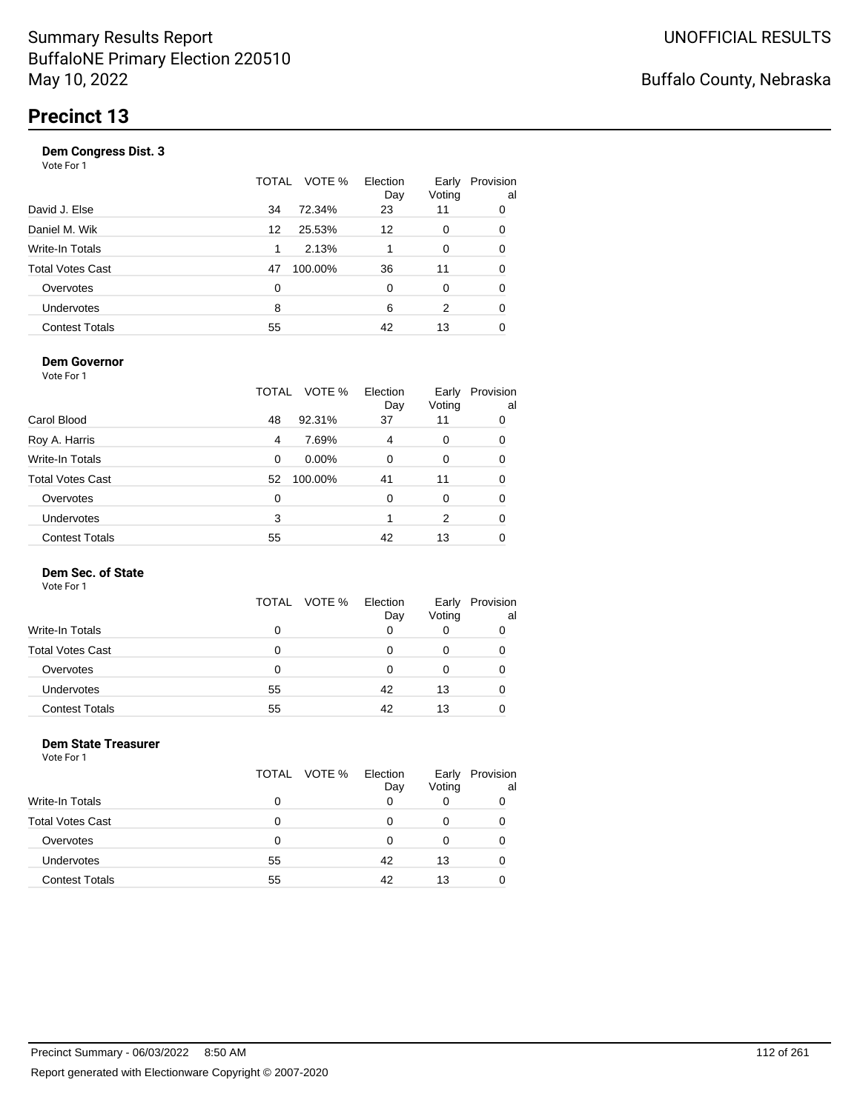|                       | TOTAL | VOTE %  | Election<br>Day | Early<br>Voting | Provision<br>al |
|-----------------------|-------|---------|-----------------|-----------------|-----------------|
| David J. Else         | 34    | 72.34%  | 23              | 11              | 0               |
| Daniel M. Wik         | 12    | 25.53%  | 12              | 0               | 0               |
| Write-In Totals       | 1     | 2.13%   |                 | 0               | 0               |
| Total Votes Cast      | 47    | 100.00% | 36              | 11              | 0               |
| Overvotes             | 0     |         | 0               | 0               | $\Omega$        |
| Undervotes            | 8     |         | 6               | 2               | 0               |
| <b>Contest Totals</b> | 55    |         | 42              | 13              |                 |
|                       |       |         |                 |                 |                 |

### **Dem Governor**

Vote For 1

|                         | TOTAL | VOTE %   | Election<br>Day | Early<br>Voting | Provision<br>al |
|-------------------------|-------|----------|-----------------|-----------------|-----------------|
| Carol Blood             | 48    | 92.31%   | 37              | 11              | 0               |
| Roy A. Harris           | 4     | 7.69%    | 4               | 0               | 0               |
| Write-In Totals         | 0     | $0.00\%$ | 0               | 0               | 0               |
| <b>Total Votes Cast</b> | 52    | 100.00%  | 41              | 11              | 0               |
| Overvotes               | 0     |          | 0               | 0               | 0               |
| <b>Undervotes</b>       | 3     |          |                 | 2               | 0               |
| <b>Contest Totals</b>   | 55    |          | 42              | 13              |                 |

### **Dem Sec. of State**

Vote For 1

|                         |    | TOTAL VOTE % | Election<br>Day | Early<br>Voting | Provision<br>al |
|-------------------------|----|--------------|-----------------|-----------------|-----------------|
| <b>Write-In Totals</b>  | 0  |              | 0               |                 |                 |
| <b>Total Votes Cast</b> | 0  |              | Ω               |                 |                 |
| Overvotes               | 0  |              | Ω               |                 |                 |
| <b>Undervotes</b>       | 55 |              | 42              | 13              |                 |
| <b>Contest Totals</b>   | 55 |              | 42              | 13              |                 |

#### **Dem State Treasurer** Vote For 1

|                         | TOTAL VOTE % | Election<br>Day | Early<br>Voting | Provision<br>al |
|-------------------------|--------------|-----------------|-----------------|-----------------|
| Write-In Totals         | 0            | 0               | 0               |                 |
| <b>Total Votes Cast</b> | 0            | 0               | 0               |                 |
| Overvotes               | 0            | U               |                 |                 |
| <b>Undervotes</b>       | 55           | 42              | 13              |                 |
| <b>Contest Totals</b>   | 55           | 42              | 13              |                 |
|                         |              |                 |                 |                 |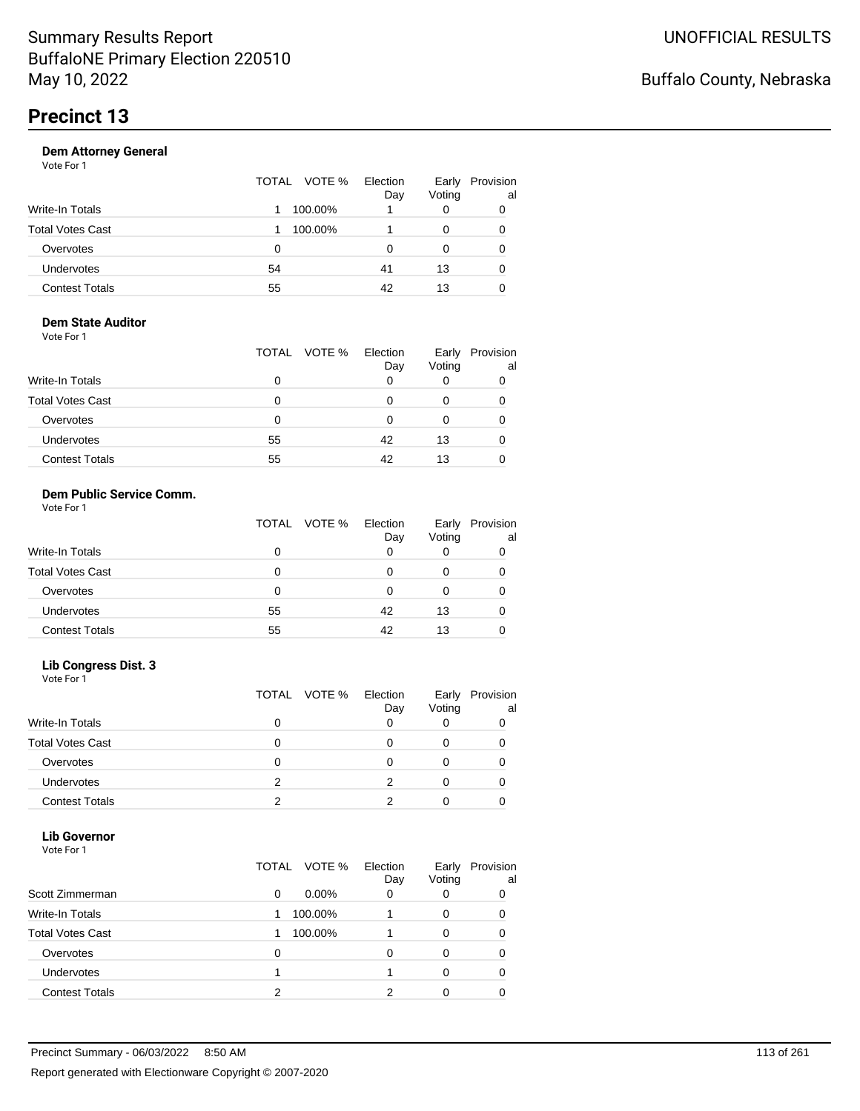|                       | TOTAL VOTE % | Election<br>Day | Early<br>Voting | Provision<br>al |
|-----------------------|--------------|-----------------|-----------------|-----------------|
| Write-In Totals       | 100.00%      |                 | 0               | 0               |
| Total Votes Cast      | 100.00%      |                 |                 |                 |
| Overvotes             | 0            | Ω               | 0               | O               |
| Undervotes            | 54           | 41              | 13              | 0               |
| <b>Contest Totals</b> | 55           | 42              | 13              |                 |

#### **Dem State Auditor** Vote For 1

|                         | TOTAL VOTE % | Election<br>Day | Early<br>Voting | Provision<br>al |
|-------------------------|--------------|-----------------|-----------------|-----------------|
| <b>Write-In Totals</b>  | Ω            | O               |                 |                 |
| <b>Total Votes Cast</b> | Ω            | O               | 0               |                 |
| Overvotes               | 0            | 0               | Ω               |                 |
| <b>Undervotes</b>       | 55           | 42              | 13              |                 |
| <b>Contest Totals</b>   | 55           | 42              | 13              |                 |

### **Dem Public Service Comm.**

| Vote For 1 |  |
|------------|--|
|------------|--|

|                         |    | TOTAL VOTE % | Election<br>Day | Early<br>Voting | Provision<br>al |
|-------------------------|----|--------------|-----------------|-----------------|-----------------|
| <b>Write-In Totals</b>  |    |              | 0               |                 |                 |
| <b>Total Votes Cast</b> |    |              |                 |                 |                 |
| Overvotes               | O  |              |                 |                 |                 |
| <b>Undervotes</b>       | 55 |              | 42              | 13              |                 |
| <b>Contest Totals</b>   | 55 |              | 42              | 13              |                 |

### **Lib Congress Dist. 3**

Vote For 1

|                         |   | TOTAL VOTE % | Election<br>Day | Early<br>Voting | Provision<br>al |
|-------------------------|---|--------------|-----------------|-----------------|-----------------|
| Write-In Totals         |   |              |                 |                 |                 |
| <b>Total Votes Cast</b> |   |              |                 |                 |                 |
| Overvotes               |   |              |                 |                 |                 |
| <b>Undervotes</b>       | 2 |              |                 |                 |                 |
| <b>Contest Totals</b>   | っ |              |                 |                 |                 |

### **Lib Governor**

| Vote For 1              |              |                 |                 |                 |
|-------------------------|--------------|-----------------|-----------------|-----------------|
|                         | TOTAL VOTE % | Election<br>Day | Early<br>Voting | Provision<br>al |
| Scott Zimmerman         | 0.00%<br>0   | 0               | 0               | 0               |
| Write-In Totals         | 100.00%<br>1 |                 | 0               | 0               |
| <b>Total Votes Cast</b> | 100.00%<br>1 |                 | 0               | 0               |
| Overvotes               | 0            | O               | 0               | ŋ               |
| Undervotes              |              |                 | 0               | 0               |
| <b>Contest Totals</b>   | 2            | 2               | ი               |                 |
|                         |              |                 |                 |                 |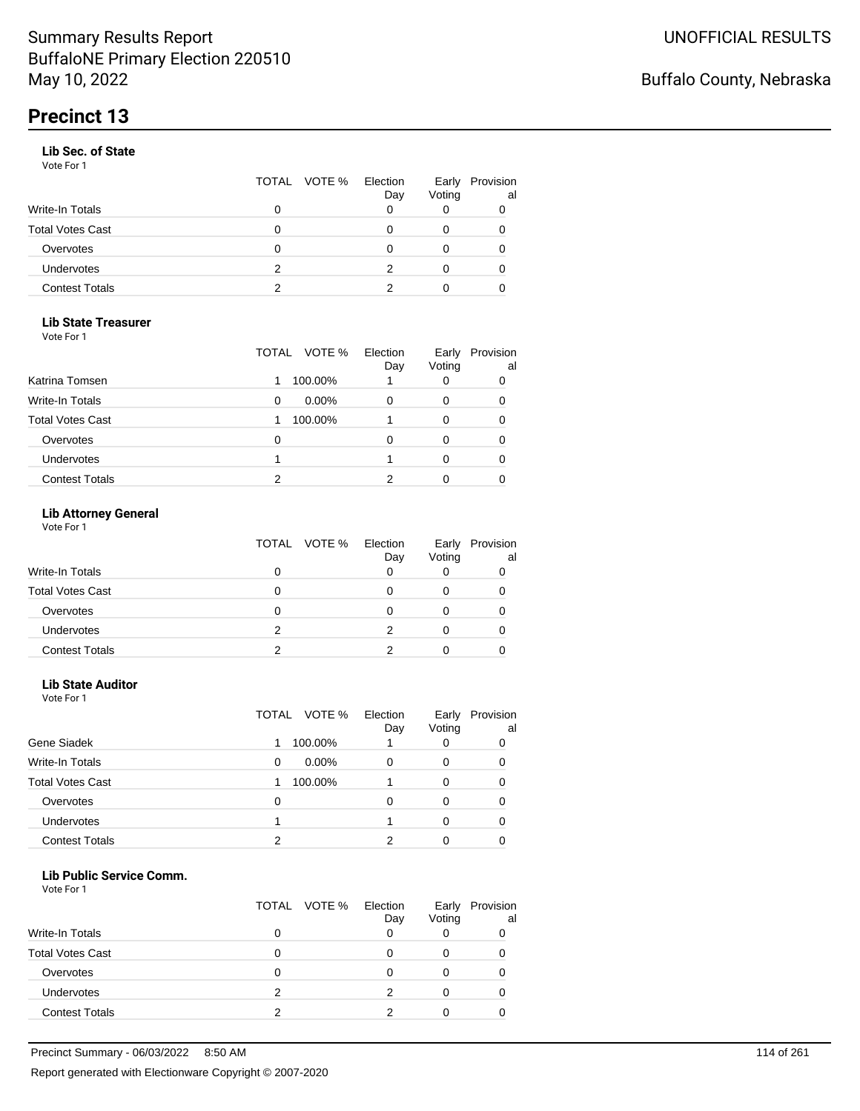### **Lib Sec. of State**

Vote For 1

|                       |   | TOTAL VOTE % | Election<br>Day | Early<br>Voting | Provision<br>al |
|-----------------------|---|--------------|-----------------|-----------------|-----------------|
| Write-In Totals       | 0 |              |                 |                 |                 |
| Total Votes Cast      | O |              |                 |                 |                 |
| Overvotes             | 0 |              |                 |                 |                 |
| Undervotes            | 2 |              |                 |                 |                 |
| <b>Contest Totals</b> | 2 |              |                 |                 |                 |

### **Lib State Treasurer**

Vote For 1

|                         | VOTE %<br>TOTAL | Election<br>Day | Early<br>Voting | Provision<br>al |
|-------------------------|-----------------|-----------------|-----------------|-----------------|
| Katrina Tomsen          | 100.00%         |                 |                 | 0               |
| <b>Write-In Totals</b>  | $0.00\%$<br>0   |                 |                 | 0               |
| <b>Total Votes Cast</b> | 100.00%         |                 |                 | 0               |
| Overvotes               | Ω               | O               | O               |                 |
| <b>Undervotes</b>       |                 |                 |                 |                 |
| <b>Contest Totals</b>   | 2               |                 |                 |                 |

### **Lib Attorney General**

|                         |   | TOTAL VOTE % Election<br>Day | Early<br>Voting | Provision<br>al |
|-------------------------|---|------------------------------|-----------------|-----------------|
| <b>Write-In Totals</b>  |   |                              |                 |                 |
| <b>Total Votes Cast</b> |   |                              |                 |                 |
| Overvotes               |   |                              |                 |                 |
| <b>Undervotes</b>       | 2 |                              |                 |                 |
| <b>Contest Totals</b>   |   |                              |                 |                 |

### **Lib State Auditor**

Vote For 1

|                         | TOTAL VOTE %  | Election<br>Day | Early<br>Voting | Provision<br>al |
|-------------------------|---------------|-----------------|-----------------|-----------------|
| Gene Siadek             | 100.00%       |                 |                 |                 |
| <b>Write-In Totals</b>  | $0.00\%$<br>0 |                 | 0               |                 |
| <b>Total Votes Cast</b> | 100.00%       |                 | 0               |                 |
| Overvotes               | 0             | 0               | 0               |                 |
| Undervotes              |               |                 |                 |                 |
| <b>Contest Totals</b>   | າ             |                 |                 |                 |

#### **Lib Public Service Comm.**

|                         |   | TOTAL VOTE % | Election<br>Day | Early<br>Voting | Provision<br>al |
|-------------------------|---|--------------|-----------------|-----------------|-----------------|
| Write-In Totals         | 0 |              |                 |                 |                 |
| <b>Total Votes Cast</b> | O |              |                 |                 |                 |
| Overvotes               |   |              |                 |                 |                 |
| Undervotes              | 2 |              | っ               |                 |                 |
| <b>Contest Totals</b>   | າ |              |                 |                 |                 |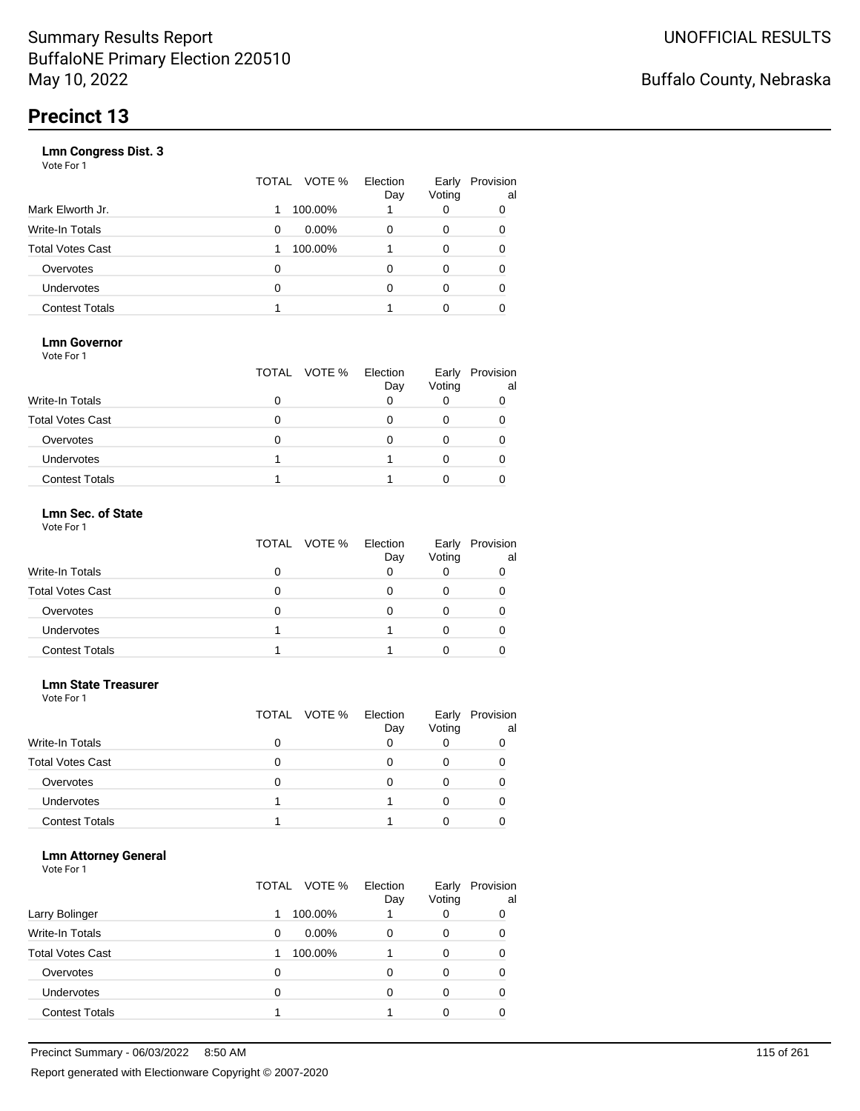|                       | VOTE %<br>TOTAL | Election<br>Day | Early<br>Voting | Provision<br>al |
|-----------------------|-----------------|-----------------|-----------------|-----------------|
| Mark Elworth Jr.      | 100.00%         |                 | 0               | 0               |
| Write-In Totals       | $0.00\%$<br>0   | 0               | 0               | 0               |
| Total Votes Cast      | 100.00%         |                 | 0               | O               |
| Overvotes             | 0               | 0               | 0               | 0               |
| <b>Undervotes</b>     | 0               | 0               | 0               | O               |
| <b>Contest Totals</b> |                 |                 | 0               |                 |
|                       |                 |                 |                 |                 |

### **Lmn Governor**

Vote For 1

|                         | TOTAL VOTE % | Election<br>Day | Early<br>Voting | Provision<br>al |
|-------------------------|--------------|-----------------|-----------------|-----------------|
| <b>Write-In Totals</b>  |              |                 |                 |                 |
| <b>Total Votes Cast</b> |              |                 |                 |                 |
| Overvotes               |              |                 |                 |                 |
| Undervotes              |              |                 |                 |                 |
| <b>Contest Totals</b>   |              |                 |                 |                 |

#### **Lmn Sec. of State** Vote For 1

|                         | TOTAL VOTE % | Election<br>Day | Early<br>Voting | Provision<br>al |
|-------------------------|--------------|-----------------|-----------------|-----------------|
| <b>Write-In Totals</b>  |              |                 |                 |                 |
| <b>Total Votes Cast</b> |              |                 |                 |                 |
| Overvotes               | O            |                 |                 |                 |
| Undervotes              |              |                 |                 |                 |
| <b>Contest Totals</b>   |              |                 |                 |                 |

#### **Lmn State Treasurer**

Vote For 1

|                         |   | TOTAL VOTE % | Election<br>Day | Early<br>Voting | Provision<br>al |
|-------------------------|---|--------------|-----------------|-----------------|-----------------|
| <b>Write-In Totals</b>  |   |              |                 |                 |                 |
| <b>Total Votes Cast</b> | 0 |              |                 |                 |                 |
| Overvotes               | 0 |              |                 |                 |                 |
| Undervotes              |   |              |                 |                 |                 |
| <b>Contest Totals</b>   |   |              |                 |                 |                 |

### **Lmn Attorney General**

|                         | TOTAL VOTE % | Election<br>Day | Early<br>Voting | Provision<br>al |
|-------------------------|--------------|-----------------|-----------------|-----------------|
| Larry Bolinger          | 1            | 100.00%         |                 | 0               |
| <b>Write-In Totals</b>  | 0            | $0.00\%$<br>0   | 0               | 0               |
| <b>Total Votes Cast</b> |              | 100.00%         | 0               | 0               |
| Overvotes               | 0            | 0               | 0               | 0               |
| <b>Undervotes</b>       | 0            | 0               | 0               | 0               |
| <b>Contest Totals</b>   |              |                 |                 |                 |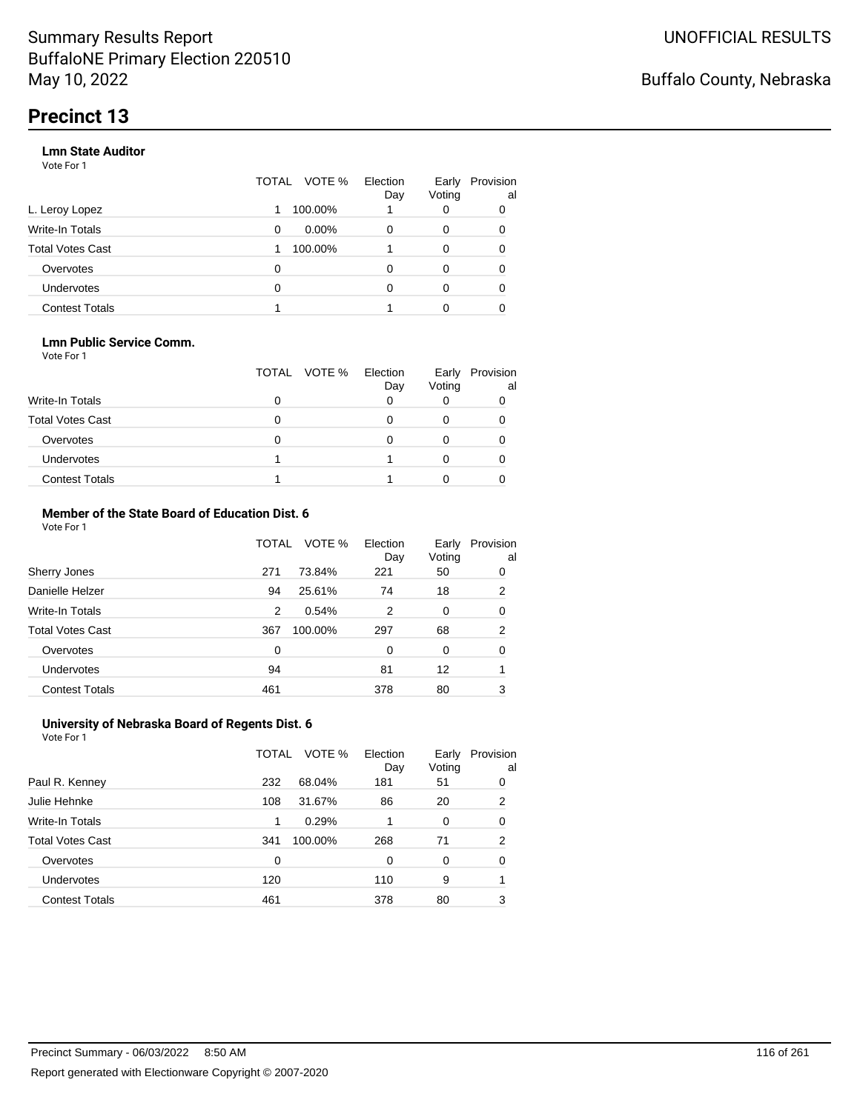### **Lmn State Auditor**

Vote For 1

|                       | TOTAL | VOTE %   | Election<br>Day | Early<br>Voting | Provision<br>al |
|-----------------------|-------|----------|-----------------|-----------------|-----------------|
| L. Leroy Lopez        |       | 100.00%  |                 | 0               | 0               |
| Write-In Totals       | 0     | $0.00\%$ | 0               | 0               | 0               |
| Total Votes Cast      |       | 100.00%  |                 | 0               | 0               |
| Overvotes             | 0     |          | 0               | 0               | 0               |
| <b>Undervotes</b>     | 0     |          | O               | 0               | 0               |
| <b>Contest Totals</b> |       |          |                 | Ω               |                 |

#### **Lmn Public Service Comm.**

Vote For 1

|                         | TOTAL VOTE % | Election<br>Day | Early<br>Voting | Provision<br>al |
|-------------------------|--------------|-----------------|-----------------|-----------------|
| <b>Write-In Totals</b>  |              |                 |                 |                 |
| <b>Total Votes Cast</b> |              |                 |                 |                 |
| Overvotes               |              |                 |                 |                 |
| <b>Undervotes</b>       |              |                 |                 |                 |
| <b>Contest Totals</b>   |              |                 |                 |                 |

#### **Member of the State Board of Education Dist. 6** Vote For 1

|                         | TOTAL    | VOTE %  | Election<br>Day | Early<br>Voting | Provision<br>al |
|-------------------------|----------|---------|-----------------|-----------------|-----------------|
| Sherry Jones            | 271      | 73.84%  | 221             | 50              | 0               |
| Danielle Helzer         | 94       | 25.61%  | 74              | 18              | 2               |
| <b>Write-In Totals</b>  | 2        | 0.54%   | 2               | 0               | 0               |
| <b>Total Votes Cast</b> | 367      | 100.00% | 297             | 68              | 2               |
| Overvotes               | $\Omega$ |         | $\Omega$        | $\Omega$        | 0               |
| <b>Undervotes</b>       | 94       |         | 81              | 12              |                 |
| <b>Contest Totals</b>   | 461      |         | 378             | 80              | 3               |

#### **University of Nebraska Board of Regents Dist. 6** Vote For 1

|                         | TOTAL | VOTE %  | Election<br>Day | Early<br>Voting | Provision<br>al |
|-------------------------|-------|---------|-----------------|-----------------|-----------------|
| Paul R. Kenney          | 232   | 68.04%  | 181             | 51              | 0               |
| Julie Hehnke            | 108   | 31.67%  | 86              | 20              | 2               |
| <b>Write-In Totals</b>  | 1     | 0.29%   | 1               | $\Omega$        | 0               |
| <b>Total Votes Cast</b> | 341   | 100.00% | 268             | 71              | 2               |
| Overvotes               | 0     |         | 0               | $\Omega$        | 0               |
| <b>Undervotes</b>       | 120   |         | 110             | 9               |                 |
| <b>Contest Totals</b>   | 461   |         | 378             | 80              | 3               |
|                         |       |         |                 |                 |                 |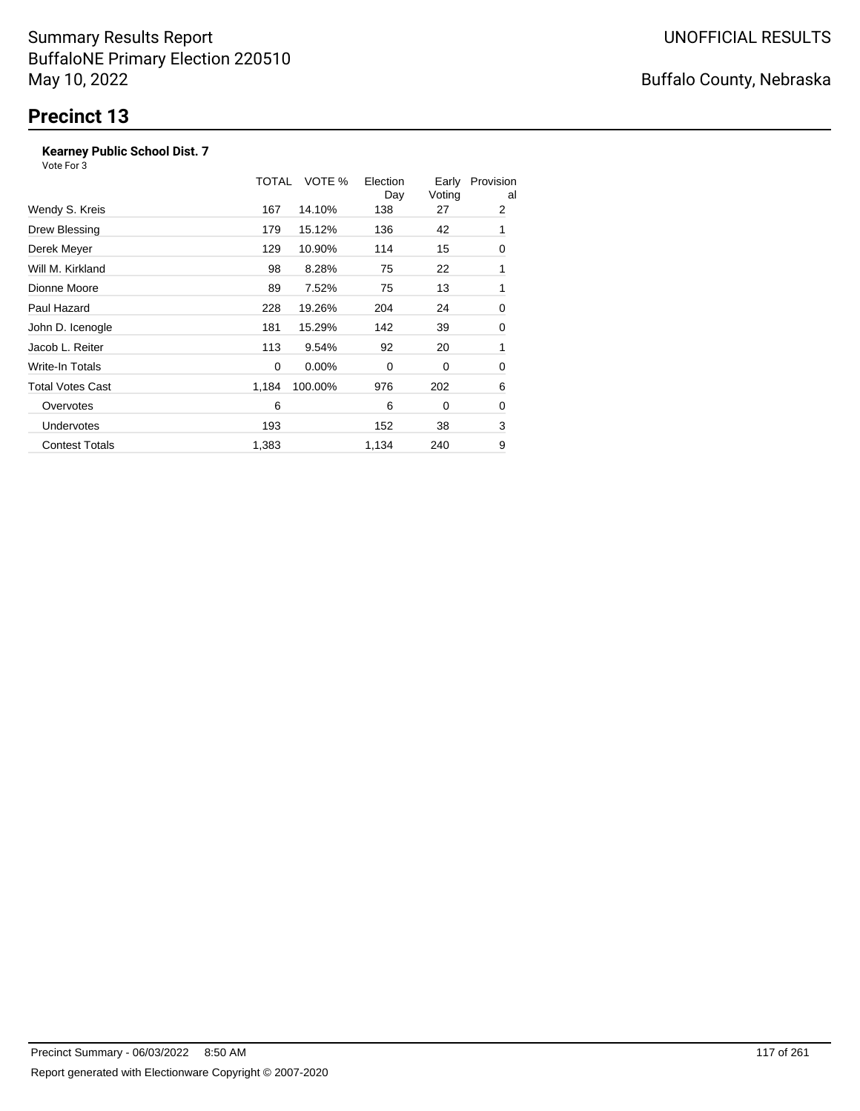### **Kearney Public School Dist. 7**

Vote For 3

|                         | TOTAL | VOTE %   | Election<br>Day | Early<br>Voting | Provision<br>al |
|-------------------------|-------|----------|-----------------|-----------------|-----------------|
| Wendy S. Kreis          | 167   | 14.10%   | 138             | 27              | 2               |
| Drew Blessing           | 179   | 15.12%   | 136             | 42              | 1               |
| Derek Meyer             | 129   | 10.90%   | 114             | 15              | 0               |
| Will M. Kirkland        | 98    | 8.28%    | 75              | 22              | 1               |
| Dionne Moore            | 89    | 7.52%    | 75              | 13              | 1               |
| Paul Hazard             | 228   | 19.26%   | 204             | 24              | 0               |
| John D. Icenogle        | 181   | 15.29%   | 142             | 39              | 0               |
| Jacob L. Reiter         | 113   | 9.54%    | 92              | 20              | 1               |
| Write-In Totals         | 0     | $0.00\%$ | 0               | 0               | 0               |
| <b>Total Votes Cast</b> | 1,184 | 100.00%  | 976             | 202             | 6               |
| Overvotes               | 6     |          | 6               | 0               | 0               |
| <b>Undervotes</b>       | 193   |          | 152             | 38              | 3               |
| <b>Contest Totals</b>   | 1,383 |          | 1,134           | 240             | 9               |

# Buffalo County, Nebraska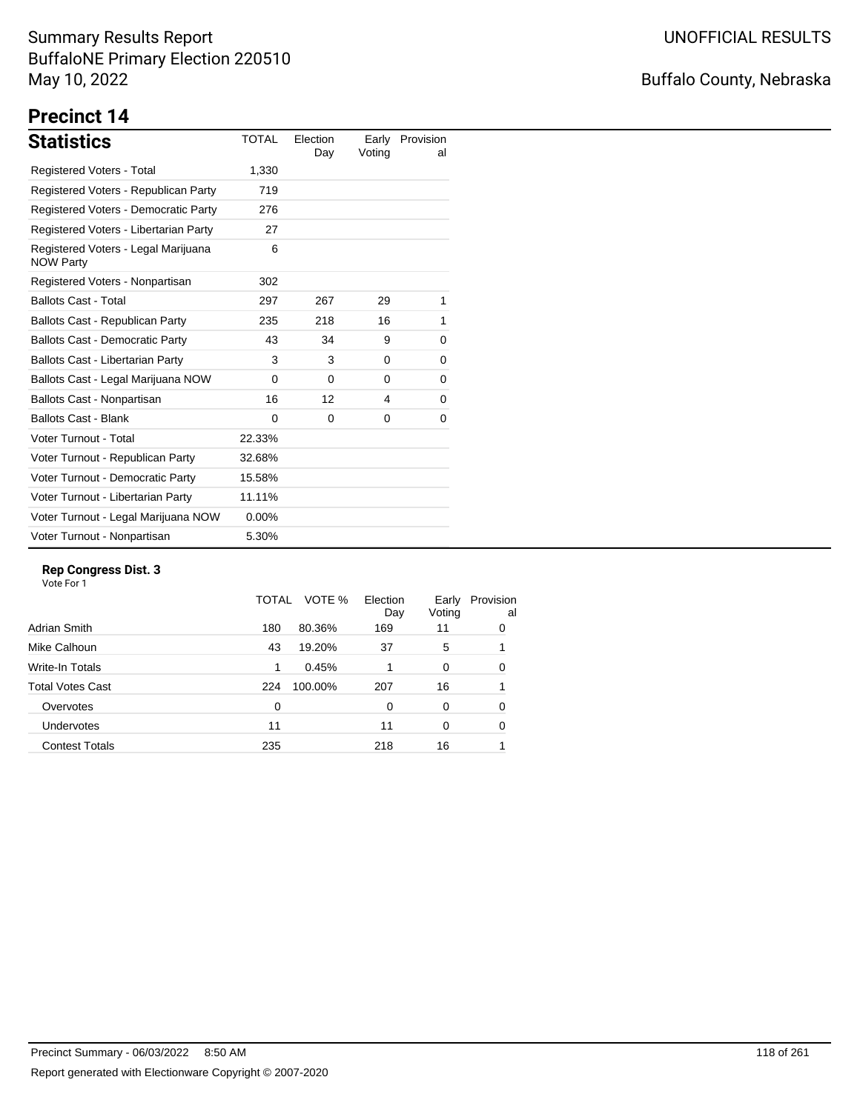# Buffalo County, Nebraska

# **Precinct 14**

| <b>Statistics</b>                                       | <b>TOTAL</b> | Election<br>Day | Early<br>Voting | Provision<br>al |
|---------------------------------------------------------|--------------|-----------------|-----------------|-----------------|
| Registered Voters - Total                               | 1,330        |                 |                 |                 |
| Registered Voters - Republican Party                    | 719          |                 |                 |                 |
| Registered Voters - Democratic Party                    | 276          |                 |                 |                 |
| Registered Voters - Libertarian Party                   | 27           |                 |                 |                 |
| Registered Voters - Legal Marijuana<br><b>NOW Party</b> | 6            |                 |                 |                 |
| Registered Voters - Nonpartisan                         | 302          |                 |                 |                 |
| <b>Ballots Cast - Total</b>                             | 297          | 267             | 29              | 1               |
| Ballots Cast - Republican Party                         | 235          | 218             | 16              | 1               |
| <b>Ballots Cast - Democratic Party</b>                  | 43           | 34              | 9               | 0               |
| <b>Ballots Cast - Libertarian Party</b>                 | 3            | 3               | 0               | 0               |
| Ballots Cast - Legal Marijuana NOW                      | $\Omega$     | $\Omega$        | $\Omega$        | 0               |
| Ballots Cast - Nonpartisan                              | 16           | 12              | 4               | 0               |
| <b>Ballots Cast - Blank</b>                             | $\Omega$     | $\Omega$        | 0               | 0               |
| Voter Turnout - Total                                   | 22.33%       |                 |                 |                 |
| Voter Turnout - Republican Party                        | 32.68%       |                 |                 |                 |
| Voter Turnout - Democratic Party                        | 15.58%       |                 |                 |                 |
| Voter Turnout - Libertarian Party                       | 11.11%       |                 |                 |                 |
| Voter Turnout - Legal Marijuana NOW                     | $0.00\%$     |                 |                 |                 |
| Voter Turnout - Nonpartisan                             | 5.30%        |                 |                 |                 |

### **Rep Congress Dist. 3**

|                       | TOTAL    | VOTE %  | Election<br>Day | Early<br>Voting | Provision<br>al |
|-----------------------|----------|---------|-----------------|-----------------|-----------------|
| Adrian Smith          | 180      | 80.36%  | 169             | 11              | 0               |
| Mike Calhoun          | 43       | 19.20%  | 37              | 5               |                 |
| Write-In Totals       | 1        | 0.45%   |                 | 0               | 0               |
| Total Votes Cast      | 224      | 100.00% | 207             | 16              |                 |
| Overvotes             | $\Omega$ |         | $\Omega$        | 0               | 0               |
| <b>Undervotes</b>     | 11       |         | 11              | 0               | 0               |
| <b>Contest Totals</b> | 235      |         | 218             | 16              |                 |
|                       |          |         |                 |                 |                 |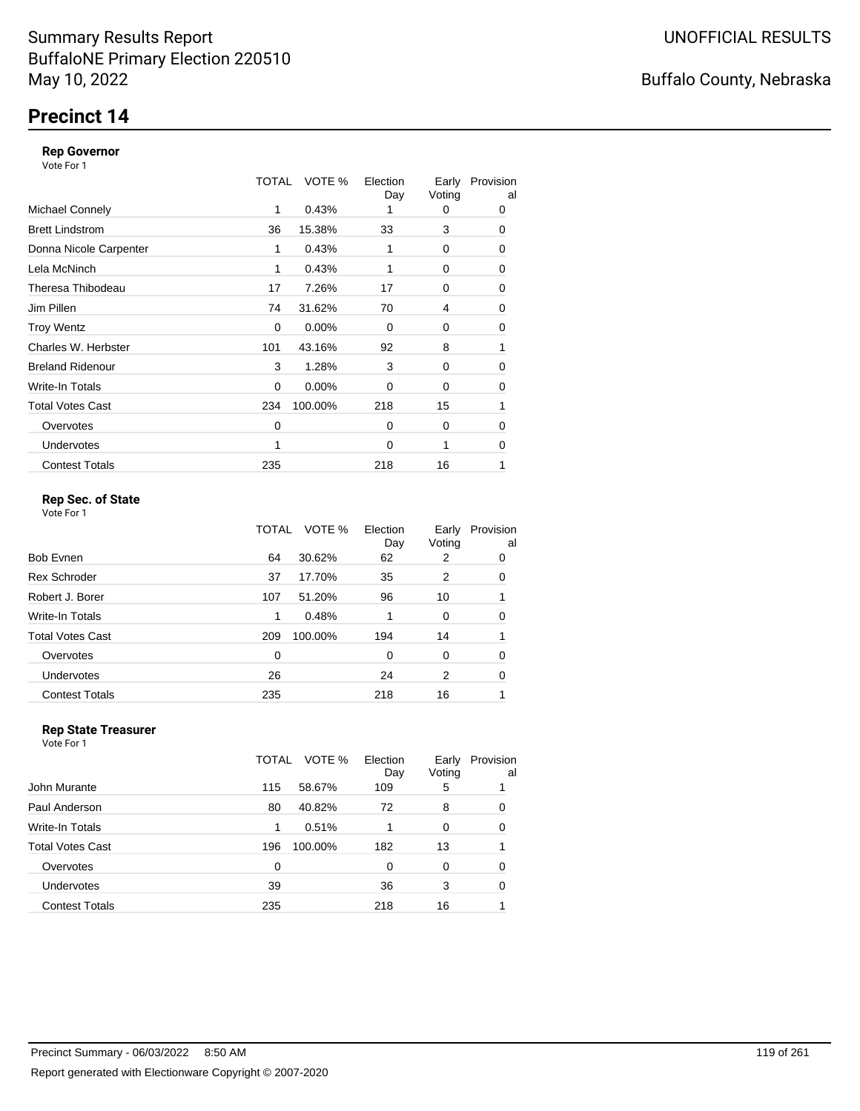# **Precinct 14**

### **Rep Governor**

Vote For 1

|                         | TOTAL | VOTE %   | Election<br>Day | Early<br>Voting | Provision<br>al |
|-------------------------|-------|----------|-----------------|-----------------|-----------------|
| <b>Michael Connely</b>  | 1     | 0.43%    |                 | 0               | 0               |
| <b>Brett Lindstrom</b>  | 36    | 15.38%   | 33              | 3               | 0               |
| Donna Nicole Carpenter  | 1     | 0.43%    |                 | 0               | 0               |
| Lela McNinch            | 1     | 0.43%    |                 | 0               | 0               |
| Theresa Thibodeau       | 17    | 7.26%    | 17              | 0               | 0               |
| Jim Pillen              | 74    | 31.62%   | 70              | 4               | 0               |
| <b>Troy Wentz</b>       | 0     | 0.00%    | $\Omega$        | 0               | 0               |
| Charles W. Herbster     | 101   | 43.16%   | 92              | 8               | 1               |
| <b>Breland Ridenour</b> | 3     | 1.28%    | 3               | 0               | 0               |
| Write-In Totals         | 0     | $0.00\%$ | $\Omega$        | 0               | 0               |
| <b>Total Votes Cast</b> | 234   | 100.00%  | 218             | 15              | 1               |
| Overvotes               | 0     |          | $\Omega$        | 0               | 0               |
| <b>Undervotes</b>       | 1     |          | $\Omega$        | 1               | 0               |
| <b>Contest Totals</b>   | 235   |          | 218             | 16              | 1               |

### **Rep Sec. of State**

Vote For 1

|                         | TOTAL | VOTE %  | Election<br>Day | Early<br>Voting | Provision<br>al |
|-------------------------|-------|---------|-----------------|-----------------|-----------------|
| Bob Evnen               | 64    | 30.62%  | 62              | 2               | 0               |
| <b>Rex Schroder</b>     | 37    | 17.70%  | 35              | 2               | 0               |
| Robert J. Borer         | 107   | 51.20%  | 96              | 10              |                 |
| Write-In Totals         | 1     | 0.48%   |                 | 0               | 0               |
| <b>Total Votes Cast</b> | 209   | 100.00% | 194             | 14              |                 |
| Overvotes               | 0     |         | $\Omega$        | 0               | 0               |
| Undervotes              | 26    |         | 24              | 2               | 0               |
| <b>Contest Totals</b>   | 235   |         | 218             | 16              |                 |

#### **Rep State Treasurer** Vote For 1

|                       | TOTAL | VOTE %  | Election<br>Day | Early<br>Voting | Provision<br>al |
|-----------------------|-------|---------|-----------------|-----------------|-----------------|
| John Murante          | 115   | 58.67%  | 109             | 5               |                 |
| Paul Anderson         | 80    | 40.82%  | 72              | 8               | 0               |
| Write-In Totals       | 1     | 0.51%   |                 | 0               | 0               |
| Total Votes Cast      | 196   | 100.00% | 182             | 13              |                 |
| Overvotes             | 0     |         | 0               | 0               | 0               |
| Undervotes            | 39    |         | 36              | 3               | 0               |
| <b>Contest Totals</b> | 235   |         | 218             | 16              |                 |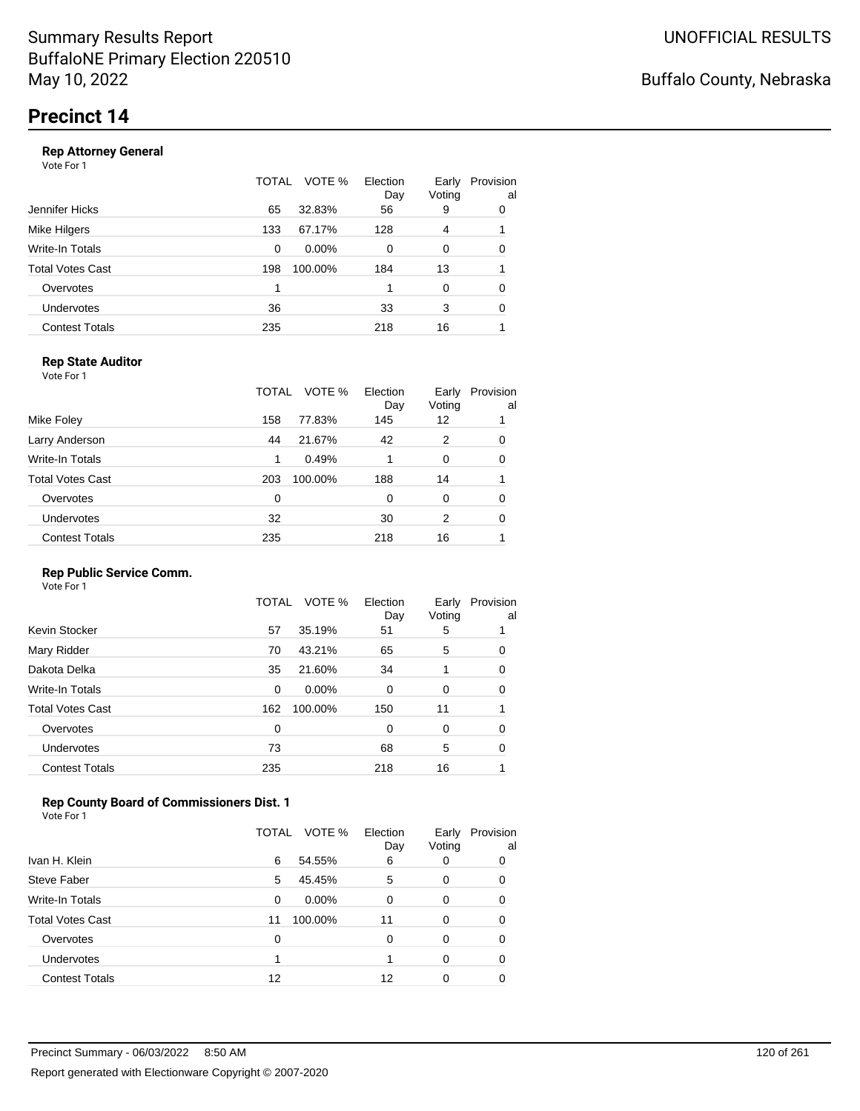#### **Rep Attorney General**

Vote For 1

|                       | TOTAL | VOTE %  | Election<br>Day | Early<br>Voting | Provision<br>al |
|-----------------------|-------|---------|-----------------|-----------------|-----------------|
| Jennifer Hicks        | 65    | 32.83%  | 56              | 9               | 0               |
| Mike Hilgers          | 133   | 67.17%  | 128             | 4               |                 |
| Write-In Totals       | 0     | 0.00%   | 0               | 0               | 0               |
| Total Votes Cast      | 198   | 100.00% | 184             | 13              |                 |
| Overvotes             | 1     |         |                 | 0               | 0               |
| <b>Undervotes</b>     | 36    |         | 33              | 3               | 0               |
| <b>Contest Totals</b> | 235   |         | 218             | 16              |                 |
|                       |       |         |                 |                 |                 |

### **Rep State Auditor**

Vote For 1

|                       | TOTAL | VOTE %  | Election<br>Day | Early<br>Voting | Provision<br>al |
|-----------------------|-------|---------|-----------------|-----------------|-----------------|
| Mike Foley            | 158   | 77.83%  | 145             | 12              |                 |
| Larry Anderson        | 44    | 21.67%  | 42              | 2               | 0               |
| Write-In Totals       | 1     | 0.49%   | 1               | 0               | 0               |
| Total Votes Cast      | 203   | 100.00% | 188             | 14              |                 |
| Overvotes             | 0     |         | 0               | 0               | 0               |
| <b>Undervotes</b>     | 32    |         | 30              | 2               | 0               |
| <b>Contest Totals</b> | 235   |         | 218             | 16              |                 |

### **Rep Public Service Comm.**

Vote For 1

|                         | TOTAL | VOTE %  | Election<br>Day | Early<br>Voting | Provision<br>al |
|-------------------------|-------|---------|-----------------|-----------------|-----------------|
| Kevin Stocker           | 57    | 35.19%  | 51              | 5               |                 |
| Mary Ridder             | 70    | 43.21%  | 65              | 5               | 0               |
| Dakota Delka            | 35    | 21.60%  | 34              | 1               | 0               |
| Write-In Totals         | 0     | 0.00%   | 0               | 0               | 0               |
| <b>Total Votes Cast</b> | 162   | 100.00% | 150             | 11              |                 |
| Overvotes               | 0     |         | 0               | 0               | 0               |
| <b>Undervotes</b>       | 73    |         | 68              | 5               | 0               |
| <b>Contest Totals</b>   | 235   |         | 218             | 16              |                 |
|                         |       |         |                 |                 |                 |

### **Rep County Board of Commissioners Dist. 1**

|                         | TOTAL | VOTE %   | Election<br>Day | Early<br>Voting | Provision<br>al |
|-------------------------|-------|----------|-----------------|-----------------|-----------------|
| Ivan H. Klein           | 6     | 54.55%   | 6               | 0               | 0               |
| Steve Faber             | 5     | 45.45%   | 5               | 0               | 0               |
| Write-In Totals         | 0     | $0.00\%$ | 0               | 0               | 0               |
| <b>Total Votes Cast</b> | 11    | 100.00%  | 11              | 0               | 0               |
| Overvotes               | 0     |          | 0               | 0               | O               |
| Undervotes              |       |          |                 | 0               | 0               |
| <b>Contest Totals</b>   | 12    |          | 12              |                 |                 |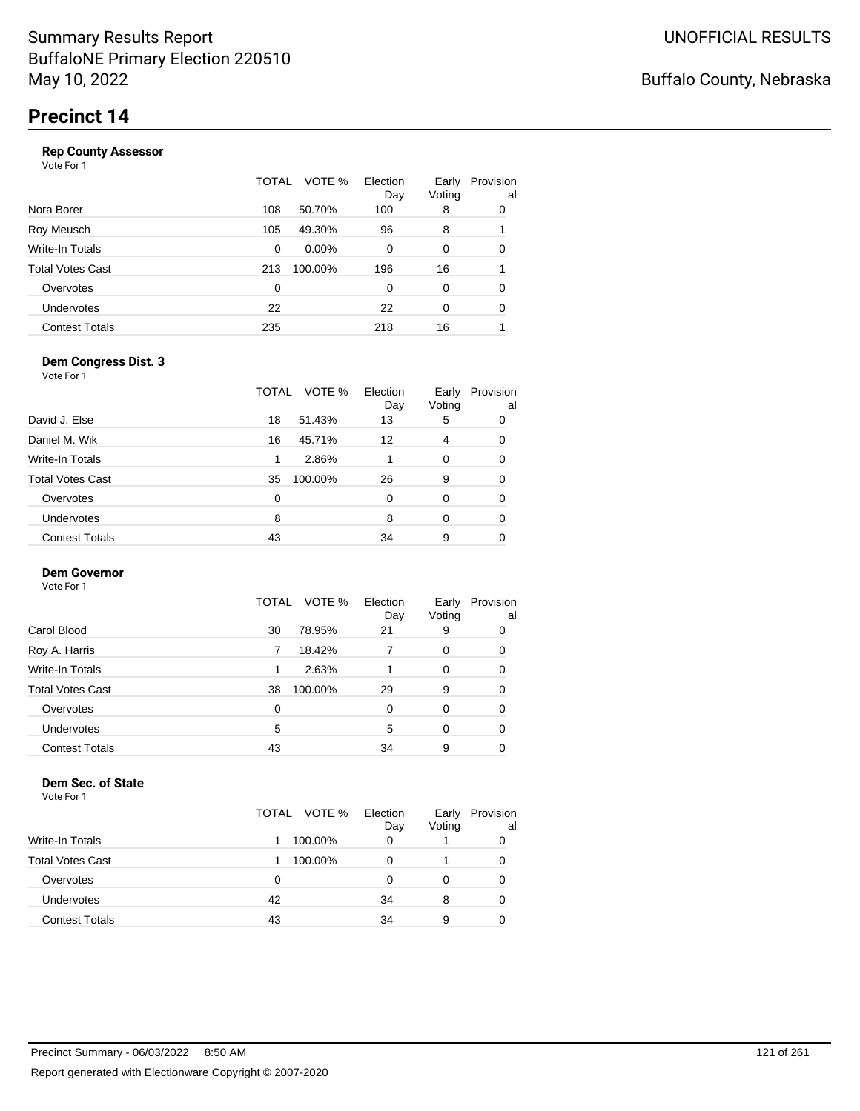|                       | TOTAL | VOTE %   | Election<br>Day | Early<br>Voting | Provision<br>al |
|-----------------------|-------|----------|-----------------|-----------------|-----------------|
| Nora Borer            | 108   | 50.70%   | 100             | 8               | 0               |
| Roy Meusch            | 105   | 49.30%   | 96              | 8               |                 |
| Write-In Totals       | 0     | $0.00\%$ | $\Omega$        | 0               | 0               |
| Total Votes Cast      | 213   | 100.00%  | 196             | 16              | 1               |
| Overvotes             | 0     |          | 0               | 0               | 0               |
| <b>Undervotes</b>     | 22    |          | 22              | 0               | 0               |
| <b>Contest Totals</b> | 235   |          | 218             | 16              |                 |
|                       |       |          |                 |                 |                 |

### **Dem Congress Dist. 3**

Vote For 1

| David J. Else<br>18<br>51.43%<br>13<br>5<br>0<br>Daniel M. Wik<br>16<br>45.71%<br>12<br>4<br>0<br>Write-In Totals<br>2.86%<br>$\Omega$<br>0<br>1<br><b>Total Votes Cast</b><br>26<br>100.00%<br>9<br>35<br>0<br>Overvotes<br>$\Omega$<br>0<br>0<br>0<br>Undervotes<br>8<br>8<br>$\Omega$<br>0<br><b>Contest Totals</b><br>43<br>9<br>34<br>0 | TOTAL | VOTE % | Election<br>Day | Early<br>Voting | Provision<br>al |
|----------------------------------------------------------------------------------------------------------------------------------------------------------------------------------------------------------------------------------------------------------------------------------------------------------------------------------------------|-------|--------|-----------------|-----------------|-----------------|
|                                                                                                                                                                                                                                                                                                                                              |       |        |                 |                 |                 |
|                                                                                                                                                                                                                                                                                                                                              |       |        |                 |                 |                 |
|                                                                                                                                                                                                                                                                                                                                              |       |        |                 |                 |                 |
|                                                                                                                                                                                                                                                                                                                                              |       |        |                 |                 |                 |
|                                                                                                                                                                                                                                                                                                                                              |       |        |                 |                 |                 |
|                                                                                                                                                                                                                                                                                                                                              |       |        |                 |                 |                 |
|                                                                                                                                                                                                                                                                                                                                              |       |        |                 |                 |                 |

### **Dem Governor**

Vote For 1

|                       | TOTAL VOTE %  | Election<br>Day | Early<br>Voting | Provision<br>al |
|-----------------------|---------------|-----------------|-----------------|-----------------|
| Carol Blood           | 78.95%<br>30  | 21              | 9               | 0               |
| Roy A. Harris         | 18.42%        |                 | 0               | 0               |
| Write-In Totals       | 2.63%         |                 | 0               | 0               |
| Total Votes Cast      | 100.00%<br>38 | 29              | 9               | 0               |
| Overvotes             | 0             | 0               | 0               | 0               |
| <b>Undervotes</b>     | 5             | 5               | 0               | 0               |
| <b>Contest Totals</b> | 43            | 34              | 9               |                 |

#### **Dem Sec. of State**

|                         | TOTAL VOTE % | Election<br>Day | Early<br>Voting | Provision<br>al |
|-------------------------|--------------|-----------------|-----------------|-----------------|
| Write-In Totals         | 100.00%      | 0               |                 | 0               |
| <b>Total Votes Cast</b> | 100.00%      |                 |                 | 0               |
| Overvotes               | 0            |                 |                 | 0               |
| Undervotes              | 42           | 34              | 8               | 0               |
| <b>Contest Totals</b>   | 43           | 34              | 9               | 0               |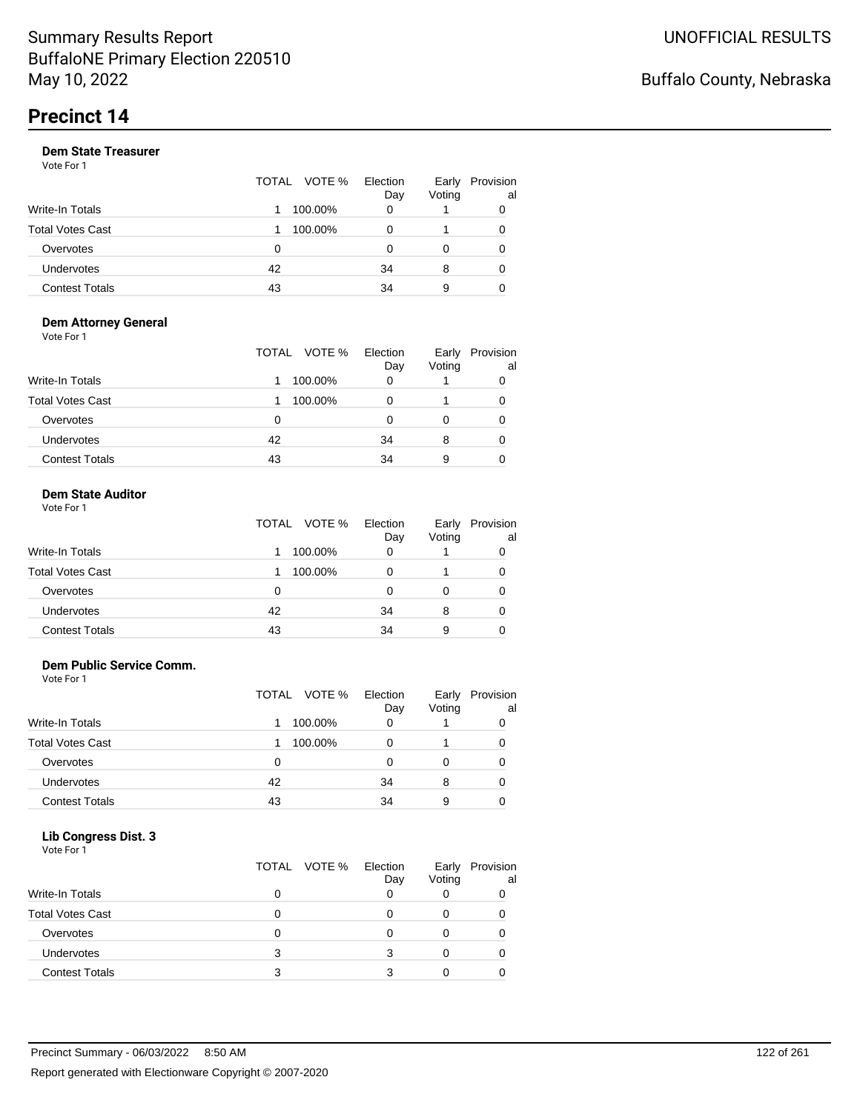|                       |    | TOTAL VOTE % | Election<br>Day | Early<br>Voting | Provision<br>al |
|-----------------------|----|--------------|-----------------|-----------------|-----------------|
| Write-In Totals       |    | 100.00%      | 0               |                 |                 |
| Total Votes Cast      |    | 100.00%      | 0               |                 |                 |
| Overvotes             | 0  |              | 0               |                 |                 |
| <b>Undervotes</b>     | 42 |              | 34              | 8               |                 |
| <b>Contest Totals</b> | 43 |              | 34              | 9               |                 |

#### **Dem Attorney General** Vote For 1

|                         | TOTAL VOTE % | Election<br>Day | Early<br>Voting | Provision<br>al |
|-------------------------|--------------|-----------------|-----------------|-----------------|
| <b>Write-In Totals</b>  | 100.00%      | 0               |                 |                 |
| <b>Total Votes Cast</b> | 100.00%      | 0               |                 | 0               |
| Overvotes               | 0            | 0               | O               |                 |
| Undervotes              | 42           | 34              | 8               |                 |
| <b>Contest Totals</b>   | 43           | 34              | 9               |                 |

#### **Dem State Auditor** Vote For 1

| 1 J J J J J J    | TOTAL VOTE % Election | Dav | Voting | Early Provisi |
|------------------|-----------------------|-----|--------|---------------|
| Write-In Totals  | 1 100.00%             |     |        |               |
| $-11111$ $-1111$ | 1000000               |     |        | $\sim$        |

| Total Votes Cast      |    | 100.00% |   |  |
|-----------------------|----|---------|---|--|
| Overvotes             |    |         |   |  |
| <b>Undervotes</b>     | 42 | 34      |   |  |
| <b>Contest Totals</b> | 43 | 34      | 9 |  |

Early Provision

al

### **Dem Public Service Comm.**

Vote For 1

|                         | TOTAL | VOTE %  | Election<br>Day | Early<br>Voting | Provision<br>al |
|-------------------------|-------|---------|-----------------|-----------------|-----------------|
| Write-In Totals         |       | 100.00% |                 |                 |                 |
| <b>Total Votes Cast</b> |       | 100.00% |                 |                 | 0               |
| Overvotes               | 0     |         |                 |                 | 0               |
| Undervotes              | 42    |         | 34              | 8               | 0               |
| <b>Contest Totals</b>   | 43    |         | 34              | 9               |                 |

### **Lib Congress Dist. 3**

| TOTAL VOTE %<br>Election<br>Early | Provision |
|-----------------------------------|-----------|
| Voting<br>Day                     | al        |
| Write-In Totals<br>0              |           |
| <b>Total Votes Cast</b><br>0      |           |
| Overvotes<br>0                    |           |
| <b>Undervotes</b><br>3            |           |
| <b>Contest Totals</b>             |           |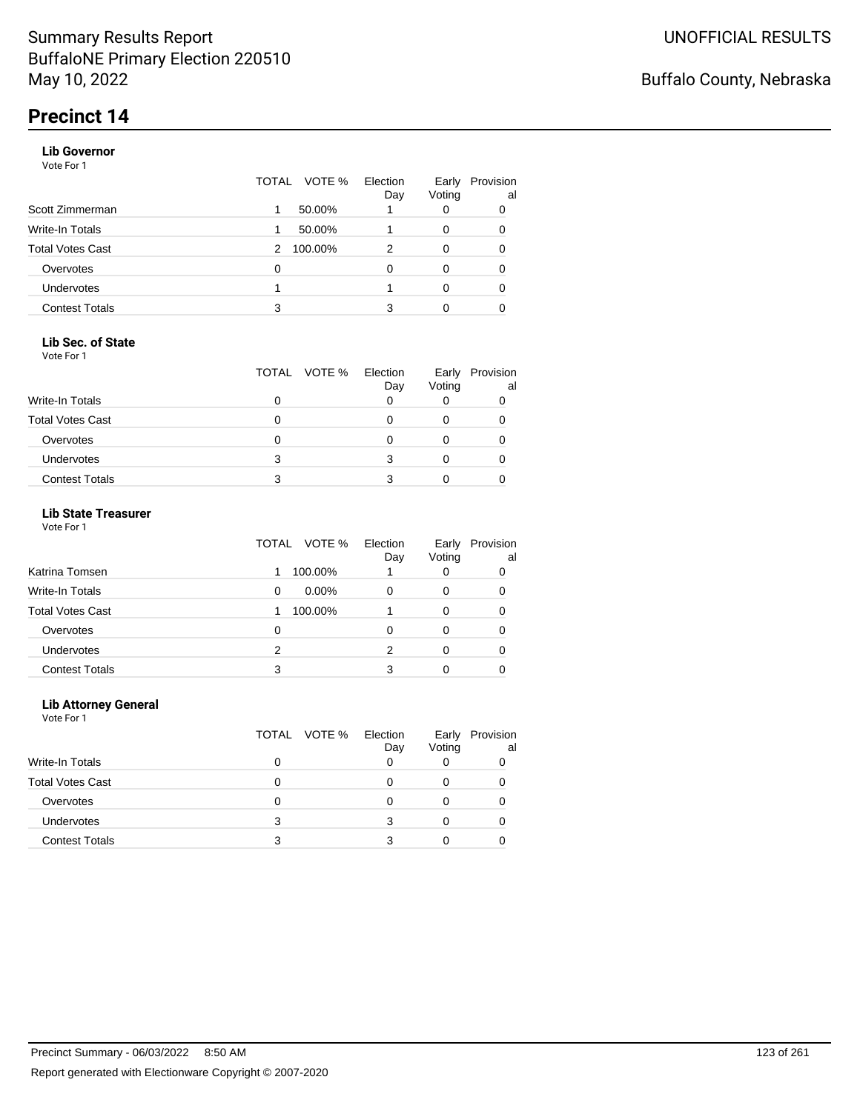### **Lib Governor**

Vote For 1

|                       | VOTE %<br>TOTAL | Election<br>Day | Early<br>Voting | Provision<br>al |
|-----------------------|-----------------|-----------------|-----------------|-----------------|
| Scott Zimmerman       | 50.00%<br>1     |                 | 0               | 0               |
| Write-In Totals       | 50.00%<br>1     |                 | 0               | 0               |
| Total Votes Cast      | 100.00%<br>2    | 2               | 0               | 0               |
| Overvotes             | 0               | 0               | 0               | 0               |
| <b>Undervotes</b>     |                 |                 | 0               | 0               |
| <b>Contest Totals</b> | 3               | 3               | 0               |                 |

### **Lib Sec. of State**

Vote For 1

|                         |   | TOTAL VOTE % | Election<br>Day | Early<br>Voting | Provision<br>al |
|-------------------------|---|--------------|-----------------|-----------------|-----------------|
| <b>Write-In Totals</b>  |   |              |                 |                 |                 |
| <b>Total Votes Cast</b> |   |              |                 |                 |                 |
| Overvotes               |   |              |                 |                 |                 |
| <b>Undervotes</b>       | 3 |              |                 |                 |                 |
| <b>Contest Totals</b>   |   |              |                 |                 |                 |

### **Lib State Treasurer**

Vote For 1

|                         | VOTE %<br>TOTAL | Election<br>Day | Early<br>Voting | Provision<br>al |
|-------------------------|-----------------|-----------------|-----------------|-----------------|
| Katrina Tomsen          | 100.00%         |                 | 0               | 0               |
| <b>Write-In Totals</b>  | $0.00\%$<br>0   | O               | 0               | 0               |
| <b>Total Votes Cast</b> | 100.00%         |                 | 0               |                 |
| Overvotes               | 0               | 0               | 0               | 0               |
| Undervotes              | 2               | 2               |                 | 0               |
| <b>Contest Totals</b>   | 3               |                 |                 |                 |

### **Lib Attorney General**

|                         |   | TOTAL VOTE % | Election<br>Day | Early<br>Voting | Provision<br>al |
|-------------------------|---|--------------|-----------------|-----------------|-----------------|
| Write-In Totals         | 0 |              |                 |                 |                 |
| <b>Total Votes Cast</b> |   |              |                 |                 |                 |
| Overvotes               | 0 |              |                 |                 |                 |
| <b>Undervotes</b>       | 3 |              |                 |                 |                 |
| <b>Contest Totals</b>   | з |              |                 |                 |                 |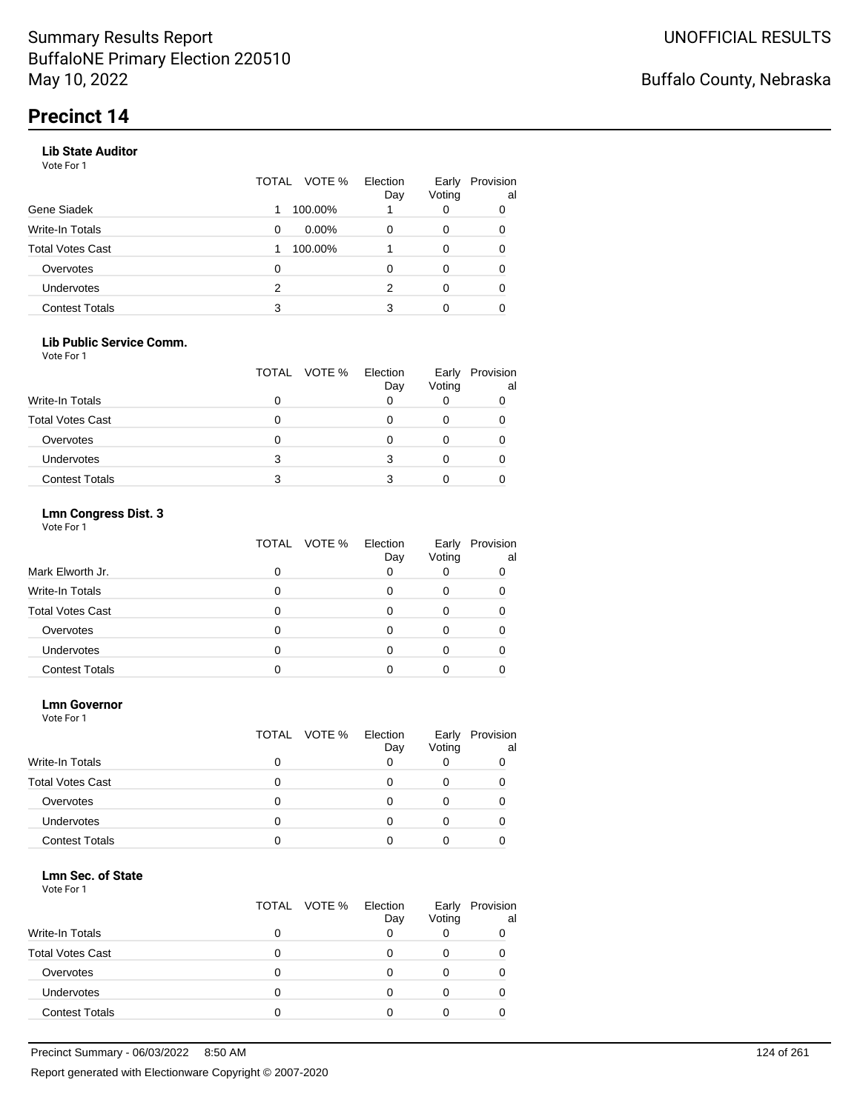### **Lib State Auditor**

Vote For 1

|                       | TOTAL | VOTE %   | Election<br>Day | Early<br>Voting | Provision<br>al |
|-----------------------|-------|----------|-----------------|-----------------|-----------------|
| Gene Siadek           |       | 100.00%  |                 | 0               | 0               |
| Write-In Totals       | 0     | $0.00\%$ | O               | 0               | 0               |
| Total Votes Cast      |       | 100.00%  |                 | 0               |                 |
| Overvotes             | 0     |          |                 | 0               |                 |
| <b>Undervotes</b>     | 2     |          | 2               | 0               | 0               |
| <b>Contest Totals</b> | 3     |          | 3               | 0               |                 |

### **Lib Public Service Comm.**

Vote For 1

|                         |   | TOTAL VOTE % | Election<br>Day | Early<br>Voting | Provision<br>al |
|-------------------------|---|--------------|-----------------|-----------------|-----------------|
| Write-In Totals         |   |              |                 |                 |                 |
| <b>Total Votes Cast</b> |   |              |                 |                 |                 |
| Overvotes               |   |              |                 |                 |                 |
| <b>Undervotes</b>       | 3 |              |                 |                 |                 |
| <b>Contest Totals</b>   | 3 |              |                 |                 |                 |

### **Lmn Congress Dist. 3**

Vote For 1

|                         | TOTAL<br>VOTE % | Election<br>Day | Early<br>Voting | Provision<br>al |  |
|-------------------------|-----------------|-----------------|-----------------|-----------------|--|
| Mark Elworth Jr.        |                 | 0               |                 |                 |  |
| Write-In Totals         |                 |                 |                 |                 |  |
| <b>Total Votes Cast</b> |                 |                 |                 |                 |  |
| Overvotes               |                 | Ω               |                 |                 |  |
| <b>Undervotes</b>       |                 |                 |                 |                 |  |
| <b>Contest Totals</b>   |                 |                 |                 |                 |  |

#### **Lmn Governor**

Vote For 1

|                         |   | TOTAL VOTE % | Election<br>Day | Early<br>Voting | Provision<br>al |
|-------------------------|---|--------------|-----------------|-----------------|-----------------|
| <b>Write-In Totals</b>  | 0 |              |                 | O               |                 |
| <b>Total Votes Cast</b> | O |              | $\mathbf{0}$    | 0               |                 |
| Overvotes               |   |              |                 |                 |                 |
| <b>Undervotes</b>       |   |              |                 |                 |                 |
| <b>Contest Totals</b>   |   |              |                 |                 |                 |

#### **Lmn Sec. of State**

|                         | TOTAL VOTE % | Election<br>Day | Early<br>Voting | Provision<br>al |
|-------------------------|--------------|-----------------|-----------------|-----------------|
| <b>Write-In Totals</b>  |              |                 |                 |                 |
| <b>Total Votes Cast</b> |              |                 |                 |                 |
| Overvotes               |              |                 |                 |                 |
| Undervotes              |              |                 |                 |                 |
| <b>Contest Totals</b>   |              |                 |                 |                 |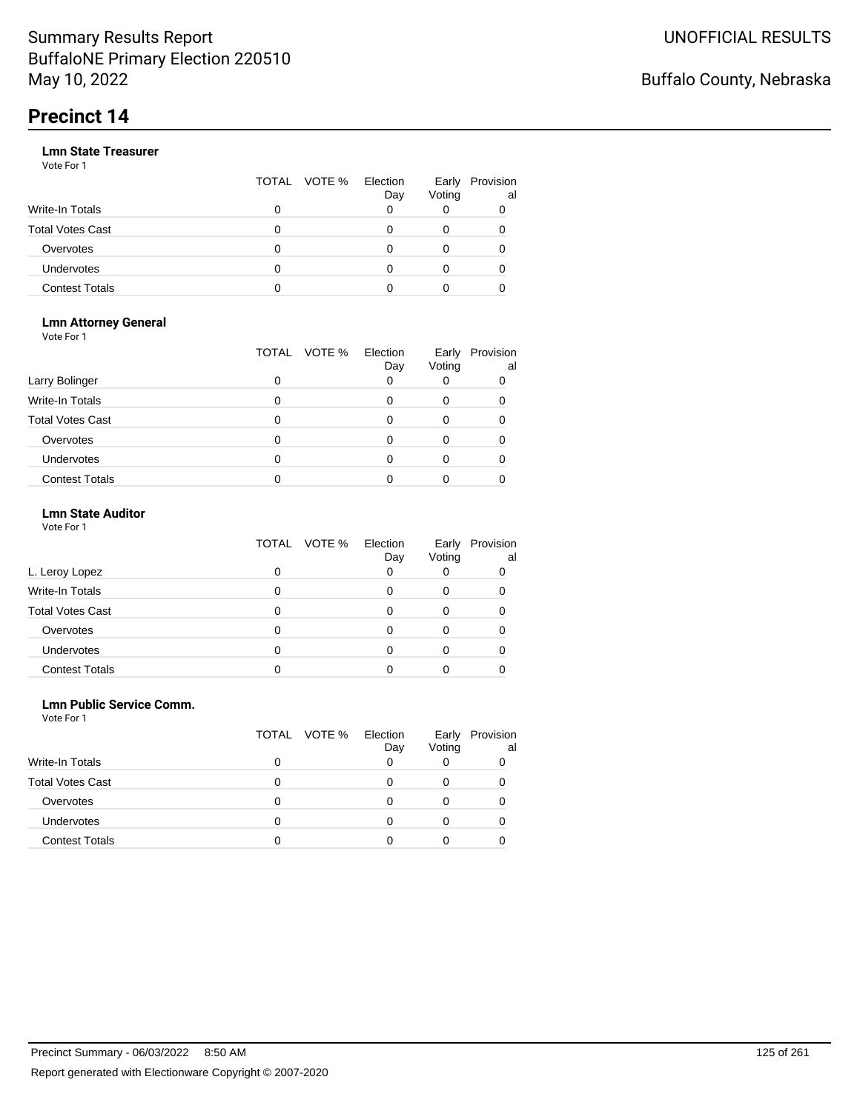|                       |   | TOTAL VOTE % | Election<br>Day | Early<br>Voting | Provision<br>al |
|-----------------------|---|--------------|-----------------|-----------------|-----------------|
| Write-In Totals       | 0 |              |                 |                 |                 |
| Total Votes Cast      | O |              |                 |                 |                 |
| Overvotes             | 0 |              |                 |                 |                 |
| Undervotes            | 0 |              |                 |                 |                 |
| <b>Contest Totals</b> | o |              |                 |                 |                 |

#### **Lmn Attorney General** Vote For 1

|                         | TOTAL | VOTE %<br>Election<br>Day | Early<br>Voting | Provision<br>al |
|-------------------------|-------|---------------------------|-----------------|-----------------|
| Larry Bolinger          | O     |                           |                 |                 |
| <b>Write-In Totals</b>  |       |                           |                 |                 |
| <b>Total Votes Cast</b> |       |                           |                 |                 |
| Overvotes               |       |                           |                 |                 |
| <b>Undervotes</b>       |       |                           |                 |                 |
| <b>Contest Totals</b>   |       |                           |                 |                 |

### **Lmn State Auditor**

| Vote For 1 |  |  |
|------------|--|--|
|------------|--|--|

|                         | TOTAL VOTE % | Election<br>Day | Early<br>Voting | Provision<br>al |
|-------------------------|--------------|-----------------|-----------------|-----------------|
| L. Leroy Lopez          | 0            | O               |                 | O               |
| Write-In Totals         |              |                 |                 |                 |
| <b>Total Votes Cast</b> |              |                 |                 |                 |
| Overvotes               |              |                 |                 |                 |
| Undervotes              |              |                 |                 |                 |
| <b>Contest Totals</b>   |              |                 |                 |                 |

### **Lmn Public Service Comm.**

|                         | TOTAL VOTE % | Election<br>Day | Early<br>Voting | Provision<br>al |
|-------------------------|--------------|-----------------|-----------------|-----------------|
| Write-In Totals         | 0            |                 |                 |                 |
| <b>Total Votes Cast</b> |              |                 |                 |                 |
| Overvotes               | 0            |                 |                 |                 |
| <b>Undervotes</b>       |              |                 |                 |                 |
| <b>Contest Totals</b>   |              |                 |                 |                 |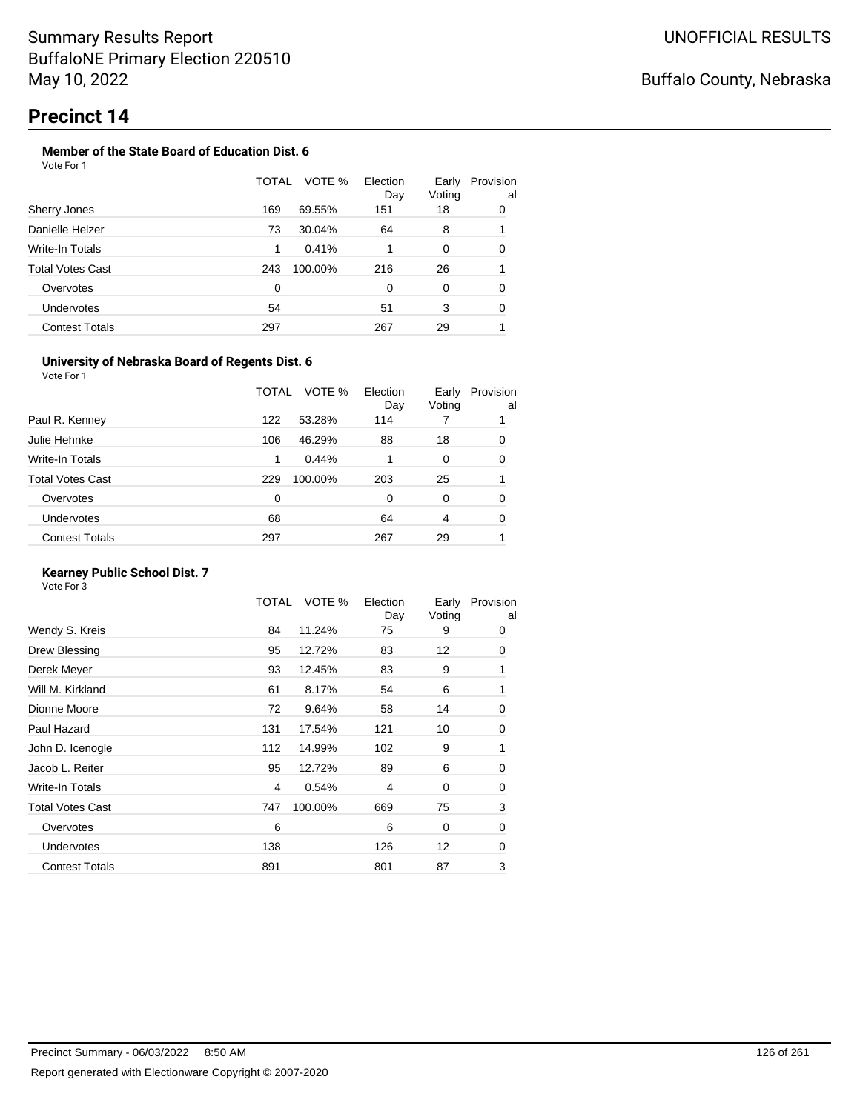#### **Member of the State Board of Education Dist. 6** Vote For 1

|                         | TOTAL | VOTE %  | Election<br>Day | Early<br>Voting | Provision<br>al |
|-------------------------|-------|---------|-----------------|-----------------|-----------------|
| Sherry Jones            | 169   | 69.55%  | 151             | 18              | 0               |
| Danielle Helzer         | 73    | 30.04%  | 64              | 8               |                 |
| Write-In Totals         | 1     | 0.41%   |                 | 0               | 0               |
| <b>Total Votes Cast</b> | 243   | 100.00% | 216             | 26              |                 |
| Overvotes               | 0     |         | 0               | 0               | 0               |
| Undervotes              | 54    |         | 51              | 3               | 0               |
| <b>Contest Totals</b>   | 297   |         | 267             | 29              |                 |

### **University of Nebraska Board of Regents Dist. 6**

Vote For 1

|                       | VOTE %<br>TOTAL | Election<br>Day | Early<br>Voting | Provision<br>al |
|-----------------------|-----------------|-----------------|-----------------|-----------------|
| Paul R. Kenney        | 122<br>53.28%   | 114             |                 |                 |
| Julie Hehnke          | 46.29%<br>106   | 88              | 18              | 0               |
| Write-In Totals       | 0.44%<br>1      |                 | 0               | 0               |
| Total Votes Cast      | 100.00%<br>229  | 203             | 25              |                 |
| Overvotes             | 0               | $\Omega$        | 0               | 0               |
| <b>Undervotes</b>     | 68              | 64              | 4               | 0               |
| <b>Contest Totals</b> | 297             | 267             | 29              |                 |
|                       |                 |                 |                 |                 |

### **Kearney Public School Dist. 7**

|                         | TOTAL | VOTE %  | Election<br>Day | Early<br>Voting | Provision<br>al |
|-------------------------|-------|---------|-----------------|-----------------|-----------------|
| Wendy S. Kreis          | 84    | 11.24%  | 75              | 9               | 0               |
| Drew Blessing           | 95    | 12.72%  | 83              | 12              | 0               |
| Derek Meyer             | 93    | 12.45%  | 83              | 9               | 1               |
| Will M. Kirkland        | 61    | 8.17%   | 54              | 6               | 1               |
| Dionne Moore            | 72    | 9.64%   | 58              | 14              | 0               |
| Paul Hazard             | 131   | 17.54%  | 121             | 10              | 0               |
| John D. Icenogle        | 112   | 14.99%  | 102             | 9               | 1               |
| Jacob L. Reiter         | 95    | 12.72%  | 89              | 6               | 0               |
| Write-In Totals         | 4     | 0.54%   | 4               | $\mathbf 0$     | 0               |
| <b>Total Votes Cast</b> | 747   | 100.00% | 669             | 75              | 3               |
| Overvotes               | 6     |         | 6               | 0               | 0               |
| <b>Undervotes</b>       | 138   |         | 126             | 12              | 0               |
| <b>Contest Totals</b>   | 891   |         | 801             | 87              | 3               |
|                         |       |         |                 |                 |                 |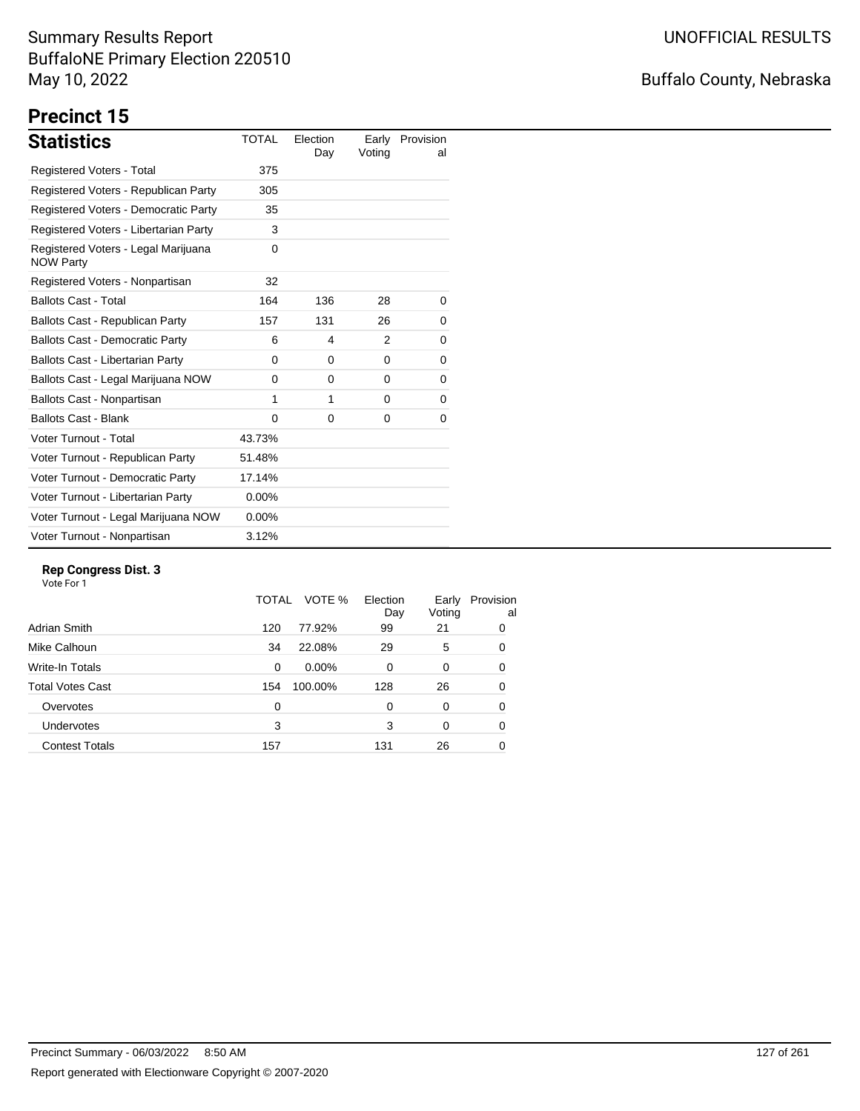# Buffalo County, Nebraska

# **Precinct 15**

| <b>Statistics</b>                                       | <b>TOTAL</b> | Election<br>Day | Early<br>Voting | Provision<br>al |
|---------------------------------------------------------|--------------|-----------------|-----------------|-----------------|
| Registered Voters - Total                               | 375          |                 |                 |                 |
| Registered Voters - Republican Party                    | 305          |                 |                 |                 |
| Registered Voters - Democratic Party                    | 35           |                 |                 |                 |
| Registered Voters - Libertarian Party                   | 3            |                 |                 |                 |
| Registered Voters - Legal Marijuana<br><b>NOW Party</b> | $\Omega$     |                 |                 |                 |
| Registered Voters - Nonpartisan                         | 32           |                 |                 |                 |
| <b>Ballots Cast - Total</b>                             | 164          | 136             | 28              | 0               |
| Ballots Cast - Republican Party                         | 157          | 131             | 26              | 0               |
| <b>Ballots Cast - Democratic Party</b>                  | 6            | 4               | 2               | 0               |
| Ballots Cast - Libertarian Party                        | 0            | 0               | 0               | 0               |
| Ballots Cast - Legal Marijuana NOW                      | $\Omega$     | $\Omega$        | $\Omega$        | 0               |
| Ballots Cast - Nonpartisan                              | 1            | 1               | 0               | 0               |
| <b>Ballots Cast - Blank</b>                             | $\Omega$     | 0               | 0               | 0               |
| Voter Turnout - Total                                   | 43.73%       |                 |                 |                 |
| Voter Turnout - Republican Party                        | 51.48%       |                 |                 |                 |
| Voter Turnout - Democratic Party                        | 17.14%       |                 |                 |                 |
| Voter Turnout - Libertarian Party                       | $0.00\%$     |                 |                 |                 |
| Voter Turnout - Legal Marijuana NOW                     | $0.00\%$     |                 |                 |                 |
| Voter Turnout - Nonpartisan                             | 3.12%        |                 |                 |                 |

### **Rep Congress Dist. 3**

|                       | TOTAL | VOTE %  | Election<br>Day | Early<br>Voting | Provision<br>al |
|-----------------------|-------|---------|-----------------|-----------------|-----------------|
| Adrian Smith          | 120   | 77.92%  | 99              | 21              | 0               |
| Mike Calhoun          | 34    | 22.08%  | 29              | 5               | 0               |
| Write-In Totals       | 0     | 0.00%   | $\Omega$        | 0               | 0               |
| Total Votes Cast      | 154   | 100.00% | 128             | 26              | 0               |
| Overvotes             | 0     |         | $\Omega$        | 0               | 0               |
| <b>Undervotes</b>     | 3     |         | 3               | $\Omega$        | 0               |
| <b>Contest Totals</b> | 157   |         | 131             | 26              | 0               |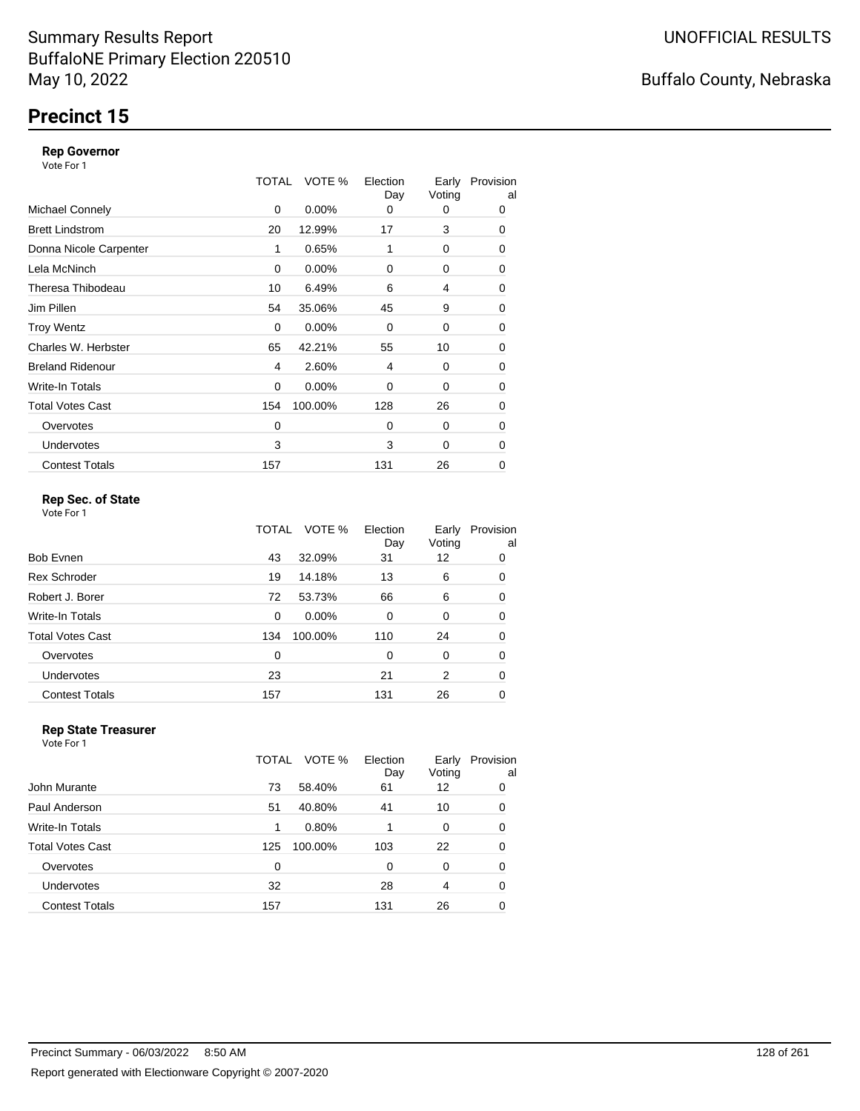# **Precinct 15**

### **Rep Governor**

Vote For 1

|                         | TOTAL       | VOTE %   | Election<br>Day | Early<br>Voting | Provision<br>al |
|-------------------------|-------------|----------|-----------------|-----------------|-----------------|
| <b>Michael Connely</b>  | $\mathbf 0$ | $0.00\%$ | 0               | 0               | 0               |
| <b>Brett Lindstrom</b>  | 20          | 12.99%   | 17              | 3               | 0               |
| Donna Nicole Carpenter  | 1           | 0.65%    | 1               | 0               | 0               |
| Lela McNinch            | 0           | 0.00%    | 0               | 0               | 0               |
| Theresa Thibodeau       | 10          | 6.49%    | 6               | 4               | 0               |
| Jim Pillen              | 54          | 35.06%   | 45              | 9               | 0               |
| <b>Troy Wentz</b>       | 0           | $0.00\%$ | $\Omega$        | 0               | 0               |
| Charles W. Herbster     | 65          | 42.21%   | 55              | 10              | 0               |
| <b>Breland Ridenour</b> | 4           | 2.60%    | 4               | 0               | 0               |
| Write-In Totals         | 0           | $0.00\%$ | 0               | 0               | 0               |
| <b>Total Votes Cast</b> | 154         | 100.00%  | 128             | 26              | 0               |
| Overvotes               | 0           |          | $\Omega$        | 0               | 0               |
| <b>Undervotes</b>       | 3           |          | 3               | 0               | $\Omega$        |
| <b>Contest Totals</b>   | 157         |          | 131             | 26              | 0               |

### **Rep Sec. of State**

Vote For 1

|                         | TOTAL | VOTE %  | Election<br>Day | Early<br>Voting | Provision<br>al |
|-------------------------|-------|---------|-----------------|-----------------|-----------------|
| Bob Evnen               | 43    | 32.09%  | 31              | 12              | 0               |
| <b>Rex Schroder</b>     | 19    | 14.18%  | 13              | 6               | 0               |
| Robert J. Borer         | 72    | 53.73%  | 66              | 6               | 0               |
| Write-In Totals         | 0     | 0.00%   | $\Omega$        | 0               | 0               |
| <b>Total Votes Cast</b> | 134   | 100.00% | 110             | 24              | 0               |
| Overvotes               | 0     |         | 0               | 0               | 0               |
| Undervotes              | 23    |         | 21              | 2               | 0               |
| <b>Contest Totals</b>   | 157   |         | 131             | 26              | 0               |

#### **Rep State Treasurer** Vote For 1

|                       | TOTAL | VOTE %  | Election<br>Day | Early<br>Voting | Provision<br>al |
|-----------------------|-------|---------|-----------------|-----------------|-----------------|
| John Murante          | 73    | 58.40%  | 61              | 12              | 0               |
| Paul Anderson         | 51    | 40.80%  | 41              | 10              | 0               |
| Write-In Totals       | 1     | 0.80%   |                 | 0               | 0               |
| Total Votes Cast      | 125   | 100.00% | 103             | 22              | 0               |
| Overvotes             | 0     |         | 0               | 0               | 0               |
| Undervotes            | 32    |         | 28              | 4               | 0               |
| <b>Contest Totals</b> | 157   |         | 131             | 26              | 0               |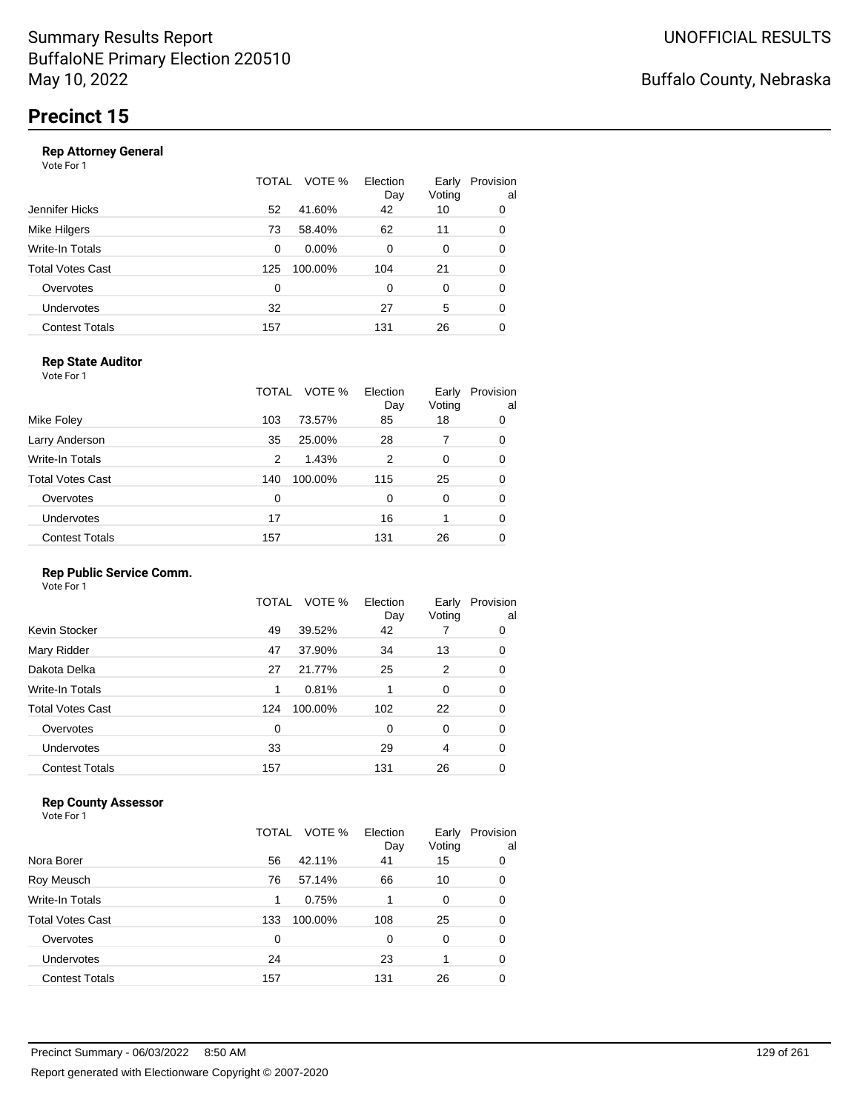|                       | TOTAL | VOTE %   | Election<br>Day | Early<br>Voting | Provision<br>al |
|-----------------------|-------|----------|-----------------|-----------------|-----------------|
| Jennifer Hicks        | 52    | 41.60%   | 42              | 10              | 0               |
| Mike Hilgers          | 73    | 58.40%   | 62              | 11              | 0               |
| Write-In Totals       | 0     | $0.00\%$ | $\Omega$        | 0               | 0               |
| Total Votes Cast      | 125   | 100.00%  | 104             | 21              | 0               |
| Overvotes             | 0     |          | 0               | 0               | 0               |
| Undervotes            | 32    |          | 27              | 5               | 0               |
| <b>Contest Totals</b> | 157   |          | 131             | 26              | 0               |
|                       |       |          |                 |                 |                 |

### **Rep State Auditor**

Vote For 1

|                         | TOTAL | VOTE %  | Election<br>Day | Early<br>Voting | Provision<br>al |
|-------------------------|-------|---------|-----------------|-----------------|-----------------|
| Mike Foley              | 103   | 73.57%  | 85              | 18              | 0               |
| Larry Anderson          | 35    | 25.00%  | 28              |                 | 0               |
| Write-In Totals         | 2     | 1.43%   | 2               | 0               | 0               |
| <b>Total Votes Cast</b> | 140   | 100.00% | 115             | 25              | 0               |
| Overvotes               | 0     |         | 0               | 0               | 0               |
| Undervotes              | 17    |         | 16              |                 | 0               |
| <b>Contest Totals</b>   | 157   |         | 131             | 26              | 0               |

### **Rep Public Service Comm.**

Vote For 1

|                         | TOTAL | VOTE %  | Election<br>Day | Early<br>Voting | Provision<br>al |
|-------------------------|-------|---------|-----------------|-----------------|-----------------|
| Kevin Stocker           | 49    | 39.52%  | 42              |                 | 0               |
| Mary Ridder             | 47    | 37.90%  | 34              | 13              | 0               |
| Dakota Delka            | 27    | 21.77%  | 25              | 2               | 0               |
| Write-In Totals         | 1     | 0.81%   |                 | 0               | 0               |
| <b>Total Votes Cast</b> | 124   | 100.00% | 102             | 22              | 0               |
| Overvotes               | 0     |         | 0               | 0               | 0               |
| Undervotes              | 33    |         | 29              | 4               | 0               |
| <b>Contest Totals</b>   | 157   |         | 131             | 26              | 0               |
|                         |       |         |                 |                 |                 |

### **Rep County Assessor**

|                       | TOTAL | VOTE %  | Election<br>Day | Early<br>Voting | Provision<br>al |
|-----------------------|-------|---------|-----------------|-----------------|-----------------|
| Nora Borer            | 56    | 42.11%  | 41              | 15              | 0               |
| Roy Meusch            | 76    | 57.14%  | 66              | 10              | 0               |
| Write-In Totals       | 1     | 0.75%   |                 | 0               | 0               |
| Total Votes Cast      | 133   | 100.00% | 108             | 25              | 0               |
| Overvotes             | 0     |         | 0               | 0               | 0               |
| Undervotes            | 24    |         | 23              |                 | 0               |
| <b>Contest Totals</b> | 157   |         | 131             | 26              | 0               |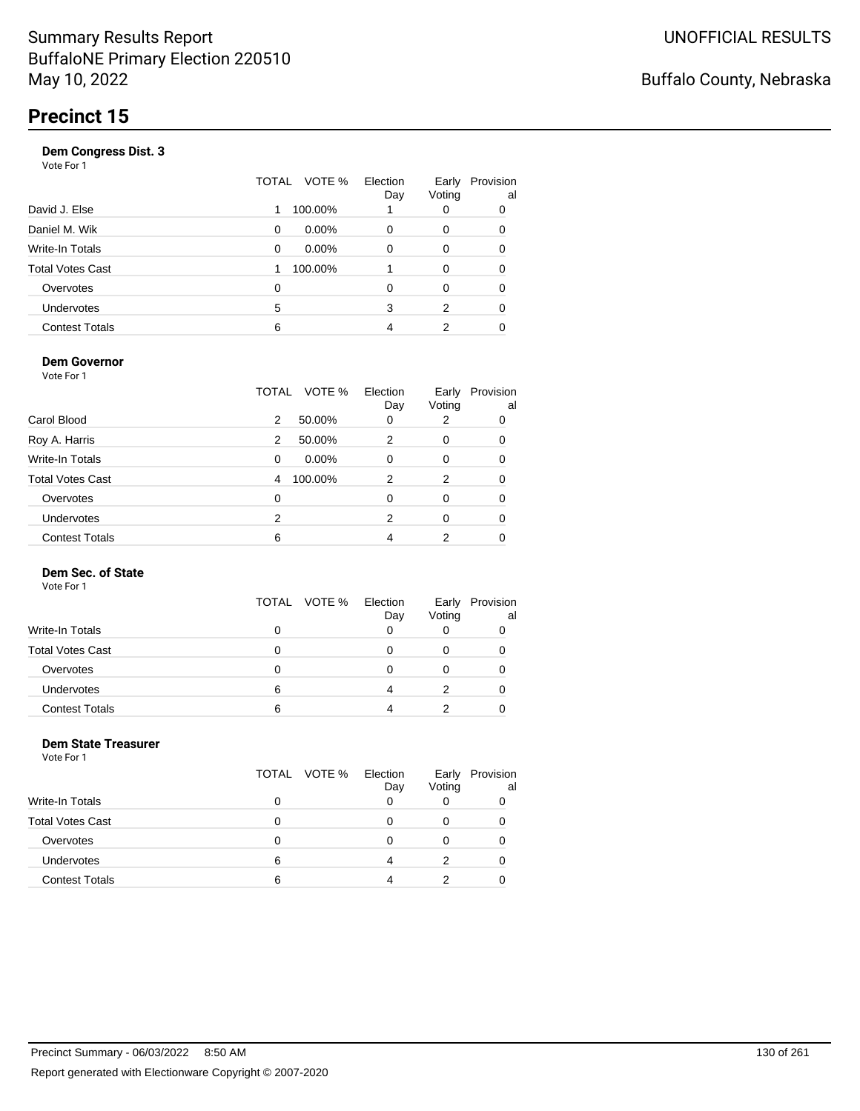| Vote For 1            |       |          |                 |                 |                 |
|-----------------------|-------|----------|-----------------|-----------------|-----------------|
|                       | TOTAL | VOTE %   | Election<br>Day | Early<br>Voting | Provision<br>al |
| David J. Else         | 1     | 100.00%  |                 | 0               | 0               |
| Daniel M. Wik         | 0     | $0.00\%$ | 0               | 0               | 0               |
| Write-In Totals       | 0     | $0.00\%$ | 0               | 0               | 0               |
| Total Votes Cast      |       | 100.00%  |                 | 0               | 0               |
| Overvotes             | 0     |          | 0               | 0               | 0               |
| Undervotes            | 5     |          | 3               | 2               | 0               |
| <b>Contest Totals</b> | 6     |          | 4               | 2               |                 |
|                       |       |          |                 |                 |                 |

### **Dem Governor**

Vote For 1

|                         | TOTAL | VOTE %   | Election<br>Day | Early<br>Voting | Provision<br>al |
|-------------------------|-------|----------|-----------------|-----------------|-----------------|
| Carol Blood             | 2     | 50.00%   | 0               | 2               | 0               |
| Roy A. Harris           | 2     | 50.00%   | 2               | 0               | 0               |
| Write-In Totals         | 0     | $0.00\%$ | 0               | 0               | 0               |
| <b>Total Votes Cast</b> | 4     | 100.00%  | 2               | 2               | 0               |
| Overvotes               | 0     |          | 0               | 0               | 0               |
| <b>Undervotes</b>       | 2     |          | 2               | 0               | 0               |
| <b>Contest Totals</b>   | 6     |          | 4               | 2               |                 |

### **Dem Sec. of State**

Vote For 1

|                         | TOTAL VOTE % | Election<br>Day | Early<br>Voting | Provision<br>al |
|-------------------------|--------------|-----------------|-----------------|-----------------|
| <b>Write-In Totals</b>  | 0            |                 |                 |                 |
| <b>Total Votes Cast</b> | O            |                 |                 |                 |
| Overvotes               | 0            |                 |                 |                 |
| Undervotes              | 6            |                 |                 |                 |
| <b>Contest Totals</b>   | 6            |                 |                 |                 |

#### **Dem State Treasurer** Vote For 1

|                         | TOTAL VOTE % | Election<br>Day | Early<br>Voting | Provision<br>al |
|-------------------------|--------------|-----------------|-----------------|-----------------|
| <b>Write-In Totals</b>  | ი            |                 |                 |                 |
| <b>Total Votes Cast</b> | O            |                 |                 |                 |
| Overvotes               | O            |                 |                 |                 |
| Undervotes              | 6            |                 |                 |                 |
| <b>Contest Totals</b>   | 6            |                 |                 |                 |
|                         |              |                 |                 |                 |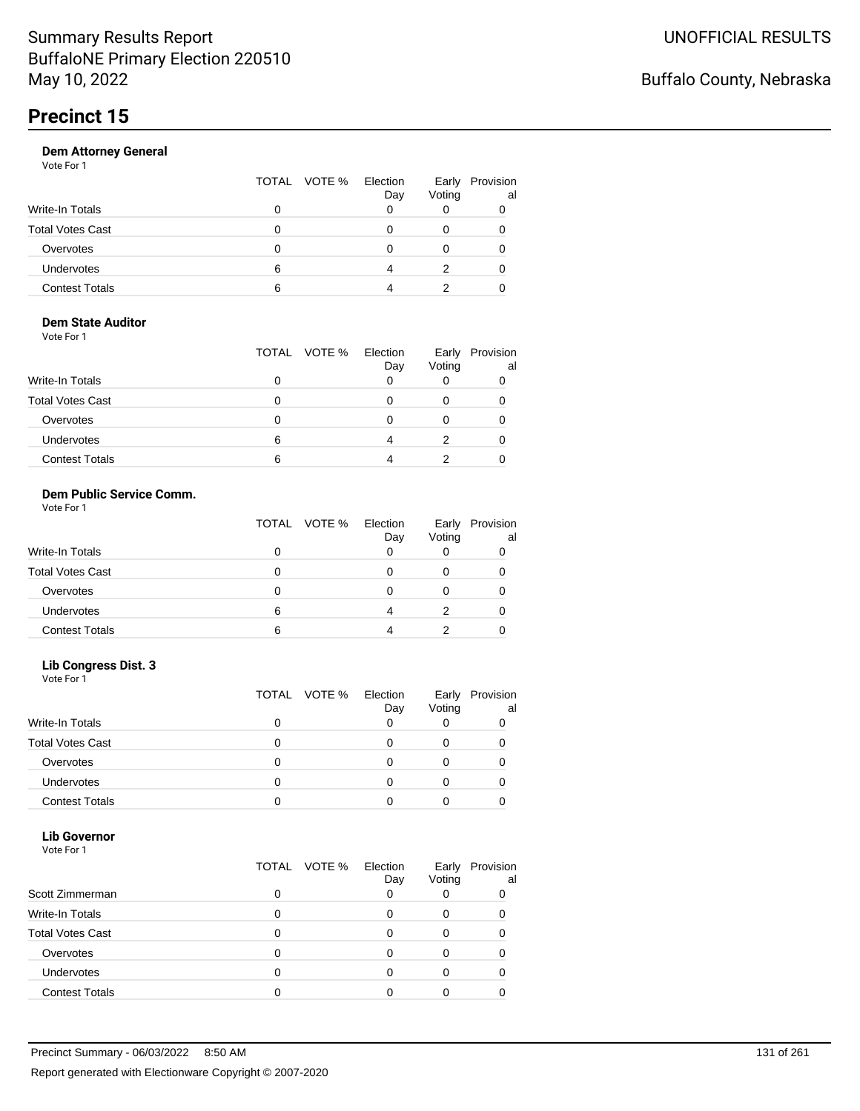|                       |   | TOTAL VOTE % | Election<br>Day | Early<br>Voting | Provision<br>al |
|-----------------------|---|--------------|-----------------|-----------------|-----------------|
| Write-In Totals       | O |              |                 |                 |                 |
| Total Votes Cast      | o |              |                 |                 |                 |
| Overvotes             | 0 |              |                 | 0               |                 |
| Undervotes            | 6 |              | Λ               | 2               |                 |
| <b>Contest Totals</b> | 6 |              |                 |                 |                 |
|                       |   |              |                 |                 |                 |

#### **Dem State Auditor** Vote For 1

| 1 J J J J J J J         | TOTAL VOTE % | Election<br>Day | Early<br>Voting | Provision<br>al |
|-------------------------|--------------|-----------------|-----------------|-----------------|
| <b>Write-In Totals</b>  | 0            |                 |                 |                 |
| <b>Total Votes Cast</b> | 0            |                 |                 |                 |
| Overvotes               | O            |                 |                 |                 |
| Undervotes              | 6            |                 |                 |                 |
| <b>Contest Totals</b>   | 6            |                 |                 |                 |

### **Dem Public Service Comm.**

|  | Vote For 1 |  |
|--|------------|--|
|  |            |  |

|                         |   | TOTAL VOTE % | Election<br>Day | Early<br>Voting | Provision<br>al |
|-------------------------|---|--------------|-----------------|-----------------|-----------------|
| <b>Write-In Totals</b>  |   |              |                 |                 |                 |
| <b>Total Votes Cast</b> |   |              |                 |                 |                 |
| Overvotes               | O |              |                 |                 |                 |
| <b>Undervotes</b>       | 6 |              |                 |                 |                 |
| <b>Contest Totals</b>   | 6 |              |                 |                 |                 |

### **Lib Congress Dist. 3**

Vote For 1

|                         |   | TOTAL VOTE % | Election<br>Day | Early<br>Voting | Provision<br>al |
|-------------------------|---|--------------|-----------------|-----------------|-----------------|
| Write-In Totals         |   |              |                 |                 |                 |
| <b>Total Votes Cast</b> |   |              |                 |                 |                 |
| Overvotes               | 0 |              |                 |                 |                 |
| <b>Undervotes</b>       | 0 |              |                 |                 |                 |
| <b>Contest Totals</b>   |   |              |                 |                 |                 |

#### **Lib Governor** Vote For 1

| 1 J J J J J J           | TOTAL | VOTE % | Election | Early  | Provision |
|-------------------------|-------|--------|----------|--------|-----------|
| Scott Zimmerman         | ი     |        | Day      | Voting | al        |
| <b>Write-In Totals</b>  | 0     |        |          |        |           |
| <b>Total Votes Cast</b> | 0     |        |          |        |           |
| Overvotes               | 0     |        |          |        |           |
| <b>Undervotes</b>       | 0     |        |          |        |           |
| <b>Contest Totals</b>   |       |        |          |        |           |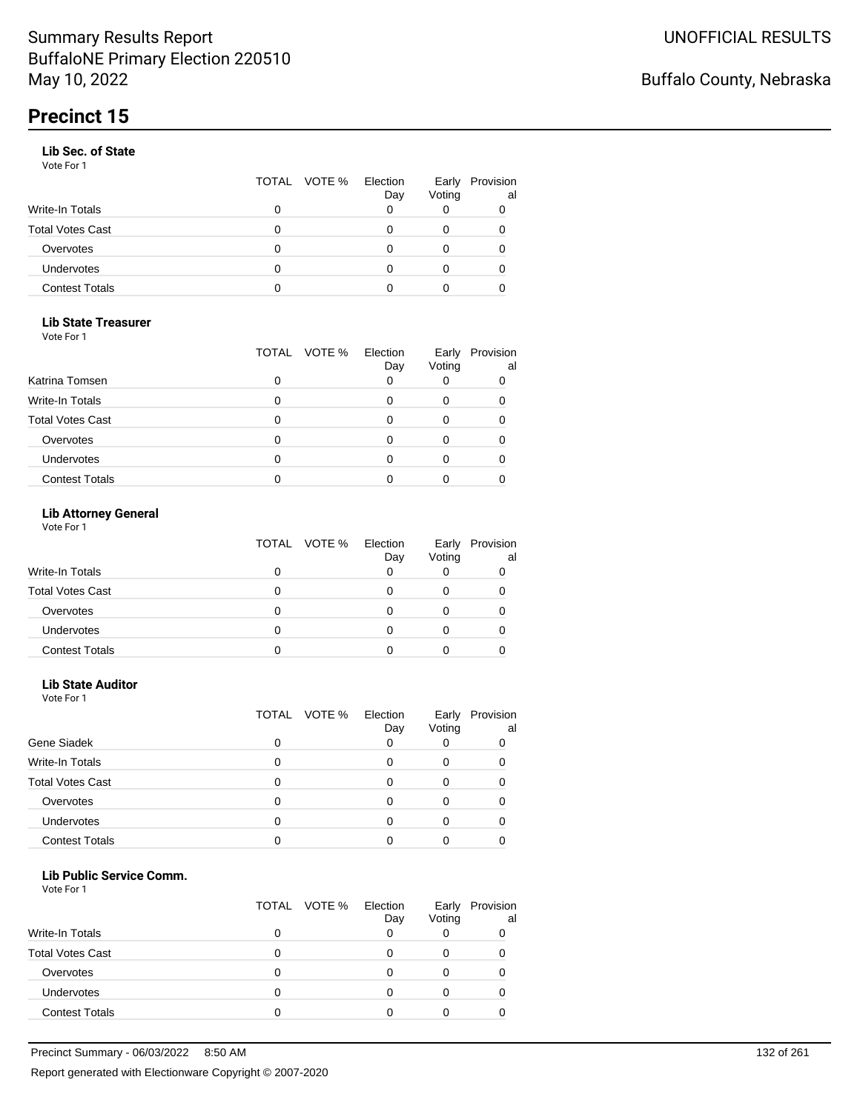### **Lib Sec. of State**

Vote For 1

|                       |   | TOTAL VOTE % Election | Day | Early<br>Voting | Provision<br>al |
|-----------------------|---|-----------------------|-----|-----------------|-----------------|
| Write-In Totals       |   |                       |     |                 | 0               |
| Total Votes Cast      |   |                       |     |                 |                 |
| Overvotes             | 0 |                       |     |                 |                 |
| Undervotes            | 0 |                       |     | 0               | 0               |
| <b>Contest Totals</b> | O |                       |     |                 |                 |

### **Lib State Treasurer**

Vote For 1

|                         | TOTAL | VOTE % Election<br>Day | Early<br>Voting | Provision<br>al |
|-------------------------|-------|------------------------|-----------------|-----------------|
| Katrina Tomsen          |       |                        |                 |                 |
| <b>Write-In Totals</b>  |       |                        |                 |                 |
| <b>Total Votes Cast</b> |       |                        |                 |                 |
| Overvotes               |       |                        |                 |                 |
| Undervotes              |       |                        |                 |                 |
| <b>Contest Totals</b>   |       |                        |                 |                 |

### **Lib Attorney General**

Vote For 1

|                         | TOTAL VOTE % | Election<br>Day | Early<br>Voting | Provision<br>al |
|-------------------------|--------------|-----------------|-----------------|-----------------|
| Write-In Totals         | 0            |                 |                 |                 |
| <b>Total Votes Cast</b> | 0            |                 |                 |                 |
| Overvotes               | 0            |                 |                 |                 |
| Undervotes              |              |                 |                 |                 |
| <b>Contest Totals</b>   |              |                 |                 |                 |

### **Lib State Auditor**

Vote For 1

|                         |   | TOTAL VOTE % | Election<br>Day | Early<br>Voting | Provision<br>al |
|-------------------------|---|--------------|-----------------|-----------------|-----------------|
| Gene Siadek             | ი |              |                 |                 |                 |
| <b>Write-In Totals</b>  | 0 |              |                 |                 |                 |
| <b>Total Votes Cast</b> | 0 |              |                 |                 |                 |
| Overvotes               |   |              |                 |                 |                 |
| Undervotes              |   |              |                 |                 |                 |
| <b>Contest Totals</b>   |   |              |                 |                 |                 |

#### **Lib Public Service Comm.**

|                         |   | TOTAL VOTE % | Election<br>Day | Early<br>Voting | Provision<br>al |
|-------------------------|---|--------------|-----------------|-----------------|-----------------|
| Write-In Totals         |   |              |                 |                 |                 |
| <b>Total Votes Cast</b> |   |              |                 |                 |                 |
| Overvotes               |   |              |                 |                 |                 |
| Undervotes              | o |              |                 |                 |                 |
| <b>Contest Totals</b>   |   |              |                 |                 |                 |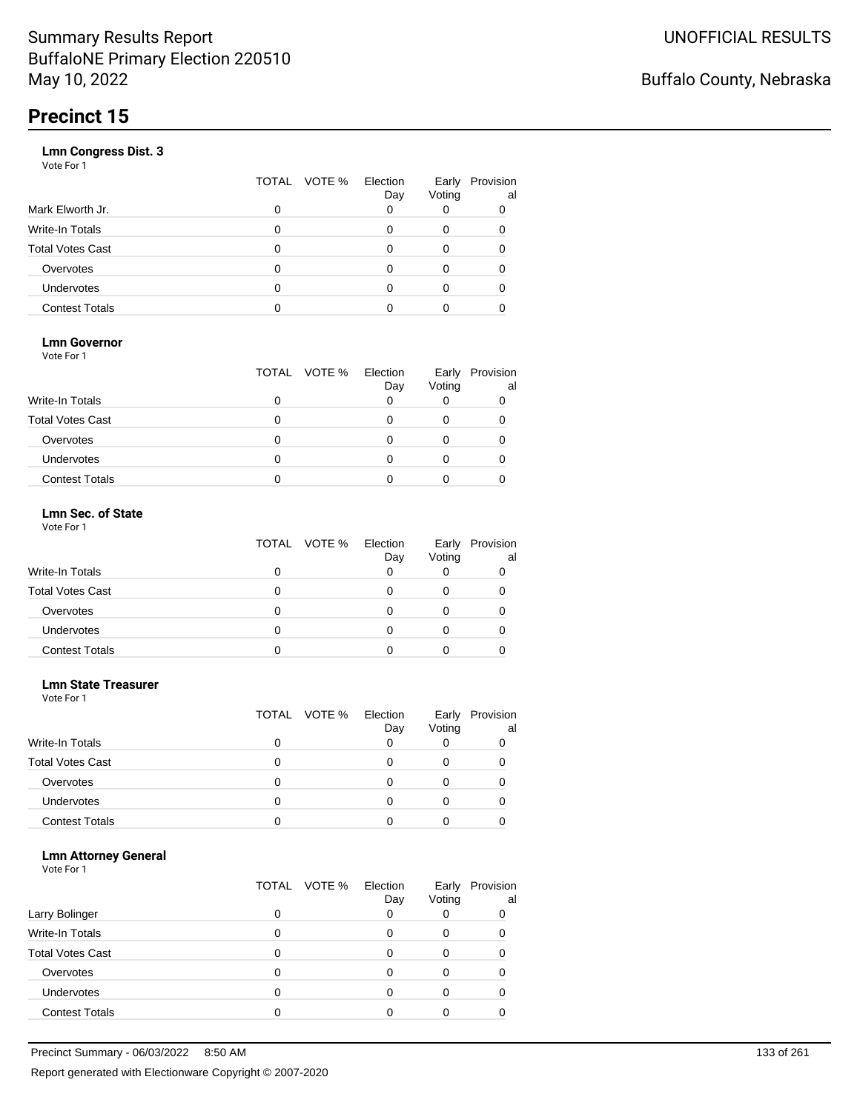|                       | TOTAL | VOTE % | Election<br>Day | Early<br>Voting | Provision<br>al |
|-----------------------|-------|--------|-----------------|-----------------|-----------------|
| Mark Elworth Jr.      | 0     |        |                 |                 |                 |
| Write-In Totals       | 0     |        |                 | 0               | 0               |
| Total Votes Cast      | 0     |        |                 |                 |                 |
| Overvotes             | 0     |        |                 | Ω               |                 |
| Undervotes            | O     |        |                 |                 |                 |
| <b>Contest Totals</b> |       |        |                 |                 |                 |

### **Lmn Governor**

Vote For 1

|                         | TOTAL VOTE % | Election<br>Day | Early<br>Voting | Provision<br>al |
|-------------------------|--------------|-----------------|-----------------|-----------------|
| <b>Write-In Totals</b>  |              |                 |                 |                 |
| <b>Total Votes Cast</b> |              |                 |                 |                 |
| Overvotes               |              |                 |                 |                 |
| Undervotes              |              |                 |                 |                 |
| <b>Contest Totals</b>   |              |                 |                 |                 |

#### **Lmn Sec. of State** Vote For 1

|                         | TOTAL VOTE % | Election<br>Day | Voting | Early Provision<br>al |
|-------------------------|--------------|-----------------|--------|-----------------------|
| <b>Write-In Totals</b>  |              |                 |        |                       |
| <b>Total Votes Cast</b> | O            |                 |        |                       |
| Overvotes               | O            |                 |        |                       |
| Undervotes              | Ω            |                 | Ω      |                       |
| <b>Contest Totals</b>   |              |                 |        |                       |

#### **Lmn State Treasurer**

Vote For 1

|                         |   | TOTAL VOTE % | Election<br>Day | Early<br>Voting | Provision<br>al |
|-------------------------|---|--------------|-----------------|-----------------|-----------------|
| <b>Write-In Totals</b>  | 0 |              |                 |                 |                 |
| <b>Total Votes Cast</b> | 0 |              |                 |                 |                 |
| Overvotes               | 0 |              |                 |                 |                 |
| <b>Undervotes</b>       | O |              |                 |                 |                 |
| <b>Contest Totals</b>   |   |              |                 |                 |                 |

### **Lmn Attorney General**

|                         |   | TOTAL VOTE % | Election<br>Day | Early<br>Voting | Provision<br>al |
|-------------------------|---|--------------|-----------------|-----------------|-----------------|
| Larry Bolinger          |   |              |                 |                 | 0               |
| <b>Write-In Totals</b>  |   |              |                 | O               |                 |
| <b>Total Votes Cast</b> |   |              |                 |                 |                 |
| Overvotes               |   |              |                 |                 |                 |
| Undervotes              | 0 |              |                 |                 |                 |
| <b>Contest Totals</b>   |   |              |                 |                 |                 |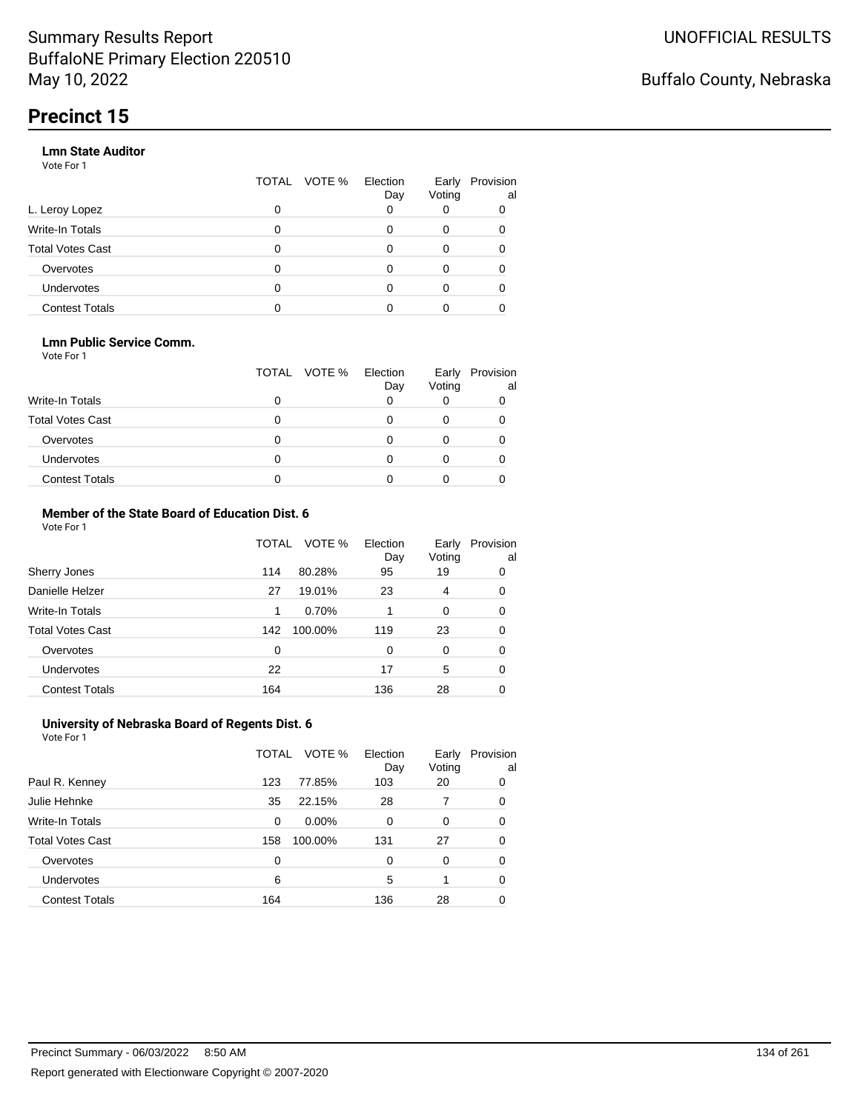### **Lmn State Auditor**

Vote For 1

|                         | TOTAL | VOTE % | Election<br>Day | Early<br>Voting | Provision<br>al |
|-------------------------|-------|--------|-----------------|-----------------|-----------------|
| L. Leroy Lopez          | 0     |        |                 |                 |                 |
| Write-In Totals         | 0     |        |                 | 0               |                 |
| <b>Total Votes Cast</b> | 0     |        | O               | 0               |                 |
| Overvotes               | 0     |        |                 | 0               |                 |
| Undervotes              | 0     |        |                 | 0               |                 |
| <b>Contest Totals</b>   |       |        |                 |                 |                 |

### **Lmn Public Service Comm.**

Vote For 1

|                         |   | TOTAL VOTE % | Election<br>Day | Early<br>Voting | Provision<br>al |
|-------------------------|---|--------------|-----------------|-----------------|-----------------|
| <b>Write-In Totals</b>  |   |              |                 |                 |                 |
| <b>Total Votes Cast</b> |   |              |                 |                 |                 |
| Overvotes               |   |              |                 |                 |                 |
| <b>Undervotes</b>       | 0 |              |                 |                 |                 |
| <b>Contest Totals</b>   |   |              |                 |                 |                 |

#### **Member of the State Board of Education Dist. 6** Vote For 1

|                         | TOTAL    | VOTE %  | Election<br>Day | Early<br>Voting | Provision<br>al |
|-------------------------|----------|---------|-----------------|-----------------|-----------------|
| Sherry Jones            | 114      | 80.28%  | 95              | 19              | 0               |
| Danielle Helzer         | 27       | 19.01%  | 23              | 4               | 0               |
| <b>Write-In Totals</b>  | 1        | 0.70%   |                 | 0               | 0               |
| <b>Total Votes Cast</b> | 142      | 100.00% | 119             | 23              | 0               |
| Overvotes               | $\Omega$ |         | $\Omega$        | $\Omega$        | 0               |
| <b>Undervotes</b>       | 22       |         | 17              | 5               | 0               |
| <b>Contest Totals</b>   | 164      |         | 136             | 28              | 0               |

#### **University of Nebraska Board of Regents Dist. 6** Vote For 1

|                         | TOTAL | VOTE %  | Election<br>Day | Early<br>Voting | Provision<br>al |
|-------------------------|-------|---------|-----------------|-----------------|-----------------|
| Paul R. Kenney          | 123   | 77.85%  | 103             | 20              | 0               |
| Julie Hehnke            | 35    | 22.15%  | 28              | 7               | 0               |
| <b>Write-In Totals</b>  | 0     | 0.00%   | 0               | 0               | 0               |
| <b>Total Votes Cast</b> | 158   | 100.00% | 131             | 27              | 0               |
| Overvotes               | 0     |         | 0               | $\Omega$        | 0               |
| Undervotes              | 6     |         | 5               |                 | 0               |
| <b>Contest Totals</b>   | 164   |         | 136             | 28              |                 |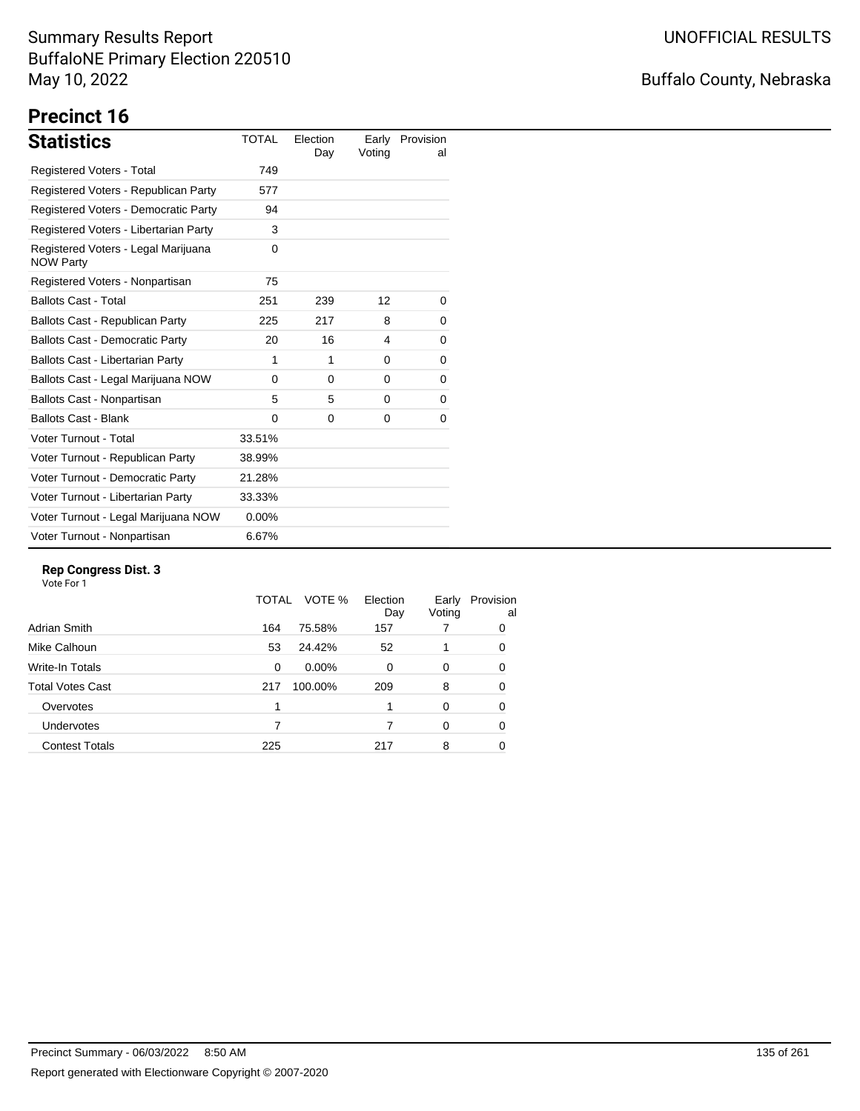# Buffalo County, Nebraska

# **Precinct 16**

| <b>Statistics</b>                                       | <b>TOTAL</b> | Election<br>Day | Early<br>Voting | Provision<br>al |
|---------------------------------------------------------|--------------|-----------------|-----------------|-----------------|
| Registered Voters - Total                               | 749          |                 |                 |                 |
| Registered Voters - Republican Party                    | 577          |                 |                 |                 |
| Registered Voters - Democratic Party                    | 94           |                 |                 |                 |
| Registered Voters - Libertarian Party                   | 3            |                 |                 |                 |
| Registered Voters - Legal Marijuana<br><b>NOW Party</b> | $\Omega$     |                 |                 |                 |
| Registered Voters - Nonpartisan                         | 75           |                 |                 |                 |
| <b>Ballots Cast - Total</b>                             | 251          | 239             | 12              | 0               |
| Ballots Cast - Republican Party                         | 225          | 217             | 8               | 0               |
| <b>Ballots Cast - Democratic Party</b>                  | 20           | 16              | 4               | 0               |
| Ballots Cast - Libertarian Party                        | 1            | 1               | 0               | 0               |
| Ballots Cast - Legal Marijuana NOW                      | $\Omega$     | $\Omega$        | $\Omega$        | 0               |
| Ballots Cast - Nonpartisan                              | 5            | 5               | 0               | 0               |
| <b>Ballots Cast - Blank</b>                             | $\Omega$     | 0               | 0               | 0               |
| Voter Turnout - Total                                   | 33.51%       |                 |                 |                 |
| Voter Turnout - Republican Party                        | 38.99%       |                 |                 |                 |
| Voter Turnout - Democratic Party                        | 21.28%       |                 |                 |                 |
| Voter Turnout - Libertarian Party                       | 33.33%       |                 |                 |                 |
| Voter Turnout - Legal Marijuana NOW                     | $0.00\%$     |                 |                 |                 |
| Voter Turnout - Nonpartisan                             | 6.67%        |                 |                 |                 |

### **Rep Congress Dist. 3**

|                       | TOTAL | VOTE %   | Election<br>Day | Early<br>Voting | Provision<br>al |
|-----------------------|-------|----------|-----------------|-----------------|-----------------|
| Adrian Smith          | 164   | 75.58%   | 157             |                 | 0               |
| Mike Calhoun          | 53    | 24.42%   | 52              |                 | 0               |
| Write-In Totals       | 0     | $0.00\%$ | 0               | 0               | 0               |
| Total Votes Cast      | 217   | 100.00%  | 209             | 8               | 0               |
| Overvotes             |       |          |                 | $\Omega$        | 0               |
| <b>Undervotes</b>     |       |          |                 | 0               | 0               |
| <b>Contest Totals</b> | 225   |          | 217             | 8               | 0               |
|                       |       |          |                 |                 |                 |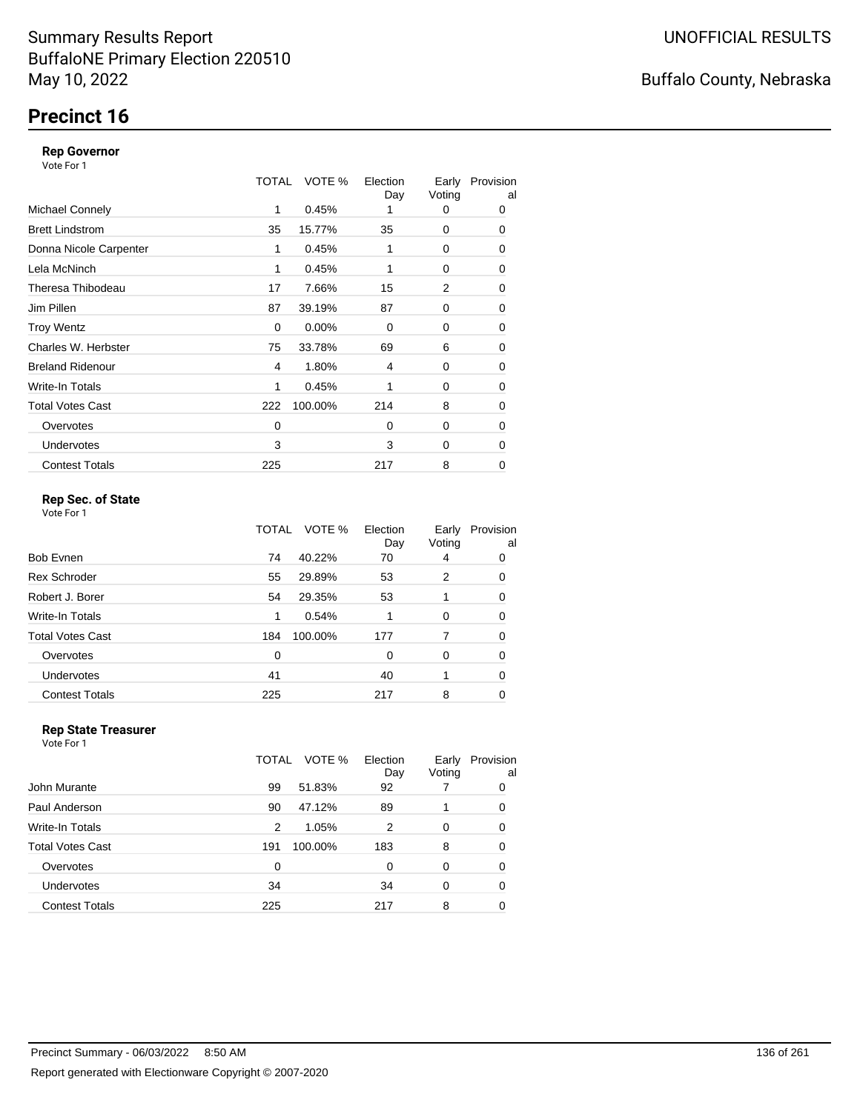# **Precinct 16**

### **Rep Governor**

Vote For 1

|                         | TOTAL | VOTE %  | Election<br>Day | Early<br>Voting | Provision<br>al |
|-------------------------|-------|---------|-----------------|-----------------|-----------------|
| <b>Michael Connely</b>  | 1     | 0.45%   |                 | 0               | 0               |
| <b>Brett Lindstrom</b>  | 35    | 15.77%  | 35              | 0               | 0               |
| Donna Nicole Carpenter  | 1     | 0.45%   | 1               | 0               | 0               |
| Lela McNinch            | 1     | 0.45%   |                 | 0               | 0               |
| Theresa Thibodeau       | 17    | 7.66%   | 15              | 2               | 0               |
| Jim Pillen              | 87    | 39.19%  | 87              | 0               | 0               |
| <b>Troy Wentz</b>       | 0     | 0.00%   | $\Omega$        | 0               | 0               |
| Charles W. Herbster     | 75    | 33.78%  | 69              | 6               | 0               |
| <b>Breland Ridenour</b> | 4     | 1.80%   | 4               | 0               | 0               |
| Write-In Totals         | 1     | 0.45%   | 1               | 0               | 0               |
| <b>Total Votes Cast</b> | 222   | 100.00% | 214             | 8               | $\mathbf 0$     |
| Overvotes               | 0     |         | 0               | 0               | 0               |
| <b>Undervotes</b>       | 3     |         | 3               | 0               | 0               |
| <b>Contest Totals</b>   | 225   |         | 217             | 8               | 0               |

### **Rep Sec. of State**

Vote For 1

|                         | TOTAL | VOTE %  | Election<br>Day | Early<br>Voting | Provision<br>al |
|-------------------------|-------|---------|-----------------|-----------------|-----------------|
| Bob Evnen               | 74    | 40.22%  | 70              | 4               | 0               |
| <b>Rex Schroder</b>     | 55    | 29.89%  | 53              | 2               | 0               |
| Robert J. Borer         | 54    | 29.35%  | 53              |                 | 0               |
| Write-In Totals         | 1     | 0.54%   |                 | 0               | 0               |
| <b>Total Votes Cast</b> | 184   | 100.00% | 177             | 7               | 0               |
| Overvotes               | 0     |         | 0               | 0               | 0               |
| Undervotes              | 41    |         | 40              |                 | 0               |
| <b>Contest Totals</b>   | 225   |         | 217             | 8               | 0               |

#### **Rep State Treasurer**

| Vote For 1              |       |         |                 |                 |                 |
|-------------------------|-------|---------|-----------------|-----------------|-----------------|
|                         | TOTAL | VOTE %  | Election<br>Day | Early<br>Voting | Provision<br>al |
| John Murante            | 99    | 51.83%  | 92              |                 | 0               |
| Paul Anderson           | 90    | 47.12%  | 89              |                 | 0               |
| <b>Write-In Totals</b>  | 2     | 1.05%   | $\mathfrak{p}$  | $\Omega$        | 0               |
| <b>Total Votes Cast</b> | 191   | 100.00% | 183             | 8               | 0               |
| Overvotes               | 0     |         | $\Omega$        | $\Omega$        | 0               |
| <b>Undervotes</b>       | 34    |         | 34              | 0               | 0               |
| <b>Contest Totals</b>   | 225   |         | 217             | 8               |                 |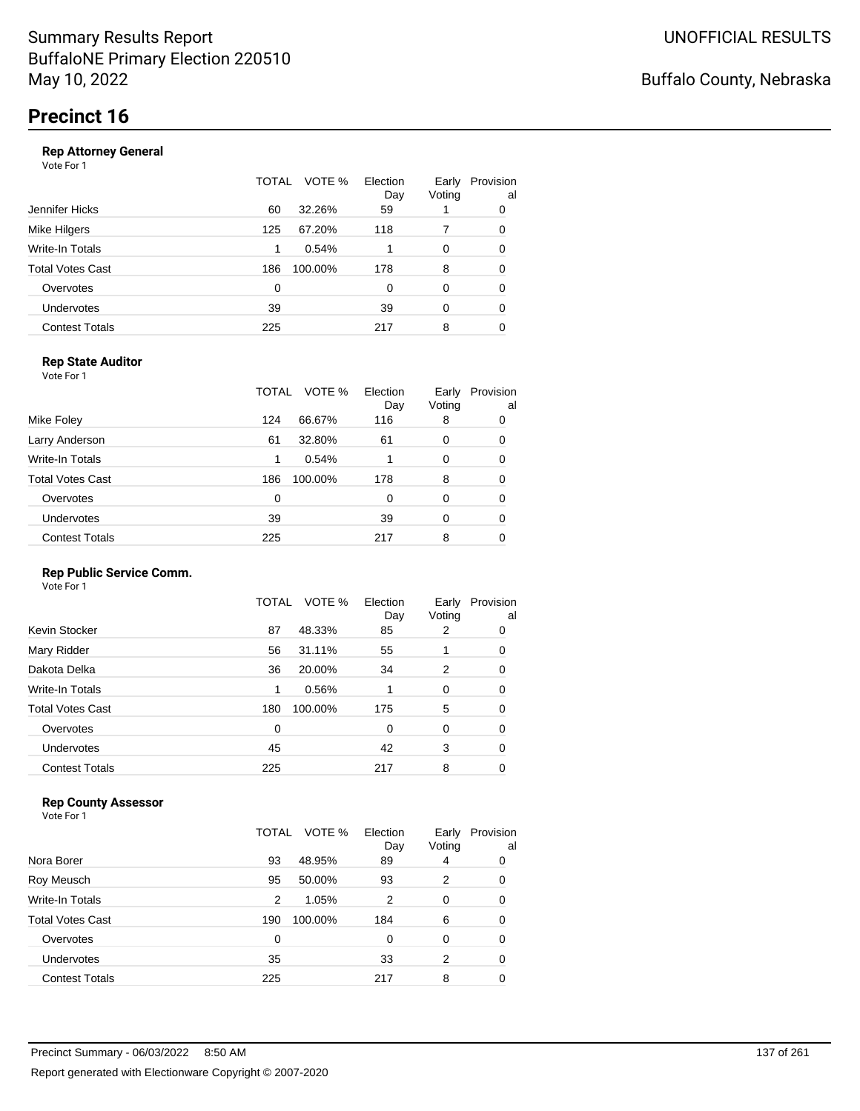### **Rep Attorney General**

Vote For 1

|                       | TOTAL | VOTE %  | Election<br>Day | Early<br>Voting | Provision<br>al |
|-----------------------|-------|---------|-----------------|-----------------|-----------------|
| Jennifer Hicks        | 60    | 32.26%  | 59              |                 | 0               |
| Mike Hilgers          | 125   | 67.20%  | 118             |                 | 0               |
| Write-In Totals       | 1     | 0.54%   |                 | $\Omega$        | 0               |
| Total Votes Cast      | 186   | 100.00% | 178             | 8               | 0               |
| Overvotes             | 0     |         | $\Omega$        | $\Omega$        | 0               |
| Undervotes            | 39    |         | 39              | $\Omega$        | 0               |
| <b>Contest Totals</b> | 225   |         | 217             | 8               | 0               |
|                       |       |         |                 |                 |                 |

### **Rep State Auditor**

Vote For 1

|                       | TOTAL | VOTE %  | Election<br>Day | Early<br>Voting | Provision<br>al |
|-----------------------|-------|---------|-----------------|-----------------|-----------------|
| Mike Foley            | 124   | 66.67%  | 116             | 8               | 0               |
| Larry Anderson        | 61    | 32.80%  | 61              | 0               | 0               |
| Write-In Totals       | 1     | 0.54%   |                 | 0               | 0               |
| Total Votes Cast      | 186   | 100.00% | 178             | 8               | 0               |
| Overvotes             | 0     |         | 0               | 0               | 0               |
| <b>Undervotes</b>     | 39    |         | 39              | 0               | 0               |
| <b>Contest Totals</b> | 225   |         | 217             | 8               | 0               |

### **Rep Public Service Comm.**

Vote For 1

|                         | TOTAL | VOTE %  | Election<br>Day | Early<br>Voting | Provision<br>al |
|-------------------------|-------|---------|-----------------|-----------------|-----------------|
| Kevin Stocker           | 87    | 48.33%  | 85              | 2               | 0               |
| Mary Ridder             | 56    | 31.11%  | 55              | 1               | 0               |
| Dakota Delka            | 36    | 20.00%  | 34              | 2               | 0               |
| Write-In Totals         | 1     | 0.56%   |                 | 0               | 0               |
| <b>Total Votes Cast</b> | 180   | 100.00% | 175             | 5               | 0               |
| Overvotes               | 0     |         | 0               | 0               | 0               |
| <b>Undervotes</b>       | 45    |         | 42              | 3               | 0               |
| <b>Contest Totals</b>   | 225   |         | 217             | 8               | 0               |

### **Rep County Assessor**

Vote For 1

|                       | TOTAL | VOTE %  | Election<br>Day | Early<br>Voting | Provision<br>al |
|-----------------------|-------|---------|-----------------|-----------------|-----------------|
| Nora Borer            | 93    | 48.95%  | 89              | 4               | 0               |
| Roy Meusch            | 95    | 50.00%  | 93              | 2               | 0               |
| Write-In Totals       | 2     | 1.05%   | 2               | 0               | 0               |
| Total Votes Cast      | 190   | 100.00% | 184             | 6               | 0               |
| Overvotes             | 0     |         | 0               | 0               | 0               |
| Undervotes            | 35    |         | 33              | 2               | 0               |
| <b>Contest Totals</b> | 225   |         | 217             | 8               | 0               |

Buffalo County, Nebraska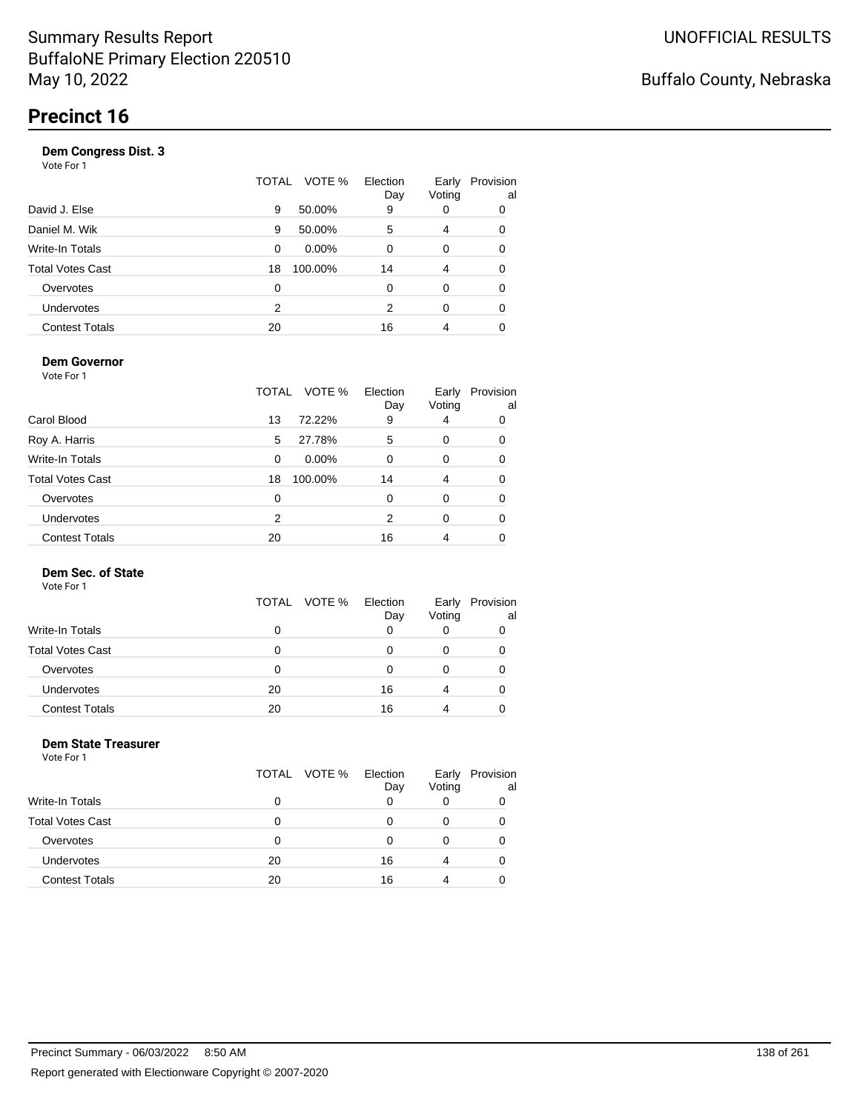| -----<br>Vote For 1     |       |          |                 |                 |                 |
|-------------------------|-------|----------|-----------------|-----------------|-----------------|
|                         | TOTAL | VOTE %   | Election<br>Day | Early<br>Voting | Provision<br>al |
| David J. Else           | 9     | 50.00%   | 9               | 0               | 0               |
| Daniel M. Wik           | 9     | 50.00%   | 5               | 4               | 0               |
| <b>Write-In Totals</b>  | 0     | $0.00\%$ | 0               | 0               | 0               |
| <b>Total Votes Cast</b> | 18    | 100.00%  | 14              | 4               | 0               |
| Overvotes               | 0     |          | 0               | 0               | 0               |
| <b>Undervotes</b>       | 2     |          | 2               | 0               | 0               |
| <b>Contest Totals</b>   | 20    |          | 16              | 4               | 0               |
|                         |       |          |                 |                 |                 |

### **Dem Governor**

Vote For 1

|                         | TOTAL | VOTE %   | Election<br>Day | Early<br>Voting | Provision<br>al |
|-------------------------|-------|----------|-----------------|-----------------|-----------------|
| Carol Blood             | 13    | 72.22%   | 9               | 4               | 0               |
| Roy A. Harris           | 5     | 27.78%   | 5               | 0               | 0               |
| Write-In Totals         | 0     | $0.00\%$ | 0               | 0               | 0               |
| <b>Total Votes Cast</b> | 18    | 100.00%  | 14              | 4               | 0               |
| Overvotes               | 0     |          | 0               | 0               | 0               |
| <b>Undervotes</b>       | 2     |          | 2               | 0               | 0               |
| <b>Contest Totals</b>   | 20    |          | 16              | 4               |                 |

### **Dem Sec. of State**

Vote For 1

|                         |    | TOTAL VOTE % | Election<br>Day | Early<br>Voting | Provision<br>al |
|-------------------------|----|--------------|-----------------|-----------------|-----------------|
| <b>Write-In Totals</b>  | 0  |              |                 |                 |                 |
| <b>Total Votes Cast</b> | 0  |              |                 |                 |                 |
| Overvotes               | 0  |              | Ω               |                 |                 |
| <b>Undervotes</b>       | 20 |              | 16              | 4               |                 |
| <b>Contest Totals</b>   | 20 |              | 16              |                 |                 |

#### **Dem State Treasurer** Vote For 1

|                         |    | TOTAL VOTE % | Election<br>Day | Early<br>Voting | Provision<br>al |
|-------------------------|----|--------------|-----------------|-----------------|-----------------|
| Write-In Totals         | 0  |              |                 |                 |                 |
| <b>Total Votes Cast</b> | n  |              | ი               |                 |                 |
| Overvotes               | 0  |              | O               |                 |                 |
| Undervotes              | 20 |              | 16              |                 |                 |
| <b>Contest Totals</b>   | 20 |              | 16              |                 |                 |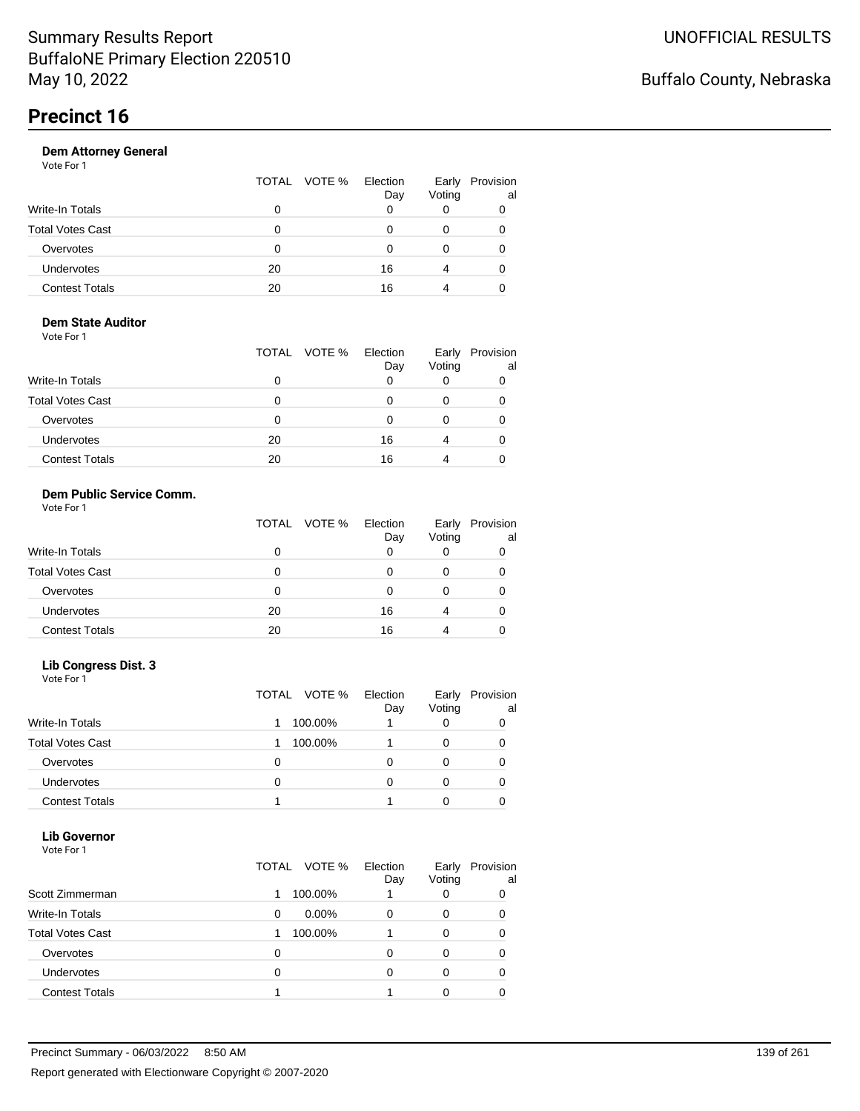|                       | VOTE %<br>TOTAL | Election<br>Day | Early<br>Voting | Provision<br>al |
|-----------------------|-----------------|-----------------|-----------------|-----------------|
| Write-In Totals       | 0               |                 |                 |                 |
| Total Votes Cast      | Ω               |                 |                 |                 |
| Overvotes             | 0               |                 |                 |                 |
| Undervotes            | 20              | 16              | 4               |                 |
| <b>Contest Totals</b> | 20              | 16              |                 |                 |
|                       |                 |                 |                 |                 |

#### **Dem State Auditor** Vote For 1

|                         | TOTAL VOTE % | Election<br>Day | Early<br>Voting | Provision<br>al |
|-------------------------|--------------|-----------------|-----------------|-----------------|
| <b>Write-In Totals</b>  | 0            |                 |                 |                 |
| <b>Total Votes Cast</b> | 0            |                 |                 |                 |
| Overvotes               | 0            |                 |                 |                 |
| Undervotes              | 20           | 16              | 4               |                 |
| <b>Contest Totals</b>   | 20           | 16              |                 |                 |

#### **Dem Public Service Comm.** Vote For 1

|                         | TOTAL VOTE % Election | Day | Early<br>Voting | Provision<br>al |
|-------------------------|-----------------------|-----|-----------------|-----------------|
| Write-In Totals         |                       |     |                 |                 |
| <b>Total Votes Cast</b> | Ω                     |     |                 |                 |
| Overvotes               | 0                     |     |                 |                 |
| Undervotes              | 20                    | 16  |                 | Ω               |
| <b>Contest Totals</b>   | 20                    | 16  |                 |                 |

### **Lib Congress Dist. 3**

Vote For 1

|                         |   | TOTAL VOTE % | Election<br>Day | Early<br>Voting | Provision<br>al |
|-------------------------|---|--------------|-----------------|-----------------|-----------------|
| <b>Write-In Totals</b>  |   | 100.00%      |                 |                 |                 |
| <b>Total Votes Cast</b> |   | 100.00%      |                 |                 |                 |
| Overvotes               | 0 |              |                 |                 |                 |
| <b>Undervotes</b>       | 0 |              |                 |                 |                 |
| <b>Contest Totals</b>   |   |              |                 |                 |                 |

#### **Lib Governor** Vote For 1

| <u>VULGIUI</u>          |       |          |                 |                 |                 |
|-------------------------|-------|----------|-----------------|-----------------|-----------------|
|                         | TOTAL | VOTE %   | Election<br>Day | Early<br>Voting | Provision<br>al |
| Scott Zimmerman         |       | 100.00%  |                 |                 | O               |
| <b>Write-In Totals</b>  | 0     | $0.00\%$ | 0               | 0               | 0               |
| <b>Total Votes Cast</b> |       | 100.00%  |                 |                 |                 |
| Overvotes               | 0     |          |                 |                 |                 |
| Undervotes              | 0     |          |                 |                 |                 |
| <b>Contest Totals</b>   |       |          |                 |                 |                 |
|                         |       |          |                 |                 |                 |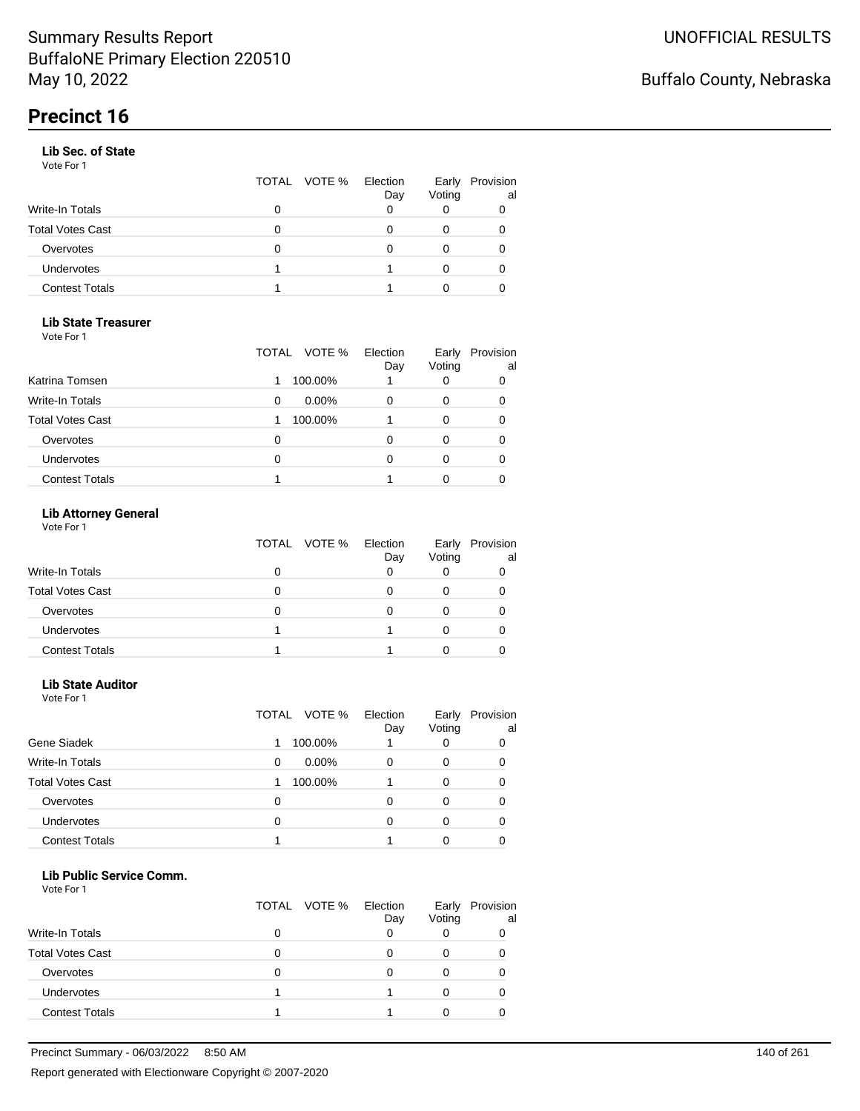### **Lib Sec. of State**

Vote For 1

|   | Day          | Early<br>Voting | Provision<br>al |
|---|--------------|-----------------|-----------------|
| O |              |                 |                 |
| 0 |              |                 |                 |
| O |              |                 |                 |
|   |              |                 |                 |
|   |              |                 |                 |
|   | TOTAL VOTE % | Election        |                 |

#### **Lib State Treasurer** Vote For 1

| 1 U U U                 |               |                 |                 |                 |
|-------------------------|---------------|-----------------|-----------------|-----------------|
|                         | TOTAL VOTE %  | Election<br>Day | Early<br>Voting | Provision<br>al |
| Katrina Tomsen          | 100.00%       |                 | 0               |                 |
| Write-In Totals         | $0.00\%$<br>0 |                 | 0               |                 |
| <b>Total Votes Cast</b> | 100.00%       |                 | 0               |                 |
| Overvotes               | 0             | O               | O               |                 |
| Undervotes              | 0             |                 | 0               |                 |
| <b>Contest Totals</b>   |               |                 |                 |                 |

### **Lib Attorney General**

|                         | TOTAL VOTE % | Election<br>Day | Early<br>Voting | Provision<br>al |
|-------------------------|--------------|-----------------|-----------------|-----------------|
| <b>Write-In Totals</b>  |              |                 |                 |                 |
| <b>Total Votes Cast</b> |              |                 |                 |                 |
| Overvotes               |              |                 |                 |                 |
| <b>Undervotes</b>       |              |                 |                 |                 |
| <b>Contest Totals</b>   |              |                 |                 |                 |

#### **Lib State Auditor**

|  | Vote For 1 |  |  |
|--|------------|--|--|
|--|------------|--|--|

|                         | VOTE %<br>TOTAL | Election<br>Day | Early<br>Voting | Provision<br>al |
|-------------------------|-----------------|-----------------|-----------------|-----------------|
| Gene Siadek             | 100.00%         |                 |                 |                 |
| <b>Write-In Totals</b>  | $0.00\%$<br>0   | 0               | 0               | O               |
| <b>Total Votes Cast</b> | 100.00%         |                 | 0               |                 |
| Overvotes               | 0               | ი               | O               |                 |
| <b>Undervotes</b>       | 0               | 0               |                 |                 |
| <b>Contest Totals</b>   |                 |                 |                 |                 |

#### **Lib Public Service Comm.**

| Vote For 1 |  |
|------------|--|
|------------|--|

|                         |   | TOTAL VOTE % | Election<br>Day | Early<br>Voting | Provision<br>al |
|-------------------------|---|--------------|-----------------|-----------------|-----------------|
| Write-In Totals         | O |              |                 |                 |                 |
| <b>Total Votes Cast</b> |   |              |                 |                 |                 |
| Overvotes               | 0 |              |                 |                 |                 |
| Undervotes              |   |              |                 |                 |                 |
| <b>Contest Totals</b>   |   |              |                 |                 |                 |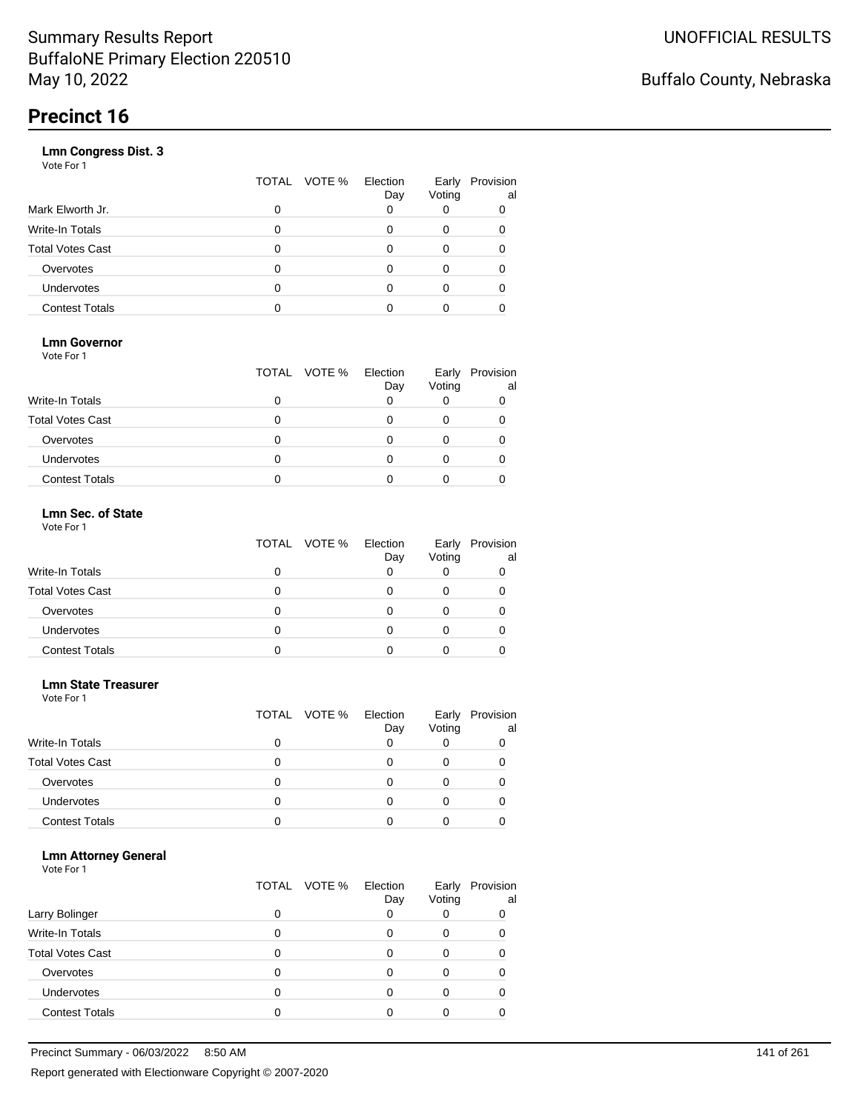|                       | VOTE %<br>TOTAL | Election<br>Day | Early<br>Voting | Provision<br>al |
|-----------------------|-----------------|-----------------|-----------------|-----------------|
| Mark Elworth Jr.      | 0               |                 |                 | 0               |
| Write-In Totals       | O               |                 | 0               | 0               |
| Total Votes Cast      | O               |                 | 0               |                 |
| Overvotes             | 0               |                 | 0               |                 |
| Undervotes            | O               |                 | Ω               |                 |
| <b>Contest Totals</b> |                 |                 |                 |                 |
|                       |                 |                 |                 |                 |

### **Lmn Governor**

Vote For 1

|                         | TOTAL VOTE % | Election<br>Day | Early<br>Voting | Provision<br>al |
|-------------------------|--------------|-----------------|-----------------|-----------------|
| Write-In Totals         |              |                 |                 |                 |
| <b>Total Votes Cast</b> |              |                 |                 |                 |
| Overvotes               |              |                 |                 |                 |
| <b>Undervotes</b>       |              |                 |                 |                 |
| <b>Contest Totals</b>   |              |                 |                 |                 |

#### **Lmn Sec. of State** Vote For 1

|                         | TOTAL VOTE % Election | Day | Early<br>Voting | Provision<br>al |
|-------------------------|-----------------------|-----|-----------------|-----------------|
| <b>Write-In Totals</b>  |                       |     |                 |                 |
| <b>Total Votes Cast</b> |                       |     |                 |                 |
| Overvotes               | Ω                     |     |                 |                 |
| <b>Undervotes</b>       | Ω                     |     |                 |                 |
| <b>Contest Totals</b>   |                       |     |                 |                 |

#### **Lmn State Treasurer**

Vote For 1

|                         |   | TOTAL VOTE % | Election<br>Day | Early<br>Voting | Provision<br>al |
|-------------------------|---|--------------|-----------------|-----------------|-----------------|
| <b>Write-In Totals</b>  |   |              |                 |                 |                 |
| <b>Total Votes Cast</b> |   |              |                 |                 |                 |
| Overvotes               | 0 |              |                 |                 |                 |
| Undervotes              |   |              |                 |                 |                 |
| <b>Contest Totals</b>   |   |              |                 |                 |                 |

### **Lmn Attorney General**

|                         |   | TOTAL VOTE % | Election<br>Day | Early<br>Voting | Provision<br>al |
|-------------------------|---|--------------|-----------------|-----------------|-----------------|
| Larry Bolinger          |   |              |                 |                 | 0               |
| <b>Write-In Totals</b>  |   |              |                 | O               |                 |
| <b>Total Votes Cast</b> |   |              |                 |                 |                 |
| Overvotes               |   |              |                 |                 |                 |
| Undervotes              | 0 |              |                 |                 |                 |
| <b>Contest Totals</b>   |   |              |                 |                 |                 |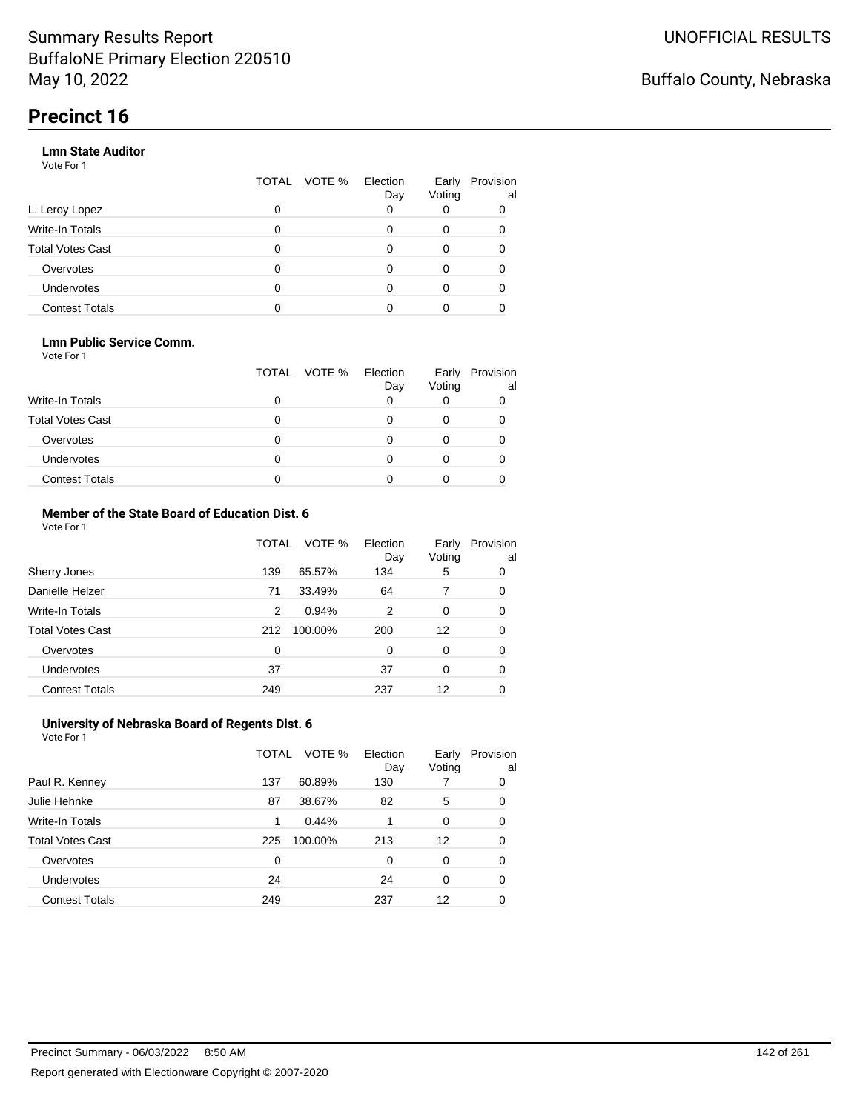### **Lmn State Auditor**

Vote For 1

|                         | TOTAL | VOTE % Election | Day | Early<br>Voting | Provision<br>al |
|-------------------------|-------|-----------------|-----|-----------------|-----------------|
| L. Leroy Lopez          | 0     |                 |     |                 |                 |
| Write-In Totals         | 0     |                 |     | 0               |                 |
| <b>Total Votes Cast</b> | 0     |                 |     | 0               |                 |
| Overvotes               | 0     |                 |     | 0               |                 |
| Undervotes              | 0     |                 |     |                 |                 |
| <b>Contest Totals</b>   |       |                 |     |                 |                 |

### **Lmn Public Service Comm.**

Vote For 1

|                         |   | TOTAL VOTE % | Election<br>Day | Early<br>Voting | Provision<br>al |
|-------------------------|---|--------------|-----------------|-----------------|-----------------|
| <b>Write-In Totals</b>  |   |              |                 |                 |                 |
| <b>Total Votes Cast</b> |   |              |                 |                 |                 |
| Overvotes               |   |              |                 |                 |                 |
| <b>Undervotes</b>       | 0 |              |                 |                 |                 |
| <b>Contest Totals</b>   |   |              |                 |                 |                 |

#### **Member of the State Board of Education Dist. 6** Vote For 1

|                         | TOTAL    | VOTE %  | Election<br>Day | Early<br>Voting | Provision<br>al |
|-------------------------|----------|---------|-----------------|-----------------|-----------------|
| Sherry Jones            | 139      | 65.57%  | 134             | 5               | 0               |
| Danielle Helzer         | 71       | 33.49%  | 64              | 7               | 0               |
| <b>Write-In Totals</b>  | 2        | 0.94%   | 2               | 0               | 0               |
| <b>Total Votes Cast</b> | 212      | 100.00% | 200             | 12              | 0               |
| Overvotes               | $\Omega$ |         | $\Omega$        | $\Omega$        | 0               |
| <b>Undervotes</b>       | 37       |         | 37              | $\Omega$        | 0               |
| <b>Contest Totals</b>   | 249      |         | 237             | 12              | 0               |

#### **University of Nebraska Board of Regents Dist. 6** Vote For 1

|                         | TOTAL | VOTE %  | Election<br>Day | Early<br>Voting | Provision<br>al |
|-------------------------|-------|---------|-----------------|-----------------|-----------------|
| Paul R. Kenney          | 137   | 60.89%  | 130             |                 | 0               |
| Julie Hehnke            | 87    | 38.67%  | 82              | 5               | 0               |
| <b>Write-In Totals</b>  | 1     | 0.44%   |                 | $\Omega$        | 0               |
| <b>Total Votes Cast</b> | 225   | 100.00% | 213             | 12              | 0               |
| Overvotes               | 0     |         | 0               | 0               | 0               |
| <b>Undervotes</b>       | 24    |         | 24              | $\Omega$        | 0               |
| <b>Contest Totals</b>   | 249   |         | 237             | 12              |                 |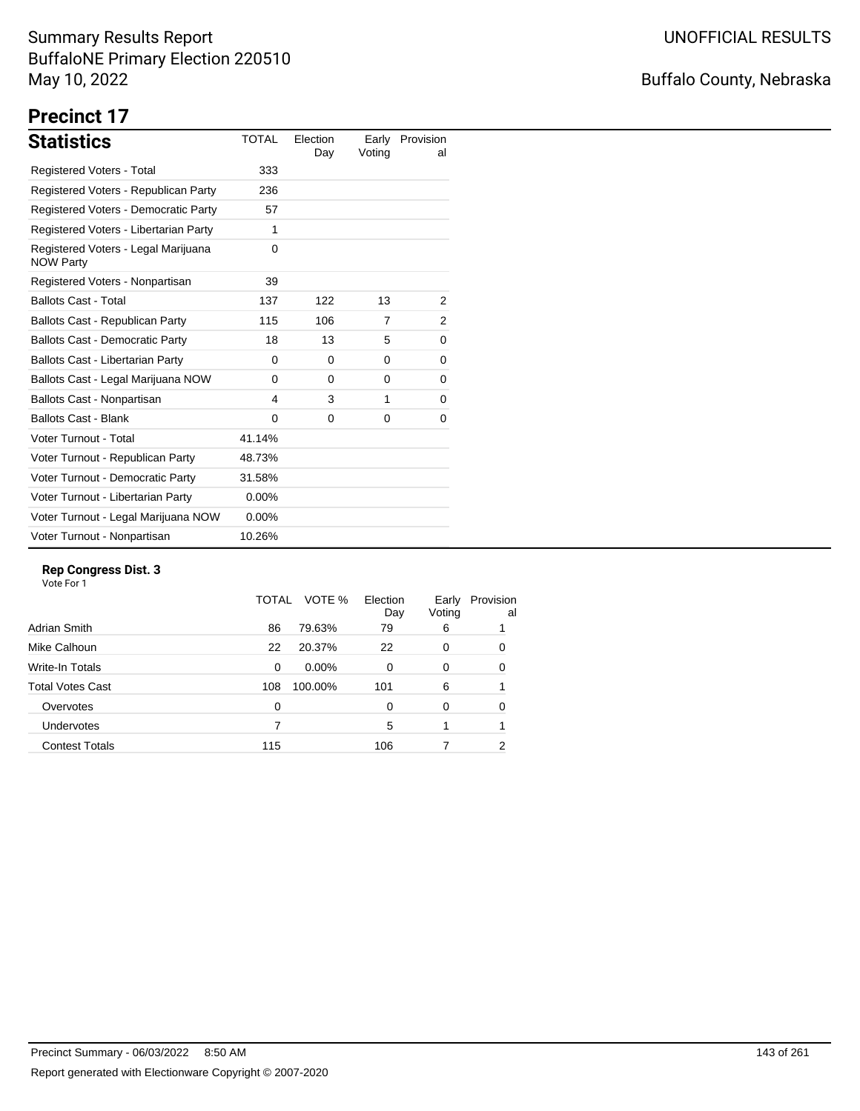# Buffalo County, Nebraska

# **Precinct 17**

| <b>Statistics</b>                                       | TOTAL    | Election<br>Day | Early<br>Voting | Provision<br>al |
|---------------------------------------------------------|----------|-----------------|-----------------|-----------------|
| Registered Voters - Total                               | 333      |                 |                 |                 |
| Registered Voters - Republican Party                    | 236      |                 |                 |                 |
| Registered Voters - Democratic Party                    | 57       |                 |                 |                 |
| Registered Voters - Libertarian Party                   | 1        |                 |                 |                 |
| Registered Voters - Legal Marijuana<br><b>NOW Party</b> | 0        |                 |                 |                 |
| Registered Voters - Nonpartisan                         | 39       |                 |                 |                 |
| <b>Ballots Cast - Total</b>                             | 137      | 122             | 13              | 2               |
| Ballots Cast - Republican Party                         | 115      | 106             | 7               | 2               |
| <b>Ballots Cast - Democratic Party</b>                  | 18       | 13              | 5               | 0               |
| Ballots Cast - Libertarian Party                        | 0        | $\Omega$        | $\Omega$        | 0               |
| Ballots Cast - Legal Marijuana NOW                      | $\Omega$ | $\Omega$        | 0               | 0               |
| Ballots Cast - Nonpartisan                              | 4        | 3               | 1               | 0               |
| <b>Ballots Cast - Blank</b>                             | $\Omega$ | $\Omega$        | $\Omega$        | 0               |
| Voter Turnout - Total                                   | 41.14%   |                 |                 |                 |
| Voter Turnout - Republican Party                        | 48.73%   |                 |                 |                 |
| Voter Turnout - Democratic Party                        | 31.58%   |                 |                 |                 |
| Voter Turnout - Libertarian Party                       | $0.00\%$ |                 |                 |                 |
| Voter Turnout - Legal Marijuana NOW                     | $0.00\%$ |                 |                 |                 |
| Voter Turnout - Nonpartisan                             | 10.26%   |                 |                 |                 |

### **Rep Congress Dist. 3**

|                       | TOTAL | VOTE %   | Election<br>Day | Early<br>Voting | Provision<br>al |
|-----------------------|-------|----------|-----------------|-----------------|-----------------|
| Adrian Smith          | 86    | 79.63%   | 79              | 6               |                 |
| Mike Calhoun          | 22    | 20.37%   | 22              | 0               | 0               |
| Write-In Totals       | 0     | $0.00\%$ | 0               | 0               | 0               |
| Total Votes Cast      | 108   | 100.00%  | 101             | 6               |                 |
| Overvotes             | 0     |          | 0               | 0               | 0               |
| <b>Undervotes</b>     |       |          | 5               |                 |                 |
| <b>Contest Totals</b> | 115   |          | 106             |                 | 2               |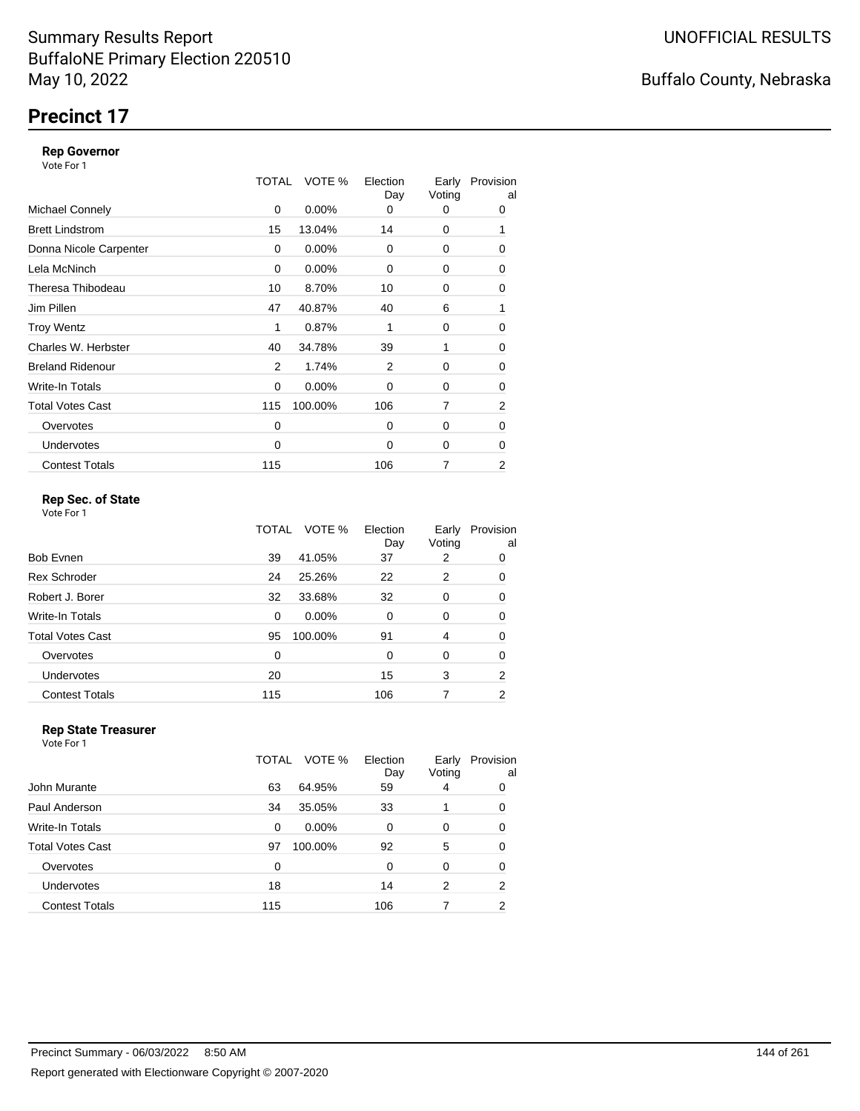# **Precinct 17**

#### **Rep Governor**

Vote For 1

|                         | TOTAL | VOTE %   | Election<br>Day | Early<br>Voting | Provision<br>al |
|-------------------------|-------|----------|-----------------|-----------------|-----------------|
| <b>Michael Connely</b>  | 0     | $0.00\%$ | 0               | 0               | 0               |
| <b>Brett Lindstrom</b>  | 15    | 13.04%   | 14              | 0               | 1               |
| Donna Nicole Carpenter  | 0     | 0.00%    | $\Omega$        | 0               | 0               |
| Lela McNinch            | 0     | 0.00%    | 0               | 0               | 0               |
| Theresa Thibodeau       | 10    | 8.70%    | 10              | 0               | 0               |
| Jim Pillen              | 47    | 40.87%   | 40              | 6               | 1               |
| <b>Troy Wentz</b>       | 1     | 0.87%    | 1               | 0               | 0               |
| Charles W. Herbster     | 40    | 34.78%   | 39              | 1               | 0               |
| <b>Breland Ridenour</b> | 2     | 1.74%    | 2               | 0               | 0               |
| Write-In Totals         | 0     | $0.00\%$ | $\Omega$        | 0               | 0               |
| <b>Total Votes Cast</b> | 115   | 100.00%  | 106             | 7               | 2               |
| Overvotes               | 0     |          | $\Omega$        | 0               | 0               |
| <b>Undervotes</b>       | 0     |          | $\Omega$        | 0               | 0               |
| <b>Contest Totals</b>   | 115   |          | 106             | 7               | 2               |

### **Rep Sec. of State**

Vote For 1

|                         | TOTAL | VOTE %   | Election<br>Day | Early<br>Voting | Provision<br>al |
|-------------------------|-------|----------|-----------------|-----------------|-----------------|
| Bob Evnen               | 39    | 41.05%   | 37              | 2               | 0               |
| <b>Rex Schroder</b>     | 24    | 25.26%   | 22              | 2               | 0               |
| Robert J. Borer         | 32    | 33.68%   | 32              | 0               | 0               |
| Write-In Totals         | 0     | $0.00\%$ | $\Omega$        | 0               | 0               |
| <b>Total Votes Cast</b> | 95    | 100.00%  | 91              | 4               | 0               |
| Overvotes               | 0     |          | 0               | 0               | 0               |
| Undervotes              | 20    |          | 15              | 3               | $\overline{2}$  |
| <b>Contest Totals</b>   | 115   |          | 106             |                 | 2               |

### **Rep State Treasurer**

Vote For 1 TOTAL VOTE % Election Day Early Provision Voting al John Murante 63 64.95% 59 4 0 Paul Anderson 2012 10:00:00 134 35.05% 33 1 0 Write-In Totals 0 0.00% 0 0 0 Total Votes Cast **97 100.00%** 92 5 0 Overvotes 0 0 0 0 0 Undervotes 18 18 14 2 2 Contest Totals **115** 106 7 2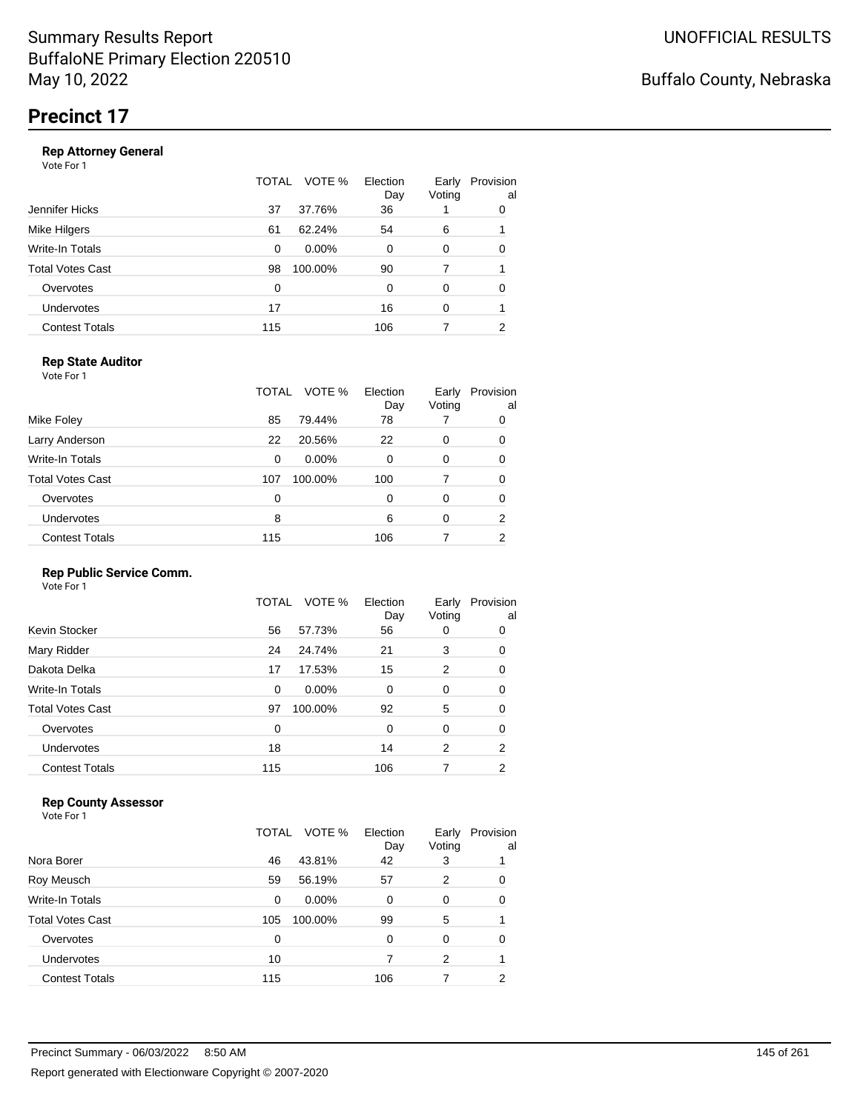|                       | TOTAL | VOTE %<br>Election<br>Day | Early<br>Voting | Provision<br>al |
|-----------------------|-------|---------------------------|-----------------|-----------------|
| Jennifer Hicks        | 37    | 37.76%<br>36              |                 | 0               |
| Mike Hilgers          | 61    | 62.24%<br>54              | 6               |                 |
| Write-In Totals       | 0     | $0.00\%$<br>0             | 0               | 0               |
| Total Votes Cast      | 98    | 100.00%<br>90             | 7               |                 |
| Overvotes             | 0     | 0                         | 0               | ∩               |
| Undervotes            | 17    | 16                        | 0               |                 |
| <b>Contest Totals</b> | 115   | 106                       |                 | 2               |
|                       |       |                           |                 |                 |

### **Rep State Auditor**

Vote For 1

|                         | TOTAL          | VOTE %<br>Election<br>Day | Early<br>Voting | Provision<br>al |
|-------------------------|----------------|---------------------------|-----------------|-----------------|
| Mike Foley              | 85<br>79.44%   | 78                        |                 | 0               |
| Larry Anderson          | 22<br>20.56%   | 22                        | 0               | 0               |
| Write-In Totals         | $0.00\%$<br>0  | 0                         | 0               | 0               |
| <b>Total Votes Cast</b> | 100.00%<br>107 | 100                       | 7               | 0               |
| Overvotes               | 0              | 0                         | 0               | 0               |
| Undervotes              | 8              | 6                         | 0               | 2               |
| <b>Contest Totals</b>   | 115            | 106                       |                 | 2               |

#### **Rep Public Service Comm.**

Vote For 1

| 57.73%<br>Kevin Stocker<br>56<br>56<br>0<br>Mary Ridder<br>24.74%<br>21<br>3<br>24<br>15<br>2<br>Dakota Delka<br>17.53%<br>17<br>Write-In Totals<br>0.00%<br>0<br>0<br>0<br><b>Total Votes Cast</b><br>5<br>100.00%<br>92<br>97<br>Overvotes<br>0<br>0<br>0<br><b>Undervotes</b><br>18<br>14<br>2 |                       | TOTAL | VOTE % | Election<br>Day | Early<br>Voting | Provision<br>al |
|---------------------------------------------------------------------------------------------------------------------------------------------------------------------------------------------------------------------------------------------------------------------------------------------------|-----------------------|-------|--------|-----------------|-----------------|-----------------|
|                                                                                                                                                                                                                                                                                                   |                       |       |        |                 |                 | 0               |
|                                                                                                                                                                                                                                                                                                   |                       |       |        |                 |                 | 0               |
|                                                                                                                                                                                                                                                                                                   |                       |       |        |                 |                 | 0               |
|                                                                                                                                                                                                                                                                                                   |                       |       |        |                 |                 | 0               |
|                                                                                                                                                                                                                                                                                                   |                       |       |        |                 |                 | 0               |
|                                                                                                                                                                                                                                                                                                   |                       |       |        |                 |                 | 0               |
|                                                                                                                                                                                                                                                                                                   |                       |       |        |                 |                 | 2               |
|                                                                                                                                                                                                                                                                                                   | <b>Contest Totals</b> | 115   |        | 106             | 7               | 2               |

#### **Rep County Assessor**

Vote For 1

|                       | TOTAL | VOTE %   | Election<br>Day | Early<br>Voting | Provision<br>al |
|-----------------------|-------|----------|-----------------|-----------------|-----------------|
| Nora Borer            | 46    | 43.81%   | 42              | 3               |                 |
| Roy Meusch            | 59    | 56.19%   | 57              | 2               | 0               |
| Write-In Totals       | 0     | $0.00\%$ | 0               | $\Omega$        | 0               |
| Total Votes Cast      | 105   | 100.00%  | 99              | 5               |                 |
| Overvotes             | 0     |          | 0               | 0               | 0               |
| <b>Undervotes</b>     | 10    |          |                 | 2               |                 |
| <b>Contest Totals</b> | 115   |          | 106             |                 | 2               |

Buffalo County, Nebraska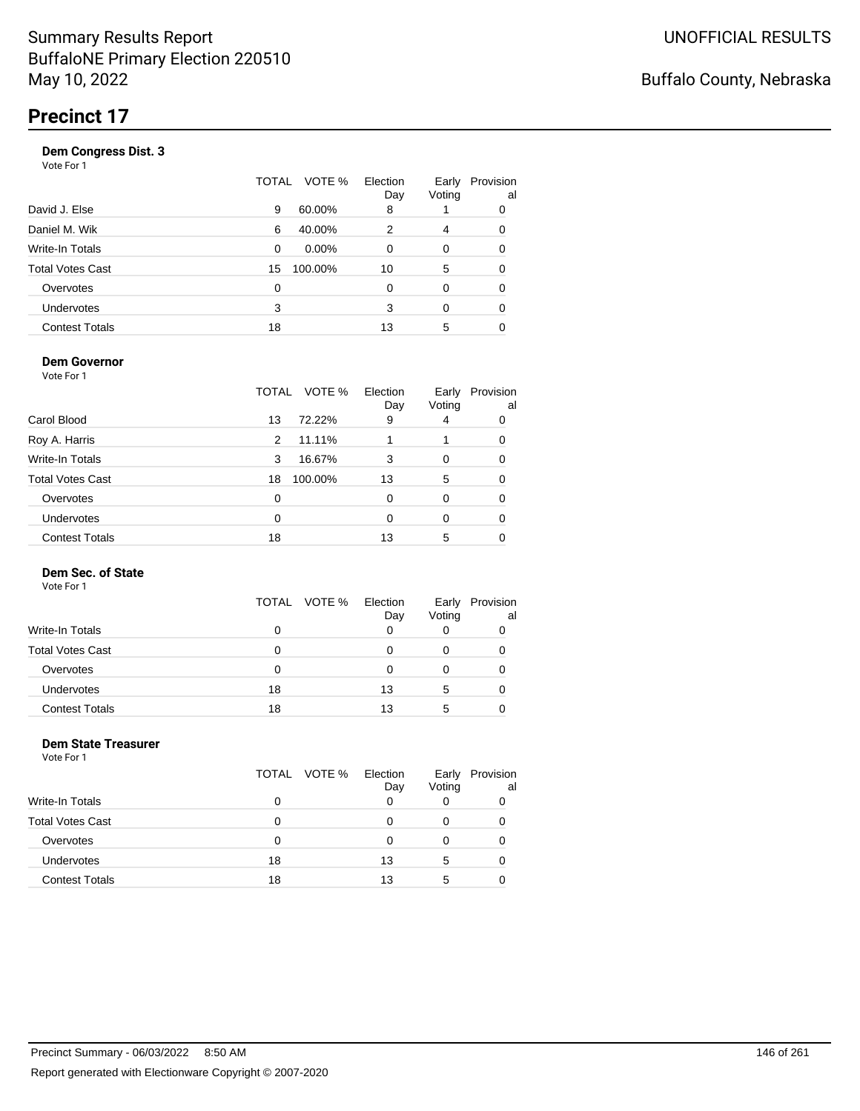| Vote For 1            |       |          |                 |                 |                 |
|-----------------------|-------|----------|-----------------|-----------------|-----------------|
|                       | TOTAL | VOTE %   | Election<br>Day | Early<br>Voting | Provision<br>al |
| David J. Else         | 9     | 60.00%   | 8               |                 | 0               |
| Daniel M. Wik         | 6     | 40.00%   | 2               | 4               | 0               |
| Write-In Totals       | 0     | $0.00\%$ | 0               | 0               | 0               |
| Total Votes Cast      | 15    | 100.00%  | 10              | 5               | 0               |
| Overvotes             | 0     |          | $\Omega$        | 0               | 0               |
| Undervotes            | 3     |          | 3               | $\Omega$        | 0               |
| <b>Contest Totals</b> | 18    |          | 13              | 5               |                 |
|                       |       |          |                 |                 |                 |

#### **Dem Governor**

Vote For 1

|                         | TOTAL | VOTE %  | Election<br>Day | Early<br>Voting | Provision<br>al |
|-------------------------|-------|---------|-----------------|-----------------|-----------------|
| Carol Blood             | 13    | 72.22%  | 9               | 4               | 0               |
| Roy A. Harris           | 2     | 11.11%  |                 |                 | 0               |
| Write-In Totals         | 3     | 16.67%  | 3               | 0               | 0               |
| <b>Total Votes Cast</b> | 18    | 100.00% | 13              | 5               | 0               |
| Overvotes               | 0     |         | 0               | 0               | 0               |
| <b>Undervotes</b>       | 0     |         | 0               | 0               | 0               |
| <b>Contest Totals</b>   | 18    |         | 13              | 5               |                 |

#### **Dem Sec. of State**

Vote For 1

|                         |    | TOTAL VOTE % | Election<br>Day | Early<br>Voting | Provision<br>al |
|-------------------------|----|--------------|-----------------|-----------------|-----------------|
| <b>Write-In Totals</b>  | 0  |              |                 |                 |                 |
| <b>Total Votes Cast</b> | 0  |              |                 |                 |                 |
| Overvotes               | 0  |              |                 |                 |                 |
| Undervotes              | 18 |              | 13              | 5               |                 |
| <b>Contest Totals</b>   | 18 |              | 13              | 5               |                 |

#### **Dem State Treasurer** Vote For 1

|                         | TOTAL VOTE % | Election<br>Day | Early<br>Voting | Provision<br>al |
|-------------------------|--------------|-----------------|-----------------|-----------------|
| Write-In Totals         | O            |                 |                 |                 |
| <b>Total Votes Cast</b> | o            | O               | 0               |                 |
| Overvotes               | O            | O               |                 |                 |
| Undervotes              | 18           | 13              | 5               |                 |
| <b>Contest Totals</b>   | 18           | 13              | 5               |                 |
|                         |              |                 |                 |                 |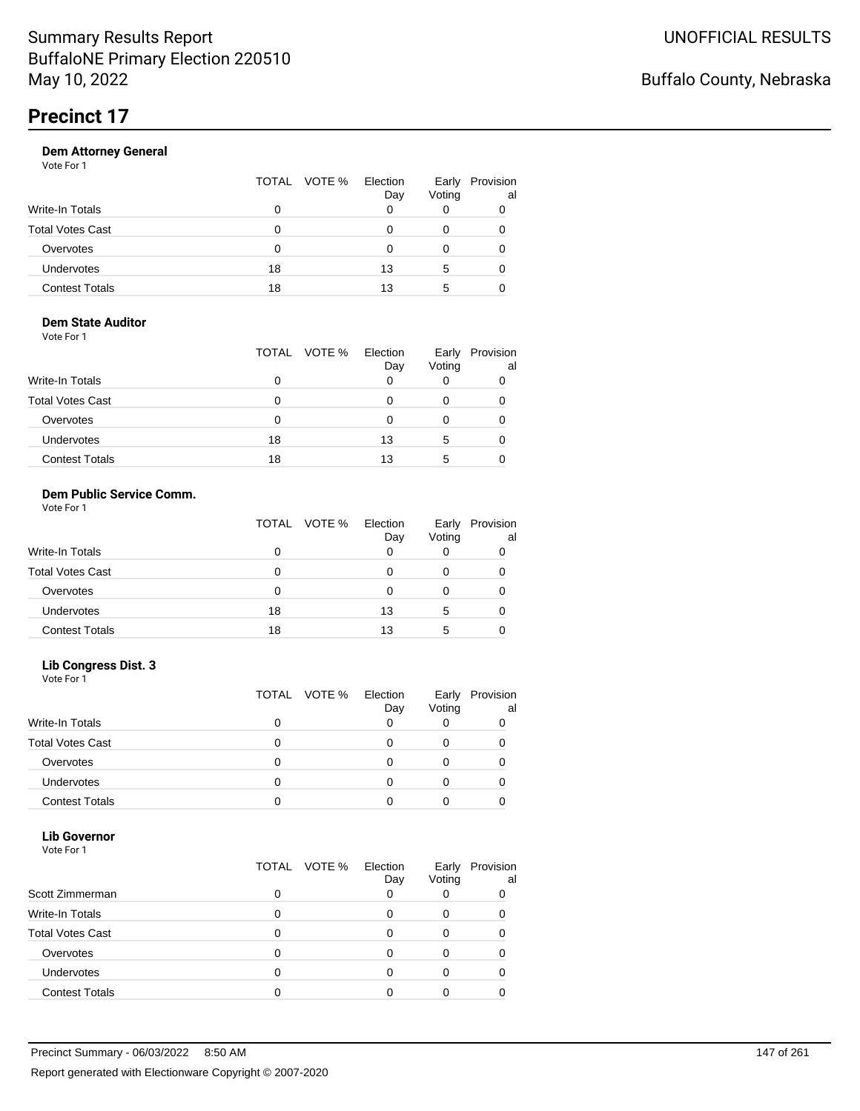| Vote For 1            |              |                 |                 |                 |
|-----------------------|--------------|-----------------|-----------------|-----------------|
|                       | TOTAL VOTE % | Election<br>Day | Early<br>Voting | Provision<br>al |
| Write-In Totals       | 0            |                 | O               | 0               |
| Total Votes Cast      | 0            |                 | Ω               | 0               |
| Overvotes             | 0            |                 | O               | 0               |
| Undervotes            | 18           | 13              | 5               | 0               |
| <b>Contest Totals</b> | 18           | 13              | 5               |                 |
|                       |              |                 |                 |                 |

#### **Dem State Auditor** Vote For 1

|                         | TOTAL VOTE % | Election<br>Day | Early<br>Voting | Provision<br>al |
|-------------------------|--------------|-----------------|-----------------|-----------------|
| Write-In Totals         | 0            |                 |                 |                 |
| <b>Total Votes Cast</b> | 0            |                 |                 |                 |
| Overvotes               | 0            |                 | 0               |                 |
| Undervotes              | 18           | 13              | 5               |                 |
| <b>Contest Totals</b>   | 18           | 13              | 5               |                 |

### **Dem Public Service Comm.**

|                         |    | TOTAL VOTE % | Election<br>Day | Early<br>Voting | Provision<br>al |
|-------------------------|----|--------------|-----------------|-----------------|-----------------|
| Write-In Totals         | 0  |              | 0               | 0               |                 |
| <b>Total Votes Cast</b> | Ω  |              | O               | 0               |                 |
| Overvotes               | 0  |              | O               | 0               |                 |
| <b>Undervotes</b>       | 18 |              | 13              | 5               |                 |
| <b>Contest Totals</b>   | 18 |              | 13              | 5               |                 |

#### **Lib Congress Dist. 3**

Vote For 1

|                         | TOTAL VOTE % | Election<br>Day | Early<br>Voting | Provision<br>al |
|-------------------------|--------------|-----------------|-----------------|-----------------|
| Write-In Totals         |              |                 |                 |                 |
| <b>Total Votes Cast</b> |              |                 |                 |                 |
| Overvotes               |              |                 |                 |                 |
| <b>Undervotes</b>       |              |                 |                 |                 |
| <b>Contest Totals</b>   |              |                 |                 |                 |

#### **Lib Governor** Vote For 1

| <b>VOLE FOI</b> I       |                 |                 |                 |                 |
|-------------------------|-----------------|-----------------|-----------------|-----------------|
|                         | VOTE %<br>TOTAL | Election<br>Day | Early<br>Voting | Provision<br>al |
| Scott Zimmerman         |                 | 0               | 0               |                 |
| <b>Write-In Totals</b>  |                 | 0               | 0               |                 |
| <b>Total Votes Cast</b> |                 | ი               | 0               |                 |
| Overvotes               |                 | O               |                 |                 |
| Undervotes              |                 | Ω               | 0               |                 |
| <b>Contest Totals</b>   |                 |                 |                 |                 |
|                         |                 |                 |                 |                 |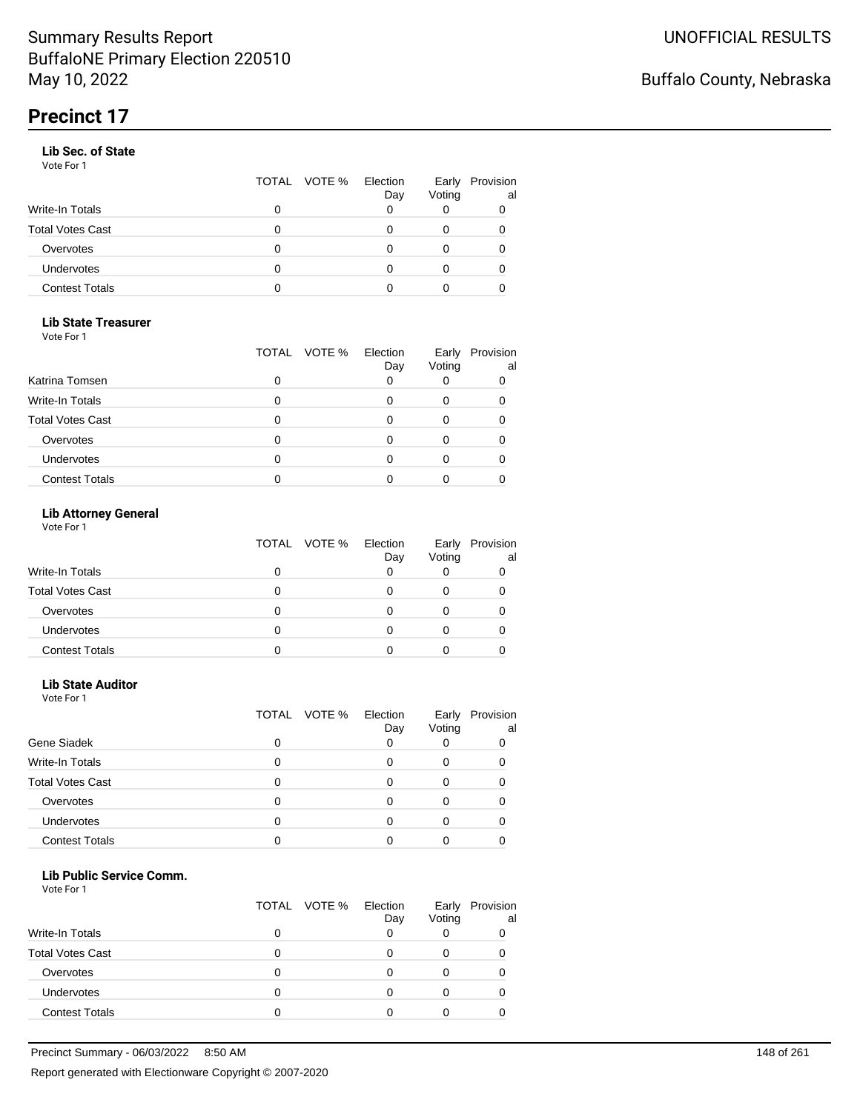#### **Lib Sec. of State**

Vote For 1

|                         |   | TOTAL VOTE % | Election<br>Day | Early<br>Voting | Provision<br>al |
|-------------------------|---|--------------|-----------------|-----------------|-----------------|
| Write-In Totals         |   |              |                 |                 |                 |
| <b>Total Votes Cast</b> | Ω |              |                 |                 |                 |
| Overvotes               | Ω |              |                 |                 |                 |
| Undervotes              | 0 |              |                 | 0               | 0               |
| <b>Contest Totals</b>   |   |              |                 |                 |                 |

### **Lib State Treasurer**

Vote For 1

|                         | TOTAL | VOTE % Election<br>Day | Early<br>Voting | Provision<br>al |
|-------------------------|-------|------------------------|-----------------|-----------------|
| Katrina Tomsen          |       |                        |                 |                 |
| <b>Write-In Totals</b>  |       |                        |                 |                 |
| <b>Total Votes Cast</b> |       |                        |                 |                 |
| Overvotes               |       |                        |                 |                 |
| Undervotes              |       |                        |                 |                 |
| <b>Contest Totals</b>   |       |                        |                 |                 |

### **Lib Attorney General**

Vote For 1

|                         |   | TOTAL VOTE % | Election<br>Day | Voting | Early Provision<br>al |
|-------------------------|---|--------------|-----------------|--------|-----------------------|
| Write-In Totals         |   |              |                 |        |                       |
| <b>Total Votes Cast</b> | 0 |              |                 |        |                       |
| Overvotes               | 0 |              |                 |        |                       |
| <b>Undervotes</b>       | 0 |              |                 |        |                       |
| <b>Contest Totals</b>   |   |              |                 |        |                       |

#### **Lib State Auditor**

Vote For 1

|                         |   | TOTAL VOTE % | Election<br>Day | Early<br>Voting | Provision<br>al |
|-------------------------|---|--------------|-----------------|-----------------|-----------------|
| Gene Siadek             | ი |              |                 |                 |                 |
| <b>Write-In Totals</b>  | 0 |              |                 |                 |                 |
| <b>Total Votes Cast</b> | 0 |              |                 |                 |                 |
| Overvotes               |   |              |                 |                 |                 |
| Undervotes              |   |              |                 |                 |                 |
| <b>Contest Totals</b>   |   |              |                 |                 |                 |

#### **Lib Public Service Comm.**

|                         |   | TOTAL VOTE % | Election<br>Day | Early<br>Voting | Provision<br>al |
|-------------------------|---|--------------|-----------------|-----------------|-----------------|
| <b>Write-In Totals</b>  | O |              |                 |                 |                 |
| <b>Total Votes Cast</b> |   |              |                 |                 |                 |
| Overvotes               | Ω |              |                 |                 |                 |
| Undervotes              | 0 |              |                 |                 |                 |
| <b>Contest Totals</b>   | 0 |              |                 |                 |                 |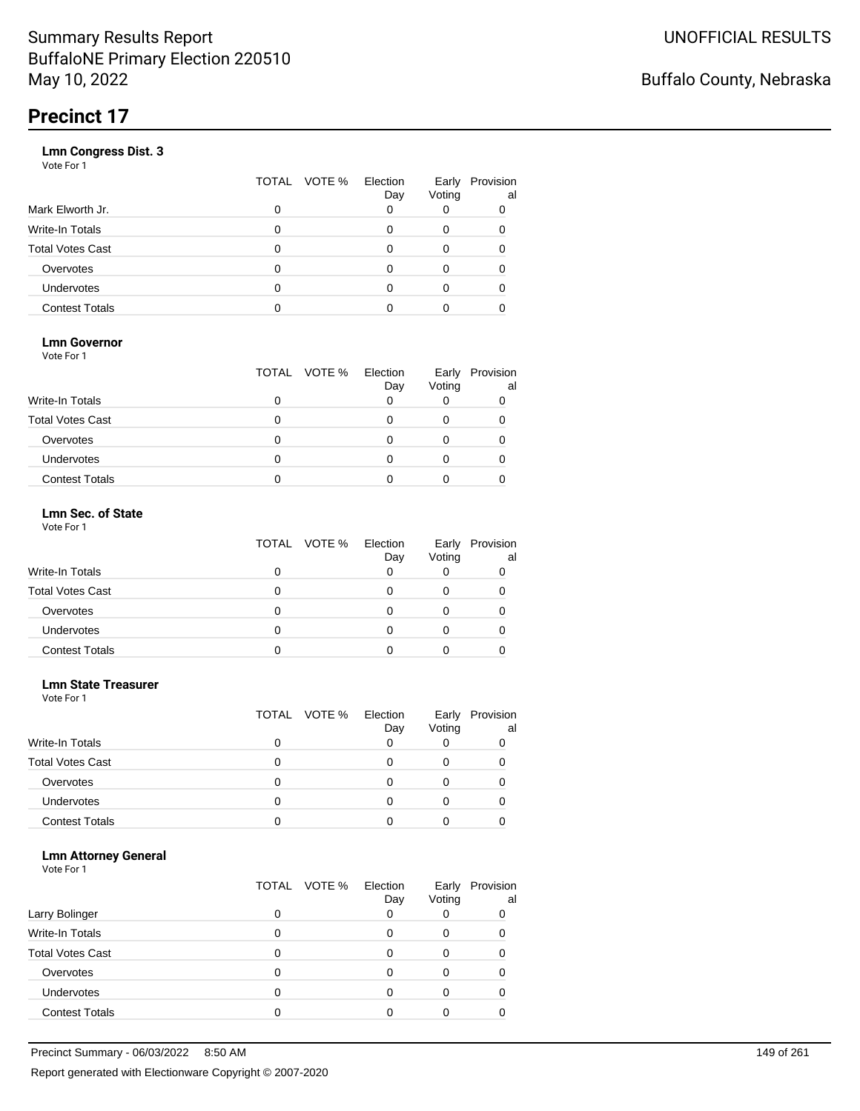|                       | VOTE %<br>TOTAL | Election<br>Day | Early<br>Voting | Provision<br>al |
|-----------------------|-----------------|-----------------|-----------------|-----------------|
| Mark Elworth Jr.      | 0               |                 |                 | 0               |
| Write-In Totals       | O               |                 | 0               | 0               |
| Total Votes Cast      | O               |                 | 0               |                 |
| Overvotes             | 0               |                 | 0               |                 |
| Undervotes            | O               |                 | Ω               |                 |
| <b>Contest Totals</b> |                 |                 |                 |                 |
|                       |                 |                 |                 |                 |

### **Lmn Governor**

Vote For 1

|                         | TOTAL VOTE % Election | Day | Early<br>Voting | Provision<br>al |
|-------------------------|-----------------------|-----|-----------------|-----------------|
| Write-In Totals         |                       |     |                 |                 |
| <b>Total Votes Cast</b> |                       |     |                 |                 |
| Overvotes               |                       |     |                 |                 |
| <b>Undervotes</b>       |                       |     |                 |                 |
| <b>Contest Totals</b>   |                       |     |                 |                 |

#### **Lmn Sec. of State** Vote For 1

|                         |   | TOTAL VOTE % Election<br>Day | Voting | Early Provision<br>al |
|-------------------------|---|------------------------------|--------|-----------------------|
| <b>Write-In Totals</b>  |   |                              |        |                       |
| <b>Total Votes Cast</b> | 0 |                              |        |                       |
| Overvotes               | 0 |                              |        |                       |
| Undervotes              | O |                              |        |                       |
| <b>Contest Totals</b>   |   |                              |        |                       |

#### **Lmn State Treasurer**

Vote For 1

|                         |   | TOTAL VOTE % | Election<br>Day | Early<br>Voting | Provision<br>al |
|-------------------------|---|--------------|-----------------|-----------------|-----------------|
| <b>Write-In Totals</b>  | 0 |              |                 |                 |                 |
| <b>Total Votes Cast</b> | 0 |              |                 |                 |                 |
| Overvotes               | 0 |              |                 |                 |                 |
| <b>Undervotes</b>       | O |              |                 |                 |                 |
| <b>Contest Totals</b>   |   |              |                 |                 |                 |

#### **Lmn Attorney General**

|                         |   | TOTAL VOTE % | Election<br>Day | Early<br>Voting | Provision<br>al |
|-------------------------|---|--------------|-----------------|-----------------|-----------------|
| Larry Bolinger          |   |              |                 |                 | 0               |
| Write-In Totals         |   |              |                 | O               |                 |
| <b>Total Votes Cast</b> |   |              |                 |                 |                 |
| Overvotes               |   |              |                 |                 |                 |
| Undervotes              | 0 |              |                 |                 |                 |
| <b>Contest Totals</b>   |   |              |                 |                 |                 |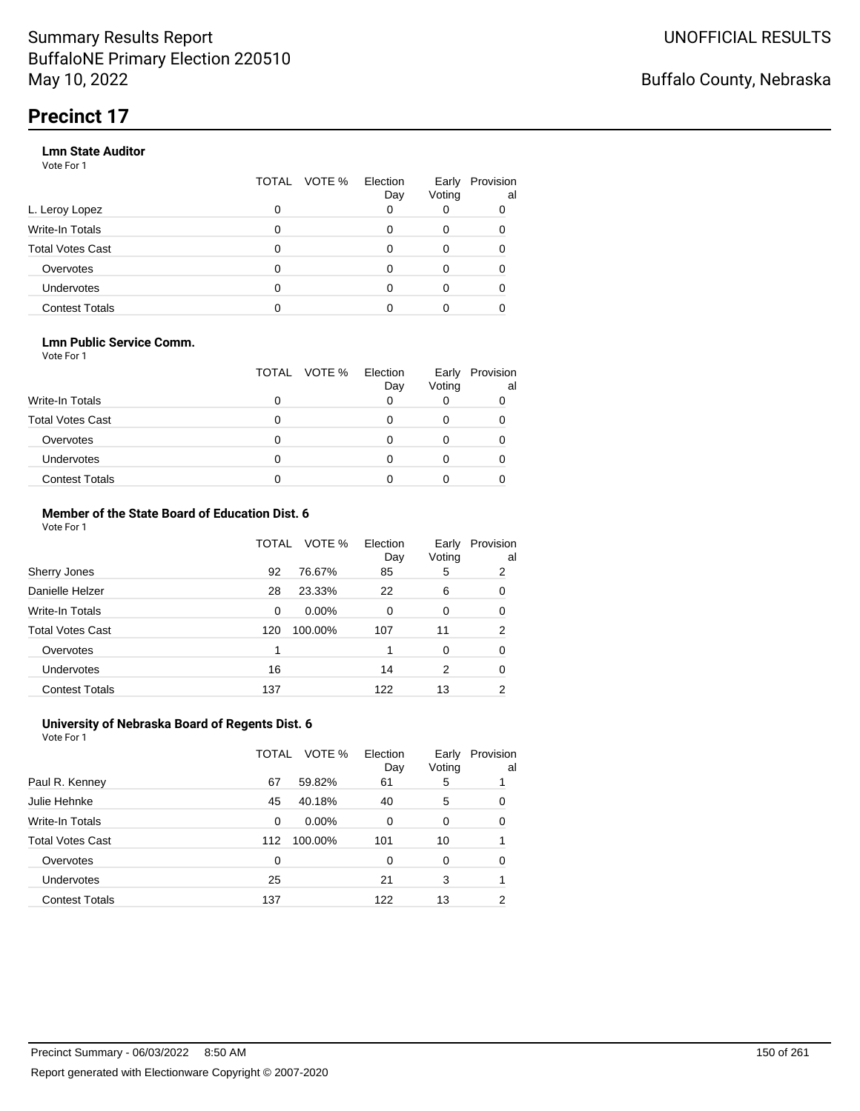#### **Lmn State Auditor**

Vote For 1

|                         | TOTAL | VOTE % Election | Day | Early<br>Voting | Provision<br>al |
|-------------------------|-------|-----------------|-----|-----------------|-----------------|
| L. Leroy Lopez          | 0     |                 |     |                 |                 |
| Write-In Totals         | 0     |                 |     | 0               |                 |
| <b>Total Votes Cast</b> | 0     |                 |     | 0               |                 |
| Overvotes               | 0     |                 |     | 0               |                 |
| Undervotes              | 0     |                 |     | 0               |                 |
| <b>Contest Totals</b>   |       |                 |     |                 |                 |

#### **Lmn Public Service Comm.**

Vote For 1

|                         |   | TOTAL VOTE % | Election<br>Day | Early<br>Voting | Provision<br>al |
|-------------------------|---|--------------|-----------------|-----------------|-----------------|
| <b>Write-In Totals</b>  |   |              |                 |                 |                 |
| <b>Total Votes Cast</b> |   |              |                 |                 |                 |
| Overvotes               |   |              |                 |                 |                 |
| <b>Undervotes</b>       | 0 |              |                 |                 |                 |
| <b>Contest Totals</b>   |   |              |                 |                 |                 |

#### **Member of the State Board of Education Dist. 6** Vote For 1

|                         | TOTAL    | VOTE %   | Election<br>Day | Early<br>Voting | Provision<br>al |
|-------------------------|----------|----------|-----------------|-----------------|-----------------|
| Sherry Jones            | 92       | 76.67%   | 85              | 5               | 2               |
| Danielle Helzer         | 28       | 23.33%   | 22              | 6               | 0               |
| <b>Write-In Totals</b>  | $\Omega$ | $0.00\%$ | $\Omega$        | $\Omega$        | 0               |
| <b>Total Votes Cast</b> | 120      | 100.00%  | 107             | 11              | 2               |
| Overvotes               | 1        |          |                 | $\Omega$        | 0               |
| <b>Undervotes</b>       | 16       |          | 14              | 2               | 0               |
| <b>Contest Totals</b>   | 137      |          | 122             | 13              | 2               |

#### **University of Nebraska Board of Regents Dist. 6** Vote For 1

|                         | TOTAL | VOTE %   | Election<br>Day | Early<br>Voting | Provision<br>al |
|-------------------------|-------|----------|-----------------|-----------------|-----------------|
| Paul R. Kenney          | 67    | 59.82%   | 61              | 5               |                 |
| Julie Hehnke            | 45    | 40.18%   | 40              | 5               | 0               |
| <b>Write-In Totals</b>  | 0     | $0.00\%$ | 0               | 0               | 0               |
| <b>Total Votes Cast</b> | 112   | 100.00%  | 101             | 10              |                 |
| Overvotes               | 0     |          | 0               | $\Omega$        | 0               |
| <b>Undervotes</b>       | 25    |          | 21              | 3               |                 |
| <b>Contest Totals</b>   | 137   |          | 122             | 13              | 2               |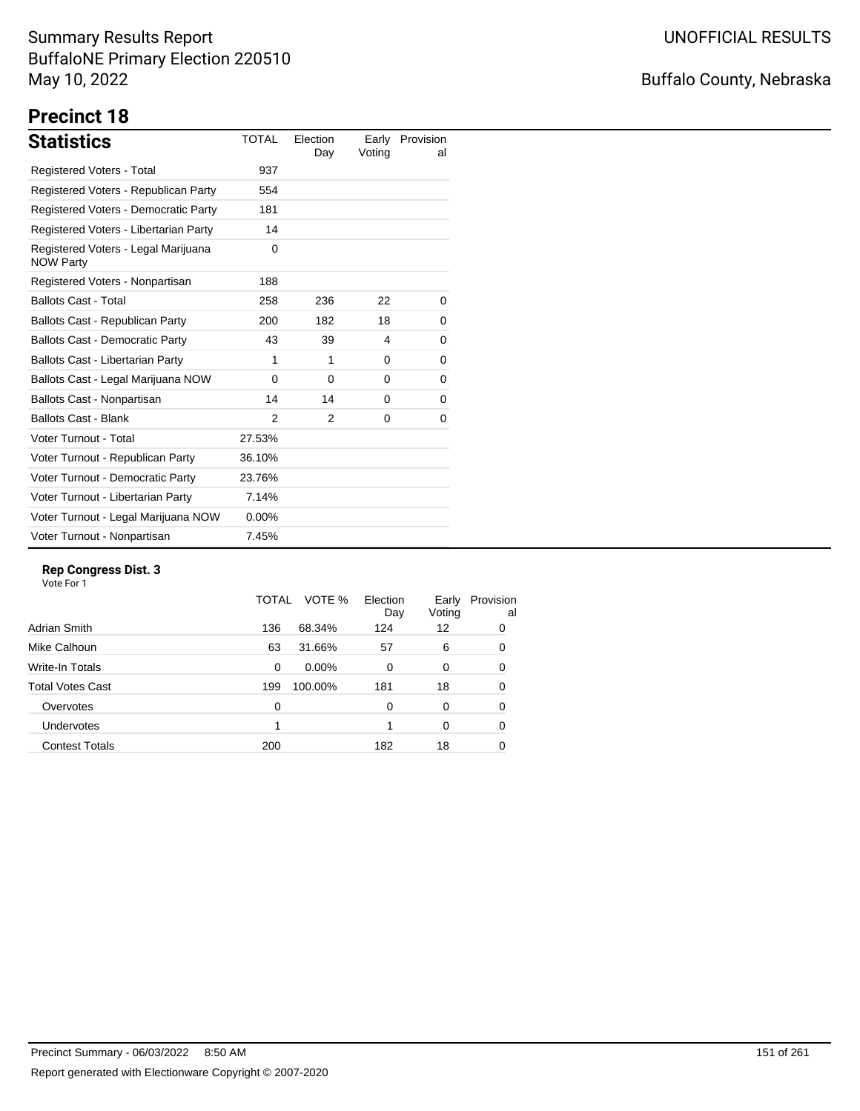## Buffalo County, Nebraska

# **Precinct 18**

| <b>Statistics</b>                                       | <b>TOTAL</b>  | Election<br>Day | Earlv<br>Voting | Provision<br>al |
|---------------------------------------------------------|---------------|-----------------|-----------------|-----------------|
| <b>Registered Voters - Total</b>                        | 937           |                 |                 |                 |
| Registered Voters - Republican Party                    | 554           |                 |                 |                 |
| Registered Voters - Democratic Party                    | 181           |                 |                 |                 |
| Registered Voters - Libertarian Party                   | 14            |                 |                 |                 |
| Registered Voters - Legal Marijuana<br><b>NOW Party</b> | 0             |                 |                 |                 |
| Registered Voters - Nonpartisan                         | 188           |                 |                 |                 |
| <b>Ballots Cast - Total</b>                             | 258           | 236             | 22              | 0               |
| Ballots Cast - Republican Party                         | 200           | 182             | 18              | 0               |
| <b>Ballots Cast - Democratic Party</b>                  | 43            | 39              | 4               | 0               |
| <b>Ballots Cast - Libertarian Party</b>                 | 1             | 1               | $\Omega$        | 0               |
| Ballots Cast - Legal Marijuana NOW                      | 0             | $\Omega$        | 0               | 0               |
| Ballots Cast - Nonpartisan                              | 14            | 14              | 0               | 0               |
| <b>Ballots Cast - Blank</b>                             | $\mathcal{P}$ | 2               | 0               | 0               |
| Voter Turnout - Total                                   | 27.53%        |                 |                 |                 |
| Voter Turnout - Republican Party                        | 36.10%        |                 |                 |                 |
| Voter Turnout - Democratic Party                        | 23.76%        |                 |                 |                 |
| Voter Turnout - Libertarian Party                       | 7.14%         |                 |                 |                 |
| Voter Turnout - Legal Marijuana NOW                     | $0.00\%$      |                 |                 |                 |
| Voter Turnout - Nonpartisan                             | 7.45%         |                 |                 |                 |

#### **Rep Congress Dist. 3**

|                       | TOTAL | VOTE %  | Election<br>Day | Early<br>Voting | Provision<br>al |
|-----------------------|-------|---------|-----------------|-----------------|-----------------|
| Adrian Smith          | 136   | 68.34%  | 124             | 12              | 0               |
| Mike Calhoun          | 63    | 31.66%  | 57              | 6               | 0               |
| Write-In Totals       | 0     | 0.00%   | $\Omega$        | 0               | 0               |
| Total Votes Cast      | 199   | 100.00% | 181             | 18              | 0               |
| Overvotes             | 0     |         | $\Omega$        | 0               | 0               |
| <b>Undervotes</b>     |       |         |                 | $\Omega$        | 0               |
| <b>Contest Totals</b> | 200   |         | 182             | 18              | 0               |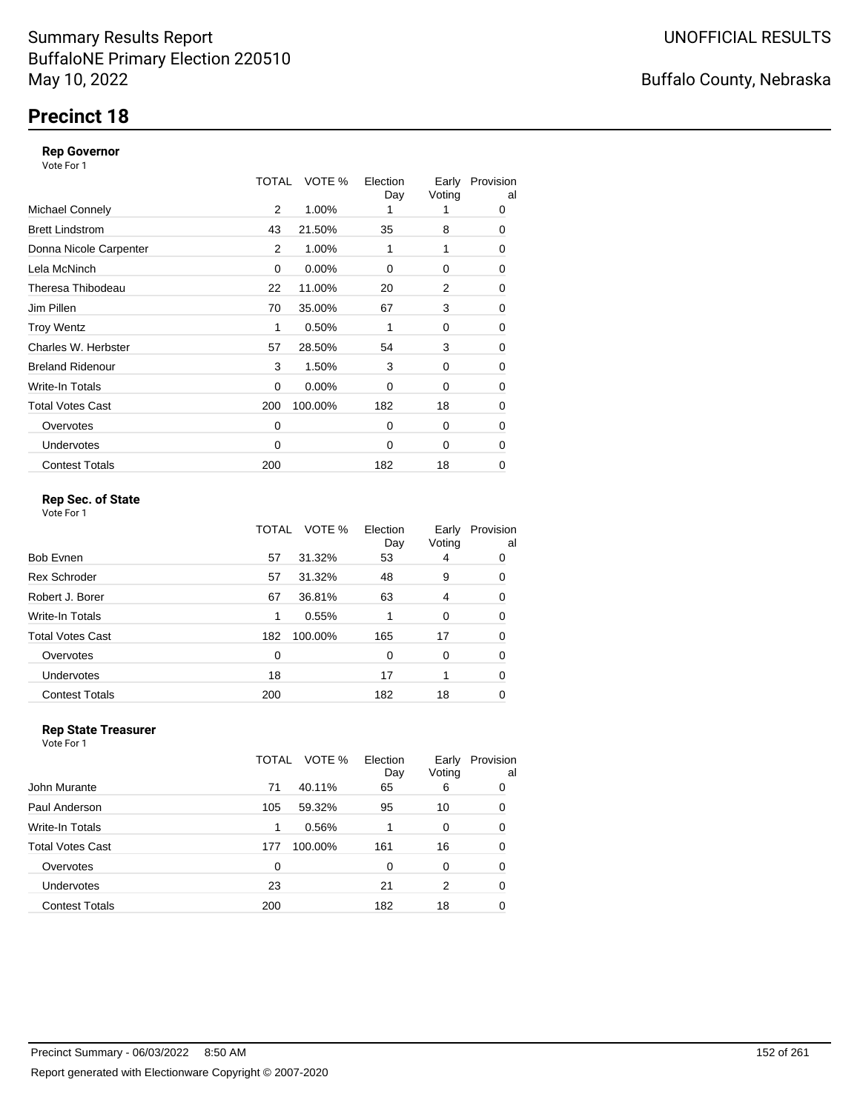## **Precinct 18**

#### **Rep Governor**

Vote For 1

|                         | TOTAL | VOTE %   | Election<br>Day | Early<br>Voting | Provision<br>al |
|-------------------------|-------|----------|-----------------|-----------------|-----------------|
| <b>Michael Connely</b>  | 2     | 1.00%    |                 |                 | 0               |
| <b>Brett Lindstrom</b>  | 43    | 21.50%   | 35              | 8               | 0               |
| Donna Nicole Carpenter  | 2     | 1.00%    | 1               | 1               | 0               |
| Lela McNinch            | 0     | 0.00%    | 0               | 0               | 0               |
| Theresa Thibodeau       | 22    | 11.00%   | 20              | 2               | 0               |
| Jim Pillen              | 70    | 35.00%   | 67              | 3               | 0               |
| <b>Troy Wentz</b>       | 1     | 0.50%    | 1               | 0               | 0               |
| Charles W. Herbster     | 57    | 28.50%   | 54              | 3               | 0               |
| <b>Breland Ridenour</b> | 3     | 1.50%    | 3               | 0               | 0               |
| Write-In Totals         | 0     | $0.00\%$ | 0               | 0               | 0               |
| <b>Total Votes Cast</b> | 200   | 100.00%  | 182             | 18              | 0               |
| Overvotes               | 0     |          | $\Omega$        | 0               | 0               |
| <b>Undervotes</b>       | 0     |          | $\Omega$        | 0               | $\Omega$        |
| <b>Contest Totals</b>   | 200   |          | 182             | 18              | 0               |

### **Rep Sec. of State**

Vote For 1

|                       | TOTAL | VOTE %  | Election<br>Day | Early<br>Voting | Provision<br>al |
|-----------------------|-------|---------|-----------------|-----------------|-----------------|
| Bob Evnen             | 57    | 31.32%  | 53              | 4               | 0               |
| <b>Rex Schroder</b>   | 57    | 31.32%  | 48              | 9               | 0               |
| Robert J. Borer       | 67    | 36.81%  | 63              | 4               | 0               |
| Write-In Totals       | 1     | 0.55%   |                 | 0               | 0               |
| Total Votes Cast      | 182   | 100.00% | 165             | 17              | 0               |
| Overvotes             | 0     |         | $\Omega$        | 0               | 0               |
| <b>Undervotes</b>     | 18    |         | 17              |                 | 0               |
| <b>Contest Totals</b> | 200   |         | 182             | 18              | 0               |
|                       |       |         |                 |                 |                 |

#### **Rep State Treasurer** Vote For 1

|                       | VOTE %<br>TOTAL | Election<br>Day | Early<br>Voting | Provision<br>al |
|-----------------------|-----------------|-----------------|-----------------|-----------------|
| John Murante          | 40.11%<br>71    | 65              | 6               | 0               |
| Paul Anderson         | 59.32%<br>105   | 95              | 10              | 0               |
| Write-In Totals       | 0.56%<br>1      |                 | 0               | 0               |
| Total Votes Cast      | 100.00%<br>177  | 161             | 16              | 0               |
| Overvotes             | 0               | 0               | 0               | 0               |
| <b>Undervotes</b>     | 23              | 21              | 2               | 0               |
| <b>Contest Totals</b> | 200             | 182             | 18              | 0               |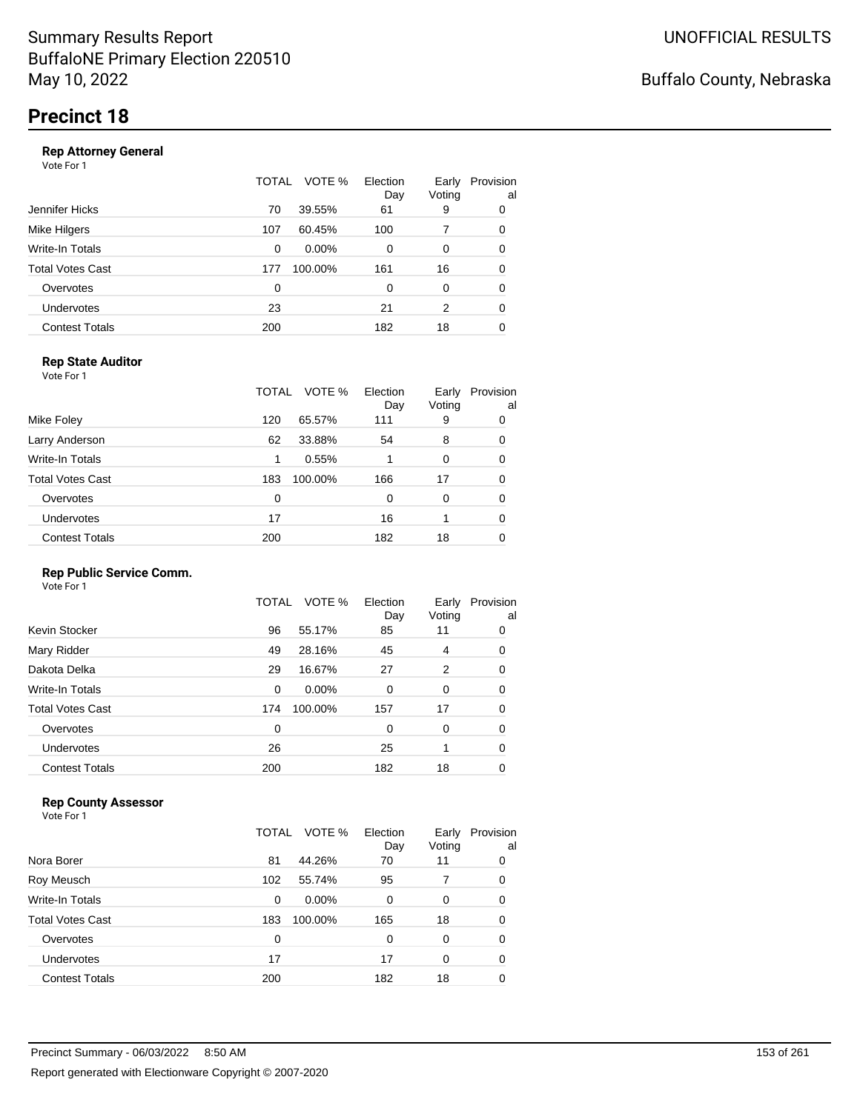#### **Rep Attorney General**

Vote For 1

|                       | TOTAL | VOTE %  | Election<br>Day | Early<br>Voting | Provision<br>al |
|-----------------------|-------|---------|-----------------|-----------------|-----------------|
| Jennifer Hicks        | 70    | 39.55%  | 61              | 9               | 0               |
| Mike Hilgers          | 107   | 60.45%  | 100             |                 | 0               |
| Write-In Totals       | 0     | 0.00%   | 0               | $\Omega$        | 0               |
| Total Votes Cast      | 177   | 100.00% | 161             | 16              | 0               |
| Overvotes             | 0     |         | 0               | 0               | 0               |
| <b>Undervotes</b>     | 23    |         | 21              | 2               | 0               |
| <b>Contest Totals</b> | 200   |         | 182             | 18              | 0               |

### **Rep State Auditor**

Vote For 1

|                       | TOTAL | VOTE %  | Election<br>Day | Early<br>Voting | Provision<br>al |
|-----------------------|-------|---------|-----------------|-----------------|-----------------|
| Mike Foley            | 120   | 65.57%  | 111             | 9               | 0               |
| Larry Anderson        | 62    | 33.88%  | 54              | 8               | 0               |
| Write-In Totals       | 1     | 0.55%   |                 | 0               | 0               |
| Total Votes Cast      | 183   | 100.00% | 166             | 17              | 0               |
| Overvotes             | 0     |         | 0               | 0               | 0               |
| <b>Undervotes</b>     | 17    |         | 16              |                 | 0               |
| <b>Contest Totals</b> | 200   |         | 182             | 18              | 0               |

### **Rep Public Service Comm.**

Vote For 1

|                         | TOTAL | VOTE %  | Election<br>Day | Early<br>Voting | Provision<br>al |
|-------------------------|-------|---------|-----------------|-----------------|-----------------|
| Kevin Stocker           | 96    | 55.17%  | 85              | 11              | 0               |
| Mary Ridder             | 49    | 28.16%  | 45              | 4               | 0               |
| Dakota Delka            | 29    | 16.67%  | 27              | 2               | 0               |
| Write-In Totals         | 0     | 0.00%   | 0               | 0               | 0               |
| <b>Total Votes Cast</b> | 174   | 100.00% | 157             | 17              | 0               |
| Overvotes               | 0     |         | 0               | 0               | 0               |
| <b>Undervotes</b>       | 26    |         | 25              | 1               | 0               |
| <b>Contest Totals</b>   | 200   |         | 182             | 18              | 0               |

### **Rep County Assessor**

|                       | TOTAL | VOTE %   | Election<br>Day | Early<br>Voting | Provision<br>al |
|-----------------------|-------|----------|-----------------|-----------------|-----------------|
| Nora Borer            | 81    | 44.26%   | 70              | 11              | 0               |
| Roy Meusch            | 102   | 55.74%   | 95              |                 | 0               |
| Write-In Totals       | 0     | $0.00\%$ | 0               | 0               | 0               |
| Total Votes Cast      | 183   | 100.00%  | 165             | 18              | 0               |
| Overvotes             | 0     |          | 0               | $\Omega$        | 0               |
| Undervotes            | 17    |          | 17              | $\Omega$        | 0               |
| <b>Contest Totals</b> | 200   |          | 182             | 18              | 0               |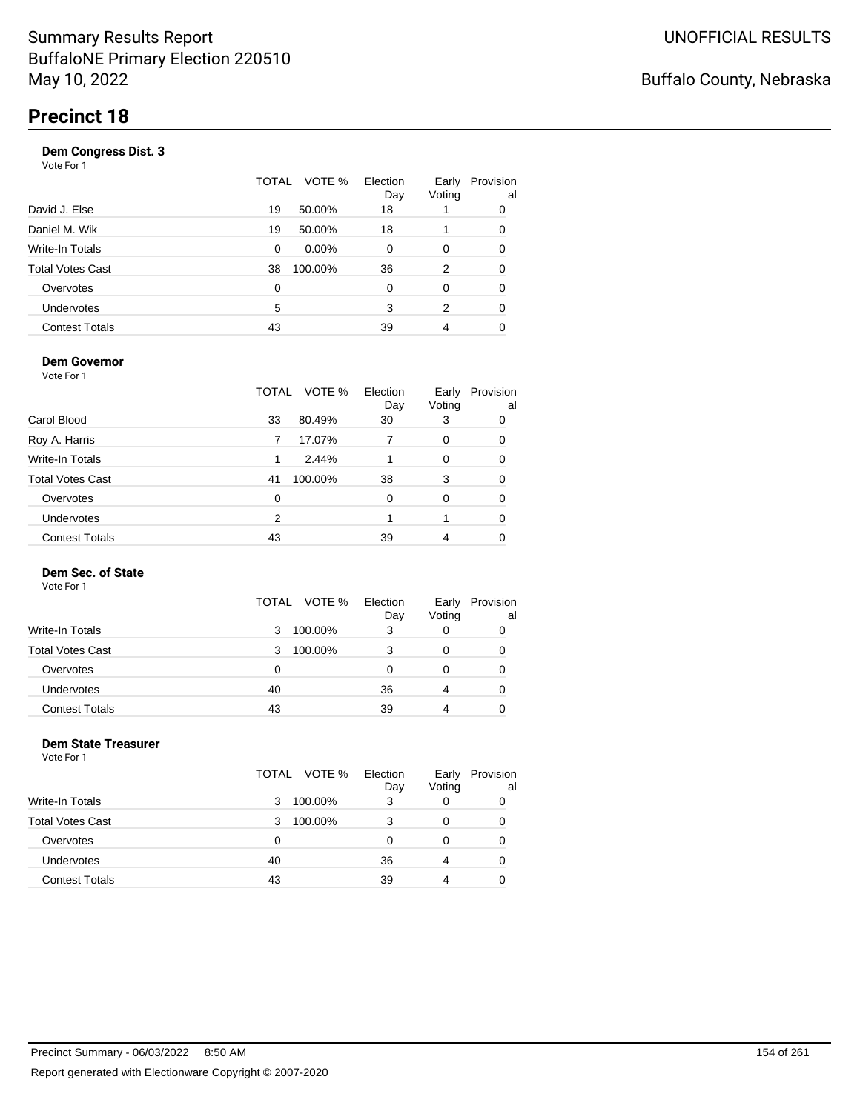|                       | VOTE %<br>TOTAL | Election<br>Day | Early<br>Voting | Provision<br>al |
|-----------------------|-----------------|-----------------|-----------------|-----------------|
| David J. Else         | 19<br>50.00%    | 18              |                 | 0               |
| Daniel M. Wik         | 19<br>50.00%    | 18              |                 | 0               |
| Write-In Totals       | $0.00\%$<br>0   | 0               | 0               | 0               |
| Total Votes Cast      | 100.00%<br>38   | 36              | 2               | 0               |
| Overvotes             | 0               | 0               | 0               | 0               |
| <b>Undervotes</b>     | 5               | 3               | 2               | 0               |
| <b>Contest Totals</b> | 43              | 39              | 4               |                 |
|                       |                 |                 |                 |                 |

### **Dem Governor**

Vote For 1

|                         | TOTAL | VOTE %  | Election<br>Day | Early<br>Voting | Provision<br>al |
|-------------------------|-------|---------|-----------------|-----------------|-----------------|
| Carol Blood             | 33    | 80.49%  | 30              | 3               | 0               |
| Roy A. Harris           |       | 17.07%  |                 | 0               | 0               |
| Write-In Totals         | 1.    | 2.44%   |                 | 0               | 0               |
| <b>Total Votes Cast</b> | 41    | 100.00% | 38              | 3               | 0               |
| Overvotes               | 0     |         | 0               | 0               | 0               |
| Undervotes              | 2     |         |                 |                 | 0               |
| <b>Contest Totals</b>   | 43    |         | 39              | 4               |                 |

### **Dem Sec. of State**

Vote For 1

|                         | TOTAL VOTE % | Election<br>Day | Early<br>Voting | Provision<br>al |
|-------------------------|--------------|-----------------|-----------------|-----------------|
| <b>Write-In Totals</b>  | 100.00%<br>3 | 3               |                 |                 |
| <b>Total Votes Cast</b> | 100.00%<br>3 | 3               |                 | 0               |
| Overvotes               | 0            |                 |                 | 0               |
| <b>Undervotes</b>       | 40           | 36              | 4               | 0               |
| <b>Contest Totals</b>   | 43           | 39              |                 |                 |

#### **Dem State Treasurer** Vote For 1

|                         | TOTAL VOTE % | Election<br>Day | Early<br>Voting | Provision<br>al |
|-------------------------|--------------|-----------------|-----------------|-----------------|
| Write-In Totals         | 100.00%<br>3 | 3               | 0               |                 |
| <b>Total Votes Cast</b> | 100.00%<br>3 | 3               | 0               | 0               |
| Overvotes               | 0            | 0               | 0               | 0               |
| Undervotes              | 40           | 36              | 4               | 0               |
| <b>Contest Totals</b>   | 43           | 39              | 4               |                 |
|                         |              |                 |                 |                 |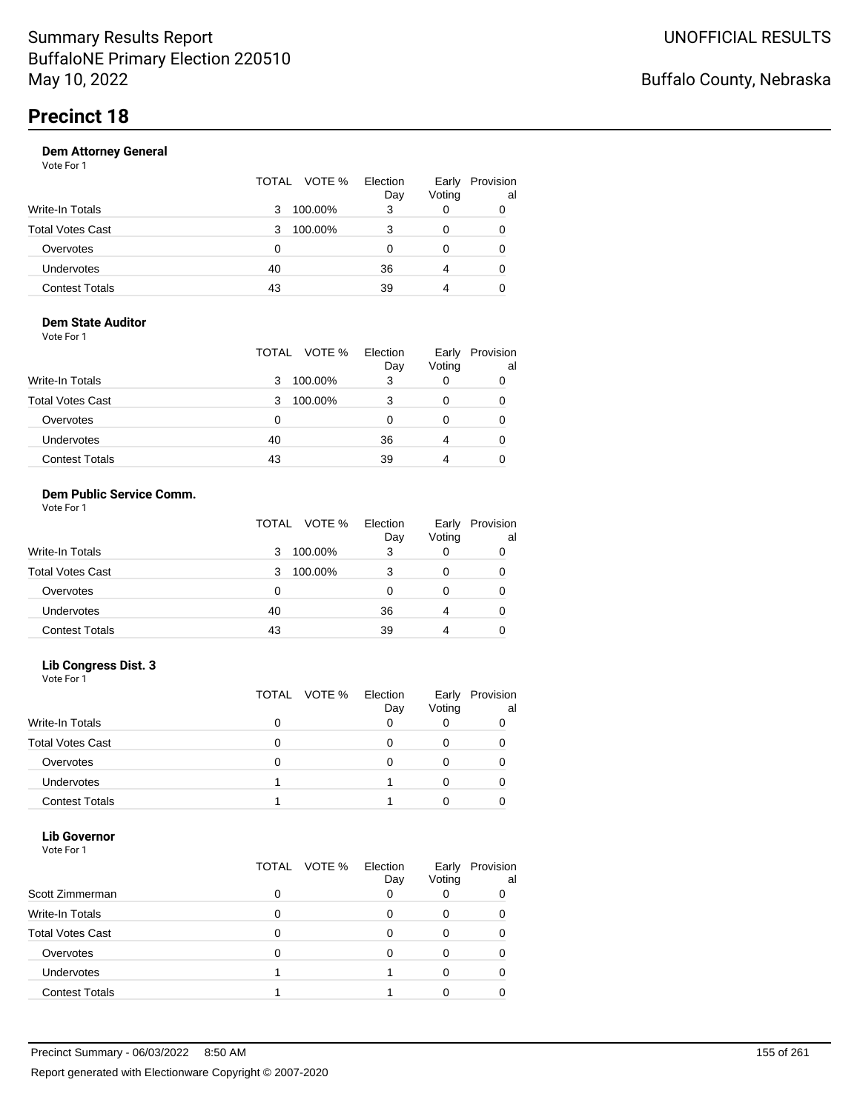|                       | TOTAL VOTE % | Election<br>Day | Early<br>Voting | Provision<br>al |
|-----------------------|--------------|-----------------|-----------------|-----------------|
| Write-In Totals       | 100.00%<br>3 | 3               |                 | 0               |
| Total Votes Cast      | 100.00%<br>3 |                 |                 | 0               |
| Overvotes             | 0            |                 |                 | 0               |
| Undervotes            | 40           | 36              | 4               | 0               |
| <b>Contest Totals</b> | 43           | 39              |                 | 0               |
|                       |              |                 |                 |                 |

#### **Dem State Auditor** Vote For 1

|                         | VOTE %<br>TOTAL | Election<br>Day | Early<br>Voting | Provision<br>al |
|-------------------------|-----------------|-----------------|-----------------|-----------------|
| <b>Write-In Totals</b>  | 100.00%<br>3    | 3               | 0               |                 |
| <b>Total Votes Cast</b> | 100.00%<br>3    |                 | 0               | 0               |
| Overvotes               | 0               |                 | 0               | 0               |
| Undervotes              | 40              | 36              | 4               | 0               |
| <b>Contest Totals</b>   | 43              | 39              | 4               |                 |

#### **Dem Public Service Comm.** Vote For 1

|                         | VOTE %<br>TOTAL | Election<br>Day | Early<br>Voting | Provision<br>al |
|-------------------------|-----------------|-----------------|-----------------|-----------------|
| <b>Write-In Totals</b>  | 100.00%<br>3    | 3               |                 |                 |
| <b>Total Votes Cast</b> | 100.00%<br>3    | 3               | 0               |                 |
| Overvotes               | 0               |                 |                 |                 |
| <b>Undervotes</b>       | 40              | 36              | 4               |                 |
| <b>Contest Totals</b>   | 43              | 39              | 4               |                 |

### **Lib Congress Dist. 3**

Vote For 1

|                         | TOTAL VOTE % | Election<br>Day | Early<br>Voting | Provision<br>al |
|-------------------------|--------------|-----------------|-----------------|-----------------|
| <b>Write-In Totals</b>  |              |                 |                 |                 |
| <b>Total Votes Cast</b> |              |                 |                 |                 |
| Overvotes               |              |                 |                 |                 |
| <b>Undervotes</b>       |              |                 |                 |                 |
| <b>Contest Totals</b>   |              |                 |                 |                 |

#### **Lib Governor** Vote For 1

| 1 J J J J J J           |                 |                 |                 |                 |
|-------------------------|-----------------|-----------------|-----------------|-----------------|
|                         | VOTE %<br>TOTAL | Election<br>Day | Early<br>Voting | Provision<br>al |
| Scott Zimmerman         | ი               |                 |                 |                 |
| Write-In Totals         | 0               |                 |                 |                 |
| <b>Total Votes Cast</b> | O               |                 |                 |                 |
| Overvotes               | O               |                 |                 |                 |
| <b>Undervotes</b>       |                 |                 |                 |                 |
| <b>Contest Totals</b>   |                 |                 |                 |                 |
|                         |                 |                 |                 |                 |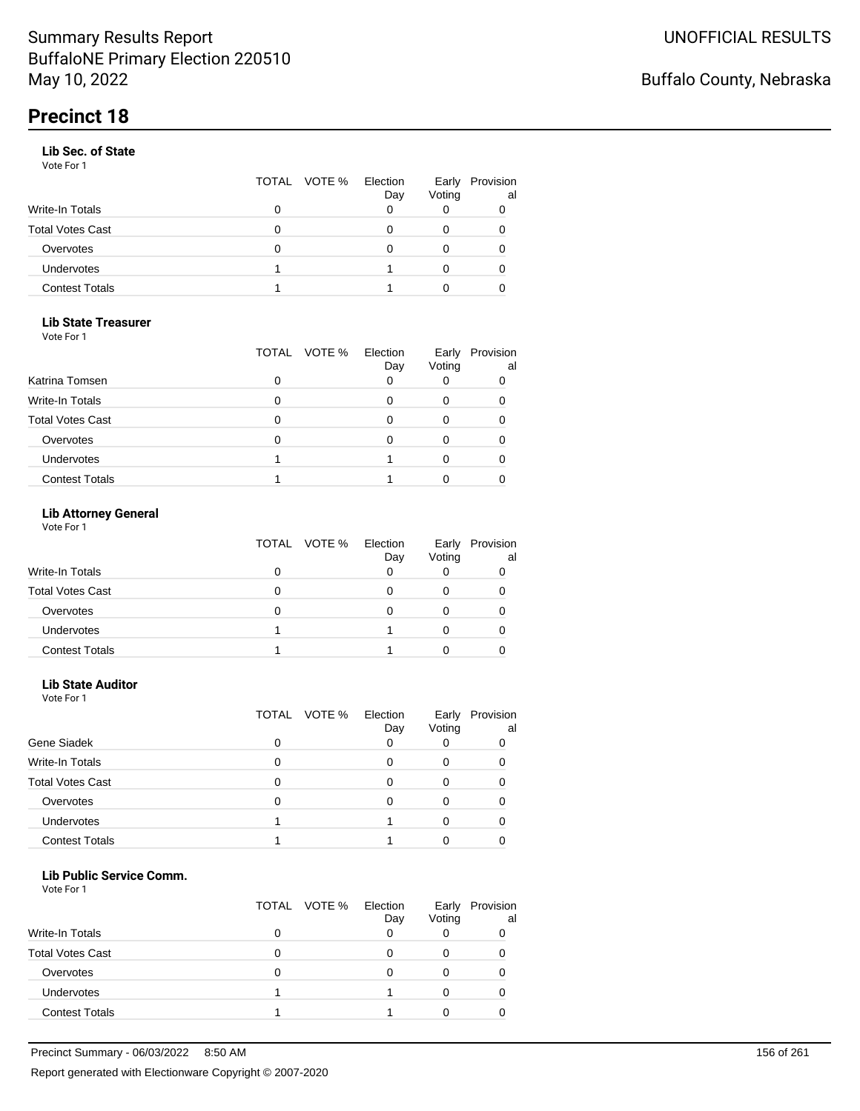#### **Lib Sec. of State**

Vote For 1

|                       |   | TOTAL VOTE % | Election<br>Day | Early<br>Voting | Provision<br>al |
|-----------------------|---|--------------|-----------------|-----------------|-----------------|
| Write-In Totals       | O |              |                 |                 |                 |
| Total Votes Cast      | O |              |                 |                 |                 |
| Overvotes             | O |              |                 |                 |                 |
| Undervotes            |   |              |                 |                 |                 |
| <b>Contest Totals</b> |   |              |                 |                 |                 |

### **Lib State Treasurer**

Vote For 1

|                         | TOTAL VOTE % | Election<br>Day | Early<br>Voting | Provision<br>al |
|-------------------------|--------------|-----------------|-----------------|-----------------|
| Katrina Tomsen          |              |                 |                 |                 |
| <b>Write-In Totals</b>  |              |                 |                 |                 |
| <b>Total Votes Cast</b> |              |                 |                 |                 |
| Overvotes               |              |                 |                 |                 |
| Undervotes              |              |                 |                 |                 |
| <b>Contest Totals</b>   |              |                 |                 |                 |

### **Lib Attorney General**

Vote For 1

|                         |   | TOTAL VOTE % | Election<br>Day | Voting | Early Provision<br>al |
|-------------------------|---|--------------|-----------------|--------|-----------------------|
| Write-In Totals         |   |              |                 |        |                       |
| <b>Total Votes Cast</b> | 0 |              |                 |        |                       |
| Overvotes               | 0 |              |                 |        |                       |
| <b>Undervotes</b>       |   |              |                 |        |                       |
| <b>Contest Totals</b>   |   |              |                 |        |                       |

#### **Lib State Auditor**

Vote For 1

|                         |   | TOTAL VOTE % | Election<br>Day | Early<br>Voting | Provision<br>al |
|-------------------------|---|--------------|-----------------|-----------------|-----------------|
| Gene Siadek             | 0 |              |                 |                 |                 |
| <b>Write-In Totals</b>  | 0 |              |                 |                 |                 |
| <b>Total Votes Cast</b> | 0 |              |                 |                 |                 |
| Overvotes               | 0 |              |                 |                 |                 |
| Undervotes              |   |              |                 |                 |                 |
| <b>Contest Totals</b>   |   |              |                 |                 |                 |

#### **Lib Public Service Comm.**

|                         |   | TOTAL VOTE % | Election<br>Day | Early<br>Voting | Provision<br>al |
|-------------------------|---|--------------|-----------------|-----------------|-----------------|
| <b>Write-In Totals</b>  |   |              |                 |                 |                 |
| <b>Total Votes Cast</b> |   |              |                 |                 |                 |
| Overvotes               | 0 |              |                 |                 |                 |
| Undervotes              |   |              |                 |                 |                 |
| <b>Contest Totals</b>   |   |              |                 |                 |                 |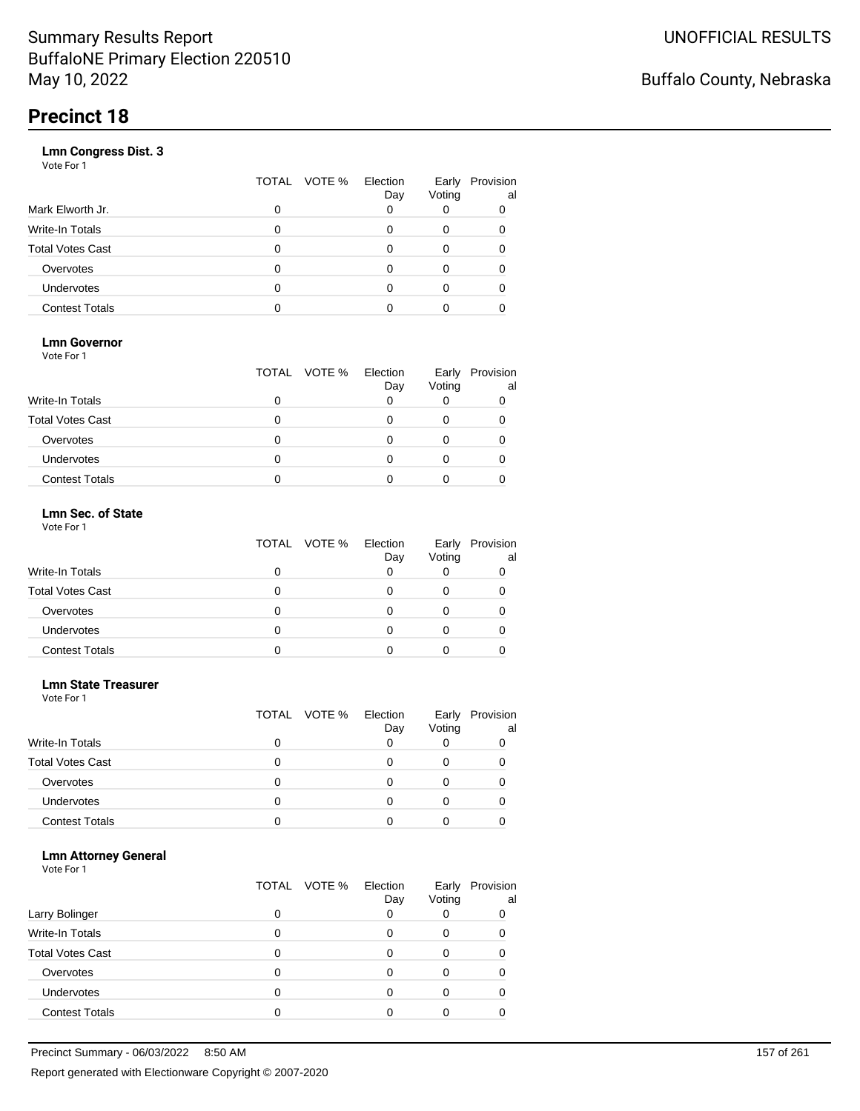|                       | VOTE %<br>TOTAL | Election<br>Day | Early<br>Voting | Provision<br>al |
|-----------------------|-----------------|-----------------|-----------------|-----------------|
| Mark Elworth Jr.      | 0               |                 |                 | 0               |
| Write-In Totals       | O               |                 |                 | 0               |
| Total Votes Cast      | 0               |                 |                 | 0               |
| Overvotes             | 0               |                 |                 |                 |
| Undervotes            | O               |                 |                 |                 |
| <b>Contest Totals</b> | n               |                 |                 |                 |
|                       |                 |                 |                 |                 |

### **Lmn Governor**

Vote For 1

|                         | TOTAL VOTE % | Election<br>Day | Early<br>Voting | Provision<br>al |
|-------------------------|--------------|-----------------|-----------------|-----------------|
| <b>Write-In Totals</b>  |              |                 |                 |                 |
| <b>Total Votes Cast</b> |              |                 |                 |                 |
| Overvotes               |              |                 |                 |                 |
| Undervotes              |              |                 |                 |                 |
| <b>Contest Totals</b>   |              |                 |                 |                 |

#### **Lmn Sec. of State** Vote For 1

|                         | TOTAL VOTE % | Election<br>Day | Voting | Early Provision<br>al |
|-------------------------|--------------|-----------------|--------|-----------------------|
| <b>Write-In Totals</b>  |              |                 |        |                       |
| <b>Total Votes Cast</b> | O            |                 |        |                       |
| Overvotes               | O            |                 |        |                       |
| Undervotes              | Ω            |                 | Ω      |                       |
| <b>Contest Totals</b>   |              |                 |        |                       |

#### **Lmn State Treasurer**

Vote For 1

|                         |   | TOTAL VOTE % | Election<br>Day | Early<br>Voting | Provision<br>al |
|-------------------------|---|--------------|-----------------|-----------------|-----------------|
| <b>Write-In Totals</b>  | 0 |              |                 |                 |                 |
| <b>Total Votes Cast</b> | 0 |              |                 |                 |                 |
| Overvotes               | 0 |              |                 |                 |                 |
| <b>Undervotes</b>       | O |              |                 |                 |                 |
| <b>Contest Totals</b>   |   |              |                 |                 |                 |

#### **Lmn Attorney General**

|                         |   | TOTAL VOTE % | Election<br>Day | Early<br>Voting | Provision<br>al |
|-------------------------|---|--------------|-----------------|-----------------|-----------------|
| Larry Bolinger          |   |              |                 |                 | 0               |
| Write-In Totals         |   |              |                 | O               |                 |
| <b>Total Votes Cast</b> |   |              |                 |                 |                 |
| Overvotes               |   |              |                 |                 |                 |
| Undervotes              | 0 |              |                 |                 |                 |
| <b>Contest Totals</b>   |   |              |                 |                 |                 |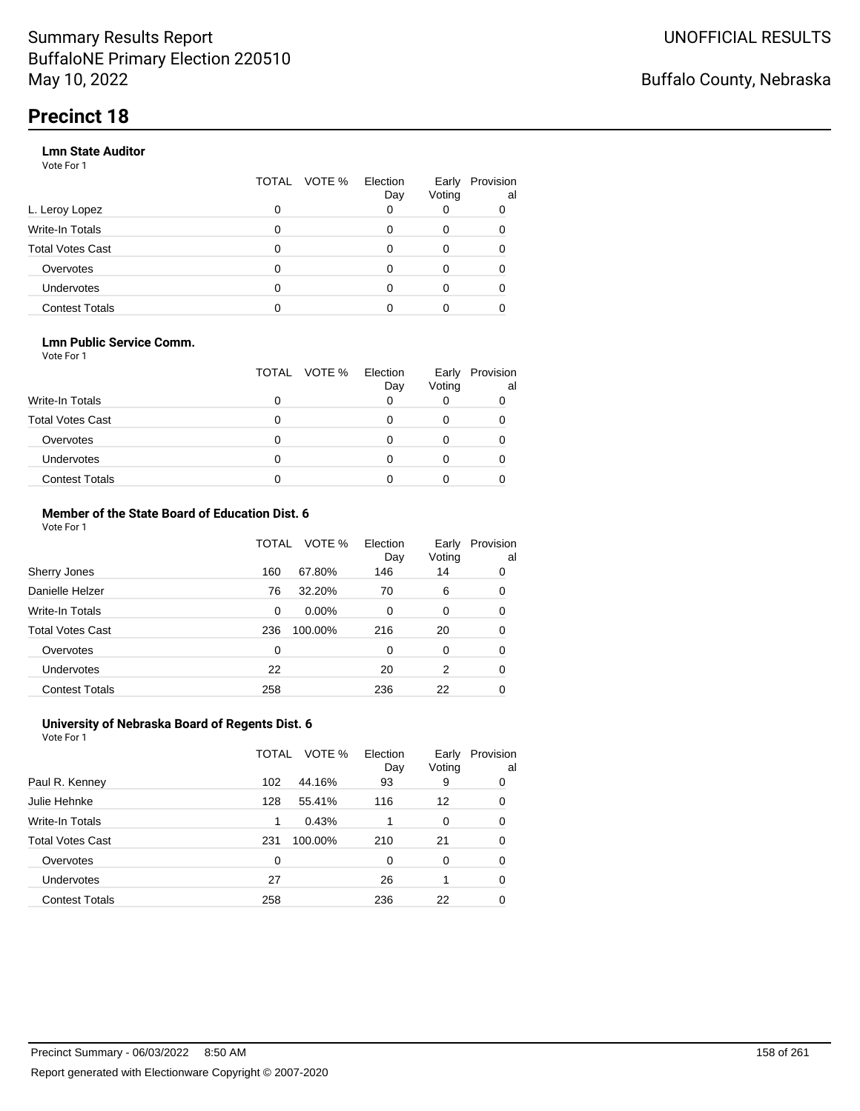#### **Lmn State Auditor**

Vote For 1

|                         | TOTAL | VOTE % Election | Day | Early<br>Voting | Provision<br>al |
|-------------------------|-------|-----------------|-----|-----------------|-----------------|
| L. Leroy Lopez          | 0     |                 |     |                 |                 |
| Write-In Totals         | 0     |                 |     | 0               |                 |
| <b>Total Votes Cast</b> | 0     |                 |     | 0               |                 |
| Overvotes               | 0     |                 |     | 0               |                 |
| Undervotes              | 0     |                 |     |                 |                 |
| <b>Contest Totals</b>   |       |                 |     |                 |                 |

#### **Lmn Public Service Comm.**

Vote For 1

|                         |   | TOTAL VOTE % | Election<br>Day | Early<br>Voting | Provision<br>al |
|-------------------------|---|--------------|-----------------|-----------------|-----------------|
| <b>Write-In Totals</b>  |   |              |                 |                 |                 |
| <b>Total Votes Cast</b> |   |              |                 |                 |                 |
| Overvotes               |   |              |                 |                 |                 |
| <b>Undervotes</b>       | 0 |              |                 |                 |                 |
| <b>Contest Totals</b>   |   |              |                 |                 |                 |

#### **Member of the State Board of Education Dist. 6** Vote For 1

|                         | TOTAL    | VOTE %   | Election<br>Day | Early<br>Voting | Provision<br>al |
|-------------------------|----------|----------|-----------------|-----------------|-----------------|
| Sherry Jones            | 160      | 67.80%   | 146             | 14              | 0               |
| Danielle Helzer         | 76       | 32.20%   | 70              | 6               | 0               |
| <b>Write-In Totals</b>  | $\Omega$ | $0.00\%$ | $\Omega$        | 0               | 0               |
| <b>Total Votes Cast</b> | 236      | 100.00%  | 216             | 20              | 0               |
| Overvotes               | 0        |          | $\Omega$        | $\Omega$        | 0               |
| <b>Undervotes</b>       | 22       |          | 20              | 2               | 0               |
| <b>Contest Totals</b>   | 258      |          | 236             | 22              | 0               |

#### **University of Nebraska Board of Regents Dist. 6** Vote For 1

|                         | TOTAL | VOTE %  | Election<br>Day | Early<br>Voting | Provision<br>al |
|-------------------------|-------|---------|-----------------|-----------------|-----------------|
| Paul R. Kenney          | 102   | 44.16%  | 93              | 9               | 0               |
| Julie Hehnke            | 128   | 55.41%  | 116             | 12              | 0               |
| <b>Write-In Totals</b>  | 1     | 0.43%   |                 | 0               | 0               |
| <b>Total Votes Cast</b> | 231   | 100.00% | 210             | 21              | 0               |
| Overvotes               | 0     |         | 0               | $\Omega$        | 0               |
| Undervotes              | 27    |         | 26              |                 | 0               |
| <b>Contest Totals</b>   | 258   |         | 236             | 22              |                 |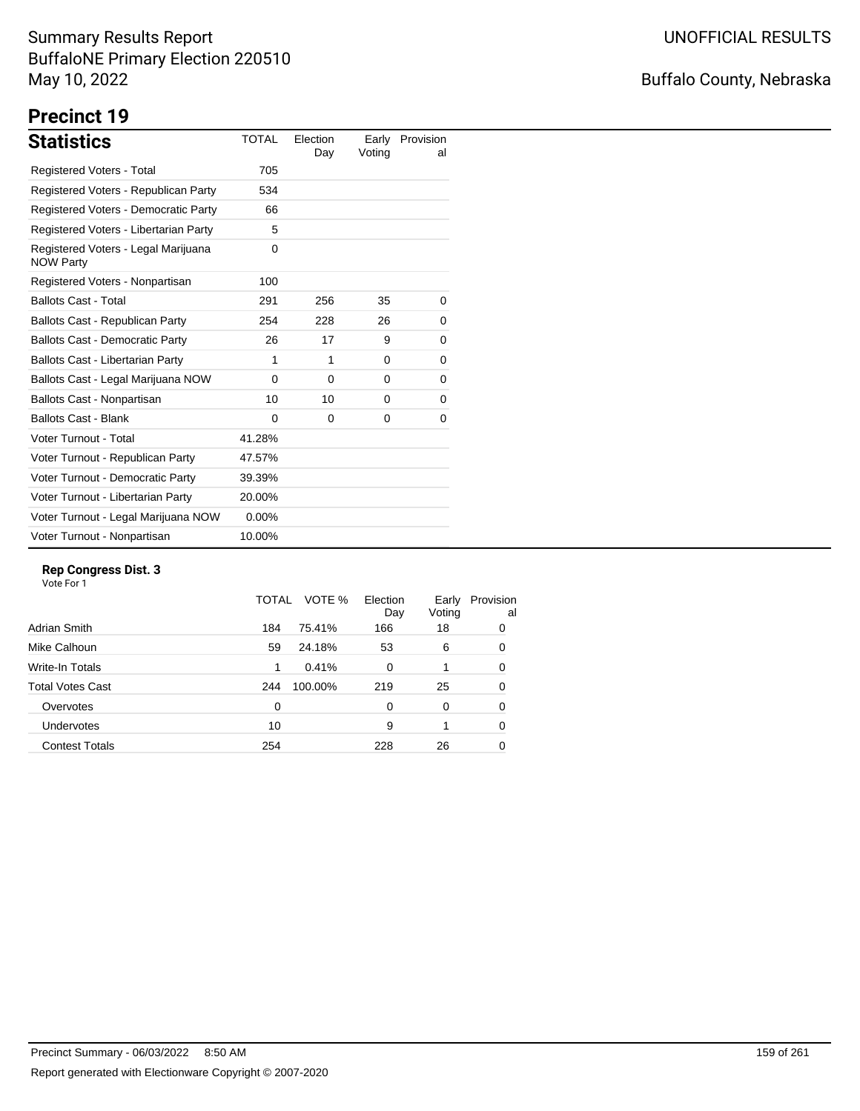## Buffalo County, Nebraska

# **Precinct 19**

| <b>Statistics</b>                                       | <b>TOTAL</b> | Election<br>Day | Early<br>Voting | Provision<br>al |
|---------------------------------------------------------|--------------|-----------------|-----------------|-----------------|
| Registered Voters - Total                               | 705          |                 |                 |                 |
| Registered Voters - Republican Party                    | 534          |                 |                 |                 |
| Registered Voters - Democratic Party                    | 66           |                 |                 |                 |
| Registered Voters - Libertarian Party                   | 5            |                 |                 |                 |
| Registered Voters - Legal Marijuana<br><b>NOW Party</b> | 0            |                 |                 |                 |
| Registered Voters - Nonpartisan                         | 100          |                 |                 |                 |
| <b>Ballots Cast - Total</b>                             | 291          | 256             | 35              | 0               |
| Ballots Cast - Republican Party                         | 254          | 228             | 26              | 0               |
| <b>Ballots Cast - Democratic Party</b>                  | 26           | 17              | 9               | 0               |
| <b>Ballots Cast - Libertarian Party</b>                 | 1            | 1               | 0               | 0               |
| Ballots Cast - Legal Marijuana NOW                      | $\Omega$     | $\Omega$        | $\Omega$        | 0               |
| Ballots Cast - Nonpartisan                              | 10           | 10              | 0               | 0               |
| <b>Ballots Cast - Blank</b>                             | $\Omega$     | 0               | 0               | 0               |
| Voter Turnout - Total                                   | 41.28%       |                 |                 |                 |
| Voter Turnout - Republican Party                        | 47.57%       |                 |                 |                 |
| Voter Turnout - Democratic Party                        | 39.39%       |                 |                 |                 |
| Voter Turnout - Libertarian Party                       | 20.00%       |                 |                 |                 |
| Voter Turnout - Legal Marijuana NOW                     | $0.00\%$     |                 |                 |                 |
| Voter Turnout - Nonpartisan                             | 10.00%       |                 |                 |                 |

#### **Rep Congress Dist. 3**

|                         | TOTAL | VOTE %  | Election<br>Day | Early<br>Voting | Provision<br>al |
|-------------------------|-------|---------|-----------------|-----------------|-----------------|
| Adrian Smith            | 184   | 75.41%  | 166             | 18              | 0               |
| Mike Calhoun            | 59    | 24.18%  | 53              | 6               | 0               |
| Write-In Totals         | 1     | 0.41%   | 0               |                 | 0               |
| <b>Total Votes Cast</b> | 244   | 100.00% | 219             | 25              | 0               |
| Overvotes               | 0     |         | 0               | 0               | 0               |
| Undervotes              | 10    |         | 9               |                 | 0               |
| <b>Contest Totals</b>   | 254   |         | 228             | 26              | 0               |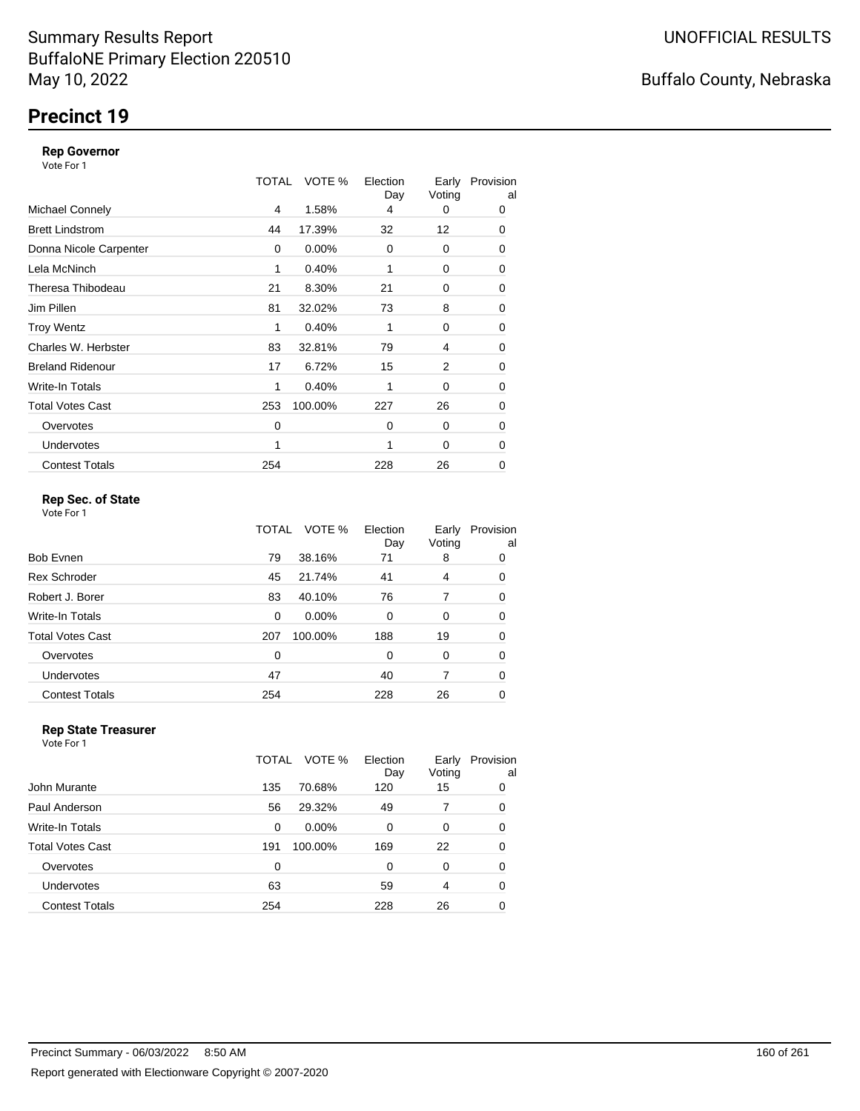## **Precinct 19**

#### **Rep Governor**

Vote For 1

|                         | TOTAL | VOTE %  | Election<br>Day | Early<br>Voting | Provision<br>al |
|-------------------------|-------|---------|-----------------|-----------------|-----------------|
| <b>Michael Connely</b>  | 4     | 1.58%   | 4               | 0               | 0               |
| <b>Brett Lindstrom</b>  | 44    | 17.39%  | 32              | 12              | 0               |
| Donna Nicole Carpenter  | 0     | 0.00%   | 0               | 0               | 0               |
| Lela McNinch            | 1     | 0.40%   |                 | 0               | 0               |
| Theresa Thibodeau       | 21    | 8.30%   | 21              | 0               | 0               |
| Jim Pillen              | 81    | 32.02%  | 73              | 8               | 0               |
| <b>Troy Wentz</b>       | 1     | 0.40%   | 1               | 0               | 0               |
| Charles W. Herbster     | 83    | 32.81%  | 79              | 4               | 0               |
| <b>Breland Ridenour</b> | 17    | 6.72%   | 15              | 2               | 0               |
| Write-In Totals         | 1     | 0.40%   | 1               | 0               | 0               |
| <b>Total Votes Cast</b> | 253   | 100.00% | 227             | 26              | 0               |
| Overvotes               | 0     |         | $\Omega$        | $\Omega$        | 0               |
| <b>Undervotes</b>       | 1     |         | 1               | 0               | 0               |
| <b>Contest Totals</b>   | 254   |         | 228             | 26              | 0               |

### **Rep Sec. of State**

Vote For 1

|                       | TOTAL | VOTE %   | Election<br>Day | Early<br>Voting | Provision<br>al |
|-----------------------|-------|----------|-----------------|-----------------|-----------------|
| Bob Evnen             | 79    | 38.16%   | 71              | 8               | 0               |
| <b>Rex Schroder</b>   | 45    | 21.74%   | 41              | 4               | 0               |
| Robert J. Borer       | 83    | 40.10%   | 76              | 7               | 0               |
| Write-In Totals       | 0     | $0.00\%$ | $\Omega$        | 0               | 0               |
| Total Votes Cast      | 207   | 100.00%  | 188             | 19              | 0               |
| Overvotes             | 0     |          | $\Omega$        | 0               | 0               |
| <b>Undervotes</b>     | 47    |          | 40              | 7               | 0               |
| <b>Contest Totals</b> | 254   |          | 228             | 26              | 0               |
|                       |       |          |                 |                 |                 |

#### **Rep State Treasurer** Vote For 1

|                       | TOTAL | Election<br>VOTE %<br>Day | Early<br>Voting | Provision<br>al |
|-----------------------|-------|---------------------------|-----------------|-----------------|
| John Murante          | 135   | 70.68%<br>120             | 15              | 0               |
| Paul Anderson         | 56    | 29.32%<br>49              |                 | 0               |
| Write-In Totals       | 0     | $0.00\%$<br>$\Omega$      | 0               | 0               |
| Total Votes Cast      | 191   | 100.00%<br>169            | 22              | 0               |
| Overvotes             | 0     | $\Omega$                  | 0               | 0               |
| <b>Undervotes</b>     | 63    | 59                        | 4               | 0               |
| <b>Contest Totals</b> | 254   | 228                       | 26              | 0               |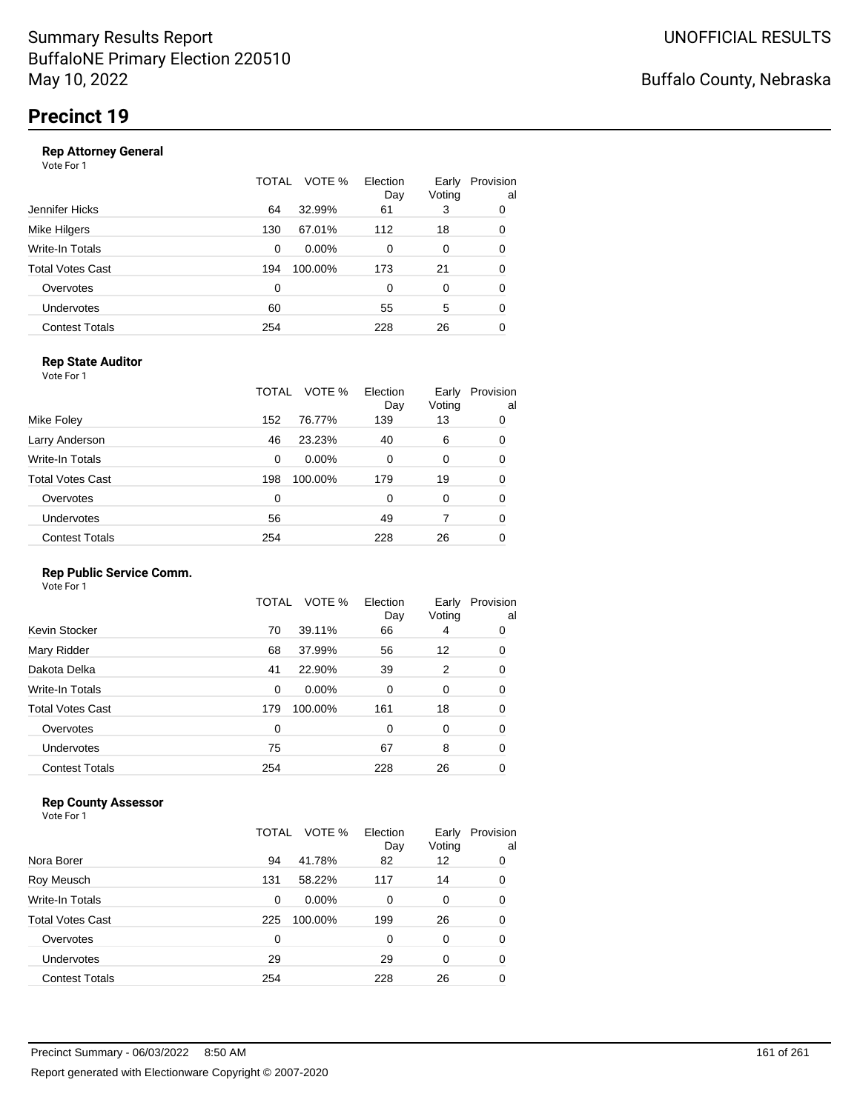|                       | TOTAL | VOTE %   | Election<br>Day | Early<br>Voting | Provision<br>al |
|-----------------------|-------|----------|-----------------|-----------------|-----------------|
| Jennifer Hicks        | 64    | 32.99%   | 61              | 3               | 0               |
| Mike Hilgers          | 130   | 67.01%   | 112             | 18              | 0               |
| Write-In Totals       | 0     | $0.00\%$ | 0               | 0               | 0               |
| Total Votes Cast      | 194   | 100.00%  | 173             | 21              | 0               |
| Overvotes             | 0     |          | 0               | 0               | 0               |
| Undervotes            | 60    |          | 55              | 5               | 0               |
| <b>Contest Totals</b> | 254   |          | 228             | 26              | 0               |
|                       |       |          |                 |                 |                 |

### **Rep State Auditor**

Vote For 1

|                       | TOTAL | VOTE %   | Election<br>Day | Early<br>Voting | Provision<br>al |
|-----------------------|-------|----------|-----------------|-----------------|-----------------|
| Mike Foley            | 152   | 76.77%   | 139             | 13              | 0               |
| Larry Anderson        | 46    | 23.23%   | 40              | 6               | 0               |
| Write-In Totals       | 0     | $0.00\%$ | 0               | 0               | 0               |
| Total Votes Cast      | 198   | 100.00%  | 179             | 19              | 0               |
| Overvotes             | 0     |          | 0               | 0               | 0               |
| <b>Undervotes</b>     | 56    |          | 49              |                 | 0               |
| <b>Contest Totals</b> | 254   |          | 228             | 26              | 0               |

#### **Rep Public Service Comm.**

Vote For 1

|                         | TOTAL | VOTE %   | Election<br>Day | Early<br>Voting | Provision<br>al |
|-------------------------|-------|----------|-----------------|-----------------|-----------------|
| Kevin Stocker           | 70    | 39.11%   | 66              | 4               | 0               |
| Mary Ridder             | 68    | 37.99%   | 56              | 12              | 0               |
| Dakota Delka            | 41    | 22.90%   | 39              | 2               | 0               |
| Write-In Totals         | 0     | $0.00\%$ | 0               | 0               | 0               |
| <b>Total Votes Cast</b> | 179   | 100.00%  | 161             | 18              | 0               |
| Overvotes               | 0     |          | 0               | 0               | 0               |
| Undervotes              | 75    |          | 67              | 8               | 0               |
| <b>Contest Totals</b>   | 254   |          | 228             | 26              | 0               |
|                         |       |          |                 |                 |                 |

### **Rep County Assessor**

|                       | TOTAL | VOTE %   | Election<br>Day | Early<br>Voting | Provision<br>al |
|-----------------------|-------|----------|-----------------|-----------------|-----------------|
| Nora Borer            | 94    | 41.78%   | 82              | 12              | 0               |
| Roy Meusch            | 131   | 58.22%   | 117             | 14              | 0               |
| Write-In Totals       | 0     | $0.00\%$ | 0               | 0               | 0               |
| Total Votes Cast      | 225   | 100.00%  | 199             | 26              | 0               |
| Overvotes             | 0     |          | 0               | $\Omega$        | 0               |
| Undervotes            | 29    |          | 29              | $\Omega$        | 0               |
| <b>Contest Totals</b> | 254   |          | 228             | 26              | 0               |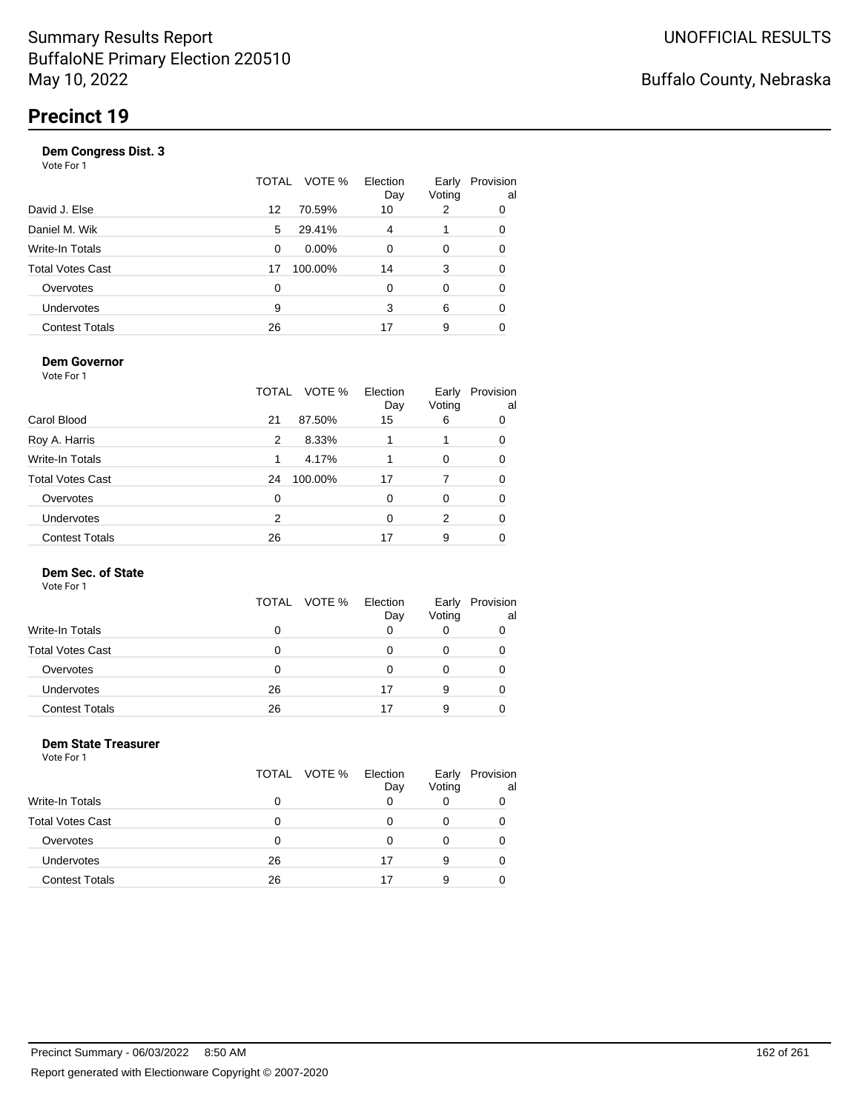|                       |    | TOTAL VOTE % | Election<br>Day | Early<br>Voting | Provision<br>al |
|-----------------------|----|--------------|-----------------|-----------------|-----------------|
| David J. Else         | 12 | 70.59%       | 10              | 2               | 0               |
| Daniel M. Wik         | 5  | 29.41%       | 4               |                 | 0               |
| Write-In Totals       | 0  | $0.00\%$     | $\Omega$        | 0               | 0               |
| Total Votes Cast      | 17 | 100.00%      | 14              | 3               | 0               |
| Overvotes             | 0  |              | $\Omega$        | $\Omega$        | 0               |
| Undervotes            | 9  |              | 3               | 6               | 0               |
| <b>Contest Totals</b> | 26 |              | 17              | 9               |                 |

#### **Dem Governor**

Vote For 1

|                         | TOTAL | VOTE %  | Election<br>Day | Early<br>Voting | Provision<br>al |
|-------------------------|-------|---------|-----------------|-----------------|-----------------|
| Carol Blood             | 21    | 87.50%  | 15              | 6               | 0               |
| Roy A. Harris           | 2     | 8.33%   |                 |                 | 0               |
| Write-In Totals         | 1     | 4.17%   |                 | 0               | 0               |
| <b>Total Votes Cast</b> | 24    | 100.00% | 17              | 7               | 0               |
| Overvotes               | 0     |         | 0               | 0               | 0               |
| Undervotes              | 2     |         | 0               | 2               | 0               |
| <b>Contest Totals</b>   | 26    |         | 17              | 9               |                 |

### **Dem Sec. of State**

Vote For 1

|                         | TOTAL VOTE % | Election<br>Day | Early<br>Voting | Provision<br>al |
|-------------------------|--------------|-----------------|-----------------|-----------------|
| <b>Write-In Totals</b>  | 0            |                 |                 |                 |
| <b>Total Votes Cast</b> | O            |                 |                 |                 |
| Overvotes               | Ω            |                 |                 |                 |
| <b>Undervotes</b>       | 26           | 17              | 9               |                 |
| <b>Contest Totals</b>   | 26           |                 | 9               |                 |

#### **Dem State Treasurer** Vote For 1

|                         | TOTAL VOTE % | Election<br>Day | Early<br>Voting | Provision<br>al |
|-------------------------|--------------|-----------------|-----------------|-----------------|
| <b>Write-In Totals</b>  | O            |                 |                 |                 |
| <b>Total Votes Cast</b> | O            | O               | 0               |                 |
| Overvotes               | O            | 0               |                 |                 |
| <b>Undervotes</b>       | 26           | 17              | 9               |                 |
| <b>Contest Totals</b>   | 26           | 17              | 9               |                 |
|                         |              |                 |                 |                 |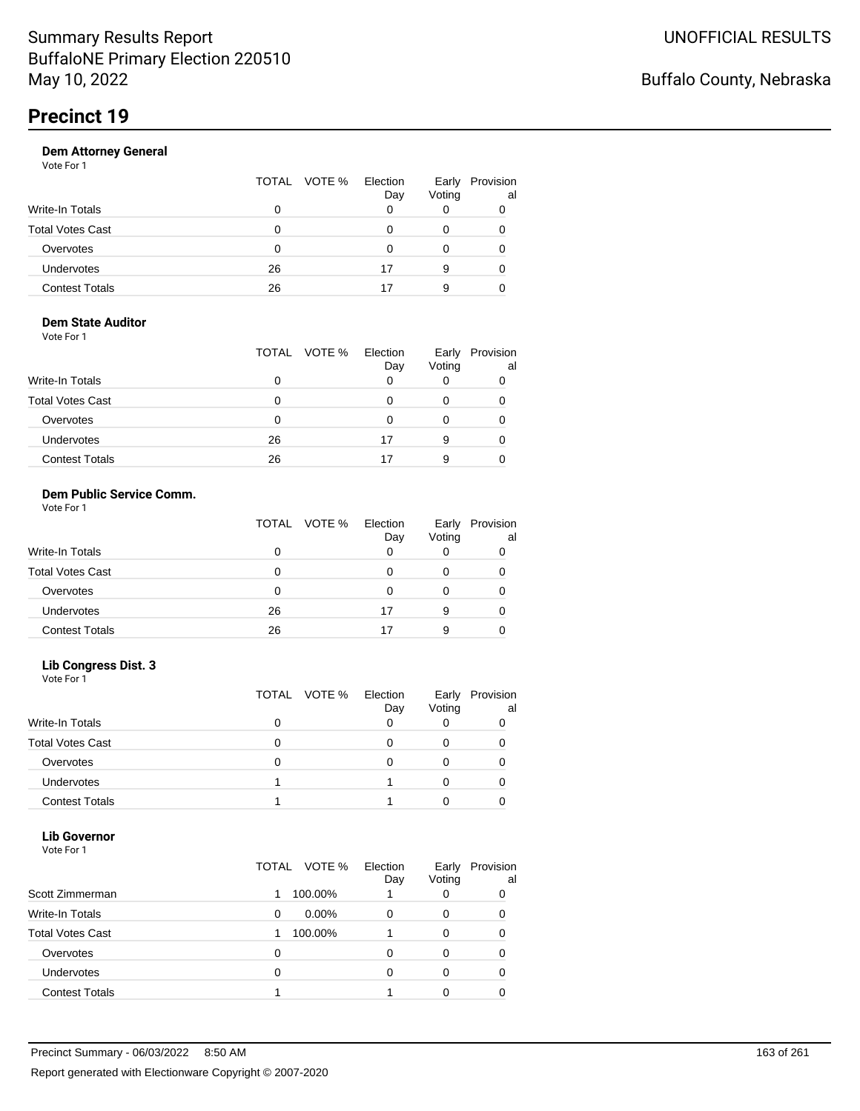|                       |    | TOTAL VOTE % | Election<br>Day | Early<br>Voting | Provision<br>al |
|-----------------------|----|--------------|-----------------|-----------------|-----------------|
| Write-In Totals       | 0  |              |                 | 0               |                 |
| Total Votes Cast      | Ω  |              |                 |                 |                 |
| Overvotes             | 0  |              |                 | O               |                 |
| Undervotes            | 26 |              | 17              | 9               |                 |
| <b>Contest Totals</b> | 26 |              |                 | 9               |                 |

#### **Dem State Auditor** Vote For 1

| 1 J J J J J J J         | TOTAL VOTE % | Election<br>Day | Early<br>Voting | Provision<br>al |
|-------------------------|--------------|-----------------|-----------------|-----------------|
| <b>Write-In Totals</b>  | 0            | Ω               |                 |                 |
| <b>Total Votes Cast</b> | Ω            |                 |                 |                 |
| Overvotes               | Ω            | Ω               |                 |                 |
| <b>Undervotes</b>       | 26           | 17              | 9               |                 |
| <b>Contest Totals</b>   | 26           | 17              | 9               |                 |

### **Dem Public Service Comm.**

| Vote For 1 |  |  |
|------------|--|--|
|            |  |  |

|                         | TOTAL VOTE % | Election<br>Day | Early<br>Voting | Provision<br>al |
|-------------------------|--------------|-----------------|-----------------|-----------------|
| <b>Write-In Totals</b>  |              |                 | 0               |                 |
| <b>Total Votes Cast</b> | 0            | O               |                 |                 |
| Overvotes               | 0            | O               |                 |                 |
| <b>Undervotes</b>       | 26           | 17              | 9               |                 |
| <b>Contest Totals</b>   | 26           |                 | 9               |                 |

### **Lib Congress Dist. 3**

Vote For 1

|                         | TOTAL VOTE % | Election<br>Day | Early<br>Voting | Provision<br>al |
|-------------------------|--------------|-----------------|-----------------|-----------------|
| <b>Write-In Totals</b>  |              |                 |                 |                 |
| <b>Total Votes Cast</b> |              |                 |                 |                 |
| Overvotes               |              |                 |                 |                 |
| <b>Undervotes</b>       |              |                 |                 |                 |
| <b>Contest Totals</b>   |              |                 |                 |                 |

#### **Lib Governor** Vote For 1

| 1 U U U                 |                 |                 |                 |                 |
|-------------------------|-----------------|-----------------|-----------------|-----------------|
|                         | VOTE %<br>TOTAL | Election<br>Day | Early<br>Voting | Provision<br>al |
| Scott Zimmerman         | 100.00%         |                 | 0               |                 |
| <b>Write-In Totals</b>  | $0.00\%$<br>0   | 0               | 0               |                 |
| <b>Total Votes Cast</b> | 100.00%         |                 | 0               |                 |
| Overvotes               | 0               | ი               | 0               |                 |
| Undervotes              | 0               | ი               | 0               |                 |
| <b>Contest Totals</b>   |                 |                 |                 |                 |
|                         |                 |                 |                 |                 |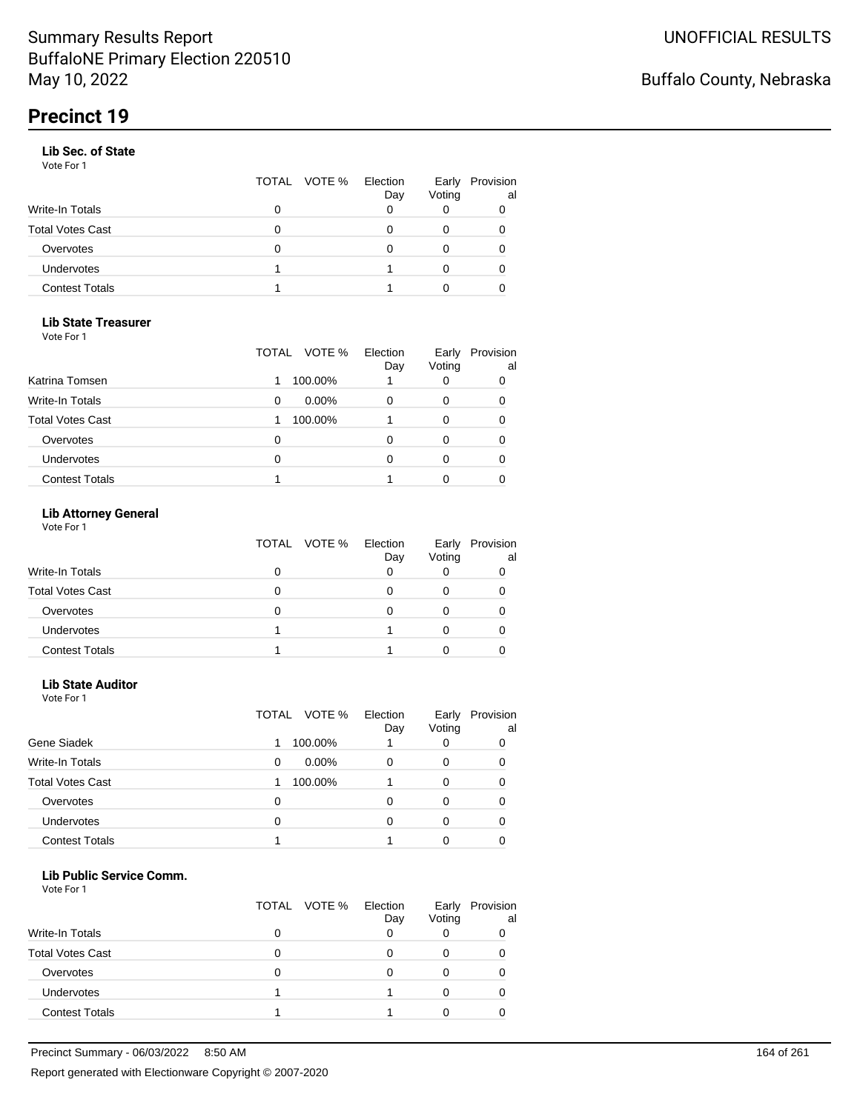#### **Lib Sec. of State**

Vote For 1

|                       |   | TOTAL VOTE % | Election<br>Day | Early<br>Voting | Provision<br>al |
|-----------------------|---|--------------|-----------------|-----------------|-----------------|
| Write-In Totals       |   |              |                 |                 |                 |
| Total Votes Cast      | 0 |              |                 |                 |                 |
| Overvotes             | O |              |                 |                 |                 |
| Undervotes            |   |              |                 |                 | 0               |
| <b>Contest Totals</b> |   |              |                 |                 |                 |

#### **Lib State Treasurer**

Vote For 1

|                         | VOTE %<br>TOTAL | Election<br>Day | Early<br>Voting | Provision<br>al |
|-------------------------|-----------------|-----------------|-----------------|-----------------|
| Katrina Tomsen          | 100.00%         |                 |                 | 0               |
| <b>Write-In Totals</b>  | $0.00\%$<br>0   | 0               |                 | 0               |
| <b>Total Votes Cast</b> | 100.00%         |                 |                 | 0               |
| Overvotes               | Ω               | O               |                 |                 |
| <b>Undervotes</b>       | 0               |                 |                 |                 |
| <b>Contest Totals</b>   |                 |                 |                 |                 |

### **Lib Attorney General**

Vote For 1

|                         | TOTAL VOTE % | Election<br>Day | Early<br>Voting | Provision<br>al |
|-------------------------|--------------|-----------------|-----------------|-----------------|
| Write-In Totals         | 0            |                 |                 |                 |
| <b>Total Votes Cast</b> | 0            |                 |                 |                 |
| Overvotes               | 0            |                 |                 |                 |
| <b>Undervotes</b>       |              |                 |                 |                 |
| <b>Contest Totals</b>   |              |                 |                 |                 |

#### **Lib State Auditor**

Vote For 1

|                         | VOTE %<br>TOTAL | Election<br>Day | Early<br>Voting | Provision<br>al |
|-------------------------|-----------------|-----------------|-----------------|-----------------|
| Gene Siadek             | 100.00%         |                 |                 |                 |
| <b>Write-In Totals</b>  | $0.00\%$<br>0   | 0               | 0               | O               |
| <b>Total Votes Cast</b> | 100.00%         |                 | 0               |                 |
| Overvotes               | 0               | ი               | O               |                 |
| <b>Undervotes</b>       | 0               | 0               |                 |                 |
| <b>Contest Totals</b>   |                 |                 |                 |                 |

#### **Lib Public Service Comm.**

|                         | TOTAL VOTE % | Election<br>Day | Early<br>Voting | Provision<br>al |
|-------------------------|--------------|-----------------|-----------------|-----------------|
| <b>Write-In Totals</b>  |              |                 |                 |                 |
| <b>Total Votes Cast</b> |              |                 |                 |                 |
| Overvotes               |              |                 |                 |                 |
| <b>Undervotes</b>       |              |                 |                 |                 |
| <b>Contest Totals</b>   |              |                 |                 |                 |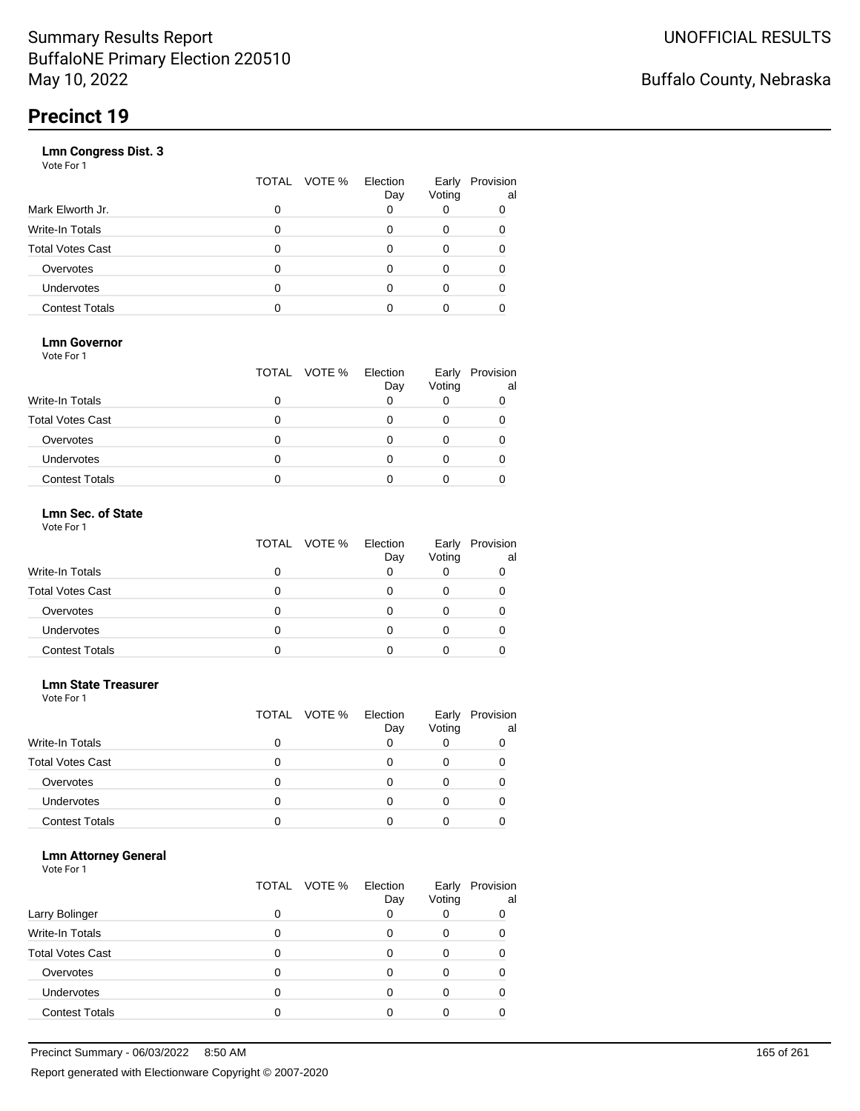|                       | VOTE %<br>TOTAL | Election<br>Day | Early<br>Voting | Provision<br>al |
|-----------------------|-----------------|-----------------|-----------------|-----------------|
| Mark Elworth Jr.      | 0               |                 |                 | 0               |
| Write-In Totals       | O               |                 | 0               | 0               |
| Total Votes Cast      | O               |                 | 0               |                 |
| Overvotes             | 0               |                 | 0               |                 |
| Undervotes            | O               |                 | Ω               |                 |
| <b>Contest Totals</b> |                 |                 |                 |                 |
|                       |                 |                 |                 |                 |

### **Lmn Governor**

Vote For 1

|                         | TOTAL VOTE % | Election<br>Day | Early<br>Voting | Provision<br>al |
|-------------------------|--------------|-----------------|-----------------|-----------------|
| <b>Write-In Totals</b>  |              |                 |                 |                 |
| <b>Total Votes Cast</b> |              |                 |                 |                 |
| Overvotes               |              |                 |                 |                 |
| <b>Undervotes</b>       |              |                 |                 |                 |
| <b>Contest Totals</b>   |              |                 |                 |                 |

#### **Lmn Sec. of State** Vote For 1

|                         | TOTAL VOTE % | Election<br>Day | Early<br>Voting | Provision<br>al |
|-------------------------|--------------|-----------------|-----------------|-----------------|
| <b>Write-In Totals</b>  | 0            |                 |                 |                 |
| <b>Total Votes Cast</b> | 0            |                 |                 |                 |
| Overvotes               | 0            |                 |                 |                 |
| Undervotes              | 0            |                 |                 |                 |
| <b>Contest Totals</b>   |              |                 |                 |                 |

#### **Lmn State Treasurer**

Vote For 1

|                         |   | TOTAL VOTE % | Election<br>Day | Early<br>Voting | Provision<br>al |
|-------------------------|---|--------------|-----------------|-----------------|-----------------|
| <b>Write-In Totals</b>  |   |              |                 |                 |                 |
| <b>Total Votes Cast</b> | O |              |                 |                 |                 |
| Overvotes               | 0 |              | Ω               | O               |                 |
| Undervotes              | O |              |                 |                 |                 |
| <b>Contest Totals</b>   |   |              |                 |                 |                 |

#### **Lmn Attorney General**

|                         |   | TOTAL VOTE % | Election<br>Day | Early<br>Voting | Provision<br>al |
|-------------------------|---|--------------|-----------------|-----------------|-----------------|
| Larry Bolinger          |   |              |                 |                 | 0               |
| Write-In Totals         |   |              |                 | O               |                 |
| <b>Total Votes Cast</b> |   |              |                 |                 |                 |
| Overvotes               |   |              |                 |                 |                 |
| Undervotes              | 0 |              |                 |                 |                 |
| <b>Contest Totals</b>   |   |              |                 |                 |                 |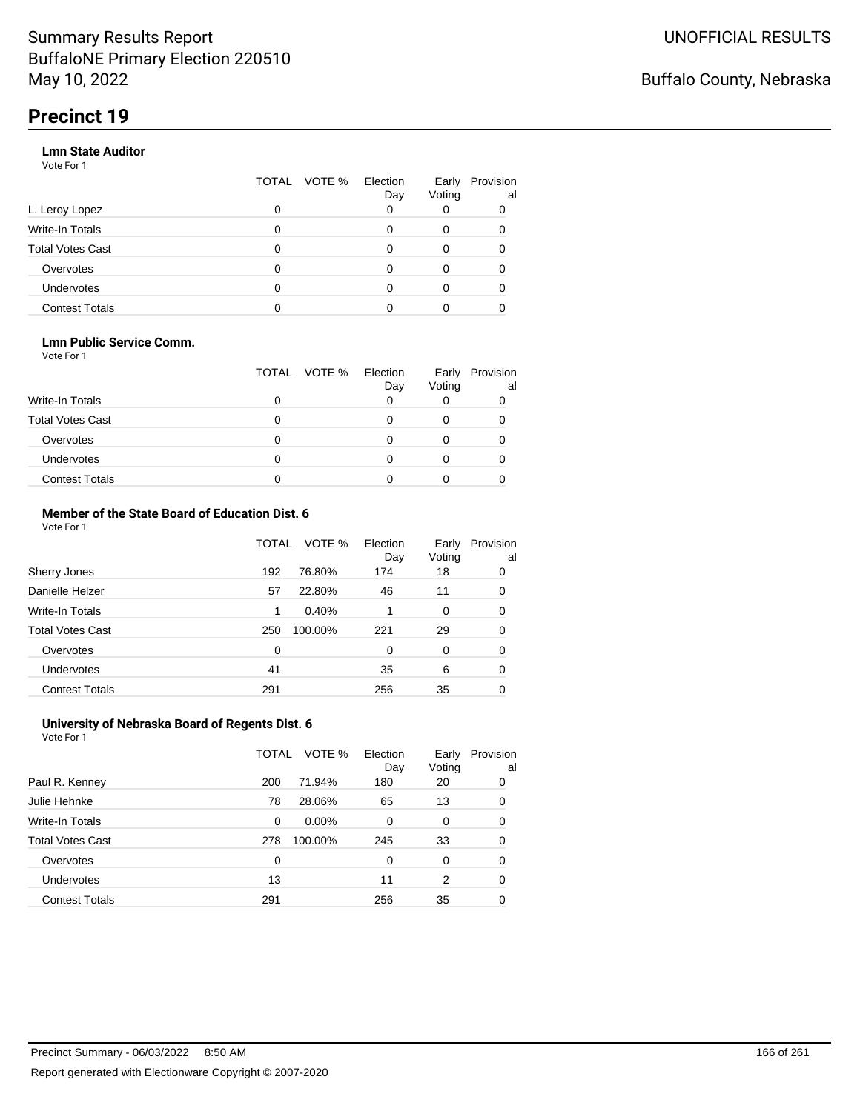#### **Lmn State Auditor**

Vote For 1

|                         | TOTAL | VOTE % Election | Day | Early<br>Voting | Provision<br>al |
|-------------------------|-------|-----------------|-----|-----------------|-----------------|
| L. Leroy Lopez          | 0     |                 |     |                 |                 |
| Write-In Totals         | 0     |                 |     | 0               |                 |
| <b>Total Votes Cast</b> | 0     |                 |     | 0               |                 |
| Overvotes               | 0     |                 |     | 0               |                 |
| Undervotes              | 0     |                 |     |                 |                 |
| <b>Contest Totals</b>   |       |                 |     |                 |                 |

#### **Lmn Public Service Comm.**

Vote For 1

|                         |   | TOTAL VOTE % | Election<br>Day | Early<br>Voting | Provision<br>al |
|-------------------------|---|--------------|-----------------|-----------------|-----------------|
| <b>Write-In Totals</b>  |   |              |                 |                 |                 |
| <b>Total Votes Cast</b> |   |              |                 |                 |                 |
| Overvotes               |   |              |                 |                 |                 |
| <b>Undervotes</b>       | 0 |              |                 |                 |                 |
| <b>Contest Totals</b>   |   |              |                 |                 |                 |

#### **Member of the State Board of Education Dist. 6** Vote For 1

|                         | TOTAL    | VOTE %  | Election<br>Day | Early<br>Voting | Provision<br>al |
|-------------------------|----------|---------|-----------------|-----------------|-----------------|
| Sherry Jones            | 192      | 76.80%  | 174             | 18              | 0               |
| Danielle Helzer         | 57       | 22.80%  | 46              | 11              | 0               |
| <b>Write-In Totals</b>  | 1        | 0.40%   |                 | 0               | 0               |
| <b>Total Votes Cast</b> | 250      | 100.00% | 221             | 29              | 0               |
| Overvotes               | $\Omega$ |         | $\Omega$        | $\Omega$        | 0               |
| <b>Undervotes</b>       | 41       |         | 35              | 6               | 0               |
| <b>Contest Totals</b>   | 291      |         | 256             | 35              | 0               |

#### **University of Nebraska Board of Regents Dist. 6** Vote For 1

|                         | TOTAL | VOTE %  | Election<br>Day | Early<br>Voting | Provision<br>al |
|-------------------------|-------|---------|-----------------|-----------------|-----------------|
| Paul R. Kenney          | 200   | 71.94%  | 180             | 20              | 0               |
| Julie Hehnke            | 78    | 28.06%  | 65              | 13              | 0               |
| <b>Write-In Totals</b>  | 0     | 0.00%   | 0               | 0               | 0               |
| <b>Total Votes Cast</b> | 278   | 100.00% | 245             | 33              | 0               |
| Overvotes               | 0     |         | 0               | $\Omega$        | 0               |
| Undervotes              | 13    |         | 11              | 2               | 0               |
| <b>Contest Totals</b>   | 291   |         | 256             | 35              | 0               |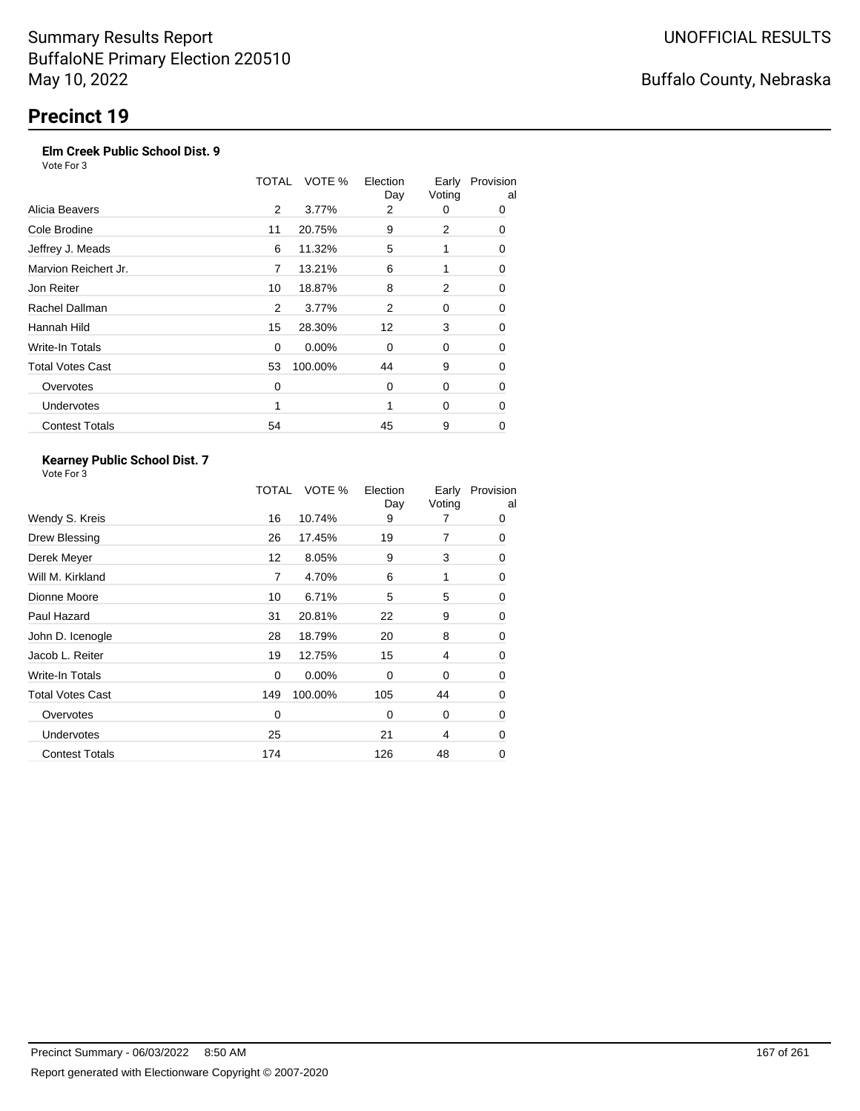### **Elm Creek Public School Dist. 9**

Vote For 3

|                         | TOTAL | VOTE %   | Election<br>Day | Early<br>Voting | Provision<br>al |
|-------------------------|-------|----------|-----------------|-----------------|-----------------|
| Alicia Beavers          | 2     | 3.77%    | 2               | 0               | 0               |
| Cole Brodine            | 11    | 20.75%   | 9               | 2               | 0               |
| Jeffrey J. Meads        | 6     | 11.32%   | 5               | 1               | 0               |
| Marvion Reichert Jr.    | 7     | 13.21%   | 6               | 1               | 0               |
| Jon Reiter              | 10    | 18.87%   | 8               | 2               | 0               |
| Rachel Dallman          | 2     | 3.77%    | 2               | 0               | 0               |
| Hannah Hild             | 15    | 28.30%   | 12              | 3               | 0               |
| Write-In Totals         | 0     | $0.00\%$ | 0               | 0               | 0               |
| <b>Total Votes Cast</b> | 53    | 100.00%  | 44              | 9               | 0               |
| Overvotes               | 0     |          | $\mathbf 0$     | 0               | 0               |
| <b>Undervotes</b>       | 1     |          |                 | 0               | 0               |
| <b>Contest Totals</b>   | 54    |          | 45              | 9               | 0               |

#### **Kearney Public School Dist. 7** Vote For 3

|                         | TOTAL       | VOTE %  | Election<br>Day | Early<br>Voting | Provision<br>al |
|-------------------------|-------------|---------|-----------------|-----------------|-----------------|
| Wendy S. Kreis          | 16          | 10.74%  | 9               |                 | 0               |
| Drew Blessing           | 26          | 17.45%  | 19              | 7               | 0               |
| Derek Meyer             | 12          | 8.05%   | 9               | 3               | 0               |
| Will M. Kirkland        | 7           | 4.70%   | 6               | 1               | 0               |
| Dionne Moore            | 10          | 6.71%   | 5               | 5               | 0               |
| Paul Hazard             | 31          | 20.81%  | 22              | 9               | 0               |
| John D. Icenogle        | 28          | 18.79%  | 20              | 8               | 0               |
| Jacob L. Reiter         | 19          | 12.75%  | 15              | 4               | 0               |
| Write-In Totals         | $\mathbf 0$ | 0.00%   | 0               | 0               | 0               |
| <b>Total Votes Cast</b> | 149         | 100.00% | 105             | 44              | 0               |
| Overvotes               | 0           |         | 0               | 0               | 0               |
| Undervotes              | 25          |         | 21              | 4               | 0               |
| <b>Contest Totals</b>   | 174         |         | 126             | 48              | 0               |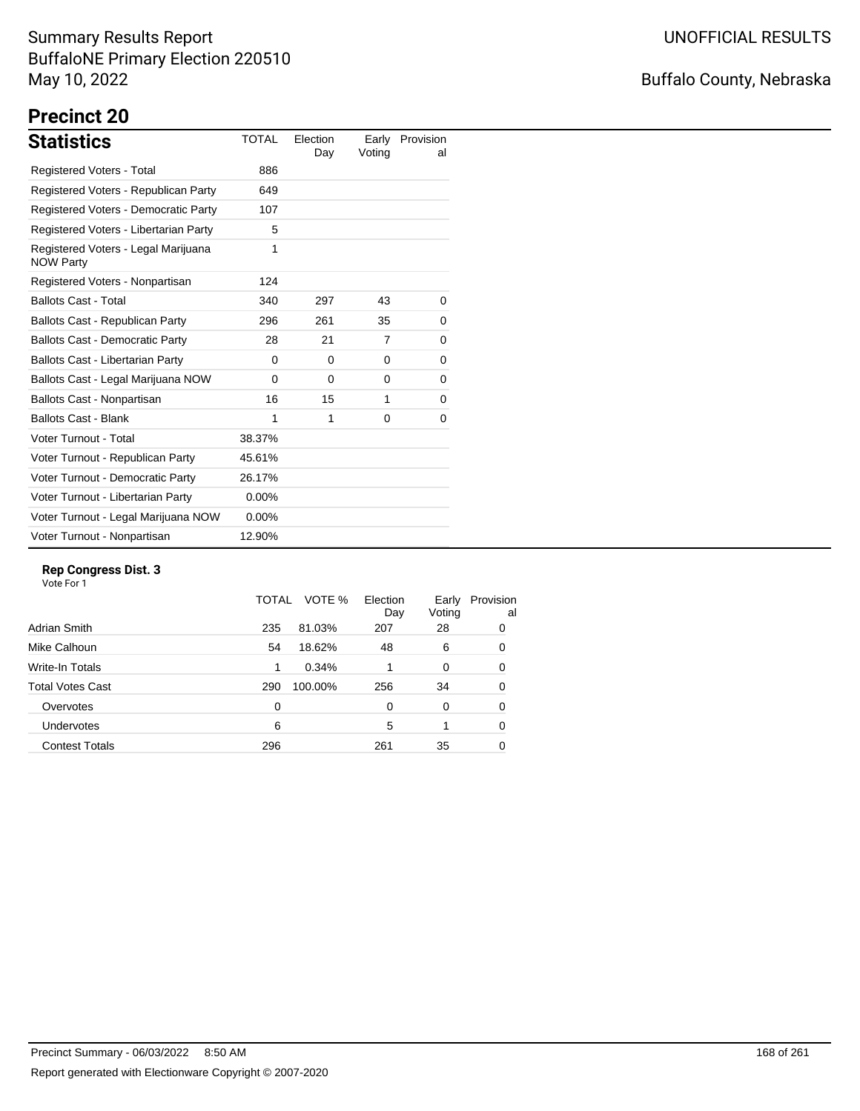## Buffalo County, Nebraska

# **Precinct 20**

| <b>Statistics</b>                                       | <b>TOTAL</b> | Election<br>Day | Early<br>Voting | Provision<br>al |
|---------------------------------------------------------|--------------|-----------------|-----------------|-----------------|
| Registered Voters - Total                               | 886          |                 |                 |                 |
| Registered Voters - Republican Party                    | 649          |                 |                 |                 |
| Registered Voters - Democratic Party                    | 107          |                 |                 |                 |
| Registered Voters - Libertarian Party                   | 5            |                 |                 |                 |
| Registered Voters - Legal Marijuana<br><b>NOW Party</b> | 1            |                 |                 |                 |
| Registered Voters - Nonpartisan                         | 124          |                 |                 |                 |
| <b>Ballots Cast - Total</b>                             | 340          | 297             | 43              | 0               |
| Ballots Cast - Republican Party                         | 296          | 261             | 35              | 0               |
| <b>Ballots Cast - Democratic Party</b>                  | 28           | 21              | 7               | 0               |
| <b>Ballots Cast - Libertarian Party</b>                 | 0            | 0               | 0               | 0               |
| Ballots Cast - Legal Marijuana NOW                      | $\Omega$     | $\Omega$        | $\Omega$        | 0               |
| Ballots Cast - Nonpartisan                              | 16           | 15              | 1               | 0               |
| <b>Ballots Cast - Blank</b>                             | 1            | 1               | 0               | 0               |
| Voter Turnout - Total                                   | 38.37%       |                 |                 |                 |
| Voter Turnout - Republican Party                        | 45.61%       |                 |                 |                 |
| Voter Turnout - Democratic Party                        | 26.17%       |                 |                 |                 |
| Voter Turnout - Libertarian Party                       | $0.00\%$     |                 |                 |                 |
| Voter Turnout - Legal Marijuana NOW                     | 0.00%        |                 |                 |                 |
| Voter Turnout - Nonpartisan                             | 12.90%       |                 |                 |                 |

#### **Rep Congress Dist. 3**

|                       | TOTAL    | VOTE %  | Election<br>Day | Early<br>Voting | Provision<br>al |
|-----------------------|----------|---------|-----------------|-----------------|-----------------|
| Adrian Smith          | 235      | 81.03%  | 207             | 28              | 0               |
| Mike Calhoun          | 54       | 18.62%  | 48              | 6               | 0               |
| Write-In Totals       | 1        | 0.34%   |                 | $\Omega$        | 0               |
| Total Votes Cast      | 290      | 100.00% | 256             | 34              | 0               |
| Overvotes             | $\Omega$ |         | $\Omega$        | $\Omega$        | 0               |
| <b>Undervotes</b>     | 6        |         | 5               |                 | 0               |
| <b>Contest Totals</b> | 296      |         | 261             | 35              | 0               |
|                       |          |         |                 |                 |                 |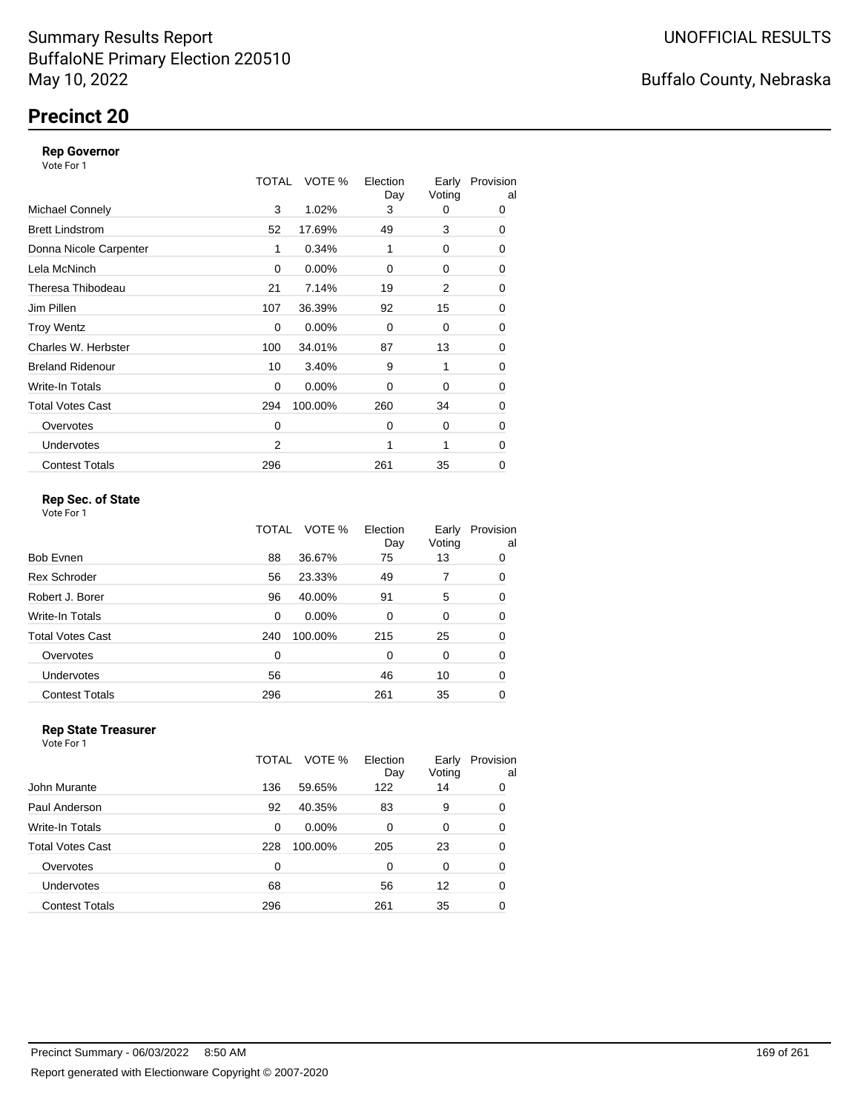## **Precinct 20**

#### **Rep Governor**

Vote For 1

|                         | TOTAL | VOTE %   | Election<br>Day | Early<br>Voting | Provision<br>al |
|-------------------------|-------|----------|-----------------|-----------------|-----------------|
| <b>Michael Connely</b>  | 3     | 1.02%    | 3               | 0               | 0               |
| <b>Brett Lindstrom</b>  | 52    | 17.69%   | 49              | 3               | 0               |
| Donna Nicole Carpenter  | 1     | 0.34%    | 1               | 0               | 0               |
| Lela McNinch            | 0     | 0.00%    | 0               | 0               | 0               |
| Theresa Thibodeau       | 21    | 7.14%    | 19              | 2               | 0               |
| Jim Pillen              | 107   | 36.39%   | 92              | 15              | 0               |
| <b>Troy Wentz</b>       | 0     | $0.00\%$ | $\Omega$        | 0               | 0               |
| Charles W. Herbster     | 100   | 34.01%   | 87              | 13              | 0               |
| <b>Breland Ridenour</b> | 10    | 3.40%    | 9               | 1               | 0               |
| Write-In Totals         | 0     | $0.00\%$ | 0               | 0               | 0               |
| <b>Total Votes Cast</b> | 294   | 100.00%  | 260             | 34              | 0               |
| Overvotes               | 0     |          | $\Omega$        | 0               | 0               |
| <b>Undervotes</b>       | 2     |          | 1               | 1               | $\Omega$        |
| <b>Contest Totals</b>   | 296   |          | 261             | 35              | 0               |

### **Rep Sec. of State**

Vote For 1

|                       | TOTAL | VOTE %   | Election<br>Day | Early<br>Voting | Provision<br>al |
|-----------------------|-------|----------|-----------------|-----------------|-----------------|
| Bob Evnen             | 88    | 36.67%   | 75              | 13              | 0               |
| <b>Rex Schroder</b>   | 56    | 23.33%   | 49              | 7               | 0               |
| Robert J. Borer       | 96    | 40.00%   | 91              | 5               | 0               |
| Write-In Totals       | 0     | $0.00\%$ | $\Omega$        | 0               | 0               |
| Total Votes Cast      | 240   | 100.00%  | 215             | 25              | 0               |
| Overvotes             | 0     |          | $\Omega$        | 0               | 0               |
| Undervotes            | 56    |          | 46              | 10              | 0               |
| <b>Contest Totals</b> | 296   |          | 261             | 35              | 0               |
|                       |       |          |                 |                 |                 |

#### **Rep State Treasurer** Vote For 1

|                       | TOTAL | VOTE %   | Election<br>Day | Early<br>Voting | Provision<br>al |
|-----------------------|-------|----------|-----------------|-----------------|-----------------|
| John Murante          | 136   | 59.65%   | 122             | 14              | 0               |
| Paul Anderson         | 92    | 40.35%   | 83              | 9               | 0               |
| Write-In Totals       | 0     | $0.00\%$ | 0               | 0               | 0               |
| Total Votes Cast      | 228   | 100.00%  | 205             | 23              | 0               |
| Overvotes             | 0     |          | 0               | 0               | 0               |
| <b>Undervotes</b>     | 68    |          | 56              | 12              | 0               |
| <b>Contest Totals</b> | 296   |          | 261             | 35              | 0               |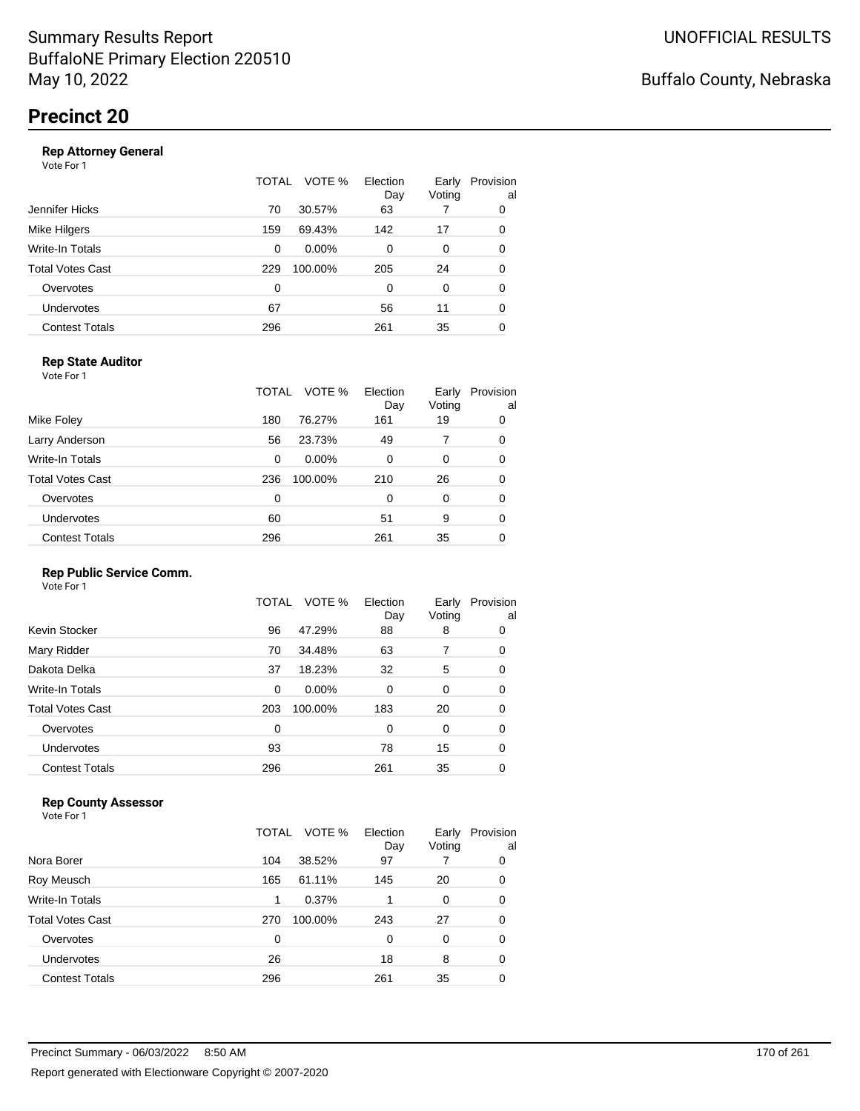|                       | TOTAL | VOTE %   | Election<br>Day | Early<br>Voting | Provision<br>al |
|-----------------------|-------|----------|-----------------|-----------------|-----------------|
| Jennifer Hicks        | 70    | 30.57%   | 63              |                 | 0               |
| Mike Hilgers          | 159   | 69.43%   | 142             | 17              | 0               |
| Write-In Totals       | 0     | $0.00\%$ | 0               | 0               | 0               |
| Total Votes Cast      | 229   | 100.00%  | 205             | 24              | 0               |
| Overvotes             | 0     |          | 0               | 0               | 0               |
| <b>Undervotes</b>     | 67    |          | 56              | 11              | 0               |
| <b>Contest Totals</b> | 296   |          | 261             | 35              | 0               |
|                       |       |          |                 |                 |                 |

### **Rep State Auditor**

Vote For 1

|                         | TOTAL | VOTE %   | Election<br>Day | Early<br>Voting | Provision<br>al |
|-------------------------|-------|----------|-----------------|-----------------|-----------------|
| Mike Foley              | 180   | 76.27%   | 161             | 19              | 0               |
| Larry Anderson          | 56    | 23.73%   | 49              |                 | 0               |
| Write-In Totals         | 0     | $0.00\%$ | 0               | 0               | 0               |
| <b>Total Votes Cast</b> | 236   | 100.00%  | 210             | 26              | 0               |
| Overvotes               | 0     |          | 0               | 0               | 0               |
| Undervotes              | 60    |          | 51              | 9               | 0               |
| <b>Contest Totals</b>   | 296   |          | 261             | 35              | 0               |

#### **Rep Public Service Comm.**

Vote For 1

|                         | TOTAL | VOTE %  | Election<br>Day | Early<br>Voting | Provision<br>al |
|-------------------------|-------|---------|-----------------|-----------------|-----------------|
| Kevin Stocker           | 96    | 47.29%  | 88              | 8               | 0               |
| Mary Ridder             | 70    | 34.48%  | 63              | 7               | 0               |
| Dakota Delka            | 37    | 18.23%  | 32              | 5               | 0               |
| Write-In Totals         | 0     | 0.00%   | 0               | 0               | 0               |
| <b>Total Votes Cast</b> | 203   | 100.00% | 183             | 20              | 0               |
| Overvotes               | 0     |         | 0               | 0               | 0               |
| Undervotes              | 93    |         | 78              | 15              | 0               |
| <b>Contest Totals</b>   | 296   |         | 261             | 35              | 0               |
|                         |       |         |                 |                 |                 |

#### **Rep County Assessor**

Vote For 1

|                       | TOTAL | VOTE %<br>Election<br>Day | Early<br>Voting | Provision<br>al |
|-----------------------|-------|---------------------------|-----------------|-----------------|
| Nora Borer            | 104   | 38.52%<br>97              |                 | 0               |
| Roy Meusch            | 165   | 61.11%<br>145             | 20              | 0               |
| Write-In Totals       | 1     | 0.37%                     | 0               | 0               |
| Total Votes Cast      | 270   | 100.00%<br>243            | 27              | 0               |
| Overvotes             | 0     | 0                         | 0               | 0               |
| <b>Undervotes</b>     | 26    | 18                        | 8               | 0               |
| <b>Contest Totals</b> | 296   | 261                       | 35              | 0               |

Report generated with Electionware Copyright © 2007-2020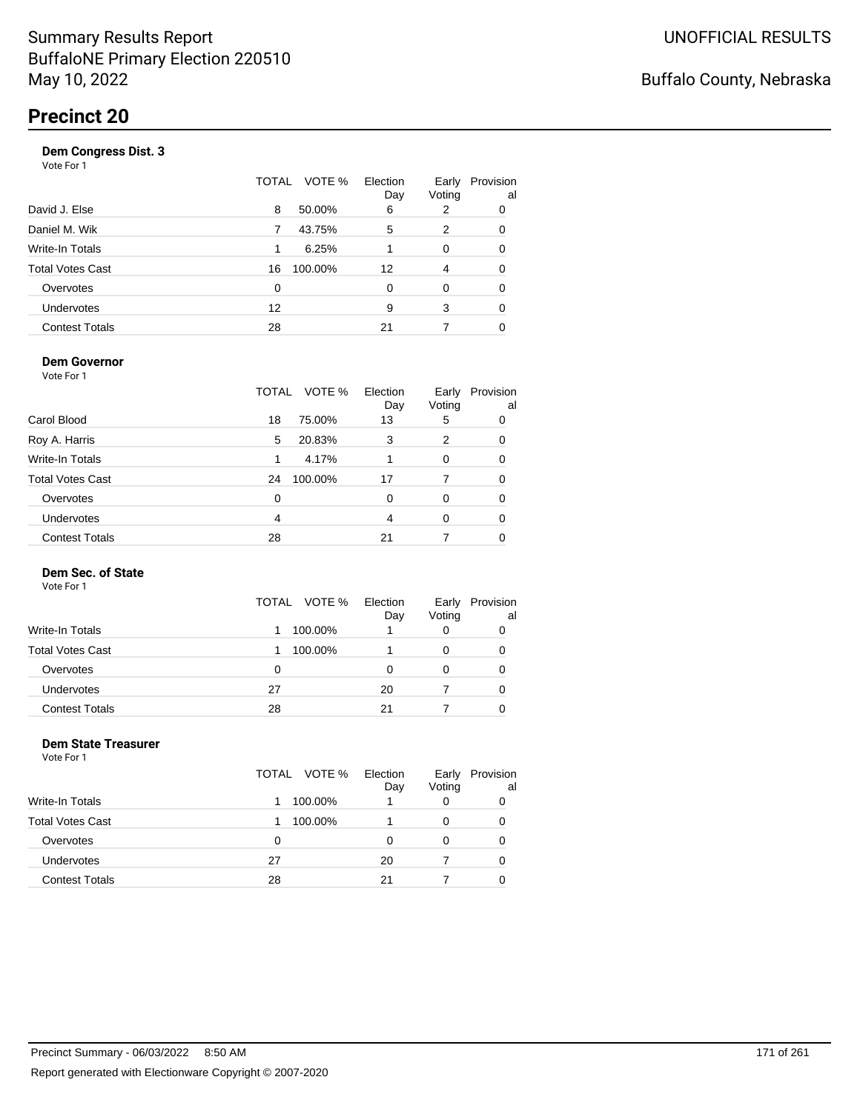| Vote For 1              |          |              |                 |                 |                 |
|-------------------------|----------|--------------|-----------------|-----------------|-----------------|
|                         |          | TOTAL VOTE % | Election<br>Day | Early<br>Voting | Provision<br>al |
| David J. Else           | 8        | 50.00%       | 6               | 2               | 0               |
| Daniel M. Wik           | 7        | 43.75%       | 5               | 2               | 0               |
| Write-In Totals         | 1        | 6.25%        | 1               | 0               | 0               |
| <b>Total Votes Cast</b> | 16       | 100.00%      | 12              | 4               | 0               |
| Overvotes               | $\Omega$ |              | 0               | 0               | 0               |
| Undervotes              | 12       |              | 9               | 3               | 0               |
| <b>Contest Totals</b>   | 28       |              | 21              | 7               | 0               |
|                         |          |              |                 |                 |                 |

#### **Dem Governor**

Vote For 1

|                         | TOTAL | VOTE %  | Election<br>Day | Early<br>Voting | Provision<br>al |
|-------------------------|-------|---------|-----------------|-----------------|-----------------|
| Carol Blood             | 18    | 75.00%  | 13              | 5               | 0               |
| Roy A. Harris           | 5     | 20.83%  | 3               | 2               | 0               |
| Write-In Totals         | 1     | 4.17%   |                 | 0               | 0               |
| <b>Total Votes Cast</b> | 24    | 100.00% | 17              | 7               | 0               |
| Overvotes               | 0     |         | 0               | 0               | 0               |
| Undervotes              | 4     |         | 4               | 0               | 0               |
| <b>Contest Totals</b>   | 28    |         | 21              |                 |                 |

### **Dem Sec. of State**

Vote For 1

|                       | TOTAL VOTE % | Election<br>Day | Early<br>Voting | Provision<br>al |
|-----------------------|--------------|-----------------|-----------------|-----------------|
| Write-In Totals       | 100.00%      |                 | 0               |                 |
| Total Votes Cast      | 100.00%      |                 | 0               |                 |
| Overvotes             | 0            | Ω               | 0               |                 |
| Undervotes            | 27           | 20              |                 |                 |
| <b>Contest Totals</b> | 28           | 21              |                 |                 |

#### **Dem State Treasurer** Vote For 1

|                         | TOTAL VOTE % | Election<br>Day | Early<br>Voting | Provision<br>al |
|-------------------------|--------------|-----------------|-----------------|-----------------|
| <b>Write-In Totals</b>  | 100.00%      |                 | 0               | 0               |
| <b>Total Votes Cast</b> | 100.00%      |                 |                 | 0               |
| Overvotes               | 0            | O               | 0               | 0               |
| <b>Undervotes</b>       | 27           | 20              |                 | 0               |
| <b>Contest Totals</b>   | 28           | 21              |                 | 0               |
|                         |              |                 |                 |                 |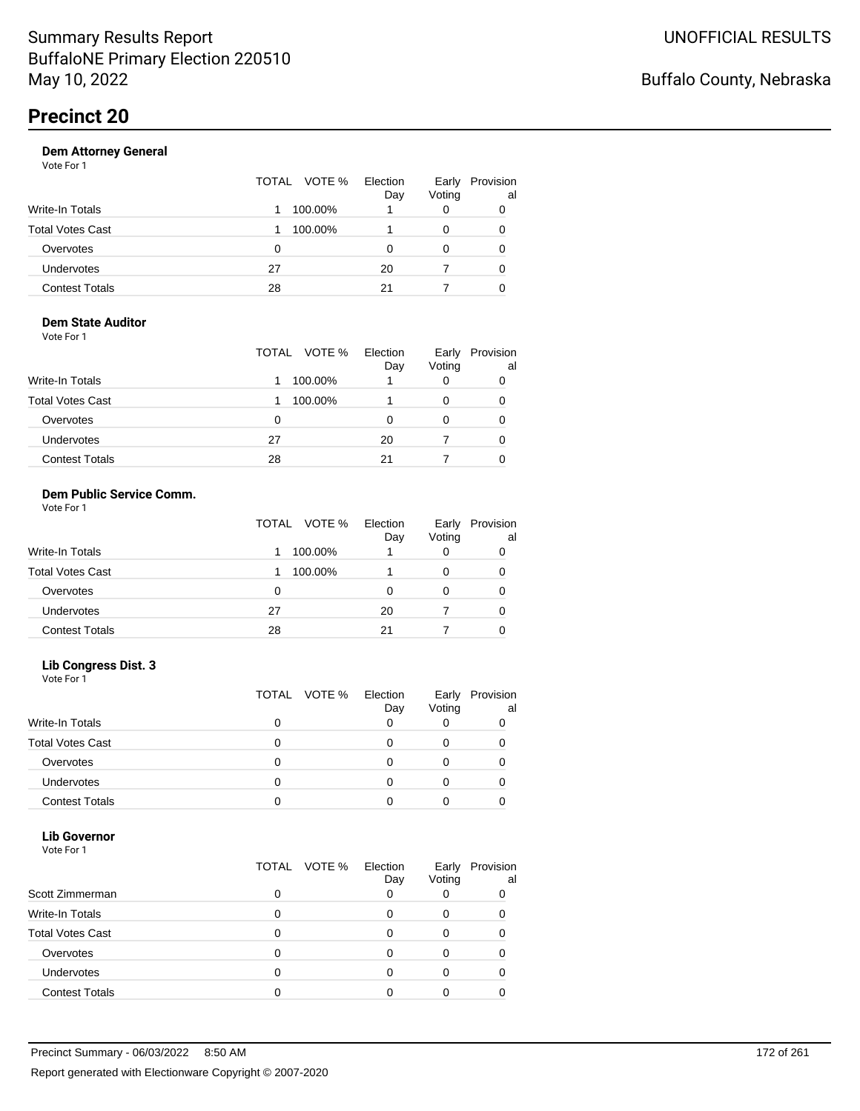|                       | TOTAL VOTE % | Election<br>Day | Early<br>Voting | Provision<br>al |
|-----------------------|--------------|-----------------|-----------------|-----------------|
| Write-In Totals       | 100.00%      |                 | 0               |                 |
| Total Votes Cast      | 100.00%      |                 | 0               | 0               |
| Overvotes             | 0            | Ω               |                 |                 |
| Undervotes            | 27           | 20              |                 | 0               |
| <b>Contest Totals</b> | 28           | 21              |                 |                 |

#### **Dem State Auditor** Vote For 1

|                         | TOTAL VOTE % | Election<br>Day | Early<br>Voting | Provision<br>al |
|-------------------------|--------------|-----------------|-----------------|-----------------|
| <b>Write-In Totals</b>  | 100.00%      |                 | 0               |                 |
| <b>Total Votes Cast</b> | 100.00%      |                 |                 |                 |
| Overvotes               | 0            | O               | O               |                 |
| <b>Undervotes</b>       | 27           | 20              |                 | O               |
| <b>Contest Totals</b>   | 28           | 21              |                 |                 |

#### **Dem Public Service Comm.** Vote For 1

|                         | TOTAL VOTE % | Election<br>Day | Early<br>Voting | Provision<br>al |
|-------------------------|--------------|-----------------|-----------------|-----------------|
| <b>Write-In Totals</b>  | 100.00%      |                 | 0               | 0               |
| <b>Total Votes Cast</b> | 100.00%      |                 | 0               | 0               |
| Overvotes               | 0            | ი               | 0               | 0               |
| <b>Undervotes</b>       | 27           | 20              |                 | 0               |
| <b>Contest Totals</b>   | 28           | 21              |                 | 0               |

#### **Lib Congress Dist. 3**

Vote For 1

|                         | TOTAL VOTE % | Election<br>Day | Early<br>Voting | Provision<br>al |
|-------------------------|--------------|-----------------|-----------------|-----------------|
| <b>Write-In Totals</b>  |              |                 |                 |                 |
| <b>Total Votes Cast</b> |              |                 |                 |                 |
| Overvotes               |              |                 |                 |                 |
| <b>Undervotes</b>       |              |                 |                 |                 |
| <b>Contest Totals</b>   |              |                 |                 |                 |

#### **Lib Governor** Vote For 1

| 1 J J J J J J           | TOTAL | VOTE % | Election | Early  | Provision |
|-------------------------|-------|--------|----------|--------|-----------|
| Scott Zimmerman         | ი     |        | Day      | Voting | al        |
| <b>Write-In Totals</b>  | 0     |        |          |        |           |
| <b>Total Votes Cast</b> | 0     |        |          |        |           |
| Overvotes               | 0     |        |          |        |           |
| <b>Undervotes</b>       | 0     |        |          |        |           |
| <b>Contest Totals</b>   |       |        |          |        |           |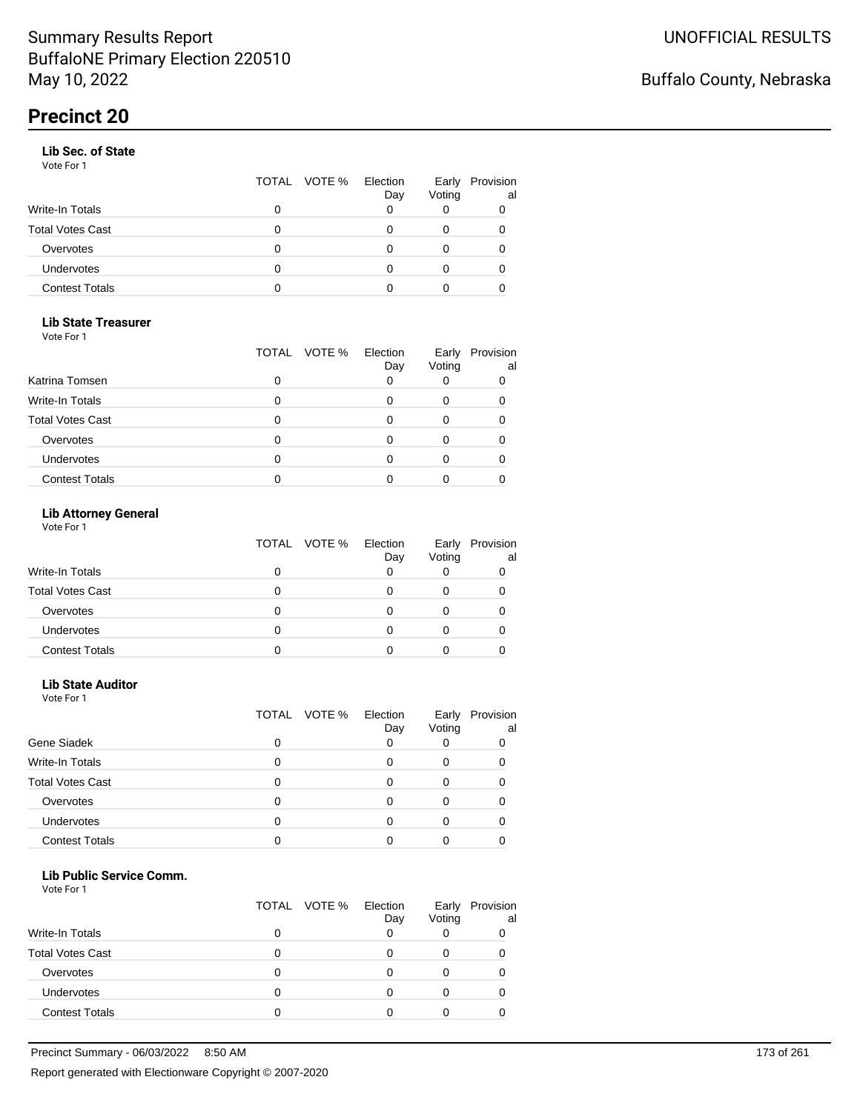#### **Lib Sec. of State**

Vote For 1

|                       |   | TOTAL VOTE % Election | Day | Early<br>Voting | Provision<br>al |
|-----------------------|---|-----------------------|-----|-----------------|-----------------|
| Write-In Totals       |   |                       |     |                 | 0               |
| Total Votes Cast      |   |                       |     |                 |                 |
| Overvotes             | 0 |                       |     |                 |                 |
| Undervotes            | 0 |                       |     | 0               | 0               |
| <b>Contest Totals</b> | O |                       |     |                 |                 |

### **Lib State Treasurer**

Vote For 1

|                         | TOTAL | VOTE % Election<br>Day | Early<br>Voting | Provision<br>al |
|-------------------------|-------|------------------------|-----------------|-----------------|
| Katrina Tomsen          |       |                        |                 |                 |
| <b>Write-In Totals</b>  |       |                        |                 |                 |
| <b>Total Votes Cast</b> |       |                        |                 |                 |
| Overvotes               |       |                        |                 |                 |
| Undervotes              |       |                        |                 |                 |
| <b>Contest Totals</b>   |       |                        |                 |                 |

### **Lib Attorney General**

Vote For 1

|                         | TOTAL VOTE % | Election<br>Day | Early<br>Voting | Provision<br>al |
|-------------------------|--------------|-----------------|-----------------|-----------------|
| Write-In Totals         | 0            |                 |                 |                 |
| <b>Total Votes Cast</b> | 0            |                 |                 |                 |
| Overvotes               | 0            |                 |                 |                 |
| Undervotes              |              |                 |                 |                 |
| <b>Contest Totals</b>   |              |                 |                 |                 |

#### **Lib State Auditor**

Vote For 1

|                         |   | TOTAL VOTE % | Election<br>Day | Early<br>Voting | Provision<br>al |
|-------------------------|---|--------------|-----------------|-----------------|-----------------|
| Gene Siadek             | 0 |              |                 |                 |                 |
| <b>Write-In Totals</b>  | 0 |              |                 |                 |                 |
| <b>Total Votes Cast</b> | 0 |              |                 |                 |                 |
| Overvotes               | 0 |              |                 |                 |                 |
| Undervotes              | 0 |              |                 |                 |                 |
| <b>Contest Totals</b>   |   |              |                 |                 |                 |

#### **Lib Public Service Comm.**

|                         |   | TOTAL VOTE % | Election<br>Day | Early<br>Voting | Provision<br>al |
|-------------------------|---|--------------|-----------------|-----------------|-----------------|
| <b>Write-In Totals</b>  | O |              |                 |                 |                 |
| <b>Total Votes Cast</b> |   |              |                 |                 |                 |
| Overvotes               | Ω |              |                 |                 |                 |
| Undervotes              | 0 |              |                 |                 |                 |
| <b>Contest Totals</b>   | 0 |              |                 |                 |                 |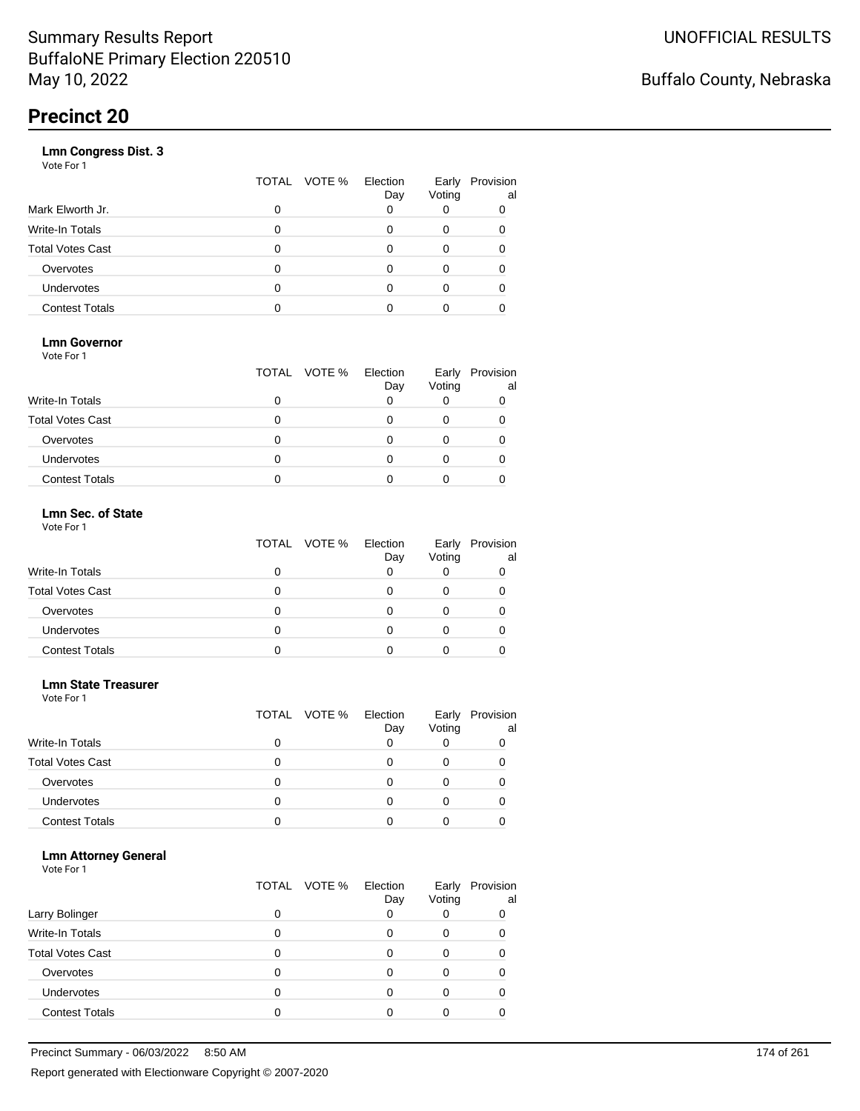|                       | VOTE %<br>TOTAL | Election<br>Day | Early<br>Voting | Provision<br>al |
|-----------------------|-----------------|-----------------|-----------------|-----------------|
| Mark Elworth Jr.      | 0               |                 |                 | 0               |
| Write-In Totals       | O               |                 | 0               | 0               |
| Total Votes Cast      | O               |                 | 0               |                 |
| Overvotes             | 0               |                 | 0               |                 |
| Undervotes            | O               |                 | Ω               |                 |
| <b>Contest Totals</b> |                 |                 |                 |                 |
|                       |                 |                 |                 |                 |

### **Lmn Governor**

Vote For 1

|                         | TOTAL VOTE % Election | Day | Early<br>Voting | Provision<br>al |
|-------------------------|-----------------------|-----|-----------------|-----------------|
| <b>Write-In Totals</b>  |                       |     |                 |                 |
| <b>Total Votes Cast</b> |                       |     |                 |                 |
| Overvotes               |                       |     |                 |                 |
| <b>Undervotes</b>       |                       |     |                 |                 |
| <b>Contest Totals</b>   |                       |     |                 |                 |

#### **Lmn Sec. of State** Vote For 1

|                         | TOTAL VOTE % | Election<br>Day | Early<br>Voting | Provision<br>al |
|-------------------------|--------------|-----------------|-----------------|-----------------|
| <b>Write-In Totals</b>  |              |                 |                 |                 |
| <b>Total Votes Cast</b> | n            |                 |                 |                 |
| Overvotes               | O            |                 |                 |                 |
| Undervotes              | O            |                 |                 | O               |
| <b>Contest Totals</b>   |              |                 |                 |                 |

#### **Lmn State Treasurer**

Vote For 1

|                         |   | TOTAL VOTE % | Election<br>Day | Early<br>Voting | Provision<br>al |
|-------------------------|---|--------------|-----------------|-----------------|-----------------|
| Write-In Totals         |   |              |                 |                 |                 |
| <b>Total Votes Cast</b> | 0 |              |                 |                 |                 |
| Overvotes               | O |              |                 |                 |                 |
| Undervotes              | O |              |                 |                 |                 |
| <b>Contest Totals</b>   |   |              |                 |                 |                 |

#### **Lmn Attorney General**

| Larry Bolinger          | O | TOTAL VOTE % | Election<br>Day | Early<br>Voting | Provision<br>al<br>0 |
|-------------------------|---|--------------|-----------------|-----------------|----------------------|
|                         |   |              |                 |                 |                      |
| <b>Write-In Totals</b>  | 0 |              |                 | Ω               |                      |
| <b>Total Votes Cast</b> |   |              |                 |                 |                      |
| Overvotes               |   |              |                 |                 |                      |
| Undervotes              | 0 |              |                 | Ω               |                      |
| <b>Contest Totals</b>   |   |              |                 |                 |                      |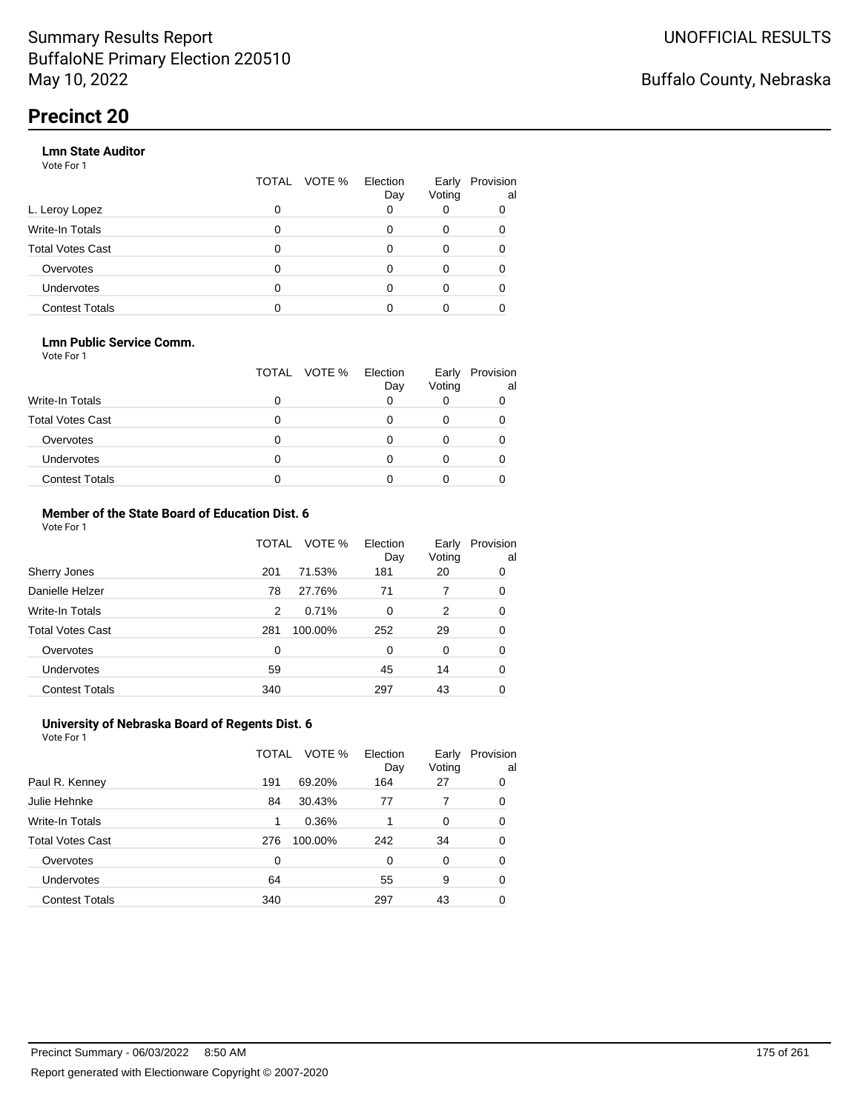#### **Lmn State Auditor**

Vote For 1

|                         | TOTAL | VOTE % Election | Day | Early<br>Voting | Provision<br>al |
|-------------------------|-------|-----------------|-----|-----------------|-----------------|
| L. Leroy Lopez          | 0     |                 |     |                 |                 |
| Write-In Totals         | 0     |                 |     | 0               |                 |
| <b>Total Votes Cast</b> | 0     |                 |     | 0               |                 |
| Overvotes               | 0     |                 |     | 0               |                 |
| Undervotes              | 0     |                 |     |                 |                 |
| <b>Contest Totals</b>   |       |                 |     |                 |                 |

#### **Lmn Public Service Comm.**

Vote For 1

|                         |   | TOTAL VOTE % | Election<br>Day | Early<br>Voting | Provision<br>al |
|-------------------------|---|--------------|-----------------|-----------------|-----------------|
| <b>Write-In Totals</b>  |   |              |                 |                 |                 |
| <b>Total Votes Cast</b> |   |              |                 |                 |                 |
| Overvotes               |   |              |                 |                 |                 |
| <b>Undervotes</b>       | 0 |              |                 |                 |                 |
| <b>Contest Totals</b>   |   |              |                 |                 |                 |

#### **Member of the State Board of Education Dist. 6** Vote For 1

|                         | TOTAL | VOTE %  | Election<br>Day | Early<br>Voting | Provision<br>al |
|-------------------------|-------|---------|-----------------|-----------------|-----------------|
| Sherry Jones            | 201   | 71.53%  | 181             | 20              | 0               |
| Danielle Helzer         | 78    | 27.76%  | 71              | 7               | 0               |
| <b>Write-In Totals</b>  | 2     | 0.71%   | $\Omega$        | 2               | 0               |
| <b>Total Votes Cast</b> | 281   | 100.00% | 252             | 29              | 0               |
| Overvotes               | 0     |         | $\Omega$        | $\Omega$        | 0               |
| <b>Undervotes</b>       | 59    |         | 45              | 14              | 0               |
| <b>Contest Totals</b>   | 340   |         | 297             | 43              | 0               |

#### **University of Nebraska Board of Regents Dist. 6** Vote For 1

|                         | TOTAL | VOTE %  | Election<br>Day | Early<br>Voting | Provision<br>al |
|-------------------------|-------|---------|-----------------|-----------------|-----------------|
| Paul R. Kenney          | 191   | 69.20%  | 164             | 27              | 0               |
| Julie Hehnke            | 84    | 30.43%  | 77              | 7               | 0               |
| <b>Write-In Totals</b>  | 1     | 0.36%   |                 | $\Omega$        | 0               |
| <b>Total Votes Cast</b> | 276   | 100.00% | 242             | 34              | 0               |
| Overvotes               | 0     |         | 0               | 0               | 0               |
| Undervotes              | 64    |         | 55              | 9               | 0               |
| <b>Contest Totals</b>   | 340   |         | 297             | 43              |                 |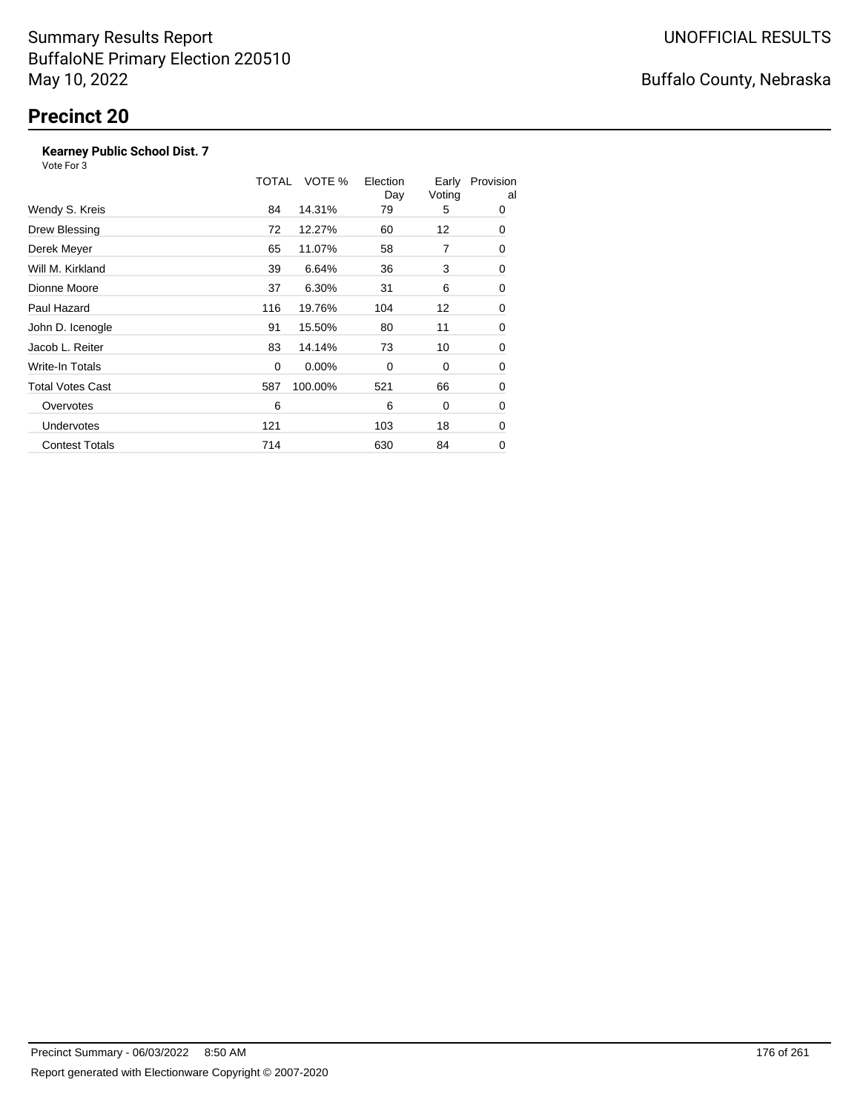### **Kearney Public School Dist. 7**

|                         | TOTAL | VOTE %   | Election<br>Day | Early<br>Voting | Provision<br>al |
|-------------------------|-------|----------|-----------------|-----------------|-----------------|
| Wendy S. Kreis          | 84    | 14.31%   | 79              | 5               | 0               |
| Drew Blessing           | 72    | 12.27%   | 60              | 12              | 0               |
| Derek Meyer             | 65    | 11.07%   | 58              | 7               | 0               |
| Will M. Kirkland        | 39    | 6.64%    | 36              | 3               | 0               |
| Dionne Moore            | 37    | 6.30%    | 31              | 6               | 0               |
| Paul Hazard             | 116   | 19.76%   | 104             | 12              | 0               |
| John D. Icenogle        | 91    | 15.50%   | 80              | 11              | 0               |
| Jacob L. Reiter         | 83    | 14.14%   | 73              | 10              | 0               |
| Write-In Totals         | 0     | $0.00\%$ | 0               | 0               | 0               |
| <b>Total Votes Cast</b> | 587   | 100.00%  | 521             | 66              | 0               |
| Overvotes               | 6     |          | 6               | 0               | 0               |
| <b>Undervotes</b>       | 121   |          | 103             | 18              | 0               |
| <b>Contest Totals</b>   | 714   |          | 630             | 84              | 0               |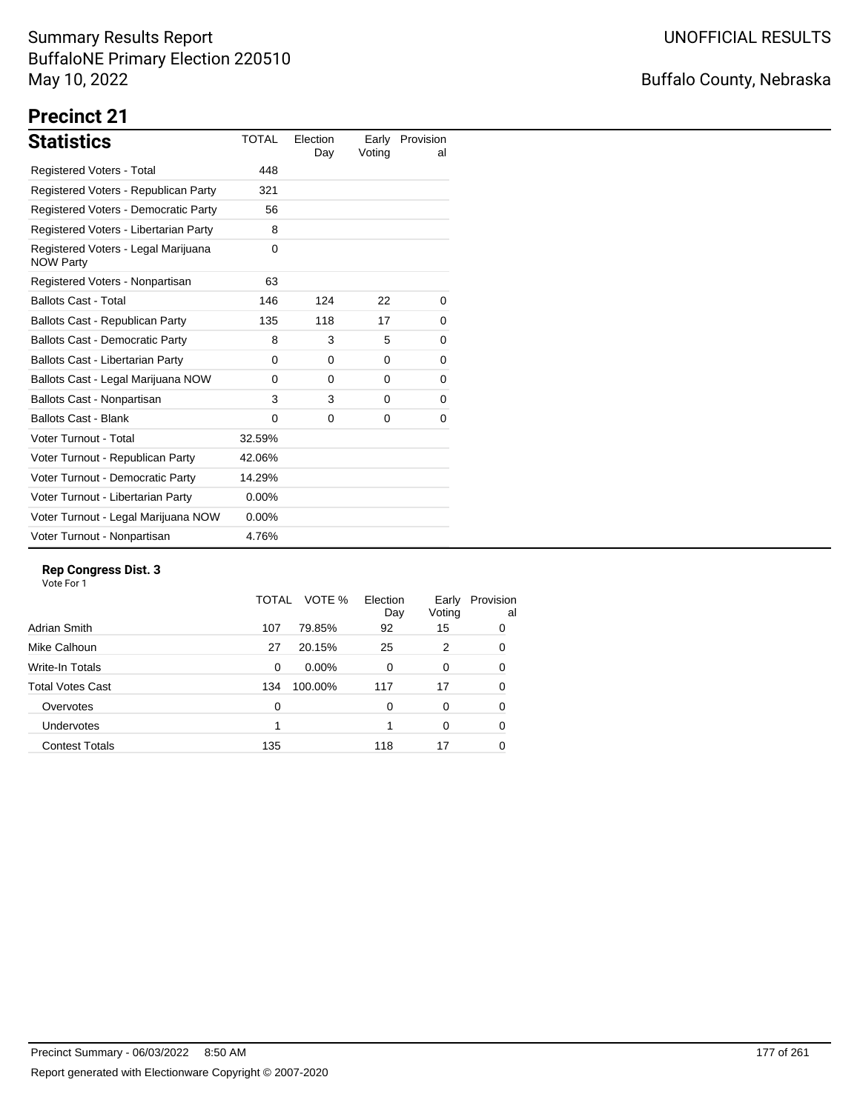## Buffalo County, Nebraska

# **Precinct 21**

| <b>Statistics</b>                                       | <b>TOTAL</b> | Election<br>Day | Early<br>Voting | Provision<br>al |
|---------------------------------------------------------|--------------|-----------------|-----------------|-----------------|
| Registered Voters - Total                               | 448          |                 |                 |                 |
| Registered Voters - Republican Party                    | 321          |                 |                 |                 |
| Registered Voters - Democratic Party                    | 56           |                 |                 |                 |
| Registered Voters - Libertarian Party                   | 8            |                 |                 |                 |
| Registered Voters - Legal Marijuana<br><b>NOW Party</b> | $\Omega$     |                 |                 |                 |
| Registered Voters - Nonpartisan                         | 63           |                 |                 |                 |
| <b>Ballots Cast - Total</b>                             | 146          | 124             | 22              | 0               |
| Ballots Cast - Republican Party                         | 135          | 118             | 17              | 0               |
| <b>Ballots Cast - Democratic Party</b>                  | 8            | 3               | 5               | 0               |
| Ballots Cast - Libertarian Party                        | 0            | 0               | 0               | 0               |
| Ballots Cast - Legal Marijuana NOW                      | $\Omega$     | $\Omega$        | $\Omega$        | 0               |
| Ballots Cast - Nonpartisan                              | 3            | 3               | 0               | 0               |
| <b>Ballots Cast - Blank</b>                             | $\Omega$     | 0               | 0               | 0               |
| Voter Turnout - Total                                   | 32.59%       |                 |                 |                 |
| Voter Turnout - Republican Party                        | 42.06%       |                 |                 |                 |
| Voter Turnout - Democratic Party                        | 14.29%       |                 |                 |                 |
| Voter Turnout - Libertarian Party                       | $0.00\%$     |                 |                 |                 |
| Voter Turnout - Legal Marijuana NOW                     | $0.00\%$     |                 |                 |                 |
| Voter Turnout - Nonpartisan                             | 4.76%        |                 |                 |                 |

### **Rep Congress Dist. 3**

|                       | TOTAL    | VOTE %<br>Election<br>Day | Early<br>Voting | Provision<br>al |
|-----------------------|----------|---------------------------|-----------------|-----------------|
| Adrian Smith          | 107      | 79.85%<br>92              | 15              | 0               |
| Mike Calhoun          | 27       | 20.15%<br>25              | 2               | 0               |
| Write-In Totals       | $\Omega$ | $0.00\%$<br>$\Omega$      | 0               | 0               |
| Total Votes Cast      | 134      | 100.00%<br>117            | 17              | 0               |
| Overvotes             | 0        | 0                         | 0               | 0               |
| <b>Undervotes</b>     |          |                           | 0               | 0               |
| <b>Contest Totals</b> | 135      | 118                       | 17              | 0               |
|                       |          |                           |                 |                 |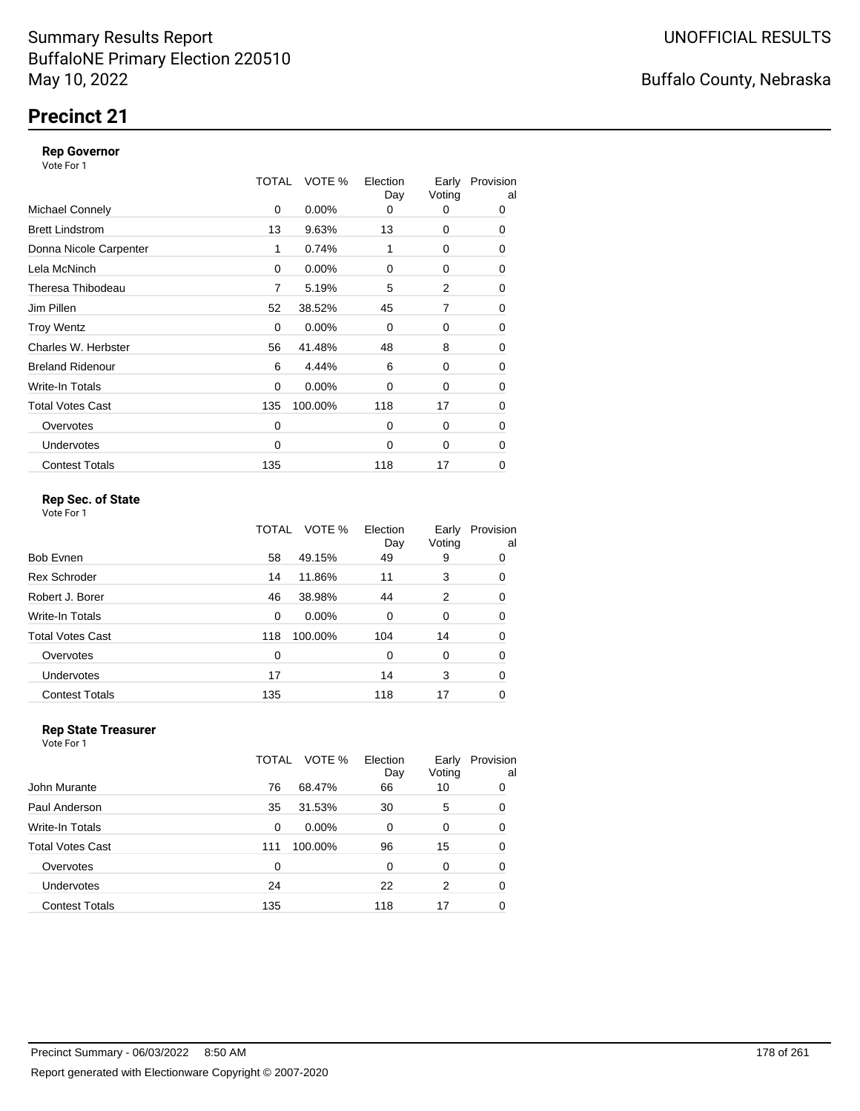## **Precinct 21**

#### **Rep Governor**

Vote For 1

|                         | TOTAL | VOTE %   | Election<br>Day | Early<br>Voting | Provision<br>al |
|-------------------------|-------|----------|-----------------|-----------------|-----------------|
| <b>Michael Connely</b>  | 0     | $0.00\%$ | 0               | 0               | 0               |
| <b>Brett Lindstrom</b>  | 13    | 9.63%    | 13              | 0               | 0               |
| Donna Nicole Carpenter  | 1     | 0.74%    | 1               | 0               | 0               |
| Lela McNinch            | 0     | $0.00\%$ | 0               | 0               | 0               |
| Theresa Thibodeau       | 7     | 5.19%    | 5               | 2               | 0               |
| Jim Pillen              | 52    | 38.52%   | 45              | 7               | 0               |
| <b>Troy Wentz</b>       | 0     | $0.00\%$ | $\Omega$        | 0               | 0               |
| Charles W. Herbster     | 56    | 41.48%   | 48              | 8               | 0               |
| <b>Breland Ridenour</b> | 6     | 4.44%    | 6               | 0               | 0               |
| Write-In Totals         | 0     | $0.00\%$ | 0               | 0               | 0               |
| <b>Total Votes Cast</b> | 135   | 100.00%  | 118             | 17              | 0               |
| Overvotes               | 0     |          | $\Omega$        | 0               | 0               |
| <b>Undervotes</b>       | 0     |          | $\Omega$        | 0               | 0               |
| <b>Contest Totals</b>   | 135   |          | 118             | 17              | 0               |

### **Rep Sec. of State**

Vote For 1

|                         | TOTAL | VOTE %   | Election<br>Day | Early<br>Voting | Provision<br>al |
|-------------------------|-------|----------|-----------------|-----------------|-----------------|
| Bob Evnen               | 58    | 49.15%   | 49              | 9               | 0               |
| <b>Rex Schroder</b>     | 14    | 11.86%   | 11              | 3               | 0               |
| Robert J. Borer         | 46    | 38.98%   | 44              | 2               | 0               |
| Write-In Totals         | 0     | $0.00\%$ | $\Omega$        | 0               | 0               |
| <b>Total Votes Cast</b> | 118   | 100.00%  | 104             | 14              | 0               |
| Overvotes               | 0     |          | 0               | 0               | 0               |
| Undervotes              | 17    |          | 14              | 3               | 0               |
| <b>Contest Totals</b>   | 135   |          | 118             | 17              | 0               |

#### **Rep State Treasurer** Vote For 1

|                       | VOTE %<br>TOTAL | Election<br>Day | Early<br>Voting | Provision<br>al |
|-----------------------|-----------------|-----------------|-----------------|-----------------|
| John Murante          | 76<br>68.47%    | 66              | 10              | 0               |
| Paul Anderson         | 31.53%<br>35    | 30              | 5               | 0               |
| Write-In Totals       | $0.00\%$<br>0   | $\Omega$        | 0               | 0               |
| Total Votes Cast      | 100.00%<br>111  | 96              | 15              | 0               |
| Overvotes             | 0               | $\Omega$        | 0               | 0               |
| <b>Undervotes</b>     | 24              | 22              | 2               | 0               |
| <b>Contest Totals</b> | 135             | 118             | 17              | 0               |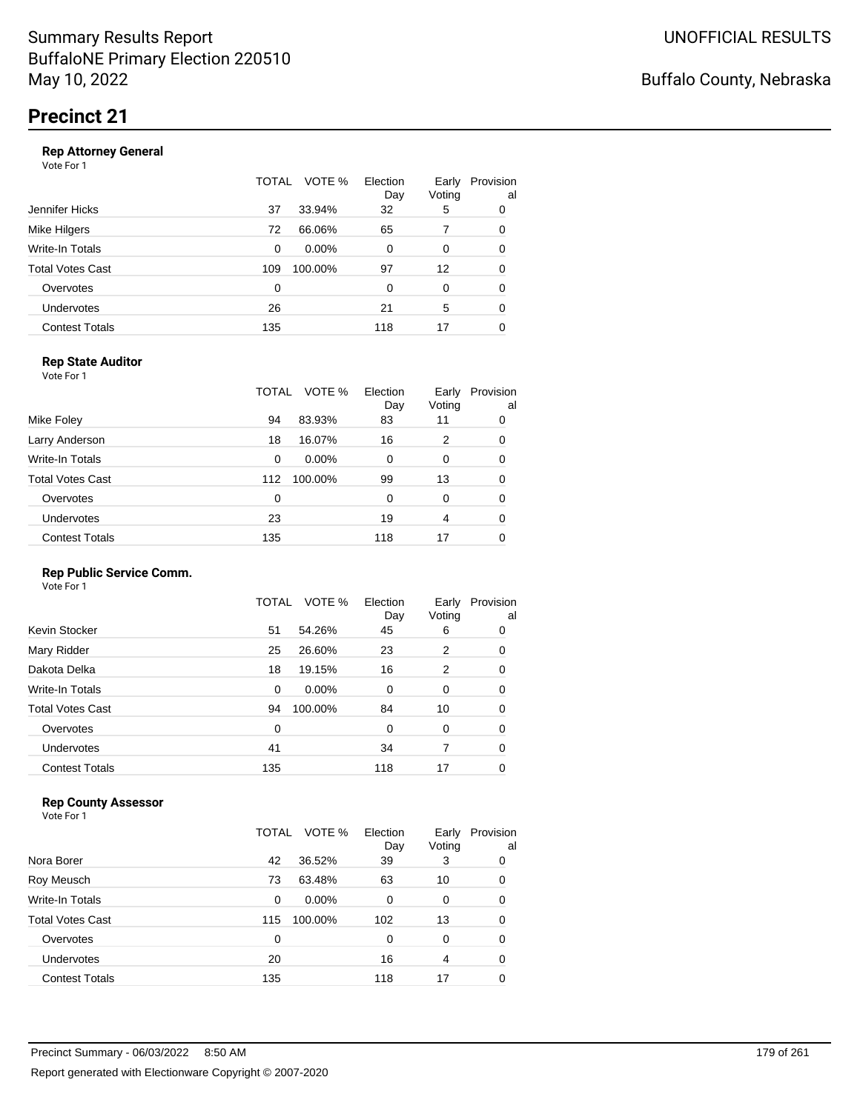#### **Rep Attorney General**

Vote For 1

|                       | VOTE %<br>TOTAL | Election<br>Day | Early<br>Voting | Provision<br>al |
|-----------------------|-----------------|-----------------|-----------------|-----------------|
| Jennifer Hicks        | 33.94%<br>37    | 32              | 5               | 0               |
| Mike Hilgers          | 66.06%<br>72    | 65              |                 | 0               |
| Write-In Totals       | $0.00\%$<br>0   | 0               | $\Omega$        | 0               |
| Total Votes Cast      | 100.00%<br>109  | 97              | 12              | 0               |
| Overvotes             | 0               | $\Omega$        | $\Omega$        | 0               |
| Undervotes            | 26              | 21              | 5               | 0               |
| <b>Contest Totals</b> | 135             | 118             | 17              | 0               |
|                       |                 |                 |                 |                 |

### **Rep State Auditor**

Vote For 1

|                         | TOTAL | VOTE %   | Election<br>Day | Early<br>Voting | Provision<br>al |
|-------------------------|-------|----------|-----------------|-----------------|-----------------|
| Mike Foley              | 94    | 83.93%   | 83              | 11              | 0               |
| Larry Anderson          | 18    | 16.07%   | 16              | 2               | 0               |
| Write-In Totals         | 0     | $0.00\%$ | 0               | 0               | 0               |
| <b>Total Votes Cast</b> | 112   | 100.00%  | 99              | 13              | 0               |
| Overvotes               | 0     |          | 0               | 0               | 0               |
| Undervotes              | 23    |          | 19              | 4               | 0               |
| <b>Contest Totals</b>   | 135   |          | 118             | 17              | 0               |

### **Rep Public Service Comm.**

Vote For 1

|                         | TOTAL | VOTE %   | Election<br>Day | Early<br>Voting | Provision<br>al |
|-------------------------|-------|----------|-----------------|-----------------|-----------------|
| Kevin Stocker           | 51    | 54.26%   | 45              | 6               | 0               |
| Mary Ridder             | 25    | 26.60%   | 23              | 2               | 0               |
| Dakota Delka            | 18    | 19.15%   | 16              | 2               | 0               |
| Write-In Totals         | 0     | $0.00\%$ | 0               | 0               | 0               |
| <b>Total Votes Cast</b> | 94    | 100.00%  | 84              | 10              | 0               |
| Overvotes               | 0     |          | 0               | 0               | 0               |
| Undervotes              | 41    |          | 34              | 7               | 0               |
| <b>Contest Totals</b>   | 135   |          | 118             | 17              | 0               |

### **Rep County Assessor**

|                       | TOTAL | VOTE %   | Election<br>Day | Early<br>Voting | Provision<br>al |
|-----------------------|-------|----------|-----------------|-----------------|-----------------|
| Nora Borer            | 42    | 36.52%   | 39              | 3               | 0               |
| Roy Meusch            | 73    | 63.48%   | 63              | 10              | 0               |
| Write-In Totals       | 0     | $0.00\%$ | 0               | 0               | 0               |
| Total Votes Cast      | 115   | 100.00%  | 102             | 13              | 0               |
| Overvotes             | 0     |          | 0               | $\Omega$        | 0               |
| Undervotes            | 20    |          | 16              | 4               | 0               |
| <b>Contest Totals</b> | 135   |          | 118             | 17              | 0               |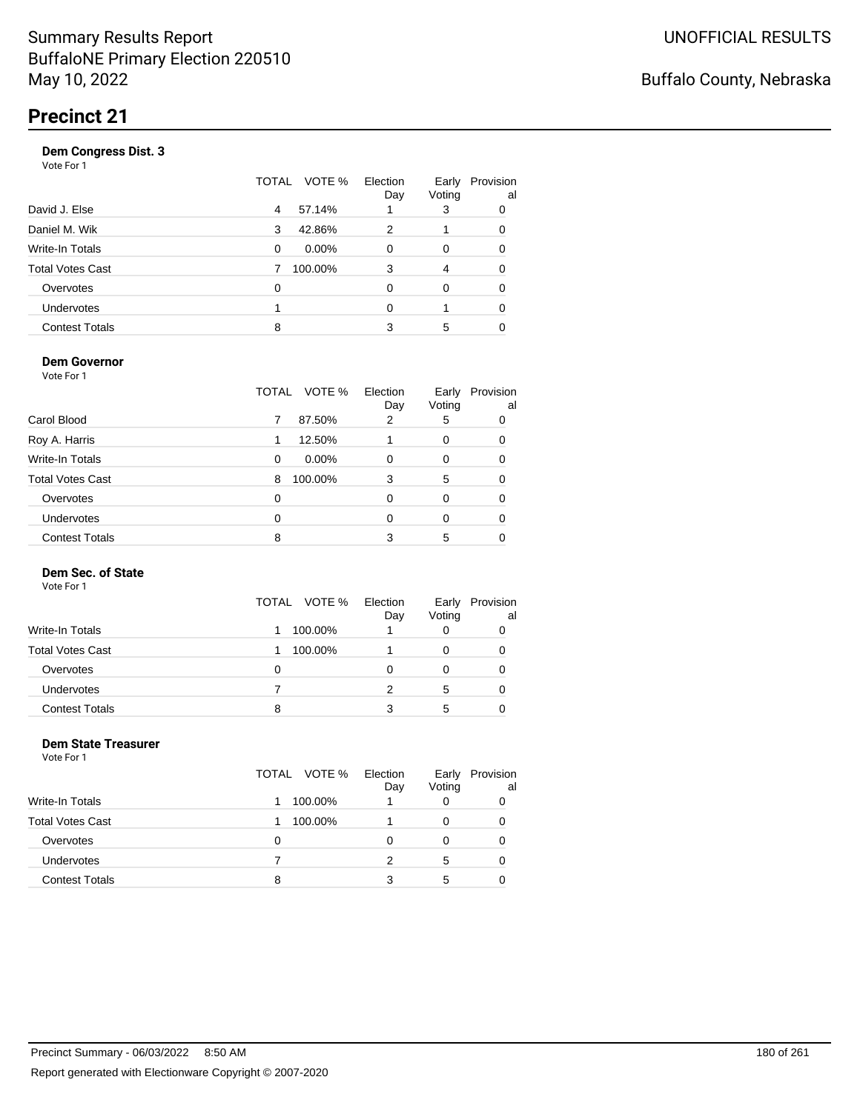#### **Dem Congress Dist. 3**

Vote For 1

|                       | VOTE %<br>TOTAL | Election<br>Day | Early<br>Voting | Provision<br>al |
|-----------------------|-----------------|-----------------|-----------------|-----------------|
| David J. Else         | 57.14%<br>4     |                 | 3               | 0               |
| Daniel M. Wik         | 42.86%<br>3     | 2               |                 | 0               |
| Write-In Totals       | $0.00\%$<br>0   | 0               | 0               |                 |
| Total Votes Cast      | 100.00%<br>7    | 3               | 4               |                 |
| Overvotes             | 0               | $\Omega$        | $\Omega$        |                 |
| Undervotes            |                 | 0               |                 | 0               |
| <b>Contest Totals</b> | 8               | 3               | 5               |                 |
|                       |                 |                 |                 |                 |

#### **Dem Governor**

Vote For 1

|                         | TOTAL | VOTE %   | Election<br>Day | Early<br>Voting | Provision<br>al |
|-------------------------|-------|----------|-----------------|-----------------|-----------------|
| Carol Blood             | 7     | 87.50%   | 2               | 5               | 0               |
| Roy A. Harris           |       | 12.50%   |                 | 0               | 0               |
| Write-In Totals         | 0     | $0.00\%$ | 0               | 0               | 0               |
| <b>Total Votes Cast</b> | 8     | 100.00%  | 3               | 5               | 0               |
| Overvotes               | 0     |          | 0               | 0               | 0               |
| Undervotes              | 0     |          | 0               | 0               | 0               |
| <b>Contest Totals</b>   | 8     |          | 3               | 5               |                 |

### **Dem Sec. of State**

Vote For 1

|                       | TOTAL VOTE % | Election<br>Day | Early<br>Voting | Provision<br>al |
|-----------------------|--------------|-----------------|-----------------|-----------------|
| Write-In Totals       | 100.00%      |                 | 0               |                 |
| Total Votes Cast      | 100.00%      |                 | 0               |                 |
| Overvotes             | $\Omega$     |                 | O               | O               |
| Undervotes            |              |                 | 5               | 0               |
| <b>Contest Totals</b> | 8            |                 | 5               |                 |

#### **Dem State Treasurer** Vote For 1

|                         | TOTAL VOTE % | Election<br>Day | Early<br>Voting | Provision<br>al |
|-------------------------|--------------|-----------------|-----------------|-----------------|
| <b>Write-In Totals</b>  | 100.00%      |                 | O               |                 |
| <b>Total Votes Cast</b> | 100.00%      |                 | 0               |                 |
| Overvotes               | Ω            | Ω               | O               |                 |
| <b>Undervotes</b>       |              | 2               | 5               |                 |
| <b>Contest Totals</b>   | 8            | 3               | 5               |                 |
|                         |              |                 |                 |                 |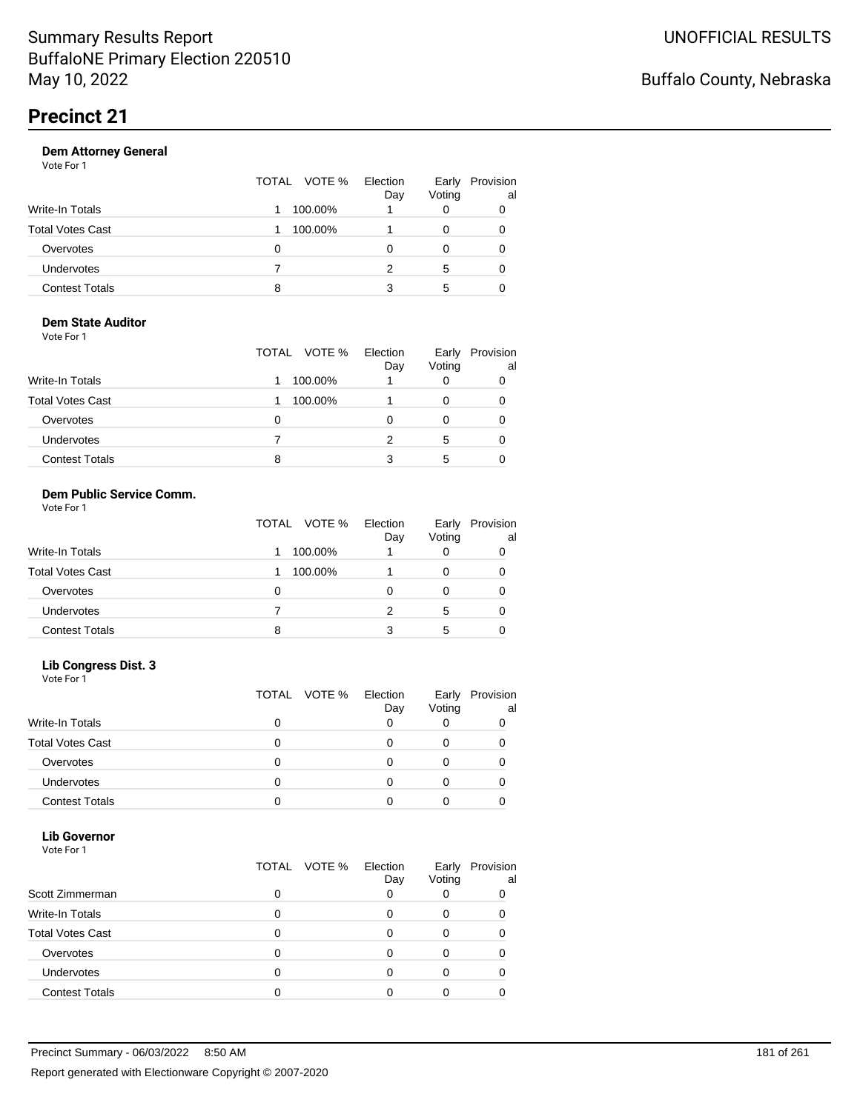|                       | TOTAL VOTE % | Election<br>Day | Early<br>Voting | Provision<br>al |
|-----------------------|--------------|-----------------|-----------------|-----------------|
| Write-In Totals       | 100.00%      |                 |                 |                 |
| Total Votes Cast      | 100.00%      |                 |                 |                 |
| Overvotes             | 0            | Ω               |                 |                 |
| Undervotes            |              | 2               | 5               |                 |
| <b>Contest Totals</b> | 8            | 3               | 5               |                 |

#### **Dem State Auditor** Vote For 1

| VULTUII                 | TOTAL VOTE % | Election<br>Day | Early<br>Voting | Provision<br>al |
|-------------------------|--------------|-----------------|-----------------|-----------------|
|                         |              |                 |                 |                 |
| <b>Write-In Totals</b>  | 100.00%      |                 | O               |                 |
| <b>Total Votes Cast</b> | 100.00%      |                 | O               |                 |
| Overvotes               | Ω            | Ω               |                 |                 |
| <b>Undervotes</b>       |              |                 | 5               |                 |
| <b>Contest Totals</b>   | 8            |                 | 5               |                 |

#### **Dem Public Service Comm.** Vote For 1

|                         | TOTAL VOTE % | Election<br>Day | Early<br>Voting | Provision<br>al |
|-------------------------|--------------|-----------------|-----------------|-----------------|
| Write-In Totals         | 100.00%      |                 | 0               |                 |
| <b>Total Votes Cast</b> | 100.00%      |                 | 0               |                 |
| Overvotes               | 0            |                 | 0               |                 |
| <b>Undervotes</b>       |              | 2               | 5               |                 |
| <b>Contest Totals</b>   | 8            | 3               | 5               |                 |

### **Lib Congress Dist. 3**

Vote For 1

|                         | TOTAL VOTE % | Election<br>Day | Early<br>Voting | Provision<br>al |
|-------------------------|--------------|-----------------|-----------------|-----------------|
| <b>Write-In Totals</b>  |              |                 |                 |                 |
| <b>Total Votes Cast</b> |              |                 |                 |                 |
| Overvotes               |              |                 |                 |                 |
| <b>Undervotes</b>       |              |                 |                 |                 |
| <b>Contest Totals</b>   |              |                 |                 |                 |

#### **Lib Governor** Vote For 1

| <u>VULGIUI</u>          |                 |                 |                 |                 |
|-------------------------|-----------------|-----------------|-----------------|-----------------|
|                         | VOTE %<br>TOTAL | Election<br>Day | Early<br>Voting | Provision<br>al |
| Scott Zimmerman         | O               |                 |                 |                 |
| Write-In Totals         |                 |                 |                 |                 |
| <b>Total Votes Cast</b> |                 |                 |                 |                 |
| Overvotes               |                 |                 |                 |                 |
| <b>Undervotes</b>       |                 |                 |                 |                 |
| <b>Contest Totals</b>   |                 |                 |                 |                 |
|                         |                 |                 |                 |                 |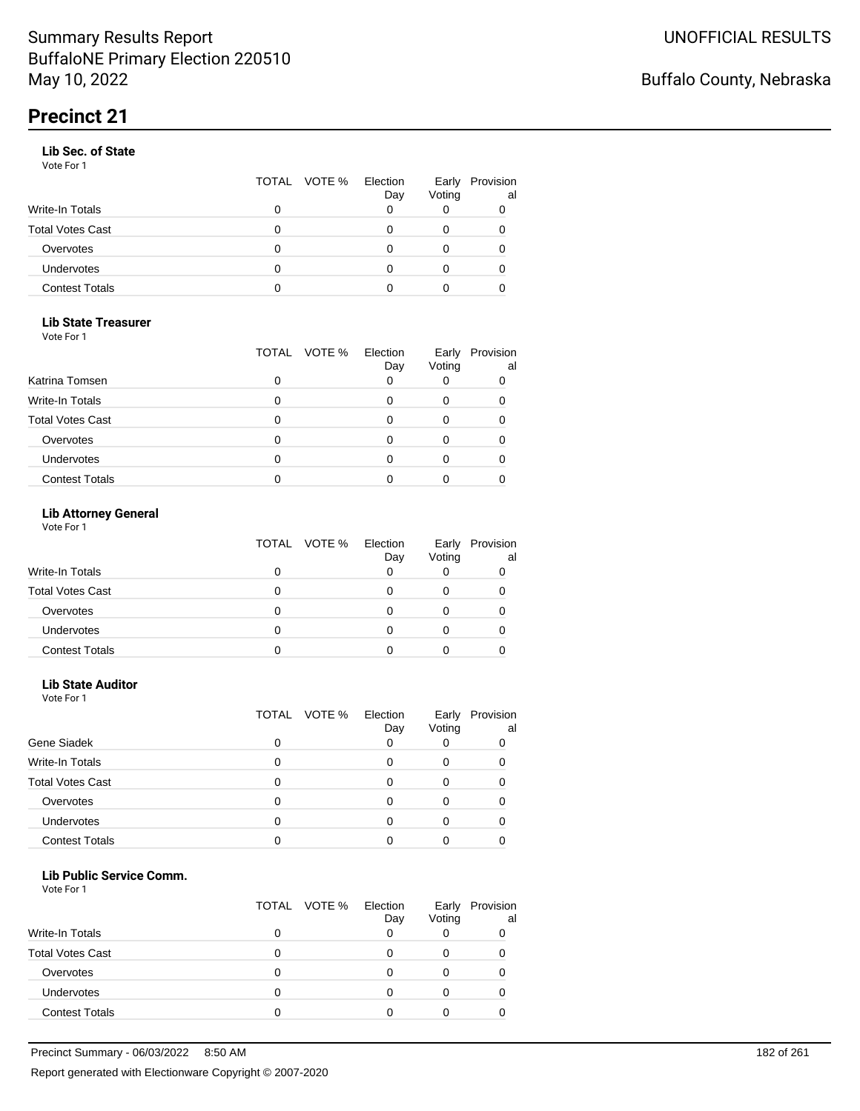### **Lib Sec. of State**

Vote For 1

|                       |   | TOTAL VOTE % | Election<br>Day | Early<br>Voting | Provision<br>al |
|-----------------------|---|--------------|-----------------|-----------------|-----------------|
| Write-In Totals       |   |              |                 |                 |                 |
| Total Votes Cast      | 0 |              |                 |                 |                 |
| Overvotes             | O |              |                 |                 |                 |
| <b>Undervotes</b>     | 0 |              |                 | 0               |                 |
| <b>Contest Totals</b> |   |              |                 |                 |                 |

### **Lib State Treasurer**

Vote For 1

|                         | TOTAL | VOTE % Election<br>Day | Early<br>Voting | Provision<br>al |
|-------------------------|-------|------------------------|-----------------|-----------------|
| Katrina Tomsen          |       |                        |                 |                 |
| <b>Write-In Totals</b>  |       |                        |                 |                 |
| <b>Total Votes Cast</b> |       |                        |                 |                 |
| Overvotes               |       |                        |                 |                 |
| <b>Undervotes</b>       |       |                        |                 |                 |
| <b>Contest Totals</b>   |       |                        |                 |                 |

### **Lib Attorney General**

Vote For 1

|                         | TOTAL VOTE % | Election<br>Day | Early<br>Voting | Provision<br>al |
|-------------------------|--------------|-----------------|-----------------|-----------------|
| Write-In Totals         | 0            |                 |                 |                 |
| <b>Total Votes Cast</b> | 0            |                 |                 |                 |
| Overvotes               | 0            |                 |                 |                 |
| <b>Undervotes</b>       |              |                 |                 |                 |
| <b>Contest Totals</b>   |              |                 |                 |                 |

### **Lib State Auditor**

Vote For 1

|                         | TOTAL | Election<br>VOTE %<br>Day | Early<br>Voting | Provision<br>al |
|-------------------------|-------|---------------------------|-----------------|-----------------|
| Gene Siadek             | 0     |                           |                 |                 |
| Write-In Totals         | 0     |                           |                 |                 |
| <b>Total Votes Cast</b> | 0     |                           |                 |                 |
| Overvotes               | 0     |                           |                 |                 |
| Undervotes              | 0     |                           |                 |                 |
| <b>Contest Totals</b>   |       |                           |                 |                 |

#### **Lib Public Service Comm.**

|                         |   | TOTAL VOTE % | Election<br>Day | Early<br>Voting | Provision<br>al |
|-------------------------|---|--------------|-----------------|-----------------|-----------------|
| <b>Write-In Totals</b>  | O |              |                 |                 |                 |
| <b>Total Votes Cast</b> |   |              |                 |                 |                 |
| Overvotes               | Ω |              |                 |                 |                 |
| Undervotes              | 0 |              |                 |                 |                 |
| <b>Contest Totals</b>   | 0 |              |                 |                 |                 |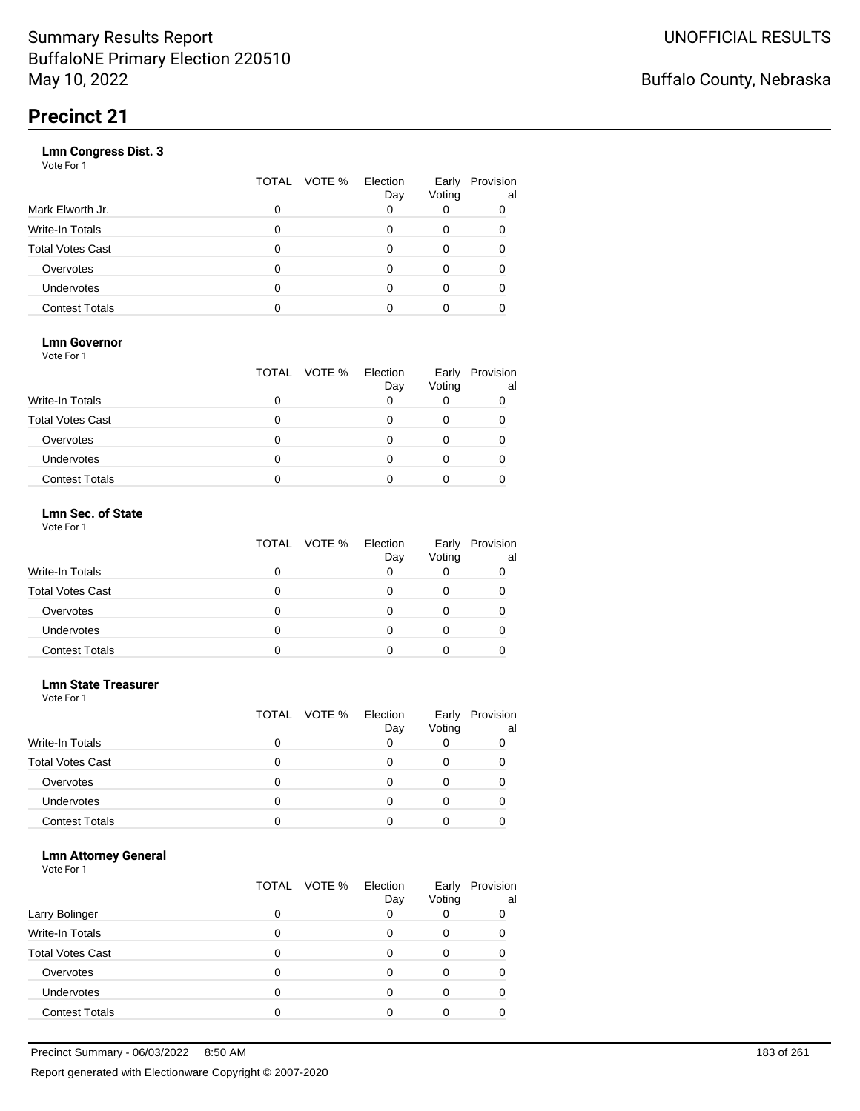|                       | VOTE %<br>TOTAL | Election<br>Day | Early<br>Voting | Provision<br>al |
|-----------------------|-----------------|-----------------|-----------------|-----------------|
| Mark Elworth Jr.      | 0               |                 |                 | 0               |
| Write-In Totals       | O               |                 | 0               | 0               |
| Total Votes Cast      | O               |                 | 0               |                 |
| Overvotes             | 0               |                 | 0               |                 |
| Undervotes            | O               |                 | Ω               |                 |
| <b>Contest Totals</b> |                 |                 |                 |                 |
|                       |                 |                 |                 |                 |

### **Lmn Governor**

Vote For 1

|                         | TOTAL VOTE % | Election<br>Day | Early<br>Voting | Provision<br>al |
|-------------------------|--------------|-----------------|-----------------|-----------------|
| <b>Write-In Totals</b>  |              |                 |                 |                 |
| <b>Total Votes Cast</b> |              |                 |                 |                 |
| Overvotes               |              |                 |                 |                 |
| <b>Undervotes</b>       |              |                 |                 |                 |
| <b>Contest Totals</b>   |              |                 |                 |                 |

#### **Lmn Sec. of State** Vote For 1

|                         | TOTAL VOTE % Election | Day | Early<br>Voting | Provision<br>al |
|-------------------------|-----------------------|-----|-----------------|-----------------|
| <b>Write-In Totals</b>  |                       |     |                 |                 |
| <b>Total Votes Cast</b> |                       |     |                 |                 |
| Overvotes               | Ω                     |     |                 |                 |
| <b>Undervotes</b>       | Ω                     |     |                 |                 |
| <b>Contest Totals</b>   |                       |     |                 |                 |

#### **Lmn State Treasurer**

Vote For 1

|                         |   | TOTAL VOTE % | Election<br>Day | Early<br>Voting | Provision<br>al |
|-------------------------|---|--------------|-----------------|-----------------|-----------------|
| Write-In Totals         |   |              |                 |                 |                 |
| <b>Total Votes Cast</b> |   |              |                 |                 |                 |
| Overvotes               | 0 |              |                 |                 |                 |
| Undervotes              |   |              |                 |                 |                 |
| <b>Contest Totals</b>   |   |              |                 |                 |                 |

### **Lmn Attorney General**

|                         |   | TOTAL VOTE % | Election<br>Day | Early<br>Voting | Provision<br>al |
|-------------------------|---|--------------|-----------------|-----------------|-----------------|
| Larry Bolinger          |   |              |                 |                 | 0               |
| Write-In Totals         |   |              |                 | O               |                 |
| <b>Total Votes Cast</b> |   |              |                 |                 |                 |
| Overvotes               |   |              |                 |                 |                 |
| Undervotes              | 0 |              |                 |                 |                 |
| <b>Contest Totals</b>   |   |              |                 |                 |                 |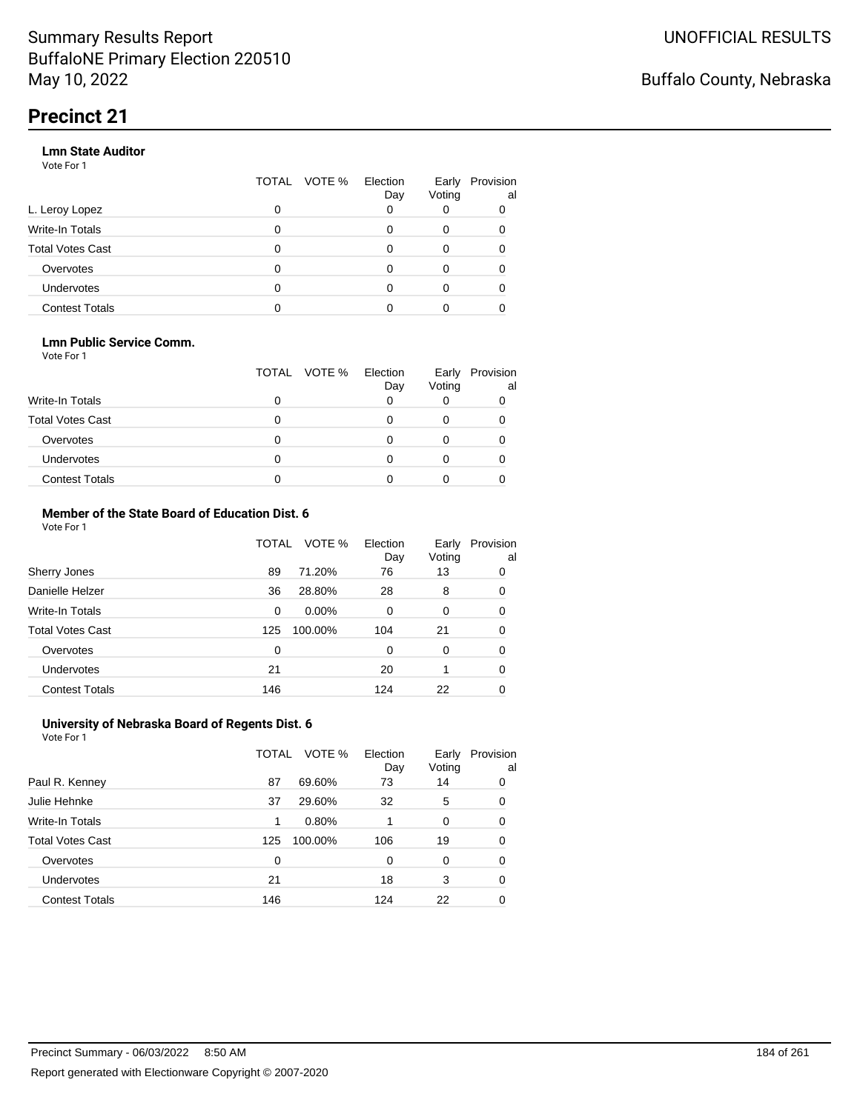### **Lmn State Auditor**

Vote For 1

|                         | TOTAL | VOTE % Election | Day | Early<br>Voting | Provision<br>al |
|-------------------------|-------|-----------------|-----|-----------------|-----------------|
| L. Leroy Lopez          | 0     |                 |     |                 |                 |
| Write-In Totals         | 0     |                 |     | 0               |                 |
| <b>Total Votes Cast</b> | 0     |                 |     | 0               |                 |
| Overvotes               | 0     |                 |     | 0               |                 |
| Undervotes              | 0     |                 |     | 0               |                 |
| <b>Contest Totals</b>   |       |                 |     |                 |                 |

### **Lmn Public Service Comm.**

Vote For 1

|                         |   | TOTAL VOTE % | Election<br>Day | Early<br>Voting | Provision<br>al |
|-------------------------|---|--------------|-----------------|-----------------|-----------------|
| <b>Write-In Totals</b>  |   |              |                 |                 |                 |
| <b>Total Votes Cast</b> |   |              |                 |                 |                 |
| Overvotes               |   |              |                 |                 |                 |
| <b>Undervotes</b>       | 0 |              |                 |                 |                 |
| <b>Contest Totals</b>   |   |              |                 |                 |                 |

#### **Member of the State Board of Education Dist. 6** Vote For 1

|                         | TOTAL    | VOTE %   | Election<br>Day | Early<br>Voting | Provision<br>al |
|-------------------------|----------|----------|-----------------|-----------------|-----------------|
| Sherry Jones            | 89       | 71.20%   | 76              | 13              | 0               |
| Danielle Helzer         | 36       | 28.80%   | 28              | 8               | 0               |
| <b>Write-In Totals</b>  | $\Omega$ | $0.00\%$ | $\Omega$        | $\Omega$        | 0               |
| <b>Total Votes Cast</b> | 125      | 100.00%  | 104             | 21              | 0               |
| Overvotes               | $\Omega$ |          | 0               | $\Omega$        | 0               |
| <b>Undervotes</b>       | 21       |          | 20              |                 | 0               |
| <b>Contest Totals</b>   | 146      |          | 124             | 22              | 0               |

#### **University of Nebraska Board of Regents Dist. 6** Vote For 1

|                         | TOTAL | VOTE %  | Election<br>Day | Early<br>Voting | Provision<br>al |
|-------------------------|-------|---------|-----------------|-----------------|-----------------|
| Paul R. Kenney          | 87    | 69.60%  | 73              | 14              | 0               |
| Julie Hehnke            | 37    | 29.60%  | 32              | 5               | 0               |
| <b>Write-In Totals</b>  | 1     | 0.80%   |                 | $\Omega$        | 0               |
| <b>Total Votes Cast</b> | 125   | 100.00% | 106             | 19              | 0               |
| Overvotes               | 0     |         | 0               | $\Omega$        | 0               |
| <b>Undervotes</b>       | 21    |         | 18              | 3               | 0               |
| <b>Contest Totals</b>   | 146   |         | 124             | 22              |                 |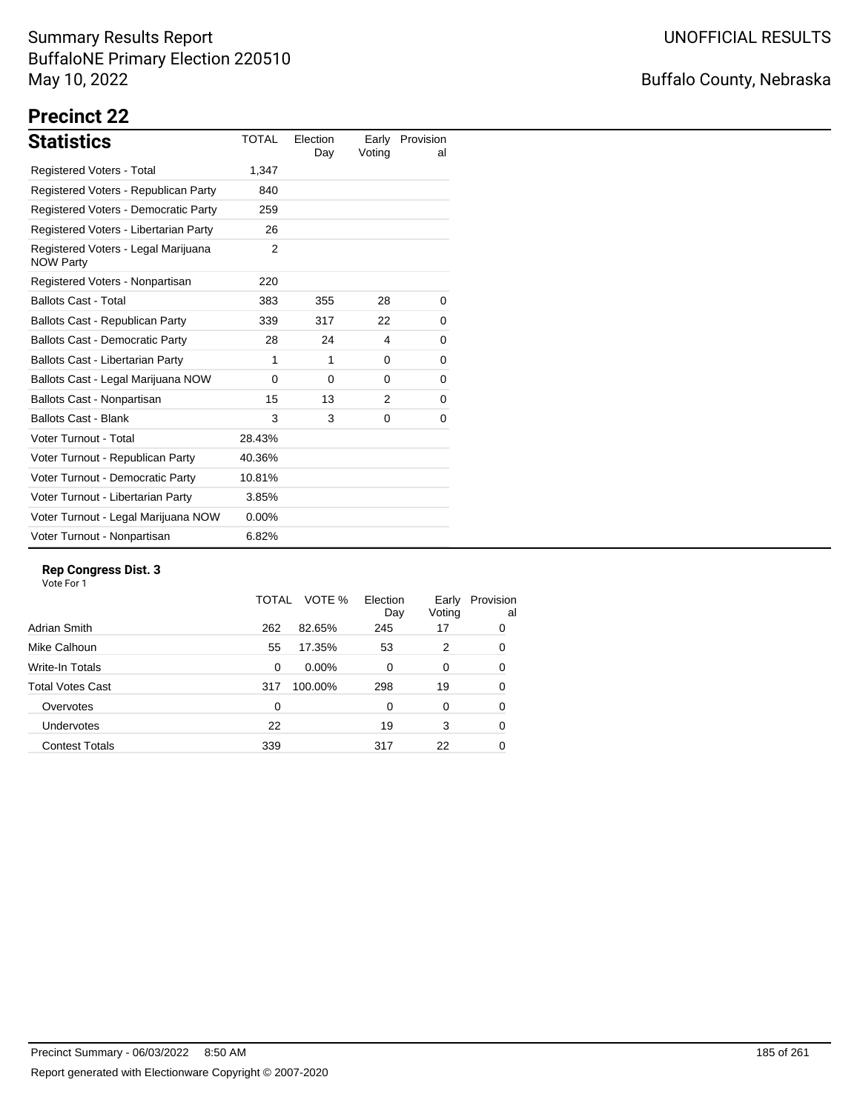# Buffalo County, Nebraska

# **Precinct 22**

| <b>Statistics</b>                                       | <b>TOTAL</b> | Election<br>Day | Early<br>Voting | Provision<br>al |
|---------------------------------------------------------|--------------|-----------------|-----------------|-----------------|
| <b>Registered Voters - Total</b>                        | 1,347        |                 |                 |                 |
| Registered Voters - Republican Party                    | 840          |                 |                 |                 |
| Registered Voters - Democratic Party                    | 259          |                 |                 |                 |
| Registered Voters - Libertarian Party                   | 26           |                 |                 |                 |
| Registered Voters - Legal Marijuana<br><b>NOW Party</b> | 2            |                 |                 |                 |
| Registered Voters - Nonpartisan                         | 220          |                 |                 |                 |
| <b>Ballots Cast - Total</b>                             | 383          | 355             | 28              | 0               |
| Ballots Cast - Republican Party                         | 339          | 317             | 22              | 0               |
| <b>Ballots Cast - Democratic Party</b>                  | 28           | 24              | 4               | 0               |
| Ballots Cast - Libertarian Party                        | 1            | 1               | 0               | 0               |
| Ballots Cast - Legal Marijuana NOW                      | $\Omega$     | $\Omega$        | $\Omega$        | 0               |
| Ballots Cast - Nonpartisan                              | 15           | 13              | 2               | 0               |
| <b>Ballots Cast - Blank</b>                             | 3            | 3               | 0               | 0               |
| Voter Turnout - Total                                   | 28.43%       |                 |                 |                 |
| Voter Turnout - Republican Party                        | 40.36%       |                 |                 |                 |
| Voter Turnout - Democratic Party                        | 10.81%       |                 |                 |                 |
| Voter Turnout - Libertarian Party                       | 3.85%        |                 |                 |                 |
| Voter Turnout - Legal Marijuana NOW                     | $0.00\%$     |                 |                 |                 |
| Voter Turnout - Nonpartisan                             | 6.82%        |                 |                 |                 |

### **Rep Congress Dist. 3**

|          | VOTE %   | Election<br>Day | Early<br>Voting | Provision<br>al |
|----------|----------|-----------------|-----------------|-----------------|
| 262      | 82.65%   | 245             | 17              | 0               |
| 55       | 17.35%   | 53              | 2               | 0               |
| $\Omega$ | $0.00\%$ | $\Omega$        | 0               | 0               |
| 317      | 100.00%  | 298             | 19              | 0               |
| 0        |          | $\Omega$        | $\Omega$        | 0               |
| 22       |          | 19              | 3               | 0               |
| 339      |          | 317             | 22              | 0               |
|          |          | TOTAL           |                 |                 |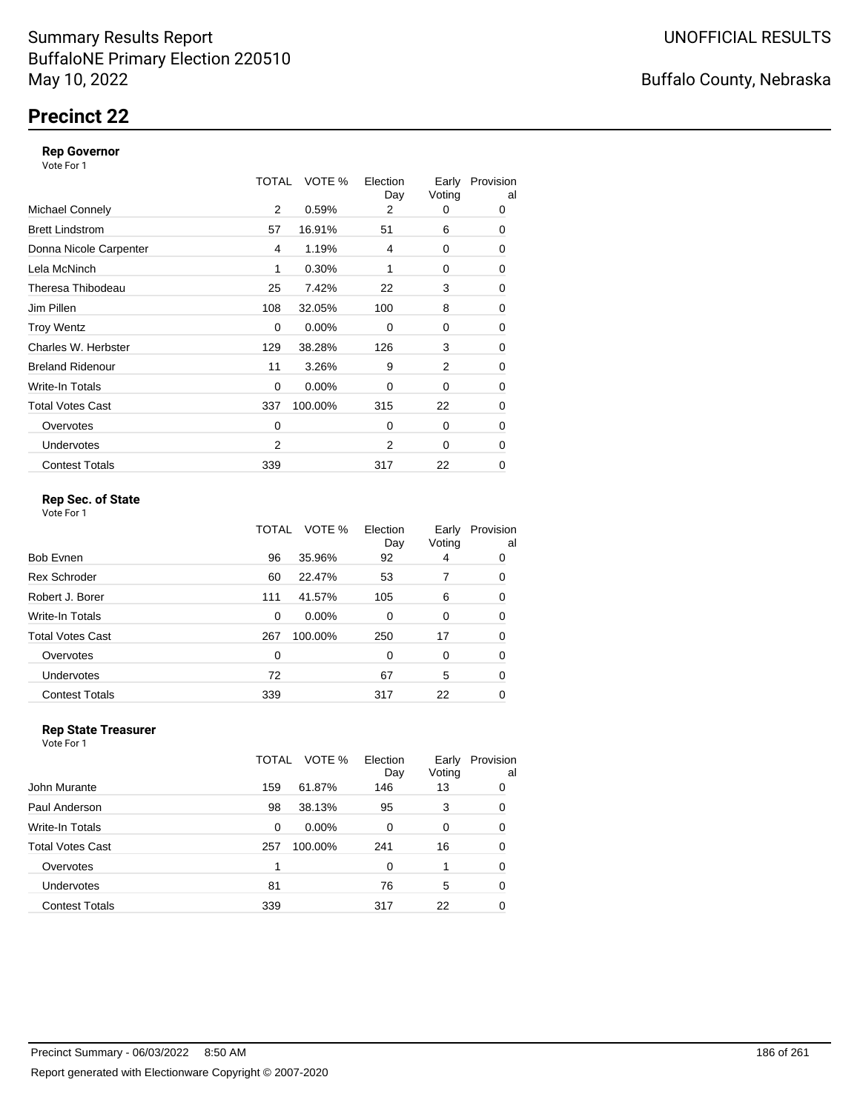# **Precinct 22**

### **Rep Governor**

Vote For 1

|                         | TOTAL | VOTE %   | Election<br>Day | Early<br>Voting | Provision<br>al |
|-------------------------|-------|----------|-----------------|-----------------|-----------------|
| <b>Michael Connely</b>  | 2     | 0.59%    | 2               | 0               | 0               |
| <b>Brett Lindstrom</b>  | 57    | 16.91%   | 51              | 6               | 0               |
| Donna Nicole Carpenter  | 4     | 1.19%    | 4               | 0               | 0               |
| Lela McNinch            | 1     | 0.30%    | 1               | 0               | 0               |
| Theresa Thibodeau       | 25    | 7.42%    | 22              | 3               | 0               |
| Jim Pillen              | 108   | 32.05%   | 100             | 8               | 0               |
| <b>Troy Wentz</b>       | 0     | $0.00\%$ | $\Omega$        | 0               | 0               |
| Charles W. Herbster     | 129   | 38.28%   | 126             | 3               | 0               |
| <b>Breland Ridenour</b> | 11    | 3.26%    | 9               | 2               | 0               |
| Write-In Totals         | 0     | $0.00\%$ | $\Omega$        | 0               | 0               |
| <b>Total Votes Cast</b> | 337   | 100.00%  | 315             | 22              | 0               |
| Overvotes               | 0     |          | $\Omega$        | 0               | 0               |
| <b>Undervotes</b>       | 2     |          | 2               | 0               | 0               |
| <b>Contest Totals</b>   | 339   |          | 317             | 22              | 0               |

### **Rep Sec. of State**

Vote For 1

|                         | TOTAL | VOTE %  | Election<br>Day | Early<br>Voting | Provision<br>al |
|-------------------------|-------|---------|-----------------|-----------------|-----------------|
| <b>Bob Evnen</b>        | 96    | 35.96%  | 92              | 4               | 0               |
| <b>Rex Schroder</b>     | 60    | 22.47%  | 53              | 7               | 0               |
| Robert J. Borer         | 111   | 41.57%  | 105             | 6               | 0               |
| Write-In Totals         | 0     | 0.00%   | $\Omega$        | 0               | 0               |
| <b>Total Votes Cast</b> | 267   | 100.00% | 250             | 17              | 0               |
| Overvotes               | 0     |         | $\Omega$        | 0               | 0               |
| Undervotes              | 72    |         | 67              | 5               | 0               |
| <b>Contest Totals</b>   | 339   |         | 317             | 22              | 0               |

#### **Rep State Treasurer** Vote For 1

|                         | TOTAL | VOTE %   | Election<br>Day | Early<br>Voting | Provision<br>al |
|-------------------------|-------|----------|-----------------|-----------------|-----------------|
| John Murante            | 159   | 61.87%   | 146             | 13              | 0               |
| Paul Anderson           | 98    | 38.13%   | 95              | 3               | 0               |
| Write-In Totals         | 0     | $0.00\%$ | 0               | 0               | $\Omega$        |
| <b>Total Votes Cast</b> | 257   | 100.00%  | 241             | 16              | $\Omega$        |
| Overvotes               |       |          | 0               |                 | 0               |
| <b>Undervotes</b>       | 81    |          | 76              | 5               | 0               |
| <b>Contest Totals</b>   | 339   |          | 317             | 22              |                 |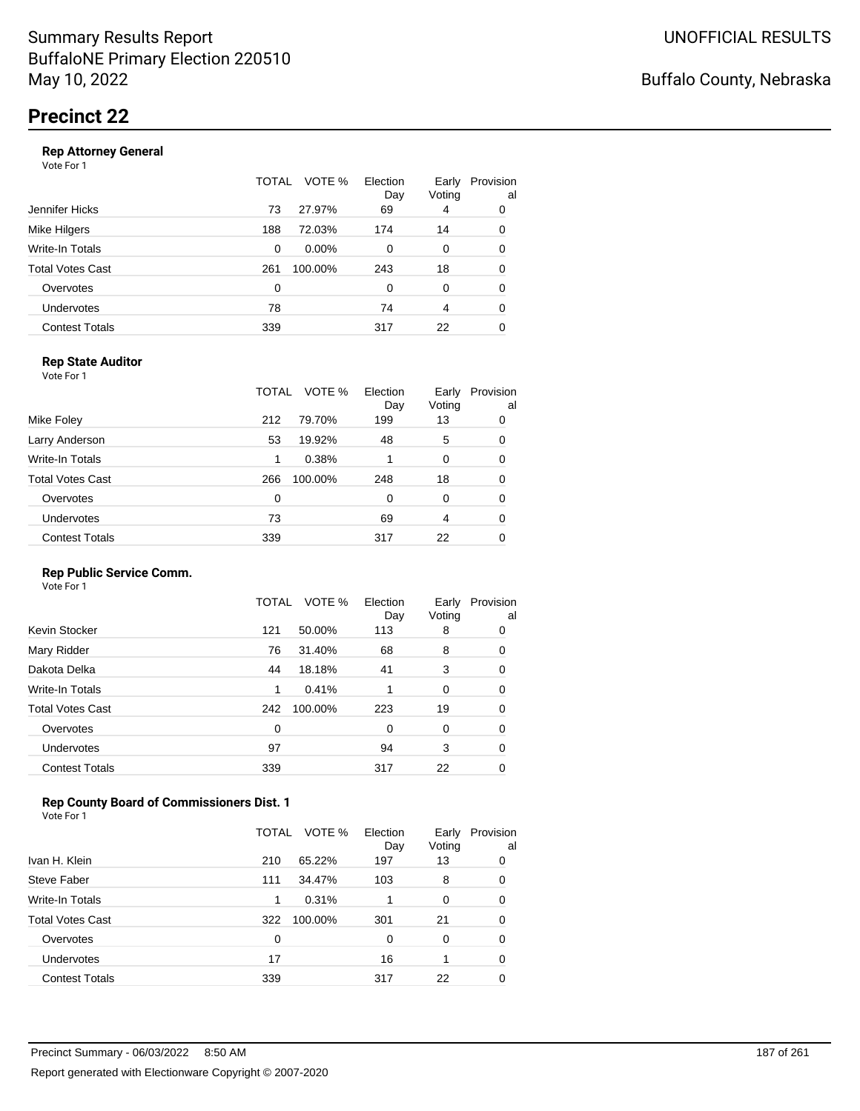|                       | TOTAL | VOTE %  | Election<br>Day | Early<br>Voting | Provision<br>al |
|-----------------------|-------|---------|-----------------|-----------------|-----------------|
| Jennifer Hicks        | 73    | 27.97%  | 69              | 4               | 0               |
| Mike Hilgers          | 188   | 72.03%  | 174             | 14              | 0               |
| Write-In Totals       | 0     | 0.00%   | $\Omega$        | 0               | 0               |
| Total Votes Cast      | 261   | 100.00% | 243             | 18              | 0               |
| Overvotes             | 0     |         | 0               | 0               | 0               |
| <b>Undervotes</b>     | 78    |         | 74              | 4               | 0               |
| <b>Contest Totals</b> | 339   |         | 317             | 22              | 0               |
|                       |       |         |                 |                 |                 |

### **Rep State Auditor**

Vote For 1

|                         | TOTAL | VOTE %  | Election<br>Day | Early<br>Voting | Provision<br>al |
|-------------------------|-------|---------|-----------------|-----------------|-----------------|
| Mike Foley              | 212   | 79.70%  | 199             | 13              | 0               |
| Larry Anderson          | 53    | 19.92%  | 48              | 5               | 0               |
| Write-In Totals         | 1     | 0.38%   |                 | $\Omega$        | 0               |
| <b>Total Votes Cast</b> | 266   | 100.00% | 248             | 18              | 0               |
| Overvotes               | 0     |         | 0               | $\Omega$        | 0               |
| <b>Undervotes</b>       | 73    |         | 69              | 4               | 0               |
| <b>Contest Totals</b>   | 339   |         | 317             | 22              | 0               |

### **Rep Public Service Comm.**

Vote For 1

|                         | TOTAL | VOTE %  | Election<br>Day | Early<br>Voting | Provision<br>al |
|-------------------------|-------|---------|-----------------|-----------------|-----------------|
| Kevin Stocker           | 121   | 50.00%  | 113             | 8               | 0               |
| Mary Ridder             | 76    | 31.40%  | 68              | 8               | 0               |
| Dakota Delka            | 44    | 18.18%  | 41              | 3               | 0               |
| Write-In Totals         | 1     | 0.41%   | 1               | 0               | 0               |
| <b>Total Votes Cast</b> | 242   | 100.00% | 223             | 19              | 0               |
| Overvotes               | 0     |         | 0               | 0               | 0               |
| Undervotes              | 97    |         | 94              | 3               | 0               |
| <b>Contest Totals</b>   | 339   |         | 317             | 22              | 0               |
|                         |       |         |                 |                 |                 |

### **Rep County Board of Commissioners Dist. 1**

Vote For 1

|                       | VOTE %<br>TOTAL | Election<br>Day | Early<br>Voting | Provision<br>al |
|-----------------------|-----------------|-----------------|-----------------|-----------------|
| Ivan H. Klein         | 65.22%<br>210   | 197             | 13              | 0               |
| Steve Faber           | 34.47%<br>111   | 103             | 8               | 0               |
| Write-In Totals       | 0.31%<br>1      |                 | 0               | 0               |
| Total Votes Cast      | 100.00%<br>322  | 301             | 21              | 0               |
| Overvotes             | 0               | 0               | $\Omega$        | 0               |
| Undervotes            | 17              | 16              |                 | 0               |
| <b>Contest Totals</b> | 339             | 317             | 22              | 0               |
|                       |                 |                 |                 |                 |

Buffalo County, Nebraska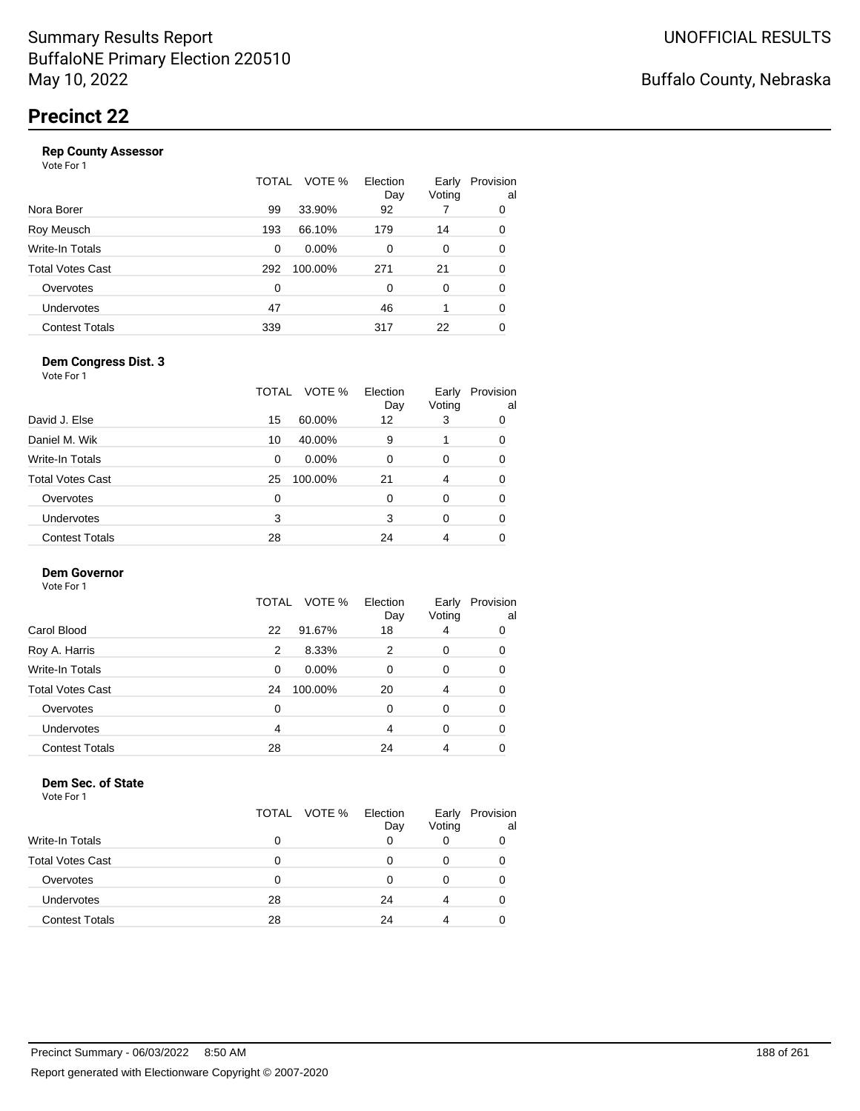|                       | <b>TOTAL</b> | VOTE %   | Election<br>Day | Early<br>Voting | Provision<br>al |
|-----------------------|--------------|----------|-----------------|-----------------|-----------------|
| Nora Borer            | 99           | 33.90%   | 92              |                 | 0               |
| Roy Meusch            | 193          | 66.10%   | 179             | 14              | 0               |
| Write-In Totals       | 0            | $0.00\%$ | 0               | 0               | 0               |
| Total Votes Cast      | 292          | 100.00%  | 271             | 21              | 0               |
| Overvotes             | 0            |          | 0               | 0               | 0               |
| Undervotes            | 47           |          | 46              |                 | 0               |
| <b>Contest Totals</b> | 339          |          | 317             | 22              | 0               |
|                       |              |          |                 |                 |                 |

### **Dem Congress Dist. 3**

Vote For 1

|                         | TOTAL | VOTE %   | Election<br>Day | Early<br>Voting | Provision<br>al |
|-------------------------|-------|----------|-----------------|-----------------|-----------------|
| David J. Else           | 15    | 60.00%   | 12              | 3               | 0               |
| Daniel M. Wik           | 10    | 40.00%   | 9               |                 | 0               |
| Write-In Totals         | 0     | $0.00\%$ | 0               | 0               | 0               |
| <b>Total Votes Cast</b> | 25    | 100.00%  | 21              | 4               | 0               |
| Overvotes               | 0     |          | 0               | $\Omega$        | 0               |
| Undervotes              | 3     |          | 3               | $\Omega$        | 0               |
| <b>Contest Totals</b>   | 28    |          | 24              | 4               | 0               |

### **Dem Governor**

Vote For 1

|                       | TOTAL | VOTE %   | Election<br>Day | Early<br>Voting | Provision<br>al |
|-----------------------|-------|----------|-----------------|-----------------|-----------------|
| Carol Blood           | 22    | 91.67%   | 18              | 4               | 0               |
| Roy A. Harris         | 2     | 8.33%    | 2               | 0               | 0               |
| Write-In Totals       | 0     | $0.00\%$ | $\Omega$        | 0               | 0               |
| Total Votes Cast      | 24    | 100.00%  | 20              | 4               | 0               |
| Overvotes             | 0     |          | 0               | 0               | 0               |
| <b>Undervotes</b>     | 4     |          | 4               | 0               | 0               |
| <b>Contest Totals</b> | 28    |          | 24              | 4               |                 |

#### **Dem Sec. of State**

|                         | TOTAL | VOTE % | Election<br>Day | Early<br>Voting | Provision<br>al |
|-------------------------|-------|--------|-----------------|-----------------|-----------------|
| <b>Write-In Totals</b>  | 0     |        | Ω               |                 |                 |
| <b>Total Votes Cast</b> | O     |        |                 |                 |                 |
| Overvotes               | 0     |        |                 |                 | O               |
| Undervotes              | 28    |        | 24              | 4               | 0               |
| <b>Contest Totals</b>   | 28    |        | 24              |                 |                 |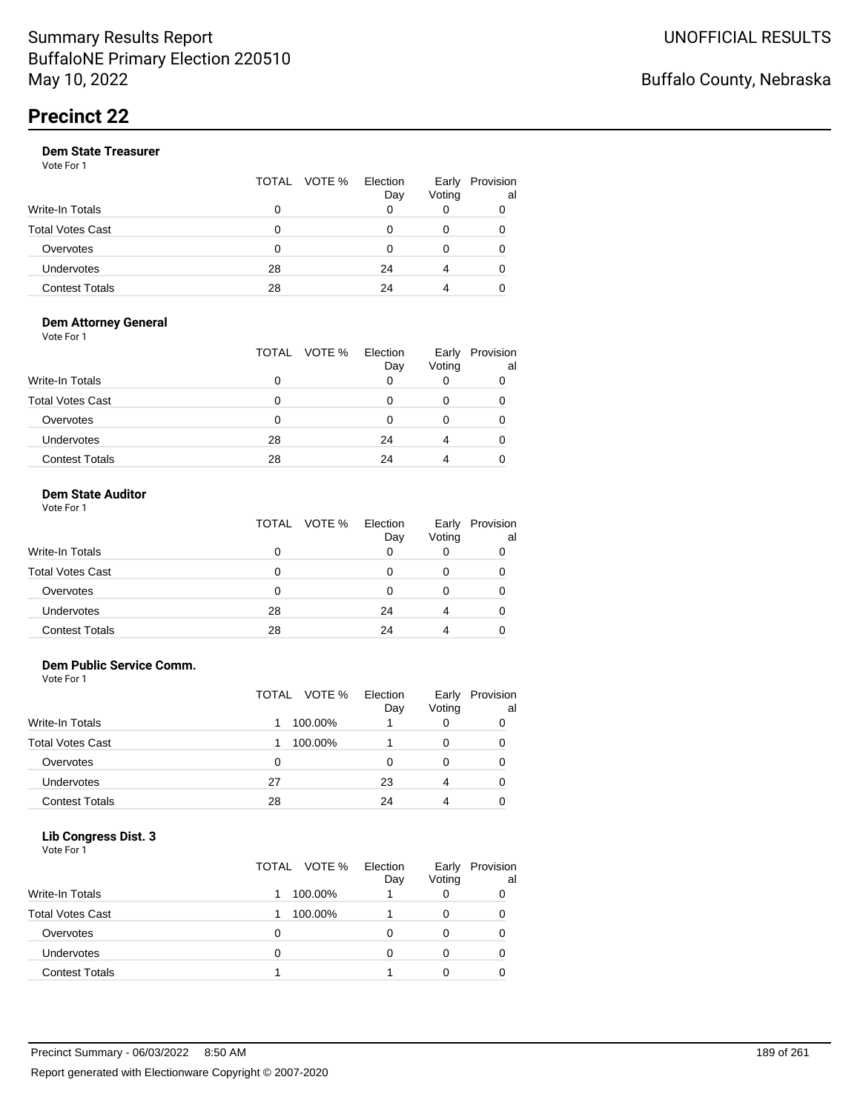Vote For 1

|                       |    | TOTAL VOTE % | Election<br>Day | Early<br>Voting | Provision<br>al |
|-----------------------|----|--------------|-----------------|-----------------|-----------------|
| Write-In Totals       | 0  |              |                 |                 | 0               |
| Total Votes Cast      | Ω  |              |                 |                 |                 |
| Overvotes             | 0  |              |                 |                 |                 |
| Undervotes            | 28 |              | 24              | 4               | 0               |
| <b>Contest Totals</b> | 28 |              | 24              |                 |                 |

#### **Dem Attorney General** Vote For 1

|                         | TOTAL VOTE % | Election<br>Day | Early<br>Voting | Provision<br>al |
|-------------------------|--------------|-----------------|-----------------|-----------------|
| <b>Write-In Totals</b>  |              | 0               | O               |                 |
| <b>Total Votes Cast</b> |              |                 | 0               |                 |
| Overvotes               | O            |                 |                 |                 |
| <b>Undervotes</b>       | 28           | 24              | 4               |                 |
| <b>Contest Totals</b>   | 28           | 24              |                 |                 |

### **Dem State Auditor**

| Vote For 1              |              |                 |                 |                 |
|-------------------------|--------------|-----------------|-----------------|-----------------|
|                         | TOTAL VOTE % | Election<br>Day | Early<br>Voting | Provision<br>al |
| <b>Write-In Totals</b>  |              | 0               | 0               |                 |
| <b>Total Votes Cast</b> |              | U               | 0               |                 |
| Overvotes               |              |                 | 0               |                 |
| Undervotes              | 28           | 24              | 4               |                 |
| <b>Contest Totals</b>   | 28           | 24              |                 |                 |

### **Dem Public Service Comm.**

Vote For 1

|                         | TOTAL VOTE % | Election<br>Day | Early<br>Voting | Provision<br>al |
|-------------------------|--------------|-----------------|-----------------|-----------------|
| Write-In Totals         | 100.00%      |                 |                 |                 |
| <b>Total Votes Cast</b> | 100.00%      |                 |                 |                 |
| Overvotes               | 0            | O               |                 |                 |
| Undervotes              | 27           | 23              | 4               |                 |
| <b>Contest Totals</b>   | 28           | 24              | 4               |                 |

### **Lib Congress Dist. 3**

| .<br>- - -<br>Vote For 1 |              |                 |                 |                 |
|--------------------------|--------------|-----------------|-----------------|-----------------|
|                          | TOTAL VOTE % | Election<br>Day | Early<br>Voting | Provision<br>al |
| <b>Write-In Totals</b>   | 100.00%      |                 |                 | 0               |
| <b>Total Votes Cast</b>  | 100.00%      |                 |                 | 0               |
| Overvotes                | Ω            | n               | 0               | Ω               |
| <b>Undervotes</b>        | 0            | n               |                 | 0               |
| <b>Contest Totals</b>    |              |                 |                 |                 |
|                          |              |                 |                 |                 |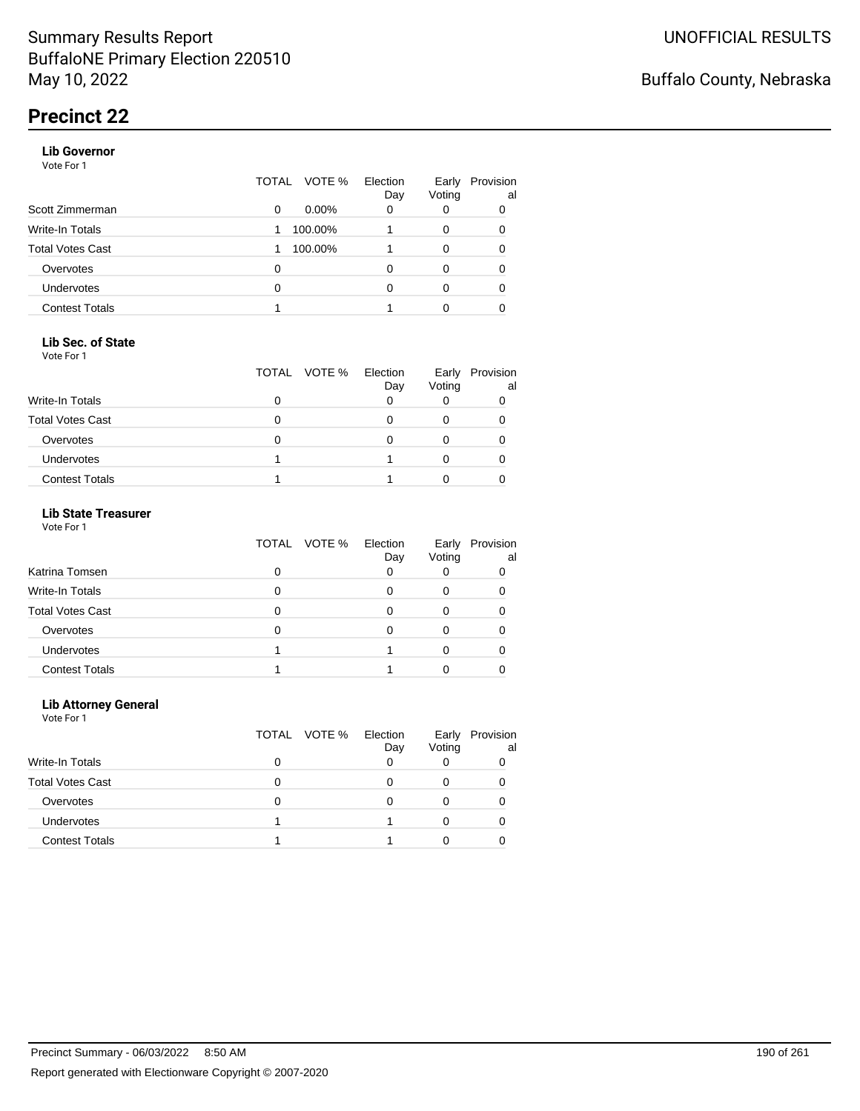### **Lib Governor**

Vote For 1

|                       | TOTAL | VOTE %   | Election<br>Day | Early<br>Voting | Provision<br>al |
|-----------------------|-------|----------|-----------------|-----------------|-----------------|
| Scott Zimmerman       | 0     | $0.00\%$ | 0               | 0               | 0               |
| Write-In Totals       | 1     | 100.00%  |                 | 0               | 0               |
| Total Votes Cast      |       | 100.00%  |                 | 0               | 0               |
| Overvotes             | 0     |          |                 | 0               | 0               |
| <b>Undervotes</b>     | 0     |          | n               | 0               | 0               |
| <b>Contest Totals</b> |       |          |                 | 0               |                 |

### **Lib Sec. of State**

Vote For 1

|                         | TOTAL VOTE % | Election<br>Day | Early<br>Voting | Provision<br>al |
|-------------------------|--------------|-----------------|-----------------|-----------------|
| <b>Write-In Totals</b>  |              |                 |                 |                 |
| <b>Total Votes Cast</b> |              |                 |                 |                 |
| Overvotes               |              |                 |                 |                 |
| <b>Undervotes</b>       |              |                 |                 |                 |
| <b>Contest Totals</b>   |              |                 |                 |                 |

### **Lib State Treasurer**

Vote For 1

|                         | TOTAL VOTE % Election | Day | Early<br>Voting | Provision<br>al |
|-------------------------|-----------------------|-----|-----------------|-----------------|
| Katrina Tomsen          |                       |     |                 |                 |
| Write-In Totals         |                       |     |                 |                 |
| <b>Total Votes Cast</b> |                       |     |                 |                 |
| Overvotes               |                       |     |                 |                 |
| <b>Undervotes</b>       |                       |     |                 |                 |
| <b>Contest Totals</b>   |                       |     |                 |                 |

### **Lib Attorney General**

|                         | TOTAL VOTE % | Election<br>Day | Early<br>Voting | Provision<br>al |
|-------------------------|--------------|-----------------|-----------------|-----------------|
| Write-In Totals         |              |                 |                 |                 |
| <b>Total Votes Cast</b> |              |                 | 0               |                 |
| Overvotes               |              | 0               |                 |                 |
| <b>Undervotes</b>       |              |                 |                 |                 |
| <b>Contest Totals</b>   |              |                 |                 |                 |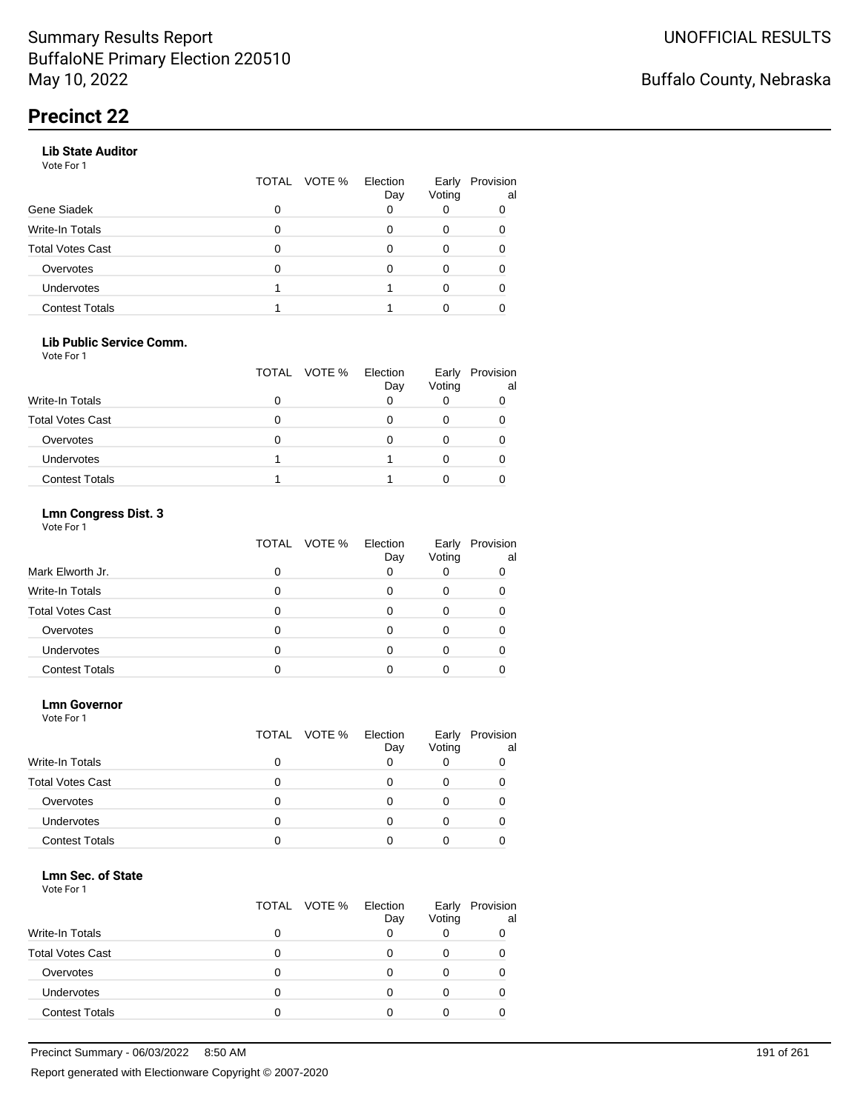### **Lib State Auditor**

Vote For 1

|                       | TOTAL | VOTE % Election | Day | Early<br>Voting | Provision<br>al |
|-----------------------|-------|-----------------|-----|-----------------|-----------------|
| Gene Siadek           | 0     |                 |     |                 |                 |
| Write-In Totals       |       |                 |     |                 |                 |
| Total Votes Cast      |       |                 |     |                 |                 |
| Overvotes             |       |                 |     |                 |                 |
| Undervotes            |       |                 |     |                 |                 |
| <b>Contest Totals</b> |       |                 |     |                 |                 |

### **Lib Public Service Comm.**

Vote For 1

|                         | TOTAL VOTE % | Election<br>Day | Voting | Early Provision<br>al |
|-------------------------|--------------|-----------------|--------|-----------------------|
| <b>Write-In Totals</b>  |              |                 |        |                       |
| <b>Total Votes Cast</b> |              |                 |        |                       |
| Overvotes               |              |                 |        |                       |
| <b>Undervotes</b>       |              |                 |        |                       |
| <b>Contest Totals</b>   |              |                 |        |                       |

### **Lmn Congress Dist. 3**

Vote For 1

|                         | TOTAL VOTE % | Election<br>Day | Early<br>Voting | Provision<br>al |
|-------------------------|--------------|-----------------|-----------------|-----------------|
| Mark Elworth Jr.        |              | 0               |                 |                 |
| Write-In Totals         |              |                 |                 |                 |
| <b>Total Votes Cast</b> |              |                 |                 |                 |
| Overvotes               |              | Ω               |                 |                 |
| Undervotes              |              |                 |                 |                 |
| <b>Contest Totals</b>   |              |                 |                 |                 |

#### **Lmn Governor**

Vote For 1

|                         | TOTAL VOTE % | Election<br>Day | Early<br>Voting | Provision<br>al |
|-------------------------|--------------|-----------------|-----------------|-----------------|
| <b>Write-In Totals</b>  |              |                 |                 |                 |
| <b>Total Votes Cast</b> |              |                 |                 |                 |
| Overvotes               | Ω            |                 |                 |                 |
| Undervotes              | O            |                 |                 |                 |
| <b>Contest Totals</b>   |              |                 |                 |                 |

### **Lmn Sec. of State**

|                         | TOTAL VOTE % Election | Day | Early<br>Voting | Provision<br>al |
|-------------------------|-----------------------|-----|-----------------|-----------------|
| <b>Write-In Totals</b>  |                       |     |                 |                 |
| <b>Total Votes Cast</b> |                       |     |                 |                 |
| Overvotes               |                       |     |                 |                 |
| Undervotes              |                       |     |                 |                 |
| <b>Contest Totals</b>   |                       |     |                 |                 |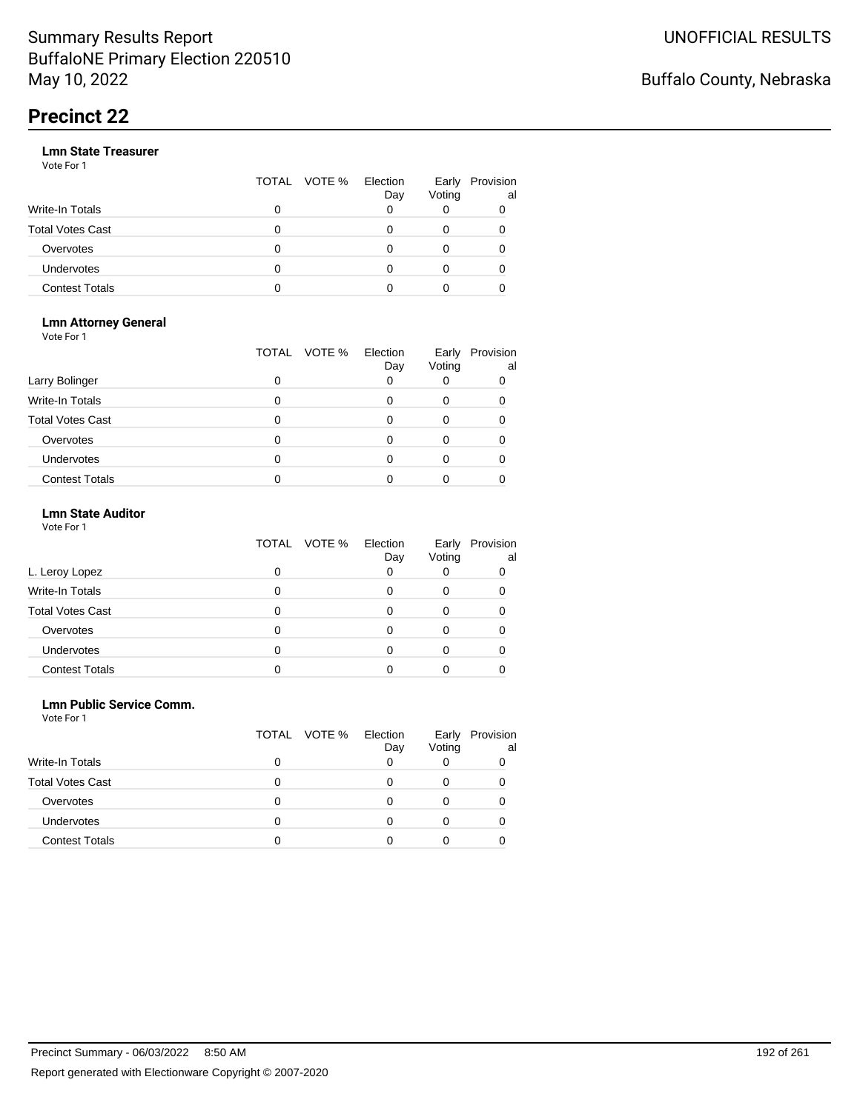|                       |   | TOTAL VOTE % | Election<br>Day | Early<br>Voting | Provision<br>al |
|-----------------------|---|--------------|-----------------|-----------------|-----------------|
| Write-In Totals       | 0 |              |                 |                 |                 |
| Total Votes Cast      | O |              |                 |                 |                 |
| Overvotes             | 0 |              |                 |                 |                 |
| Undervotes            | 0 |              |                 |                 |                 |
| <b>Contest Totals</b> | o |              |                 |                 |                 |

#### **Lmn Attorney General** Vote For 1

|                         | TOTAL | VOTE %<br>Election<br>Day | Early<br>Voting | Provision<br>al |
|-------------------------|-------|---------------------------|-----------------|-----------------|
| Larry Bolinger          | O     |                           |                 |                 |
| <b>Write-In Totals</b>  |       |                           |                 |                 |
| <b>Total Votes Cast</b> |       |                           |                 |                 |
| Overvotes               |       |                           |                 |                 |
| <b>Undervotes</b>       |       |                           |                 |                 |
| <b>Contest Totals</b>   |       |                           |                 |                 |

### **Lmn State Auditor**

| Vote For 1 |  |  |
|------------|--|--|
|------------|--|--|

|                         | TOTAL VOTE % | Election<br>Day | Early<br>Voting | Provision<br>al |
|-------------------------|--------------|-----------------|-----------------|-----------------|
| L. Leroy Lopez          |              |                 |                 | O               |
| Write-In Totals         |              |                 |                 |                 |
| <b>Total Votes Cast</b> |              |                 |                 |                 |
| Overvotes               |              |                 |                 |                 |
| Undervotes              |              |                 |                 |                 |
| <b>Contest Totals</b>   |              |                 |                 |                 |

### **Lmn Public Service Comm.**

|                         |   | TOTAL VOTE % | Election<br>Day | Early<br>Voting | Provision<br>al |
|-------------------------|---|--------------|-----------------|-----------------|-----------------|
| <b>Write-In Totals</b>  | 0 |              |                 |                 |                 |
| <b>Total Votes Cast</b> |   |              |                 |                 |                 |
| Overvotes               | Ω |              |                 |                 |                 |
| <b>Undervotes</b>       |   |              |                 |                 |                 |
| <b>Contest Totals</b>   |   |              |                 |                 |                 |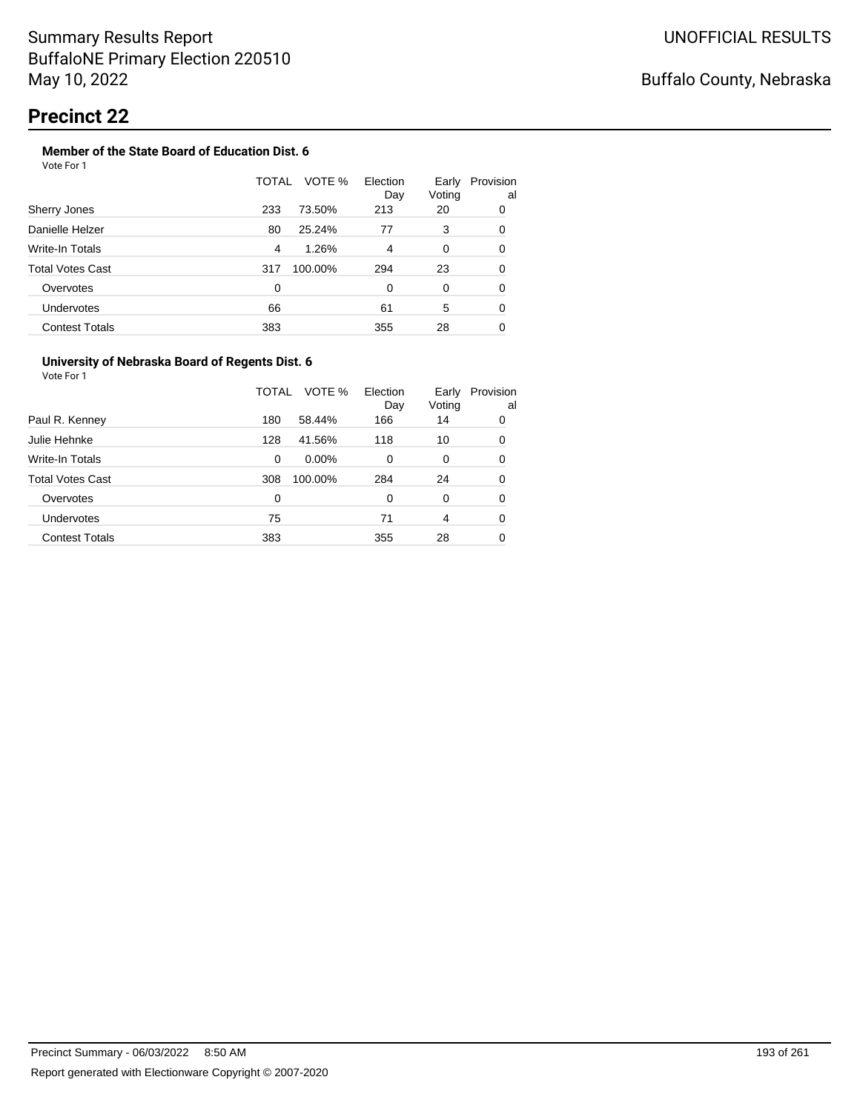#### **Member of the State Board of Education Dist. 6** Vote For 1

|                         | VOTE %<br>TOTAL | Election   | Early        | Provision |
|-------------------------|-----------------|------------|--------------|-----------|
| Sherry Jones            | 233<br>73.50%   | Day<br>213 | Voting<br>20 | al<br>0   |
| Danielle Helzer         | 25.24%<br>80    | 77         | 3            | 0         |
| Write-In Totals         | 1.26%<br>4      | 4          | 0            | 0         |
| <b>Total Votes Cast</b> | 100.00%<br>317  | 294        | 23           | 0         |
| Overvotes               | 0               | 0          | 0            | 0         |
| Undervotes              | 66              | 61         | 5            | 0         |
| <b>Contest Totals</b>   | 383             | 355        | 28           | 0         |

### **University of Nebraska Board of Regents Dist. 6**

|                       | TOTAL | VOTE %   | Election<br>Day | Early<br>Voting | Provision<br>al |
|-----------------------|-------|----------|-----------------|-----------------|-----------------|
| Paul R. Kenney        | 180   | 58.44%   | 166             | 14              | 0               |
| Julie Hehnke          | 128   | 41.56%   | 118             | 10              | 0               |
| Write-In Totals       | 0     | $0.00\%$ | 0               | 0               | 0               |
| Total Votes Cast      | 308   | 100.00%  | 284             | 24              | 0               |
| Overvotes             | 0     |          | 0               | 0               | 0               |
| <b>Undervotes</b>     | 75    |          | 71              | 4               | 0               |
| <b>Contest Totals</b> | 383   |          | 355             | 28              | 0               |
|                       |       |          |                 |                 |                 |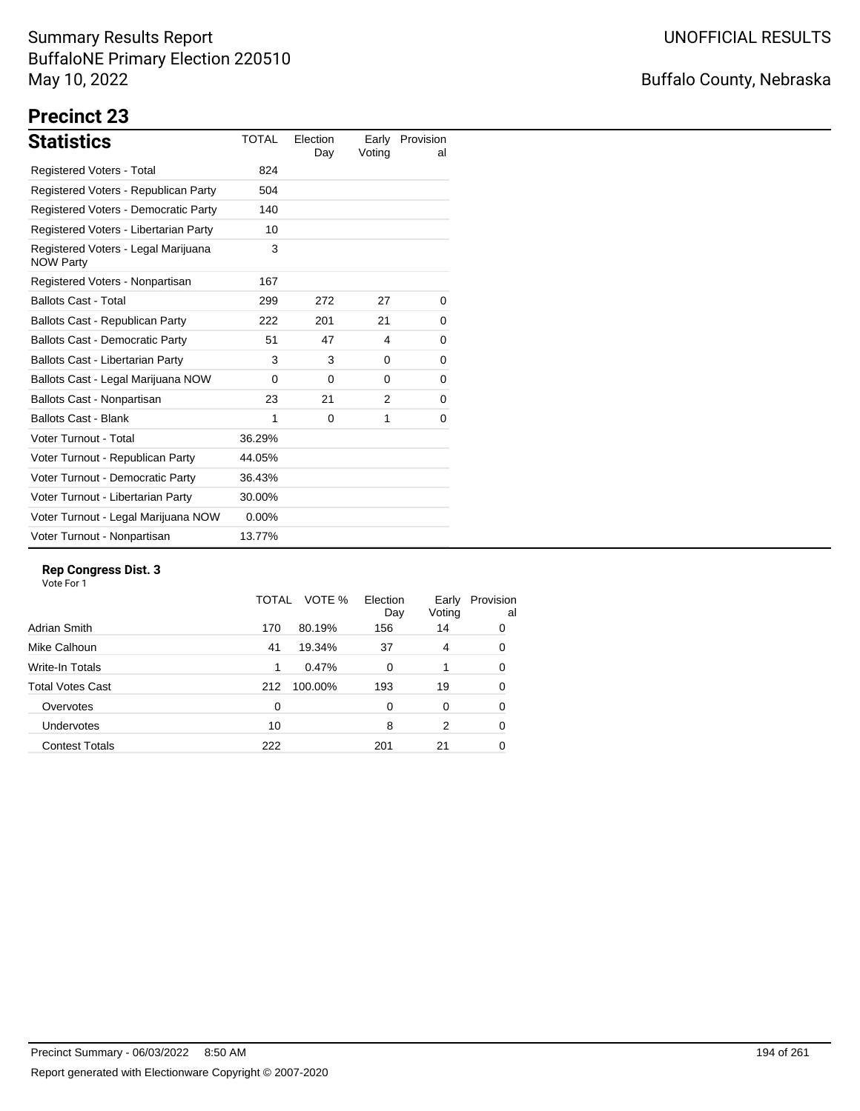# Buffalo County, Nebraska

# **Precinct 23**

| <b>Statistics</b>                                       | <b>TOTAL</b> | Election<br>Day | Early<br>Voting | Provision<br>al |
|---------------------------------------------------------|--------------|-----------------|-----------------|-----------------|
| <b>Registered Voters - Total</b>                        | 824          |                 |                 |                 |
| Registered Voters - Republican Party                    | 504          |                 |                 |                 |
| Registered Voters - Democratic Party                    | 140          |                 |                 |                 |
| Registered Voters - Libertarian Party                   | 10           |                 |                 |                 |
| Registered Voters - Legal Marijuana<br><b>NOW Party</b> | 3            |                 |                 |                 |
| Registered Voters - Nonpartisan                         | 167          |                 |                 |                 |
| <b>Ballots Cast - Total</b>                             | 299          | 272             | 27              | 0               |
| Ballots Cast - Republican Party                         | 222          | 201             | 21              | 0               |
| <b>Ballots Cast - Democratic Party</b>                  | 51           | 47              | 4               | 0               |
| Ballots Cast - Libertarian Party                        | 3            | 3               | 0               | 0               |
| Ballots Cast - Legal Marijuana NOW                      | $\Omega$     | $\Omega$        | $\Omega$        | 0               |
| Ballots Cast - Nonpartisan                              | 23           | 21              | $\mathcal{P}$   | 0               |
| <b>Ballots Cast - Blank</b>                             | 1            | $\Omega$        | 1               | 0               |
| Voter Turnout - Total                                   | 36.29%       |                 |                 |                 |
| Voter Turnout - Republican Party                        | 44.05%       |                 |                 |                 |
| Voter Turnout - Democratic Party                        | 36.43%       |                 |                 |                 |
| Voter Turnout - Libertarian Party                       | 30.00%       |                 |                 |                 |
| Voter Turnout - Legal Marijuana NOW                     | $0.00\%$     |                 |                 |                 |
| Voter Turnout - Nonpartisan                             | 13.77%       |                 |                 |                 |

### **Rep Congress Dist. 3**

|                         | TOTAL    | VOTE %  | Election<br>Day | Early<br>Voting | Provision<br>al |
|-------------------------|----------|---------|-----------------|-----------------|-----------------|
| Adrian Smith            | 170      | 80.19%  | 156             | 14              | 0               |
| Mike Calhoun            | 41       | 19.34%  | 37              | 4               | 0               |
| Write-In Totals         | 1        | 0.47%   | $\Omega$        | 1               | 0               |
| <b>Total Votes Cast</b> | 212      | 100.00% | 193             | 19              | 0               |
| Overvotes               | $\Omega$ |         | $\Omega$        | 0               | 0               |
| Undervotes              | 10       |         | 8               | 2               | 0               |
| <b>Contest Totals</b>   | 222      |         | 201             | 21              | 0               |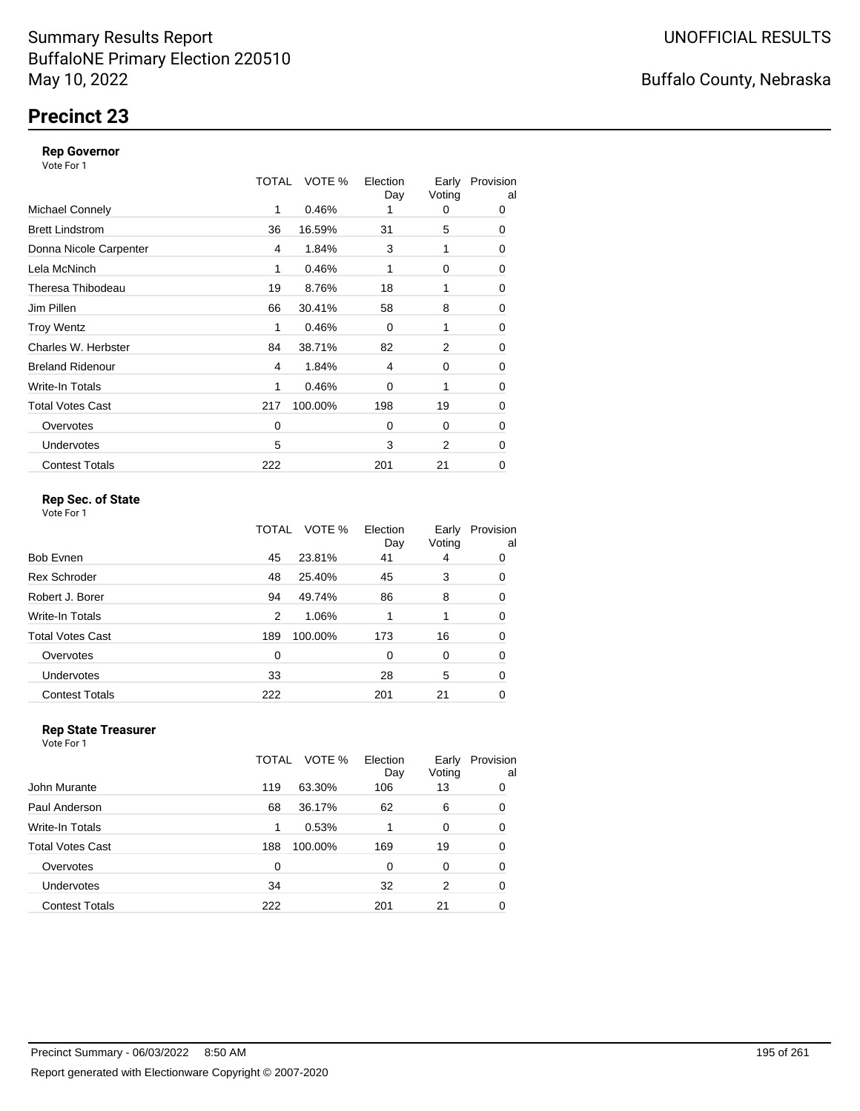# **Precinct 23**

### **Rep Governor**

Vote For 1

|                         | TOTAL | VOTE %  | Election<br>Day | Early<br>Voting | Provision<br>al |
|-------------------------|-------|---------|-----------------|-----------------|-----------------|
| <b>Michael Connely</b>  | 1     | 0.46%   |                 | 0               | 0               |
| <b>Brett Lindstrom</b>  | 36    | 16.59%  | 31              | 5               | 0               |
| Donna Nicole Carpenter  | 4     | 1.84%   | 3               | 1               | 0               |
| Lela McNinch            | 1     | 0.46%   | 1               | 0               | 0               |
| Theresa Thibodeau       | 19    | 8.76%   | 18              | 1               | 0               |
| Jim Pillen              | 66    | 30.41%  | 58              | 8               | 0               |
| <b>Troy Wentz</b>       | 1     | 0.46%   | $\Omega$        | 1               | 0               |
| Charles W. Herbster     | 84    | 38.71%  | 82              | 2               | 0               |
| <b>Breland Ridenour</b> | 4     | 1.84%   | 4               | 0               | 0               |
| Write-In Totals         | 1     | 0.46%   | 0               | 1               | 0               |
| <b>Total Votes Cast</b> | 217   | 100.00% | 198             | 19              | $\mathbf 0$     |
| Overvotes               | 0     |         | 0               | 0               | 0               |
| <b>Undervotes</b>       | 5     |         | 3               | 2               | 0               |
| <b>Contest Totals</b>   | 222   |         | 201             | 21              | 0               |

### **Rep Sec. of State**

Vote For 1

|                         | TOTAL | VOTE %  | Election<br>Day | Early<br>Voting | Provision<br>al |
|-------------------------|-------|---------|-----------------|-----------------|-----------------|
| <b>Bob Evnen</b>        | 45    | 23.81%  | 41              | 4               | 0               |
| <b>Rex Schroder</b>     | 48    | 25.40%  | 45              | 3               | 0               |
| Robert J. Borer         | 94    | 49.74%  | 86              | 8               | 0               |
| Write-In Totals         | 2     | 1.06%   |                 |                 | 0               |
| <b>Total Votes Cast</b> | 189   | 100.00% | 173             | 16              | 0               |
| Overvotes               | 0     |         | 0               | 0               | 0               |
| Undervotes              | 33    |         | 28              | 5               | 0               |
| <b>Contest Totals</b>   | 222   |         | 201             | 21              | 0               |

#### **Rep State Treasurer** Vote For 1

|                       | TOTAL | VOTE %  | Election<br>Day | Early<br>Voting | Provision<br>al |
|-----------------------|-------|---------|-----------------|-----------------|-----------------|
| John Murante          | 119   | 63.30%  | 106             | 13              | 0               |
| Paul Anderson         | 68    | 36.17%  | 62              | 6               | 0               |
| Write-In Totals       |       | 0.53%   | 1               | 0               | 0               |
| Total Votes Cast      | 188   | 100.00% | 169             | 19              | 0               |
| Overvotes             | 0     |         | 0               | 0               | 0               |
| <b>Undervotes</b>     | 34    |         | 32              | 2               | 0               |
| <b>Contest Totals</b> | 222   |         | 201             | 21              | 0               |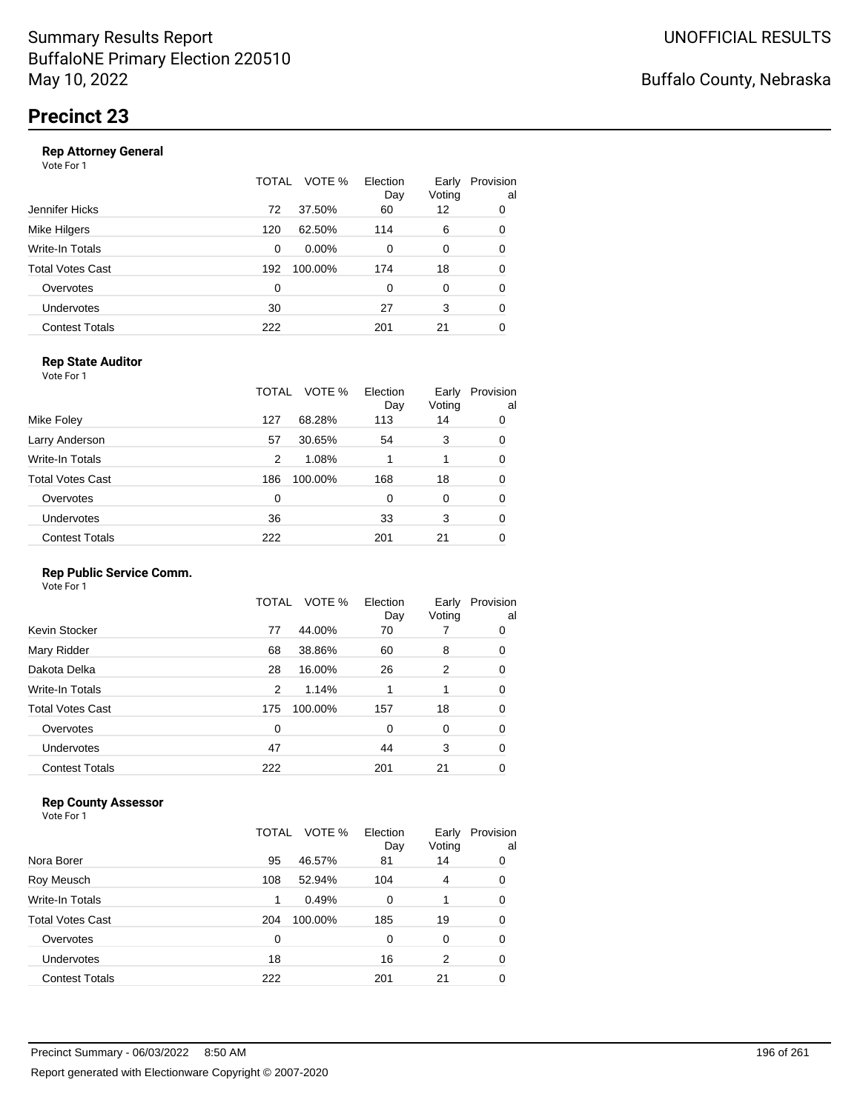|                       | TOTAL | VOTE %   | Election<br>Day | Early<br>Voting | Provision<br>al |
|-----------------------|-------|----------|-----------------|-----------------|-----------------|
| Jennifer Hicks        | 72    | 37.50%   | 60              | 12              | 0               |
| Mike Hilgers          | 120   | 62.50%   | 114             | 6               | 0               |
| Write-In Totals       | 0     | $0.00\%$ | 0               | 0               | 0               |
| Total Votes Cast      | 192   | 100.00%  | 174             | 18              | 0               |
| Overvotes             | 0     |          | 0               | 0               | 0               |
| <b>Undervotes</b>     | 30    |          | 27              | 3               | 0               |
| <b>Contest Totals</b> | 222   |          | 201             | 21              | 0               |

### **Rep State Auditor**

Vote For 1

|                       | TOTAL | VOTE %  | Election<br>Day | Early<br>Voting | Provision<br>al |
|-----------------------|-------|---------|-----------------|-----------------|-----------------|
| Mike Foley            | 127   | 68.28%  | 113             | 14              | 0               |
| Larry Anderson        | 57    | 30.65%  | 54              | 3               | 0               |
| Write-In Totals       | 2     | 1.08%   | 1               |                 | 0               |
| Total Votes Cast      | 186   | 100.00% | 168             | 18              | 0               |
| Overvotes             | 0     |         | 0               | 0               | 0               |
| <b>Undervotes</b>     | 36    |         | 33              | 3               | 0               |
| <b>Contest Totals</b> | 222   |         | 201             | 21              | 0               |

### **Rep Public Service Comm.**

Vote For 1

|                       | TOTAL | VOTE %  | Election<br>Day | Early<br>Voting | Provision<br>al |
|-----------------------|-------|---------|-----------------|-----------------|-----------------|
| Kevin Stocker         | 77    | 44.00%  | 70              |                 | 0               |
| Mary Ridder           | 68    | 38.86%  | 60              | 8               | 0               |
| Dakota Delka          | 28    | 16.00%  | 26              | 2               | 0               |
| Write-In Totals       | 2     | 1.14%   | 1               | 1               | 0               |
| Total Votes Cast      | 175   | 100.00% | 157             | 18              | 0               |
| Overvotes             | 0     |         | 0               | 0               | 0               |
| <b>Undervotes</b>     | 47    |         | 44              | 3               | 0               |
| <b>Contest Totals</b> | 222   |         | 201             | 21              | 0               |
|                       |       |         |                 |                 |                 |

### **Rep County Assessor**

|                       | TOTAL | VOTE %  | Election<br>Day | Early<br>Voting | Provision<br>al |
|-----------------------|-------|---------|-----------------|-----------------|-----------------|
| Nora Borer            | 95    | 46.57%  | 81              | 14              | 0               |
| Roy Meusch            | 108   | 52.94%  | 104             | 4               | 0               |
| Write-In Totals       | 1     | 0.49%   | 0               |                 | 0               |
| Total Votes Cast      | 204   | 100.00% | 185             | 19              | 0               |
| Overvotes             | 0     |         | 0               | $\Omega$        | 0               |
| <b>Undervotes</b>     | 18    |         | 16              | 2               | 0               |
| <b>Contest Totals</b> | 222   |         | 201             | 21              | 0               |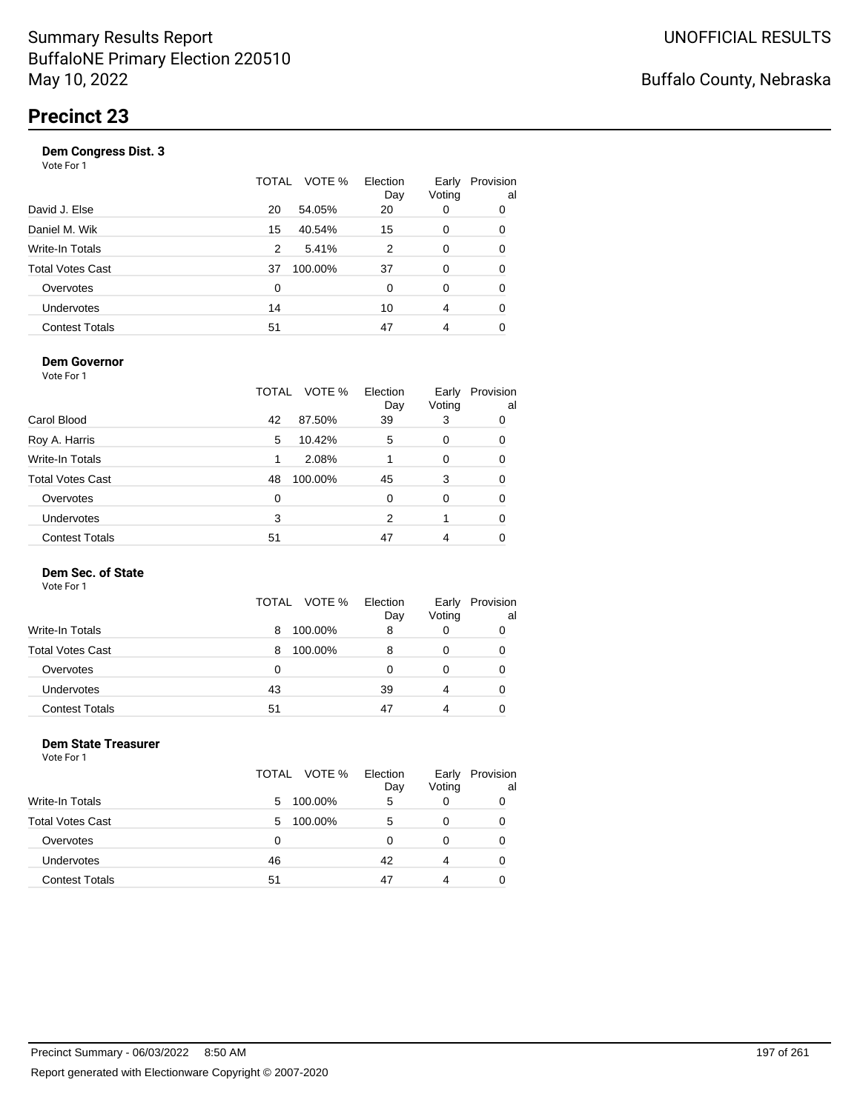| Vote For 1            |       |         |                 |                 |                 |
|-----------------------|-------|---------|-----------------|-----------------|-----------------|
|                       | TOTAL | VOTE %  | Election<br>Day | Early<br>Voting | Provision<br>al |
| David J. Else         | 20    | 54.05%  | 20              | 0               | 0               |
| Daniel M. Wik         | 15    | 40.54%  | 15              | 0               | 0               |
| Write-In Totals       | 2     | 5.41%   | 2               | 0               | 0               |
| Total Votes Cast      | 37    | 100.00% | 37              | 0               | 0               |
| Overvotes             | 0     |         | 0               | $\Omega$        | 0               |
| <b>Undervotes</b>     | 14    |         | 10              | 4               | 0               |
| <b>Contest Totals</b> | 51    |         | 47              | 4               | 0               |
|                       |       |         |                 |                 |                 |

### **Dem Governor**

Vote For 1

|                         | VOTE %<br>TOTAL | Election<br>Day | Early<br>Voting | Provision<br>al |
|-------------------------|-----------------|-----------------|-----------------|-----------------|
| Carol Blood             | 87.50%<br>42    | 39              | 3               | 0               |
| Roy A. Harris           | 10.42%<br>5     | 5               | 0               | 0               |
| Write-In Totals         | 2.08%           |                 | $\Omega$        | 0               |
| <b>Total Votes Cast</b> | 100.00%<br>48   | 45              | 3               | 0               |
| Overvotes               | 0               | $\Omega$        | $\Omega$        | 0               |
| Undervotes              | 3               | 2               |                 | 0               |
| <b>Contest Totals</b>   | 51              | 47              |                 |                 |

### **Dem Sec. of State**

Vote For 1

|                         | VOTE %<br>TOTAL | Election<br>Day | Early<br>Voting | Provision<br>al |
|-------------------------|-----------------|-----------------|-----------------|-----------------|
| <b>Write-In Totals</b>  | 100.00%<br>8    | 8               |                 |                 |
| <b>Total Votes Cast</b> | 100.00%<br>8    | 8               |                 |                 |
| Overvotes               | 0               |                 |                 |                 |
| Undervotes              | 43              | 39              | 4               |                 |
| <b>Contest Totals</b>   | 51              | 47              | 4               |                 |

#### **Dem State Treasurer** Vote For 1

|    |         | Election<br>Day | Early<br>Voting | Provision<br>al |
|----|---------|-----------------|-----------------|-----------------|
| 5  | 100.00% | 5               | 0               |                 |
| 5  | 100.00% | 5               | 0               |                 |
| 0  |         | 0               | 0               | 0               |
| 46 |         | 42              | 4               | 0               |
| 51 |         | 47              | 4               |                 |
|    |         | TOTAL VOTE %    |                 |                 |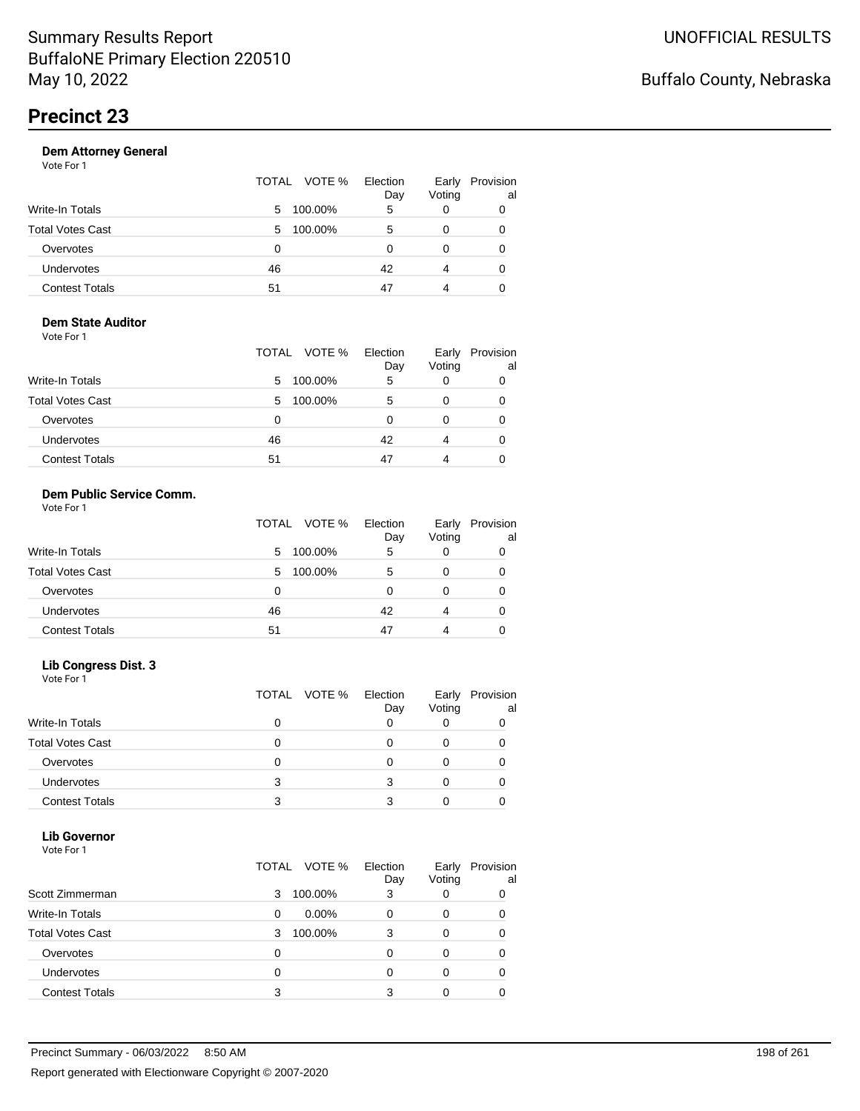|                       | TOTAL VOTE % | Election<br>Day | Early<br>Voting | Provision<br>al |
|-----------------------|--------------|-----------------|-----------------|-----------------|
| Write-In Totals       | 100.00%<br>5 | 5               |                 | 0               |
| Total Votes Cast      | 100.00%<br>5 | 5               |                 | 0               |
| Overvotes             | 0            |                 |                 | 0               |
| <b>Undervotes</b>     | 46           | 42              | 4               | 0               |
| <b>Contest Totals</b> | 51           | 47              | 4               |                 |

#### **Dem State Auditor** Vote For 1

|                         | TOTAL VOTE % | Election<br>Day | Early<br>Voting | Provision<br>al |
|-------------------------|--------------|-----------------|-----------------|-----------------|
| <b>Write-In Totals</b>  | 100.00%<br>5 | 5               |                 |                 |
| <b>Total Votes Cast</b> | 100.00%<br>5 | 5               |                 |                 |
| Overvotes               | 0            | O               | O               |                 |
| <b>Undervotes</b>       | 46           | 42              | 4               |                 |
| <b>Contest Totals</b>   | 51           | 47              | 4               |                 |

#### **Dem Public Service Comm.** Vote For 1

|                         | TOTAL VOTE % | Election<br>Day | Early<br>Voting | Provision<br>al |
|-------------------------|--------------|-----------------|-----------------|-----------------|
| Write-In Totals         | 100.00%<br>5 | 5               | 0               | 0               |
| <b>Total Votes Cast</b> | 100.00%<br>5 | 5               | 0               | 0               |
| Overvotes               | 0            |                 | 0               | 0               |
| <b>Undervotes</b>       | 46           | 42              | 4               | 0               |
| <b>Contest Totals</b>   | 51           | 47              | 4               |                 |

### **Lib Congress Dist. 3**

Vote For 1

|                         |   | TOTAL VOTE % | Election<br>Day | Early<br>Voting | Provision<br>al |
|-------------------------|---|--------------|-----------------|-----------------|-----------------|
| <b>Write-In Totals</b>  |   |              |                 |                 |                 |
| <b>Total Votes Cast</b> |   |              |                 |                 |                 |
| Overvotes               |   |              |                 |                 |                 |
| <b>Undervotes</b>       | 3 |              |                 |                 |                 |
| <b>Contest Totals</b>   | 3 |              |                 |                 |                 |

### **Lib Governor**

| Vote For 1              |                      |                 |                 |                 |
|-------------------------|----------------------|-----------------|-----------------|-----------------|
|                         | TOTAL VOTE %         | Election<br>Day | Early<br>Voting | Provision<br>al |
| Scott Zimmerman         | 3<br>100.00%         | 3               | 0               | 0               |
| Write-In Totals         | $0.00\%$<br>$\Omega$ | 0               | 0               | 0               |
| <b>Total Votes Cast</b> | 100.00%<br>3         | 3               | 0               | 0               |
| Overvotes               | 0                    | $\Omega$        | 0               | ∩               |
| <b>Undervotes</b>       | 0                    | 0               | 0               | 0               |
| <b>Contest Totals</b>   | 3                    | 3               | 0               |                 |
|                         |                      |                 |                 |                 |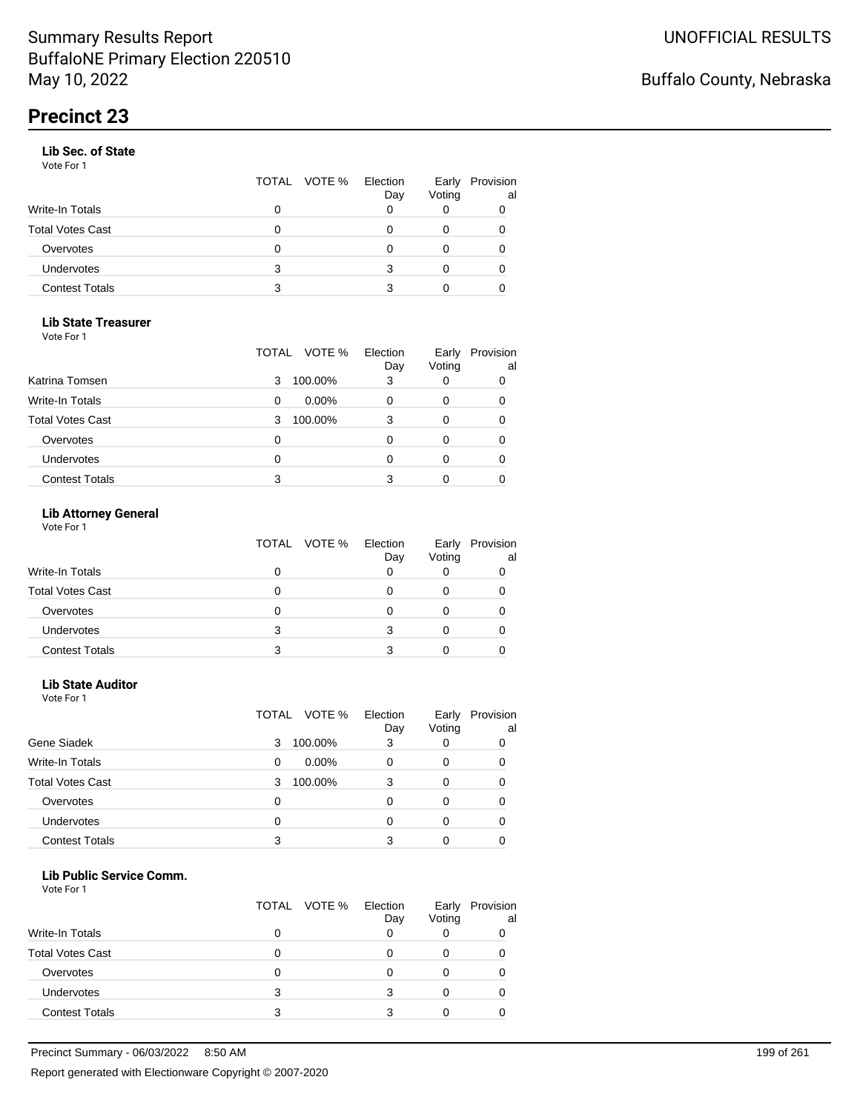### **Lib Sec. of State**

Vote For 1

|                       |   | TOTAL VOTE % Election | Day | Early<br>Voting | Provision<br>al |
|-----------------------|---|-----------------------|-----|-----------------|-----------------|
| Write-In Totals       |   |                       |     |                 |                 |
| Total Votes Cast      |   |                       |     |                 |                 |
| Overvotes             | 0 |                       |     |                 |                 |
| Undervotes            | 3 |                       | 3   | 0               | 0               |
| <b>Contest Totals</b> | 3 |                       |     |                 |                 |

### **Lib State Treasurer**

Vote For 1

|                         | VOTE %<br>TOTAL | Election<br>Day | Early<br>Voting | Provision<br>al |
|-------------------------|-----------------|-----------------|-----------------|-----------------|
| Katrina Tomsen          | 100.00%<br>3    | 3               | 0               | 0               |
| <b>Write-In Totals</b>  | $0.00\%$<br>0   |                 | O               | 0               |
| <b>Total Votes Cast</b> | 100.00%<br>3    | 3               | 0               | 0               |
| Overvotes               | 0               |                 | Ω               | O               |
| Undervotes              | 0               |                 | 0               |                 |
| <b>Contest Totals</b>   | 3               |                 |                 |                 |

### **Lib Attorney General**

|                         |   | TOTAL VOTE % Election | Day | Early<br>Voting | Provision<br>al |
|-------------------------|---|-----------------------|-----|-----------------|-----------------|
| <b>Write-In Totals</b>  |   |                       |     |                 |                 |
| <b>Total Votes Cast</b> |   |                       |     |                 |                 |
| Overvotes               |   |                       |     |                 |                 |
| <b>Undervotes</b>       | 3 |                       |     |                 |                 |
| <b>Contest Totals</b>   |   |                       |     |                 |                 |

### **Lib State Auditor**

Vote For 1

|                         | VOTE %<br>TOTAL | Election<br>Day | Early<br>Voting | Provision<br>al |
|-------------------------|-----------------|-----------------|-----------------|-----------------|
| Gene Siadek             | 100.00%<br>3    | 3               |                 | 0               |
| <b>Write-In Totals</b>  | $0.00\%$<br>0   |                 |                 | 0               |
| <b>Total Votes Cast</b> | 100.00%<br>3    | 3               |                 | 0               |
| Overvotes               | 0               | O               |                 | 0               |
| Undervotes              | 0               |                 |                 | Ω               |
| <b>Contest Totals</b>   | 3               | 3               |                 |                 |

#### **Lib Public Service Comm.**

|                         |   | TOTAL VOTE % | Election<br>Day | Early<br>Voting | Provision<br>al |
|-------------------------|---|--------------|-----------------|-----------------|-----------------|
| <b>Write-In Totals</b>  | O |              |                 |                 |                 |
| <b>Total Votes Cast</b> |   |              |                 |                 |                 |
| Overvotes               | 0 |              |                 |                 |                 |
| <b>Undervotes</b>       | 3 |              | 3               |                 |                 |
| <b>Contest Totals</b>   | 3 |              | ર               |                 |                 |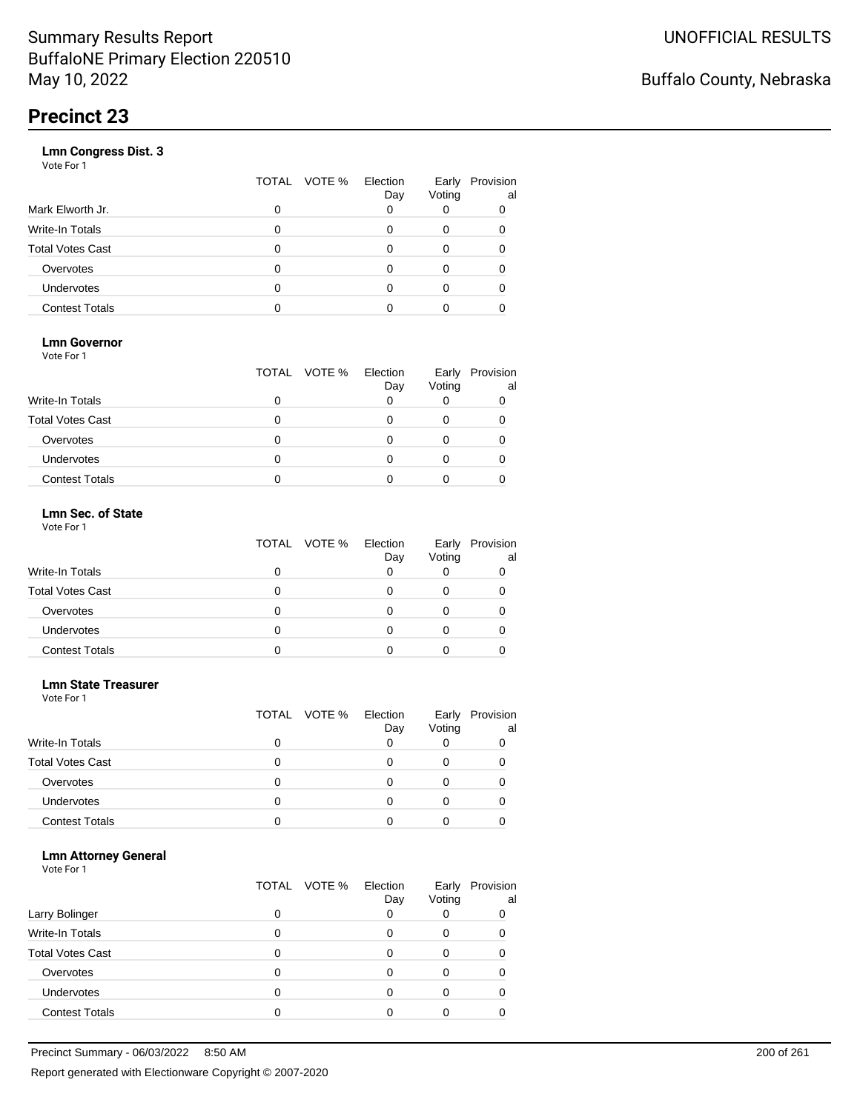|                       | VOTE %<br>TOTAL | Election<br>Day | Early<br>Voting | Provision<br>al |
|-----------------------|-----------------|-----------------|-----------------|-----------------|
| Mark Elworth Jr.      | 0               |                 |                 | 0               |
| Write-In Totals       | O               |                 | 0               | 0               |
| Total Votes Cast      | O               |                 | 0               |                 |
| Overvotes             | 0               |                 | 0               |                 |
| <b>Undervotes</b>     | O               |                 | Ω               |                 |
| <b>Contest Totals</b> |                 |                 |                 |                 |
|                       |                 |                 |                 |                 |

### **Lmn Governor**

Vote For 1

|                         | TOTAL VOTE % Election | Day | Early<br>Voting | Provision<br>al |
|-------------------------|-----------------------|-----|-----------------|-----------------|
| <b>Write-In Totals</b>  |                       |     |                 |                 |
| <b>Total Votes Cast</b> |                       |     |                 |                 |
| Overvotes               |                       |     |                 |                 |
| <b>Undervotes</b>       |                       |     |                 |                 |
| <b>Contest Totals</b>   |                       |     |                 |                 |

#### **Lmn Sec. of State** Vote For 1

|                         | TOTAL VOTE % | Election<br>Day | Voting | Early Provision<br>al |
|-------------------------|--------------|-----------------|--------|-----------------------|
| <b>Write-In Totals</b>  |              |                 |        |                       |
| <b>Total Votes Cast</b> | 0            |                 |        |                       |
| Overvotes               | 0            |                 |        |                       |
| Undervotes              | Ω            |                 |        |                       |
| <b>Contest Totals</b>   |              |                 |        |                       |

#### **Lmn State Treasurer**

Vote For 1

|                         |   | TOTAL VOTE % | Election<br>Day | Early<br>Voting | Provision<br>al |
|-------------------------|---|--------------|-----------------|-----------------|-----------------|
| <b>Write-In Totals</b>  |   |              |                 |                 |                 |
| <b>Total Votes Cast</b> | O |              |                 |                 |                 |
| Overvotes               | 0 |              | Ω               | O               |                 |
| Undervotes              | O |              |                 |                 |                 |
| <b>Contest Totals</b>   |   |              |                 |                 |                 |

### **Lmn Attorney General**

|                         |   | TOTAL VOTE % | Election<br>Day | Early<br>Voting | Provision<br>al |
|-------------------------|---|--------------|-----------------|-----------------|-----------------|
| Larry Bolinger          |   |              |                 |                 | 0               |
| Write-In Totals         |   |              |                 | O               |                 |
| <b>Total Votes Cast</b> |   |              |                 |                 |                 |
| Overvotes               |   |              |                 |                 |                 |
| <b>Undervotes</b>       | 0 |              |                 |                 |                 |
| <b>Contest Totals</b>   |   |              |                 |                 |                 |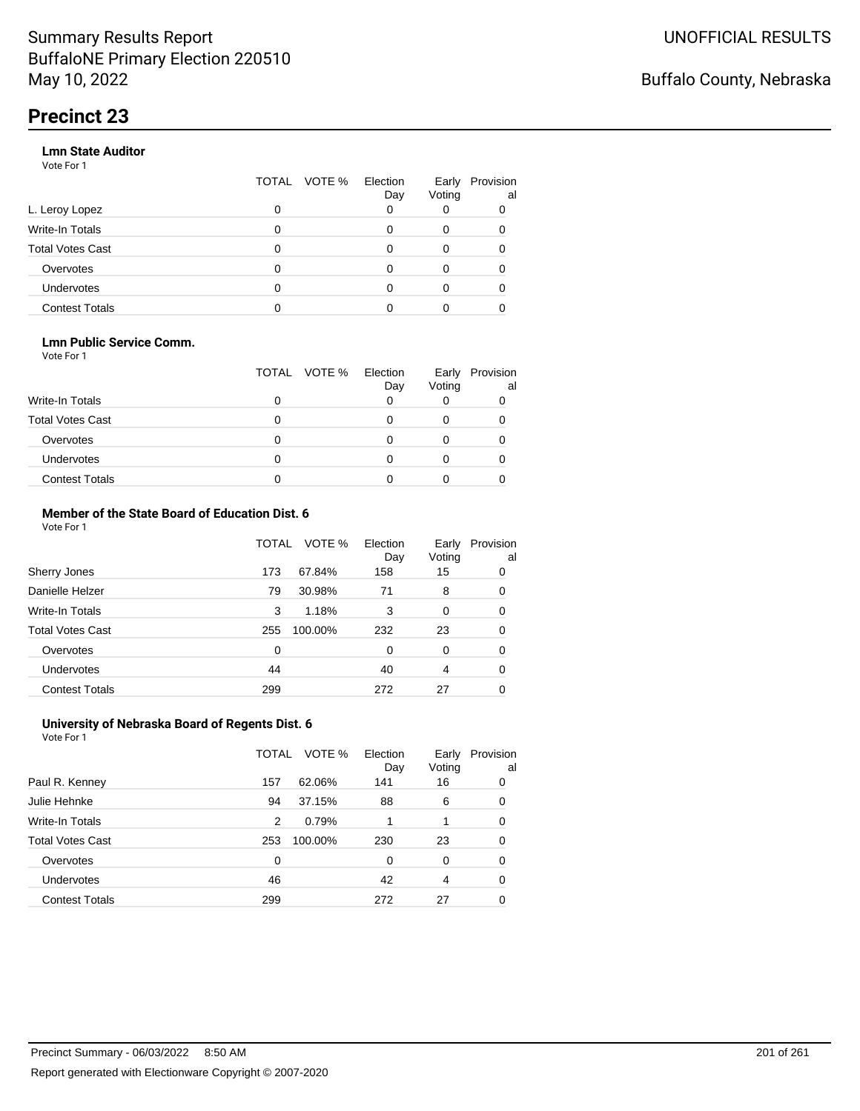### **Lmn State Auditor**

Vote For 1

|                         | TOTAL | VOTE % Election | Day | Early<br>Voting | Provision<br>al |
|-------------------------|-------|-----------------|-----|-----------------|-----------------|
| L. Leroy Lopez          | 0     |                 |     |                 |                 |
| Write-In Totals         | 0     |                 |     | 0               |                 |
| <b>Total Votes Cast</b> | 0     |                 |     | 0               |                 |
| Overvotes               | 0     |                 |     | 0               |                 |
| <b>Undervotes</b>       | 0     |                 |     |                 |                 |
| <b>Contest Totals</b>   |       |                 |     |                 |                 |

### **Lmn Public Service Comm.**

Vote For 1

|                         |   | TOTAL VOTE % | Election<br>Day | Early<br>Voting | Provision<br>al |
|-------------------------|---|--------------|-----------------|-----------------|-----------------|
| <b>Write-In Totals</b>  |   |              |                 |                 |                 |
| <b>Total Votes Cast</b> |   |              |                 |                 |                 |
| Overvotes               |   |              |                 |                 |                 |
| <b>Undervotes</b>       | 0 |              |                 |                 |                 |
| <b>Contest Totals</b>   |   |              |                 |                 |                 |

#### **Member of the State Board of Education Dist. 6** Vote For 1

|                         | TOTAL    | VOTE %  | Election<br>Day | Early<br>Voting | Provision<br>al |
|-------------------------|----------|---------|-----------------|-----------------|-----------------|
| Sherry Jones            | 173      | 67.84%  | 158             | 15              | 0               |
| Danielle Helzer         | 79       | 30.98%  | 71              | 8               | 0               |
| <b>Write-In Totals</b>  | 3        | 1.18%   | 3               | 0               | 0               |
| <b>Total Votes Cast</b> | 255      | 100.00% | 232             | 23              | 0               |
| Overvotes               | $\Omega$ |         | 0               | $\Omega$        | 0               |
| <b>Undervotes</b>       | 44       |         | 40              | 4               | 0               |
| <b>Contest Totals</b>   | 299      |         | 272             | 27              | 0               |

#### **University of Nebraska Board of Regents Dist. 6** Vote For 1

|                         | TOTAL | VOTE %  | Election<br>Day | Early<br>Voting | Provision<br>al |
|-------------------------|-------|---------|-----------------|-----------------|-----------------|
| Paul R. Kenney          | 157   | 62.06%  | 141             | 16              | 0               |
| Julie Hehnke            | 94    | 37.15%  | 88              | 6               | 0               |
| <b>Write-In Totals</b>  | 2     | 0.79%   |                 |                 | 0               |
| <b>Total Votes Cast</b> | 253   | 100.00% | 230             | 23              | 0               |
| Overvotes               | 0     |         | 0               | $\Omega$        | 0               |
| Undervotes              | 46    |         | 42              | 4               | 0               |
| <b>Contest Totals</b>   | 299   |         | 272             | 27              | 0               |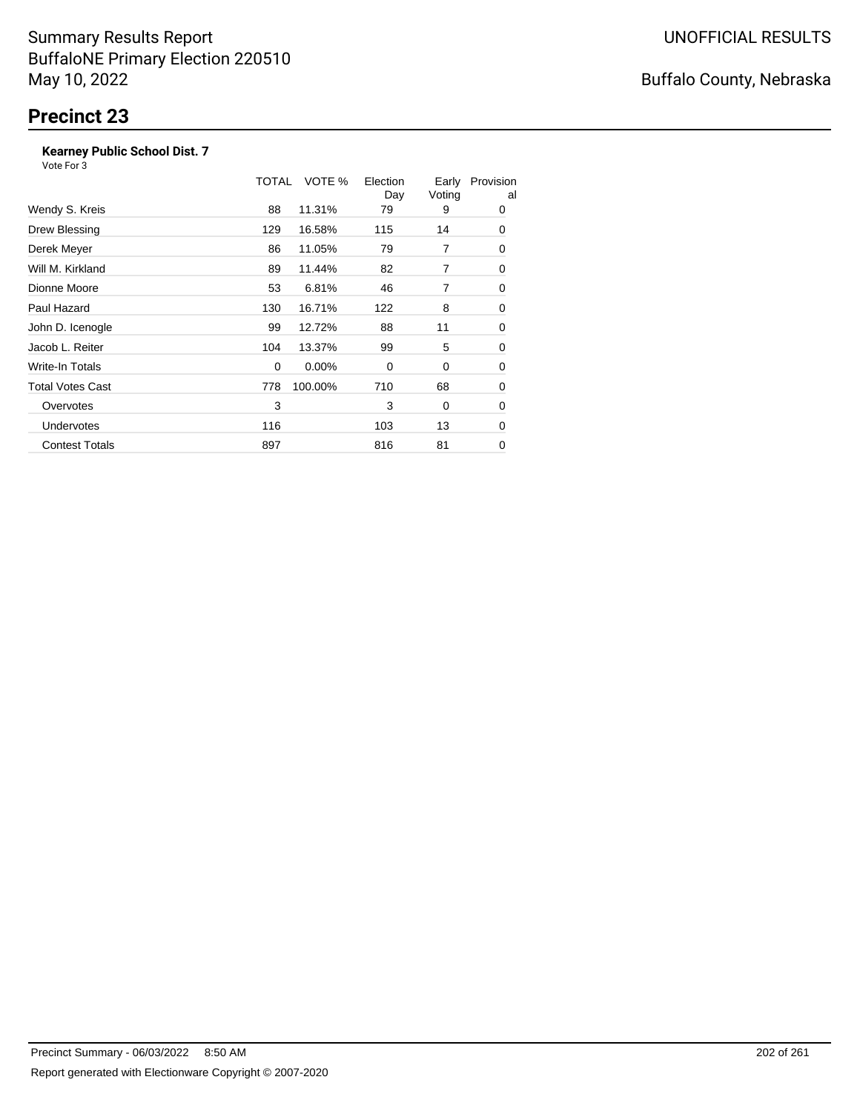### **Kearney Public School Dist. 7**

|                         | TOTAL | VOTE %   | Election<br>Day | Early<br>Voting | Provision<br>al |
|-------------------------|-------|----------|-----------------|-----------------|-----------------|
| Wendy S. Kreis          | 88    | 11.31%   | 79              | 9               | 0               |
| Drew Blessing           | 129   | 16.58%   | 115             | 14              | 0               |
| Derek Meyer             | 86    | 11.05%   | 79              | 7               | 0               |
| Will M. Kirkland        | 89    | 11.44%   | 82              | 7               | 0               |
| Dionne Moore            | 53    | 6.81%    | 46              | 7               | 0               |
| Paul Hazard             | 130   | 16.71%   | 122             | 8               | 0               |
| John D. Icenogle        | 99    | 12.72%   | 88              | 11              | 0               |
| Jacob L. Reiter         | 104   | 13.37%   | 99              | 5               | 0               |
| Write-In Totals         | 0     | $0.00\%$ | 0               | 0               | 0               |
| <b>Total Votes Cast</b> | 778   | 100.00%  | 710             | 68              | 0               |
| Overvotes               | 3     |          | 3               | 0               | 0               |
| <b>Undervotes</b>       | 116   |          | 103             | 13              | 0               |
| <b>Contest Totals</b>   | 897   |          | 816             | 81              | 0               |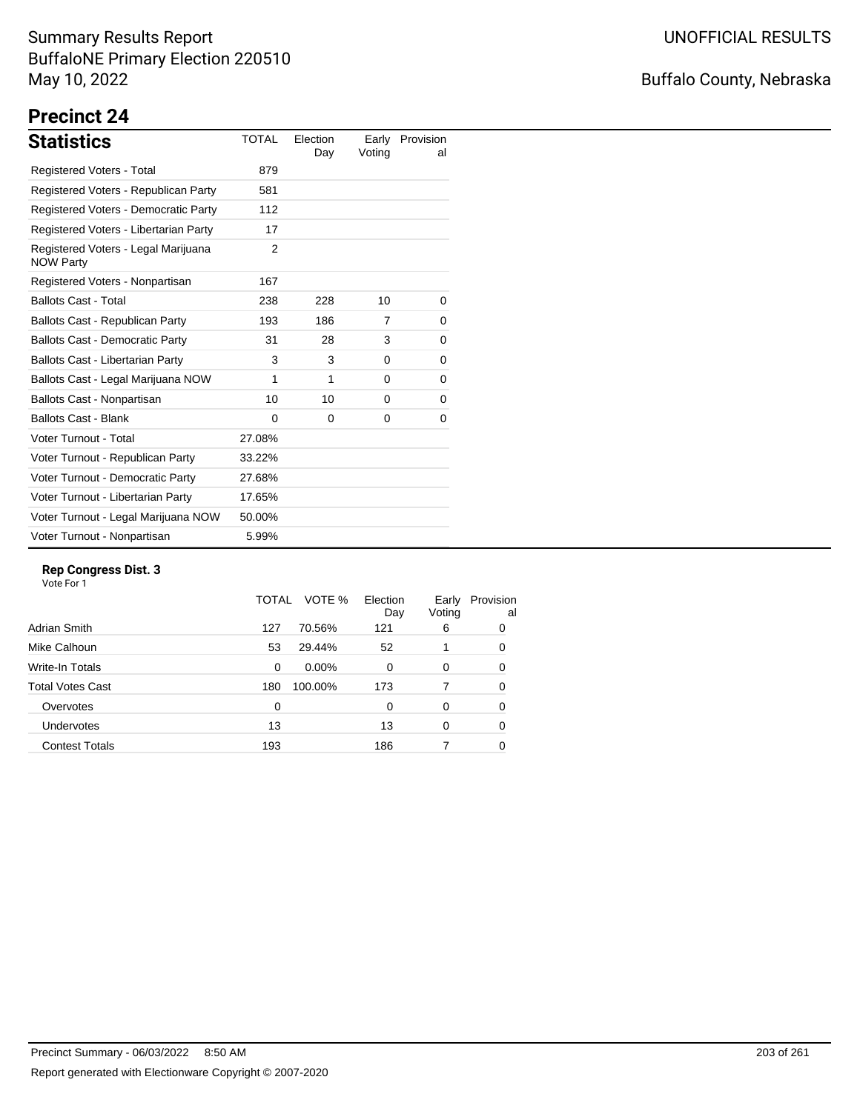# Buffalo County, Nebraska

# **Precinct 24**

| <b>Statistics</b>                                       | <b>TOTAL</b> | Election<br>Day | Earlv<br>Voting | Provision<br>al |
|---------------------------------------------------------|--------------|-----------------|-----------------|-----------------|
| <b>Registered Voters - Total</b>                        | 879          |                 |                 |                 |
| Registered Voters - Republican Party                    | 581          |                 |                 |                 |
| Registered Voters - Democratic Party                    | 112          |                 |                 |                 |
| Registered Voters - Libertarian Party                   | 17           |                 |                 |                 |
| Registered Voters - Legal Marijuana<br><b>NOW Party</b> | 2            |                 |                 |                 |
| Registered Voters - Nonpartisan                         | 167          |                 |                 |                 |
| <b>Ballots Cast - Total</b>                             | 238          | 228             | 10              | 0               |
| Ballots Cast - Republican Party                         | 193          | 186             | 7               | 0               |
| <b>Ballots Cast - Democratic Party</b>                  | 31           | 28              | 3               | 0               |
| <b>Ballots Cast - Libertarian Party</b>                 | 3            | 3               | $\Omega$        | 0               |
| Ballots Cast - Legal Marijuana NOW                      | 1            | 1               | 0               | 0               |
| Ballots Cast - Nonpartisan                              | 10           | 10              | 0               | 0               |
| <b>Ballots Cast - Blank</b>                             | 0            | $\Omega$        | 0               | 0               |
| Voter Turnout - Total                                   | 27.08%       |                 |                 |                 |
| Voter Turnout - Republican Party                        | 33.22%       |                 |                 |                 |
| Voter Turnout - Democratic Party                        | 27.68%       |                 |                 |                 |
| Voter Turnout - Libertarian Party                       | 17.65%       |                 |                 |                 |
| Voter Turnout - Legal Marijuana NOW                     | 50.00%       |                 |                 |                 |
| Voter Turnout - Nonpartisan                             | 5.99%        |                 |                 |                 |

### **Rep Congress Dist. 3**

|                       | TOTAL    | VOTE %   | Election<br>Day | Early<br>Voting | Provision<br>al |
|-----------------------|----------|----------|-----------------|-----------------|-----------------|
| Adrian Smith          | 127      | 70.56%   | 121             | 6               | 0               |
| Mike Calhoun          | 53       | 29.44%   | 52              |                 | 0               |
| Write-In Totals       | $\Omega$ | $0.00\%$ | 0               | $\Omega$        | 0               |
| Total Votes Cast      | 180      | 100.00%  | 173             | 7               | 0               |
| Overvotes             | 0        |          | $\Omega$        | $\Omega$        | 0               |
| <b>Undervotes</b>     | 13       |          | 13              | $\Omega$        | 0               |
| <b>Contest Totals</b> | 193      |          | 186             |                 | 0               |
|                       |          |          |                 |                 |                 |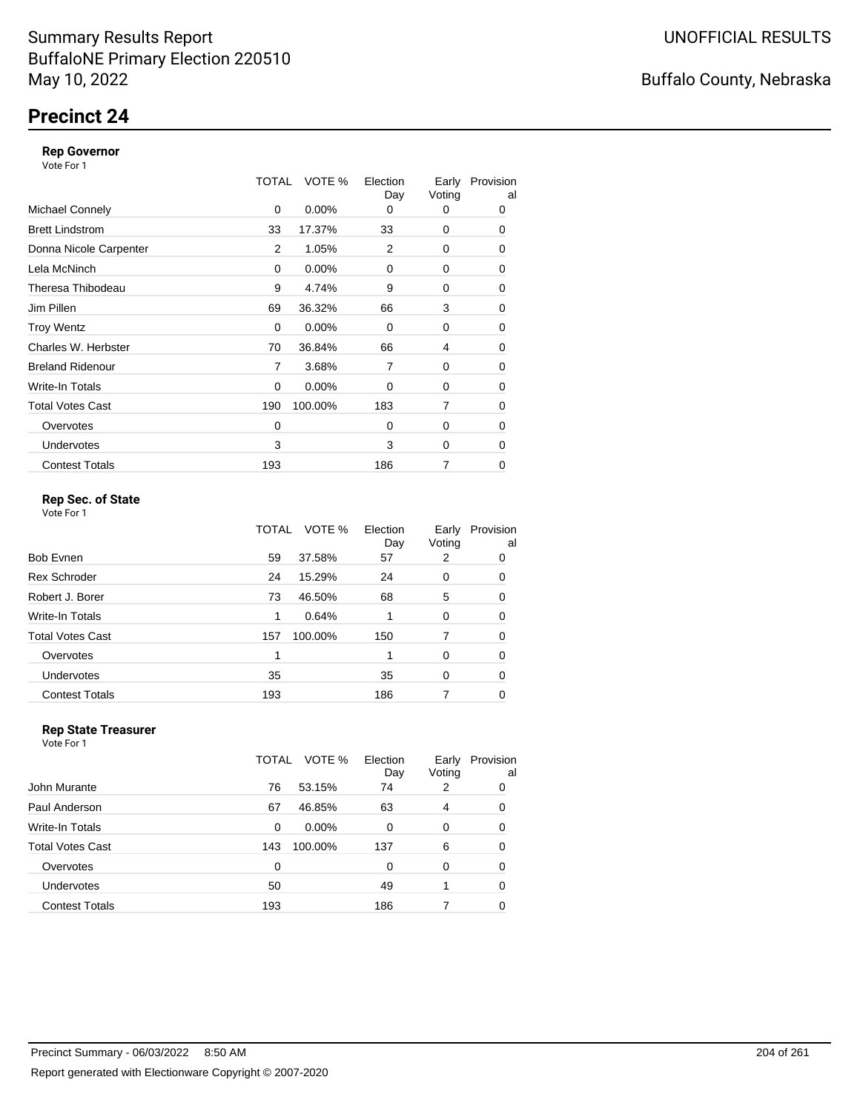# **Precinct 24**

### **Rep Governor**

Vote For 1

|                         | TOTAL | VOTE %   | Election<br>Day | Early<br>Voting | Provision<br>al |
|-------------------------|-------|----------|-----------------|-----------------|-----------------|
| <b>Michael Connely</b>  | 0     | $0.00\%$ | 0               | 0               | 0               |
| <b>Brett Lindstrom</b>  | 33    | 17.37%   | 33              | 0               | 0               |
| Donna Nicole Carpenter  | 2     | 1.05%    | 2               | 0               | 0               |
| Lela McNinch            | 0     | 0.00%    | 0               | 0               | 0               |
| Theresa Thibodeau       | 9     | 4.74%    | 9               | 0               | 0               |
| Jim Pillen              | 69    | 36.32%   | 66              | 3               | 0               |
| <b>Troy Wentz</b>       | 0     | $0.00\%$ | $\Omega$        | 0               | 0               |
| Charles W. Herbster     | 70    | 36.84%   | 66              | 4               | 0               |
| <b>Breland Ridenour</b> | 7     | 3.68%    | 7               | 0               | 0               |
| Write-In Totals         | 0     | $0.00\%$ | 0               | 0               | 0               |
| <b>Total Votes Cast</b> | 190   | 100.00%  | 183             | 7               | 0               |
| Overvotes               | 0     |          | $\Omega$        | 0               | 0               |
| <b>Undervotes</b>       | 3     |          | 3               | 0               | $\Omega$        |
| <b>Contest Totals</b>   | 193   |          | 186             | 7               | 0               |

### **Rep Sec. of State**

Vote For 1

|                         | TOTAL | VOTE %  | Election<br>Day | Early<br>Voting | Provision<br>al |
|-------------------------|-------|---------|-----------------|-----------------|-----------------|
| Bob Evnen               | 59    | 37.58%  | 57              | 2               | 0               |
| <b>Rex Schroder</b>     | 24    | 15.29%  | 24              | 0               | 0               |
| Robert J. Borer         | 73    | 46.50%  | 68              | 5               | 0               |
| Write-In Totals         | 1     | 0.64%   |                 | 0               | 0               |
| <b>Total Votes Cast</b> | 157   | 100.00% | 150             | 7               | 0               |
| Overvotes               | 1     |         |                 | $\Omega$        | 0               |
| <b>Undervotes</b>       | 35    |         | 35              | 0               | 0               |
| <b>Contest Totals</b>   | 193   |         | 186             |                 | 0               |

#### **Rep State Treasurer** Vote For 1

|                       | VOTE %<br>TOTAL | Election<br>Day | Early<br>Voting | Provision<br>al |
|-----------------------|-----------------|-----------------|-----------------|-----------------|
| John Murante          | 76<br>53.15%    | 74              | 2               | 0               |
| Paul Anderson         | 67<br>46.85%    | 63              | 4               | 0               |
| Write-In Totals       | $0.00\%$<br>0   | $\Omega$        | 0               | 0               |
| Total Votes Cast      | 100.00%<br>143  | 137             | 6               | 0               |
| Overvotes             | 0               | 0               | 0               | 0               |
| <b>Undervotes</b>     | 50              | 49              |                 | $\Omega$        |
| <b>Contest Totals</b> | 193             | 186             |                 | 0               |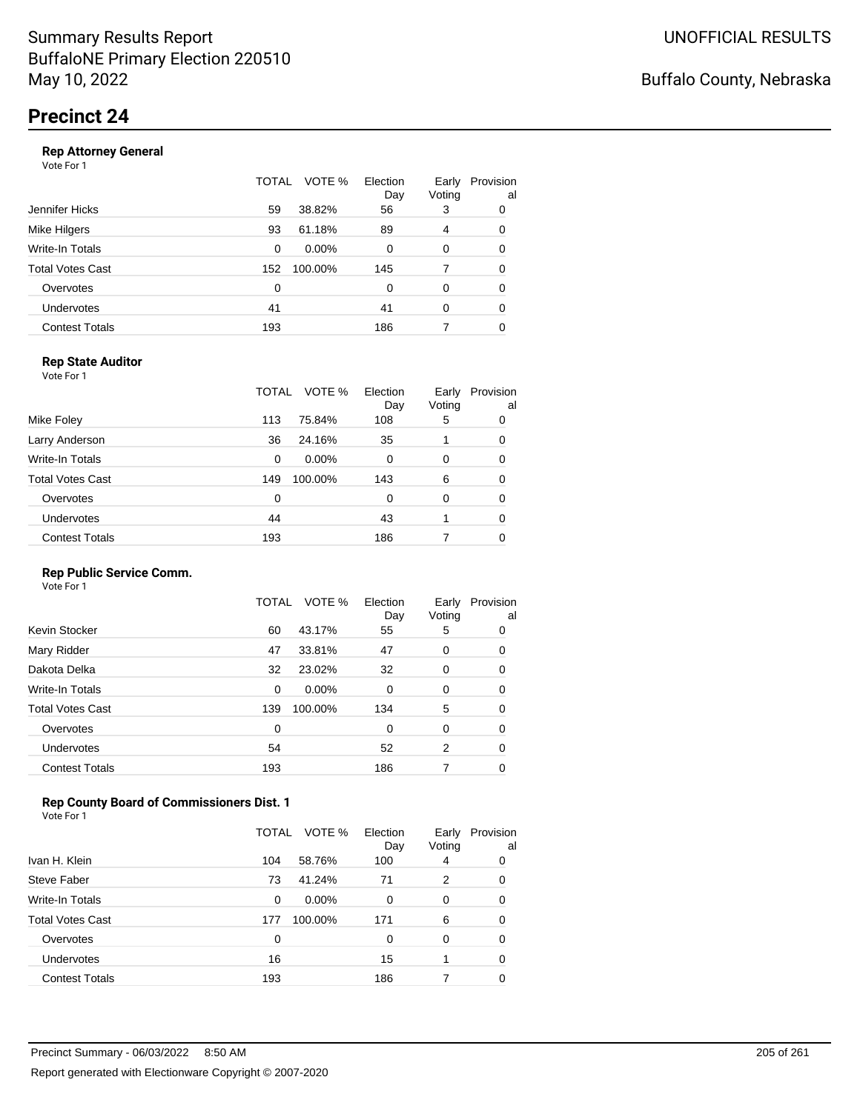|                       | TOTAL | VOTE %   | Election<br>Day | Early<br>Voting | Provision<br>al |
|-----------------------|-------|----------|-----------------|-----------------|-----------------|
| Jennifer Hicks        | 59    | 38.82%   | 56              | 3               | 0               |
| Mike Hilgers          | 93    | 61.18%   | 89              | 4               | 0               |
| Write-In Totals       | 0     | $0.00\%$ | 0               | 0               | 0               |
| Total Votes Cast      | 152   | 100.00%  | 145             | 7               | 0               |
| Overvotes             | 0     |          | $\Omega$        | 0               | 0               |
| <b>Undervotes</b>     | 41    |          | 41              | 0               | 0               |
| <b>Contest Totals</b> | 193   |          | 186             | 7               | 0               |

### **Rep State Auditor**

Vote For 1

|                         | TOTAL | VOTE %   | Election<br>Day | Early<br>Voting | Provision<br>al |
|-------------------------|-------|----------|-----------------|-----------------|-----------------|
| Mike Foley              | 113   | 75.84%   | 108             | 5               | 0               |
| Larry Anderson          | 36    | 24.16%   | 35              |                 | 0               |
| Write-In Totals         | 0     | $0.00\%$ | 0               | 0               | 0               |
| <b>Total Votes Cast</b> | 149   | 100.00%  | 143             | 6               | 0               |
| Overvotes               | 0     |          | 0               | 0               | 0               |
| <b>Undervotes</b>       | 44    |          | 43              |                 | 0               |
| <b>Contest Totals</b>   | 193   |          | 186             |                 | 0               |

### **Rep Public Service Comm.**

Vote For 1

|                         | TOTAL | VOTE %  | Election<br>Day | Early<br>Voting | Provision<br>al |
|-------------------------|-------|---------|-----------------|-----------------|-----------------|
| Kevin Stocker           | 60    | 43.17%  | 55              | 5               | 0               |
| Mary Ridder             | 47    | 33.81%  | 47              | 0               | 0               |
| Dakota Delka            | 32    | 23.02%  | 32              | 0               | 0               |
| Write-In Totals         | 0     | 0.00%   | 0               | 0               | 0               |
| <b>Total Votes Cast</b> | 139   | 100.00% | 134             | 5               | 0               |
| Overvotes               | 0     |         | 0               | 0               | 0               |
| <b>Undervotes</b>       | 54    |         | 52              | 2               | 0               |
| <b>Contest Totals</b>   | 193   |         | 186             | 7               | 0               |
|                         |       |         |                 |                 |                 |

### **Rep County Board of Commissioners Dist. 1**

Vote For 1

|                       | TOTAL | VOTE %   | Election<br>Day | Early<br>Voting | Provision<br>al |
|-----------------------|-------|----------|-----------------|-----------------|-----------------|
| Ivan H. Klein         | 104   | 58.76%   | 100             | 4               | 0               |
| Steve Faber           | 73    | 41.24%   | 71              | 2               | 0               |
| Write-In Totals       | 0     | $0.00\%$ | 0               | 0               | 0               |
| Total Votes Cast      | 177   | 100.00%  | 171             | 6               | 0               |
| Overvotes             | 0     |          | 0               | 0               | 0               |
| <b>Undervotes</b>     | 16    |          | 15              |                 | 0               |
| <b>Contest Totals</b> | 193   |          | 186             |                 | 0               |

Buffalo County, Nebraska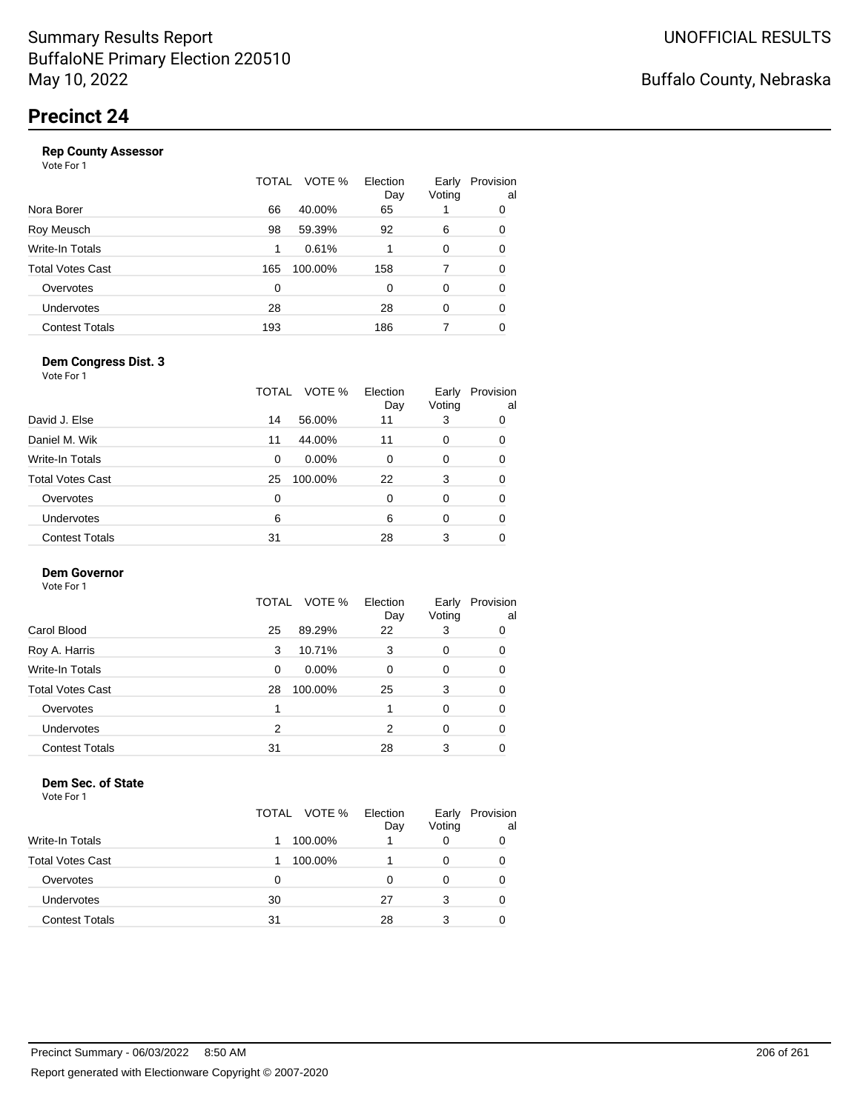|                       | TOTAL | VOTE %  | Election<br>Day | Early<br>Voting | Provision<br>al |
|-----------------------|-------|---------|-----------------|-----------------|-----------------|
| Nora Borer            | 66    | 40.00%  | 65              |                 | 0               |
| Roy Meusch            | 98    | 59.39%  | 92              | 6               | 0               |
| Write-In Totals       | 1     | 0.61%   |                 | 0               | 0               |
| Total Votes Cast      | 165   | 100.00% | 158             | 7               | 0               |
| Overvotes             | 0     |         | 0               | 0               | 0               |
| <b>Undervotes</b>     | 28    |         | 28              | $\Omega$        | 0               |
| <b>Contest Totals</b> | 193   |         | 186             |                 | 0               |
|                       |       |         |                 |                 |                 |

### **Dem Congress Dist. 3**

Vote For 1

|                         | TOTAL | VOTE %   | Election<br>Day | Early<br>Voting | Provision<br>al |
|-------------------------|-------|----------|-----------------|-----------------|-----------------|
| David J. Else           | 14    | 56.00%   | 11              | 3               | 0               |
| Daniel M. Wik           | 11    | 44.00%   | 11              | 0               | 0               |
| Write-In Totals         | 0     | $0.00\%$ | 0               | 0               | 0               |
| <b>Total Votes Cast</b> | 25    | 100.00%  | 22              | 3               | 0               |
| Overvotes               | 0     |          | 0               | $\Omega$        | 0               |
| <b>Undervotes</b>       | 6     |          | 6               | $\Omega$        | 0               |
| <b>Contest Totals</b>   | 31    |          | 28              | 3               | 0               |

### **Dem Governor**

Vote For 1

|                       |    | TOTAL VOTE % | Election<br>Day | Early<br>Voting | Provision<br>al |
|-----------------------|----|--------------|-----------------|-----------------|-----------------|
| Carol Blood           | 25 | 89.29%       | 22              | 3               | 0               |
| Roy A. Harris         | 3  | 10.71%       | 3               | 0               | 0               |
| Write-In Totals       | 0  | $0.00\%$     | 0               | 0               | 0               |
| Total Votes Cast      | 28 | 100.00%      | 25              | 3               | 0               |
| Overvotes             |    |              |                 | 0               | 0               |
| <b>Undervotes</b>     | 2  |              | 2               | 0               | 0               |
| <b>Contest Totals</b> | 31 |              | 28              | 3               | 0               |

#### **Dem Sec. of State**

|                         | TOTAL VOTE % | Election<br>Day | Early<br>Voting | Provision<br>al |
|-------------------------|--------------|-----------------|-----------------|-----------------|
| <b>Write-In Totals</b>  | 100.00%      |                 |                 | 0               |
| <b>Total Votes Cast</b> | 100.00%      |                 |                 | O               |
| Overvotes               | 0            |                 |                 | 0               |
| Undervotes              | 30           | 27              | 3               | 0               |
| <b>Contest Totals</b>   | 31           | 28              | 3               | 0               |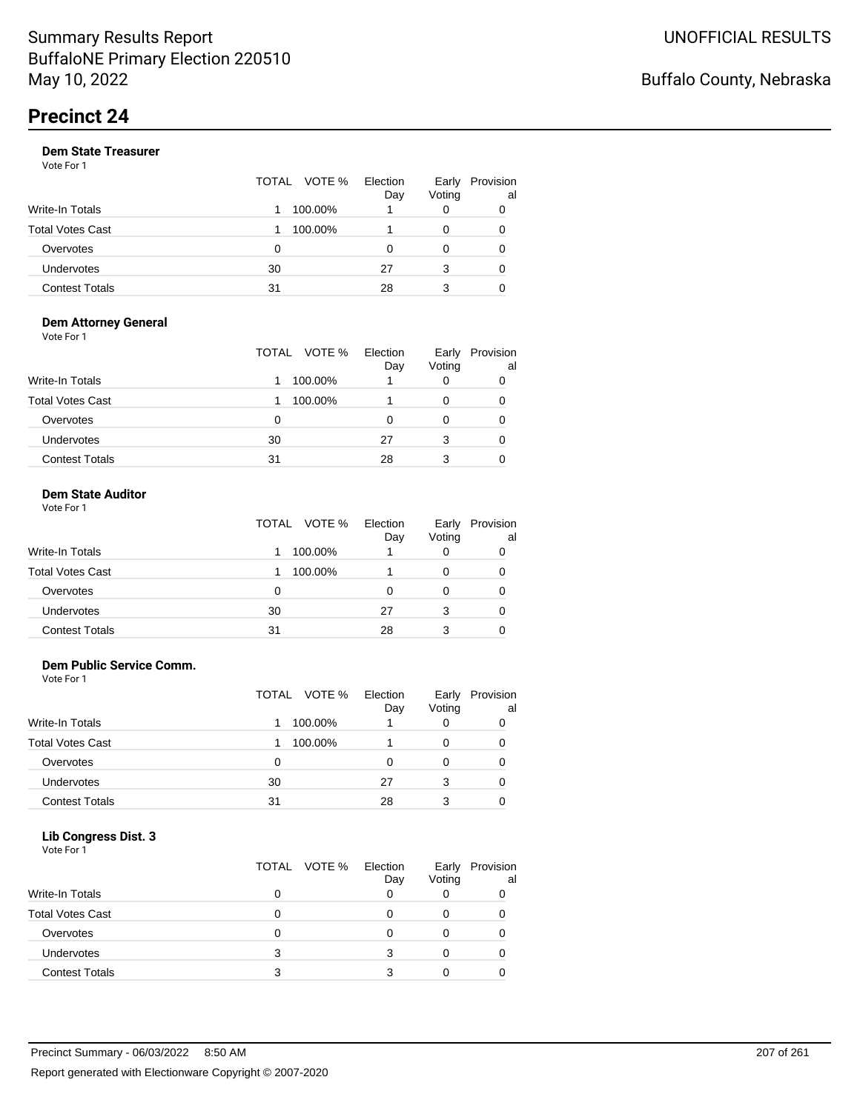|                       | TOTAL VOTE % |         | Election<br>Day | Early<br>Voting | Provision<br>al |
|-----------------------|--------------|---------|-----------------|-----------------|-----------------|
| Write-In Totals       |              | 100.00% |                 | 0               |                 |
| Total Votes Cast      |              | 100.00% |                 | 0               |                 |
| Overvotes             | 0            |         | Ω               | 0               |                 |
| <b>Undervotes</b>     | 30           |         | 27              | 3               | 0               |
| <b>Contest Totals</b> | 31           |         | 28              | 3               |                 |

#### **Dem Attorney General** Vote For 1

|                         | TOTAL VOTE % | Election<br>Day | Early<br>Voting | Provision<br>al |
|-------------------------|--------------|-----------------|-----------------|-----------------|
| <b>Write-In Totals</b>  | 100.00%      |                 |                 | 0               |
| <b>Total Votes Cast</b> | 100.00%      |                 | 0               | 0               |
| Overvotes               | 0            | 0               | 0               | 0               |
| Undervotes              | 30           | 27              | 3               | 0               |
| <b>Contest Totals</b>   | 31           | 28              | 3               | 0               |

#### **Dem State Auditor** Vote For 1

|                         | TOTAL VOTE % | Election<br>Day | Early<br>Voting | Provision<br>al |
|-------------------------|--------------|-----------------|-----------------|-----------------|
| Write-In Totals         | 100.00%      |                 | 0               |                 |
| <b>Total Votes Cast</b> | 100.00%      |                 | O               |                 |
| Overvotes               | 0            | ი               | 0               |                 |
| Undervotes              | 30           | 27              | 3               |                 |
| <b>Contest Totals</b>   | 31           | 28              | 3               |                 |

### **Dem Public Service Comm.**

Vote For 1

|                         | TOTAL VOTE % | Election<br>Day | Early<br>Voting | Provision<br>al |
|-------------------------|--------------|-----------------|-----------------|-----------------|
| <b>Write-In Totals</b>  | 100.00%      |                 |                 |                 |
| <b>Total Votes Cast</b> | 100.00%      |                 |                 |                 |
| Overvotes               | 0            | 0               |                 |                 |
| Undervotes              | 30           | 27              | 3               |                 |
| <b>Contest Totals</b>   | 31           | 28              | 3               |                 |

#### **Lib Congress Dist. 3**

| Vote For 1              | TOTAL VOTE % | Election | Early  | Provision |
|-------------------------|--------------|----------|--------|-----------|
|                         |              | Day      | Voting | al        |
| Write-In Totals         | 0            | o        |        |           |
| <b>Total Votes Cast</b> | 0            |          | 0      |           |
| Overvotes               | O            |          |        |           |
| <b>Undervotes</b>       | 3            | 3        | 0      |           |
| <b>Contest Totals</b>   | 3            |          |        |           |
|                         |              |          |        |           |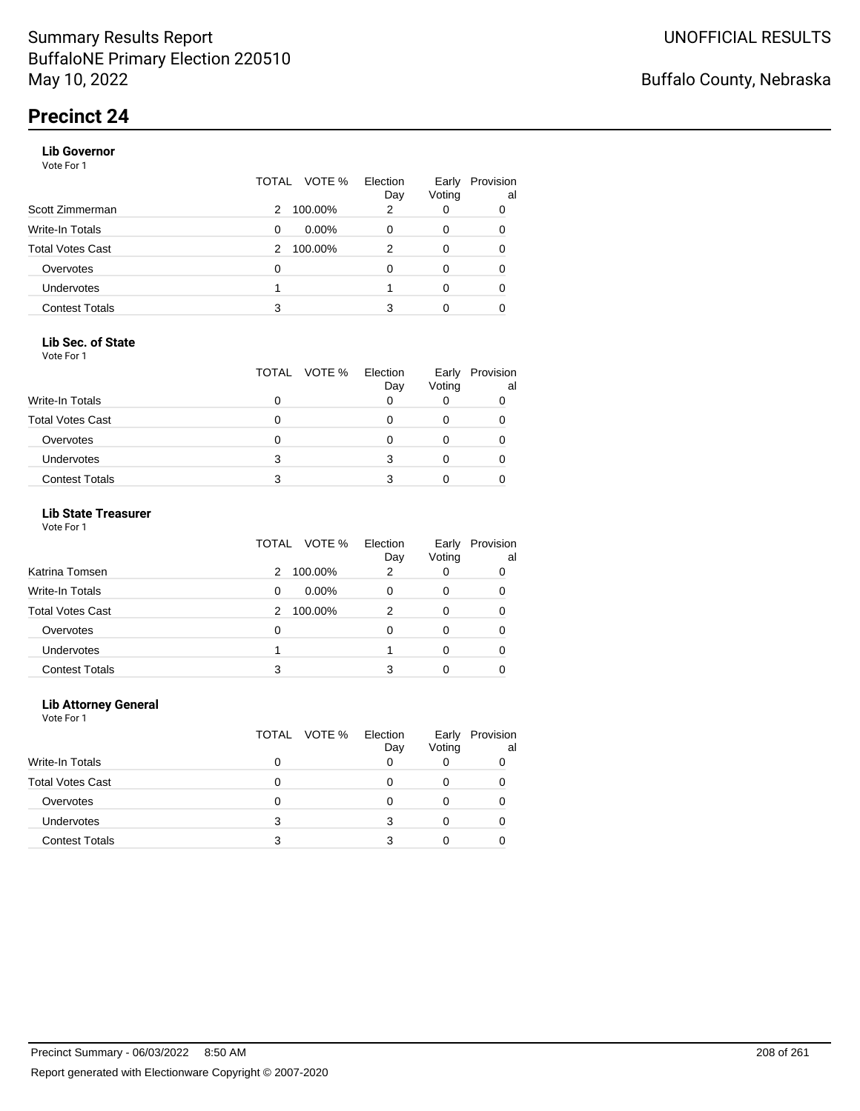### **Lib Governor**

Vote For 1

|                       | TOTAL | VOTE %   | Election<br>Day | Early<br>Voting | Provision<br>al |
|-----------------------|-------|----------|-----------------|-----------------|-----------------|
| Scott Zimmerman       | 2     | 100.00%  | 2               | 0               | 0               |
| Write-In Totals       | 0     | $0.00\%$ | 0               | 0               | 0               |
| Total Votes Cast      | 2     | 100.00%  | 2               | 0               | 0               |
| Overvotes             | 0     |          | 0               | 0               | 0               |
| <b>Undervotes</b>     |       |          |                 | 0               | 0               |
| <b>Contest Totals</b> | 3     |          | 3               | Ω               |                 |

### **Lib Sec. of State**

Vote For 1

|                         |   | TOTAL VOTE % | Election<br>Day | Early<br>Voting | Provision<br>al |
|-------------------------|---|--------------|-----------------|-----------------|-----------------|
| <b>Write-In Totals</b>  |   |              |                 |                 |                 |
| <b>Total Votes Cast</b> |   |              |                 |                 |                 |
| Overvotes               |   |              |                 |                 |                 |
| <b>Undervotes</b>       | 3 |              |                 |                 |                 |
| <b>Contest Totals</b>   |   |              |                 |                 |                 |

### **Lib State Treasurer**

Vote For 1

|                         | VOTE %<br>TOTAL | Election<br>Day | Early<br>Voting | Provision<br>al |
|-------------------------|-----------------|-----------------|-----------------|-----------------|
| Katrina Tomsen          | 100.00%<br>2    | 2               | 0               | 0               |
| <b>Write-In Totals</b>  | $0.00\%$<br>0   | O               | 0               | 0               |
| <b>Total Votes Cast</b> | 100.00%<br>2    | 2               | 0               |                 |
| Overvotes               | 0               | 0               | 0               | 0               |
| Undervotes              |                 |                 |                 | 0               |
| <b>Contest Totals</b>   | 3               |                 |                 |                 |

### **Lib Attorney General**

|                         |   | TOTAL VOTE % | Election<br>Day | Early<br>Voting | Provision<br>al |
|-------------------------|---|--------------|-----------------|-----------------|-----------------|
| Write-In Totals         | 0 |              |                 |                 |                 |
| <b>Total Votes Cast</b> |   |              |                 |                 |                 |
| Overvotes               | 0 |              |                 |                 |                 |
| <b>Undervotes</b>       | 3 |              |                 |                 |                 |
| <b>Contest Totals</b>   | з |              |                 |                 |                 |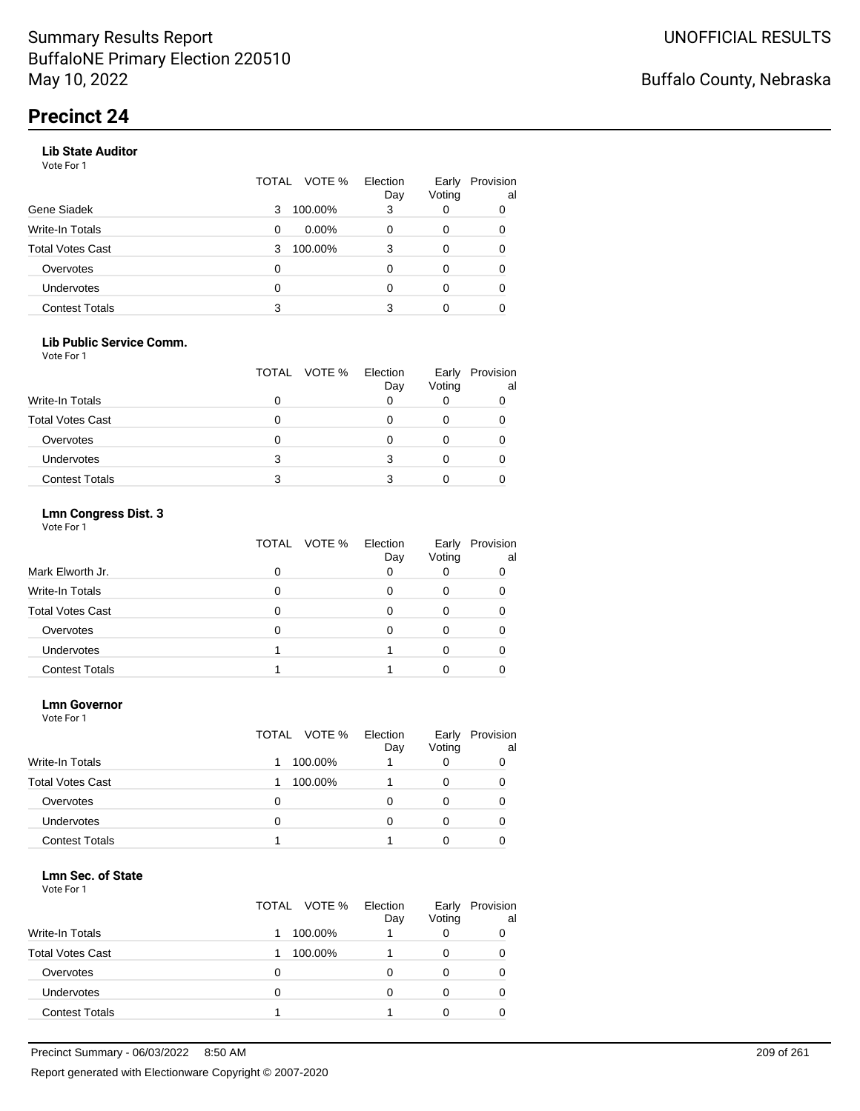### **Lib State Auditor**

Vote For 1

|                       | TOTAL | VOTE %   | Election<br>Day | Early<br>Voting | Provision<br>al |
|-----------------------|-------|----------|-----------------|-----------------|-----------------|
| Gene Siadek           | 3     | 100.00%  | 3               | 0               | 0               |
| Write-In Totals       | 0     | $0.00\%$ | O               | 0               | 0               |
| Total Votes Cast      | 3     | 100.00%  | 3               | 0               |                 |
| Overvotes             | 0     |          |                 | 0               |                 |
| <b>Undervotes</b>     | 0     |          | O               | 0               | 0               |
| <b>Contest Totals</b> | 3     |          | 3               | 0               |                 |

### **Lib Public Service Comm.**

Vote For 1

|                         |   | TOTAL VOTE % | Election<br>Day | Early<br>Voting | Provision<br>al |
|-------------------------|---|--------------|-----------------|-----------------|-----------------|
| Write-In Totals         |   |              |                 |                 |                 |
| <b>Total Votes Cast</b> |   |              |                 |                 |                 |
| Overvotes               |   |              |                 |                 |                 |
| <b>Undervotes</b>       | 3 |              |                 |                 |                 |
| <b>Contest Totals</b>   | 3 |              |                 |                 |                 |

### **Lmn Congress Dist. 3**

Vote For 1

|                         | TOTAL<br>VOTE % | Election<br>Day | Early<br>Voting | Provision<br>al |
|-------------------------|-----------------|-----------------|-----------------|-----------------|
| Mark Elworth Jr.        |                 | 0               |                 |                 |
| Write-In Totals         |                 |                 |                 |                 |
| <b>Total Votes Cast</b> |                 |                 |                 |                 |
| Overvotes               |                 | Ω               |                 |                 |
| <b>Undervotes</b>       |                 |                 |                 |                 |
| <b>Contest Totals</b>   |                 |                 |                 |                 |

#### **Lmn Governor**

Vote For 1

|                         | TOTAL VOTE % Election | Day | Early<br>Voting | Provision<br>al |
|-------------------------|-----------------------|-----|-----------------|-----------------|
| <b>Write-In Totals</b>  | 100.00%               |     |                 | 0               |
| <b>Total Votes Cast</b> | 100.00%               |     |                 | 0               |
| Overvotes               | 0                     |     |                 | 0               |
| Undervotes              | 0                     |     |                 | 0               |
| <b>Contest Totals</b>   |                       |     |                 |                 |

#### **Lmn Sec. of State**

|                         | TOTAL VOTE % | Election<br>Day | Early<br>Voting | Provision<br>al |
|-------------------------|--------------|-----------------|-----------------|-----------------|
| <b>Write-In Totals</b>  | 100.00%      |                 |                 | 0               |
| <b>Total Votes Cast</b> | 100.00%      |                 |                 | 0               |
| Overvotes               | O            |                 |                 | 0               |
| Undervotes              | 0            | O               |                 | O               |
| <b>Contest Totals</b>   |              |                 |                 |                 |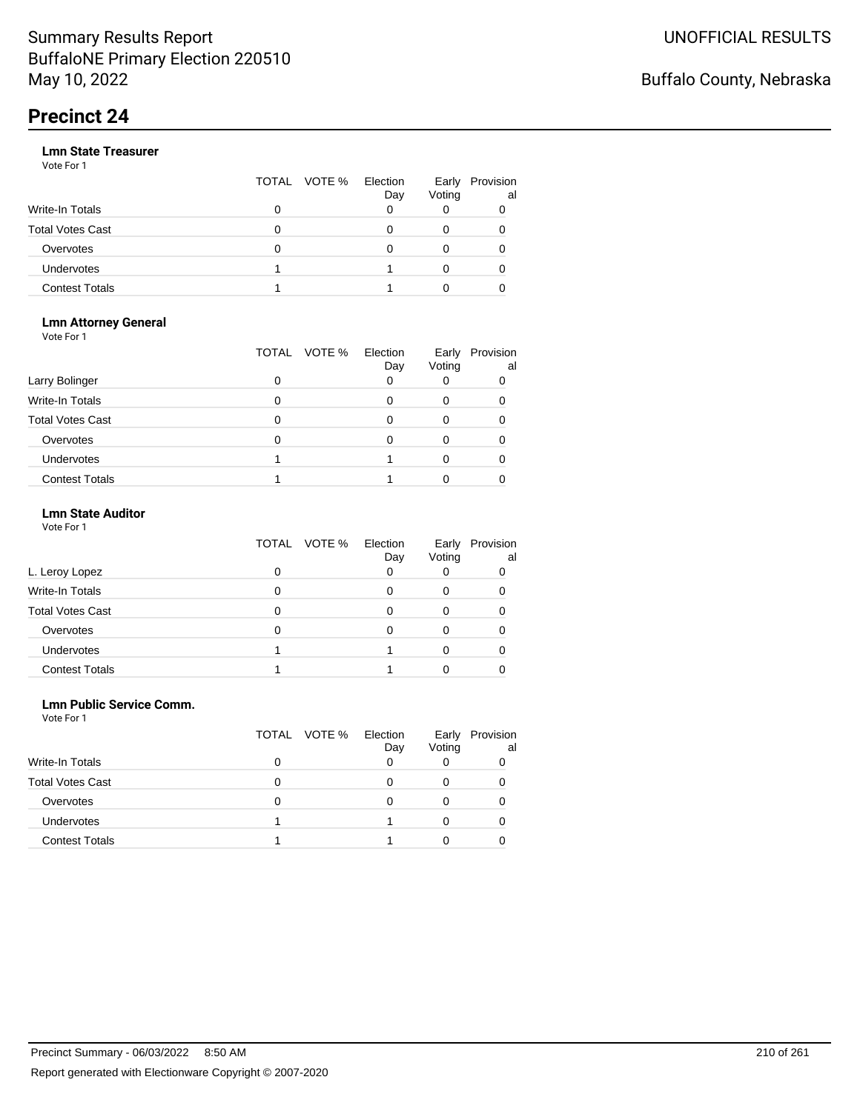|                       |   | TOTAL VOTE % | Election<br>Day | Early<br>Voting | Provision<br>al |
|-----------------------|---|--------------|-----------------|-----------------|-----------------|
| Write-In Totals       | 0 |              |                 |                 |                 |
| Total Votes Cast      | O |              |                 |                 |                 |
| Overvotes             | 0 |              |                 |                 |                 |
| <b>Undervotes</b>     |   |              |                 |                 |                 |
| <b>Contest Totals</b> |   |              |                 |                 |                 |

#### **Lmn Attorney General** Vote For 1

|                         | TOTAL | VOTE %<br>Election<br>Day | Early<br>Voting | Provision<br>al |
|-------------------------|-------|---------------------------|-----------------|-----------------|
| Larry Bolinger          | O     |                           |                 |                 |
| <b>Write-In Totals</b>  |       |                           |                 |                 |
| <b>Total Votes Cast</b> |       |                           |                 |                 |
| Overvotes               |       |                           |                 |                 |
| <b>Undervotes</b>       |       |                           |                 |                 |
| <b>Contest Totals</b>   |       |                           |                 |                 |

### **Lmn State Auditor**

| Vote For 1 |  |  |
|------------|--|--|
|------------|--|--|

|                         | TOTAL VOTE % | Election<br>Day | Early<br>Voting | Provision<br>al |
|-------------------------|--------------|-----------------|-----------------|-----------------|
| L. Leroy Lopez          |              |                 |                 | O               |
| Write-In Totals         |              |                 |                 |                 |
| <b>Total Votes Cast</b> |              |                 |                 |                 |
| Overvotes               |              |                 |                 |                 |
| <b>Undervotes</b>       |              |                 |                 |                 |
| <b>Contest Totals</b>   |              |                 |                 |                 |

### **Lmn Public Service Comm.**

| Vote For 1 |  |  |
|------------|--|--|
|------------|--|--|

|                         | TOTAL VOTE % | Election<br>Day | Early<br>Voting | Provision<br>al |
|-------------------------|--------------|-----------------|-----------------|-----------------|
| <b>Write-In Totals</b>  |              |                 |                 |                 |
| <b>Total Votes Cast</b> | 0            | 0               |                 |                 |
| Overvotes               | O            |                 |                 |                 |
| <b>Undervotes</b>       |              |                 |                 |                 |
| <b>Contest Totals</b>   |              |                 |                 |                 |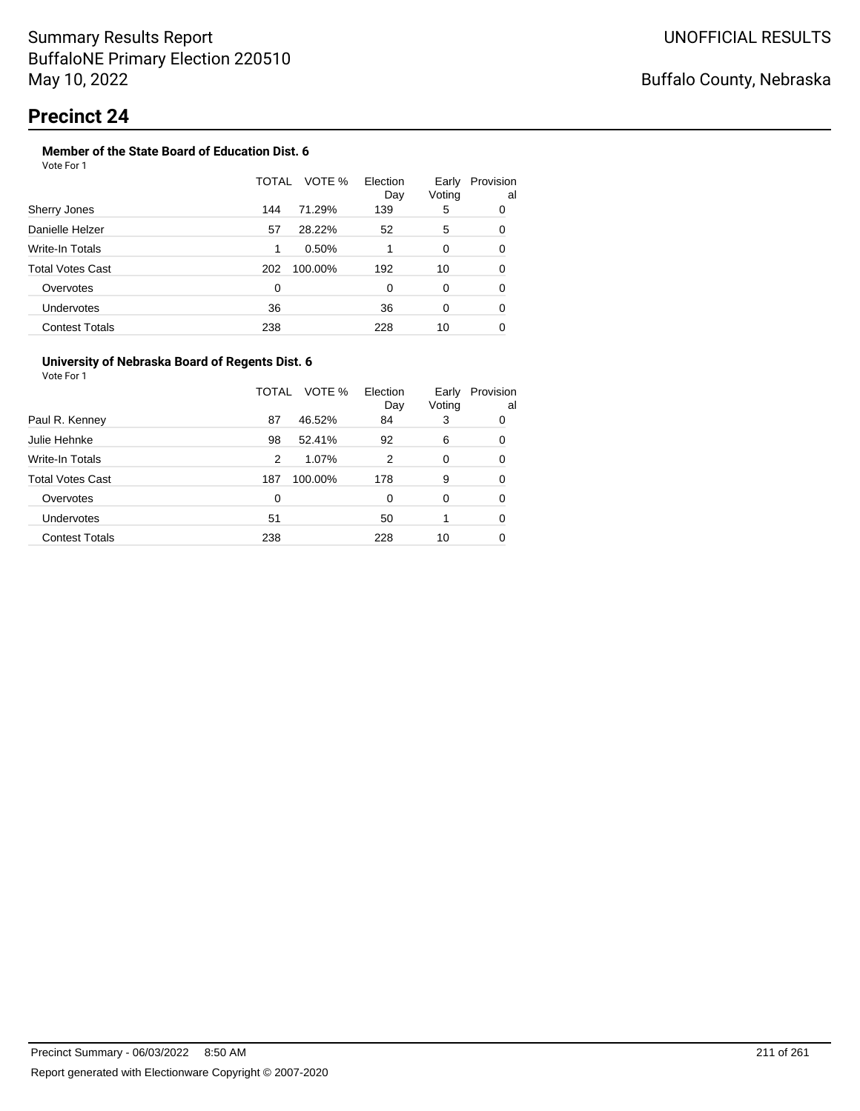#### **Member of the State Board of Education Dist. 6** Vote For 1

|                         | TOTAL | VOTE %  | Election<br>Day | Early<br>Voting | Provision<br>al |
|-------------------------|-------|---------|-----------------|-----------------|-----------------|
| Sherry Jones            | 144   | 71.29%  | 139             | 5               | 0               |
| Danielle Helzer         | 57    | 28.22%  | 52              | 5               | 0               |
| Write-In Totals         | 1     | 0.50%   |                 | $\Omega$        | 0               |
| <b>Total Votes Cast</b> | 202   | 100.00% | 192             | 10              | 0               |
| Overvotes               | 0     |         | 0               | $\Omega$        | 0               |
| Undervotes              | 36    |         | 36              | 0               | 0               |
| <b>Contest Totals</b>   | 238   |         | 228             | 10              | 0               |

### **University of Nebraska Board of Regents Dist. 6**

|                       | VOTE %<br>TOTAL | Election<br>Day | Early<br>Voting | Provision<br>al |
|-----------------------|-----------------|-----------------|-----------------|-----------------|
| Paul R. Kenney        | 87<br>46.52%    | 84              | 3               | 0               |
| Julie Hehnke          | 98<br>52.41%    | 92              | 6               | 0               |
| Write-In Totals       | 1.07%<br>2      | 2               | 0               | 0               |
| Total Votes Cast      | 100.00%<br>187  | 178             | 9               | 0               |
| Overvotes             | $\Omega$        | $\Omega$        | 0               | 0               |
| <b>Undervotes</b>     | 51              | 50              |                 | 0               |
| <b>Contest Totals</b> | 238             | 228             | 10              | 0               |
|                       |                 |                 |                 |                 |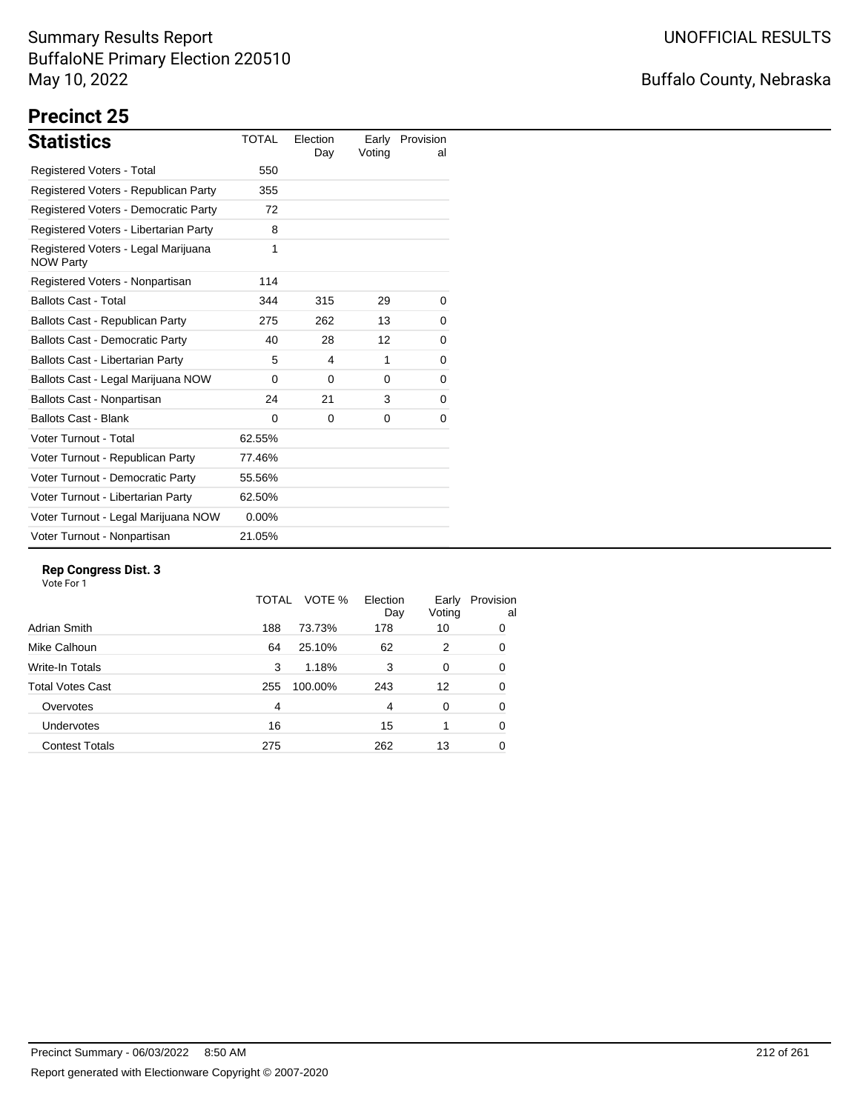# Buffalo County, Nebraska

# **Precinct 25**

| <b>Statistics</b>                                       | <b>TOTAL</b> | Election<br>Day | Early<br>Voting | Provision<br>al |
|---------------------------------------------------------|--------------|-----------------|-----------------|-----------------|
| Registered Voters - Total                               | 550          |                 |                 |                 |
| Registered Voters - Republican Party                    | 355          |                 |                 |                 |
| Registered Voters - Democratic Party                    | 72           |                 |                 |                 |
| Registered Voters - Libertarian Party                   | 8            |                 |                 |                 |
| Registered Voters - Legal Marijuana<br><b>NOW Party</b> | 1            |                 |                 |                 |
| Registered Voters - Nonpartisan                         | 114          |                 |                 |                 |
| <b>Ballots Cast - Total</b>                             | 344          | 315             | 29              | 0               |
| Ballots Cast - Republican Party                         | 275          | 262             | 13              | 0               |
| <b>Ballots Cast - Democratic Party</b>                  | 40           | 28              | 12              | 0               |
| <b>Ballots Cast - Libertarian Party</b>                 | 5            | 4               | 1               | 0               |
| Ballots Cast - Legal Marijuana NOW                      | $\Omega$     | $\Omega$        | $\Omega$        | 0               |
| Ballots Cast - Nonpartisan                              | 24           | 21              | 3               | 0               |
| <b>Ballots Cast - Blank</b>                             | $\Omega$     | 0               | 0               | 0               |
| Voter Turnout - Total                                   | 62.55%       |                 |                 |                 |
| Voter Turnout - Republican Party                        | 77.46%       |                 |                 |                 |
| Voter Turnout - Democratic Party                        | 55.56%       |                 |                 |                 |
| Voter Turnout - Libertarian Party                       | 62.50%       |                 |                 |                 |
| Voter Turnout - Legal Marijuana NOW                     | $0.00\%$     |                 |                 |                 |
| Voter Turnout - Nonpartisan                             | 21.05%       |                 |                 |                 |

### **Rep Congress Dist. 3**

|                       | TOTAL | VOTE %  | Election<br>Day | Early<br>Voting | Provision<br>al |
|-----------------------|-------|---------|-----------------|-----------------|-----------------|
| Adrian Smith          | 188   | 73.73%  | 178             | 10              | 0               |
| Mike Calhoun          | 64    | 25.10%  | 62              | 2               | 0               |
| Write-In Totals       | 3     | 1.18%   | 3               | $\Omega$        | 0               |
| Total Votes Cast      | 255   | 100.00% | 243             | 12              | 0               |
| Overvotes             | 4     |         | 4               | 0               | 0               |
| <b>Undervotes</b>     | 16    |         | 15              |                 | 0               |
| <b>Contest Totals</b> | 275   |         | 262             | 13              | 0               |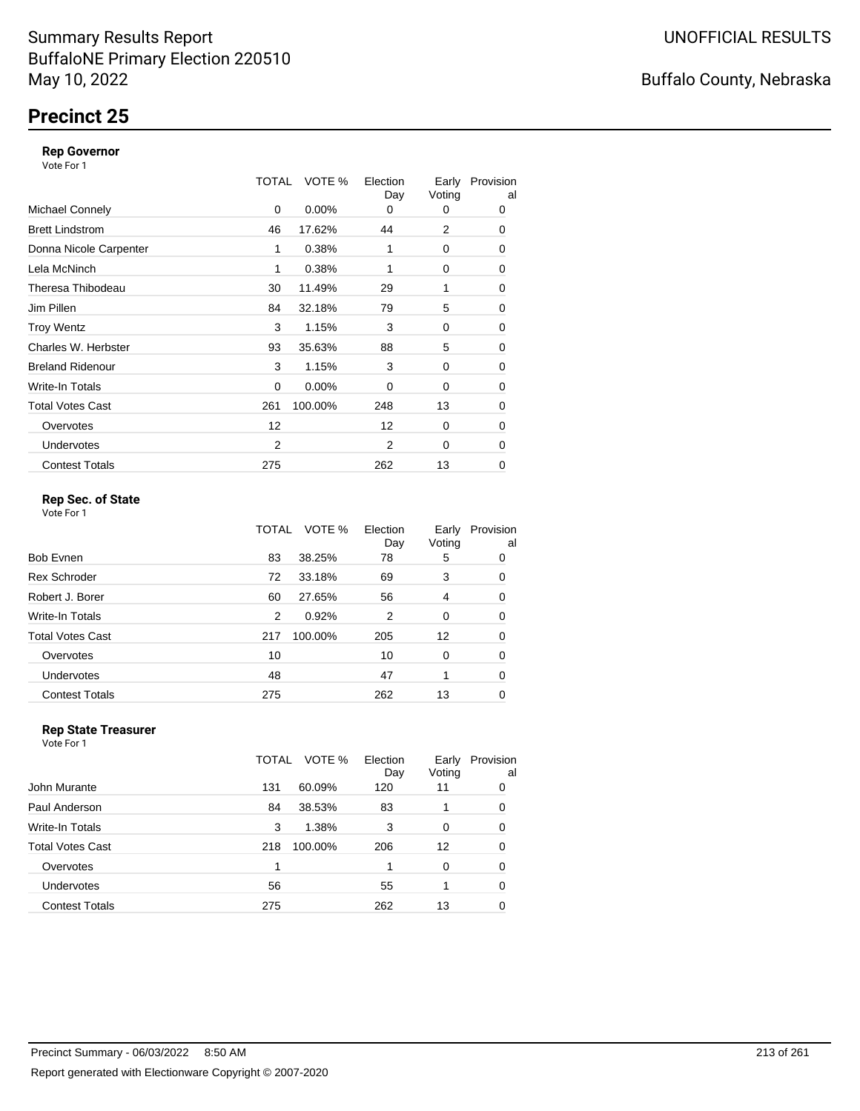# **Precinct 25**

### **Rep Governor**

Vote For 1

|                         | TOTAL | VOTE %   | Election<br>Day | Early<br>Voting | Provision<br>al |
|-------------------------|-------|----------|-----------------|-----------------|-----------------|
| <b>Michael Connely</b>  | 0     | $0.00\%$ | 0               | 0               | 0               |
| <b>Brett Lindstrom</b>  | 46    | 17.62%   | 44              | 2               | 0               |
| Donna Nicole Carpenter  | 1     | 0.38%    | 1               | 0               | 0               |
| Lela McNinch            | 1     | 0.38%    | 1               | 0               | 0               |
| Theresa Thibodeau       | 30    | 11.49%   | 29              | 1               | 0               |
| Jim Pillen              | 84    | 32.18%   | 79              | 5               | 0               |
| <b>Troy Wentz</b>       | 3     | 1.15%    | 3               | 0               | 0               |
| Charles W. Herbster     | 93    | 35.63%   | 88              | 5               | 0               |
| <b>Breland Ridenour</b> | 3     | 1.15%    | 3               | 0               | $\mathbf 0$     |
| Write-In Totals         | 0     | $0.00\%$ | $\Omega$        | 0               | 0               |
| <b>Total Votes Cast</b> | 261   | 100.00%  | 248             | 13              | $\mathbf 0$     |
| Overvotes               | 12    |          | 12              | 0               | 0               |
| <b>Undervotes</b>       | 2     |          | $\overline{2}$  | 0               | 0               |
| <b>Contest Totals</b>   | 275   |          | 262             | 13              | 0               |

### **Rep Sec. of State**

Vote For 1

|                         | TOTAL | VOTE %  | Election<br>Day | Early<br>Voting | Provision<br>al |
|-------------------------|-------|---------|-----------------|-----------------|-----------------|
| <b>Bob Evnen</b>        | 83    | 38.25%  | 78              | 5               | 0               |
| <b>Rex Schroder</b>     | 72    | 33.18%  | 69              | 3               | 0               |
| Robert J. Borer         | 60    | 27.65%  | 56              | 4               | 0               |
| Write-In Totals         | 2     | 0.92%   | 2               | 0               | 0               |
| <b>Total Votes Cast</b> | 217   | 100.00% | 205             | 12              | 0               |
| Overvotes               | 10    |         | 10              | 0               | 0               |
| Undervotes              | 48    |         | 47              |                 | 0               |
| <b>Contest Totals</b>   | 275   |         | 262             | 13              | 0               |

#### **Rep State Treasurer** Vote For 1

|                       | TOTAL | VOTE %  | Election<br>Day | Early<br>Voting | Provision<br>al |
|-----------------------|-------|---------|-----------------|-----------------|-----------------|
| John Murante          | 131   | 60.09%  | 120             | 11              | 0               |
| Paul Anderson         | 84    | 38.53%  | 83              |                 | 0               |
| Write-In Totals       | 3     | 1.38%   | 3               | 0               | 0               |
| Total Votes Cast      | 218   | 100.00% | 206             | 12              | 0               |
| Overvotes             |       |         |                 | 0               | 0               |
| <b>Undervotes</b>     | 56    |         | 55              |                 | 0               |
| <b>Contest Totals</b> | 275   |         | 262             | 13              | 0               |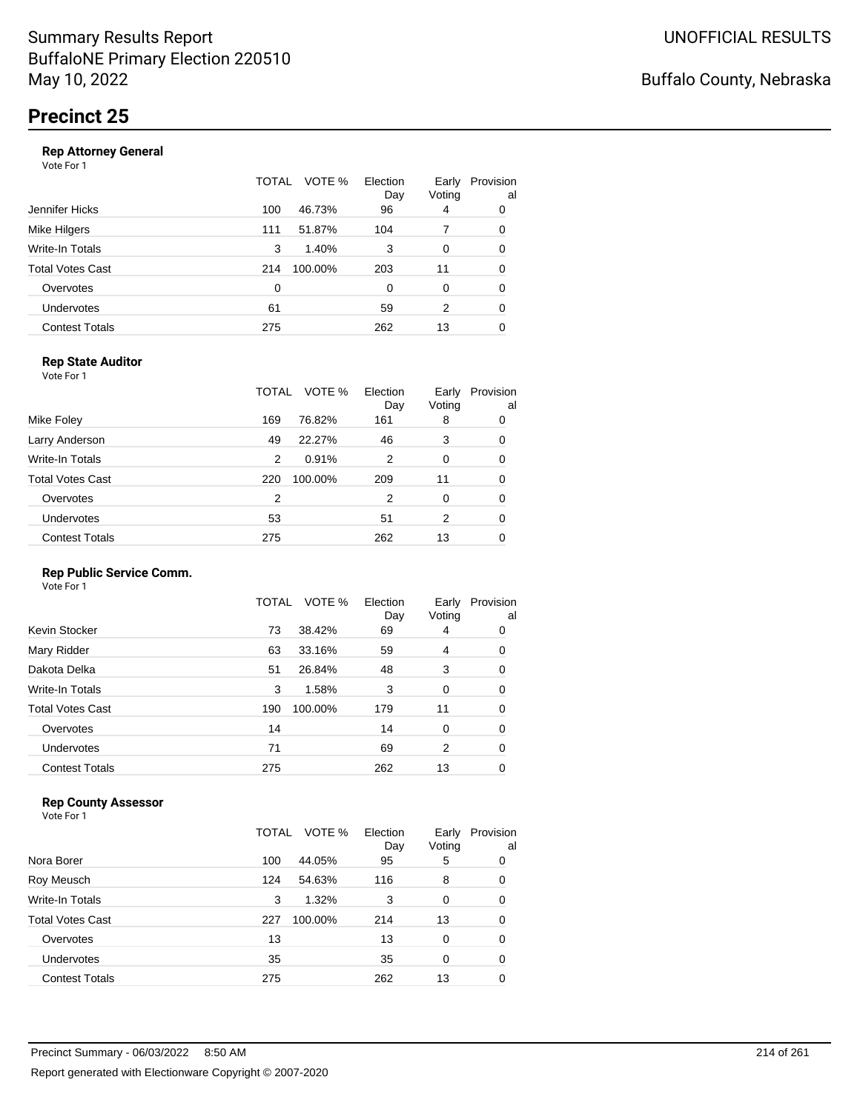| Jennifer Hicks<br>46.73%<br>96<br>100<br>4<br>Mike Hilgers<br>51.87%<br>104<br>111<br>7<br>Write-In Totals<br>3<br>1.40%<br>3<br>0 | Provision<br>al |
|------------------------------------------------------------------------------------------------------------------------------------|-----------------|
|                                                                                                                                    | 0               |
|                                                                                                                                    | 0               |
|                                                                                                                                    | 0               |
| Total Votes Cast<br>100.00%<br>203<br>11<br>214                                                                                    | 0               |
| Overvotes<br>0<br>0<br>$\Omega$                                                                                                    | 0               |
| Undervotes<br>61<br>59<br>2                                                                                                        | 0               |
| <b>Contest Totals</b><br>275<br>262<br>13                                                                                          | 0               |

### **Rep State Auditor**

Vote For 1

|                         | TOTAL | VOTE %  | Election<br>Day | Early<br>Voting | Provision<br>al |
|-------------------------|-------|---------|-----------------|-----------------|-----------------|
| Mike Foley              | 169   | 76.82%  | 161             | 8               | 0               |
| Larry Anderson          | 49    | 22.27%  | 46              | 3               | 0               |
| Write-In Totals         | 2     | 0.91%   | 2               | 0               | 0               |
| <b>Total Votes Cast</b> | 220   | 100.00% | 209             | 11              | 0               |
| Overvotes               | 2     |         | 2               | 0               | 0               |
| <b>Undervotes</b>       | 53    |         | 51              | 2               | 0               |
| <b>Contest Totals</b>   | 275   |         | 262             | 13              | 0               |

### **Rep Public Service Comm.**

Vote For 1

|                         | TOTAL | VOTE %  | Election<br>Day | Early<br>Voting | Provision<br>al |
|-------------------------|-------|---------|-----------------|-----------------|-----------------|
| Kevin Stocker           | 73    | 38.42%  | 69              | 4               | 0               |
| Mary Ridder             | 63    | 33.16%  | 59              | 4               | 0               |
| Dakota Delka            | 51    | 26.84%  | 48              | 3               | 0               |
| Write-In Totals         | 3     | 1.58%   | 3               | 0               | 0               |
| <b>Total Votes Cast</b> | 190   | 100.00% | 179             | 11              | 0               |
| Overvotes               | 14    |         | 14              | 0               | 0               |
| Undervotes              | 71    |         | 69              | 2               | 0               |
| <b>Contest Totals</b>   | 275   |         | 262             | 13              | 0               |
|                         |       |         |                 |                 |                 |

### **Rep County Assessor**

|                       | TOTAL | VOTE %  | Election<br>Day | Early<br>Voting | Provision<br>al |
|-----------------------|-------|---------|-----------------|-----------------|-----------------|
| Nora Borer            | 100   | 44.05%  | 95              | 5               | 0               |
| Roy Meusch            | 124   | 54.63%  | 116             | 8               | 0               |
| Write-In Totals       | 3     | 1.32%   | 3               | 0               | 0               |
| Total Votes Cast      | 227   | 100.00% | 214             | 13              | 0               |
| Overvotes             | 13    |         | 13              | $\Omega$        | 0               |
| Undervotes            | 35    |         | 35              | $\Omega$        | 0               |
| <b>Contest Totals</b> | 275   |         | 262             | 13              | 0               |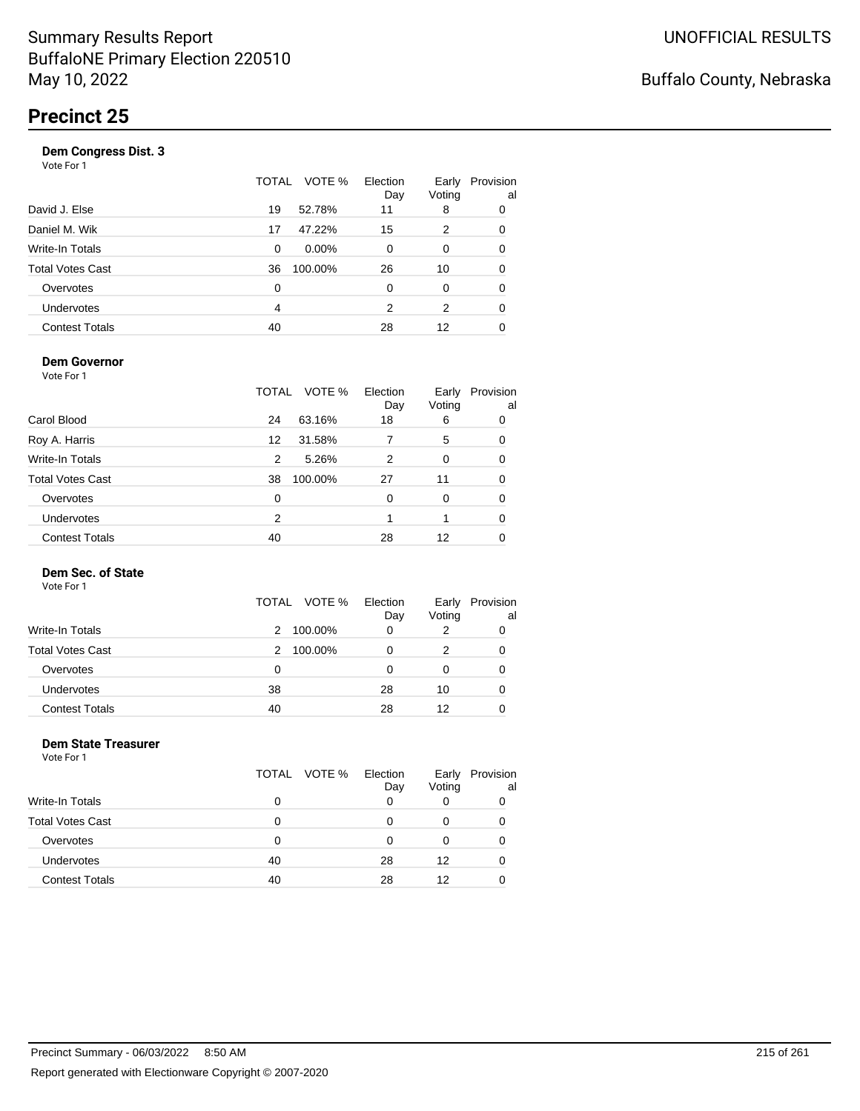|                       | TOTAL | VOTE %  | Election<br>Day | Early<br>Voting | Provision<br>al |
|-----------------------|-------|---------|-----------------|-----------------|-----------------|
| David J. Else         | 19    | 52.78%  | 11              | 8               | 0               |
| Daniel M. Wik         | 17    | 47.22%  | 15              | 2               | 0               |
| Write-In Totals       | 0     | 0.00%   | $\Omega$        | 0               | 0               |
| Total Votes Cast      | 36    | 100.00% | 26              | 10              | 0               |
| Overvotes             | 0     |         | $\Omega$        | $\Omega$        | 0               |
| <b>Undervotes</b>     | 4     |         | 2               | 2               | 0               |
| <b>Contest Totals</b> | 40    |         | 28              | 12              | 0               |
|                       |       |         |                 |                 |                 |

### **Dem Governor**

Vote For 1

|                         | TOTAL | VOTE %  | Election<br>Day | Early<br>Voting | Provision<br>al |
|-------------------------|-------|---------|-----------------|-----------------|-----------------|
| Carol Blood             | 24    | 63.16%  | 18              | 6               | 0               |
| Roy A. Harris           | 12    | 31.58%  | 7               | 5               | 0               |
| Write-In Totals         | 2     | 5.26%   | 2               | 0               | 0               |
| <b>Total Votes Cast</b> | 38    | 100.00% | 27              | 11              | 0               |
| Overvotes               | 0     |         | 0               | 0               | 0               |
| Undervotes              | 2     |         |                 |                 | 0               |
| <b>Contest Totals</b>   | 40    |         | 28              | 12              |                 |

### **Dem Sec. of State**

Vote For 1

|                         |    | TOTAL VOTE % | Election | Early  | Provision |
|-------------------------|----|--------------|----------|--------|-----------|
|                         |    |              | Day      | Voting | al        |
| <b>Write-In Totals</b>  | 2  | 100.00%      | 0        |        |           |
| <b>Total Votes Cast</b> | 2  | 100.00%      | 0        | 2      |           |
| Overvotes               | 0  |              | O        |        |           |
| Undervotes              | 38 |              | 28       | 10     |           |
| <b>Contest Totals</b>   | 40 |              | 28       | 12     |           |

#### **Dem State Treasurer** Vote For 1

|                         | TOTAL VOTE % | Election<br>Day | Early<br>Voting | Provision<br>al |
|-------------------------|--------------|-----------------|-----------------|-----------------|
| <b>Write-In Totals</b>  | 0            |                 |                 |                 |
| <b>Total Votes Cast</b> | 0            | 0               | 0               |                 |
| Overvotes               | Ω            | 0               | O               |                 |
| <b>Undervotes</b>       | 40           | 28              | 12              |                 |
| <b>Contest Totals</b>   | 40           | 28              | 12              |                 |
|                         |              |                 |                 |                 |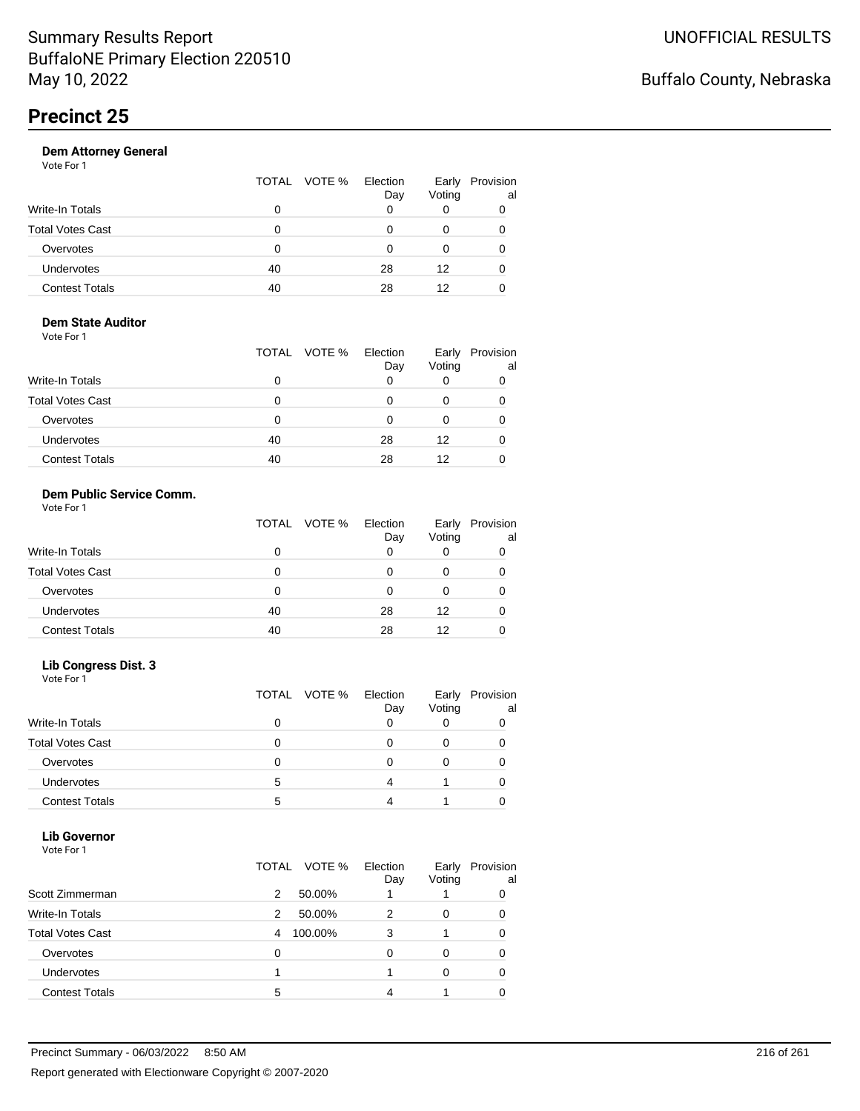| Vote For 1            |                 |                 |                 |                 |
|-----------------------|-----------------|-----------------|-----------------|-----------------|
|                       | VOTE %<br>TOTAL | Election<br>Day | Early<br>Voting | Provision<br>al |
| Write-In Totals       | 0               | 0               | 0               | 0               |
| Total Votes Cast      | 0               | O               | 0               | 0               |
| Overvotes             | 0               |                 | 0               |                 |
| <b>Undervotes</b>     | 40              | 28              | 12              | 0               |
| <b>Contest Totals</b> | 40              | 28              | 12              |                 |
|                       |                 |                 |                 |                 |

#### **Dem State Auditor** Vote For 1

|                         | TOTAL VOTE % | Election<br>Day | Early<br>Voting | Provision<br>al |
|-------------------------|--------------|-----------------|-----------------|-----------------|
| <b>Write-In Totals</b>  | 0            | O               |                 |                 |
| <b>Total Votes Cast</b> | Ω            | O               | 0               |                 |
| Overvotes               | 0            | O               | 0               | 0               |
| Undervotes              | 40           | 28              | 12              | 0               |
| <b>Contest Totals</b>   | 40           | 28              | 12              |                 |

#### **Dem Public Service Comm.** Vote For 1

| VULTUII                 |              |                 |                 |                 |
|-------------------------|--------------|-----------------|-----------------|-----------------|
|                         | TOTAL VOTE % | Election<br>Day | Early<br>Voting | Provision<br>al |
| <b>Write-In Totals</b>  |              |                 |                 | 0               |
| <b>Total Votes Cast</b> |              |                 |                 |                 |
| Overvotes               | ŋ            |                 |                 | 0               |
| Undervotes              | 40           | 28              | 12              | 0               |
| <b>Contest Totals</b>   | 40           | 28              | 12              |                 |
|                         |              |                 |                 |                 |

### **Lib Congress Dist. 3**

Vote For 1

|                         |   | TOTAL VOTE % | Election<br>Day | Early<br>Voting | Provision<br>al |
|-------------------------|---|--------------|-----------------|-----------------|-----------------|
| <b>Write-In Totals</b>  |   |              |                 |                 |                 |
| <b>Total Votes Cast</b> |   |              |                 |                 |                 |
| Overvotes               |   |              |                 |                 |                 |
| <b>Undervotes</b>       | 5 |              |                 |                 |                 |
| <b>Contest Totals</b>   | 5 |              |                 |                 |                 |

### **Lib Governor**

| Vote For 1              |              |                 |                 |                 |
|-------------------------|--------------|-----------------|-----------------|-----------------|
|                         | TOTAL VOTE % | Election<br>Day | Early<br>Voting | Provision<br>al |
| Scott Zimmerman         | 2<br>50.00%  |                 |                 | 0               |
| Write-In Totals         | 2<br>50.00%  | 2               | 0               | ი               |
| <b>Total Votes Cast</b> | 100.00%<br>4 | 3               |                 | 0               |
| Overvotes               | 0            | $\Omega$        | 0               | 0               |
| <b>Undervotes</b>       |              |                 | 0               | 0               |
| <b>Contest Totals</b>   | 5            |                 |                 |                 |
|                         |              |                 |                 |                 |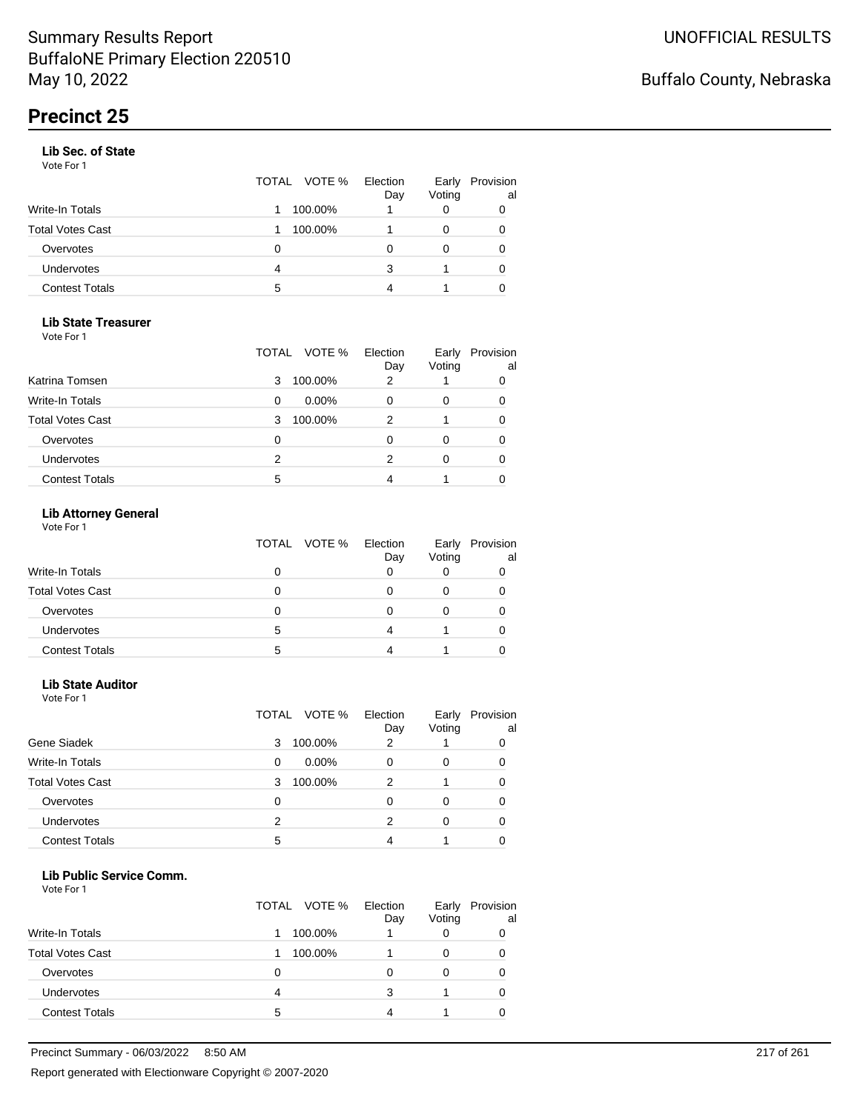#### **Lib Sec. of State**

Vote For 1

|                       |   | TOTAL VOTE % | Election<br>Day | Early<br>Voting | Provision<br>al |
|-----------------------|---|--------------|-----------------|-----------------|-----------------|
| Write-In Totals       |   | 100.00%      |                 |                 |                 |
| Total Votes Cast      |   | 100.00%      |                 |                 | 0               |
| Overvotes             | 0 |              |                 |                 | 0               |
| Undervotes            | 4 |              | 3               |                 | 0               |
| <b>Contest Totals</b> | 5 |              | Δ               |                 |                 |

### **Lib State Treasurer**

Vote For 1

|                         | VOTE %<br>TOTAL | Election<br>Day | Early<br>Voting | Provision<br>al |
|-------------------------|-----------------|-----------------|-----------------|-----------------|
| Katrina Tomsen          | 100.00%<br>3    | 2               |                 | 0               |
| <b>Write-In Totals</b>  | $0.00\%$<br>0   |                 | O               | 0               |
| <b>Total Votes Cast</b> | 100.00%<br>3    |                 |                 | 0               |
| Overvotes               | 0               |                 | Ω               | 0               |
| Undervotes              | 2               | 2               | 0               |                 |
| <b>Contest Totals</b>   | 5               |                 |                 |                 |

### **Lib Attorney General**

|                         |   | TOTAL VOTE % Election | Day | Early<br>Voting | Provision<br>al |
|-------------------------|---|-----------------------|-----|-----------------|-----------------|
| <b>Write-In Totals</b>  | 0 |                       |     |                 |                 |
| <b>Total Votes Cast</b> |   |                       |     |                 |                 |
| Overvotes               |   |                       |     |                 |                 |
| <b>Undervotes</b>       | 5 |                       |     |                 |                 |
| <b>Contest Totals</b>   |   |                       |     |                 |                 |

## **Lib State Auditor**

| Vote For 1 |  |
|------------|--|
|------------|--|

|                         |   | TOTAL VOTE % | Election<br>Day | Early<br>Voting | Provision<br>al |
|-------------------------|---|--------------|-----------------|-----------------|-----------------|
| Gene Siadek             | 3 | 100.00%      | 2               |                 | 0               |
| <b>Write-In Totals</b>  | 0 | $0.00\%$     |                 | 0               | 0               |
| <b>Total Votes Cast</b> | 3 | 100.00%      | 2               |                 | 0               |
| Overvotes               | 0 |              | O               | 0               | 0               |
| <b>Undervotes</b>       | 2 |              | 2               | ∩               | 0               |
| <b>Contest Totals</b>   | 5 |              |                 |                 |                 |

#### **Lib Public Service Comm.**

|                         | TOTAL VOTE % | Election<br>Day | Early<br>Voting | Provision<br>al |
|-------------------------|--------------|-----------------|-----------------|-----------------|
| <b>Write-In Totals</b>  | 100.00%      |                 |                 | 0               |
| <b>Total Votes Cast</b> | 100.00%      |                 |                 | 0               |
| Overvotes               | O            |                 |                 | 0               |
| Undervotes              | 4            | 3               |                 | O               |
| <b>Contest Totals</b>   | 5            |                 |                 |                 |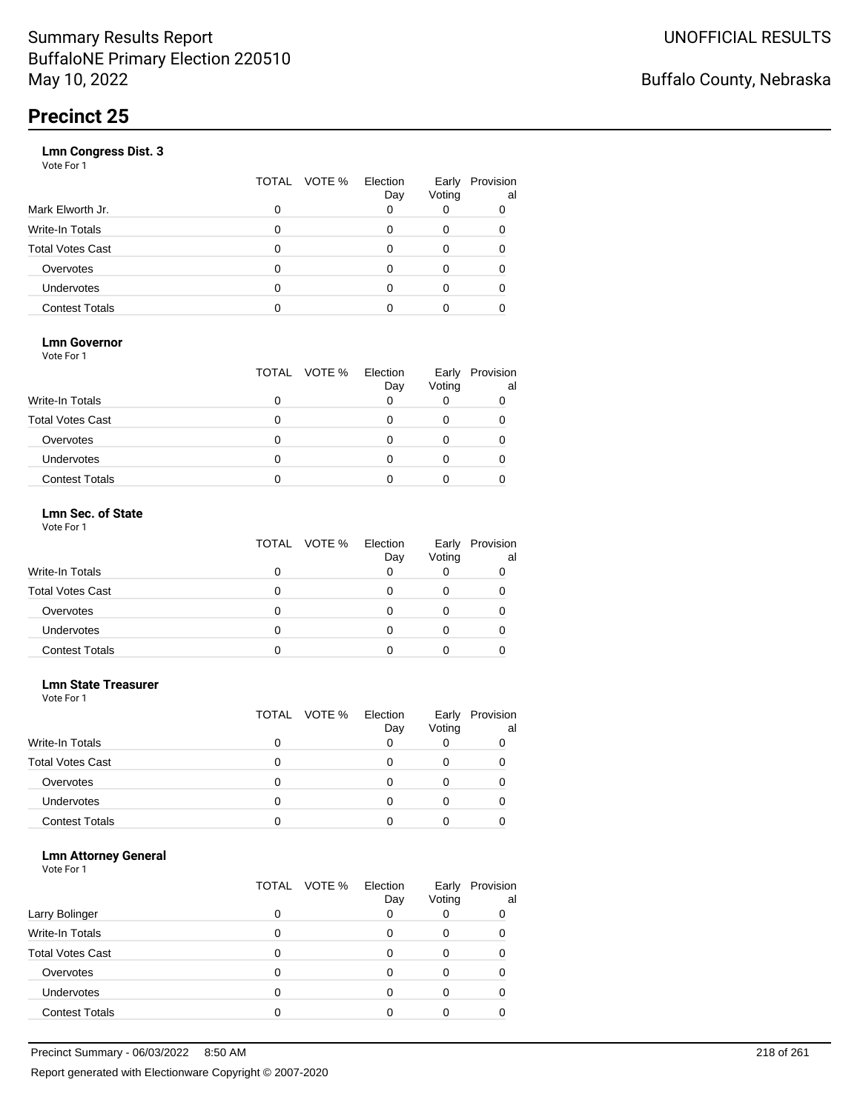|                       | VOTE %<br>TOTAL | Election<br>Day | Early<br>Voting | Provision<br>al |
|-----------------------|-----------------|-----------------|-----------------|-----------------|
| Mark Elworth Jr.      | 0               |                 |                 | 0               |
| Write-In Totals       | O               |                 | 0               | 0               |
| Total Votes Cast      | O               |                 | 0               |                 |
| Overvotes             | 0               |                 | 0               |                 |
| Undervotes            | O               |                 | Ω               |                 |
| <b>Contest Totals</b> |                 |                 |                 |                 |
|                       |                 |                 |                 |                 |

### **Lmn Governor**

Vote For 1

|                         | TOTAL VOTE % | Election<br>Day | Early<br>Voting | Provision<br>al |
|-------------------------|--------------|-----------------|-----------------|-----------------|
| <b>Write-In Totals</b>  |              |                 |                 |                 |
| <b>Total Votes Cast</b> |              |                 |                 |                 |
| Overvotes               |              |                 |                 |                 |
| <b>Undervotes</b>       |              |                 |                 |                 |
| <b>Contest Totals</b>   |              |                 |                 |                 |

#### **Lmn Sec. of State** Vote For 1

|                         | TOTAL VOTE % | Election<br>Day | Early<br>Voting | Provision<br>al |
|-------------------------|--------------|-----------------|-----------------|-----------------|
| <b>Write-In Totals</b>  | 0            |                 |                 |                 |
| <b>Total Votes Cast</b> | 0            |                 |                 |                 |
| Overvotes               | 0            |                 |                 |                 |
| Undervotes              | 0            |                 |                 |                 |
| <b>Contest Totals</b>   |              |                 |                 |                 |

#### **Lmn State Treasurer**

Vote For 1

|                         |   | TOTAL VOTE % | Election<br>Day | Early<br>Voting | Provision<br>al |
|-------------------------|---|--------------|-----------------|-----------------|-----------------|
| <b>Write-In Totals</b>  |   |              |                 |                 |                 |
| <b>Total Votes Cast</b> | O |              |                 |                 |                 |
| Overvotes               | 0 |              |                 |                 |                 |
| Undervotes              | O |              |                 |                 |                 |
| <b>Contest Totals</b>   |   |              |                 |                 |                 |

#### **Lmn Attorney General**

|                         |   | TOTAL VOTE % | Election<br>Day | Early<br>Voting | Provision<br>al |
|-------------------------|---|--------------|-----------------|-----------------|-----------------|
| Larry Bolinger          |   |              |                 |                 | 0               |
| Write-In Totals         |   |              |                 | O               |                 |
| <b>Total Votes Cast</b> |   |              |                 |                 |                 |
| Overvotes               |   |              |                 |                 |                 |
| Undervotes              | 0 |              |                 |                 |                 |
| <b>Contest Totals</b>   |   |              |                 |                 |                 |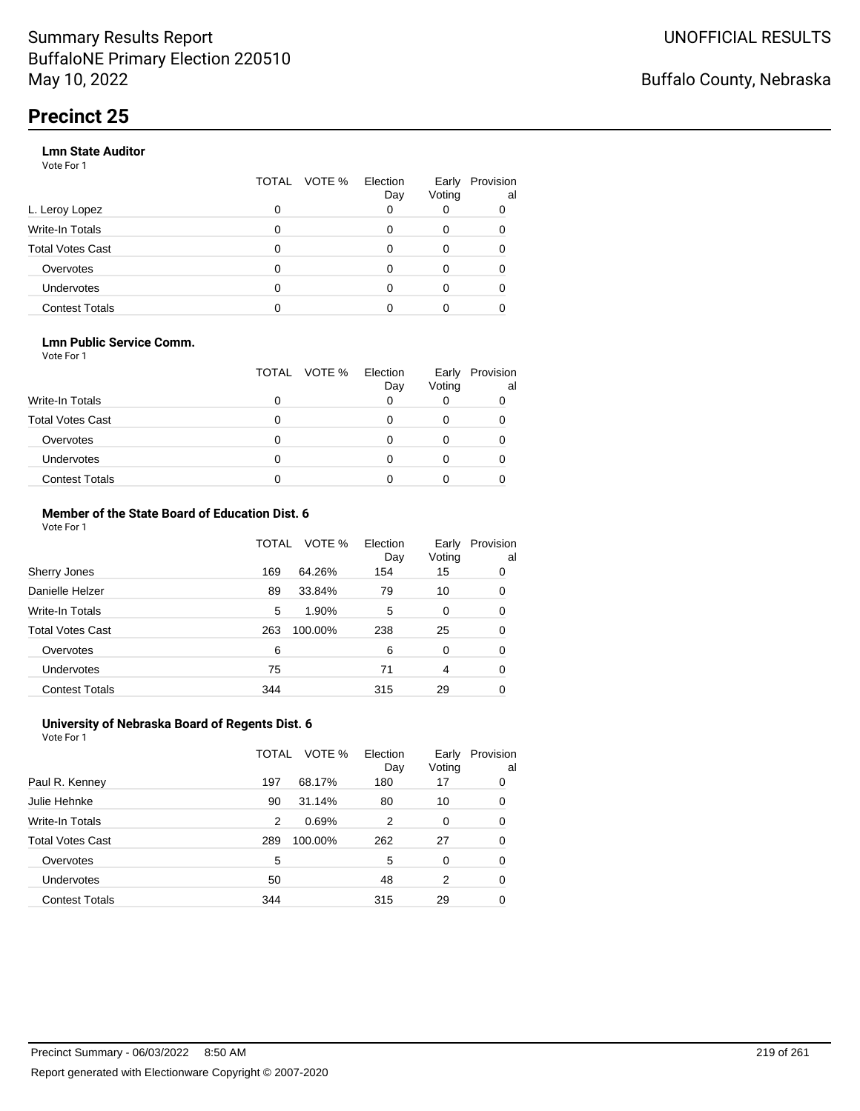#### **Lmn State Auditor**

Vote For 1

|                         | TOTAL | VOTE % | Election<br>Day | Early<br>Voting | Provision<br>al |
|-------------------------|-------|--------|-----------------|-----------------|-----------------|
| L. Leroy Lopez          | 0     |        |                 |                 |                 |
| Write-In Totals         | 0     |        |                 | 0               |                 |
| <b>Total Votes Cast</b> | 0     |        | O               | 0               |                 |
| Overvotes               | 0     |        |                 | 0               |                 |
| Undervotes              | 0     |        |                 | 0               |                 |
| <b>Contest Totals</b>   |       |        |                 |                 |                 |

#### **Lmn Public Service Comm.**

Vote For 1

|                         |   | TOTAL VOTE % | Election<br>Day | Early<br>Voting | Provision<br>al |
|-------------------------|---|--------------|-----------------|-----------------|-----------------|
| <b>Write-In Totals</b>  |   |              |                 |                 |                 |
| <b>Total Votes Cast</b> |   |              |                 |                 |                 |
| Overvotes               |   |              |                 |                 |                 |
| <b>Undervotes</b>       | 0 |              |                 |                 |                 |
| <b>Contest Totals</b>   |   |              |                 |                 |                 |

#### **Member of the State Board of Education Dist. 6** Vote For 1

|                         | TOTAL | VOTE %  | Election<br>Day | Early<br>Voting | Provision<br>al |
|-------------------------|-------|---------|-----------------|-----------------|-----------------|
| Sherry Jones            | 169   | 64.26%  | 154             | 15              | 0               |
| Danielle Helzer         | 89    | 33.84%  | 79              | 10              | 0               |
| <b>Write-In Totals</b>  | 5     | 1.90%   | 5               | 0               | 0               |
| <b>Total Votes Cast</b> | 263   | 100.00% | 238             | 25              | 0               |
| Overvotes               | 6     |         | 6               | $\Omega$        | 0               |
| <b>Undervotes</b>       | 75    |         | 71              | 4               | 0               |
| <b>Contest Totals</b>   | 344   |         | 315             | 29              | 0               |

#### **University of Nebraska Board of Regents Dist. 6** Vote For 1

|                         | TOTAL | VOTE %  | Election<br>Day | Early<br>Voting | Provision<br>al |
|-------------------------|-------|---------|-----------------|-----------------|-----------------|
| Paul R. Kenney          | 197   | 68.17%  | 180             | 17              | 0               |
| Julie Hehnke            | 90    | 31.14%  | 80              | 10              | 0               |
| <b>Write-In Totals</b>  | 2     | 0.69%   | 2               | 0               | 0               |
| <b>Total Votes Cast</b> | 289   | 100.00% | 262             | 27              | 0               |
| Overvotes               | 5     |         | 5               | $\Omega$        | 0               |
| Undervotes              | 50    |         | 48              | 2               | 0               |
| <b>Contest Totals</b>   | 344   |         | 315             | 29              | 0               |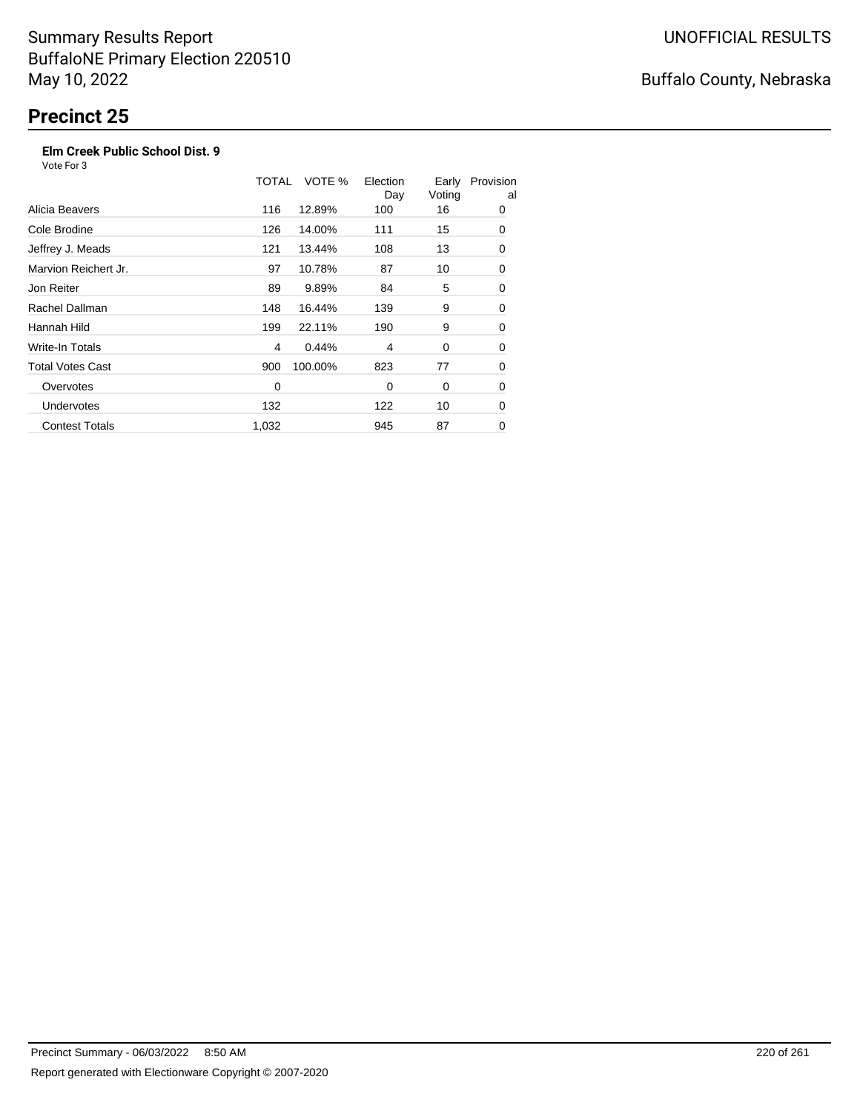### **Elm Creek Public School Dist. 9**

Vote For 3

|                         | TOTAL | VOTE %  | Election<br>Day | Early<br>Voting | Provision<br>al |
|-------------------------|-------|---------|-----------------|-----------------|-----------------|
| Alicia Beavers          | 116   | 12.89%  | 100             | 16              | 0               |
| Cole Brodine            | 126   | 14.00%  | 111             | 15              | 0               |
| Jeffrey J. Meads        | 121   | 13.44%  | 108             | 13              | 0               |
| Marvion Reichert Jr.    | 97    | 10.78%  | 87              | 10              | 0               |
| Jon Reiter              | 89    | 9.89%   | 84              | 5               | 0               |
| Rachel Dallman          | 148   | 16.44%  | 139             | 9               | 0               |
| Hannah Hild             | 199   | 22.11%  | 190             | 9               | 0               |
| Write-In Totals         | 4     | 0.44%   | 4               | 0               | 0               |
| <b>Total Votes Cast</b> | 900   | 100.00% | 823             | 77              | 0               |
| Overvotes               | 0     |         | 0               | 0               | 0               |
| <b>Undervotes</b>       | 132   |         | 122             | 10              | 0               |
| <b>Contest Totals</b>   | 1,032 |         | 945             | 87              | 0               |

## Buffalo County, Nebraska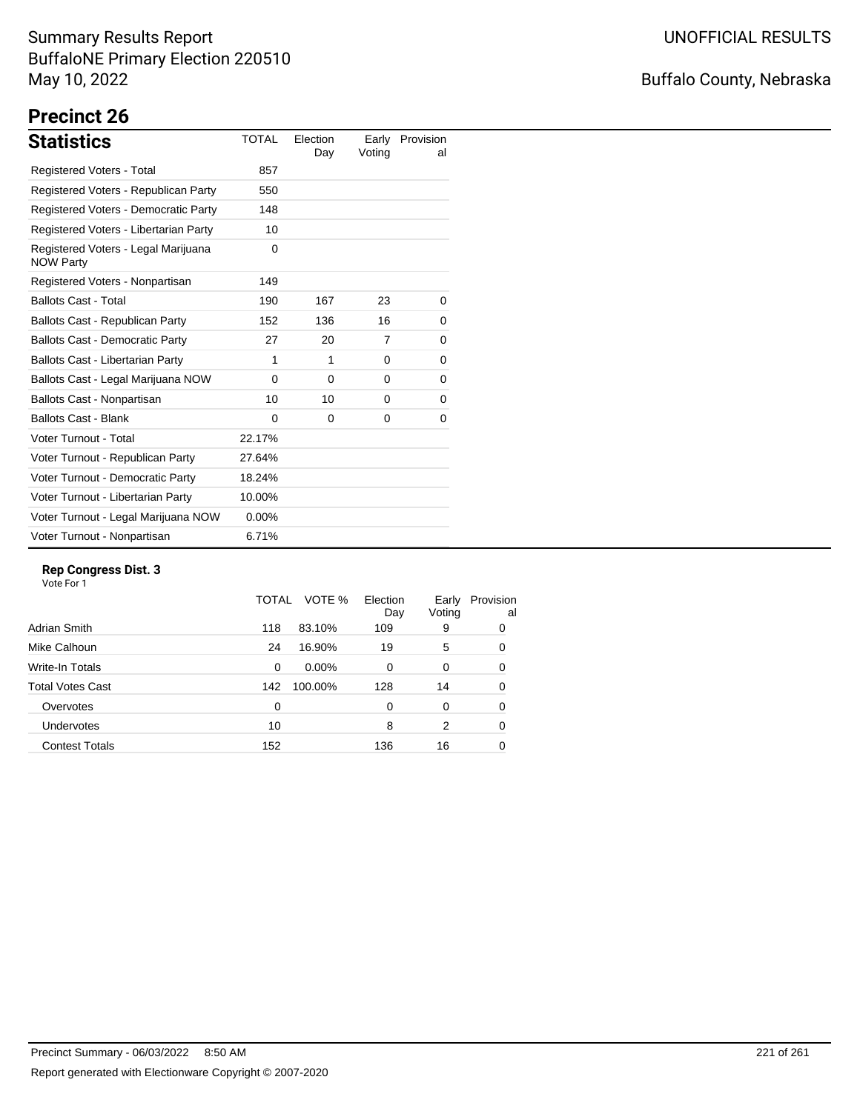## Buffalo County, Nebraska

# **Precinct 26**

| <b>Statistics</b>                                       | <b>TOTAL</b> | Election<br>Day | Early<br>Voting | Provision<br>al |
|---------------------------------------------------------|--------------|-----------------|-----------------|-----------------|
| <b>Registered Voters - Total</b>                        | 857          |                 |                 |                 |
| Registered Voters - Republican Party                    | 550          |                 |                 |                 |
| Registered Voters - Democratic Party                    | 148          |                 |                 |                 |
| Registered Voters - Libertarian Party                   | 10           |                 |                 |                 |
| Registered Voters - Legal Marijuana<br><b>NOW Party</b> | 0            |                 |                 |                 |
| Registered Voters - Nonpartisan                         | 149          |                 |                 |                 |
| <b>Ballots Cast - Total</b>                             | 190          | 167             | 23              | 0               |
| Ballots Cast - Republican Party                         | 152          | 136             | 16              | 0               |
| <b>Ballots Cast - Democratic Party</b>                  | 27           | 20              | 7               | 0               |
| Ballots Cast - Libertarian Party                        | 1            | 1               | 0               | 0               |
| Ballots Cast - Legal Marijuana NOW                      | $\Omega$     | $\Omega$        | $\Omega$        | 0               |
| Ballots Cast - Nonpartisan                              | 10           | 10              | 0               | 0               |
| <b>Ballots Cast - Blank</b>                             | $\Omega$     | $\Omega$        | 0               | 0               |
| Voter Turnout - Total                                   | 22.17%       |                 |                 |                 |
| Voter Turnout - Republican Party                        | 27.64%       |                 |                 |                 |
| Voter Turnout - Democratic Party                        | 18.24%       |                 |                 |                 |
| Voter Turnout - Libertarian Party                       | 10.00%       |                 |                 |                 |
| Voter Turnout - Legal Marijuana NOW                     | $0.00\%$     |                 |                 |                 |
| Voter Turnout - Nonpartisan                             | 6.71%        |                 |                 |                 |

#### **Rep Congress Dist. 3**

|                       | TOTAL    | VOTE %  | Election<br>Day | Early<br>Voting | Provision<br>al |
|-----------------------|----------|---------|-----------------|-----------------|-----------------|
| Adrian Smith          | 118      | 83.10%  | 109             | 9               | 0               |
| Mike Calhoun          | 24       | 16.90%  | 19              | 5               | 0               |
| Write-In Totals       | $\Omega$ | 0.00%   | $\Omega$        | 0               | 0               |
| Total Votes Cast      | 142      | 100.00% | 128             | 14              | 0               |
| Overvotes             | 0        |         | 0               | 0               | 0               |
| <b>Undervotes</b>     | 10       |         | 8               | 2               | 0               |
| <b>Contest Totals</b> | 152      |         | 136             | 16              | 0               |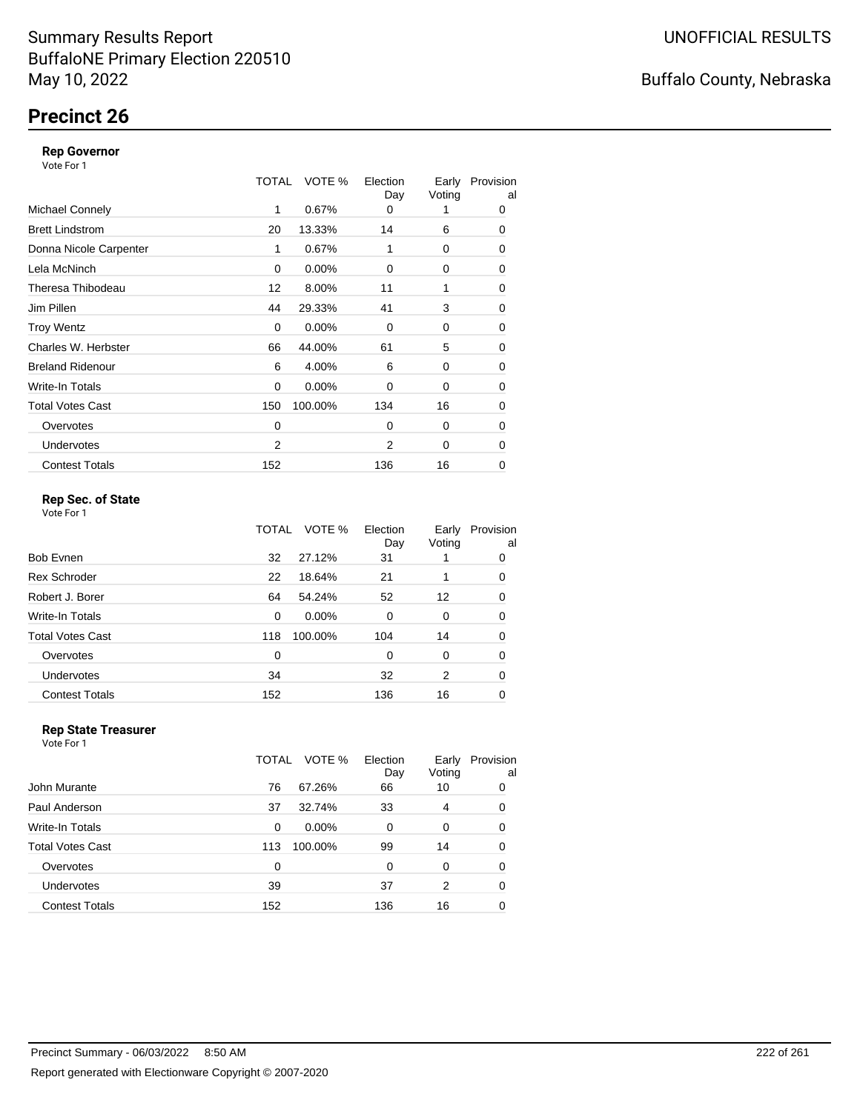## **Precinct 26**

#### **Rep Governor**

Vote For 1

|                         | TOTAL | VOTE %   | Election<br>Day | Early<br>Voting | Provision<br>al |
|-------------------------|-------|----------|-----------------|-----------------|-----------------|
| <b>Michael Connely</b>  | 1     | 0.67%    | 0               |                 | 0               |
| <b>Brett Lindstrom</b>  | 20    | 13.33%   | 14              | 6               | 0               |
| Donna Nicole Carpenter  | 1     | 0.67%    | 1               | 0               | 0               |
| Lela McNinch            | 0     | 0.00%    | 0               | 0               | 0               |
| Theresa Thibodeau       | 12    | 8.00%    | 11              | 1               | 0               |
| Jim Pillen              | 44    | 29.33%   | 41              | 3               | 0               |
| <b>Troy Wentz</b>       | 0     | $0.00\%$ | $\Omega$        | 0               | 0               |
| Charles W. Herbster     | 66    | 44.00%   | 61              | 5               | 0               |
| <b>Breland Ridenour</b> | 6     | 4.00%    | 6               | 0               | 0               |
| Write-In Totals         | 0     | $0.00\%$ | 0               | 0               | 0               |
| <b>Total Votes Cast</b> | 150   | 100.00%  | 134             | 16              | 0               |
| Overvotes               | 0     |          | $\Omega$        | 0               | 0               |
| <b>Undervotes</b>       | 2     |          | $\overline{2}$  | 0               | $\Omega$        |
| <b>Contest Totals</b>   | 152   |          | 136             | 16              | 0               |

### **Rep Sec. of State**

Vote For 1

|                         | TOTAL | VOTE %  | Election<br>Day | Early<br>Voting | Provision<br>al |
|-------------------------|-------|---------|-----------------|-----------------|-----------------|
| <b>Bob Evnen</b>        | 32    | 27.12%  | 31              |                 | 0               |
| <b>Rex Schroder</b>     | 22    | 18.64%  | 21              |                 | 0               |
| Robert J. Borer         | 64    | 54.24%  | 52              | 12              | 0               |
| Write-In Totals         | 0     | 0.00%   | 0               | 0               | 0               |
| <b>Total Votes Cast</b> | 118   | 100.00% | 104             | 14              | 0               |
| Overvotes               | 0     |         | 0               | 0               | 0               |
| Undervotes              | 34    |         | 32              | 2               | 0               |
| <b>Contest Totals</b>   | 152   |         | 136             | 16              | 0               |

#### **Rep State Treasurer** Vote For 1

|                       | TOTAL | VOTE %   | Election<br>Day | Early<br>Voting | Provision<br>al |
|-----------------------|-------|----------|-----------------|-----------------|-----------------|
| John Murante          | 76    | 67.26%   | 66              | 10              | 0               |
| Paul Anderson         | 37    | 32.74%   | 33              | 4               | 0               |
| Write-In Totals       | 0     | $0.00\%$ | 0               | 0               | 0               |
| Total Votes Cast      | 113   | 100.00%  | 99              | 14              | 0               |
| Overvotes             | 0     |          | 0               | 0               | 0               |
| Undervotes            | 39    |          | 37              | 2               | 0               |
| <b>Contest Totals</b> | 152   |          | 136             | 16              | 0               |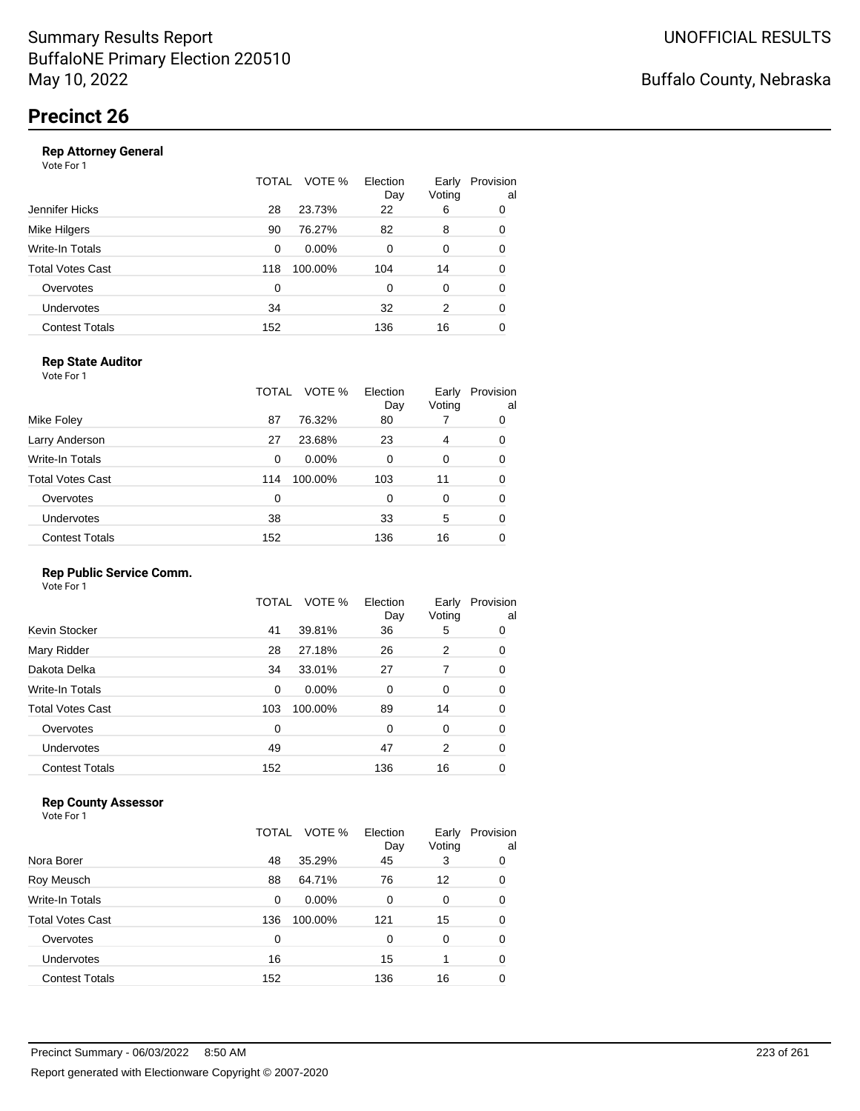|                       | TOTAL | VOTE %   | Election<br>Day | Early<br>Voting | Provision<br>al |
|-----------------------|-------|----------|-----------------|-----------------|-----------------|
| Jennifer Hicks        | 28    | 23.73%   | 22              | 6               | 0               |
| Mike Hilgers          | 90    | 76.27%   | 82              | 8               | 0               |
| Write-In Totals       | 0     | $0.00\%$ | $\Omega$        | 0               | 0               |
| Total Votes Cast      | 118   | 100.00%  | 104             | 14              | 0               |
| Overvotes             | 0     |          | 0               | $\Omega$        | 0               |
| Undervotes            | 34    |          | 32              | 2               | 0               |
| <b>Contest Totals</b> | 152   |          | 136             | 16              | 0               |
|                       |       |          |                 |                 |                 |

### **Rep State Auditor**

Vote For 1

|                         | TOTAL | VOTE %   | Election<br>Day | Early<br>Voting | Provision<br>al |
|-------------------------|-------|----------|-----------------|-----------------|-----------------|
| Mike Foley              | 87    | 76.32%   | 80              |                 | 0               |
| Larry Anderson          | 27    | 23.68%   | 23              | 4               | 0               |
| Write-In Totals         | 0     | $0.00\%$ | 0               | 0               | 0               |
| <b>Total Votes Cast</b> | 114   | 100.00%  | 103             | 11              | 0               |
| Overvotes               | 0     |          | $\Omega$        | O               | 0               |
| <b>Undervotes</b>       | 38    |          | 33              | 5               | 0               |
| <b>Contest Totals</b>   | 152   |          | 136             | 16              | 0               |

#### **Rep Public Service Comm.**

Vote For 1

|                         | TOTAL | VOTE %   | Election<br>Day | Early<br>Voting | Provision<br>al |
|-------------------------|-------|----------|-----------------|-----------------|-----------------|
| Kevin Stocker           | 41    | 39.81%   | 36              | 5               | 0               |
| Mary Ridder             | 28    | 27.18%   | 26              | 2               | 0               |
| Dakota Delka            | 34    | 33.01%   | 27              | 7               | 0               |
| Write-In Totals         | 0     | $0.00\%$ | 0               | 0               | 0               |
| <b>Total Votes Cast</b> | 103   | 100.00%  | 89              | 14              | 0               |
| Overvotes               | 0     |          | 0               | 0               | 0               |
| Undervotes              | 49    |          | 47              | 2               | 0               |
| <b>Contest Totals</b>   | 152   |          | 136             | 16              | 0               |
|                         |       |          |                 |                 |                 |

### **Rep County Assessor**

|                       | TOTAL | VOTE %   | Election<br>Day | Early<br>Voting | Provision<br>al |
|-----------------------|-------|----------|-----------------|-----------------|-----------------|
| Nora Borer            | 48    | 35.29%   | 45              | 3               | 0               |
| Roy Meusch            | 88    | 64.71%   | 76              | 12              | 0               |
| Write-In Totals       | 0     | $0.00\%$ | 0               | 0               | 0               |
| Total Votes Cast      | 136   | 100.00%  | 121             | 15              | 0               |
| Overvotes             | 0     |          | 0               | 0               | 0               |
| Undervotes            | 16    |          | 15              |                 | 0               |
| <b>Contest Totals</b> | 152   |          | 136             | 16              |                 |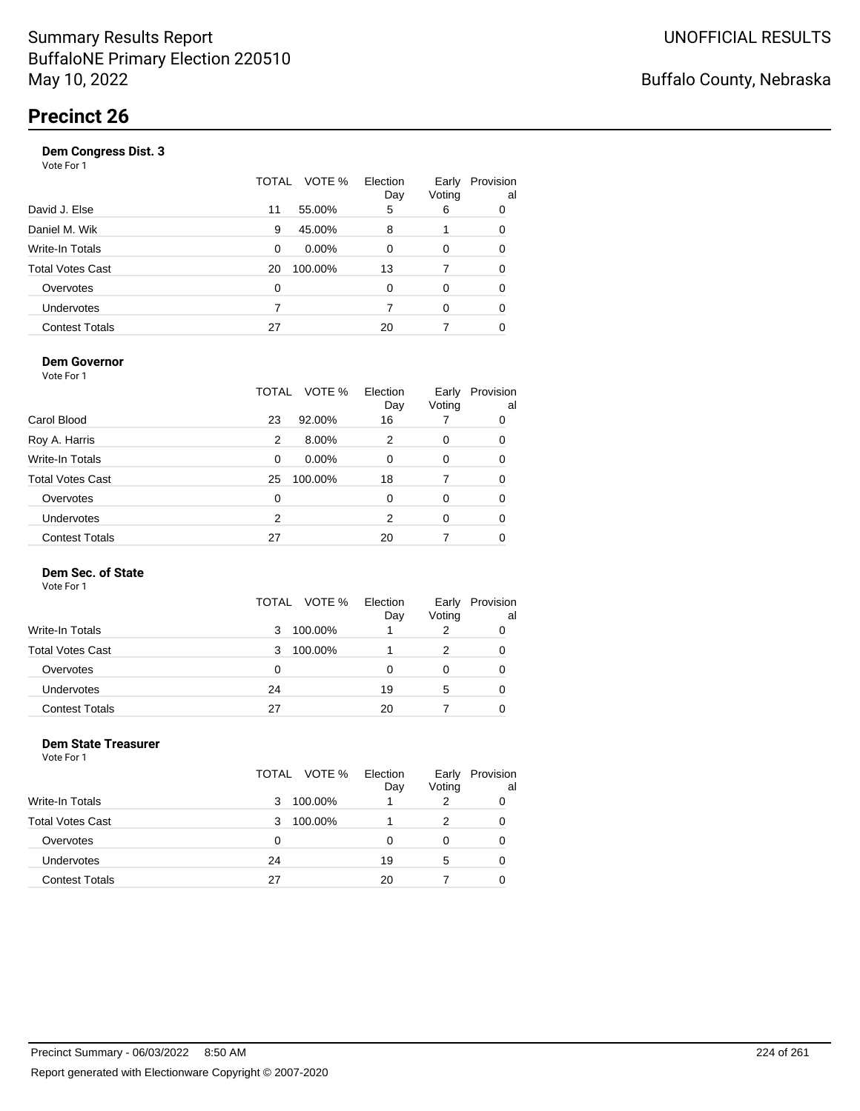| . <del>.</del> <del>.</del> <u>.</u><br>$   -$<br>Vote For 1 |    |              |                 |                 |                 |
|--------------------------------------------------------------|----|--------------|-----------------|-----------------|-----------------|
|                                                              |    | TOTAL VOTE % | Election<br>Day | Early<br>Voting | Provision<br>al |
| David J. Else                                                | 11 | 55.00%       | 5               | 6               | 0               |
| Daniel M. Wik                                                | 9  | 45.00%       | 8               |                 | 0               |
| Write-In Totals                                              | 0  | $0.00\%$     | 0               | 0               | 0               |
| <b>Total Votes Cast</b>                                      | 20 | 100.00%      | 13              |                 | 0               |
| Overvotes                                                    | 0  |              | 0               | $\Omega$        | 0               |
| <b>Undervotes</b>                                            | 7  |              | 7               | 0               | 0               |
| <b>Contest Totals</b>                                        | 27 |              | 20              |                 | 0               |
|                                                              |    |              |                 |                 |                 |

### **Dem Governor**

Vote For 1

|                         | TOTAL | VOTE %   | Election<br>Day | Early<br>Voting | Provision<br>al |
|-------------------------|-------|----------|-----------------|-----------------|-----------------|
| Carol Blood             | 23    | 92.00%   | 16              |                 | 0               |
| Roy A. Harris           | 2     | 8.00%    | 2               | 0               | 0               |
| Write-In Totals         | 0     | $0.00\%$ | 0               | 0               | 0               |
| <b>Total Votes Cast</b> | 25    | 100.00%  | 18              | 7               | 0               |
| Overvotes               | 0     |          | 0               | 0               | 0               |
| <b>Undervotes</b>       | 2     |          | 2               | 0               | 0               |
| <b>Contest Totals</b>   | 27    |          | 20              |                 |                 |

#### **Dem Sec. of State**

Vote For 1

|                         | TOTAL VOTE % | Election<br>Day | Early<br>Voting | Provision<br>al |
|-------------------------|--------------|-----------------|-----------------|-----------------|
| Write-In Totals         | 100.00%<br>3 |                 |                 |                 |
| <b>Total Votes Cast</b> | 100.00%<br>3 |                 |                 |                 |
| Overvotes               | 0            | Ω               |                 |                 |
| Undervotes              | 24           | 19              | 5               |                 |
| <b>Contest Totals</b>   | 27           | 20              |                 |                 |

#### **Dem State Treasurer** Vote For 1

|                         |    | TOTAL VOTE % | Election<br>Day | Early<br>Voting | Provision<br>al |
|-------------------------|----|--------------|-----------------|-----------------|-----------------|
| Write-In Totals         | 3  | 100.00%      |                 | 2               | 0               |
| <b>Total Votes Cast</b> | 3  | 100.00%      |                 | 2               | 0               |
| Overvotes               | 0  |              | 0               | 0               | 0               |
| <b>Undervotes</b>       | 24 |              | 19              | 5               | 0               |
| <b>Contest Totals</b>   | 27 |              | 20              |                 |                 |
|                         |    |              |                 |                 |                 |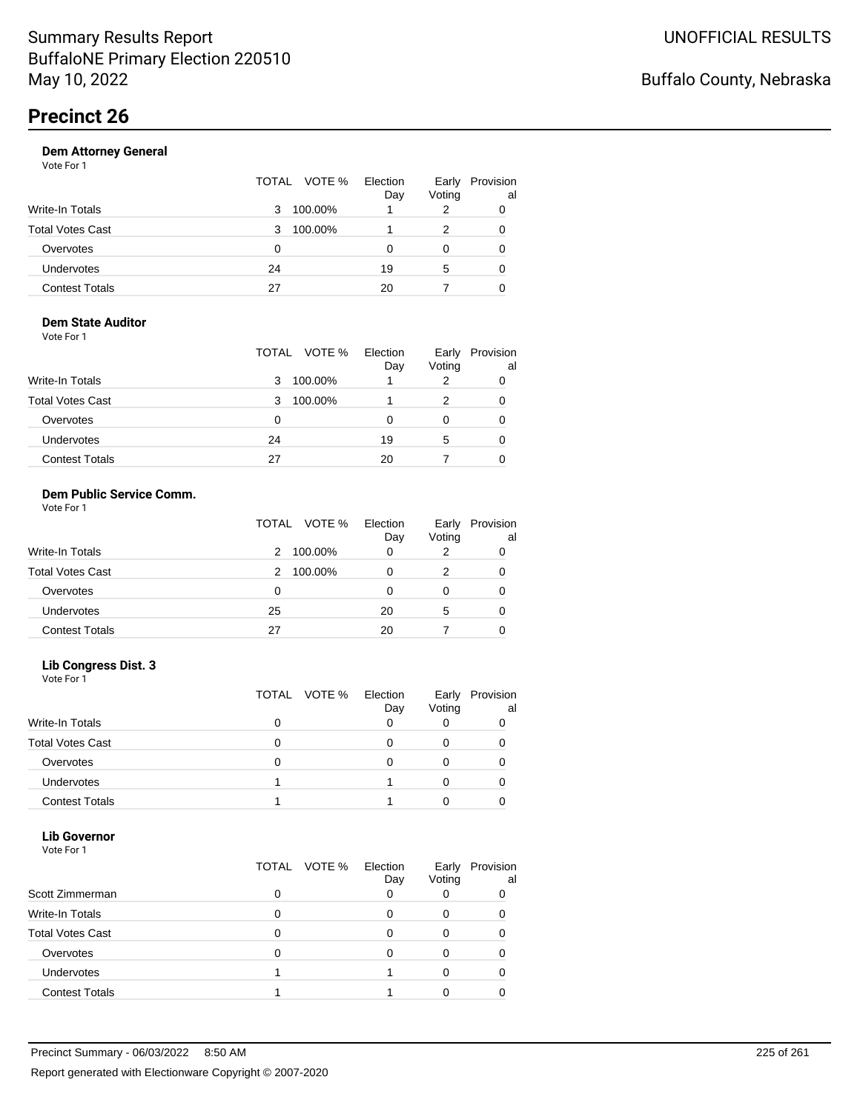|                       |    | TOTAL VOTE % | Election<br>Day | Early<br>Voting | Provision<br>al |
|-----------------------|----|--------------|-----------------|-----------------|-----------------|
| Write-In Totals       | 3  | 100.00%      |                 | 2               | 0               |
| Total Votes Cast      | 3  | 100.00%      |                 |                 | 0               |
| Overvotes             | 0  |              | Ω               | 0               |                 |
| Undervotes            | 24 |              | 19              | 5               | 0               |
| <b>Contest Totals</b> | 27 |              | 20              |                 | 0               |

#### **Dem State Auditor** Vote For 1

|                         | TOTAL VOTE % | Election<br>Day | Early<br>Voting | Provision<br>al |
|-------------------------|--------------|-----------------|-----------------|-----------------|
| <b>Write-In Totals</b>  | 100.00%<br>3 |                 |                 |                 |
| <b>Total Votes Cast</b> | 100.00%<br>3 |                 | 2               | 0               |
| Overvotes               | 0            | Ω               | O               |                 |
| Undervotes              | 24           | 19              | 5               |                 |
| <b>Contest Totals</b>   | 27           | 20              |                 |                 |

#### **Dem Public Service Comm.** Vote For 1

|                         | TOTAL VOTE % | Election<br>Day | Early<br>Voting | Provision<br>al |
|-------------------------|--------------|-----------------|-----------------|-----------------|
| <b>Write-In Totals</b>  | 100.00%<br>2 | 0               | 2               |                 |
| <b>Total Votes Cast</b> | 100.00%<br>2 | 0               | 2               |                 |
| Overvotes               | 0            |                 | 0               |                 |
| <b>Undervotes</b>       | 25           | 20              | 5               |                 |
| <b>Contest Totals</b>   | 27           | 20              |                 |                 |

### **Lib Congress Dist. 3**

Vote For 1

|                         | TOTAL VOTE % | Election<br>Day | Early<br>Voting | Provision<br>al |
|-------------------------|--------------|-----------------|-----------------|-----------------|
| <b>Write-In Totals</b>  |              |                 |                 |                 |
| <b>Total Votes Cast</b> |              |                 |                 |                 |
| Overvotes               |              |                 |                 |                 |
| <b>Undervotes</b>       |              |                 |                 |                 |
| <b>Contest Totals</b>   |              |                 |                 |                 |

#### **Lib Governor** Vote For 1

| .                       |   | TOTAL VOTE % | Election<br>Day | Early<br>Voting | Provision<br>al |
|-------------------------|---|--------------|-----------------|-----------------|-----------------|
| Scott Zimmerman         | ი |              |                 |                 |                 |
| Write-In Totals         | 0 |              |                 |                 |                 |
| <b>Total Votes Cast</b> |   |              |                 |                 |                 |
| Overvotes               |   |              |                 |                 |                 |
| <b>Undervotes</b>       |   |              |                 |                 |                 |
| <b>Contest Totals</b>   |   |              |                 |                 |                 |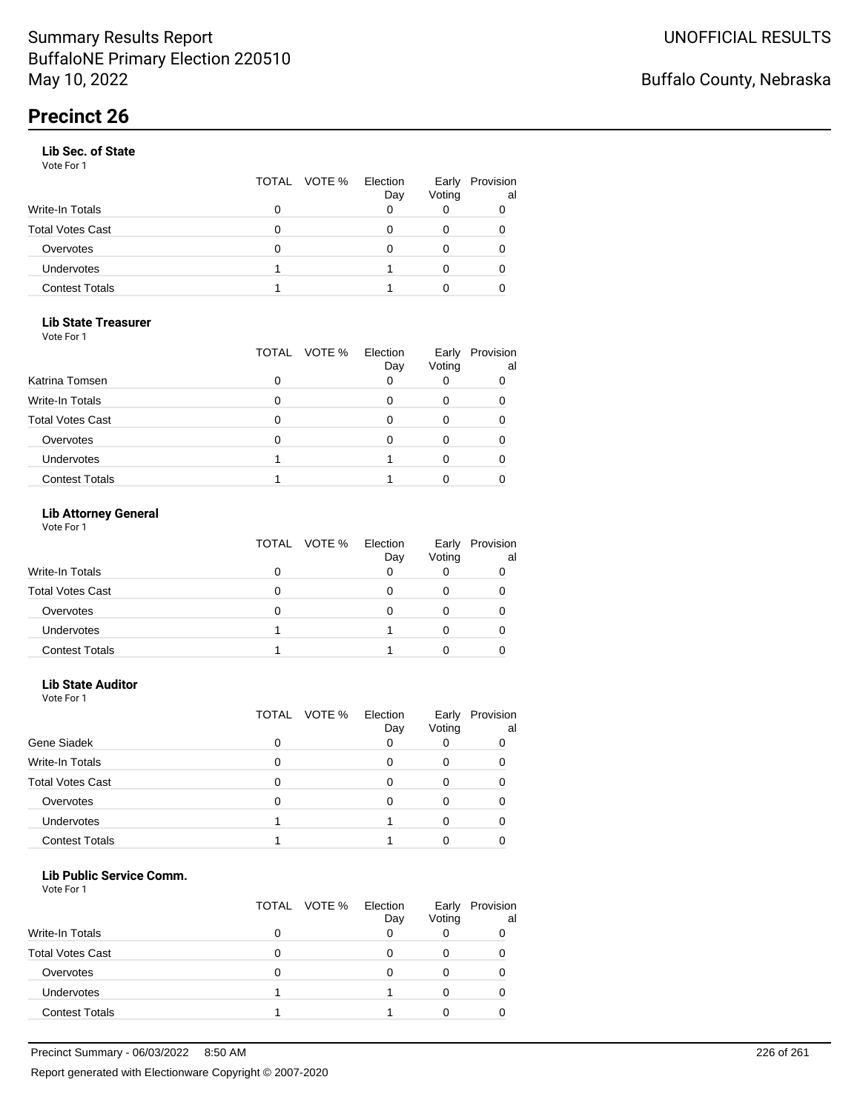#### **Lib Sec. of State**

Vote For 1

|   | Day          | Early<br>Voting | Provision<br>al |
|---|--------------|-----------------|-----------------|
| O |              |                 |                 |
| 0 |              |                 |                 |
| O |              |                 |                 |
|   |              |                 |                 |
|   |              |                 |                 |
|   | TOTAL VOTE % | Election        |                 |

### **Lib State Treasurer**

Vote For 1

|                         | TOTAL | VOTE % Election<br>Day | Early<br>Voting | Provision<br>al |
|-------------------------|-------|------------------------|-----------------|-----------------|
| Katrina Tomsen          | ი     |                        |                 |                 |
| <b>Write-In Totals</b>  | 0     |                        |                 |                 |
| <b>Total Votes Cast</b> |       |                        |                 |                 |
| Overvotes               | O     |                        |                 |                 |
| Undervotes              |       |                        |                 |                 |
| <b>Contest Totals</b>   |       |                        |                 |                 |

### **Lib Attorney General**

Vote For 1

|                         | TOTAL VOTE % | Election<br>Day | Early<br>Voting | Provision<br>al |
|-------------------------|--------------|-----------------|-----------------|-----------------|
| Write-In Totals         | 0            |                 |                 |                 |
| <b>Total Votes Cast</b> | 0            |                 |                 |                 |
| Overvotes               | 0            |                 |                 |                 |
| <b>Undervotes</b>       |              |                 |                 |                 |
| <b>Contest Totals</b>   |              |                 |                 |                 |

#### **Lib State Auditor**

Vote For 1

|                         |   | TOTAL VOTE % | Election<br>Day | Early<br>Voting | Provision<br>al |
|-------------------------|---|--------------|-----------------|-----------------|-----------------|
| Gene Siadek             | 0 |              |                 |                 |                 |
| <b>Write-In Totals</b>  | 0 |              |                 |                 |                 |
| <b>Total Votes Cast</b> | 0 |              |                 |                 |                 |
| Overvotes               | 0 |              |                 |                 |                 |
| Undervotes              |   |              |                 |                 |                 |
| <b>Contest Totals</b>   |   |              |                 |                 |                 |

#### **Lib Public Service Comm.**

|                         | TOTAL VOTE % | Election<br>Day | Early<br>Voting | Provision<br>al |
|-------------------------|--------------|-----------------|-----------------|-----------------|
| <b>Write-In Totals</b>  |              |                 |                 |                 |
| <b>Total Votes Cast</b> |              |                 |                 |                 |
| Overvotes               |              |                 |                 |                 |
| Undervotes              |              |                 |                 |                 |
| <b>Contest Totals</b>   |              |                 |                 |                 |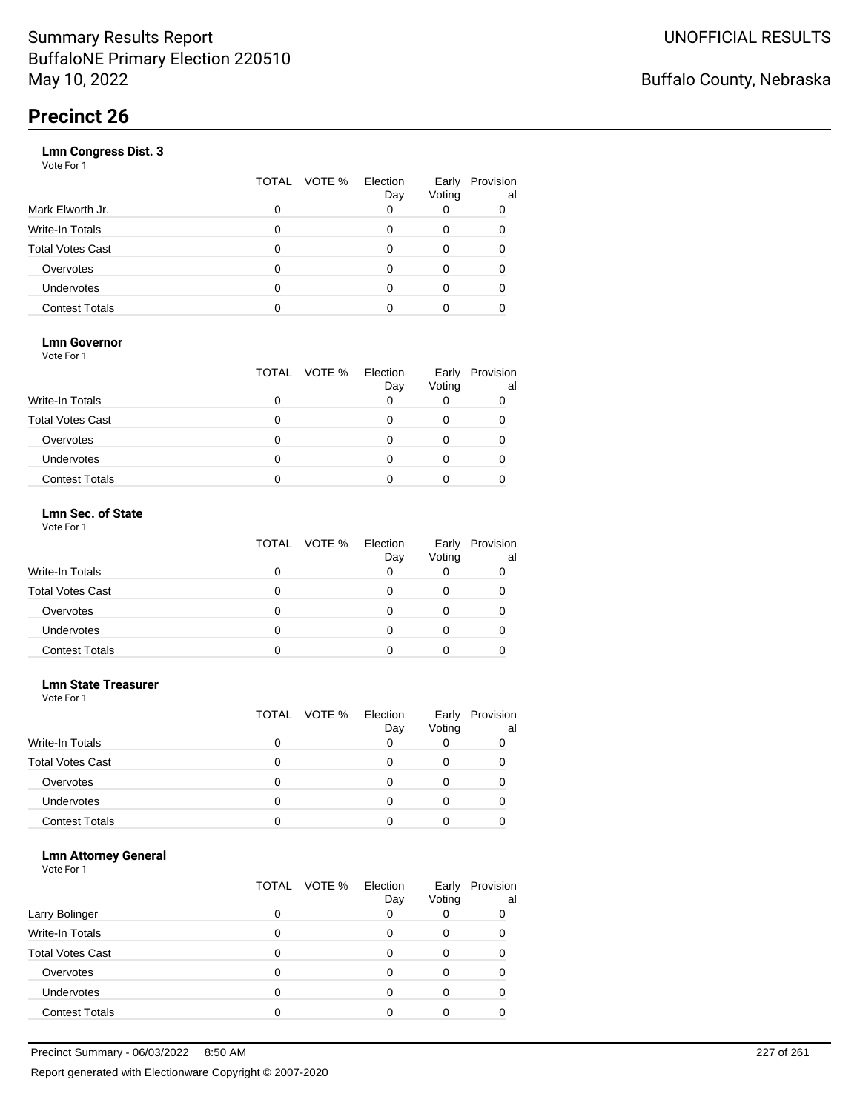|                       | VOTE %<br>TOTAL | Election<br>Day | Early<br>Voting | Provision<br>al |
|-----------------------|-----------------|-----------------|-----------------|-----------------|
| Mark Elworth Jr.      | 0               |                 |                 | 0               |
| Write-In Totals       | 0               |                 | 0               | 0               |
| Total Votes Cast      | 0               |                 | Ω               |                 |
| Overvotes             | 0               |                 | 0               |                 |
| <b>Undervotes</b>     | 0               |                 |                 | Ω               |
| <b>Contest Totals</b> |                 |                 |                 |                 |
|                       |                 |                 |                 |                 |

### **Lmn Governor**

Vote For 1

|                         | TOTAL VOTE % Election | Day | Early<br>Voting | Provision<br>al |
|-------------------------|-----------------------|-----|-----------------|-----------------|
| Write-In Totals         |                       |     |                 |                 |
| <b>Total Votes Cast</b> |                       |     |                 |                 |
| Overvotes               |                       |     |                 |                 |
| <b>Undervotes</b>       |                       |     |                 |                 |
| <b>Contest Totals</b>   |                       |     |                 |                 |

#### **Lmn Sec. of State** Vote For 1

|                         | TOTAL VOTE % | Election<br>Day | Voting | Early Provision<br>al |
|-------------------------|--------------|-----------------|--------|-----------------------|
| <b>Write-In Totals</b>  |              |                 |        |                       |
| <b>Total Votes Cast</b> |              |                 |        |                       |
| Overvotes               | 0            |                 |        |                       |
| Undervotes              |              |                 |        |                       |
| <b>Contest Totals</b>   |              |                 |        |                       |

#### **Lmn State Treasurer**

Vote For 1

|                         | TOTAL VOTE % | Election<br>Day | Early<br>Voting | Provision<br>al |
|-------------------------|--------------|-----------------|-----------------|-----------------|
| <b>Write-In Totals</b>  |              |                 |                 |                 |
| <b>Total Votes Cast</b> |              |                 |                 |                 |
| Overvotes               |              |                 |                 |                 |
| <b>Undervotes</b>       |              |                 |                 |                 |
| <b>Contest Totals</b>   |              |                 |                 |                 |

#### **Lmn Attorney General**

|                         |   | TOTAL VOTE % | Election<br>Day | Early<br>Voting | Provision<br>al |
|-------------------------|---|--------------|-----------------|-----------------|-----------------|
| Larry Bolinger          |   |              |                 |                 | 0               |
| <b>Write-In Totals</b>  |   |              |                 | Ω               |                 |
| <b>Total Votes Cast</b> |   |              |                 |                 |                 |
| Overvotes               | 0 |              |                 | Ω               |                 |
| <b>Undervotes</b>       | 0 |              |                 | Ω               |                 |
| <b>Contest Totals</b>   |   |              |                 |                 |                 |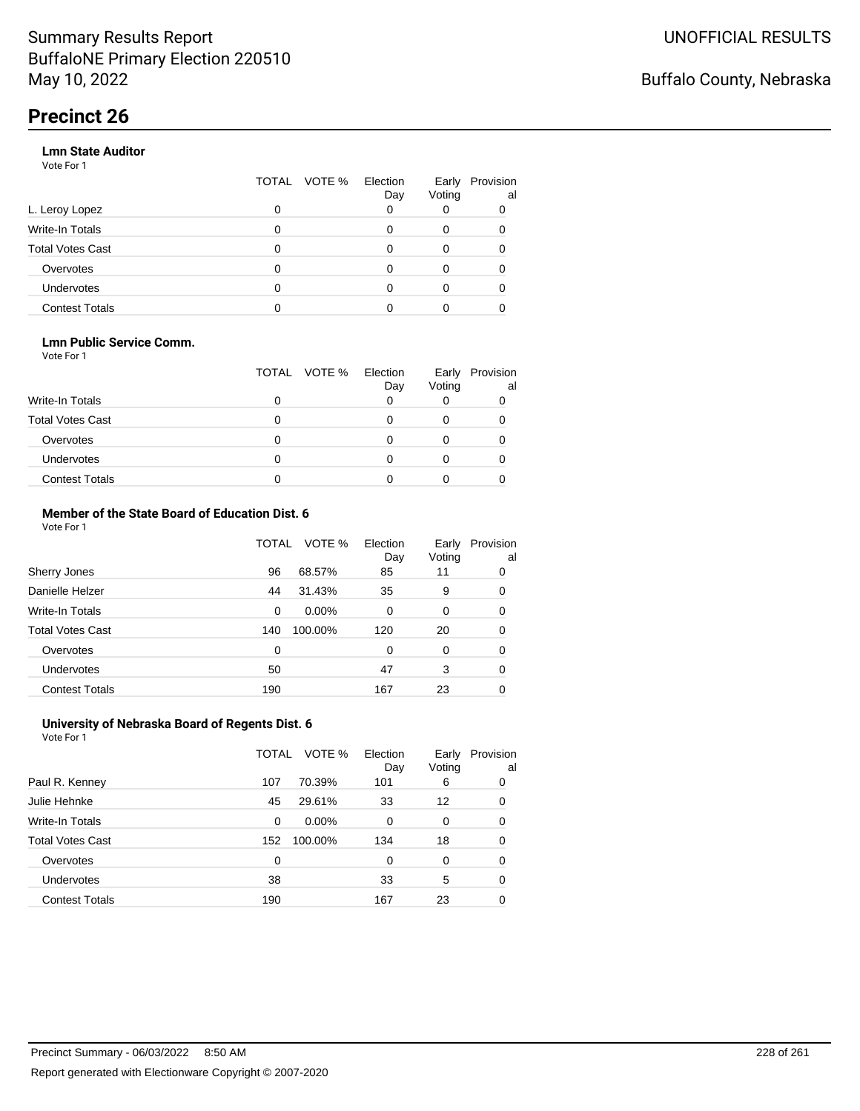#### **Lmn State Auditor**

Vote For 1

|                         | TOTAL | VOTE % Election | Day | Early<br>Voting | Provision<br>al |
|-------------------------|-------|-----------------|-----|-----------------|-----------------|
| L. Leroy Lopez          | 0     |                 | Ω   |                 |                 |
| <b>Write-In Totals</b>  |       |                 | O   | 0               |                 |
| <b>Total Votes Cast</b> | O     |                 |     | 0               |                 |
| Overvotes               | 0     |                 |     | 0               |                 |
| <b>Undervotes</b>       | 0     |                 |     |                 |                 |
| <b>Contest Totals</b>   |       |                 |     |                 |                 |

#### **Lmn Public Service Comm.**

Vote For 1

|                         |   | TOTAL VOTE % | Election<br>Day | Early<br>Voting | Provision<br>al |
|-------------------------|---|--------------|-----------------|-----------------|-----------------|
| <b>Write-In Totals</b>  |   |              |                 |                 |                 |
| <b>Total Votes Cast</b> |   |              |                 |                 |                 |
| Overvotes               |   |              |                 |                 |                 |
| <b>Undervotes</b>       | 0 |              |                 |                 |                 |
| <b>Contest Totals</b>   |   |              |                 |                 |                 |

#### **Member of the State Board of Education Dist. 6** Vote For 1

|                         | TOTAL    | VOTE %   | Election<br>Day | Early<br>Voting | Provision<br>al |
|-------------------------|----------|----------|-----------------|-----------------|-----------------|
| Sherry Jones            | 96       | 68.57%   | 85              | 11              | 0               |
| Danielle Helzer         | 44       | 31.43%   | 35              | 9               | 0               |
| <b>Write-In Totals</b>  | $\Omega$ | $0.00\%$ | $\Omega$        | 0               | 0               |
| <b>Total Votes Cast</b> | 140      | 100.00%  | 120             | 20              | 0               |
| Overvotes               | $\Omega$ |          | $\Omega$        | $\Omega$        | 0               |
| <b>Undervotes</b>       | 50       |          | 47              | 3               | 0               |
| <b>Contest Totals</b>   | 190      |          | 167             | 23              | 0               |

#### **University of Nebraska Board of Regents Dist. 6** Vote For 1

|                         | TOTAL | VOTE %   | Election<br>Day | Early<br>Voting | Provision<br>al |
|-------------------------|-------|----------|-----------------|-----------------|-----------------|
| Paul R. Kenney          | 107   | 70.39%   | 101             | 6               | 0               |
| Julie Hehnke            | 45    | 29.61%   | 33              | 12              | 0               |
| <b>Write-In Totals</b>  | 0     | $0.00\%$ | 0               | 0               | 0               |
| <b>Total Votes Cast</b> | 152   | 100.00%  | 134             | 18              | 0               |
| Overvotes               | 0     |          | 0               | $\Omega$        | 0               |
| Undervotes              | 38    |          | 33              | 5               | 0               |
| <b>Contest Totals</b>   | 190   |          | 167             | 23              | 0               |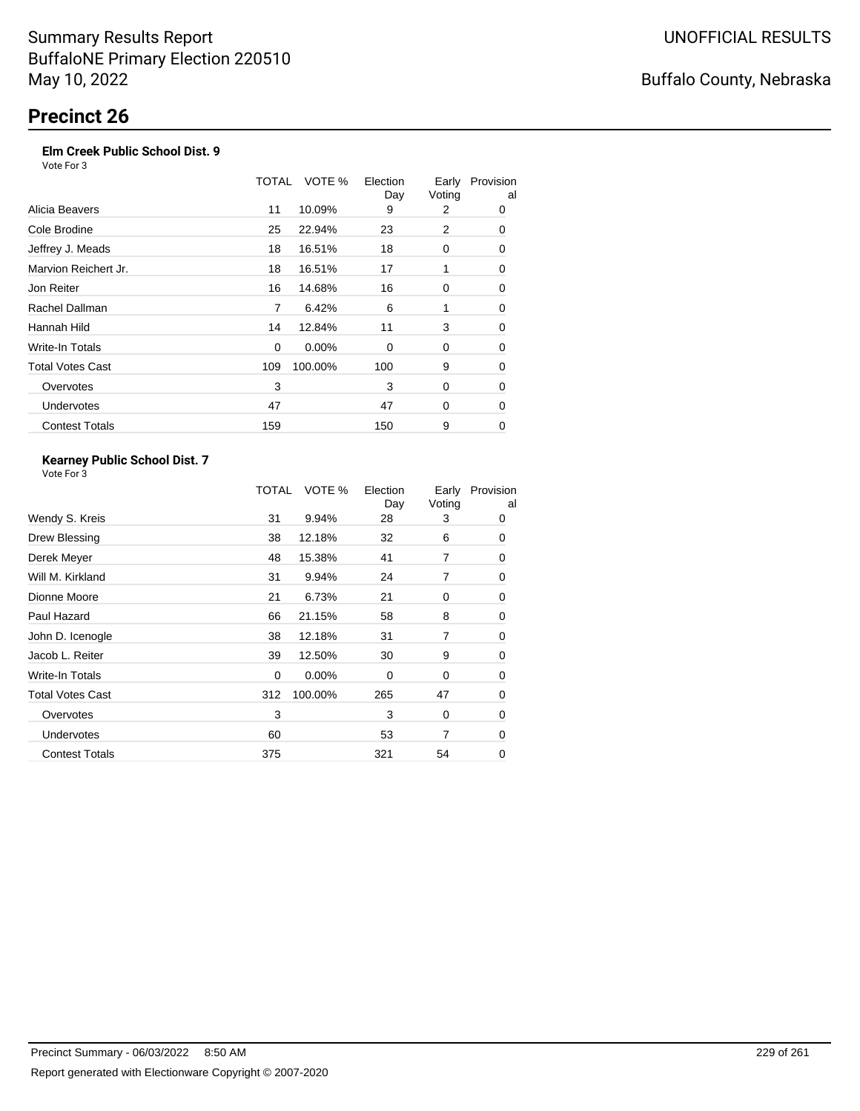### **Elm Creek Public School Dist. 9**

Vote For 3

|                         | TOTAL | VOTE %   | Election<br>Day | Early<br>Voting | Provision<br>al |
|-------------------------|-------|----------|-----------------|-----------------|-----------------|
| Alicia Beavers          | 11    | 10.09%   | 9               | 2               | 0               |
| Cole Brodine            | 25    | 22.94%   | 23              | 2               | 0               |
| Jeffrey J. Meads        | 18    | 16.51%   | 18              | 0               | 0               |
| Marvion Reichert Jr.    | 18    | 16.51%   | 17              | 1               | 0               |
| Jon Reiter              | 16    | 14.68%   | 16              | 0               | 0               |
| Rachel Dallman          | 7     | 6.42%    | 6               | 1               | 0               |
| Hannah Hild             | 14    | 12.84%   | 11              | 3               | 0               |
| Write-In Totals         | 0     | $0.00\%$ | 0               | 0               | 0               |
| <b>Total Votes Cast</b> | 109   | 100.00%  | 100             | 9               | 0               |
| Overvotes               | 3     |          | 3               | 0               | 0               |
| Undervotes              | 47    |          | 47              | 0               | 0               |
| <b>Contest Totals</b>   | 159   |          | 150             | 9               | 0               |

#### **Kearney Public School Dist. 7** Vote For 3

|                         | TOTAL | VOTE %   | Election<br>Day | Early<br>Voting | Provision<br>al |
|-------------------------|-------|----------|-----------------|-----------------|-----------------|
| Wendy S. Kreis          | 31    | 9.94%    | 28              | 3               | 0               |
| Drew Blessing           | 38    | 12.18%   | 32              | 6               | 0               |
| Derek Meyer             | 48    | 15.38%   | 41              | 7               | 0               |
| Will M. Kirkland        | 31    | 9.94%    | 24              | 7               | 0               |
| Dionne Moore            | 21    | 6.73%    | 21              | 0               | 0               |
| Paul Hazard             | 66    | 21.15%   | 58              | 8               | 0               |
| John D. Icenogle        | 38    | 12.18%   | 31              | 7               | 0               |
| Jacob L. Reiter         | 39    | 12.50%   | 30              | 9               | 0               |
| Write-In Totals         | 0     | $0.00\%$ | 0               | 0               | 0               |
| <b>Total Votes Cast</b> | 312   | 100.00%  | 265             | 47              | 0               |
| Overvotes               | 3     |          | 3               | 0               | 0               |
| Undervotes              | 60    |          | 53              | 7               | 0               |
| <b>Contest Totals</b>   | 375   |          | 321             | 54              | 0               |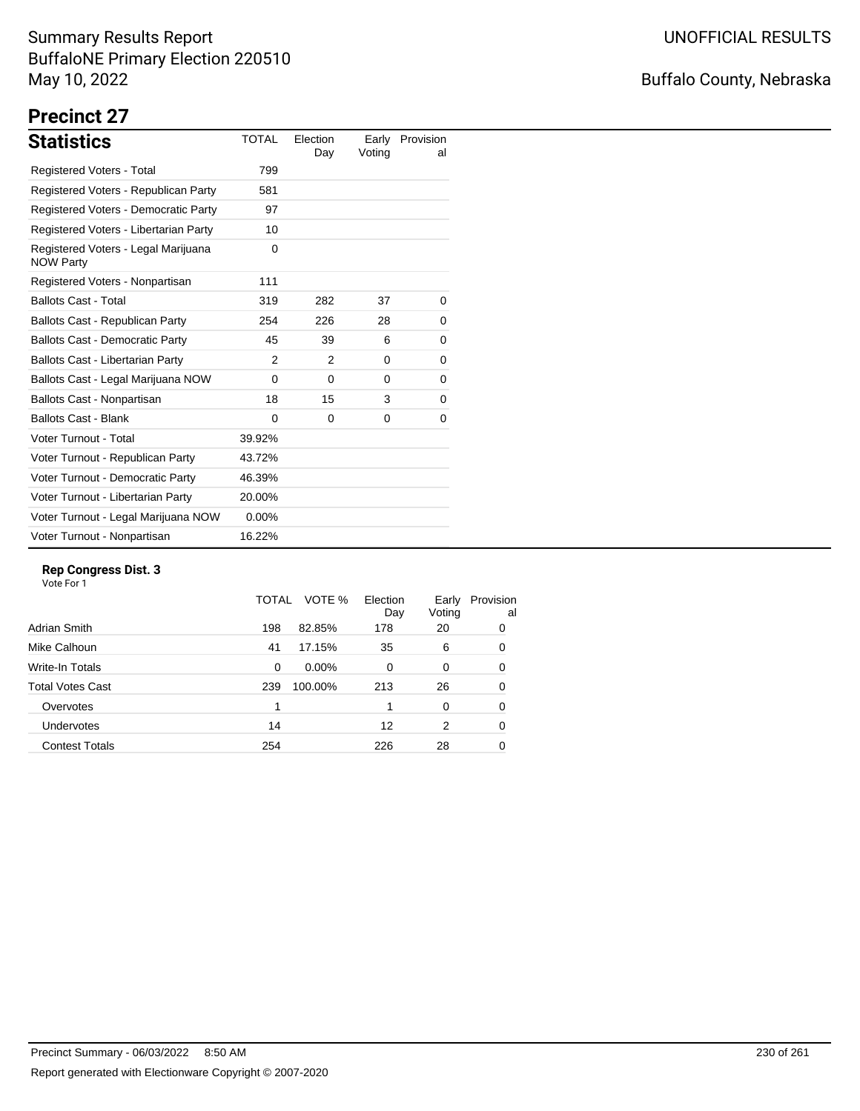## Buffalo County, Nebraska

# **Precinct 27**

| <b>Statistics</b>                                       | <b>TOTAL</b>  | Election<br>Day | Voting   | Early Provision<br>al |
|---------------------------------------------------------|---------------|-----------------|----------|-----------------------|
| Registered Voters - Total                               | 799           |                 |          |                       |
| Registered Voters - Republican Party                    | 581           |                 |          |                       |
| Registered Voters - Democratic Party                    | 97            |                 |          |                       |
| Registered Voters - Libertarian Party                   | 10            |                 |          |                       |
| Registered Voters - Legal Marijuana<br><b>NOW Party</b> | 0             |                 |          |                       |
| Registered Voters - Nonpartisan                         | 111           |                 |          |                       |
| <b>Ballots Cast - Total</b>                             | 319           | 282             | 37       | 0                     |
| Ballots Cast - Republican Party                         | 254           | 226             | 28       | 0                     |
| <b>Ballots Cast - Democratic Party</b>                  | 45            | 39              | 6        | 0                     |
| Ballots Cast - Libertarian Party                        | $\mathcal{P}$ | 2               | $\Omega$ | 0                     |
| Ballots Cast - Legal Marijuana NOW                      | 0             | 0               | 0        | 0                     |
| Ballots Cast - Nonpartisan                              | 18            | 15              | 3        | 0                     |
| <b>Ballots Cast - Blank</b>                             | $\Omega$      | $\Omega$        | $\Omega$ | 0                     |
| Voter Turnout - Total                                   | 39.92%        |                 |          |                       |
| Voter Turnout - Republican Party                        | 43.72%        |                 |          |                       |
| Voter Turnout - Democratic Party                        | 46.39%        |                 |          |                       |
| Voter Turnout - Libertarian Party                       | 20.00%        |                 |          |                       |
| Voter Turnout - Legal Marijuana NOW                     | $0.00\%$      |                 |          |                       |
| Voter Turnout - Nonpartisan                             | 16.22%        |                 |          |                       |

### **Rep Congress Dist. 3**

|                         | TOTAL | VOTE %   | Election<br>Day | Early<br>Voting | Provision<br>al |
|-------------------------|-------|----------|-----------------|-----------------|-----------------|
| Adrian Smith            | 198   | 82.85%   | 178             | 20              | 0               |
| Mike Calhoun            | 41    | 17.15%   | 35              | 6               | 0               |
| Write-In Totals         | 0     | $0.00\%$ | 0               | 0               | 0               |
| <b>Total Votes Cast</b> | 239   | 100.00%  | 213             | 26              | 0               |
| Overvotes               |       |          |                 | 0               | 0               |
| Undervotes              | 14    |          | 12              | 2               | 0               |
| <b>Contest Totals</b>   | 254   |          | 226             | 28              | 0               |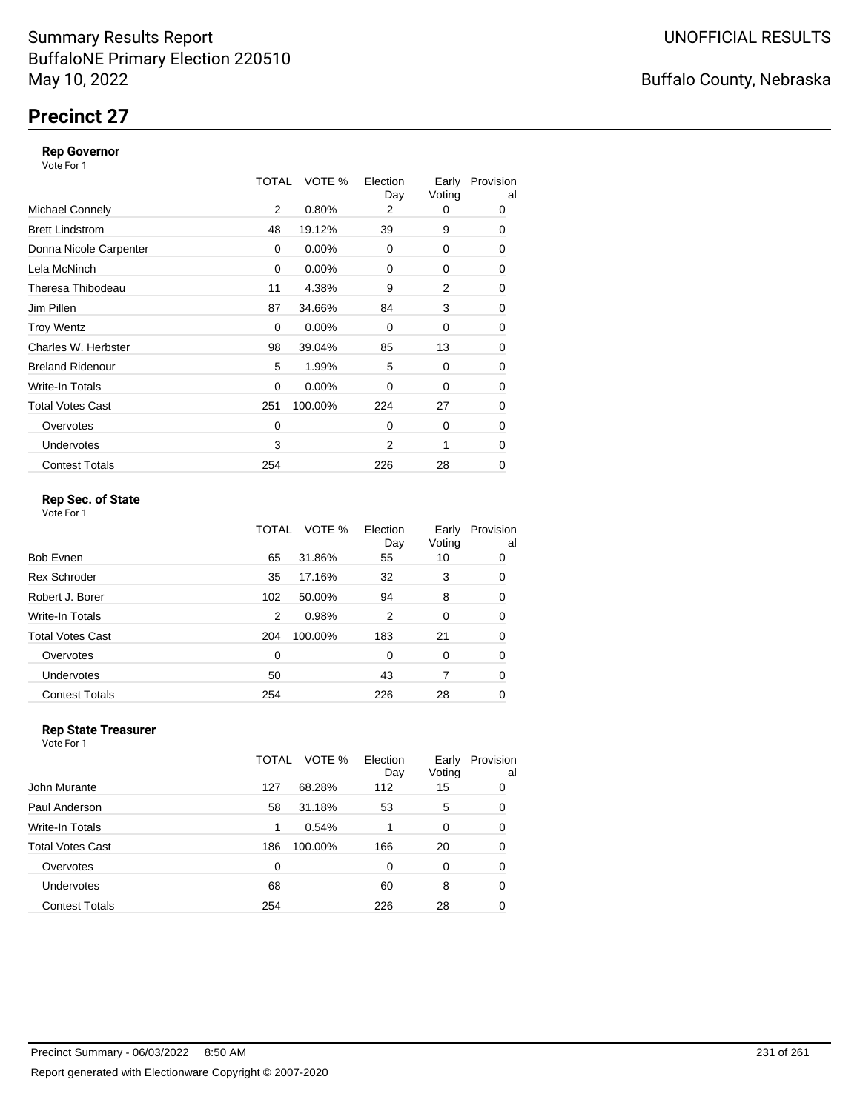## **Precinct 27**

#### **Rep Governor**

Vote For 1

|                         | TOTAL | VOTE %   | Election<br>Day | Early<br>Voting | Provision<br>al |
|-------------------------|-------|----------|-----------------|-----------------|-----------------|
| <b>Michael Connely</b>  | 2     | 0.80%    | 2               | 0               | 0               |
| <b>Brett Lindstrom</b>  | 48    | 19.12%   | 39              | 9               | 0               |
| Donna Nicole Carpenter  | 0     | 0.00%    | $\Omega$        | 0               | 0               |
| Lela McNinch            | 0     | $0.00\%$ | 0               | 0               | 0               |
| Theresa Thibodeau       | 11    | 4.38%    | 9               | 2               | 0               |
| Jim Pillen              | 87    | 34.66%   | 84              | 3               | 0               |
| <b>Troy Wentz</b>       | 0     | 0.00%    | $\Omega$        | 0               | 0               |
| Charles W. Herbster     | 98    | 39.04%   | 85              | 13              | 0               |
| <b>Breland Ridenour</b> | 5     | 1.99%    | 5               | 0               | 0               |
| Write-In Totals         | 0     | 0.00%    | $\Omega$        | 0               | 0               |
| <b>Total Votes Cast</b> | 251   | 100.00%  | 224             | 27              | 0               |
| Overvotes               | 0     |          | $\Omega$        | 0               | 0               |
| <b>Undervotes</b>       | 3     |          | 2               | 1               | 0               |
| <b>Contest Totals</b>   | 254   |          | 226             | 28              | 0               |

### **Rep Sec. of State**

Vote For 1

|                         | TOTAL | VOTE %  | Election<br>Day | Early<br>Voting | Provision<br>al |
|-------------------------|-------|---------|-----------------|-----------------|-----------------|
| <b>Bob Evnen</b>        | 65    | 31.86%  | 55              | 10              | 0               |
| <b>Rex Schroder</b>     | 35    | 17.16%  | 32              | 3               | 0               |
| Robert J. Borer         | 102   | 50.00%  | 94              | 8               | 0               |
| Write-In Totals         | 2     | 0.98%   | 2               | 0               | 0               |
| <b>Total Votes Cast</b> | 204   | 100.00% | 183             | 21              | 0               |
| Overvotes               | 0     |         | 0               | 0               | 0               |
| Undervotes              | 50    |         | 43              | 7               | 0               |
| <b>Contest Totals</b>   | 254   |         | 226             | 28              | 0               |

#### **Rep State Treasurer** Vote For 1

|                       | TOTAL | VOTE %  | Election<br>Day | Early<br>Voting | Provision<br>al |
|-----------------------|-------|---------|-----------------|-----------------|-----------------|
| John Murante          | 127   | 68.28%  | 112             | 15              | 0               |
| Paul Anderson         | 58    | 31.18%  | 53              | 5               | 0               |
| Write-In Totals       | 1     | 0.54%   |                 | 0               | 0               |
| Total Votes Cast      | 186   | 100.00% | 166             | 20              | 0               |
| Overvotes             | 0     |         | 0               | 0               | 0               |
| <b>Undervotes</b>     | 68    |         | 60              | 8               | 0               |
| <b>Contest Totals</b> | 254   |         | 226             | 28              | 0               |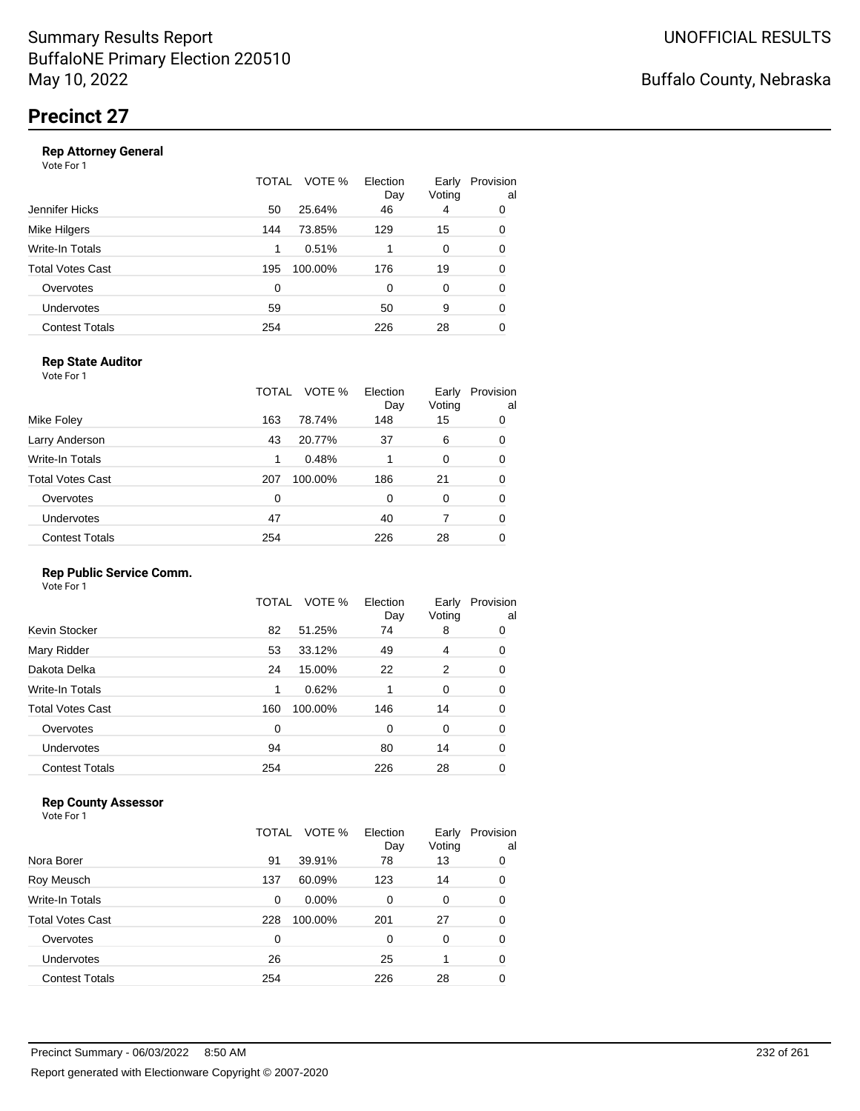|                       | TOTAL | VOTE %  | Election<br>Day | Early<br>Voting | Provision<br>al |
|-----------------------|-------|---------|-----------------|-----------------|-----------------|
| Jennifer Hicks        | 50    | 25.64%  | 46              | 4               | 0               |
| Mike Hilgers          | 144   | 73.85%  | 129             | 15              | 0               |
| Write-In Totals       | 1     | 0.51%   |                 | 0               | 0               |
| Total Votes Cast      | 195   | 100.00% | 176             | 19              | 0               |
| Overvotes             | 0     |         | 0               | 0               | 0               |
| <b>Undervotes</b>     | 59    |         | 50              | 9               | 0               |
| <b>Contest Totals</b> | 254   |         | 226             | 28              | 0               |
|                       |       |         |                 |                 |                 |

### **Rep State Auditor**

Vote For 1

|                       | TOTAL | VOTE %  | Election<br>Day | Early<br>Voting | Provision<br>al |
|-----------------------|-------|---------|-----------------|-----------------|-----------------|
| Mike Foley            | 163   | 78.74%  | 148             | 15              | 0               |
| Larry Anderson        | 43    | 20.77%  | 37              | 6               | 0               |
| Write-In Totals       | 1     | 0.48%   | 1               | 0               | 0               |
| Total Votes Cast      | 207   | 100.00% | 186             | 21              | 0               |
| Overvotes             | 0     |         | 0               | 0               | 0               |
| <b>Undervotes</b>     | 47    |         | 40              |                 | 0               |
| <b>Contest Totals</b> | 254   |         | 226             | 28              | 0               |

#### **Rep Public Service Comm.**

Vote For 1

|                         | TOTAL | VOTE %  | Election<br>Day | Early<br>Voting | Provision<br>al |
|-------------------------|-------|---------|-----------------|-----------------|-----------------|
| Kevin Stocker           | 82    | 51.25%  | 74              | 8               | 0               |
| Mary Ridder             | 53    | 33.12%  | 49              | 4               | 0               |
| Dakota Delka            | 24    | 15.00%  | 22              | 2               | 0               |
| Write-In Totals         | 1     | 0.62%   | 1               | 0               | 0               |
| <b>Total Votes Cast</b> | 160   | 100.00% | 146             | 14              | 0               |
| Overvotes               | 0     |         | 0               | 0               | 0               |
| Undervotes              | 94    |         | 80              | 14              | 0               |
| <b>Contest Totals</b>   | 254   |         | 226             | 28              | 0               |
|                         |       |         |                 |                 |                 |

### **Rep County Assessor**

|                       | TOTAL | VOTE %   | Election<br>Day | Early<br>Voting | Provision<br>al |
|-----------------------|-------|----------|-----------------|-----------------|-----------------|
| Nora Borer            | 91    | 39.91%   | 78              | 13              | 0               |
| Roy Meusch            | 137   | 60.09%   | 123             | 14              | 0               |
| Write-In Totals       | 0     | $0.00\%$ | 0               | 0               | 0               |
| Total Votes Cast      | 228   | 100.00%  | 201             | 27              | 0               |
| Overvotes             | 0     |          | 0               | $\Omega$        | 0               |
| Undervotes            | 26    |          | 25              |                 | 0               |
| <b>Contest Totals</b> | 254   |          | 226             | 28              | 0               |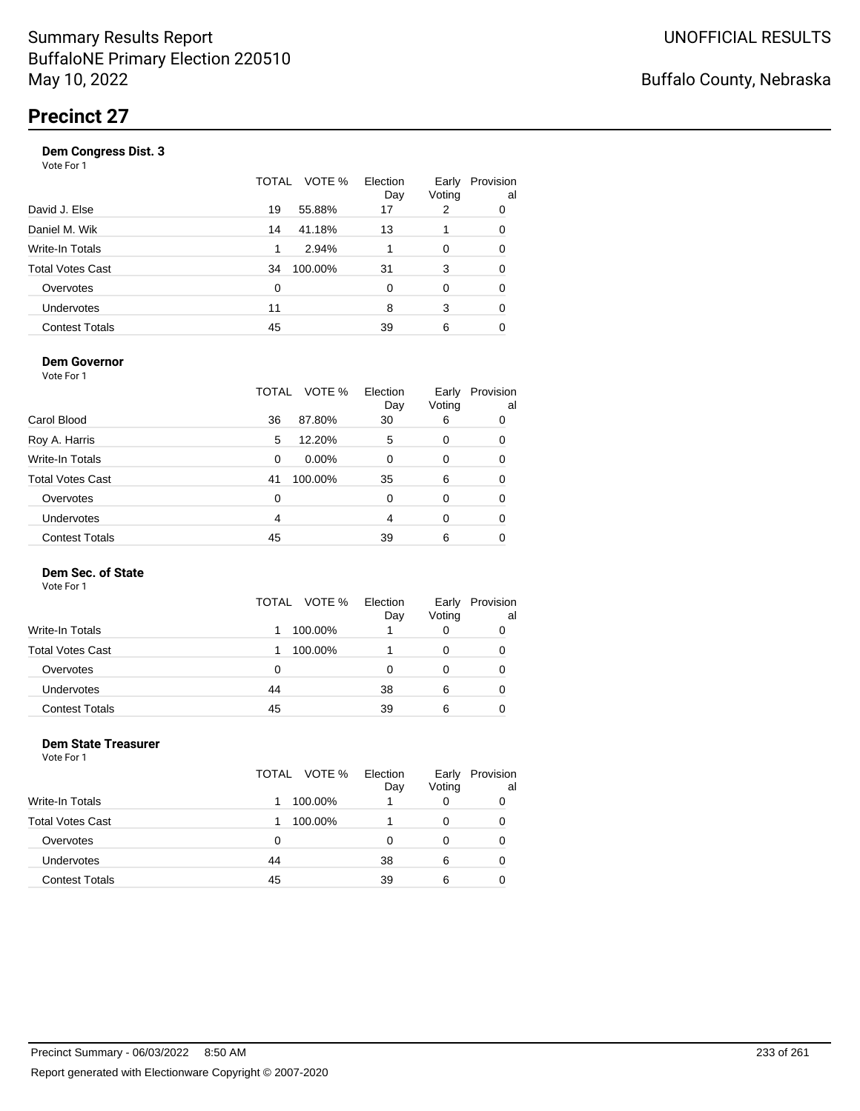| Vote For 1            |       |         |                 |                 |                 |
|-----------------------|-------|---------|-----------------|-----------------|-----------------|
|                       | TOTAL | VOTE %  | Election<br>Day | Early<br>Voting | Provision<br>al |
| David J. Else         | 19    | 55.88%  | 17              | 2               | 0               |
| Daniel M. Wik         | 14    | 41.18%  | 13              |                 | 0               |
| Write-In Totals       | 1     | 2.94%   |                 | 0               | 0               |
| Total Votes Cast      | 34    | 100.00% | 31              | 3               | 0               |
| Overvotes             | 0     |         | $\Omega$        | 0               | 0               |
| Undervotes            | 11    |         | 8               | 3               | 0               |
| <b>Contest Totals</b> | 45    |         | 39              | 6               |                 |
|                       |       |         |                 |                 |                 |

#### **Dem Governor**

Vote For 1

|                         | TOTAL | VOTE %   | Election<br>Day | Early<br>Voting | Provision<br>al |
|-------------------------|-------|----------|-----------------|-----------------|-----------------|
| Carol Blood             | 36    | 87.80%   | 30              | 6               | 0               |
| Roy A. Harris           | 5     | 12.20%   | 5               | 0               | 0               |
| Write-In Totals         | 0     | $0.00\%$ | 0               | 0               | 0               |
| <b>Total Votes Cast</b> | 41    | 100.00%  | 35              | 6               | 0               |
| Overvotes               | 0     |          | 0               | 0               | 0               |
| Undervotes              | 4     |          | 4               | 0               | 0               |
| <b>Contest Totals</b>   | 45    |          | 39              | 6               | 0               |

#### **Dem Sec. of State**

Vote For 1

|                         | TOTAL<br>VOTE % | Election<br>Day | Early<br>Voting | Provision<br>al |
|-------------------------|-----------------|-----------------|-----------------|-----------------|
| Write-In Totals         | 100.00%         |                 |                 |                 |
| <b>Total Votes Cast</b> | 100.00%         |                 |                 |                 |
| Overvotes               | 0               | Ω               |                 |                 |
| Undervotes              | 44              | 38              | 6               |                 |
| <b>Contest Totals</b>   | 45              | 39              | 6               |                 |

#### **Dem State Treasurer** Vote For 1

|                         |    | TOTAL VOTE % | Election<br>Day | Early<br>Voting | Provision<br>al |
|-------------------------|----|--------------|-----------------|-----------------|-----------------|
| <b>Write-In Totals</b>  |    | 100.00%      |                 |                 | 0               |
| <b>Total Votes Cast</b> |    | 100.00%      |                 |                 | 0               |
| Overvotes               | 0  |              | O               | 0               | 0               |
| Undervotes              | 44 |              | 38              | 6               | 0               |
| <b>Contest Totals</b>   | 45 |              | 39              | 6               |                 |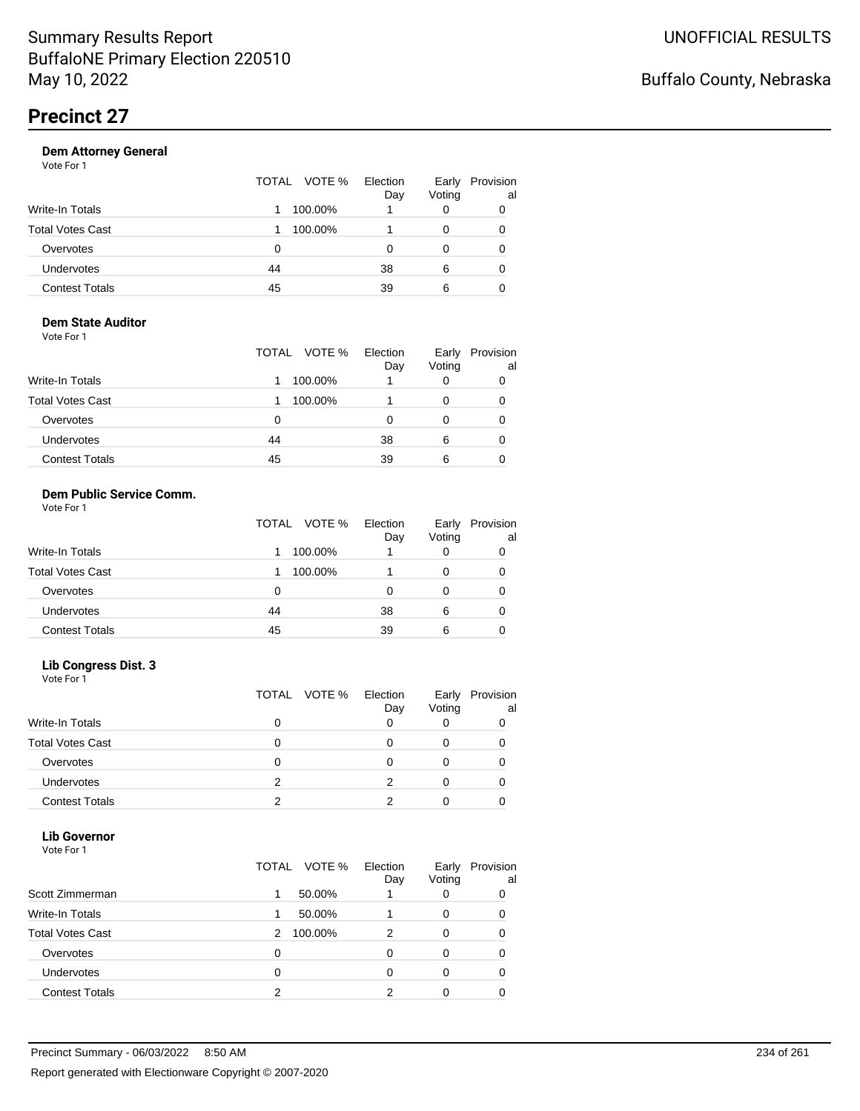| Voting<br>Day                          | al |
|----------------------------------------|----|
| Write-In Totals<br>100.00%             | 0  |
| Total Votes Cast<br>100.00%            | 0  |
| Overvotes<br>0                         | 0  |
| Undervotes<br>38<br>44<br>6            | 0  |
| <b>Contest Totals</b><br>45<br>39<br>6 |    |

#### **Dem State Auditor** Vote For 1

|                         | TOTAL VOTE % | Election<br>Day | Early<br>Voting | Provision<br>al |
|-------------------------|--------------|-----------------|-----------------|-----------------|
| <b>Write-In Totals</b>  | 100.00%      |                 | O               |                 |
| <b>Total Votes Cast</b> | 100.00%      |                 | O               | 0               |
| Overvotes               | 0            | Ω               | O               |                 |
| Undervotes              | 44           | 38              | 6               |                 |
| <b>Contest Totals</b>   | 45           | 39              | 6               |                 |

#### **Dem Public Service Comm.** Vote For 1

|                         | VOTE %<br>TOTAL | Election<br>Day | Early<br>Voting | Provision<br>al |
|-------------------------|-----------------|-----------------|-----------------|-----------------|
| Write-In Totals         | 100.00%         |                 | 0               |                 |
| <b>Total Votes Cast</b> | 100.00%         |                 | 0               |                 |
| Overvotes               | 0               |                 |                 |                 |
| <b>Undervotes</b>       | 44              | 38              | 6               |                 |
| <b>Contest Totals</b>   | 45              | 39              | 6               |                 |

### **Lib Congress Dist. 3**

Vote For 1

|                         |   | TOTAL VOTE % | Election<br>Day | Early<br>Voting | Provision<br>al |
|-------------------------|---|--------------|-----------------|-----------------|-----------------|
| Write-In Totals         |   |              |                 |                 |                 |
| <b>Total Votes Cast</b> |   |              |                 |                 |                 |
| Overvotes               |   |              |                 |                 |                 |
| <b>Undervotes</b>       | 2 |              |                 |                 |                 |
| <b>Contest Totals</b>   |   |              |                 |                 |                 |

### **Lib Governor**

| Vote For 1              |                          |                 |                 |                 |
|-------------------------|--------------------------|-----------------|-----------------|-----------------|
|                         | TOTAL VOTE %             | Election<br>Day | Early<br>Voting | Provision<br>al |
| Scott Zimmerman         | 50.00%<br>1              |                 | 0               | 0               |
| Write-In Totals         | 50.00%<br>1              |                 | 0               | 0               |
| <b>Total Votes Cast</b> | 100.00%<br>$\mathcal{P}$ | 2               | 0               | 0               |
| Overvotes               | 0                        | $\Omega$        | 0               | 0               |
| Undervotes              | 0                        | 0               | 0               | 0               |
| <b>Contest Totals</b>   | 2                        | っ               | 0               |                 |
|                         |                          |                 |                 |                 |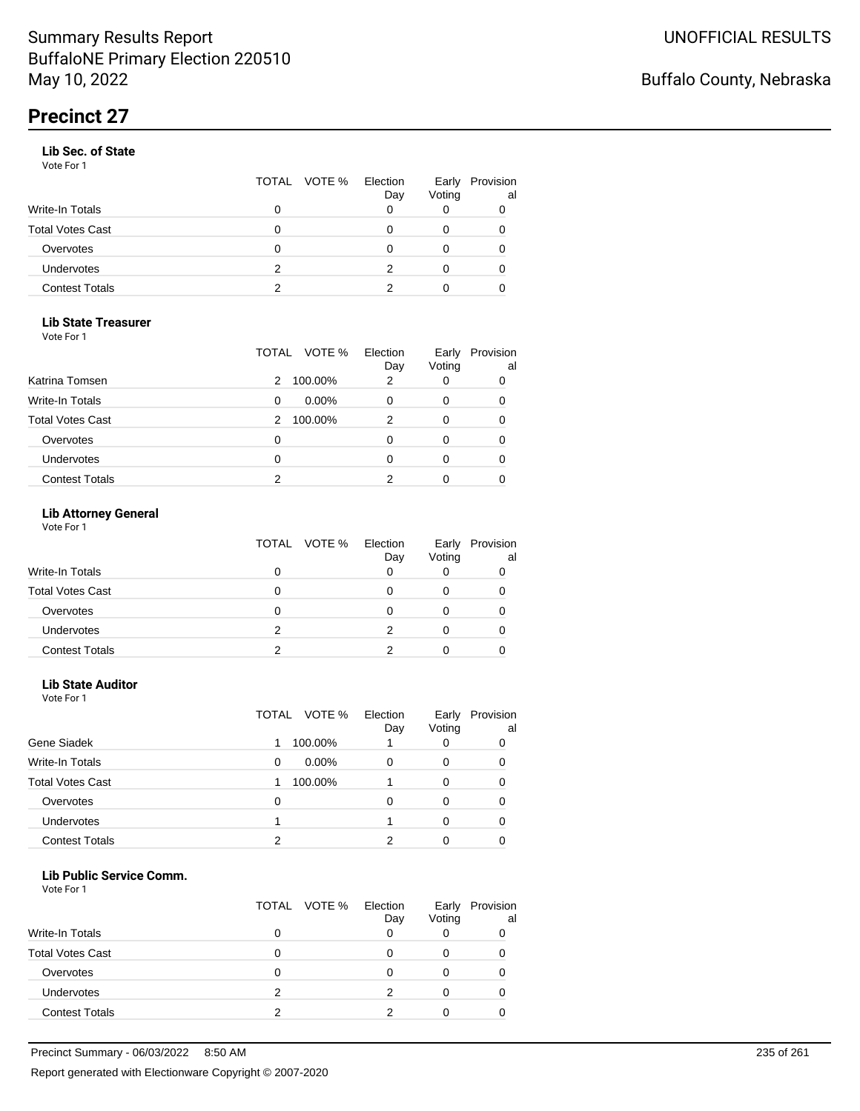#### **Lib Sec. of State**

Vote For 1

|                       |   | TOTAL VOTE % | Election<br>Day | Voting | Early Provision<br>al |
|-----------------------|---|--------------|-----------------|--------|-----------------------|
| Write-In Totals       | 0 |              |                 |        |                       |
| Total Votes Cast      | O |              |                 |        |                       |
| Overvotes             | 0 |              |                 |        |                       |
| Undervotes            | 2 |              |                 |        |                       |
| <b>Contest Totals</b> | 2 |              |                 |        |                       |

### **Lib State Treasurer**

Vote For 1

|                         | TOTAL VOTE %  | Election<br>Day | Early<br>Voting | Provision<br>al |
|-------------------------|---------------|-----------------|-----------------|-----------------|
| Katrina Tomsen          | 100.00%<br>2  | 2               | 0               | 0               |
| <b>Write-In Totals</b>  | $0.00\%$<br>0 |                 | 0               | 0               |
| <b>Total Votes Cast</b> | 100.00%<br>2  |                 | 0               | 0               |
| Overvotes               | 0             |                 | Ω               | 0               |
| Undervotes              | 0             |                 | Ω               |                 |
| <b>Contest Totals</b>   | 2             |                 |                 |                 |

### **Lib Attorney General**

|                         |   | TOTAL VOTE % Election<br>Day | Early<br>Voting | Provision<br>al |
|-------------------------|---|------------------------------|-----------------|-----------------|
| <b>Write-In Totals</b>  |   |                              |                 |                 |
| <b>Total Votes Cast</b> |   |                              |                 |                 |
| Overvotes               |   |                              |                 |                 |
| <b>Undervotes</b>       | 2 |                              |                 |                 |
| <b>Contest Totals</b>   |   |                              |                 |                 |

## **Lib State Auditor**

| Vote For 1 |  |
|------------|--|
|            |  |

|                         | TOTAL   | Election<br>VOTE %<br>Day | Early<br>Voting | Provision<br>al |
|-------------------------|---------|---------------------------|-----------------|-----------------|
| Gene Siadek             | 100.00% |                           | O               | 0               |
| <b>Write-In Totals</b>  | 0       | $0.00\%$<br>0             | 0               | 0               |
| <b>Total Votes Cast</b> | 100.00% |                           | 0               | 0               |
| Overvotes               | 0       |                           | 0               | 0               |
| <b>Undervotes</b>       |         |                           | 0               | 0               |
| <b>Contest Totals</b>   | າ       |                           |                 |                 |

#### **Lib Public Service Comm.**

|                         |   | TOTAL VOTE % | Election<br>Day | Early<br>Voting | Provision<br>al |
|-------------------------|---|--------------|-----------------|-----------------|-----------------|
| <b>Write-In Totals</b>  |   |              |                 |                 |                 |
| <b>Total Votes Cast</b> |   |              |                 |                 |                 |
| Overvotes               |   |              |                 |                 |                 |
| Undervotes              | 2 |              | 2               |                 |                 |
| <b>Contest Totals</b>   | っ |              |                 |                 |                 |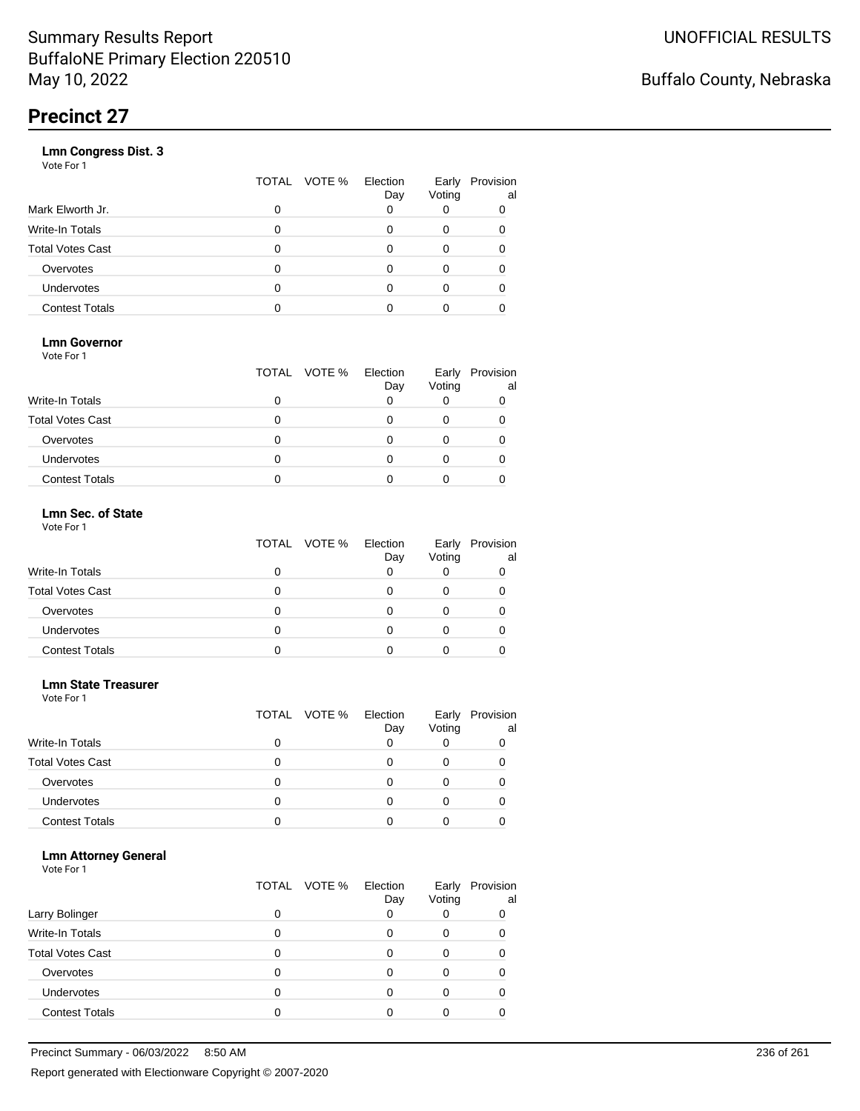|                       | VOTE %<br>TOTAL | Election<br>Day | Early<br>Voting | Provision<br>al |
|-----------------------|-----------------|-----------------|-----------------|-----------------|
| Mark Elworth Jr.      | 0               |                 |                 | 0               |
| Write-In Totals       | O               |                 | 0               | 0               |
| Total Votes Cast      | O               |                 | 0               |                 |
| Overvotes             | 0               |                 | 0               |                 |
| Undervotes            | O               |                 | Ω               |                 |
| <b>Contest Totals</b> |                 |                 |                 |                 |
|                       |                 |                 |                 |                 |

### **Lmn Governor**

Vote For 1

|                         | TOTAL VOTE % Election | Day | Early<br>Voting | Provision<br>al |
|-------------------------|-----------------------|-----|-----------------|-----------------|
| Write-In Totals         |                       |     |                 |                 |
| <b>Total Votes Cast</b> |                       |     |                 |                 |
| Overvotes               |                       |     |                 |                 |
| <b>Undervotes</b>       |                       |     |                 |                 |
| <b>Contest Totals</b>   |                       |     |                 |                 |

#### **Lmn Sec. of State** Vote For 1

|                         | TOTAL VOTE % Election | Day | Early<br>Voting | Provision<br>al |
|-------------------------|-----------------------|-----|-----------------|-----------------|
| <b>Write-In Totals</b>  |                       |     |                 |                 |
| <b>Total Votes Cast</b> |                       |     |                 |                 |
| Overvotes               |                       |     |                 |                 |
| Undervotes              | Ω                     |     |                 |                 |
| <b>Contest Totals</b>   |                       |     |                 |                 |

#### **Lmn State Treasurer**

Vote For 1

|                         |   | TOTAL VOTE % | Election<br>Day | Early<br>Voting | Provision<br>al |
|-------------------------|---|--------------|-----------------|-----------------|-----------------|
| <b>Write-In Totals</b>  |   |              |                 |                 |                 |
| <b>Total Votes Cast</b> | 0 |              |                 |                 |                 |
| Overvotes               | 0 |              |                 |                 |                 |
| <b>Undervotes</b>       | 0 |              |                 |                 |                 |
| <b>Contest Totals</b>   |   |              |                 |                 |                 |

#### **Lmn Attorney General**

|                         |   | TOTAL VOTE % | Election<br>Day | Early<br>Voting | Provision<br>al |
|-------------------------|---|--------------|-----------------|-----------------|-----------------|
| Larry Bolinger          |   |              |                 |                 | 0               |
| <b>Write-In Totals</b>  |   |              |                 | O               |                 |
| <b>Total Votes Cast</b> |   |              |                 |                 |                 |
| Overvotes               |   |              |                 |                 |                 |
| Undervotes              | 0 |              |                 |                 |                 |
| <b>Contest Totals</b>   |   |              |                 |                 |                 |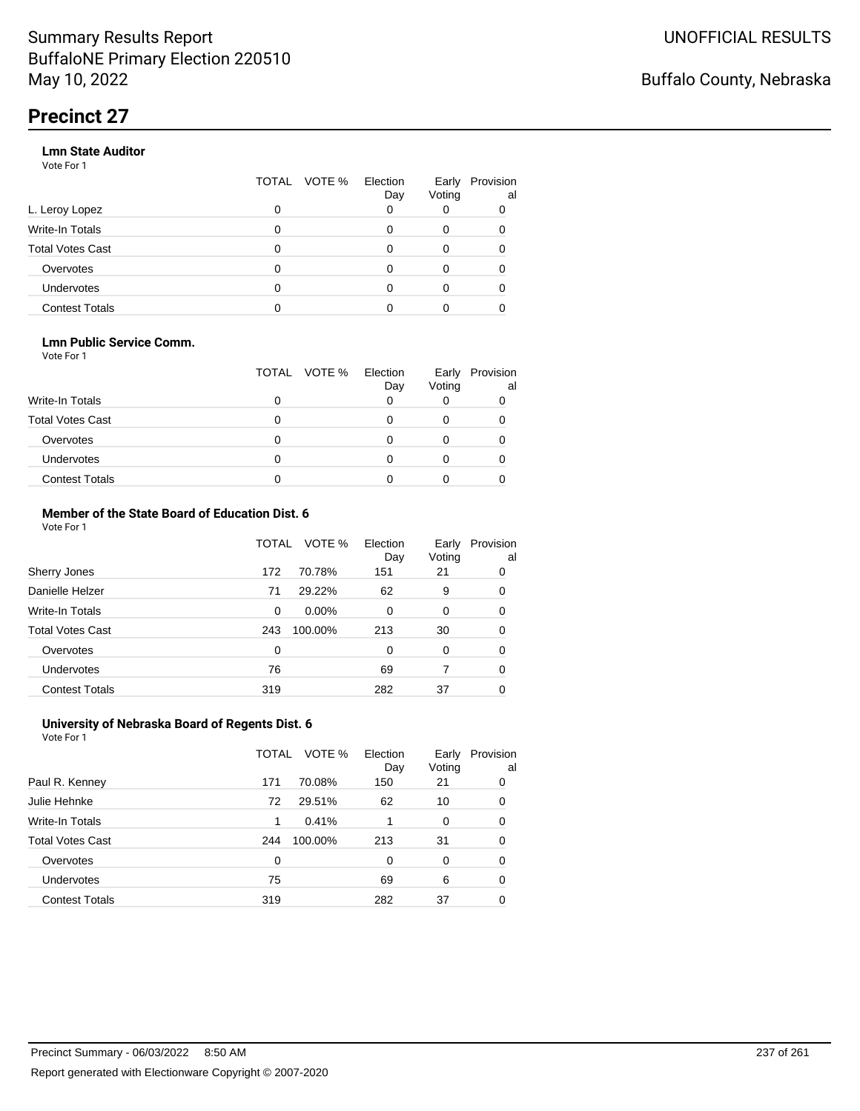#### **Lmn State Auditor**

Vote For 1

|                       | VOTE %<br>TOTAL | Election<br>Day | Early<br>Voting | Provision<br>al |
|-----------------------|-----------------|-----------------|-----------------|-----------------|
| L. Leroy Lopez        | 0               |                 |                 |                 |
| Write-In Totals       | O               |                 | 0               |                 |
| Total Votes Cast      | 0               |                 | 0               |                 |
| Overvotes             | 0               |                 | 0               |                 |
| <b>Undervotes</b>     | O               |                 |                 |                 |
| <b>Contest Totals</b> |                 |                 |                 |                 |
|                       |                 |                 |                 |                 |

#### **Lmn Public Service Comm.**

Vote For 1

|                         |   | TOTAL VOTE % | Election<br>Day | Early<br>Voting | Provision<br>al |
|-------------------------|---|--------------|-----------------|-----------------|-----------------|
| <b>Write-In Totals</b>  |   |              |                 |                 |                 |
| <b>Total Votes Cast</b> |   |              |                 |                 |                 |
| Overvotes               |   |              |                 |                 |                 |
| <b>Undervotes</b>       | 0 |              |                 |                 |                 |
| <b>Contest Totals</b>   |   |              |                 |                 |                 |

#### **Member of the State Board of Education Dist. 6** Vote For 1

|                         | TOTAL    | VOTE %   | Election<br>Day | Early<br>Voting | Provision<br>al |
|-------------------------|----------|----------|-----------------|-----------------|-----------------|
| Sherry Jones            | 172      | 70.78%   | 151             | 21              | 0               |
| Danielle Helzer         | 71       | 29.22%   | 62              | 9               | 0               |
| <b>Write-In Totals</b>  | $\Omega$ | $0.00\%$ | $\Omega$        | 0               | 0               |
| <b>Total Votes Cast</b> | 243      | 100.00%  | 213             | 30              | 0               |
| Overvotes               | $\Omega$ |          | $\Omega$        | $\Omega$        | 0               |
| <b>Undervotes</b>       | 76       |          | 69              | 7               | 0               |
| <b>Contest Totals</b>   | 319      |          | 282             | 37              | 0               |

#### **University of Nebraska Board of Regents Dist. 6** Vote For 1

|                         | TOTAL | VOTE %  | Election<br>Day | Early<br>Voting | Provision<br>al |
|-------------------------|-------|---------|-----------------|-----------------|-----------------|
| Paul R. Kenney          | 171   | 70.08%  | 150             | 21              | 0               |
| Julie Hehnke            | 72    | 29.51%  | 62              | 10              | 0               |
| <b>Write-In Totals</b>  | 1     | 0.41%   |                 | 0               | 0               |
| <b>Total Votes Cast</b> | 244   | 100.00% | 213             | 31              | 0               |
| Overvotes               | 0     |         | 0               | $\Omega$        | 0               |
| Undervotes              | 75    |         | 69              | 6               | 0               |
| <b>Contest Totals</b>   | 319   |         | 282             | 37              | 0               |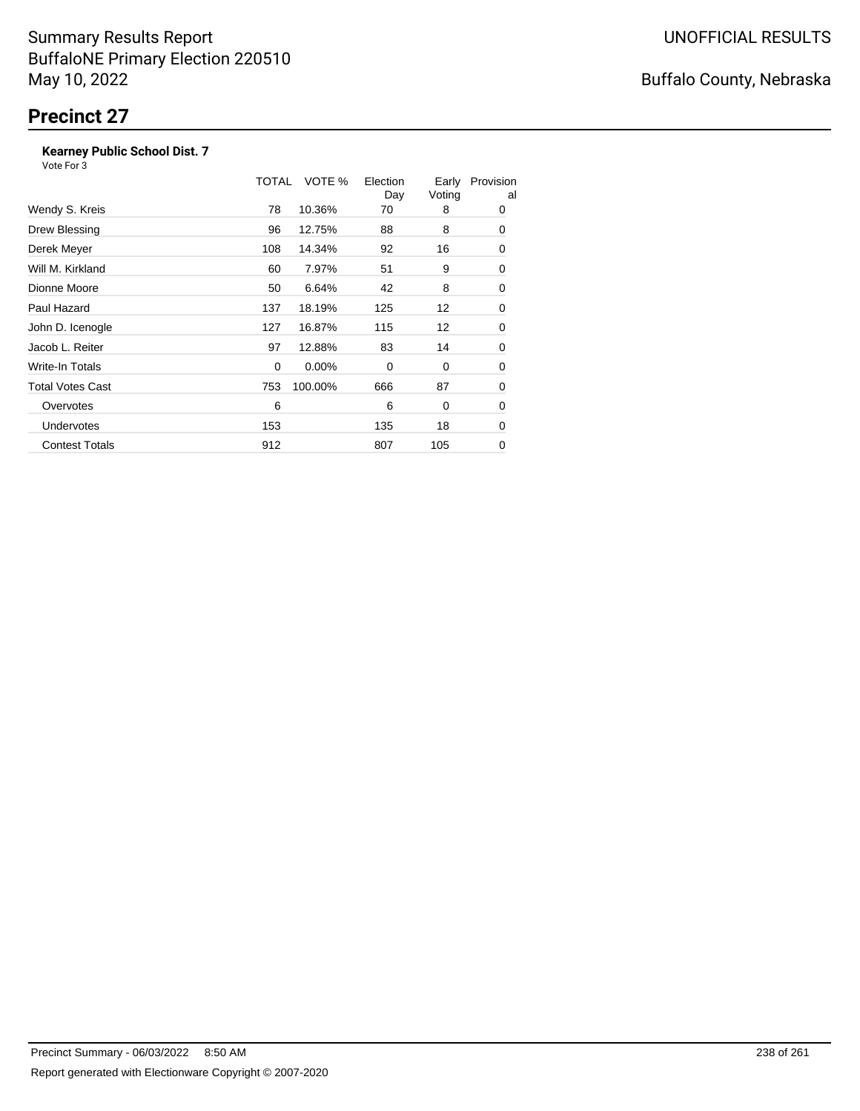### **Kearney Public School Dist. 7**

|                         | TOTAL | VOTE %  | Election<br>Day | Early<br>Voting | Provision<br>al |
|-------------------------|-------|---------|-----------------|-----------------|-----------------|
| Wendy S. Kreis          | 78    | 10.36%  | 70              | 8               | 0               |
| Drew Blessing           | 96    | 12.75%  | 88              | 8               | 0               |
| Derek Meyer             | 108   | 14.34%  | 92              | 16              | 0               |
| Will M. Kirkland        | 60    | 7.97%   | 51              | 9               | 0               |
| Dionne Moore            | 50    | 6.64%   | 42              | 8               | 0               |
| Paul Hazard             | 137   | 18.19%  | 125             | 12              | 0               |
| John D. Icenogle        | 127   | 16.87%  | 115             | 12              | 0               |
| Jacob L. Reiter         | 97    | 12.88%  | 83              | 14              | 0               |
| <b>Write-In Totals</b>  | 0     | 0.00%   | 0               | 0               | 0               |
| <b>Total Votes Cast</b> | 753   | 100.00% | 666             | 87              | 0               |
| Overvotes               | 6     |         | 6               | 0               | 0               |
| Undervotes              | 153   |         | 135             | 18              | 0               |
| <b>Contest Totals</b>   | 912   |         | 807             | 105             | 0               |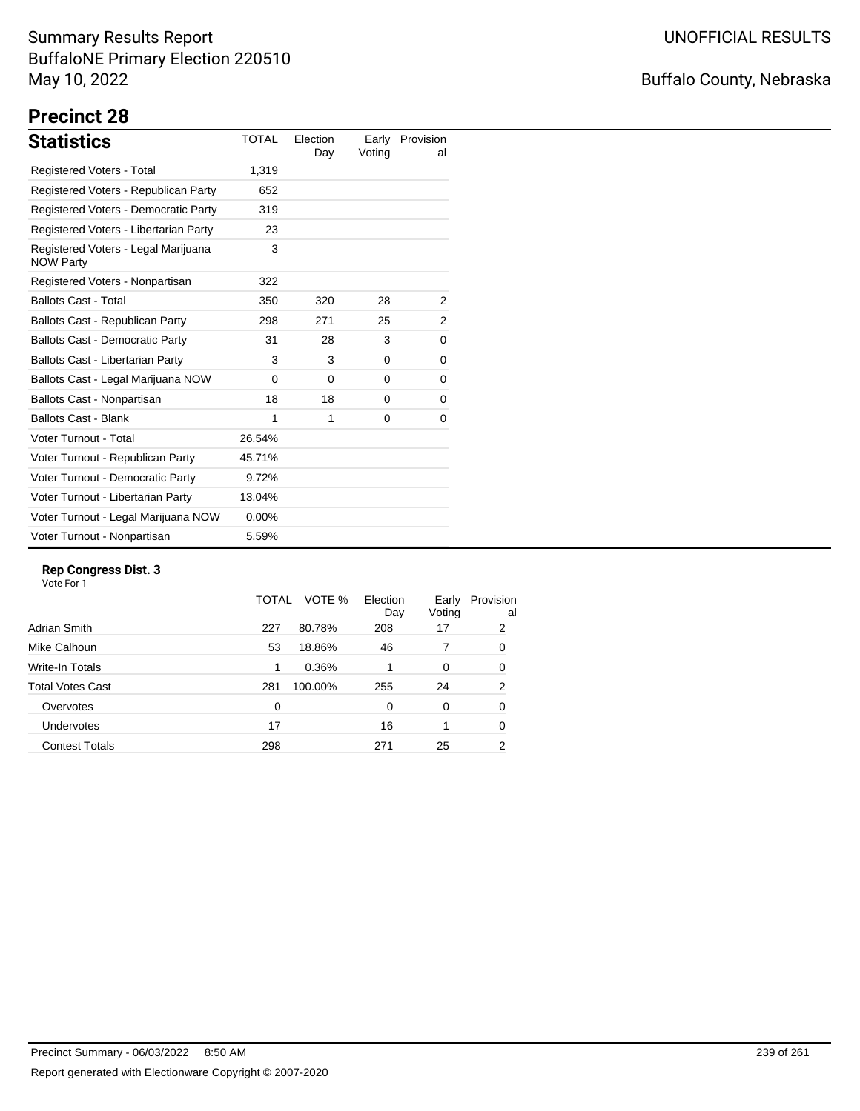## Buffalo County, Nebraska

# **Precinct 28**

| <b>Statistics</b>                                       | <b>TOTAL</b> | Election<br>Day | Early<br>Voting | Provision<br>al |
|---------------------------------------------------------|--------------|-----------------|-----------------|-----------------|
| Registered Voters - Total                               | 1,319        |                 |                 |                 |
| Registered Voters - Republican Party                    | 652          |                 |                 |                 |
| Registered Voters - Democratic Party                    | 319          |                 |                 |                 |
| Registered Voters - Libertarian Party                   | 23           |                 |                 |                 |
| Registered Voters - Legal Marijuana<br><b>NOW Party</b> | 3            |                 |                 |                 |
| Registered Voters - Nonpartisan                         | 322          |                 |                 |                 |
| <b>Ballots Cast - Total</b>                             | 350          | 320             | 28              | 2               |
| Ballots Cast - Republican Party                         | 298          | 271             | 25              | 2               |
| <b>Ballots Cast - Democratic Party</b>                  | 31           | 28              | 3               | 0               |
| <b>Ballots Cast - Libertarian Party</b>                 | 3            | 3               | 0               | 0               |
| Ballots Cast - Legal Marijuana NOW                      | $\Omega$     | $\Omega$        | $\Omega$        | 0               |
| Ballots Cast - Nonpartisan                              | 18           | 18              | 0               | 0               |
| <b>Ballots Cast - Blank</b>                             | 1            | 1               | 0               | 0               |
| Voter Turnout - Total                                   | 26.54%       |                 |                 |                 |
| Voter Turnout - Republican Party                        | 45.71%       |                 |                 |                 |
| Voter Turnout - Democratic Party                        | 9.72%        |                 |                 |                 |
| Voter Turnout - Libertarian Party                       | 13.04%       |                 |                 |                 |
| Voter Turnout - Legal Marijuana NOW                     | 0.00%        |                 |                 |                 |
| Voter Turnout - Nonpartisan                             | 5.59%        |                 |                 |                 |

#### **Rep Congress Dist. 3**

| Adrian Smith<br>80.78%<br>227<br>208<br>17<br>Mike Calhoun<br>53<br>18.86%<br>46 | Provision<br>al |
|----------------------------------------------------------------------------------|-----------------|
|                                                                                  | 2               |
|                                                                                  | 0               |
| Write-In Totals<br>0.36%<br>1<br>0                                               | 0               |
| <b>Total Votes Cast</b><br>281<br>100.00%<br>255<br>24                           | 2               |
| Overvotes<br>0<br>$\Omega$<br>$\Omega$                                           | 0               |
| Undervotes<br>17<br>16                                                           | 0               |
| <b>Contest Totals</b><br>298<br>271<br>25                                        | 2               |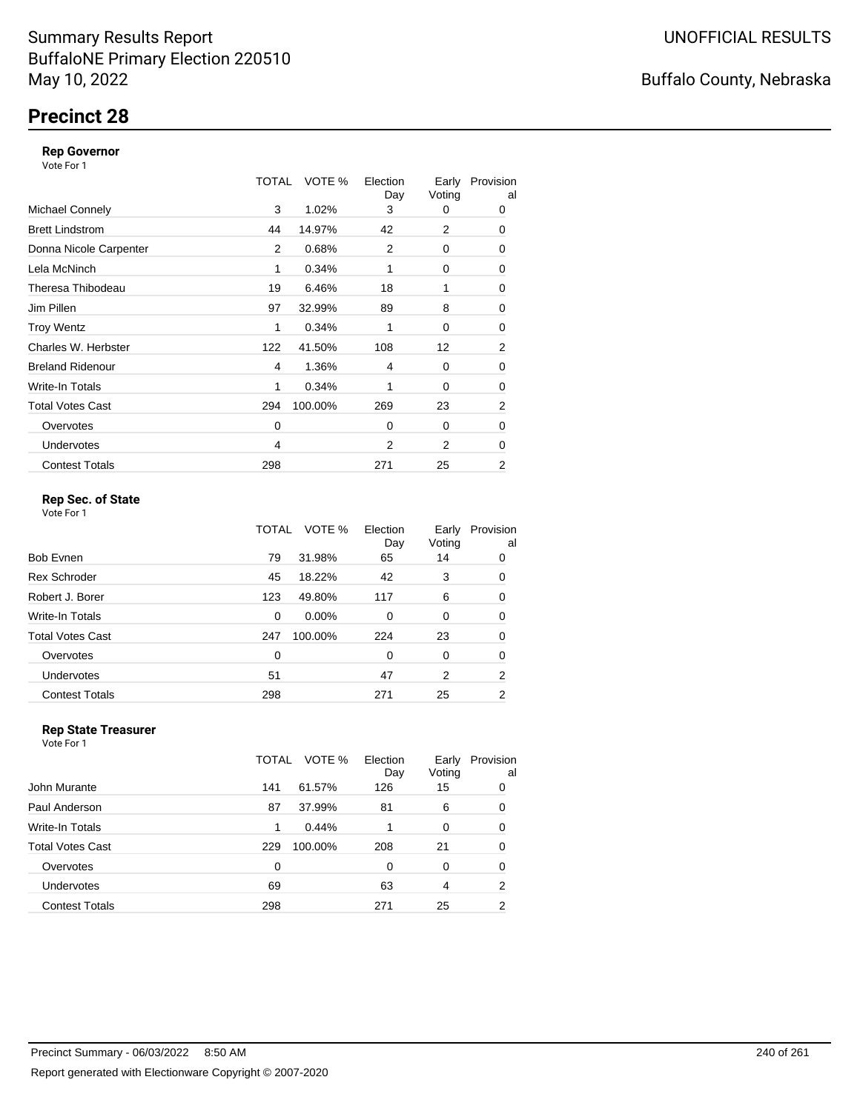## **Precinct 28**

#### **Rep Governor**

Vote For 1

|                         | TOTAL | VOTE %  | Election<br>Day | Early<br>Voting | Provision<br>al |
|-------------------------|-------|---------|-----------------|-----------------|-----------------|
| <b>Michael Connely</b>  | 3     | 1.02%   | 3               | 0               | 0               |
| <b>Brett Lindstrom</b>  | 44    | 14.97%  | 42              | 2               | 0               |
| Donna Nicole Carpenter  | 2     | 0.68%   | 2               | 0               | 0               |
| Lela McNinch            | 1     | 0.34%   |                 | 0               | 0               |
| Theresa Thibodeau       | 19    | 6.46%   | 18              | 1               | 0               |
| Jim Pillen              | 97    | 32.99%  | 89              | 8               | 0               |
| <b>Troy Wentz</b>       | 1     | 0.34%   | 1               | 0               | 0               |
| Charles W. Herbster     | 122   | 41.50%  | 108             | 12              | 2               |
| <b>Breland Ridenour</b> | 4     | 1.36%   | 4               | 0               | 0               |
| Write-In Totals         | 1     | 0.34%   | 1               | 0               | 0               |
| <b>Total Votes Cast</b> | 294   | 100.00% | 269             | 23              | 2               |
| Overvotes               | 0     |         | $\Omega$        | $\Omega$        | 0               |
| <b>Undervotes</b>       | 4     |         | 2               | 2               | 0               |
| <b>Contest Totals</b>   | 298   |         | 271             | 25              | 2               |

### **Rep Sec. of State**

Vote For 1

|                       | TOTAL | VOTE %   | Election<br>Day | Early<br>Voting | Provision<br>al |
|-----------------------|-------|----------|-----------------|-----------------|-----------------|
| Bob Evnen             | 79    | 31.98%   | 65              | 14              | 0               |
| <b>Rex Schroder</b>   | 45    | 18.22%   | 42              | 3               | 0               |
| Robert J. Borer       | 123   | 49.80%   | 117             | 6               | 0               |
| Write-In Totals       | 0     | $0.00\%$ | $\Omega$        | 0               | 0               |
| Total Votes Cast      | 247   | 100.00%  | 224             | 23              | 0               |
| Overvotes             | 0     |          | $\Omega$        | 0               | 0               |
| <b>Undervotes</b>     | 51    |          | 47              | 2               | 2               |
| <b>Contest Totals</b> | 298   |          | 271             | 25              | 2               |
|                       |       |          |                 |                 |                 |

#### **Rep State Treasurer** Vote For 1

|                         | TOTAL | VOTE %  | Election<br>Day | Early<br>Voting | Provision<br>al |
|-------------------------|-------|---------|-----------------|-----------------|-----------------|
| John Murante            | 141   | 61.57%  | 126             | 15              | 0               |
| Paul Anderson           | 87    | 37.99%  | 81              | 6               | 0               |
| Write-In Totals         | 1     | 0.44%   | 1               | 0               | $\Omega$        |
| <b>Total Votes Cast</b> | 229   | 100.00% | 208             | 21              | $\Omega$        |
| Overvotes               | 0     |         | 0               | 0               | 0               |
| <b>Undervotes</b>       | 69    |         | 63              | 4               | 2               |
| <b>Contest Totals</b>   | 298   |         | 271             | 25              | 2               |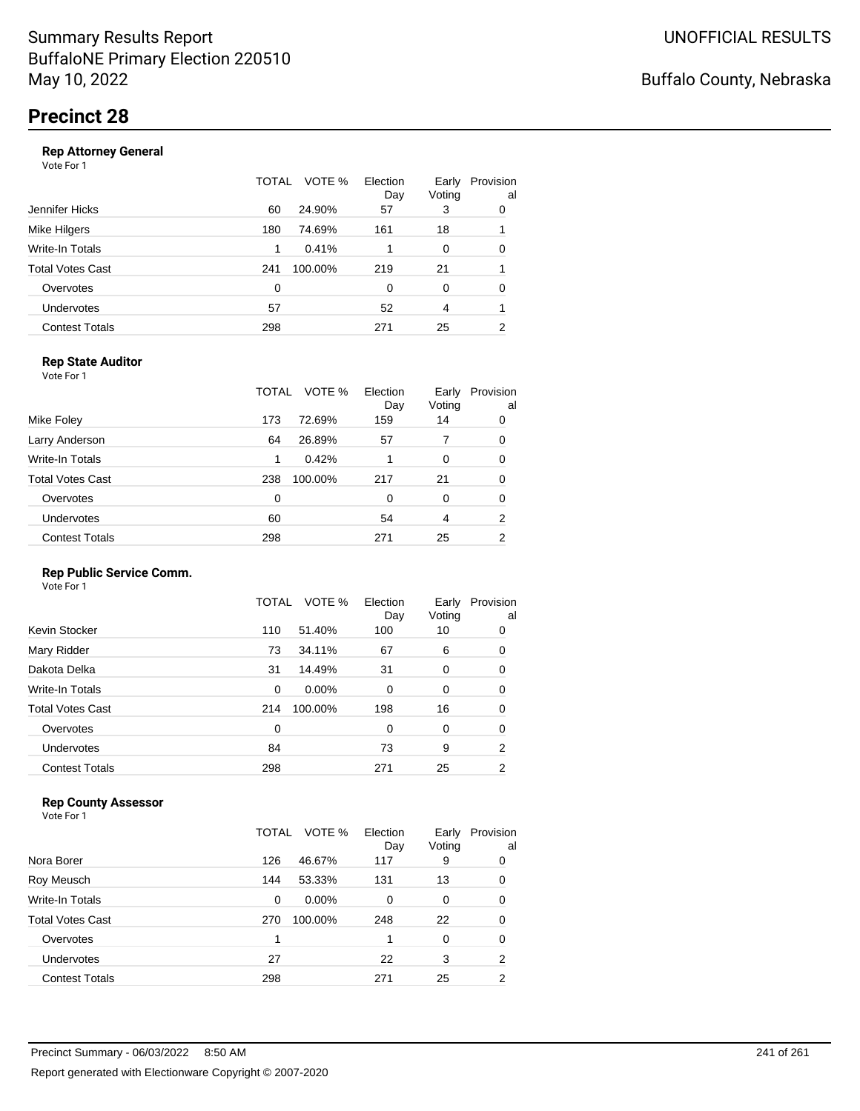|                       | TOTAL | VOTE %  | Election<br>Day | Early<br>Voting | Provision<br>al |
|-----------------------|-------|---------|-----------------|-----------------|-----------------|
| Jennifer Hicks        | 60    | 24.90%  | 57              | 3               | 0               |
| Mike Hilgers          | 180   | 74.69%  | 161             | 18              |                 |
| Write-In Totals       | 1     | 0.41%   |                 | 0               | 0               |
| Total Votes Cast      | 241   | 100.00% | 219             | 21              |                 |
| Overvotes             | 0     |         | 0               | $\Omega$        | 0               |
| Undervotes            | 57    |         | 52              | 4               |                 |
| <b>Contest Totals</b> | 298   |         | 271             | 25              | 2               |
|                       |       |         |                 |                 |                 |

### **Rep State Auditor**

Vote For 1

|                         | TOTAL | VOTE %  | Election<br>Day | Early<br>Voting | Provision<br>al |
|-------------------------|-------|---------|-----------------|-----------------|-----------------|
| Mike Foley              | 173   | 72.69%  | 159             | 14              | 0               |
| Larry Anderson          | 64    | 26.89%  | 57              | 7               | 0               |
| Write-In Totals         | 1     | 0.42%   |                 | 0               | 0               |
| <b>Total Votes Cast</b> | 238   | 100.00% | 217             | 21              | 0               |
| Overvotes               | 0     |         | $\Omega$        | O               | 0               |
| <b>Undervotes</b>       | 60    |         | 54              | 4               | 2               |
| <b>Contest Totals</b>   | 298   |         | 271             | 25              | 2               |

#### **Rep Public Service Comm.**

Vote For 1

|                       | TOTAL | VOTE %   | Election<br>Day | Early<br>Voting | Provision<br>al |
|-----------------------|-------|----------|-----------------|-----------------|-----------------|
| Kevin Stocker         | 110   | 51.40%   | 100             | 10              | 0               |
| Mary Ridder           | 73    | 34.11%   | 67              | 6               | 0               |
| Dakota Delka          | 31    | 14.49%   | 31              | 0               | 0               |
| Write-In Totals       | 0     | $0.00\%$ | 0               | 0               | 0               |
| Total Votes Cast      | 214   | 100.00%  | 198             | 16              | 0               |
| Overvotes             | 0     |          | 0               | 0               | 0               |
| <b>Undervotes</b>     | 84    |          | 73              | 9               | 2               |
| <b>Contest Totals</b> | 298   |          | 271             | 25              | 2               |
|                       |       |          |                 |                 |                 |

### **Rep County Assessor**

|                       | TOTAL | VOTE %   | Election<br>Day | Early<br>Voting | Provision<br>al |
|-----------------------|-------|----------|-----------------|-----------------|-----------------|
| Nora Borer            | 126   | 46.67%   | 117             | 9               | 0               |
| Roy Meusch            | 144   | 53.33%   | 131             | 13              | 0               |
| Write-In Totals       | 0     | $0.00\%$ | 0               | 0               | 0               |
| Total Votes Cast      | 270   | 100.00%  | 248             | 22              | 0               |
| Overvotes             | 1     |          |                 | 0               | 0               |
| Undervotes            | 27    |          | 22              | 3               | 2               |
| <b>Contest Totals</b> | 298   |          | 271             | 25              | 2               |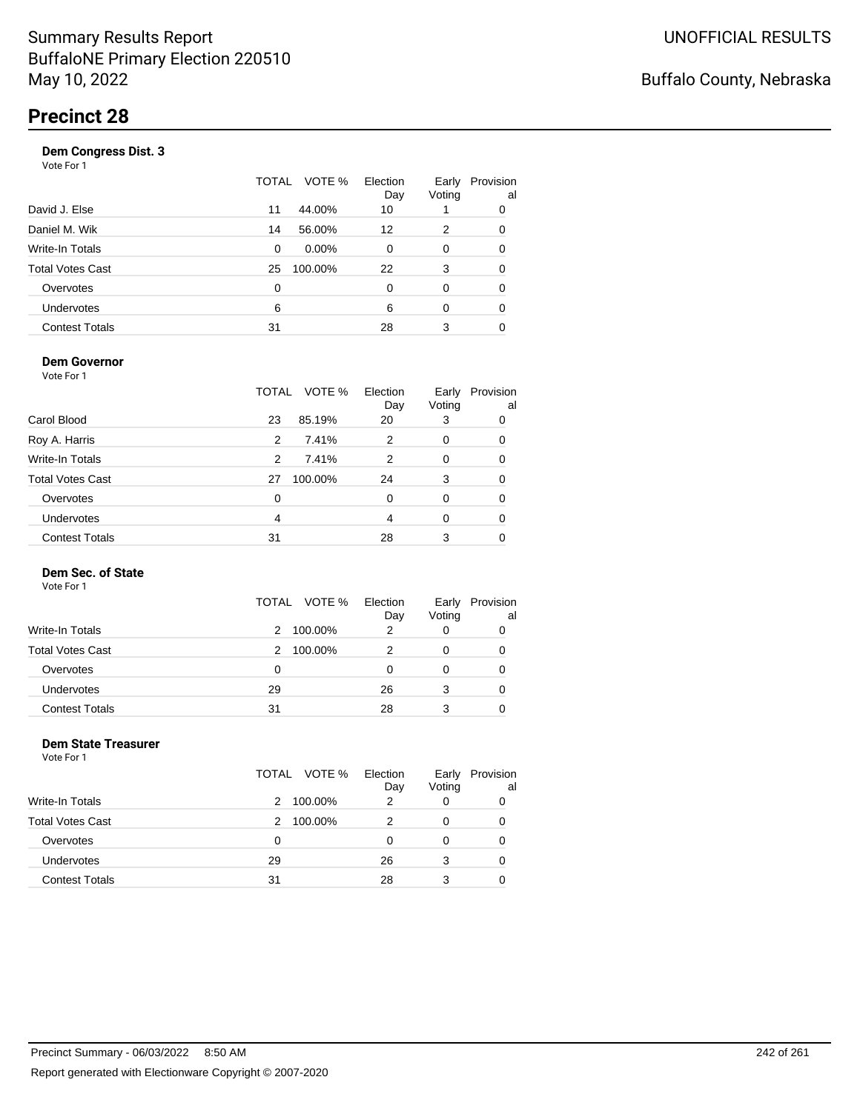| Vote For 1              |               |                 |                 |                 |
|-------------------------|---------------|-----------------|-----------------|-----------------|
|                         | TOTAL VOTE %  | Election<br>Day | Early<br>Voting | Provision<br>al |
| David J. Else           | 44.00%<br>11  | 10              |                 | 0               |
| Daniel M. Wik           | 14<br>56.00%  | 12              | 2               | 0               |
| <b>Write-In Totals</b>  | $0.00\%$<br>0 | $\Omega$        | $\Omega$        | 0               |
| <b>Total Votes Cast</b> | 100.00%<br>25 | 22              | 3               | 0               |
| Overvotes               | 0             | $\Omega$        | $\Omega$        | 0               |
| Undervotes              | 6             | 6               | $\Omega$        | 0               |
| <b>Contest Totals</b>   | 31            | 28              | 3               |                 |
|                         |               |                 |                 |                 |

### **Dem Governor**

Vote For 1

|                         | TOTAL | VOTE %  | Election<br>Day | Early<br>Voting | Provision<br>al |
|-------------------------|-------|---------|-----------------|-----------------|-----------------|
| Carol Blood             | 23    | 85.19%  | 20              | 3               | 0               |
| Roy A. Harris           | 2     | 7.41%   | 2               | 0               | 0               |
| Write-In Totals         | 2     | 7.41%   | 2               | 0               | 0               |
| <b>Total Votes Cast</b> | 27    | 100.00% | 24              | 3               | 0               |
| Overvotes               | 0     |         | 0               | 0               | 0               |
| Undervotes              | 4     |         | 4               | 0               | 0               |
| <b>Contest Totals</b>   | 31    |         | 28              | 3               |                 |

#### **Dem Sec. of State**

Vote For 1

|                         | TOTAL VOTE % | Election<br>Day | Early<br>Voting | Provision<br>al |
|-------------------------|--------------|-----------------|-----------------|-----------------|
| <b>Write-In Totals</b>  | 100.00%<br>2 | 2               |                 |                 |
| <b>Total Votes Cast</b> | 100.00%<br>2 |                 |                 |                 |
| Overvotes               | 0            | O               |                 |                 |
| Undervotes              | 29           | 26              | 3               |                 |
| <b>Contest Totals</b>   | 31           | 28              | 3               |                 |

#### **Dem State Treasurer** Vote For 1

| .                       |    | TOTAL VOTE % | Election<br>Day | Early<br>Voting | Provision<br>al |
|-------------------------|----|--------------|-----------------|-----------------|-----------------|
| <b>Write-In Totals</b>  | 2  | 100.00%      | 2               | 0               | 0               |
| <b>Total Votes Cast</b> | 2  | 100.00%      | 2               | 0               | 0               |
| Overvotes               | 0  |              | 0               | 0               | 0               |
| <b>Undervotes</b>       | 29 |              | 26              | 3               | 0               |
| <b>Contest Totals</b>   | 31 |              | 28              | 3               |                 |
|                         |    |              |                 |                 |                 |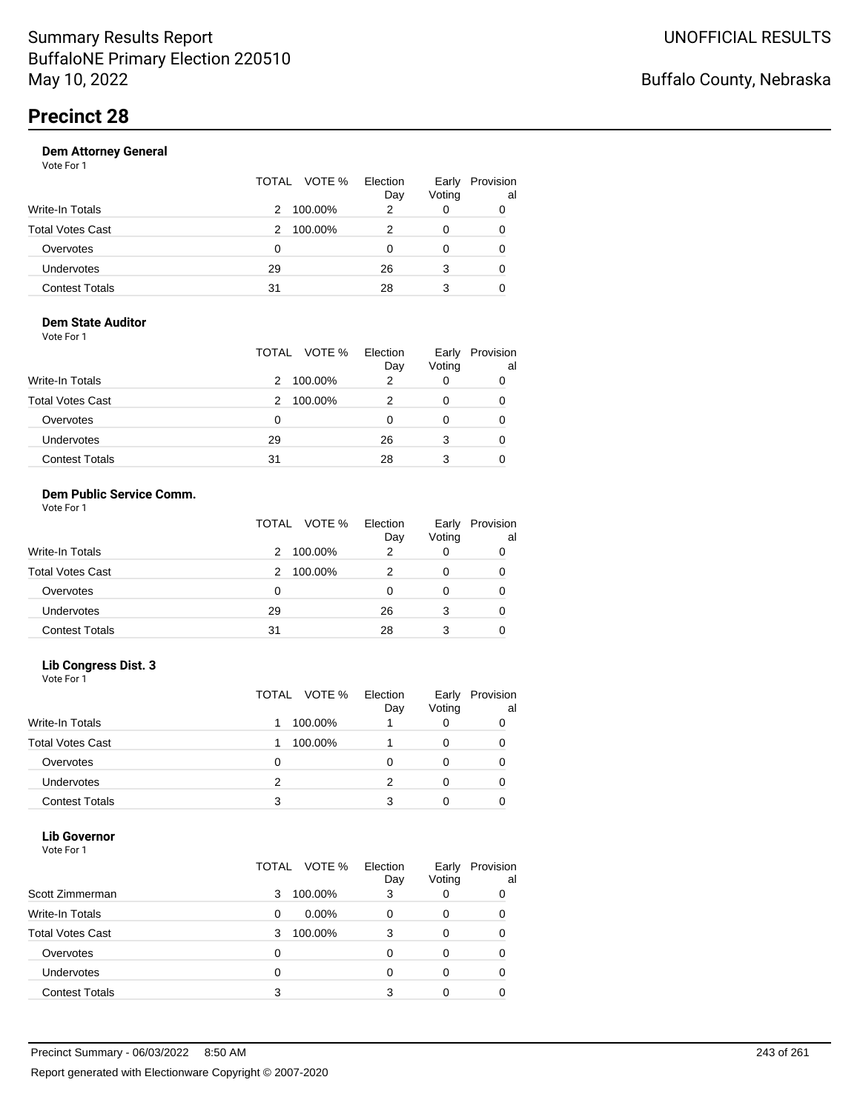|                       |    | TOTAL VOTE % | Election<br>Day | Early<br>Voting | Provision<br>al |
|-----------------------|----|--------------|-----------------|-----------------|-----------------|
| Write-In Totals       | 2  | 100.00%      | 2               |                 | 0               |
| Total Votes Cast      | 2  | 100.00%      |                 |                 | 0               |
| Overvotes             | 0  |              |                 |                 | 0               |
| Undervotes            | 29 |              | 26              | 3               | 0               |
| <b>Contest Totals</b> | 31 |              | 28              | 3               |                 |

#### **Dem State Auditor** Vote For 1

|                         | TOTAL VOTE % | Election<br>Day | Early<br>Voting | Provision<br>al |
|-------------------------|--------------|-----------------|-----------------|-----------------|
| <b>Write-In Totals</b>  | 100.00%<br>2 | 2               |                 |                 |
| <b>Total Votes Cast</b> | 100.00%<br>2 |                 | O               |                 |
| Overvotes               | 0            | 0               | O               |                 |
| Undervotes              | 29           | 26              | 3               |                 |
| <b>Contest Totals</b>   | 31           | 28              | 3               |                 |

#### **Dem Public Service Comm.** Vote For 1

|                         | TOTAL VOTE % | Election<br>Day | Early<br>Voting | Provision<br>al |
|-------------------------|--------------|-----------------|-----------------|-----------------|
| <b>Write-In Totals</b>  | 100.00%<br>2 | 2               |                 |                 |
| <b>Total Votes Cast</b> | 100.00%<br>2 | 2               | 0               |                 |
| Overvotes               | 0            |                 | 0               |                 |
| Undervotes              | 29           | 26              | 3               |                 |
| <b>Contest Totals</b>   | 31           | 28              | 3               |                 |

### **Lib Congress Dist. 3**

Vote For 1

|                         |   | TOTAL VOTE % | Election<br>Day | Early<br>Voting | Provision<br>al |
|-------------------------|---|--------------|-----------------|-----------------|-----------------|
| <b>Write-In Totals</b>  |   | 100.00%      |                 |                 |                 |
| <b>Total Votes Cast</b> |   | 100.00%      |                 |                 |                 |
| Overvotes               | 0 |              |                 |                 |                 |
| <b>Undervotes</b>       | 2 |              |                 |                 |                 |
| <b>Contest Totals</b>   | 3 |              |                 |                 |                 |

#### **Lib Governor** Vote For 1

| .                       | TOTAL VOTE %  | Election<br>Day | Early<br>Voting | Provision<br>al |
|-------------------------|---------------|-----------------|-----------------|-----------------|
| Scott Zimmerman         | 100.00%<br>3  | 3               | 0               | 0               |
| <b>Write-In Totals</b>  | $0.00\%$<br>0 | 0               | 0               | Ω               |
| <b>Total Votes Cast</b> | 100.00%<br>3  | 3               | 0               | 0               |
| Overvotes               | 0             | Ω               |                 |                 |
| <b>Undervotes</b>       | 0             | Ω               | O               | 0               |
| <b>Contest Totals</b>   | 3             |                 |                 |                 |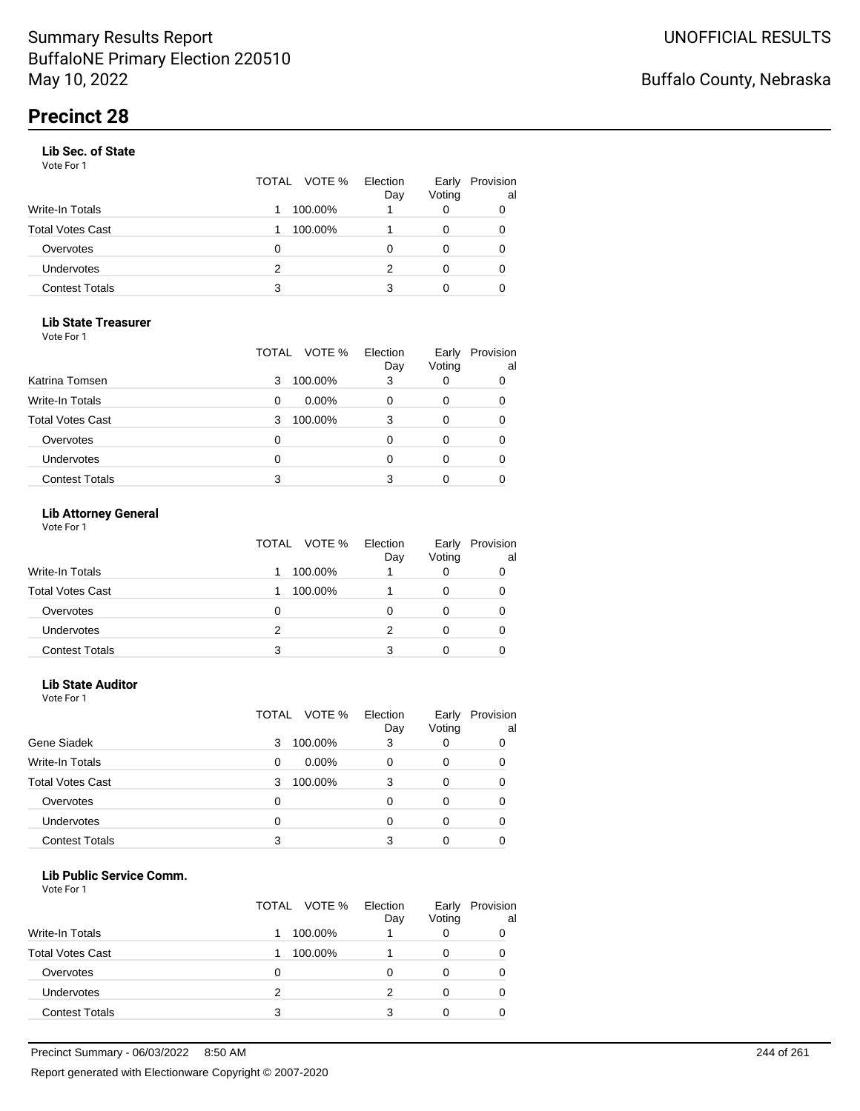#### **Lib Sec. of State**

Vote For 1

|                       |   | TOTAL VOTE % | Election<br>Day | Early<br>Voting | Provision<br>al |
|-----------------------|---|--------------|-----------------|-----------------|-----------------|
| Write-In Totals       |   | 100.00%      |                 |                 |                 |
| Total Votes Cast      |   | 100.00%      |                 |                 | 0               |
| Overvotes             | 0 |              |                 |                 | 0               |
| <b>Undervotes</b>     | 2 |              | 2               | 0               | 0               |
| <b>Contest Totals</b> | 3 |              | 3               |                 |                 |

### **Lib State Treasurer**

Vote For 1

|                         | VOTE %<br>TOTAL | Election<br>Day | Early<br>Voting | Provision<br>al |
|-------------------------|-----------------|-----------------|-----------------|-----------------|
| Katrina Tomsen          | 100.00%<br>3    | 3               | 0               | 0               |
| <b>Write-In Totals</b>  | $0.00\%$<br>0   |                 | O               | 0               |
| <b>Total Votes Cast</b> | 100.00%<br>3    | 3               | 0               | 0               |
| Overvotes               | 0               |                 | Ω               | O               |
| Undervotes              | 0               |                 | 0               |                 |
| <b>Contest Totals</b>   | 3               |                 |                 |                 |

### **Lib Attorney General**

|                         |   | TOTAL VOTE % Election | Day | Early<br>Voting | Provision<br>al |
|-------------------------|---|-----------------------|-----|-----------------|-----------------|
| <b>Write-In Totals</b>  |   | 100.00%               |     |                 |                 |
| <b>Total Votes Cast</b> |   | 100.00%               |     |                 |                 |
| Overvotes               | 0 |                       |     |                 | 0               |
| <b>Undervotes</b>       | 2 |                       |     |                 | 0               |
| <b>Contest Totals</b>   | 3 |                       |     |                 |                 |

#### **Lib State Auditor**

Vote For 1

|                         | VOTE %<br>TOTAL | Election<br>Day | Early<br>Voting | Provision<br>al |
|-------------------------|-----------------|-----------------|-----------------|-----------------|
| Gene Siadek             | 100.00%<br>3    | 3               |                 |                 |
| <b>Write-In Totals</b>  | $0.00\%$<br>0   |                 | 0               |                 |
| <b>Total Votes Cast</b> | 100.00%<br>3    | 3               | 0               |                 |
| Overvotes               | 0               | ი               |                 |                 |
| Undervotes              | 0               |                 |                 |                 |
| <b>Contest Totals</b>   | 3               | 3               |                 |                 |

#### **Lib Public Service Comm.**

|                         |               | TOTAL VOTE % | Election<br>Day | Early<br>Voting | Provision<br>al |
|-------------------------|---------------|--------------|-----------------|-----------------|-----------------|
| <b>Write-In Totals</b>  |               | 100.00%      |                 |                 | 0               |
| <b>Total Votes Cast</b> |               | 100.00%      |                 |                 |                 |
| Overvotes               | O             |              |                 |                 | O               |
| Undervotes              | $\mathcal{P}$ |              | 2               |                 | 0               |
| <b>Contest Totals</b>   | 3             |              | 3               |                 |                 |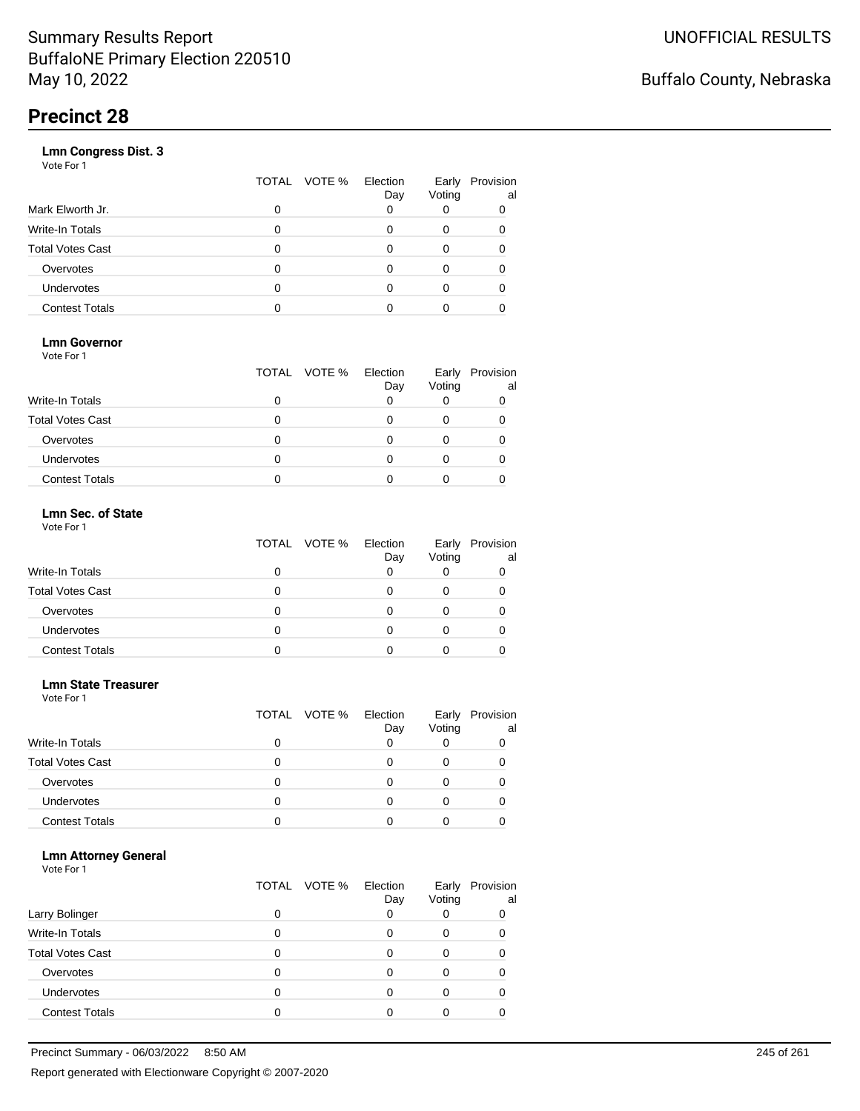|                       | VOTE %<br>TOTAL | Election<br>Day | Early<br>Voting | Provision<br>al |
|-----------------------|-----------------|-----------------|-----------------|-----------------|
| Mark Elworth Jr.      | 0               |                 |                 | 0               |
| Write-In Totals       | O               |                 | 0               | 0               |
| Total Votes Cast      | O               |                 | 0               |                 |
| Overvotes             | 0               |                 | 0               |                 |
| Undervotes            | O               |                 | Ω               |                 |
| <b>Contest Totals</b> |                 |                 |                 |                 |
|                       |                 |                 |                 |                 |

### **Lmn Governor**

Vote For 1

|                         | TOTAL VOTE % Election | Day | Early<br>Voting | Provision<br>al |
|-------------------------|-----------------------|-----|-----------------|-----------------|
| <b>Write-In Totals</b>  |                       |     |                 |                 |
| <b>Total Votes Cast</b> |                       |     |                 |                 |
| Overvotes               |                       |     |                 |                 |
| <b>Undervotes</b>       |                       |     |                 |                 |
| <b>Contest Totals</b>   |                       |     |                 |                 |

#### **Lmn Sec. of State** Vote For 1

|                         | TOTAL VOTE % | Election<br>Day | Voting | Early Provision<br>al |
|-------------------------|--------------|-----------------|--------|-----------------------|
| <b>Write-In Totals</b>  |              |                 |        |                       |
| <b>Total Votes Cast</b> | 0            |                 |        |                       |
| Overvotes               | 0            |                 |        |                       |
| Undervotes              | Ω            |                 |        |                       |
| <b>Contest Totals</b>   |              |                 |        |                       |

#### **Lmn State Treasurer**

Vote For 1

|                         |   | TOTAL VOTE % | Election<br>Day | Early<br>Voting | Provision<br>al |
|-------------------------|---|--------------|-----------------|-----------------|-----------------|
| <b>Write-In Totals</b>  |   |              |                 |                 |                 |
| <b>Total Votes Cast</b> | O |              |                 |                 |                 |
| Overvotes               | 0 |              | Ω               | O               |                 |
| Undervotes              | O |              |                 |                 |                 |
| <b>Contest Totals</b>   |   |              |                 |                 |                 |

#### **Lmn Attorney General**

|                         |   | TOTAL VOTE % | Election<br>Day | Early<br>Voting | Provision<br>al |
|-------------------------|---|--------------|-----------------|-----------------|-----------------|
| Larry Bolinger          |   |              |                 |                 | 0               |
| <b>Write-In Totals</b>  |   |              |                 | O               |                 |
| <b>Total Votes Cast</b> |   |              |                 |                 |                 |
| Overvotes               |   |              |                 |                 |                 |
| Undervotes              | 0 |              |                 |                 |                 |
| <b>Contest Totals</b>   |   |              |                 |                 |                 |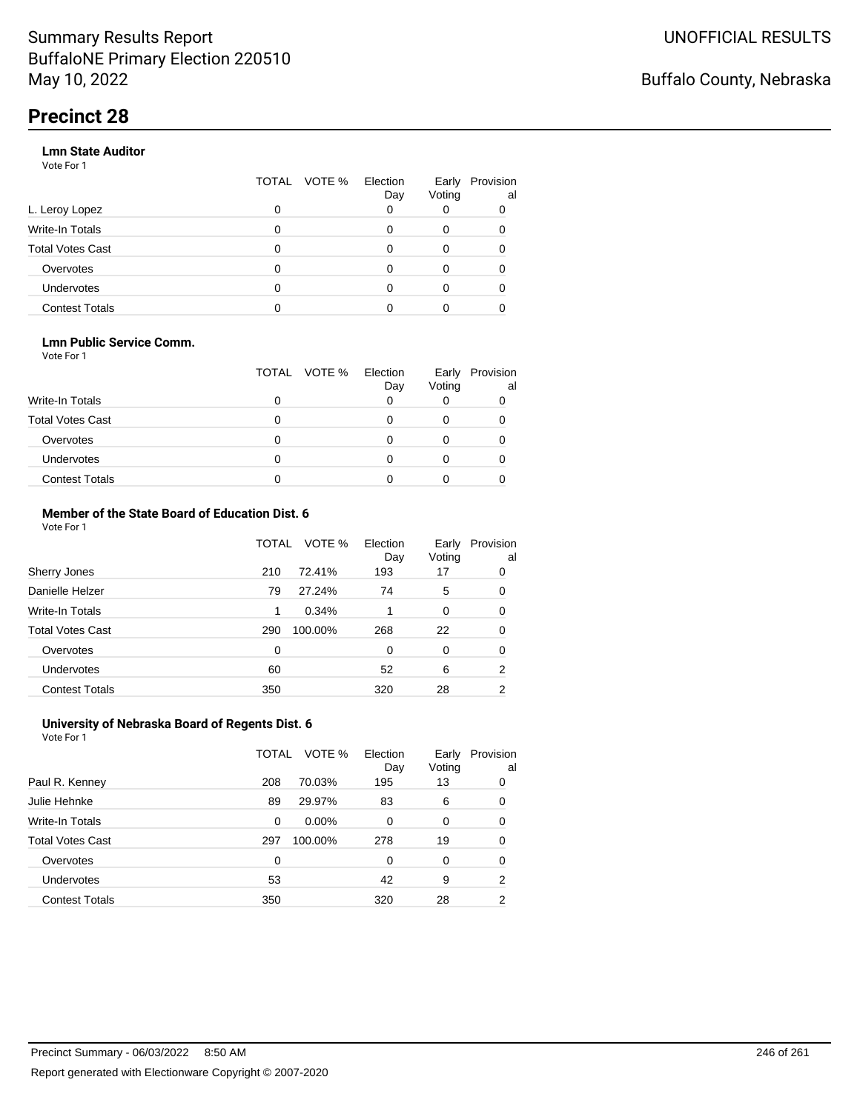#### **Lmn State Auditor**

Vote For 1

|                         | TOTAL | VOTE % Election | Day | Early<br>Voting | Provision<br>al |
|-------------------------|-------|-----------------|-----|-----------------|-----------------|
| L. Leroy Lopez          | 0     |                 |     |                 |                 |
| Write-In Totals         | 0     |                 |     | 0               |                 |
| <b>Total Votes Cast</b> | 0     |                 |     | 0               |                 |
| Overvotes               | 0     |                 |     | 0               |                 |
| Undervotes              | 0     |                 |     |                 |                 |
| <b>Contest Totals</b>   |       |                 |     |                 |                 |

#### **Lmn Public Service Comm.**

Vote For 1

|                         |   | TOTAL VOTE % | Election<br>Day | Early<br>Voting | Provision<br>al |
|-------------------------|---|--------------|-----------------|-----------------|-----------------|
| <b>Write-In Totals</b>  |   |              |                 |                 |                 |
| <b>Total Votes Cast</b> |   |              |                 |                 |                 |
| Overvotes               |   |              |                 |                 |                 |
| <b>Undervotes</b>       | 0 |              |                 |                 |                 |
| <b>Contest Totals</b>   |   |              |                 |                 |                 |

#### **Member of the State Board of Education Dist. 6** Vote For 1

|                         | TOTAL    | VOTE %  | Election<br>Day | Early<br>Voting | Provision<br>al |
|-------------------------|----------|---------|-----------------|-----------------|-----------------|
| Sherry Jones            | 210      | 72.41%  | 193             | 17              | 0               |
| Danielle Helzer         | 79       | 27.24%  | 74              | 5               | 0               |
| <b>Write-In Totals</b>  | 1        | 0.34%   |                 | 0               | 0               |
| <b>Total Votes Cast</b> | 290      | 100.00% | 268             | 22              | 0               |
| Overvotes               | $\Omega$ |         | $\Omega$        | $\Omega$        | 0               |
| <b>Undervotes</b>       | 60       |         | 52              | 6               | $\overline{2}$  |
| <b>Contest Totals</b>   | 350      |         | 320             | 28              | 2               |

#### **University of Nebraska Board of Regents Dist. 6** Vote For 1

|                         | TOTAL | VOTE %   | Election<br>Day | Early<br>Voting | Provision<br>al |
|-------------------------|-------|----------|-----------------|-----------------|-----------------|
| Paul R. Kenney          | 208   | 70.03%   | 195             | 13              | 0               |
| Julie Hehnke            | 89    | 29.97%   | 83              | 6               | 0               |
| <b>Write-In Totals</b>  | 0     | $0.00\%$ | 0               | 0               | 0               |
| <b>Total Votes Cast</b> | 297   | 100.00%  | 278             | 19              | 0               |
| Overvotes               | 0     |          | 0               | $\Omega$        | 0               |
| Undervotes              | 53    |          | 42              | 9               | 2               |
| <b>Contest Totals</b>   | 350   |          | 320             | 28              | 2               |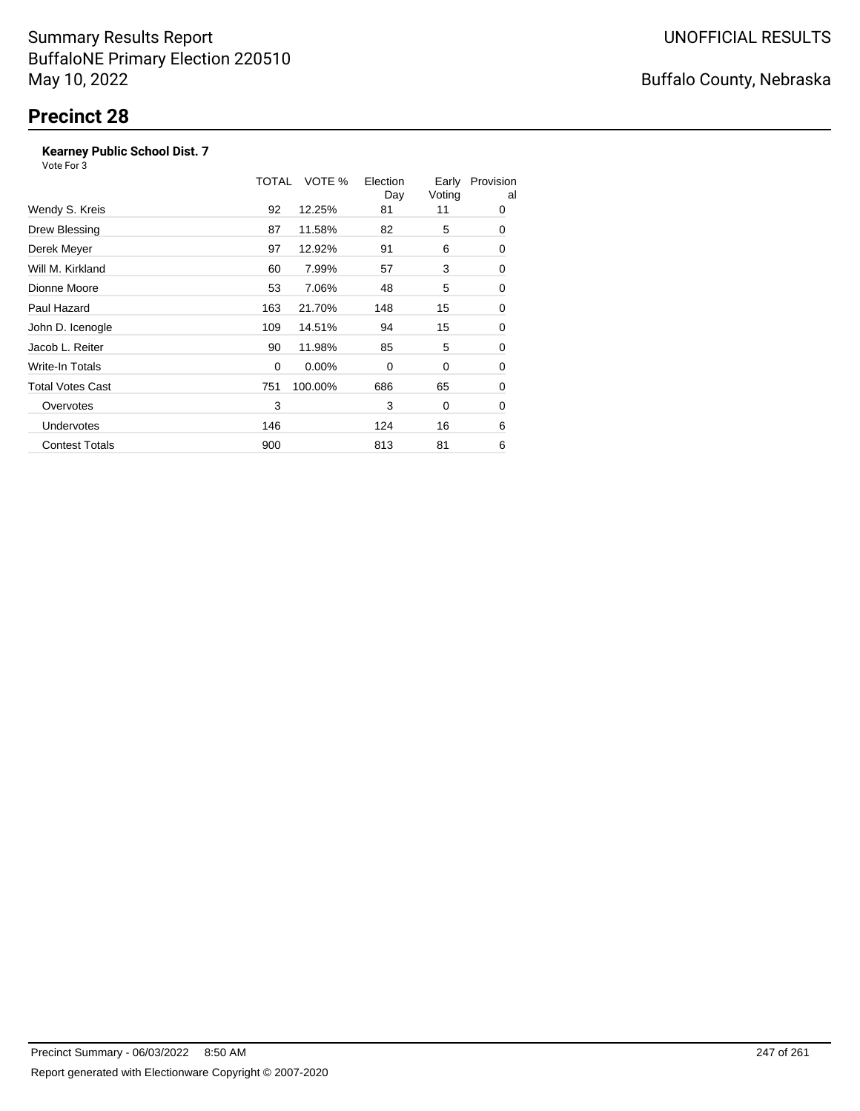### **Kearney Public School Dist. 7**

Vote For 3

|                         | TOTAL | VOTE %   | Election<br>Day | Early<br>Voting | Provision<br>al |
|-------------------------|-------|----------|-----------------|-----------------|-----------------|
| Wendy S. Kreis          | 92    | 12.25%   | 81              | 11              | 0               |
| Drew Blessing           | 87    | 11.58%   | 82              | 5               | 0               |
| Derek Meyer             | 97    | 12.92%   | 91              | 6               | 0               |
| Will M. Kirkland        | 60    | 7.99%    | 57              | 3               | 0               |
| Dionne Moore            | 53    | 7.06%    | 48              | 5               | 0               |
| Paul Hazard             | 163   | 21.70%   | 148             | 15              | 0               |
| John D. Icenogle        | 109   | 14.51%   | 94              | 15              | 0               |
| Jacob L. Reiter         | 90    | 11.98%   | 85              | 5               | 0               |
| <b>Write-In Totals</b>  | 0     | $0.00\%$ | $\Omega$        | 0               | 0               |
| <b>Total Votes Cast</b> | 751   | 100.00%  | 686             | 65              | 0               |
| Overvotes               | 3     |          | 3               | 0               | 0               |
| <b>Undervotes</b>       | 146   |          | 124             | 16              | 6               |
| <b>Contest Totals</b>   | 900   |          | 813             | 81              | 6               |

## Buffalo County, Nebraska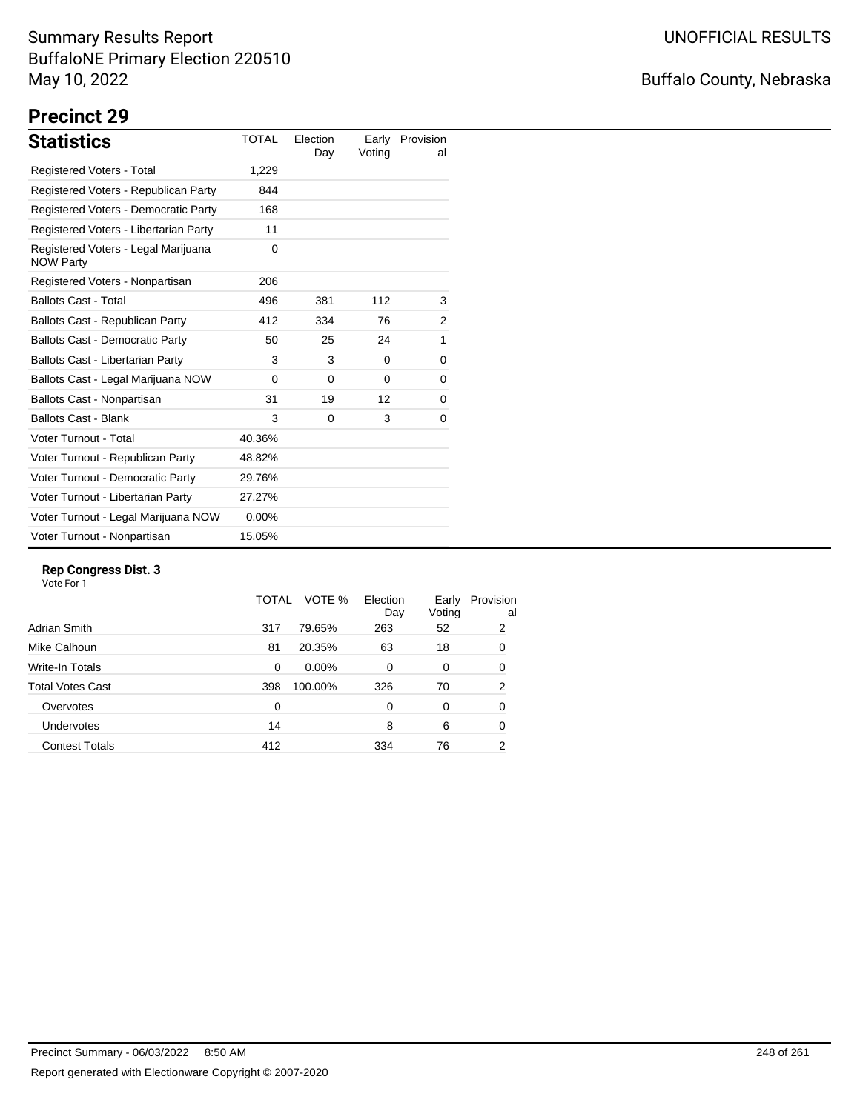## Buffalo County, Nebraska

# **Precinct 29**

| <b>Statistics</b>                                       | TOTAL    | Election<br>Day | Early<br>Voting | Provision<br>al |
|---------------------------------------------------------|----------|-----------------|-----------------|-----------------|
| Registered Voters - Total                               | 1,229    |                 |                 |                 |
| Registered Voters - Republican Party                    | 844      |                 |                 |                 |
| Registered Voters - Democratic Party                    | 168      |                 |                 |                 |
| Registered Voters - Libertarian Party                   | 11       |                 |                 |                 |
| Registered Voters - Legal Marijuana<br><b>NOW Party</b> | 0        |                 |                 |                 |
| Registered Voters - Nonpartisan                         | 206      |                 |                 |                 |
| <b>Ballots Cast - Total</b>                             | 496      | 381             | 112             | 3               |
| Ballots Cast - Republican Party                         | 412      | 334             | 76              | 2               |
| <b>Ballots Cast - Democratic Party</b>                  | 50       | 25              | 24              | 1               |
| Ballots Cast - Libertarian Party                        | 3        | 3               | $\Omega$        | 0               |
| Ballots Cast - Legal Marijuana NOW                      | $\Omega$ | $\Omega$        | 0               | 0               |
| Ballots Cast - Nonpartisan                              | 31       | 19              | 12              | 0               |
| <b>Ballots Cast - Blank</b>                             | 3        | 0               | 3               | 0               |
| Voter Turnout - Total                                   | 40.36%   |                 |                 |                 |
| Voter Turnout - Republican Party                        | 48.82%   |                 |                 |                 |
| Voter Turnout - Democratic Party                        | 29.76%   |                 |                 |                 |
| Voter Turnout - Libertarian Party                       | 27.27%   |                 |                 |                 |
| Voter Turnout - Legal Marijuana NOW                     | $0.00\%$ |                 |                 |                 |
| Voter Turnout - Nonpartisan                             | 15.05%   |                 |                 |                 |

### **Rep Congress Dist. 3**

|                         | TOTAL | VOTE %   | Election<br>Day | Early<br>Voting | Provision<br>al |
|-------------------------|-------|----------|-----------------|-----------------|-----------------|
| Adrian Smith            | 317   | 79.65%   | 263             | 52              | 2               |
| Mike Calhoun            | 81    | 20.35%   | 63              | 18              | 0               |
| Write-In Totals         | 0     | $0.00\%$ | 0               | 0               | 0               |
| <b>Total Votes Cast</b> | 398   | 100.00%  | 326             | 70              | 2               |
| Overvotes               | 0     |          | 0               | $\Omega$        | 0               |
| Undervotes              | 14    |          | 8               | 6               | 0               |
| <b>Contest Totals</b>   | 412   |          | 334             | 76              | 2               |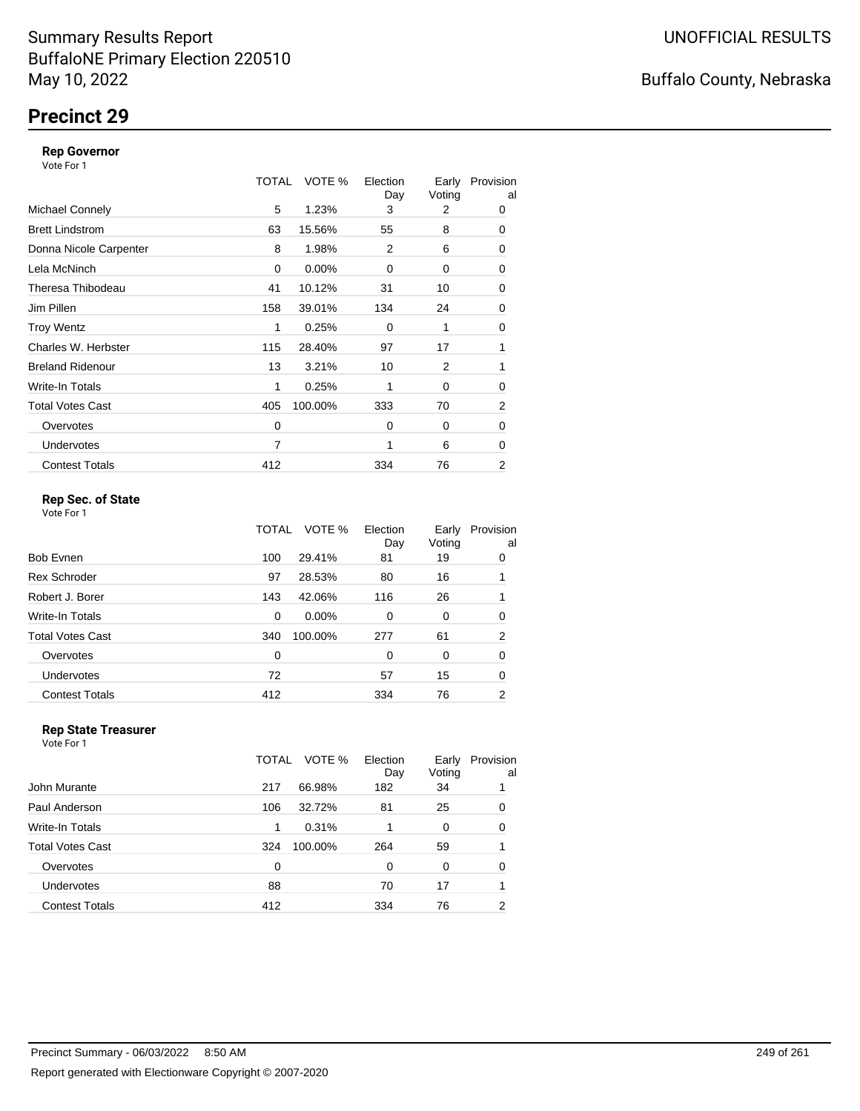## **Precinct 29**

#### **Rep Governor**

Vote For 1

|                         | TOTAL | VOTE %  | Election<br>Day | Early<br>Voting | Provision<br>al |
|-------------------------|-------|---------|-----------------|-----------------|-----------------|
| <b>Michael Connely</b>  | 5     | 1.23%   | 3               | 2               | 0               |
| <b>Brett Lindstrom</b>  | 63    | 15.56%  | 55              | 8               | 0               |
| Donna Nicole Carpenter  | 8     | 1.98%   | 2               | 6               | 0               |
| Lela McNinch            | 0     | 0.00%   | 0               | 0               | 0               |
| Theresa Thibodeau       | 41    | 10.12%  | 31              | 10              | 0               |
| Jim Pillen              | 158   | 39.01%  | 134             | 24              | 0               |
| <b>Troy Wentz</b>       | 1     | 0.25%   | $\Omega$        | 1               | 0               |
| Charles W. Herbster     | 115   | 28.40%  | 97              | 17              | 1               |
| <b>Breland Ridenour</b> | 13    | 3.21%   | 10              | 2               | 1               |
| Write-In Totals         | 1     | 0.25%   | 1               | 0               | 0               |
| <b>Total Votes Cast</b> | 405   | 100.00% | 333             | 70              | $\overline{2}$  |
| Overvotes               | 0     |         | 0               | 0               | 0               |
| <b>Undervotes</b>       | 7     |         | 1               | 6               | 0               |
| <b>Contest Totals</b>   | 412   |         | 334             | 76              | 2               |

### **Rep Sec. of State**

Vote For 1

|                       | TOTAL | VOTE %   | Election<br>Day | Early<br>Voting | Provision<br>al |
|-----------------------|-------|----------|-----------------|-----------------|-----------------|
| Bob Evnen             | 100   | 29.41%   | 81              | 19              | 0               |
| Rex Schroder          | 97    | 28.53%   | 80              | 16              |                 |
| Robert J. Borer       | 143   | 42.06%   | 116             | 26              | 1               |
| Write-In Totals       | 0     | $0.00\%$ | $\Omega$        | 0               | 0               |
| Total Votes Cast      | 340   | 100.00%  | 277             | 61              | 2               |
| Overvotes             | 0     |          | $\Omega$        | 0               | 0               |
| Undervotes            | 72    |          | 57              | 15              | 0               |
| <b>Contest Totals</b> | 412   |          | 334             | 76              | 2               |
|                       |       |          |                 |                 |                 |

#### **Rep State Treasurer** Vote For 1

|                       | TOTAL | VOTE %  | Election<br>Day | Early<br>Voting | Provision<br>al |
|-----------------------|-------|---------|-----------------|-----------------|-----------------|
| John Murante          | 217   | 66.98%  | 182             | 34              |                 |
| Paul Anderson         | 106   | 32.72%  | 81              | 25              | 0               |
| Write-In Totals       |       | 0.31%   |                 | 0               | 0               |
| Total Votes Cast      | 324   | 100.00% | 264             | 59              |                 |
| Overvotes             | 0     |         | 0               | 0               | 0               |
| <b>Undervotes</b>     | 88    |         | 70              | 17              |                 |
| <b>Contest Totals</b> | 412   |         | 334             | 76              | 2               |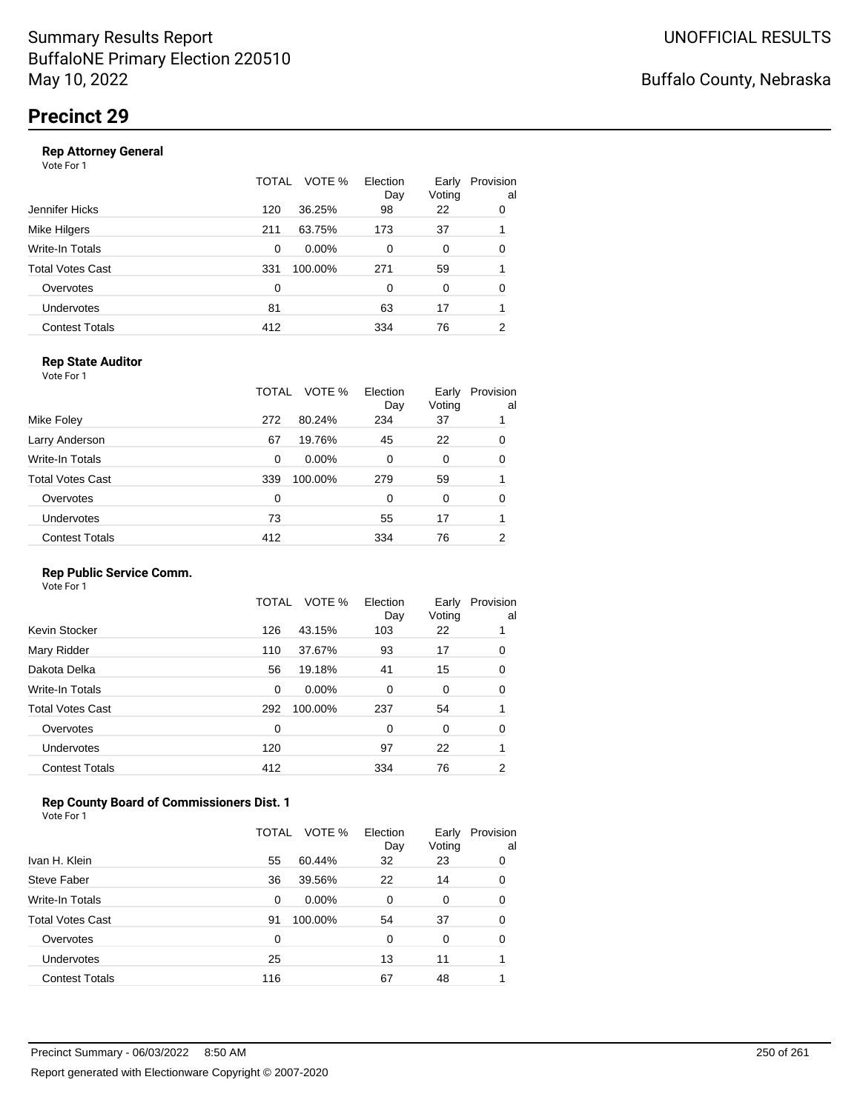|                       | <b>TOTAL</b> | VOTE %<br>Election<br>Day | Early<br>Voting | Provision<br>al |
|-----------------------|--------------|---------------------------|-----------------|-----------------|
| Jennifer Hicks        | 120          | 36.25%<br>98              | 22              | 0               |
| Mike Hilgers          | 211          | 63.75%<br>173             | 37              |                 |
| Write-In Totals       | 0            | $0.00\%$<br>$\Omega$      | 0               | 0               |
| Total Votes Cast      | 331          | 100.00%<br>271            | 59              |                 |
| Overvotes             | 0            | $\Omega$                  | 0               | 0               |
| <b>Undervotes</b>     | 81           | 63                        | 17              |                 |
| <b>Contest Totals</b> | 412          | 334                       | 76              | 2               |
|                       |              |                           |                 |                 |

### **Rep State Auditor**

Vote For 1

|                       | TOTAL | VOTE %   | Election<br>Day | Early<br>Voting | Provision<br>al |
|-----------------------|-------|----------|-----------------|-----------------|-----------------|
| Mike Foley            | 272   | 80.24%   | 234             | 37              |                 |
| Larry Anderson        | 67    | 19.76%   | 45              | 22              | 0               |
| Write-In Totals       | 0     | $0.00\%$ | 0               | 0               | 0               |
| Total Votes Cast      | 339   | 100.00%  | 279             | 59              |                 |
| Overvotes             | 0     |          | 0               | 0               | 0               |
| <b>Undervotes</b>     | 73    |          | 55              | 17              |                 |
| <b>Contest Totals</b> | 412   |          | 334             | 76              | 2               |

#### **Rep Public Service Comm.**

Vote For 1

|                         | TOTAL | VOTE %   | Election<br>Day | Early<br>Voting | Provision<br>al |
|-------------------------|-------|----------|-----------------|-----------------|-----------------|
| Kevin Stocker           | 126   | 43.15%   | 103             | 22              |                 |
| Mary Ridder             | 110   | 37.67%   | 93              | 17              | 0               |
| Dakota Delka            | 56    | 19.18%   | 41              | 15              | 0               |
| Write-In Totals         | 0     | $0.00\%$ | 0               | 0               | 0               |
| <b>Total Votes Cast</b> | 292   | 100.00%  | 237             | 54              |                 |
| Overvotes               | 0     |          | 0               | 0               | 0               |
| <b>Undervotes</b>       | 120   |          | 97              | 22              |                 |
| <b>Contest Totals</b>   | 412   |          | 334             | 76              | 2               |
|                         |       |          |                 |                 |                 |

### **Rep County Board of Commissioners Dist. 1**

|                       | TOTAL | VOTE %   | Election<br>Day | Early<br>Voting | Provision<br>al |
|-----------------------|-------|----------|-----------------|-----------------|-----------------|
| Ivan H. Klein         | 55    | 60.44%   | 32              | 23              | 0               |
| Steve Faber           | 36    | 39.56%   | 22              | 14              | 0               |
| Write-In Totals       | 0     | $0.00\%$ | 0               | 0               | 0               |
| Total Votes Cast      | 91    | 100.00%  | 54              | 37              | 0               |
| Overvotes             | 0     |          | 0               | $\Omega$        | 0               |
| Undervotes            | 25    |          | 13              | 11              |                 |
| <b>Contest Totals</b> | 116   |          | 67              | 48              |                 |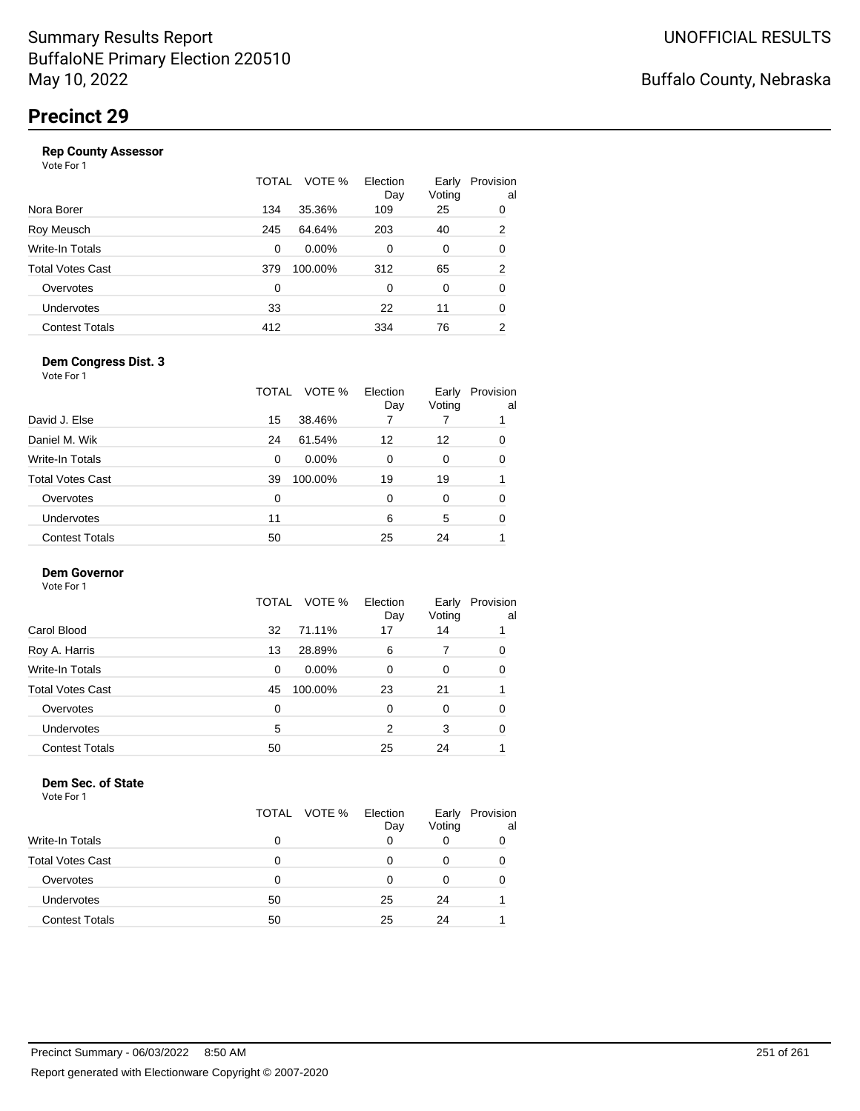|                       | TOTAL | VOTE %   | Election<br>Day | Early<br>Voting | Provision<br>al |
|-----------------------|-------|----------|-----------------|-----------------|-----------------|
| Nora Borer            | 134   | 35.36%   | 109             | 25              | 0               |
| Roy Meusch            | 245   | 64.64%   | 203             | 40              | 2               |
| Write-In Totals       | 0     | $0.00\%$ | 0               | 0               | 0               |
| Total Votes Cast      | 379   | 100.00%  | 312             | 65              | 2               |
| Overvotes             | 0     |          | 0               | 0               | 0               |
| <b>Undervotes</b>     | 33    |          | 22              | 11              | 0               |
| <b>Contest Totals</b> | 412   |          | 334             | 76              | 2               |

#### **Dem Congress Dist. 3**

Vote For 1

|                         | TOTAL | VOTE %   | Election<br>Day | Early<br>Voting | Provision<br>al |
|-------------------------|-------|----------|-----------------|-----------------|-----------------|
| David J. Else           | 15    | 38.46%   |                 |                 |                 |
| Daniel M. Wik           | 24    | 61.54%   | 12              | 12              | 0               |
| Write-In Totals         | 0     | $0.00\%$ | 0               | 0               | 0               |
| <b>Total Votes Cast</b> | 39    | 100.00%  | 19              | 19              |                 |
| Overvotes               | 0     |          | 0               | 0               | 0               |
| <b>Undervotes</b>       | 11    |          | 6               | 5               | 0               |
| <b>Contest Totals</b>   | 50    |          | 25              | 24              |                 |

### **Dem Governor**

Vote For 1

|                       | TOTAL VOTE %  | Election<br>Day | Early<br>Voting | Provision<br>al |
|-----------------------|---------------|-----------------|-----------------|-----------------|
| Carol Blood           | 71.11%<br>32  | 17              | 14              |                 |
| Roy A. Harris         | 28.89%<br>13  | 6               | 7               | 0               |
| Write-In Totals       | $0.00\%$<br>0 | 0               | 0               | 0               |
| Total Votes Cast      | 100.00%<br>45 | 23              | 21              |                 |
| Overvotes             | 0             | 0               | 0               | 0               |
| <b>Undervotes</b>     | 5             | 2               | 3               | 0               |
| <b>Contest Totals</b> | 50            | 25              | 24              |                 |

#### **Dem Sec. of State**

|                         | TOTAL | VOTE % | Election<br>Day | Early<br>Voting | Provision<br>al |
|-------------------------|-------|--------|-----------------|-----------------|-----------------|
| <b>Write-In Totals</b>  | 0     |        | 0               |                 | O               |
| <b>Total Votes Cast</b> | O     |        |                 |                 | 0               |
| Overvotes               | 0     |        | O               |                 | 0               |
| Undervotes              | 50    |        | 25              | 24              |                 |
| Contest Totals          | 50    |        | 25              | 24              |                 |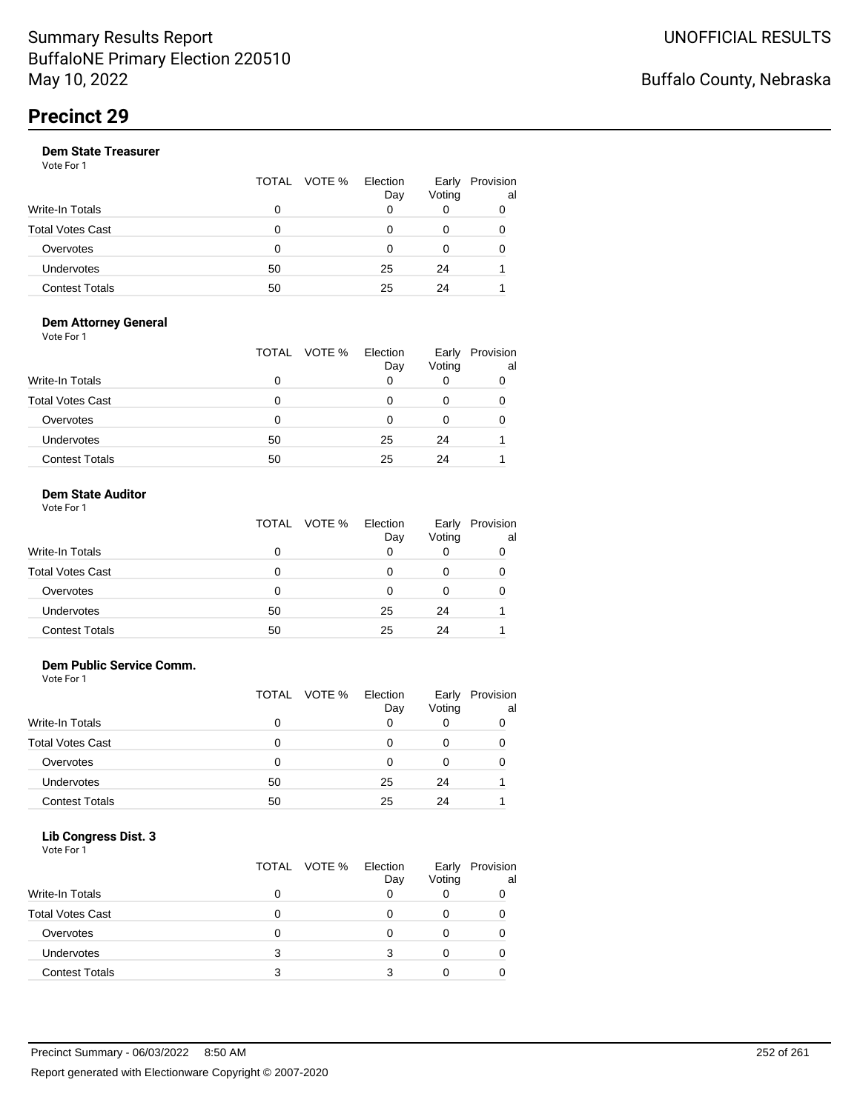| TOTAL VOTE % |                 |                 |                 |
|--------------|-----------------|-----------------|-----------------|
|              | Election<br>Day | Early<br>Voting | Provision<br>al |
| 0            | 0               |                 |                 |
| 0            | ი               | 0               | 0               |
| ∩            | ი               | O               | ∩               |
| 50           | 25              | 24              |                 |
| 50           | 25              | 24              |                 |
|              |                 |                 |                 |

#### **Dem Attorney General** Vote For 1

|                         | VOTE %<br>TOTAL | Election<br>Day | Early<br>Voting | Provision<br>al |
|-------------------------|-----------------|-----------------|-----------------|-----------------|
| Write-In Totals         | 0               | 0               | O               | 0               |
| <b>Total Votes Cast</b> | 0               |                 | 0               |                 |
| Overvotes               | 0               | 0               | 0               | 0               |
| Undervotes              | 50              | 25              | 24              |                 |
| <b>Contest Totals</b>   | 50              | 25              | 24              |                 |

### **Dem State Auditor**

| Vote For 1 |  |
|------------|--|
|            |  |

|                         |    | TOTAL VOTE % Election | Day | Early<br>Voting | Provision<br>al |
|-------------------------|----|-----------------------|-----|-----------------|-----------------|
| <b>Write-In Totals</b>  | 0  |                       |     |                 |                 |
| <b>Total Votes Cast</b> | 0  |                       |     |                 |                 |
| Overvotes               | Ω  |                       |     |                 |                 |
| <b>Undervotes</b>       | 50 |                       | 25  | 24              |                 |
| <b>Contest Totals</b>   | 50 |                       | 25  | 24              |                 |

#### **Dem Public Service Comm.**

Vote For 1

|                         | TOTAL | VOTE % | Election<br>Day | Early<br>Voting | Provision<br>al |
|-------------------------|-------|--------|-----------------|-----------------|-----------------|
| Write-In Totals         | 0     |        |                 |                 |                 |
| <b>Total Votes Cast</b> | 0     |        |                 |                 |                 |
| Overvotes               | 0     |        |                 |                 |                 |
| Undervotes              | 50    |        | 25              | 24              |                 |
| <b>Contest Totals</b>   | 50    |        | 25              | 24              |                 |

### **Lib Congress Dist. 3**

| Vote For 1              |              |                 |        |                       |
|-------------------------|--------------|-----------------|--------|-----------------------|
|                         | TOTAL VOTE % | Election<br>Day | Voting | Early Provision<br>al |
| Write-In Totals         | ŋ            |                 |        |                       |
| <b>Total Votes Cast</b> |              |                 | 0      |                       |
| Overvotes               |              |                 | 0      |                       |
| Undervotes              | 3            |                 |        |                       |
| <b>Contest Totals</b>   |              |                 |        |                       |
|                         |              |                 |        |                       |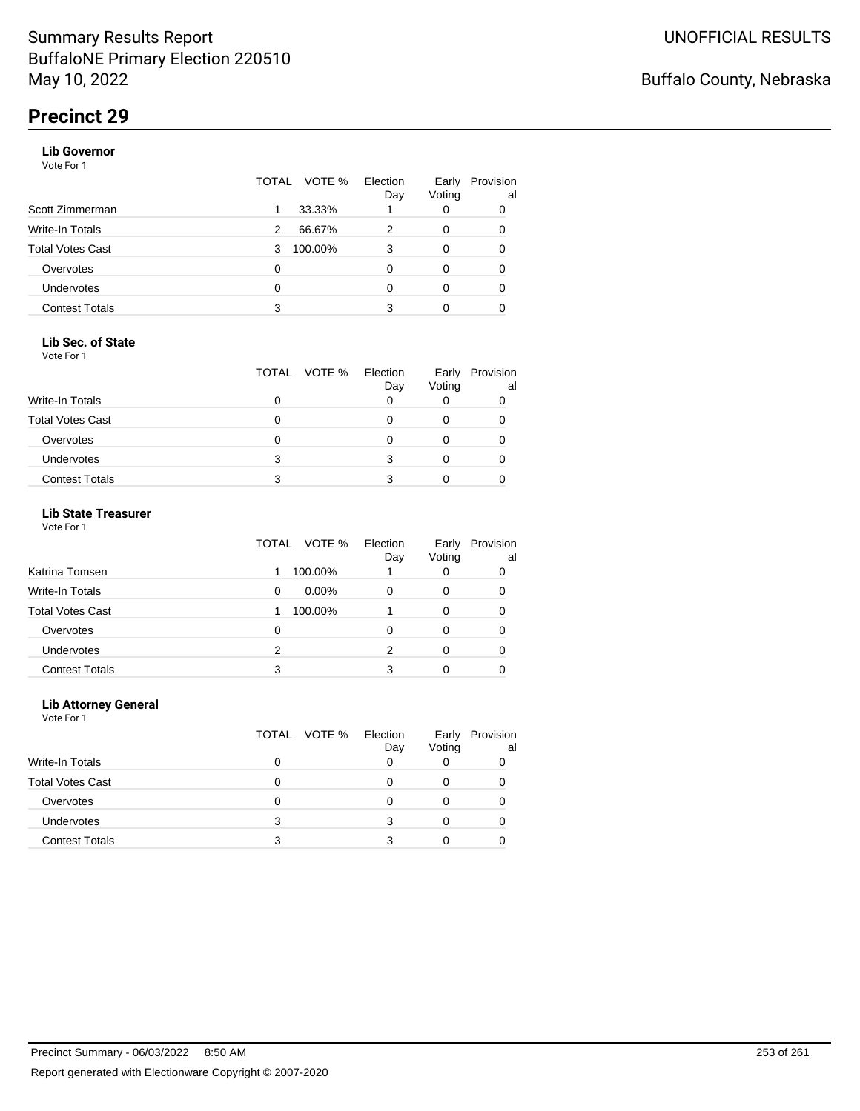# **Precinct 29**

#### **Lib Governor**

Vote For 1

|                       | VOTE %<br>TOTAL | Election<br>Day | Early<br>Voting | Provision<br>al |
|-----------------------|-----------------|-----------------|-----------------|-----------------|
| Scott Zimmerman       | 33.33%          |                 | 0               | 0               |
| Write-In Totals       | 66.67%<br>2     |                 | 0               | 0               |
| Total Votes Cast      | 100.00%<br>3    | 3               | 0               | 0               |
| Overvotes             | 0               |                 | 0               | 0               |
| <b>Undervotes</b>     | 0               |                 | 0               | 0               |
| <b>Contest Totals</b> | 3               | 3               | 0               |                 |

#### **Lib Sec. of State**

Vote For 1

|                         |   | TOTAL VOTE % | Election<br>Day | Early<br>Voting | Provision<br>al |
|-------------------------|---|--------------|-----------------|-----------------|-----------------|
| <b>Write-In Totals</b>  |   |              |                 |                 |                 |
| <b>Total Votes Cast</b> |   |              |                 |                 |                 |
| Overvotes               |   |              |                 |                 |                 |
| <b>Undervotes</b>       | 3 |              |                 |                 |                 |
| <b>Contest Totals</b>   |   |              |                 |                 |                 |

## **Lib State Treasurer**

Vote For 1

|                         | VOTE %<br>TOTAL | Election<br>Day | Early<br>Voting | Provision<br>al |
|-------------------------|-----------------|-----------------|-----------------|-----------------|
| Katrina Tomsen          | 100.00%         |                 | 0               | 0               |
| <b>Write-In Totals</b>  | $0.00\%$<br>0   | O               | 0               | 0               |
| <b>Total Votes Cast</b> | 100.00%         |                 | 0               |                 |
| Overvotes               | 0               | 0               | 0               | 0               |
| Undervotes              | 2               | 2               |                 | 0               |
| <b>Contest Totals</b>   | 3               |                 |                 |                 |

#### **Lib Attorney General**

|                         |   | TOTAL VOTE % | Election<br>Day | Early<br>Voting | Provision<br>al |
|-------------------------|---|--------------|-----------------|-----------------|-----------------|
| Write-In Totals         | 0 |              |                 |                 |                 |
| <b>Total Votes Cast</b> |   |              |                 |                 |                 |
| Overvotes               | 0 |              |                 |                 |                 |
| <b>Undervotes</b>       | 3 |              |                 |                 |                 |
| <b>Contest Totals</b>   | з |              |                 |                 |                 |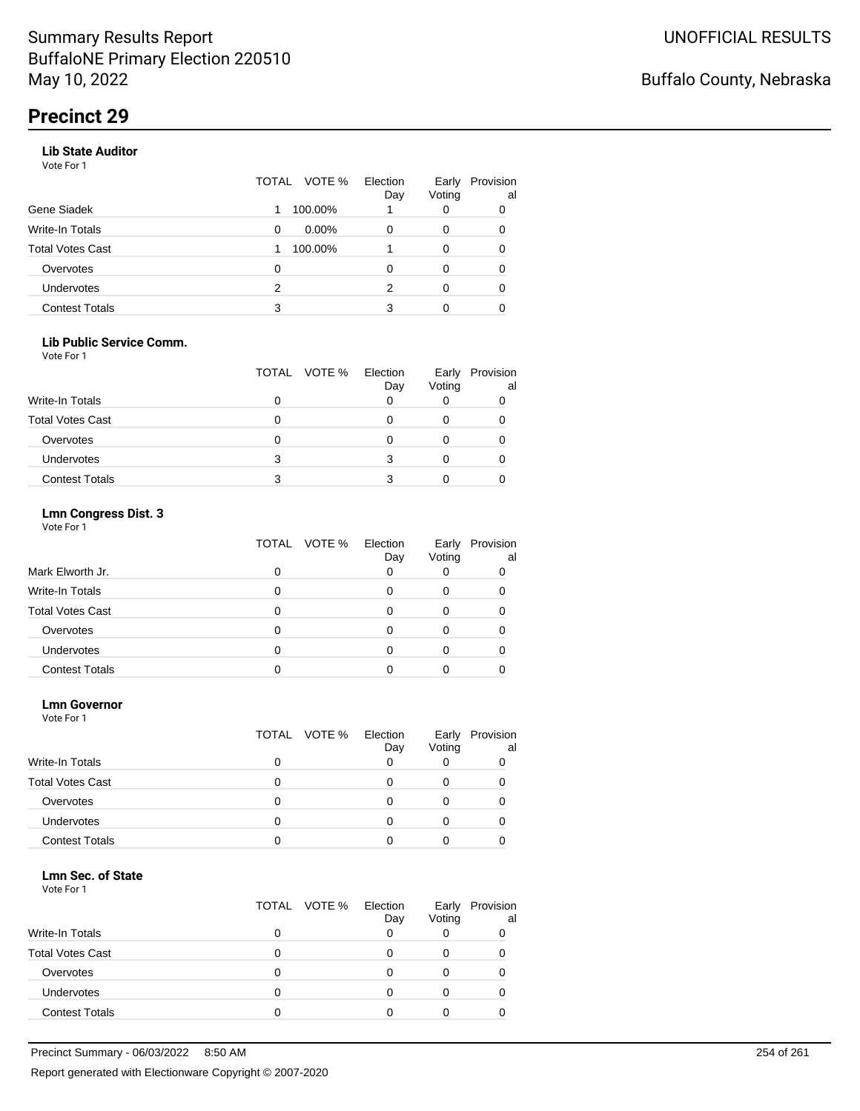# **Precinct 29**

#### **Lib State Auditor**

Vote For 1

|                       | TOTAL | VOTE %   | Election<br>Day | Early<br>Voting | Provision<br>al |
|-----------------------|-------|----------|-----------------|-----------------|-----------------|
| Gene Siadek           |       | 100.00%  |                 | 0               | 0               |
| Write-In Totals       | 0     | $0.00\%$ | O               | 0               | 0               |
| Total Votes Cast      |       | 100.00%  |                 | 0               |                 |
| Overvotes             | 0     |          |                 | 0               |                 |
| <b>Undervotes</b>     | 2     |          | 2               | 0               |                 |
| <b>Contest Totals</b> | 3     |          | 3               | 0               |                 |

#### **Lib Public Service Comm.**

Vote For 1

|                         |   | TOTAL VOTE % | Election<br>Day | Early<br>Voting | Provision<br>al |
|-------------------------|---|--------------|-----------------|-----------------|-----------------|
| Write-In Totals         |   |              |                 |                 |                 |
| <b>Total Votes Cast</b> |   |              |                 |                 |                 |
| Overvotes               |   |              |                 |                 |                 |
| <b>Undervotes</b>       | 3 |              |                 |                 |                 |
| <b>Contest Totals</b>   | 3 |              |                 |                 |                 |

## **Lmn Congress Dist. 3**

Vote For 1

|                         | TOTAL<br>VOTE % | Election<br>Day | Early<br>Voting | Provision<br>al |
|-------------------------|-----------------|-----------------|-----------------|-----------------|
| Mark Elworth Jr.        |                 | 0               |                 |                 |
| Write-In Totals         |                 |                 |                 |                 |
| <b>Total Votes Cast</b> |                 |                 |                 |                 |
| Overvotes               |                 | Ω               |                 |                 |
| <b>Undervotes</b>       |                 |                 |                 |                 |
| <b>Contest Totals</b>   |                 |                 |                 |                 |

#### **Lmn Governor**

Vote For 1

|                         | TOTAL VOTE % | Election<br>Day | Early<br>Voting | Provision<br>al |
|-------------------------|--------------|-----------------|-----------------|-----------------|
| <b>Write-In Totals</b>  |              |                 |                 |                 |
| <b>Total Votes Cast</b> |              |                 |                 |                 |
| Overvotes               | Ω            |                 |                 |                 |
| Undervotes              | O            |                 |                 |                 |
| <b>Contest Totals</b>   |              |                 |                 |                 |

#### **Lmn Sec. of State**

|                         | TOTAL VOTE % Election | Day | Early<br>Voting | Provision<br>al |
|-------------------------|-----------------------|-----|-----------------|-----------------|
| <b>Write-In Totals</b>  |                       |     |                 |                 |
| <b>Total Votes Cast</b> |                       |     |                 |                 |
| Overvotes               |                       |     |                 |                 |
| <b>Undervotes</b>       |                       |     |                 |                 |
| <b>Contest Totals</b>   |                       |     |                 |                 |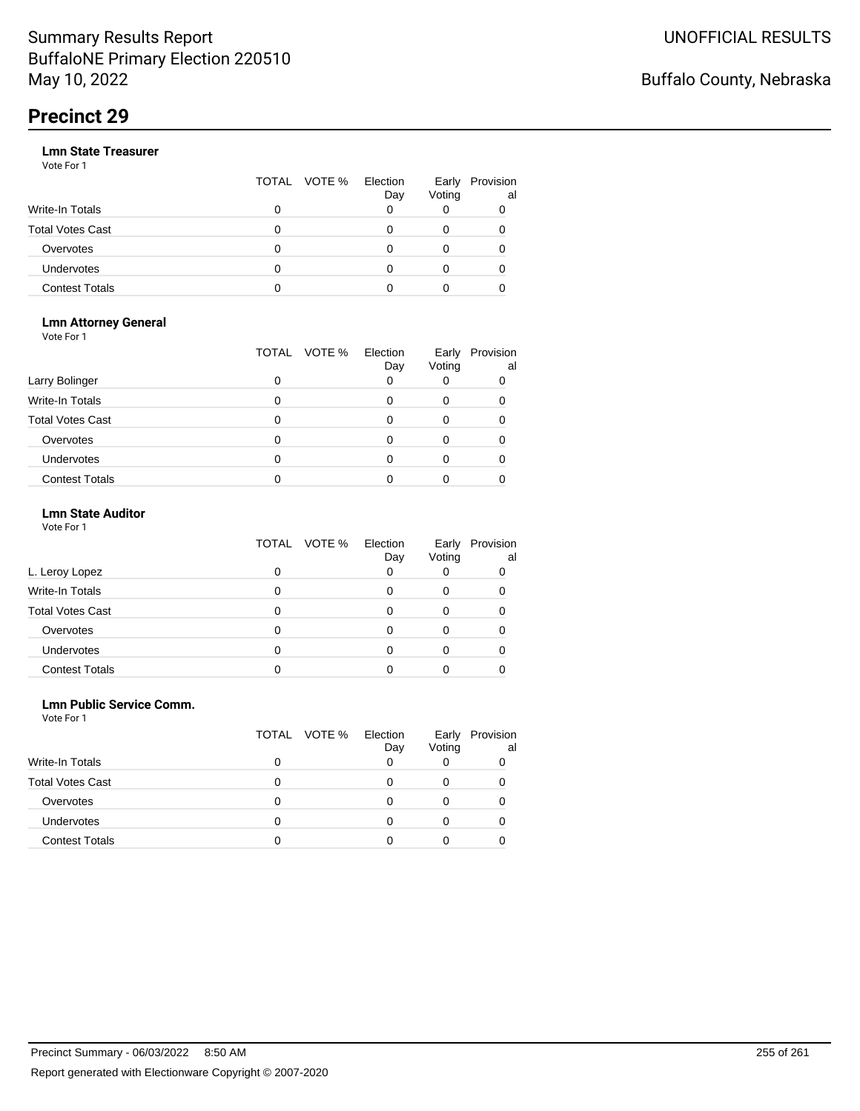# **Precinct 29**

|                       |   | TOTAL VOTE % | Election<br>Day | Early<br>Voting | Provision<br>al |
|-----------------------|---|--------------|-----------------|-----------------|-----------------|
| Write-In Totals       | 0 |              |                 |                 |                 |
| Total Votes Cast      | O |              |                 |                 |                 |
| Overvotes             | 0 |              |                 |                 |                 |
| <b>Undervotes</b>     | 0 |              |                 |                 |                 |
| <b>Contest Totals</b> | o |              |                 |                 |                 |

#### **Lmn Attorney General** Vote For 1

|                         | TOTAL | VOTE %<br>Election<br>Day | Early<br>Voting | Provision<br>al |
|-------------------------|-------|---------------------------|-----------------|-----------------|
| Larry Bolinger          | O     |                           |                 |                 |
| <b>Write-In Totals</b>  |       |                           |                 |                 |
| <b>Total Votes Cast</b> |       |                           |                 |                 |
| Overvotes               |       |                           |                 |                 |
| <b>Undervotes</b>       |       |                           |                 |                 |
| <b>Contest Totals</b>   |       |                           |                 |                 |

## **Lmn State Auditor**

| Vote For 1 |  |  |
|------------|--|--|
|------------|--|--|

|                         | TOTAL VOTE % | Election<br>Day | Early<br>Voting | Provision<br>al |
|-------------------------|--------------|-----------------|-----------------|-----------------|
| L. Leroy Lopez          |              |                 |                 | O               |
| Write-In Totals         |              |                 |                 |                 |
| <b>Total Votes Cast</b> |              |                 |                 |                 |
| Overvotes               |              |                 |                 |                 |
| <b>Undervotes</b>       |              |                 |                 |                 |
| <b>Contest Totals</b>   |              |                 |                 |                 |

#### **Lmn Public Service Comm.**

|                         |   | TOTAL VOTE % | Election<br>Day | Early<br>Voting | Provision<br>al |
|-------------------------|---|--------------|-----------------|-----------------|-----------------|
| <b>Write-In Totals</b>  | 0 |              |                 |                 |                 |
| <b>Total Votes Cast</b> |   |              |                 |                 |                 |
| Overvotes               | Ω |              |                 |                 |                 |
| <b>Undervotes</b>       |   |              |                 |                 |                 |
| <b>Contest Totals</b>   |   |              |                 |                 |                 |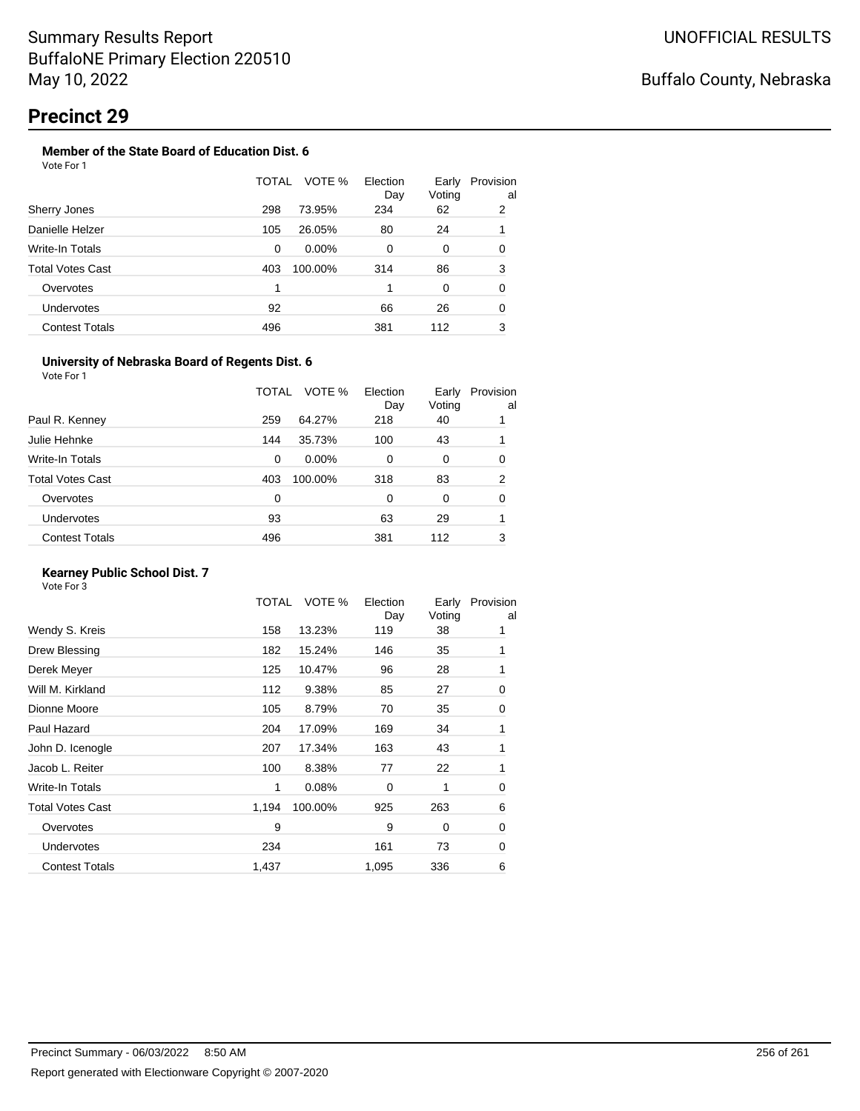## **Precinct 29**

## **Member of the State Board of Education Dist. 6**

| VOTE %<br>TOTAL<br>Election<br>Early<br>Voting<br>Day<br>298<br>73.95%<br>234<br>2<br>Sherry Jones<br>62<br>Danielle Helzer<br>105<br>26.05%<br>24<br>80<br>1<br>Write-In Totals<br>$0.00\%$<br>$\Omega$<br>0<br>0<br>0<br><b>Total Votes Cast</b><br>3<br>86<br>100.00%<br>314<br>403<br>1<br>0<br>Overvotes<br>$\Omega$<br>1<br>Undervotes<br>66<br>26<br>0<br>92<br>3<br><b>Contest Totals</b><br>496<br>381<br>112 | Vote For 1 |  |  |                |
|------------------------------------------------------------------------------------------------------------------------------------------------------------------------------------------------------------------------------------------------------------------------------------------------------------------------------------------------------------------------------------------------------------------------|------------|--|--|----------------|
|                                                                                                                                                                                                                                                                                                                                                                                                                        |            |  |  | Provision<br>a |
|                                                                                                                                                                                                                                                                                                                                                                                                                        |            |  |  |                |
|                                                                                                                                                                                                                                                                                                                                                                                                                        |            |  |  |                |
|                                                                                                                                                                                                                                                                                                                                                                                                                        |            |  |  |                |
|                                                                                                                                                                                                                                                                                                                                                                                                                        |            |  |  |                |
|                                                                                                                                                                                                                                                                                                                                                                                                                        |            |  |  |                |
|                                                                                                                                                                                                                                                                                                                                                                                                                        |            |  |  |                |
|                                                                                                                                                                                                                                                                                                                                                                                                                        |            |  |  |                |

#### **University of Nebraska Board of Regents Dist. 6**

Vote For 1

|                       | TOTAL | VOTE %   | Election<br>Day | Early<br>Voting | Provision<br>al |
|-----------------------|-------|----------|-----------------|-----------------|-----------------|
| Paul R. Kenney        | 259   | 64.27%   | 218             | 40              |                 |
| Julie Hehnke          | 144   | 35.73%   | 100             | 43              |                 |
| Write-In Totals       | 0     | $0.00\%$ | 0               | 0               | 0               |
| Total Votes Cast      | 403   | 100.00%  | 318             | 83              | 2               |
| Overvotes             | 0     |          | 0               | 0               | 0               |
| <b>Undervotes</b>     | 93    |          | 63              | 29              |                 |
| <b>Contest Totals</b> | 496   |          | 381             | 112             | 3               |
|                       |       |          |                 |                 |                 |

## **Kearney Public School Dist. 7**

| Wendy S. Kreis<br>158<br>13.23%<br>119<br>38<br>1<br>182<br>Drew Blessing<br>15.24%<br>146<br>35<br>1<br>Derek Meyer<br>125<br>10.47%<br>96<br>28<br>1<br>Will M. Kirkland<br>27<br>112<br>9.38%<br>85<br>Dionne Moore<br>105<br>8.79%<br>70<br>35<br>Paul Hazard<br>204<br>17.09%<br>169<br>34<br>1<br>John D. Icenogle<br>207<br>17.34%<br>163<br>43<br>1<br>Jacob L. Reiter<br>100<br>8.38%<br>22<br>77<br>1<br>Write-In Totals<br>0.08%<br>1<br>$\Omega$<br>1<br><b>Total Votes Cast</b><br>263<br>1,194<br>100.00%<br>925<br>9<br>9<br>Overvotes<br>0<br>73<br><b>Undervotes</b><br>234<br>161<br><b>Contest Totals</b><br>1,437<br>1,095<br>336 | TOTAL | VOTE % | Election<br>Day | Early<br>Voting | Provision<br>al |
|-------------------------------------------------------------------------------------------------------------------------------------------------------------------------------------------------------------------------------------------------------------------------------------------------------------------------------------------------------------------------------------------------------------------------------------------------------------------------------------------------------------------------------------------------------------------------------------------------------------------------------------------------------|-------|--------|-----------------|-----------------|-----------------|
|                                                                                                                                                                                                                                                                                                                                                                                                                                                                                                                                                                                                                                                       |       |        |                 |                 |                 |
|                                                                                                                                                                                                                                                                                                                                                                                                                                                                                                                                                                                                                                                       |       |        |                 |                 |                 |
|                                                                                                                                                                                                                                                                                                                                                                                                                                                                                                                                                                                                                                                       |       |        |                 |                 |                 |
|                                                                                                                                                                                                                                                                                                                                                                                                                                                                                                                                                                                                                                                       |       |        |                 |                 | 0               |
|                                                                                                                                                                                                                                                                                                                                                                                                                                                                                                                                                                                                                                                       |       |        |                 |                 | 0               |
|                                                                                                                                                                                                                                                                                                                                                                                                                                                                                                                                                                                                                                                       |       |        |                 |                 |                 |
|                                                                                                                                                                                                                                                                                                                                                                                                                                                                                                                                                                                                                                                       |       |        |                 |                 |                 |
|                                                                                                                                                                                                                                                                                                                                                                                                                                                                                                                                                                                                                                                       |       |        |                 |                 |                 |
|                                                                                                                                                                                                                                                                                                                                                                                                                                                                                                                                                                                                                                                       |       |        |                 |                 | 0               |
|                                                                                                                                                                                                                                                                                                                                                                                                                                                                                                                                                                                                                                                       |       |        |                 |                 | 6               |
|                                                                                                                                                                                                                                                                                                                                                                                                                                                                                                                                                                                                                                                       |       |        |                 |                 | 0               |
|                                                                                                                                                                                                                                                                                                                                                                                                                                                                                                                                                                                                                                                       |       |        |                 |                 | 0               |
|                                                                                                                                                                                                                                                                                                                                                                                                                                                                                                                                                                                                                                                       |       |        |                 |                 | 6               |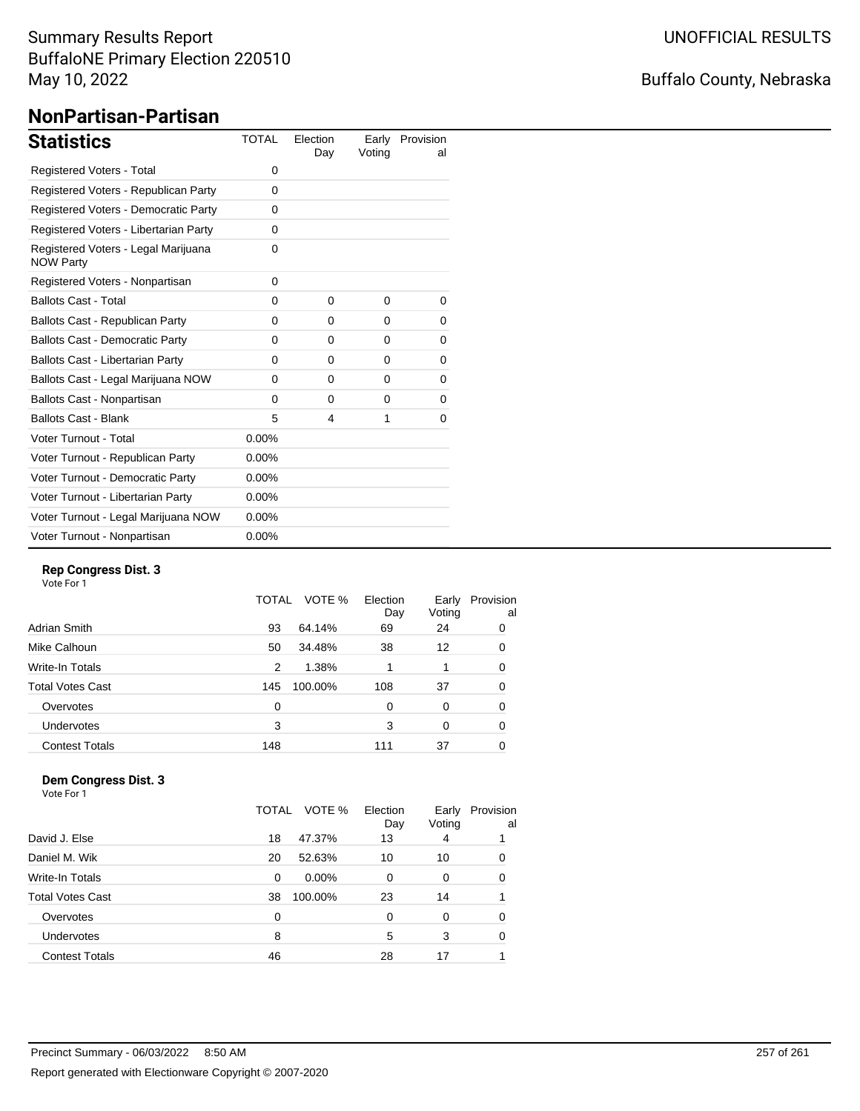## Summary Results Report BuffaloNE Primary Election 220510 May 10, 2022

# Buffalo County, Nebraska

# **NonPartisan-Partisan**

| <b>Statistics</b>                                       | <b>TOTAL</b> | Election<br>Day | Earlv<br>Voting | Provision<br>al |
|---------------------------------------------------------|--------------|-----------------|-----------------|-----------------|
| Registered Voters - Total                               | 0            |                 |                 |                 |
| Registered Voters - Republican Party                    | 0            |                 |                 |                 |
| Registered Voters - Democratic Party                    | 0            |                 |                 |                 |
| Registered Voters - Libertarian Party                   | $\Omega$     |                 |                 |                 |
| Registered Voters - Legal Marijuana<br><b>NOW Party</b> | $\Omega$     |                 |                 |                 |
| Registered Voters - Nonpartisan                         | 0            |                 |                 |                 |
| <b>Ballots Cast - Total</b>                             | $\Omega$     | $\Omega$        | 0               | 0               |
| Ballots Cast - Republican Party                         | 0            | $\Omega$        | $\Omega$        | 0               |
| <b>Ballots Cast - Democratic Party</b>                  | 0            | $\Omega$        | 0               | 0               |
| Ballots Cast - Libertarian Party                        | 0            | $\Omega$        | 0               | 0               |
| Ballots Cast - Legal Marijuana NOW                      | $\Omega$     | $\Omega$        | $\Omega$        | 0               |
| Ballots Cast - Nonpartisan                              | 0            | $\Omega$        | 0               | 0               |
| <b>Ballots Cast - Blank</b>                             | 5            | 4               | 1               | $\Omega$        |
| Voter Turnout - Total                                   | $0.00\%$     |                 |                 |                 |
| Voter Turnout - Republican Party                        | $0.00\%$     |                 |                 |                 |
| Voter Turnout - Democratic Party                        | $0.00\%$     |                 |                 |                 |
| Voter Turnout - Libertarian Party                       | $0.00\%$     |                 |                 |                 |
| Voter Turnout - Legal Marijuana NOW                     | $0.00\%$     |                 |                 |                 |
| Voter Turnout - Nonpartisan                             | $0.00\%$     |                 |                 |                 |

#### **Rep Congress Dist. 3**

Vote For 1

|                         | VOTE %<br>TOTAL | Election<br>Day | Early<br>Voting | Provision<br>al |
|-------------------------|-----------------|-----------------|-----------------|-----------------|
| Adrian Smith            | 64.14%<br>93    | 69              | 24              | 0               |
| Mike Calhoun            | 34.48%<br>50    | 38              | 12              | 0               |
| <b>Write-In Totals</b>  | 1.38%<br>2      |                 |                 | 0               |
| <b>Total Votes Cast</b> | 100.00%<br>145  | 108             | 37              | 0               |
| Overvotes               | 0               | 0               | 0               | 0               |
| <b>Undervotes</b>       | 3               | 3               | 0               | 0               |
| <b>Contest Totals</b>   | 148             | 111             | 37              | 0               |

## **Dem Congress Dist. 3**

|                         | VOTE %<br>TOTAL      | Election<br>Day | Early<br>Voting | Provision<br>al |
|-------------------------|----------------------|-----------------|-----------------|-----------------|
| David J. Else           | 47.37%<br>18         | 13              | 4               |                 |
| Daniel M. Wik           | 52.63%<br>20         | 10              | 10              | 0               |
| <b>Write-In Totals</b>  | $0.00\%$<br>$\Omega$ | $\Omega$        | $\Omega$        | 0               |
| <b>Total Votes Cast</b> | 100.00%<br>38        | 23              | 14              |                 |
| Overvotes               | 0                    | 0               | 0               | 0               |
| Undervotes              | 8                    | 5               | 3               | 0               |
| <b>Contest Totals</b>   | 46                   | 28              |                 |                 |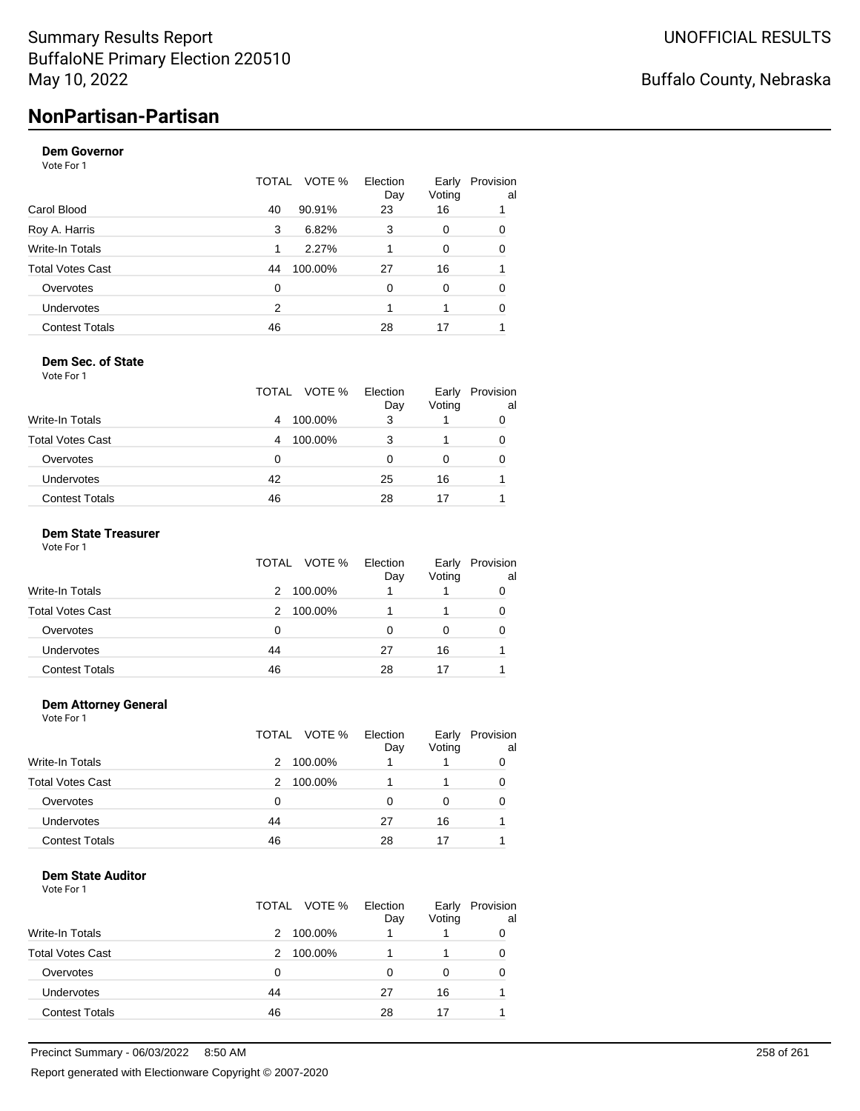# **NonPartisan-Partisan**

## **Dem Governor**

Vote For 1

|                       | TOTAL | VOTE %  | Election<br>Day | Early<br>Voting | Provision<br>al |
|-----------------------|-------|---------|-----------------|-----------------|-----------------|
| Carol Blood           | 40    | 90.91%  | 23              | 16              |                 |
| Roy A. Harris         | 3     | 6.82%   | 3               | 0               | 0               |
| Write-In Totals       | 1     | 2.27%   |                 | 0               | 0               |
| Total Votes Cast      | 44    | 100.00% | 27              | 16              |                 |
| Overvotes             | 0     |         | $\Omega$        | 0               | 0               |
| <b>Undervotes</b>     | 2     |         |                 |                 | $\Omega$        |
| <b>Contest Totals</b> | 46    |         | 28              | 17              |                 |

#### **Dem Sec. of State**

Vote For 1

|                       | TOTAL VOTE % | Election<br>Day | Early<br>Voting | Provision<br>al |
|-----------------------|--------------|-----------------|-----------------|-----------------|
| Write-In Totals       | 100.00%<br>4 | 3               |                 |                 |
| Total Votes Cast      | 100.00%<br>4 | 3               |                 | 0               |
| Overvotes             |              | 0               | 0               | 0               |
| Undervotes            | 42           | 25              | 16              |                 |
| <b>Contest Totals</b> | 46           | 28              |                 |                 |

#### **Dem State Treasurer**

Vote For 1

|                         |    | TOTAL VOTE % | Election<br>Day | Early<br>Voting | Provision<br>al |
|-------------------------|----|--------------|-----------------|-----------------|-----------------|
| Write-In Totals         | 2  | 100.00%      |                 |                 | 0               |
| <b>Total Votes Cast</b> | 2  | 100.00%      |                 |                 | 0               |
| Overvotes               | 0  |              |                 | 0               | 0               |
| Undervotes              | 44 |              | 27              | 16              |                 |
| <b>Contest Totals</b>   | 46 |              | 28              | 17              |                 |

#### **Dem Attorney General**

Vote For 1

|                         | TOTAL<br>VOTE % | Election<br>Day | Early<br>Voting | Provision<br>al |
|-------------------------|-----------------|-----------------|-----------------|-----------------|
| Write-In Totals         | 100.00%<br>2    |                 |                 | 0               |
| <b>Total Votes Cast</b> | 100.00%<br>2    |                 |                 | 0               |
| Overvotes               | 0               |                 | 0               | 0               |
| Undervotes              | 44              | 27              | 16              |                 |
| <b>Contest Totals</b>   | 46              | 28              | 17              |                 |

#### **Dem State Auditor**

|                         | TOTAL VOTE % | Election<br>Day | Early<br>Voting | Provision<br>al |
|-------------------------|--------------|-----------------|-----------------|-----------------|
| <b>Write-In Totals</b>  | 2            | 100.00%         |                 |                 |
| <b>Total Votes Cast</b> | 2            | 100.00%         |                 |                 |
| Overvotes               | 0            | O               |                 |                 |
| Undervotes              | 44           | 27              | 16              |                 |
| <b>Contest Totals</b>   | 46           | 28              | 17              |                 |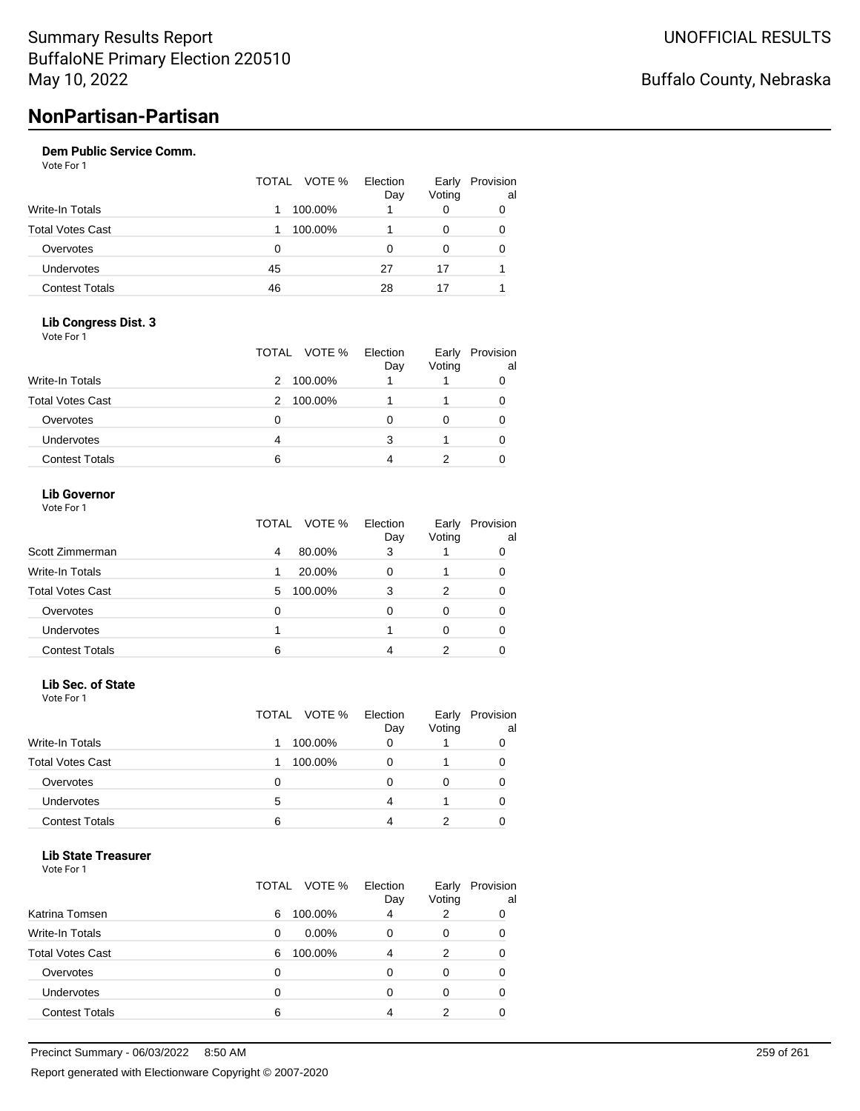#### **Dem Public Service Comm.**

Vote For 1

|                         | TOTAL | VOTE %  | Election<br>Day | Early<br>Voting | Provision<br>al |
|-------------------------|-------|---------|-----------------|-----------------|-----------------|
| Write-In Totals         |       | 100.00% |                 |                 | 0               |
| <b>Total Votes Cast</b> |       | 100.00% |                 | 0               | 0               |
| Overvotes               | 0     |         | 0               | 0               | 0               |
| Undervotes              | 45    |         | 27              | 17              |                 |
| <b>Contest Totals</b>   | 46    |         | 28              | 17              |                 |

#### **Lib Congress Dist. 3** Vote For 1

|                         | TOTAL VOTE % | Election<br>Day | Early<br>Voting | Provision<br>al |
|-------------------------|--------------|-----------------|-----------------|-----------------|
| Write-In Totals         | 100.00%<br>2 |                 |                 |                 |
| <b>Total Votes Cast</b> | 100.00%<br>2 |                 |                 | 0               |
| Overvotes               | 0            |                 | 0               | 0               |
| <b>Undervotes</b>       | 4            | з               |                 | 0               |
| <b>Contest Totals</b>   | 6            |                 |                 |                 |

### **Lib Governor**

| Vote For 1 |  |  |
|------------|--|--|
|------------|--|--|

|                         | VOTE %<br>TOTAL | Election<br>Day | Early<br>Voting | Provision<br>al |
|-------------------------|-----------------|-----------------|-----------------|-----------------|
| Scott Zimmerman         | 80.00%<br>4     | 3               |                 |                 |
| <b>Write-In Totals</b>  | 20.00%<br>1     | 0               |                 |                 |
| <b>Total Votes Cast</b> | 100.00%<br>5    | 3               | 2               |                 |
| Overvotes               | 0               | O               | 0               |                 |
| Undervotes              |                 |                 | 0               |                 |
| <b>Contest Totals</b>   | 6               |                 |                 |                 |

#### **Lib Sec. of State**

| Vote For 1 |  |  |
|------------|--|--|
|------------|--|--|

|                         |   | TOTAL VOTE % | Election<br>Day | Early<br>Voting | Provision<br>al |
|-------------------------|---|--------------|-----------------|-----------------|-----------------|
| <b>Write-In Totals</b>  |   | 100.00%      | 0               |                 |                 |
| <b>Total Votes Cast</b> |   | 100.00%      | Ω               |                 |                 |
| Overvotes               | Ω |              | Ω               |                 |                 |
| Undervotes              | 5 |              |                 |                 |                 |
| <b>Contest Totals</b>   | 6 |              |                 |                 |                 |

#### **Lib State Treasurer**

|                         | TOTAL | VOTE %<br>Election<br>Day | Early<br>Voting | Provision<br>al |
|-------------------------|-------|---------------------------|-----------------|-----------------|
| Katrina Tomsen          | 6     | 100.00%<br>4              | 2               | 0               |
| <b>Write-In Totals</b>  | 0     | $0.00\%$<br>0             | 0               | 0               |
| <b>Total Votes Cast</b> | 6     | 100.00%<br>4              | 2               | 0               |
| Overvotes               | 0     | 0                         | 0               | 0               |
| Undervotes              | 0     | 0                         | Ω               | 0               |
| <b>Contest Totals</b>   | 6     |                           | າ               |                 |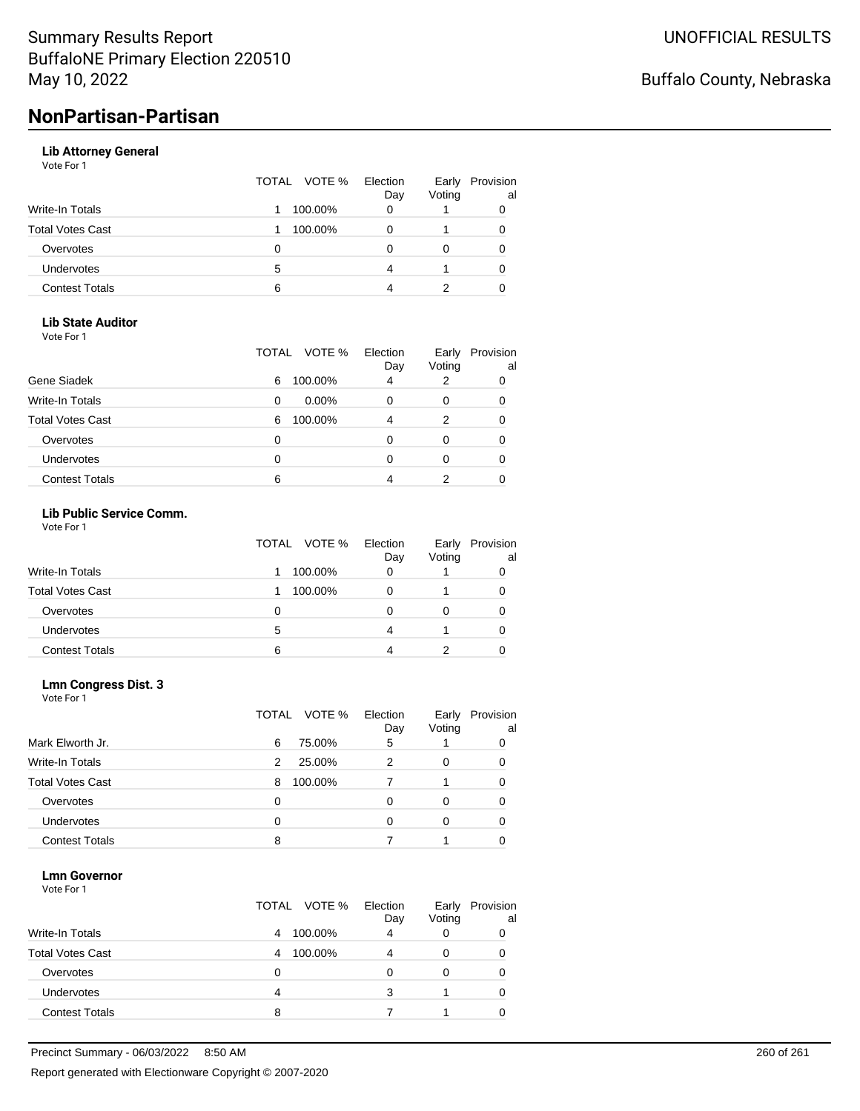# **NonPartisan-Partisan**

#### **Lib Attorney General**

Vote For 1

|                         |   | TOTAL VOTE % | Election<br>Day | Early<br>Voting | Provision<br>al |
|-------------------------|---|--------------|-----------------|-----------------|-----------------|
| Write-In Totals         |   | 100.00%      |                 |                 |                 |
| <b>Total Votes Cast</b> |   | 100.00%      |                 |                 |                 |
| Overvotes               | Ω |              |                 |                 |                 |
| Undervotes              | 5 |              |                 |                 |                 |
| <b>Contest Totals</b>   | 6 |              |                 |                 |                 |

#### **Lib State Auditor**

Vote For 1

|                         | TOTAL | VOTE %   | Election<br>Day | Early<br>Voting | Provision<br>al |
|-------------------------|-------|----------|-----------------|-----------------|-----------------|
| Gene Siadek             | 6     | 100.00%  | 4               | 2               | 0               |
| Write-In Totals         | 0     | $0.00\%$ |                 | 0               | 0               |
| <b>Total Votes Cast</b> | 6     | 100.00%  |                 | 2               | 0               |
| Overvotes               | 0     |          |                 | 0               | 0               |
| Undervotes              | 0     |          |                 | 0               | 0               |
| <b>Contest Totals</b>   | 6     |          |                 |                 |                 |

#### **Lib Public Service Comm.**

Vote For 1

|                         | TOTAL VOTE % | Election<br>Day | Early<br>Voting | Provision<br>al |
|-------------------------|--------------|-----------------|-----------------|-----------------|
| Write-In Totals         | 100.00%      |                 |                 |                 |
| <b>Total Votes Cast</b> | 100.00%      |                 |                 |                 |
| Overvotes               | 0            |                 |                 |                 |
| <b>Undervotes</b>       | 5            | 4               |                 | 0               |
| <b>Contest Totals</b>   | 6            |                 |                 |                 |

# **Lmn Congress Dist. 3**

| Vote For 1 |  |
|------------|--|
|------------|--|

|                         | VOTE %<br>TOTAL | Election<br>Day | Early<br>Voting | Provision<br>al |
|-------------------------|-----------------|-----------------|-----------------|-----------------|
| Mark Elworth Jr.        | 75.00%<br>6     | 5               |                 | 0               |
| <b>Write-In Totals</b>  | 25.00%<br>2     | 2               | 0               | 0               |
| <b>Total Votes Cast</b> | 100.00%<br>8    |                 |                 | 0               |
| Overvotes               | 0               |                 | 0               | 0               |
| <b>Undervotes</b>       | 0               |                 | O               | 0               |
| <b>Contest Totals</b>   | 8               |                 |                 |                 |

#### **Lmn Governor**

|                         | TOTAL VOTE % |         | Election<br>Day | Early<br>Voting | Provision<br>al |
|-------------------------|--------------|---------|-----------------|-----------------|-----------------|
| <b>Write-In Totals</b>  | 4            | 100.00% | 4               |                 |                 |
| <b>Total Votes Cast</b> | 4            | 100.00% | Δ               |                 | 0               |
| Overvotes               | O            |         |                 |                 |                 |
| Undervotes              | 4            |         | з               |                 | 0               |
| <b>Contest Totals</b>   | 8            |         |                 |                 |                 |